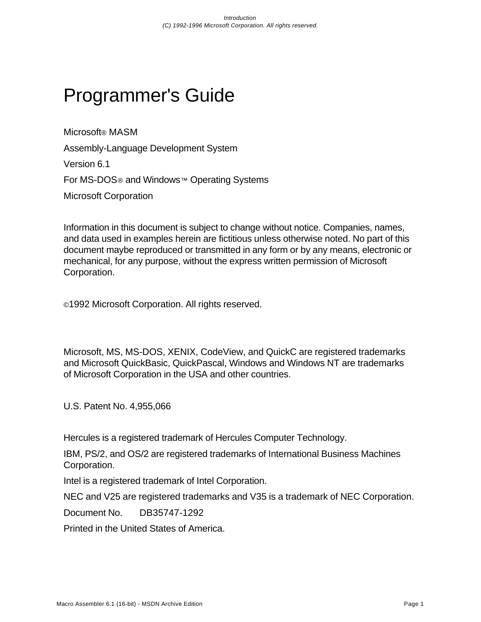## Programmer's Guide

Microsoft® MASM Assembly-Language Development System Version 6.1 For MS-DOS® and Windows™ Operating Systems Microsoft Corporation

Information in this document is subject to change without notice. Companies, names, and data used in examples herein are fictitious unless otherwise noted. No part of this document maybe reproduced or transmitted in any form or by any means, electronic or mechanical, for any purpose, without the express written permission of Microsoft Corporation.

©1992 Microsoft Corporation. All rights reserved.

Microsoft, MS, MS-DOS, XENIX, CodeView, and QuickC are registered trademarks and Microsoft QuickBasic, QuickPascal, Windows and Windows NT are trademarks of Microsoft Corporation in the USA and other countries.

U.S. Patent No. 4,955,066

Hercules is a registered trademark of Hercules Computer Technology.

IBM, PS/2, and OS/2 are registered trademarks of International Business Machines Corporation.

Intel is a registered trademark of Intel Corporation.

NEC and V25 are registered trademarks and V35 is a trademark of NEC Corporation.

Document No. DB35747-1292

Printed in the United States of America.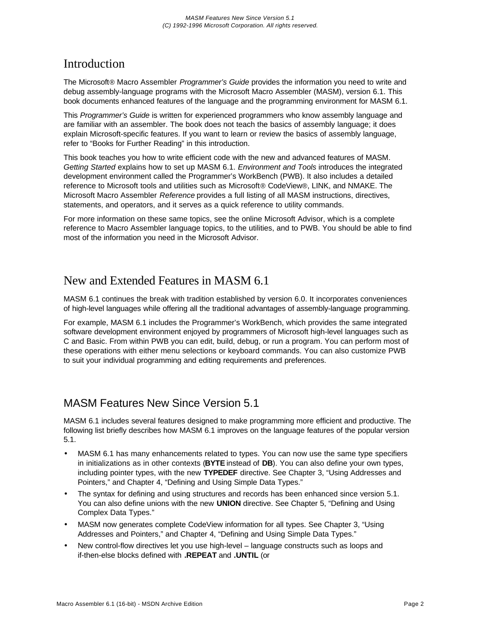## Introduction

The Microsoft® Macro Assembler *Programmer's Guide* provides the information you need to write and debug assembly-language programs with the Microsoft Macro Assembler (MASM), version 6.1. This book documents enhanced features of the language and the programming environment for MASM 6.1.

This *Programmer's Guide* is written for experienced programmers who know assembly language and are familiar with an assembler. The book does not teach the basics of assembly language; it does explain Microsoft-specific features. If you want to learn or review the basics of assembly language, refer to "Books for Further Reading" in this introduction.

This book teaches you how to write efficient code with the new and advanced features of MASM. *Getting Started* explains how to set up MASM 6.1. *Environment and Tools* introduces the integrated development environment called the Programmer's WorkBench (PWB). It also includes a detailed reference to Microsoft tools and utilities such as Microsoft® CodeView®, LINK, and NMAKE. The Microsoft Macro Assembler *Reference* provides a full listing of all MASM instructions, directives, statements, and operators, and it serves as a quick reference to utility commands.

For more information on these same topics, see the online Microsoft Advisor, which is a complete reference to Macro Assembler language topics, to the utilities, and to PWB. You should be able to find most of the information you need in the Microsoft Advisor.

## New and Extended Features in MASM 6.1

MASM 6.1 continues the break with tradition established by version 6.0. It incorporates conveniences of high-level languages while offering all the traditional advantages of assembly-language programming.

For example, MASM 6.1 includes the Programmer's WorkBench, which provides the same integrated software development environment enjoyed by programmers of Microsoft high-level languages such as C and Basic. From within PWB you can edit, build, debug, or run a program. You can perform most of these operations with either menu selections or keyboard commands. You can also customize PWB to suit your individual programming and editing requirements and preferences.

## MASM Features New Since Version 5.1

MASM 6.1 includes several features designed to make programming more efficient and productive. The following list briefly describes how MASM 6.1 improves on the language features of the popular version 5.1.

- MASM 6.1 has many enhancements related to types. You can now use the same type specifiers in initializations as in other contexts (**BYTE** instead of **DB**). You can also define your own types, including pointer types, with the new **TYPEDEF** directive. See Chapter 3, "Using Addresses and Pointers," and Chapter 4, "Defining and Using Simple Data Types."
- The syntax for defining and using structures and records has been enhanced since version 5.1. You can also define unions with the new **UNION** directive. See Chapter 5, "Defining and Using Complex Data Types."
- MASM now generates complete CodeView information for all types. See Chapter 3, "Using Addresses and Pointers," and Chapter 4, "Defining and Using Simple Data Types."
- New control-flow directives let you use high-level language constructs such as loops and if-then-else blocks defined with **.REPEAT** and **.UNTIL** (or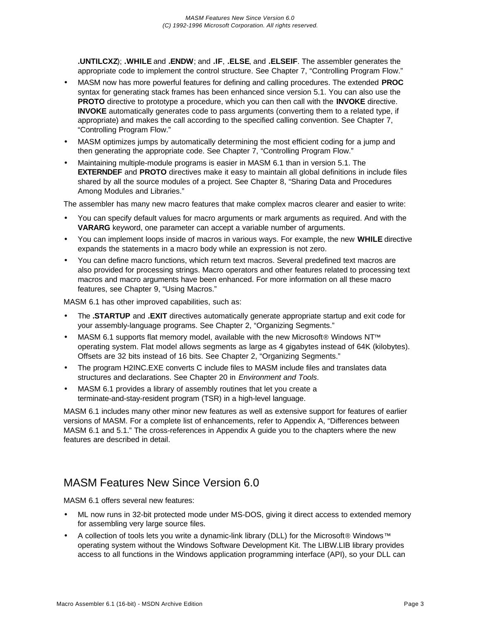**.UNTILCXZ**); **.WHILE** and **.ENDW**; and **.IF**, **.ELSE**, and **.ELSEIF**. The assembler generates the appropriate code to implement the control structure. See Chapter 7, "Controlling Program Flow."

- MASM now has more powerful features for defining and calling procedures. The extended **PROC** syntax for generating stack frames has been enhanced since version 5.1. You can also use the **PROTO** directive to prototype a procedure, which you can then call with the **INVOKE** directive. **INVOKE** automatically generates code to pass arguments (converting them to a related type, if appropriate) and makes the call according to the specified calling convention. See Chapter 7, "Controlling Program Flow."
- MASM optimizes jumps by automatically determining the most efficient coding for a jump and then generating the appropriate code. See Chapter 7, "Controlling Program Flow."
- Maintaining multiple-module programs is easier in MASM 6.1 than in version 5.1. The **EXTERNDEF** and **PROTO** directives make it easy to maintain all global definitions in include files shared by all the source modules of a project. See Chapter 8, "Sharing Data and Procedures Among Modules and Libraries."

The assembler has many new macro features that make complex macros clearer and easier to write:

- You can specify default values for macro arguments or mark arguments as required. And with the **VARARG** keyword, one parameter can accept a variable number of arguments.
- You can implement loops inside of macros in various ways. For example, the new **WHILE** directive expands the statements in a macro body while an expression is not zero.
- You can define macro functions, which return text macros. Several predefined text macros are also provided for processing strings. Macro operators and other features related to processing text macros and macro arguments have been enhanced. For more information on all these macro features, see Chapter 9, "Using Macros."

MASM 6.1 has other improved capabilities, such as:

- The **.STARTUP** and **.EXIT** directives automatically generate appropriate startup and exit code for your assembly-language programs. See Chapter 2, "Organizing Segments."
- MASM 6.1 supports flat memory model, available with the new Microsoft® Windows NT™ operating system. Flat model allows segments as large as 4 gigabytes instead of 64K (kilobytes). Offsets are 32 bits instead of 16 bits. See Chapter 2, "Organizing Segments."
- The program H2INC.EXE converts C include files to MASM include files and translates data structures and declarations. See Chapter 20 in *Environment and Tools*.
- MASM 6.1 provides a library of assembly routines that let you create a terminate-and-stay-resident program (TSR) in a high-level language.

MASM 6.1 includes many other minor new features as well as extensive support for features of earlier versions of MASM. For a complete list of enhancements, refer to Appendix A, "Differences between MASM 6.1 and 5.1." The cross-references in Appendix A guide you to the chapters where the new features are described in detail.

## MASM Features New Since Version 6.0

MASM 6.1 offers several new features:

- ML now runs in 32-bit protected mode under MS-DOS, giving it direct access to extended memory for assembling very large source files.
- A collection of tools lets you write a dynamic-link library (DLL) for the Microsoft® Windows™ operating system without the Windows Software Development Kit. The LIBW.LIB library provides access to all functions in the Windows application programming interface (API), so your DLL can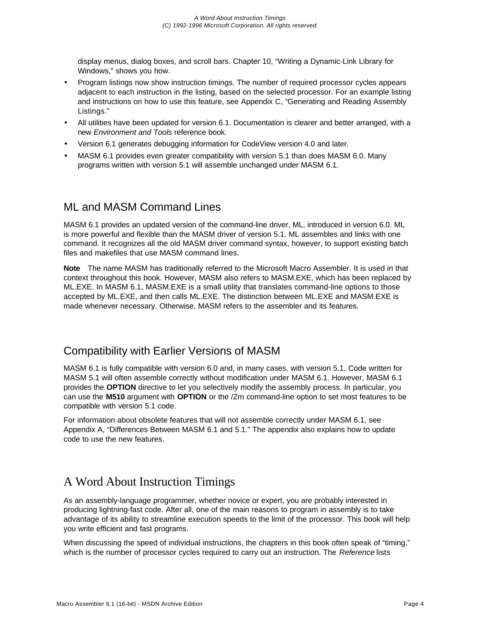display menus, dialog boxes, and scroll bars. Chapter 10, "Writing a Dynamic-Link Library for Windows," shows you how.

- Program listings now show instruction timings. The number of required processor cycles appears adjacent to each instruction in the listing, based on the selected processor. For an example listing and instructions on how to use this feature, see Appendix C, "Generating and Reading Assembly Listings."
- All utilities have been updated for version 6.1. Documentation is clearer and better arranged, with a new *Environment and Tools* reference book.
- Version 6.1 generates debugging information for CodeView version 4.0 and later.
- MASM 6.1 provides even greater compatibility with version 5.1 than does MASM 6.0. Many programs written with version 5.1 will assemble unchanged under MASM 6.1.

## ML and MASM Command Lines

MASM 6.1 provides an updated version of the command-line driver, ML, introduced in version 6.0. ML is more powerful and flexible than the MASM driver of version 5.1. ML assembles and links with one command. It recognizes all the old MASM driver command syntax, however, to support existing batch files and makefiles that use MASM command lines.

**Note** The name MASM has traditionally referred to the Microsoft Macro Assembler. It is used in that context throughout this book. However, MASM also refers to MASM.EXE, which has been replaced by ML.EXE. In MASM 6.1, MASM.EXE is a small utility that translates command-line options to those accepted by ML.EXE, and then calls ML.EXE. The distinction between ML.EXE and MASM.EXE is made whenever necessary. Otherwise, MASM refers to the assembler and its features.

## Compatibility with Earlier Versions of MASM

MASM 6.1 is fully compatible with version 6.0 and, in many cases, with version 5.1. Code written for MASM 5.1 will often assemble correctly without modification under MASM 6.1. However, MASM 6.1 provides the **OPTION** directive to let you selectively modify the assembly process. In particular, you can use the **M510** argument with **OPTION** or the /Zm command-line option to set most features to be compatible with version 5.1 code.

For information about obsolete features that will not assemble correctly under MASM 6.1, see Appendix A, "Differences Between MASM 6.1 and 5.1." The appendix also explains how to update code to use the new features.

## A Word About Instruction Timings

As an assembly-language programmer, whether novice or expert, you are probably interested in producing lightning-fast code. After all, one of the main reasons to program in assembly is to take advantage of its ability to streamline execution speeds to the limit of the processor. This book will help you write efficient and fast programs.

When discussing the speed of individual instructions, the chapters in this book often speak of "timing," which is the number of processor cycles required to carry out an instruction. The *Reference* lists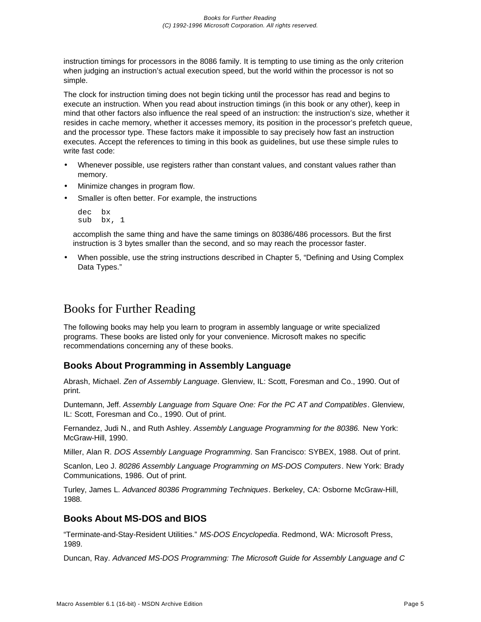instruction timings for processors in the 8086 family. It is tempting to use timing as the only criterion when judging an instruction's actual execution speed, but the world within the processor is not so simple.

The clock for instruction timing does not begin ticking until the processor has read and begins to execute an instruction. When you read about instruction timings (in this book or any other), keep in mind that other factors also influence the real speed of an instruction: the instruction's size, whether it resides in cache memory, whether it accesses memory, its position in the processor's prefetch queue, and the processor type. These factors make it impossible to say precisely how fast an instruction executes. Accept the references to timing in this book as guidelines, but use these simple rules to write fast code:

- Whenever possible, use registers rather than constant values, and constant values rather than memory.
- Minimize changes in program flow.
- Smaller is often better. For example, the instructions

```
 dec bx
 sub bx, 1
```
accomplish the same thing and have the same timings on 80386/486 processors. But the first instruction is 3 bytes smaller than the second, and so may reach the processor faster.

• When possible, use the string instructions described in Chapter 5, "Defining and Using Complex Data Types."

## Books for Further Reading

The following books may help you learn to program in assembly language or write specialized programs. These books are listed only for your convenience. Microsoft makes no specific recommendations concerning any of these books.

## **Books About Programming in Assembly Language**

Abrash, Michael. *Zen of Assembly Language*. Glenview, IL: Scott, Foresman and Co., 1990. Out of print.

Duntemann, Jeff. *Assembly Language from Square One: For the PC AT and Compatibles*. Glenview, IL: Scott, Foresman and Co., 1990. Out of print.

Fernandez, Judi N., and Ruth Ashley. *Assembly Language Programming for the 80386.* New York: McGraw-Hill, 1990.

Miller, Alan R. *DOS Assembly Language Programming*. San Francisco: SYBEX, 1988. Out of print.

Scanlon, Leo J. *80286 Assembly Language Programming on MS-DOS Computers*. New York: Brady Communications, 1986. Out of print.

Turley, James L. *Advanced 80386 Programming Techniques*. Berkeley, CA: Osborne McGraw-Hill, 1988.

#### **Books About MS-DOS and BIOS**

"Terminate-and-Stay-Resident Utilities." *MS-DOS Encyclopedia*. Redmond, WA: Microsoft Press, 1989.

Duncan, Ray. *Advanced MS-DOS Programming: The Microsoft Guide for Assembly Language and C*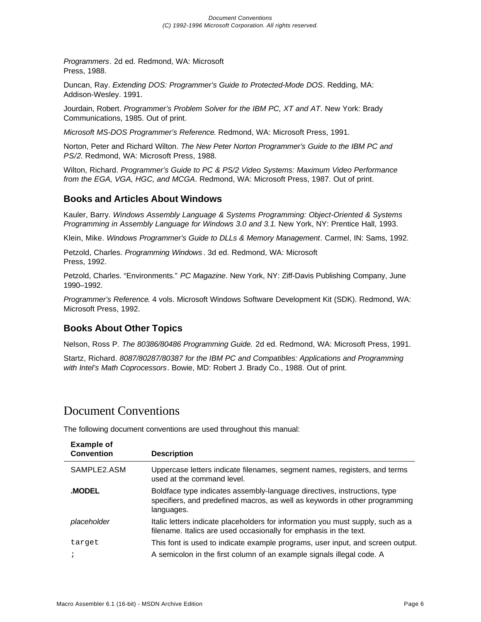*Programmers*. 2d ed. Redmond, WA: Microsoft Press, 1988.

Duncan, Ray. *Extending DOS: Programmer's Guide to Protected-Mode DOS*. Redding, MA: Addison-Wesley. 1991.

Jourdain, Robert. *Programmer's Problem Solver for the IBM PC, XT and AT*. New York: Brady Communications, 1985. Out of print.

*Microsoft MS-DOS Programmer's Reference*. Redmond, WA: Microsoft Press, 1991.

Norton, Peter and Richard Wilton. *The New Peter Norton Programmer's Guide to the IBM PC and PS/2*. Redmond, WA: Microsoft Press, 1988.

Wilton, Richard. *Programmer's Guide to PC & PS/2 Video Systems: Maximum Video Performance from the EGA, VGA, HGC, and MCGA*. Redmond, WA: Microsoft Press, 1987. Out of print.

#### **Books and Articles About Windows**

Kauler, Barry. *Windows Assembly Language & Systems Programming: Object-Oriented & Systems Programming in Assembly Language for Windows 3.0 and 3.1*. New York, NY: Prentice Hall, 1993.

Klein, Mike. *Windows Programmer's Guide to DLLs & Memory Management*. Carmel, IN: Sams, 1992.

Petzold, Charles. *Programming Windows* . 3d ed. Redmond, WA: Microsoft Press, 1992.

Petzold, Charles. "Environments." *PC Magazine*. New York, NY: Ziff-Davis Publishing Company, June 1990–1992.

*Programmer's Reference*. 4 vols. Microsoft Windows Software Development Kit (SDK). Redmond, WA: Microsoft Press, 1992.

## **Books About Other Topics**

Nelson, Ross P. *The 80386/80486 Programming Guide.* 2d ed. Redmond, WA: Microsoft Press, 1991.

Startz, Richard. *8087/80287/80387 for the IBM PC and Compatibles: Applications and Programming with Intel's Math Coprocessors*. Bowie, MD: Robert J. Brady Co., 1988. Out of print.

## Document Conventions

The following document conventions are used throughout this manual:

| <b>Example of</b><br><b>Convention</b> | <b>Description</b>                                                                                                                                                    |
|----------------------------------------|-----------------------------------------------------------------------------------------------------------------------------------------------------------------------|
| SAMPLE2.ASM                            | Uppercase letters indicate filenames, segment names, registers, and terms<br>used at the command level.                                                               |
| .MODEL                                 | Boldface type indicates assembly-language directives, instructions, type<br>specifiers, and predefined macros, as well as keywords in other programming<br>languages. |
| placeholder                            | Italic letters indicate placeholders for information you must supply, such as a<br>filename. Italics are used occasionally for emphasis in the text.                  |
| target                                 | This font is used to indicate example programs, user input, and screen output.                                                                                        |
|                                        | A semicolon in the first column of an example signals illegal code. A                                                                                                 |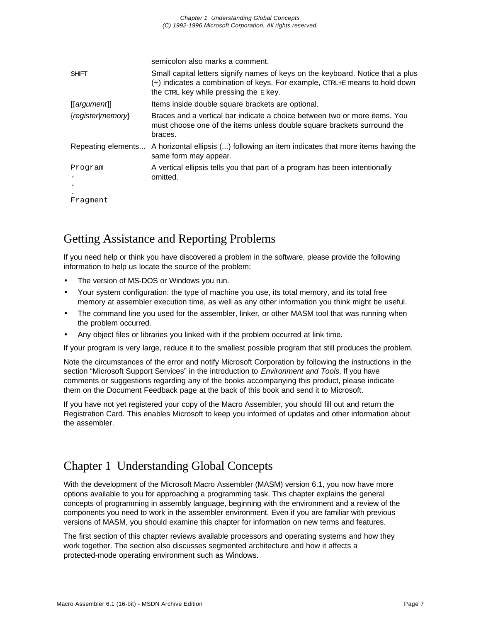|                    | semicolon also marks a comment.                                                                                                                                                                          |
|--------------------|----------------------------------------------------------------------------------------------------------------------------------------------------------------------------------------------------------|
| <b>SHIFT</b>       | Small capital letters signify names of keys on the keyboard. Notice that a plus<br>(+) indicates a combination of keys. For example, CTRL+E means to hold down<br>the CTRL key while pressing the E key. |
| [[argument]]       | Items inside double square brackets are optional.                                                                                                                                                        |
| {register memory}  | Braces and a vertical bar indicate a choice between two or more items. You<br>must choose one of the items unless double square brackets surround the<br>braces.                                         |
| Repeating elements | A horizontal ellipsis () following an item indicates that more items having the<br>same form may appear.                                                                                                 |
| Program            | A vertical ellipsis tells you that part of a program has been intentionally                                                                                                                              |
|                    | omitted.                                                                                                                                                                                                 |
|                    |                                                                                                                                                                                                          |
| Fraqment           |                                                                                                                                                                                                          |

## Getting Assistance and Reporting Problems

If you need help or think you have discovered a problem in the software, please provide the following information to help us locate the source of the problem:

- The version of MS-DOS or Windows you run.
- Your system configuration: the type of machine you use, its total memory, and its total free memory at assembler execution time, as well as any other information you think might be useful.
- The command line you used for the assembler, linker, or other MASM tool that was running when the problem occurred.
- Any object files or libraries you linked with if the problem occurred at link time.

If your program is very large, reduce it to the smallest possible program that still produces the problem.

Note the circumstances of the error and notify Microsoft Corporation by following the instructions in the section "Microsoft Support Services" in the introduction to *Environment and Tools*. If you have comments or suggestions regarding any of the books accompanying this product, please indicate them on the Document Feedback page at the back of this book and send it to Microsoft.

If you have not yet registered your copy of the Macro Assembler, you should fill out and return the Registration Card. This enables Microsoft to keep you informed of updates and other information about the assembler.

## Chapter 1 Understanding Global Concepts

With the development of the Microsoft Macro Assembler (MASM) version 6.1, you now have more options available to you for approaching a programming task. This chapter explains the general concepts of programming in assembly language, beginning with the environment and a review of the components you need to work in the assembler environment. Even if you are familiar with previous versions of MASM, you should examine this chapter for information on new terms and features.

The first section of this chapter reviews available processors and operating systems and how they work together. The section also discusses segmented architecture and how it affects a protected-mode operating environment such as Windows.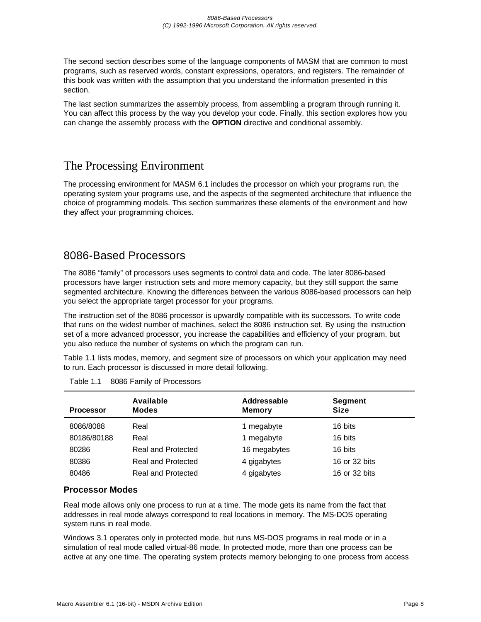The second section describes some of the language components of MASM that are common to most programs, such as reserved words, constant expressions, operators, and registers. The remainder of this book was written with the assumption that you understand the information presented in this section.

The last section summarizes the assembly process, from assembling a program through running it. You can affect this process by the way you develop your code. Finally, this section explores how you can change the assembly process with the **OPTION** directive and conditional assembly.

## The Processing Environment

The processing environment for MASM 6.1 includes the processor on which your programs run, the operating system your programs use, and the aspects of the segmented architecture that influence the choice of programming models. This section summarizes these elements of the environment and how they affect your programming choices.

## 8086-Based Processors

The 8086 "family" of processors uses segments to control data and code. The later 8086-based processors have larger instruction sets and more memory capacity, but they still support the same segmented architecture. Knowing the differences between the various 8086-based processors can help you select the appropriate target processor for your programs.

The instruction set of the 8086 processor is upwardly compatible with its successors. To write code that runs on the widest number of machines, select the 8086 instruction set. By using the instruction set of a more advanced processor, you increase the capabilities and efficiency of your program, but you also reduce the number of systems on which the program can run.

Table 1.1 lists modes, memory, and segment size of processors on which your application may need to run. Each processor is discussed in more detail following.

| <b>Processor</b> | Available<br><b>Modes</b> | Addressable<br><b>Memory</b> | <b>Segment</b><br><b>Size</b> |
|------------------|---------------------------|------------------------------|-------------------------------|
| 8086/8088        | Real                      | 1 megabyte                   | 16 bits                       |
| 80186/80188      | Real                      | 1 megabyte                   | 16 bits                       |
| 80286            | Real and Protected        | 16 megabytes                 | 16 bits                       |
| 80386            | Real and Protected        | 4 gigabytes                  | 16 or 32 bits                 |
| 80486            | Real and Protected        | 4 gigabytes                  | 16 or 32 bits                 |

| Table 1.1 | 8086 Family of Processors |  |
|-----------|---------------------------|--|
|           |                           |  |

#### **Processor Modes**

Real mode allows only one process to run at a time. The mode gets its name from the fact that addresses in real mode always correspond to real locations in memory. The MS-DOS operating system runs in real mode.

Windows 3.1 operates only in protected mode, but runs MS-DOS programs in real mode or in a simulation of real mode called virtual-86 mode. In protected mode, more than one process can be active at any one time. The operating system protects memory belonging to one process from access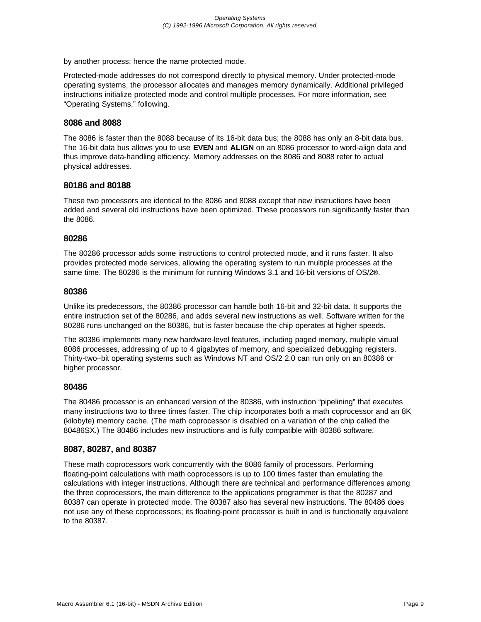by another process; hence the name protected mode.

Protected-mode addresses do not correspond directly to physical memory. Under protected-mode operating systems, the processor allocates and manages memory dynamically. Additional privileged instructions initialize protected mode and control multiple processes. For more information, see "Operating Systems," following.

#### **8086 and 8088**

The 8086 is faster than the 8088 because of its 16-bit data bus; the 8088 has only an 8-bit data bus. The 16-bit data bus allows you to use **EVEN** and **ALIGN** on an 8086 processor to word-align data and thus improve data-handling efficiency. Memory addresses on the 8086 and 8088 refer to actual physical addresses.

#### **80186 and 80188**

These two processors are identical to the 8086 and 8088 except that new instructions have been added and several old instructions have been optimized. These processors run significantly faster than the 8086.

#### **80286**

The 80286 processor adds some instructions to control protected mode, and it runs faster. It also provides protected mode services, allowing the operating system to run multiple processes at the same time. The 80286 is the minimum for running Windows 3.1 and 16-bit versions of OS/2®.

#### **80386**

Unlike its predecessors, the 80386 processor can handle both 16-bit and 32-bit data. It supports the entire instruction set of the 80286, and adds several new instructions as well. Software written for the 80286 runs unchanged on the 80386, but is faster because the chip operates at higher speeds.

The 80386 implements many new hardware-level features, including paged memory, multiple virtual 8086 processes, addressing of up to 4 gigabytes of memory, and specialized debugging registers. Thirty-two–bit operating systems such as Windows NT and OS/2 2.0 can run only on an 80386 or higher processor.

#### **80486**

The 80486 processor is an enhanced version of the 80386, with instruction "pipelining" that executes many instructions two to three times faster. The chip incorporates both a math coprocessor and an 8K (kilobyte) memory cache. (The math coprocessor is disabled on a variation of the chip called the 80486SX.) The 80486 includes new instructions and is fully compatible with 80386 software.

#### **8087, 80287, and 80387**

These math coprocessors work concurrently with the 8086 family of processors. Performing floating-point calculations with math coprocessors is up to 100 times faster than emulating the calculations with integer instructions. Although there are technical and performance differences among the three coprocessors, the main difference to the applications programmer is that the 80287 and 80387 can operate in protected mode. The 80387 also has several new instructions. The 80486 does not use any of these coprocessors; its floating-point processor is built in and is functionally equivalent to the 80387.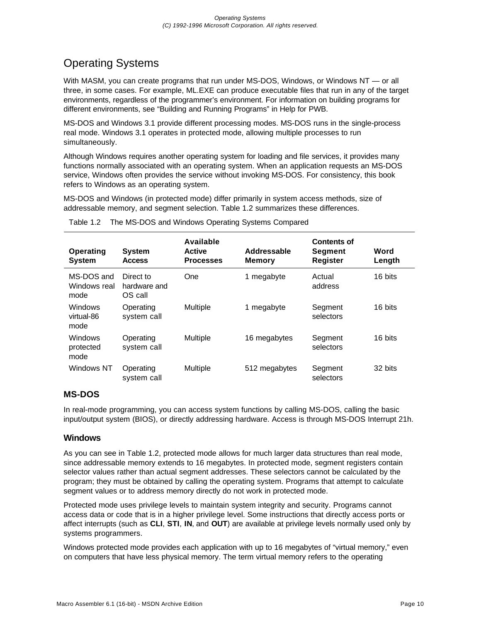## Operating Systems

With MASM, you can create programs that run under MS-DOS, Windows, or Windows NT — or all three, in some cases. For example, ML.EXE can produce executable files that run in any of the target environments, regardless of the programmer's environment. For information on building programs for different environments, see "Building and Running Programs" in Help for PWB.

MS-DOS and Windows 3.1 provide different processing modes. MS-DOS runs in the single-process real mode. Windows 3.1 operates in protected mode, allowing multiple processes to run simultaneously.

Although Windows requires another operating system for loading and file services, it provides many functions normally associated with an operating system. When an application requests an MS-DOS service, Windows often provides the service without invoking MS-DOS. For consistency, this book refers to Windows as an operating system.

MS-DOS and Windows (in protected mode) differ primarily in system access methods, size of addressable memory, and segment selection. Table 1.2 summarizes these differences.

| Operating<br><b>System</b>           | <b>System</b><br><b>Access</b>       | Available<br><b>Active</b><br><b>Processes</b> | Addressable<br><b>Memory</b> | <b>Contents of</b><br><b>Segment</b><br><b>Register</b> | Word<br>Length |
|--------------------------------------|--------------------------------------|------------------------------------------------|------------------------------|---------------------------------------------------------|----------------|
| MS-DOS and<br>Windows real<br>mode   | Direct to<br>hardware and<br>OS call | One                                            | 1 megabyte                   | Actual<br>address                                       | 16 bits        |
| <b>Windows</b><br>virtual-86<br>mode | Operating<br>system call             | Multiple                                       | 1 megabyte                   | Segment<br>selectors                                    | 16 bits        |
| <b>Windows</b><br>protected<br>mode  | Operating<br>system call             | Multiple                                       | 16 megabytes                 | Segment<br>selectors                                    | 16 bits        |
| Windows NT                           | Operating<br>system call             | Multiple                                       | 512 megabytes                | Segment<br>selectors                                    | 32 bits        |

Table 1.2 The MS-DOS and Windows Operating Systems Compared

#### **MS-DOS**

In real-mode programming, you can access system functions by calling MS-DOS, calling the basic input/output system (BIOS), or directly addressing hardware. Access is through MS-DOS Interrupt 21h.

#### **Windows**

As you can see in Table 1.2, protected mode allows for much larger data structures than real mode, since addressable memory extends to 16 megabytes. In protected mode, segment registers contain selector values rather than actual segment addresses. These selectors cannot be calculated by the program; they must be obtained by calling the operating system. Programs that attempt to calculate segment values or to address memory directly do not work in protected mode.

Protected mode uses privilege levels to maintain system integrity and security. Programs cannot access data or code that is in a higher privilege level. Some instructions that directly access ports or affect interrupts (such as **CLI**, **STI**, **IN**, and **OUT**) are available at privilege levels normally used only by systems programmers.

Windows protected mode provides each application with up to 16 megabytes of "virtual memory," even on computers that have less physical memory. The term virtual memory refers to the operating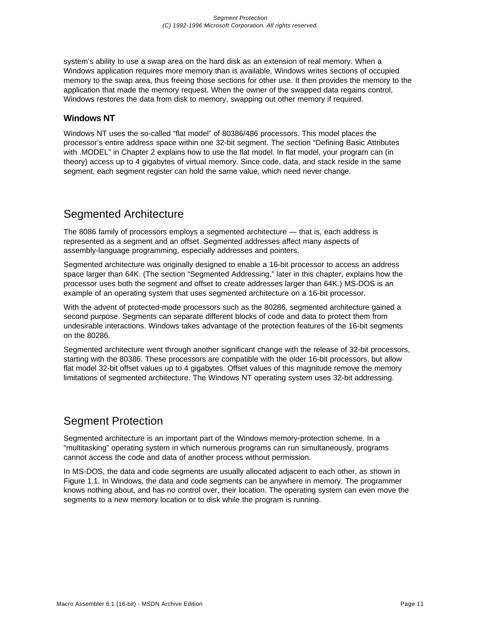system's ability to use a swap area on the hard disk as an extension of real memory. When a Windows application requires more memory than is available, Windows writes sections of occupied memory to the swap area, thus freeing those sections for other use. It then provides the memory to the application that made the memory request. When the owner of the swapped data regains control, Windows restores the data from disk to memory, swapping out other memory if required.

#### **Windows NT**

Windows NT uses the so-called "flat model" of 80386/486 processors. This model places the processor's entire address space within one 32-bit segment. The section "Defining Basic Attributes with .MODEL" in Chapter 2 explains how to use the flat model. In flat model, your program can (in theory) access up to 4 gigabytes of virtual memory. Since code, data, and stack reside in the same segment, each segment register can hold the same value, which need never change.

## Segmented Architecture

The 8086 family of processors employs a segmented architecture — that is, each address is represented as a segment and an offset. Segmented addresses affect many aspects of assembly-language programming, especially addresses and pointers.

Segmented architecture was originally designed to enable a 16-bit processor to access an address space larger than 64K. (The section "Segmented Addressing," later in this chapter, explains how the processor uses both the segment and offset to create addresses larger than 64K.) MS-DOS is an example of an operating system that uses segmented architecture on a 16-bit processor.

With the advent of protected-mode processors such as the 80286, segmented architecture gained a second purpose. Segments can separate different blocks of code and data to protect them from undesirable interactions. Windows takes advantage of the protection features of the 16-bit segments on the 80286.

Segmented architecture went through another significant change with the release of 32-bit processors, starting with the 80386. These processors are compatible with the older 16-bit processors, but allow flat model 32-bit offset values up to 4 gigabytes. Offset values of this magnitude remove the memory limitations of segmented architecture. The Windows NT operating system uses 32-bit addressing.

## Segment Protection

Segmented architecture is an important part of the Windows memory-protection scheme. In a "multitasking" operating system in which numerous programs can run simultaneously, programs cannot access the code and data of another process without permission.

In MS-DOS, the data and code segments are usually allocated adjacent to each other, as shown in Figure 1.1. In Windows, the data and code segments can be anywhere in memory. The programmer knows nothing about, and has no control over, their location. The operating system can even move the segments to a new memory location or to disk while the program is running.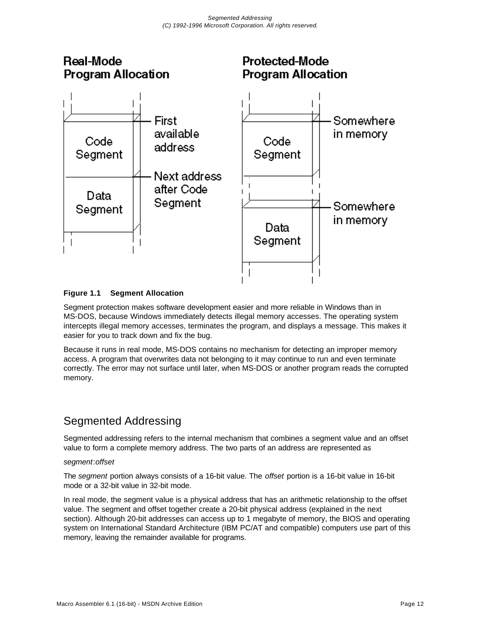

#### **Figure 1.1 Segment Allocation**

Segment protection makes software development easier and more reliable in Windows than in MS-DOS, because Windows immediately detects illegal memory accesses. The operating system intercepts illegal memory accesses, terminates the program, and displays a message. This makes it easier for you to track down and fix the bug.

Because it runs in real mode, MS-DOS contains no mechanism for detecting an improper memory access. A program that overwrites data not belonging to it may continue to run and even terminate correctly. The error may not surface until later, when MS-DOS or another program reads the corrupted memory.

## Segmented Addressing

Segmented addressing refers to the internal mechanism that combines a segment value and an offset value to form a complete memory address. The two parts of an address are represented as

#### *segment*:*offset*

The *segment* portion always consists of a 16-bit value. The *offset* portion is a 16-bit value in 16-bit mode or a 32-bit value in 32-bit mode.

In real mode, the segment value is a physical address that has an arithmetic relationship to the offset value. The segment and offset together create a 20-bit physical address (explained in the next section). Although 20-bit addresses can access up to 1 megabyte of memory, the BIOS and operating system on International Standard Architecture (IBM PC/AT and compatible) computers use part of this memory, leaving the remainder available for programs.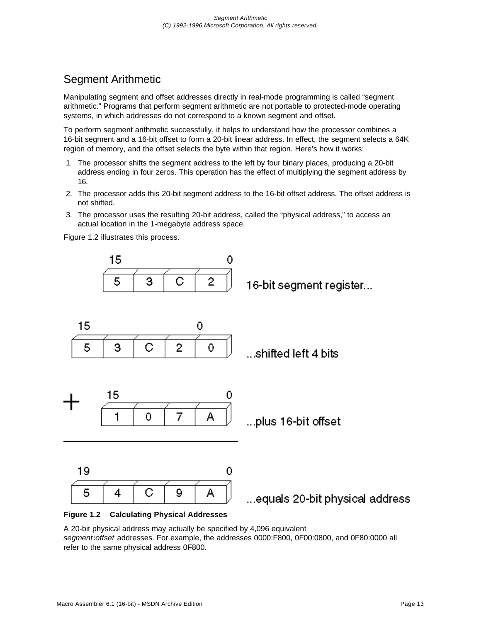## Segment Arithmetic

Manipulating segment and offset addresses directly in real-mode programming is called "segment arithmetic." Programs that perform segment arithmetic are not portable to protected-mode operating systems, in which addresses do not correspond to a known segment and offset.

To perform segment arithmetic successfully, it helps to understand how the processor combines a 16-bit segment and a 16-bit offset to form a 20-bit linear address. In effect, the segment selects a 64K region of memory, and the offset selects the byte within that region. Here's how it works:

- 1. The processor shifts the segment address to the left by four binary places, producing a 20-bit address ending in four zeros. This operation has the effect of multiplying the segment address by 16.
- 2. The processor adds this 20-bit segment address to the 16-bit offset address. The offset address is not shifted.
- 3. The processor uses the resulting 20-bit address, called the "physical address," to access an actual location in the 1-megabyte address space.

Figure 1.2 illustrates this process.





A 20-bit physical address may actually be specified by 4,096 equivalent *segment***:***offset* addresses. For example, the addresses 0000:F800, 0F00:0800, and 0F80:0000 all refer to the same physical address 0F800.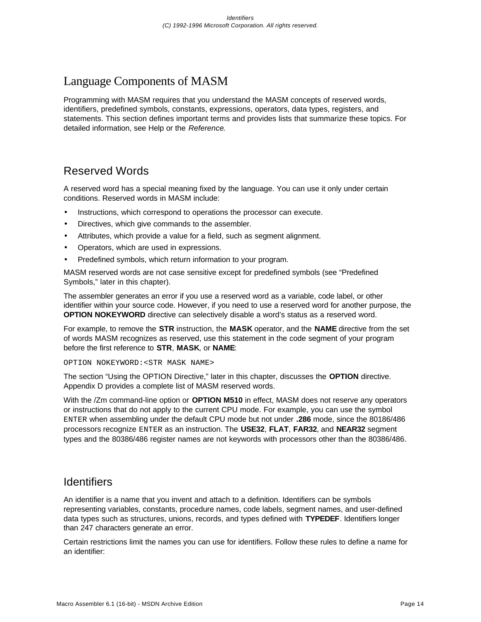## Language Components of MASM

Programming with MASM requires that you understand the MASM concepts of reserved words, identifiers, predefined symbols, constants, expressions, operators, data types, registers, and statements. This section defines important terms and provides lists that summarize these topics. For detailed information, see Help or the *Reference*.

## Reserved Words

A reserved word has a special meaning fixed by the language. You can use it only under certain conditions. Reserved words in MASM include:

- Instructions, which correspond to operations the processor can execute.
- Directives, which give commands to the assembler.
- Attributes, which provide a value for a field, such as segment alignment.
- Operators, which are used in expressions.
- Predefined symbols, which return information to your program.

MASM reserved words are not case sensitive except for predefined symbols (see "Predefined Symbols," later in this chapter).

The assembler generates an error if you use a reserved word as a variable, code label, or other identifier within your source code. However, if you need to use a reserved word for another purpose, the **OPTION NOKEYWORD** directive can selectively disable a word's status as a reserved word.

For example, to remove the **STR** instruction, the **MASK** operator, and the **NAME** directive from the set of words MASM recognizes as reserved, use this statement in the code segment of your program before the first reference to **STR**, **MASK**, or **NAME**:

OPTION NOKEYWORD:<STR MASK NAME>

The section "Using the OPTION Directive," later in this chapter, discusses the **OPTION** directive. Appendix D provides a complete list of MASM reserved words.

With the /Zm command-line option or **OPTION M510** in effect, MASM does not reserve any operators or instructions that do not apply to the current CPU mode. For example, you can use the symbol ENTER when assembling under the default CPU mode but not under **.286** mode, since the 80186/486 processors recognize ENTER as an instruction. The **USE32**, **FLAT**, **FAR32**, and **NEAR32** segment types and the 80386/486 register names are not keywords with processors other than the 80386/486.

## **Identifiers**

An identifier is a name that you invent and attach to a definition. Identifiers can be symbols representing variables, constants, procedure names, code labels, segment names, and user-defined data types such as structures, unions, records, and types defined with **TYPEDEF**. Identifiers longer than 247 characters generate an error.

Certain restrictions limit the names you can use for identifiers. Follow these rules to define a name for an identifier: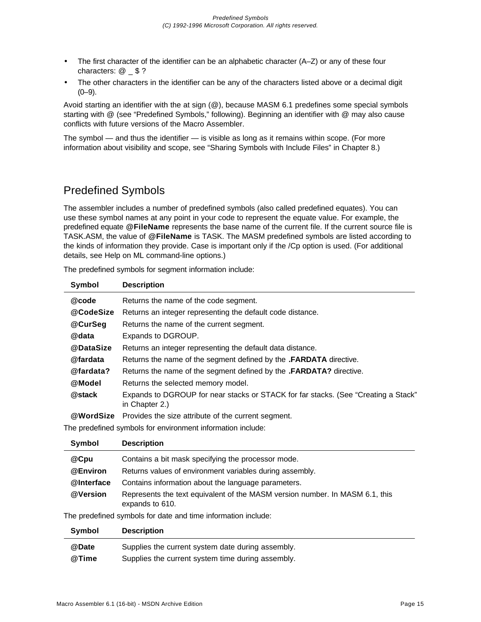- The first character of the identifier can be an alphabetic character  $(A-Z)$  or any of these four characters: @ \$?
- The other characters in the identifier can be any of the characters listed above or a decimal digit  $(0-9)$ .

Avoid starting an identifier with the at sign ( $@$ ), because MASM 6.1 predefines some special symbols starting with @ (see "Predefined Symbols," following). Beginning an identifier with @ may also cause conflicts with future versions of the Macro Assembler.

The symbol — and thus the identifier — is visible as long as it remains within scope. (For more information about visibility and scope, see "Sharing Symbols with Include Files" in Chapter 8.)

## Predefined Symbols

The assembler includes a number of predefined symbols (also called predefined equates). You can use these symbol names at any point in your code to represent the equate value. For example, the predefined equate **@FileName** represents the base name of the current file. If the current source file is TASK.ASM, the value of **@FileName** is TASK. The MASM predefined symbols are listed according to the kinds of information they provide. Case is important only if the /Cp option is used. (For additional details, see Help on ML command-line options.)

| Symbol    | <b>Description</b>                                                                                   |
|-----------|------------------------------------------------------------------------------------------------------|
| @code     | Returns the name of the code segment.                                                                |
| @CodeSize | Returns an integer representing the default code distance.                                           |
| @CurSeg   | Returns the name of the current segment.                                                             |
| @data     | Expands to DGROUP.                                                                                   |
| @DataSize | Returns an integer representing the default data distance.                                           |
| @fardata  | Returns the name of the segment defined by the <b>.FARDATA</b> directive.                            |
| @fardata? | Returns the name of the segment defined by the <b>.FARDATA?</b> directive.                           |
| @Model    | Returns the selected memory model.                                                                   |
| @stack    | Expands to DGROUP for near stacks or STACK for far stacks. (See "Creating a Stack"<br>in Chapter 2.) |
| @WordSize | Provides the size attribute of the current segment.                                                  |
|           |                                                                                                      |

The predefined symbols for segment information include:

The predefined symbols for environment information include:

| Symbol                                                        | <b>Description</b>                                                                              |  |
|---------------------------------------------------------------|-------------------------------------------------------------------------------------------------|--|
| @Cpu                                                          | Contains a bit mask specifying the processor mode.                                              |  |
| @Environ                                                      | Returns values of environment variables during assembly.                                        |  |
| @Interface                                                    | Contains information about the language parameters.                                             |  |
| @Version                                                      | Represents the text equivalent of the MASM version number. In MASM 6.1, this<br>expands to 610. |  |
| The predefined symbols for date and time information include: |                                                                                                 |  |
| <b>Cumbol</b>                                                 | <b>Docorintion</b>                                                                              |  |

|       | -----------                                       |
|-------|---------------------------------------------------|
| @Date | Supplies the current system date during assembly. |
| @Time | Supplies the current system time during assembly. |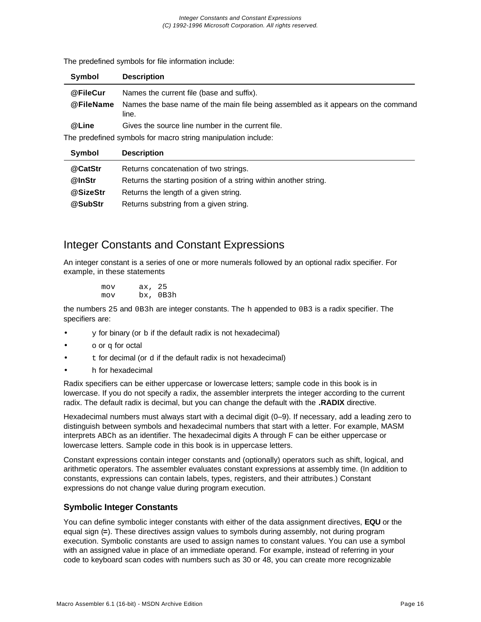The predefined symbols for file information include:

| Symbol    | <b>Description</b>                                                                         |
|-----------|--------------------------------------------------------------------------------------------|
| @FileCur  | Names the current file (base and suffix).                                                  |
| @FileName | Names the base name of the main file being assembled as it appears on the command<br>line. |
| @Line     | Gives the source line number in the current file.                                          |
|           | The predefined symbols for macro string manipulation include:                              |

The predefined symbols for macro string manipulation include:

| Symbol   | <b>Description</b>                                               |
|----------|------------------------------------------------------------------|
| @CatStr  | Returns concatenation of two strings.                            |
| @InStr   | Returns the starting position of a string within another string. |
| @SizeStr | Returns the length of a given string.                            |
| @SubStr  | Returns substring from a given string.                           |

## Integer Constants and Constant Expressions

An integer constant is a series of one or more numerals followed by an optional radix specifier. For example, in these statements

> mov ax, 25 mov bx, 0B3h

the numbers 25 and 0B3h are integer constants. The h appended to 0B3 is a radix specifier. The specifiers are:

- $\gamma$  for binary (or  $\beta$  if the default radix is not hexadecimal)
- o or q for octal
- $t$  for decimal (or  $d$  if the default radix is not hexadecimal)
- h for hexadecimal

Radix specifiers can be either uppercase or lowercase letters; sample code in this book is in lowercase. If you do not specify a radix, the assembler interprets the integer according to the current radix. The default radix is decimal, but you can change the default with the **.RADIX** directive.

Hexadecimal numbers must always start with a decimal digit (0–9). If necessary, add a leading zero to distinguish between symbols and hexadecimal numbers that start with a letter. For example, MASM interprets ABCh as an identifier. The hexadecimal digits A through F can be either uppercase or lowercase letters. Sample code in this book is in uppercase letters.

Constant expressions contain integer constants and (optionally) operators such as shift, logical, and arithmetic operators. The assembler evaluates constant expressions at assembly time. (In addition to constants, expressions can contain labels, types, registers, and their attributes.) Constant expressions do not change value during program execution.

#### **Symbolic Integer Constants**

You can define symbolic integer constants with either of the data assignment directives, **EQU** or the equal sign (**=**). These directives assign values to symbols during assembly, not during program execution. Symbolic constants are used to assign names to constant values. You can use a symbol with an assigned value in place of an immediate operand. For example, instead of referring in your code to keyboard scan codes with numbers such as 30 or 48, you can create more recognizable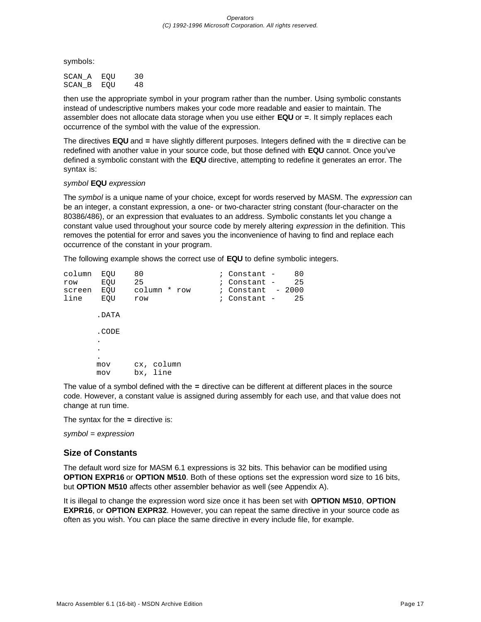symbols:

| SCAN A | EOU | 30 |
|--------|-----|----|
| SCAN B | EOU | 48 |

then use the appropriate symbol in your program rather than the number. Using symbolic constants instead of undescriptive numbers makes your code more readable and easier to maintain. The assembler does not allocate data storage when you use either **EQU** or **=**. It simply replaces each occurrence of the symbol with the value of the expression.

The directives **EQU** and **=** have slightly different purposes. Integers defined with the **=** directive can be redefined with another value in your source code, but those defined with **EQU** cannot. Once you've defined a symbolic constant with the **EQU** directive, attempting to redefine it generates an error. The syntax is:

#### *symbol* **EQU** *expression*

The *symbol* is a unique name of your choice, except for words reserved by MASM. The *expression* can be an integer, a constant expression, a one- or two-character string constant (four-character on the 80386/486), or an expression that evaluates to an address. Symbolic constants let you change a constant value used throughout your source code by merely altering *expression* in the definition. This removes the potential for error and saves you the inconvenience of having to find and replace each occurrence of the constant in your program.

The following example shows the correct use of **EQU** to define symbolic integers.

| column<br>row<br>screen<br>line | EQU<br>EQU<br>EQU<br>EQU | 80<br>25<br>column<br>$\star$<br>row<br>row | $\ddot{i}$ | ; Constant -<br>Constant -<br>; Constant<br>; Constant – | 80<br>25<br>$-2000$<br>25 |
|---------------------------------|--------------------------|---------------------------------------------|------------|----------------------------------------------------------|---------------------------|
|                                 | .DATA                    |                                             |            |                                                          |                           |
|                                 | .CODE                    |                                             |            |                                                          |                           |
|                                 | ٠<br>٠                   |                                             |            |                                                          |                           |
|                                 | ٠<br>mov<br>mov          | cx, column<br>line<br>bx,                   |            |                                                          |                           |

The value of a symbol defined with the **=** directive can be different at different places in the source code. However, a constant value is assigned during assembly for each use, and that value does not change at run time.

The syntax for the **=** directive is:

*symbol = expression*

#### **Size of Constants**

The default word size for MASM 6.1 expressions is 32 bits. This behavior can be modified using **OPTION EXPR16** or **OPTION M510**. Both of these options set the expression word size to 16 bits, but **OPTION M510** affects other assembler behavior as well (see Appendix A).

It is illegal to change the expression word size once it has been set with **OPTION M510**, **OPTION EXPR16**, or **OPTION EXPR32**. However, you can repeat the same directive in your source code as often as you wish. You can place the same directive in every include file, for example.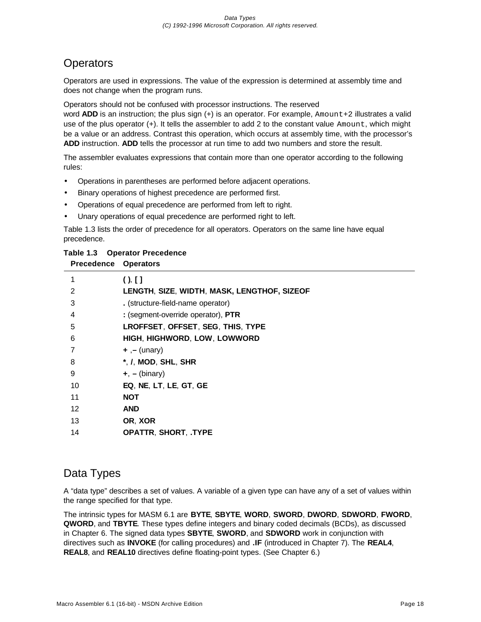## **Operators**

Operators are used in expressions. The value of the expression is determined at assembly time and does not change when the program runs.

Operators should not be confused with processor instructions. The reserved

word **ADD** is an instruction; the plus sign (+) is an operator. For example, Amount+2 illustrates a valid use of the plus operator  $(+)$ . It tells the assembler to add 2 to the constant value  $Amount$ , which might be a value or an address. Contrast this operation, which occurs at assembly time, with the processor's **ADD** instruction. **ADD** tells the processor at run time to add two numbers and store the result.

The assembler evaluates expressions that contain more than one operator according to the following rules:

- Operations in parentheses are performed before adjacent operations.
- Binary operations of highest precedence are performed first.
- Operations of equal precedence are performed from left to right.
- Unary operations of equal precedence are performed right to left.

Table 1.3 lists the order of precedence for all operators. Operators on the same line have equal precedence.

#### **Table 1.3 Operator Precedence**

| <b>Precedence</b> | <b>Operators</b>                            |
|-------------------|---------------------------------------------|
| 1                 | $( )$ , [ ]                                 |
| 2                 | LENGTH, SIZE, WIDTH, MASK, LENGTHOF, SIZEOF |
| 3                 | . (structure-field-name operator)           |
| 4                 | : (segment-override operator), PTR          |
| 5                 | LROFFSET, OFFSET, SEG, THIS, TYPE           |
| 6                 | HIGH, HIGHWORD, LOW, LOWWORD                |
| 7                 | $+$ , – (unary)                             |
| 8                 | *, /, MOD, SHL, SHR                         |
| 9                 | $+, -$ (binary)                             |
| 10                | EQ, NE, LT, LE, GT, GE                      |
| 11                | <b>NOT</b>                                  |
| $12 \,$           | <b>AND</b>                                  |
| 13                | OR, XOR                                     |
| 14                | <b>OPATTR, SHORT, .TYPE</b>                 |
|                   |                                             |

## Data Types

A "data type" describes a set of values. A variable of a given type can have any of a set of values within the range specified for that type.

The intrinsic types for MASM 6.1 are **BYTE**, **SBYTE**, **WORD**, **SWORD**, **DWORD**, **SDWORD**, **FWORD**, **QWORD**, and **TBYTE**. These types define integers and binary coded decimals (BCDs), as discussed in Chapter 6. The signed data types **SBYTE**, **SWORD**, and **SDWORD** work in conjunction with directives such as **INVOKE** (for calling procedures) and **.IF** (introduced in Chapter 7). The **REAL4**, **REAL8**, and **REAL10** directives define floating-point types. (See Chapter 6.)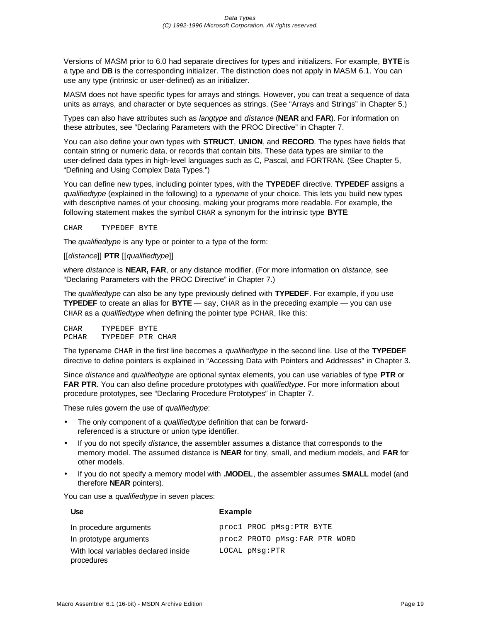Versions of MASM prior to 6.0 had separate directives for types and initializers. For example, **BYTE** is a type and **DB** is the corresponding initializer. The distinction does not apply in MASM 6.1. You can use any type (intrinsic or user-defined) as an initializer.

MASM does not have specific types for arrays and strings. However, you can treat a sequence of data units as arrays, and character or byte sequences as strings. (See "Arrays and Strings" in Chapter 5.)

Types can also have attributes such as *langtype* and *distance* (**NEAR** and **FAR**). For information on these attributes, see "Declaring Parameters with the PROC Directive" in Chapter 7.

You can also define your own types with **STRUCT**, **UNION**, and **RECORD**. The types have fields that contain string or numeric data, or records that contain bits. These data types are similar to the user-defined data types in high-level languages such as C, Pascal, and FORTRAN. (See Chapter 5, "Defining and Using Complex Data Types.")

You can define new types, including pointer types, with the **TYPEDEF** directive. **TYPEDEF** assigns a *qualifiedtype* (explained in the following) to a *typename* of your choice. This lets you build new types with descriptive names of your choosing, making your programs more readable. For example, the following statement makes the symbol CHAR a synonym for the intrinsic type **BYTE**:

CHAR TYPEDEF BYTE

The *qualifiedtype* is any type or pointer to a type of the form:

#### [[*distance*]] **PTR** [[*qualifiedtype*]]

where *distance* is **NEAR, FAR**, or any distance modifier. (For more information on *distance,* see "Declaring Parameters with the PROC Directive" in Chapter 7.)

The *qualifiedtype* can also be any type previously defined with **TYPEDEF**. For example, if you use **TYPEDEF** to create an alias for **BYTE** — say, CHAR as in the preceding example — you can use CHAR as a *qualifiedtype* when defining the pointer type PCHAR, like this:

CHAR TYPEDEF BYTE<br>PCHAR TYPEDEF PTR TYPEDEF PTR CHAR

The typename CHAR in the first line becomes a *qualifiedtype* in the second line. Use of the **TYPEDEF** directive to define pointers is explained in "Accessing Data with Pointers and Addresses" in Chapter 3.

Since *distance* and *qualifiedtype* are optional syntax elements, you can use variables of type **PTR** or **FAR PTR**. You can also define procedure prototypes with *qualifiedtype*. For more information about procedure prototypes, see "Declaring Procedure Prototypes" in Chapter 7.

These rules govern the use of *qualifiedtype*:

- The only component of a *qualifiedtype* definition that can be forwardreferenced is a structure or union type identifier.
- If you do not specify *distance*, the assembler assumes a distance that corresponds to the memory model. The assumed distance is **NEAR** for tiny, small, and medium models, and **FAR** for other models.
- If you do not specify a memory model with **.MODEL**, the assembler assumes **SMALL** model (and therefore **NEAR** pointers).

You can use a *qualifiedtype* in seven places:

| <b>Use</b>                                         | <b>Example</b>                |
|----------------------------------------------------|-------------------------------|
| In procedure arguments                             | proc1 PROC pMsq:PTR BYTE      |
| In prototype arguments                             | proc2 PROTO pMsq:FAR PTR WORD |
| With local variables declared inside<br>procedures | LOCAL pMsq:PTR                |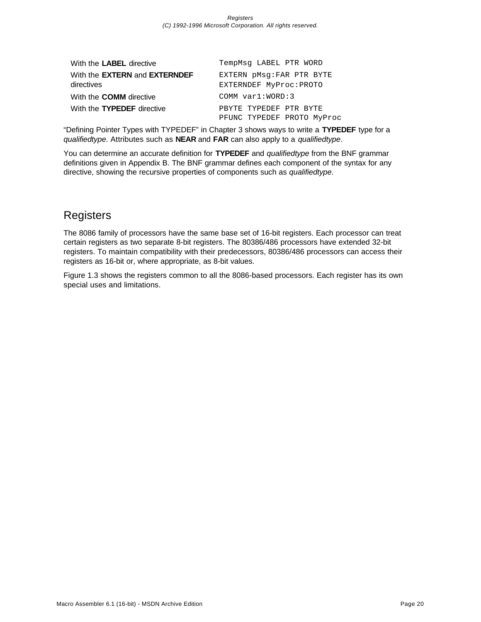| With the LABEL directive                                  | TempMsq LABEL PTR WORD     |
|-----------------------------------------------------------|----------------------------|
| With the <b>EXTERN</b> and <b>EXTERNDEF</b><br>directives | EXTERN pMsq: FAR PTR BYTE  |
|                                                           | EXTERNDEF MyProc: PROTO    |
| With the <b>COMM</b> directive                            | COMM var1:WORD:3           |
| With the <b>TYPEDEF</b> directive                         | PRYTE TYPEDEF PTR RYTE     |
|                                                           | PFUNC TYPEDEF PROTO MyProc |

"Defining Pointer Types with TYPEDEF" in Chapter 3 shows ways to write a **TYPEDEF** type for a *qualifiedtype*. Attributes such as **NEAR** and **FAR** can also apply to a *qualifiedtype*.

You can determine an accurate definition for **TYPEDEF** and *qualifiedtype* from the BNF grammar definitions given in Appendix B. The BNF grammar defines each component of the syntax for any directive, showing the recursive properties of components such as *qualifiedtype*.

## **Registers**

The 8086 family of processors have the same base set of 16-bit registers. Each processor can treat certain registers as two separate 8-bit registers. The 80386/486 processors have extended 32-bit registers. To maintain compatibility with their predecessors, 80386/486 processors can access their registers as 16-bit or, where appropriate, as 8-bit values.

Figure 1.3 shows the registers common to all the 8086-based processors. Each register has its own special uses and limitations.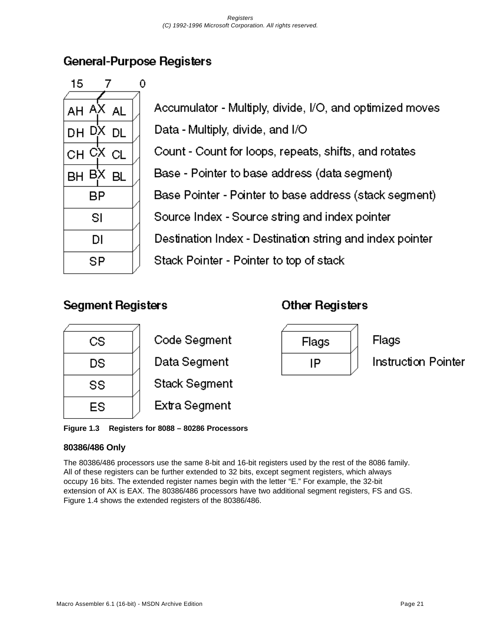## **General-Purpose Registers**



Accumulator - Multiply, divide, I/O, and optimized moves Data - Multiply, divide, and I/O Count - Count for loops, repeats, shifts, and rotates Base - Pointer to base address (data segment) Base Pointer - Pointer to base address (stack segment) Source Index - Source string and index pointer Destination Index - Destination string and index pointer Stack Pointer - Pointer to top of stack

## **Segment Registers**

## **Other Registers**





Flags

**Instruction Pointer** 

**Figure 1.3 Registers for 8088 – 80286 Processors**

## **80386/486 Only**

The 80386/486 processors use the same 8-bit and 16-bit registers used by the rest of the 8086 family. All of these registers can be further extended to 32 bits, except segment registers, which always occupy 16 bits. The extended register names begin with the letter "E." For example, the 32-bit extension of AX is EAX. The 80386/486 processors have two additional segment registers, FS and GS. Figure 1.4 shows the extended registers of the 80386/486.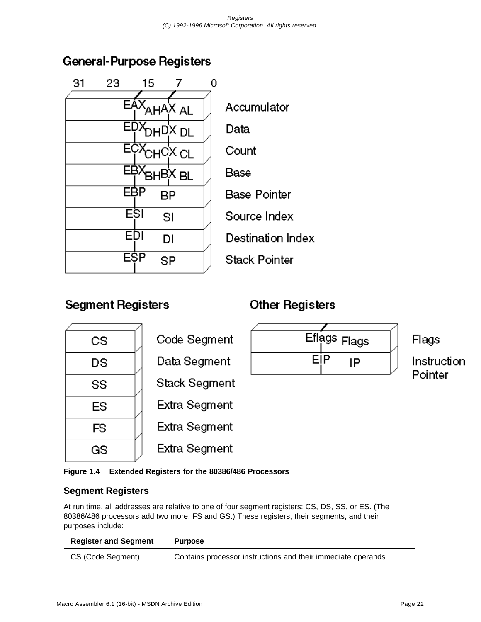

## **General-Purpose Registers**

Accumulator Data Count Base **Base Pointer** Source Index Destination Index **Stack Pointer** 

**Other Registers** 

## **Segment Registers**





**Figure 1.4 Extended Registers for the 80386/486 Processors**

## **Segment Registers**

At run time, all addresses are relative to one of four segment registers: CS, DS, SS, or ES. (The 80386/486 processors add two more: FS and GS.) These registers, their segments, and their purposes include:

| <b>Register and Segment</b> | <b>Purpose</b>                                                |
|-----------------------------|---------------------------------------------------------------|
| CS (Code Segment)           | Contains processor instructions and their immediate operands. |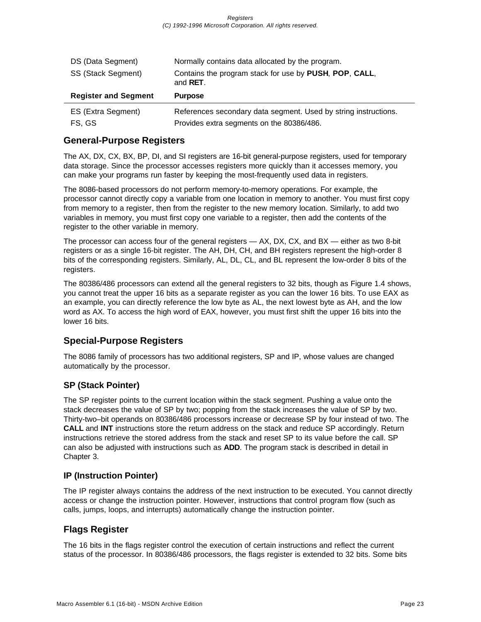| DS (Data Segment)           | Normally contains data allocated by the program.                           |
|-----------------------------|----------------------------------------------------------------------------|
| SS (Stack Segment)          | Contains the program stack for use by PUSH, POP, CALL,<br>and <b>RET</b> . |
|                             |                                                                            |
| <b>Register and Segment</b> | <b>Purpose</b>                                                             |
| ES (Extra Segment)          | References secondary data segment. Used by string instructions.            |

#### **General-Purpose Registers**

The AX, DX, CX, BX, BP, DI, and SI registers are 16-bit general-purpose registers, used for temporary data storage. Since the processor accesses registers more quickly than it accesses memory, you can make your programs run faster by keeping the most-frequently used data in registers.

The 8086-based processors do not perform memory-to-memory operations. For example, the processor cannot directly copy a variable from one location in memory to another. You must first copy from memory to a register, then from the register to the new memory location. Similarly, to add two variables in memory, you must first copy one variable to a register, then add the contents of the register to the other variable in memory.

The processor can access four of the general registers — AX, DX, CX, and BX — either as two 8-bit registers or as a single 16-bit register. The AH, DH, CH, and BH registers represent the high-order 8 bits of the corresponding registers. Similarly, AL, DL, CL, and BL represent the low-order 8 bits of the registers.

The 80386/486 processors can extend all the general registers to 32 bits, though as Figure 1.4 shows, you cannot treat the upper 16 bits as a separate register as you can the lower 16 bits. To use EAX as an example, you can directly reference the low byte as AL, the next lowest byte as AH, and the low word as AX. To access the high word of EAX, however, you must first shift the upper 16 bits into the lower 16 bits.

## **Special-Purpose Registers**

The 8086 family of processors has two additional registers, SP and IP, whose values are changed automatically by the processor.

#### **SP (Stack Pointer)**

The SP register points to the current location within the stack segment. Pushing a value onto the stack decreases the value of SP by two; popping from the stack increases the value of SP by two. Thirty-two–bit operands on 80386/486 processors increase or decrease SP by four instead of two. The **CALL** and **INT** instructions store the return address on the stack and reduce SP accordingly. Return instructions retrieve the stored address from the stack and reset SP to its value before the call. SP can also be adjusted with instructions such as **ADD**. The program stack is described in detail in Chapter 3.

#### **IP (Instruction Pointer)**

The IP register always contains the address of the next instruction to be executed. You cannot directly access or change the instruction pointer. However, instructions that control program flow (such as calls, jumps, loops, and interrupts) automatically change the instruction pointer.

#### **Flags Register**

The 16 bits in the flags register control the execution of certain instructions and reflect the current status of the processor. In 80386/486 processors, the flags register is extended to 32 bits. Some bits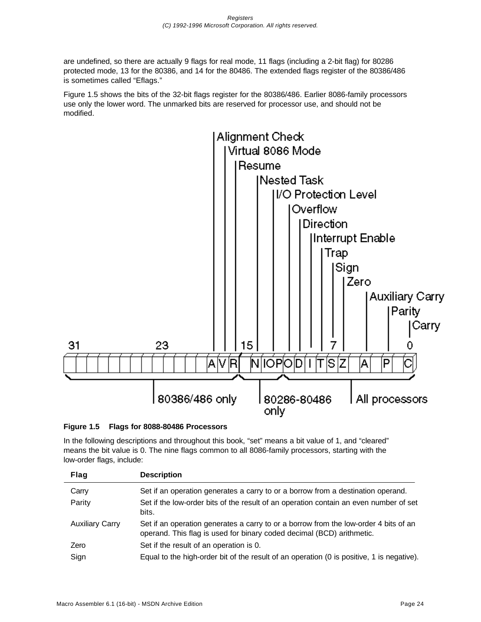are undefined, so there are actually 9 flags for real mode, 11 flags (including a 2-bit flag) for 80286 protected mode, 13 for the 80386, and 14 for the 80486. The extended flags register of the 80386/486 is sometimes called "Eflags."

Figure 1.5 shows the bits of the 32-bit flags register for the 80386/486. Earlier 8086-family processors use only the lower word. The unmarked bits are reserved for processor use, and should not be modified.



#### **Figure 1.5 Flags for 8088-80486 Processors**

In the following descriptions and throughout this book, "set" means a bit value of 1, and "cleared" means the bit value is 0. The nine flags common to all 8086-family processors, starting with the low-order flags, include:

| <b>Flag</b>            | <b>Description</b>                                                                                                                                            |
|------------------------|---------------------------------------------------------------------------------------------------------------------------------------------------------------|
| Carry                  | Set if an operation generates a carry to or a borrow from a destination operand.                                                                              |
| Parity                 | Set if the low-order bits of the result of an operation contain an even number of set<br>bits.                                                                |
| <b>Auxiliary Carry</b> | Set if an operation generates a carry to or a borrow from the low-order 4 bits of an<br>operand. This flag is used for binary coded decimal (BCD) arithmetic. |
| Zero                   | Set if the result of an operation is 0.                                                                                                                       |
| Sign                   | Equal to the high-order bit of the result of an operation (0 is positive, 1 is negative).                                                                     |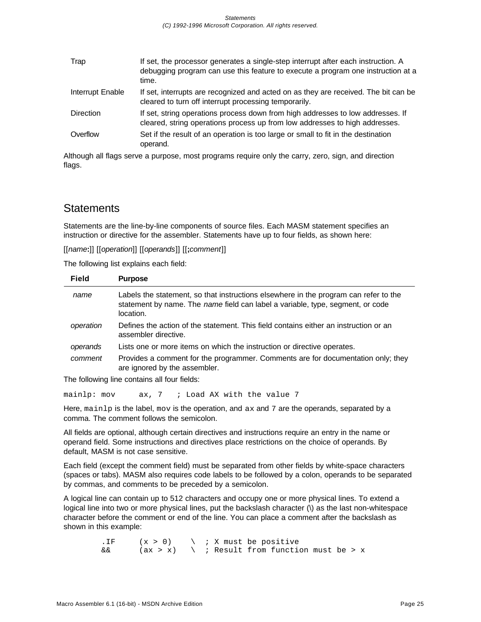| Trap             | If set, the processor generates a single-step interrupt after each instruction. A<br>debugging program can use this feature to execute a program one instruction at a<br>time. |
|------------------|--------------------------------------------------------------------------------------------------------------------------------------------------------------------------------|
| Interrupt Enable | If set, interrupts are recognized and acted on as they are received. The bit can be<br>cleared to turn off interrupt processing temporarily.                                   |
| <b>Direction</b> | If set, string operations process down from high addresses to low addresses. If<br>cleared, string operations process up from low addresses to high addresses.                 |
| Overflow         | Set if the result of an operation is too large or small to fit in the destination<br>operand.                                                                                  |

Although all flags serve a purpose, most programs require only the carry, zero, sign, and direction flags.

## **Statements**

Statements are the line-by-line components of source files. Each MASM statement specifies an instruction or directive for the assembler. Statements have up to four fields, as shown here:

[[*name***:**]] [[*operation*]] [[*operands*]] [[**;***comment*]]

The following list explains each field:

| <b>Field</b> | <b>Purpose</b>                                                                                                                                                                      |
|--------------|-------------------------------------------------------------------------------------------------------------------------------------------------------------------------------------|
| name         | Labels the statement, so that instructions elsewhere in the program can refer to the<br>statement by name. The name field can label a variable, type, segment, or code<br>location. |
| operation    | Defines the action of the statement. This field contains either an instruction or an<br>assembler directive.                                                                        |
| operands     | Lists one or more items on which the instruction or directive operates.                                                                                                             |
| comment      | Provides a comment for the programmer. Comments are for documentation only; they<br>are ignored by the assembler.                                                                   |

The following line contains all four fields:

mainlp: mov ax, 7 ; Load AX with the value 7

Here,  $mainlp$  is the label,  $mov$  is the operation, and  $ax$  and  $7$  are the operands, separated by a comma. The comment follows the semicolon.

All fields are optional, although certain directives and instructions require an entry in the name or operand field. Some instructions and directives place restrictions on the choice of operands. By default, MASM is not case sensitive.

Each field (except the comment field) must be separated from other fields by white-space characters (spaces or tabs). MASM also requires code labels to be followed by a colon, operands to be separated by commas, and comments to be preceded by a semicolon.

A logical line can contain up to 512 characters and occupy one or more physical lines. To extend a logical line into two or more physical lines, put the backslash character (\) as the last non-whitespace character before the comment or end of the line. You can place a comment after the backslash as shown in this example:

> .IF  $(x > 0)$   $\lambda$  ; X must be positive<br>&  $(ax > x)$   $\lambda$  ; Result from function  $& \& \quad (ax > x) \quad \backslash \quad \text{result from function must be } > x$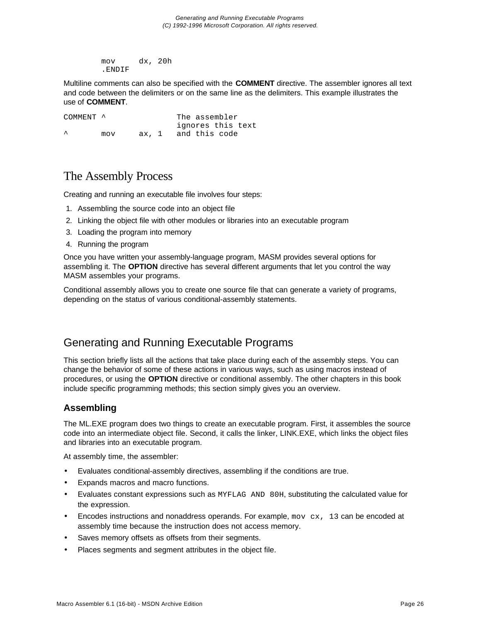mov dx, 20h .ENDIF

Multiline comments can also be specified with the **COMMENT** directive. The assembler ignores all text and code between the delimiters or on the same line as the delimiters. This example illustrates the use of **COMMENT**.

COMMENT  $\sim$  The assembler ignores this text mov ax, 1 and this code

## The Assembly Process

Creating and running an executable file involves four steps:

- 1. Assembling the source code into an object file
- 2. Linking the object file with other modules or libraries into an executable program
- 3. Loading the program into memory
- 4. Running the program

Once you have written your assembly-language program, MASM provides several options for assembling it. The **OPTION** directive has several different arguments that let you control the way MASM assembles your programs.

Conditional assembly allows you to create one source file that can generate a variety of programs, depending on the status of various conditional-assembly statements.

## Generating and Running Executable Programs

This section briefly lists all the actions that take place during each of the assembly steps. You can change the behavior of some of these actions in various ways, such as using macros instead of procedures, or using the **OPTION** directive or conditional assembly. The other chapters in this book include specific programming methods; this section simply gives you an overview.

## **Assembling**

The ML.EXE program does two things to create an executable program. First, it assembles the source code into an intermediate object file. Second, it calls the linker, LINK.EXE, which links the object files and libraries into an executable program.

At assembly time, the assembler:

- Evaluates conditional-assembly directives, assembling if the conditions are true.
- Expands macros and macro functions.
- Evaluates constant expressions such as MYFLAG AND 80H, substituting the calculated value for the expression.
- Encodes instructions and nonaddress operands. For example,  $mov cx, 13 can be encoded at$ assembly time because the instruction does not access memory.
- Saves memory offsets as offsets from their segments.
- Places segments and segment attributes in the object file.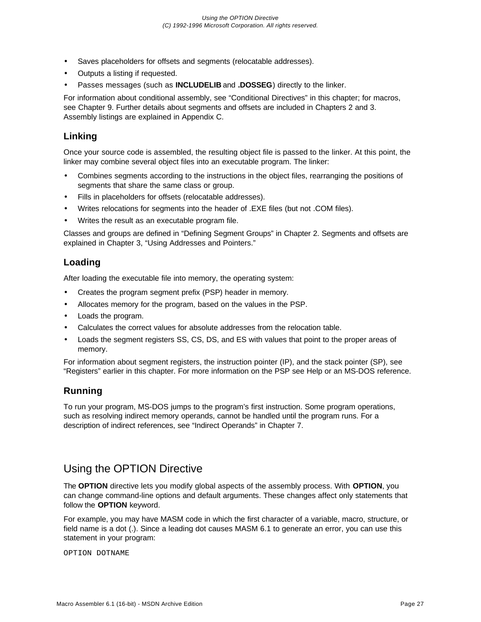- Saves placeholders for offsets and segments (relocatable addresses).
- Outputs a listing if requested.
- Passes messages (such as **INCLUDELIB** and **.DOSSEG**) directly to the linker.

For information about conditional assembly, see "Conditional Directives" in this chapter; for macros, see Chapter 9. Further details about segments and offsets are included in Chapters 2 and 3. Assembly listings are explained in Appendix C.

## **Linking**

Once your source code is assembled, the resulting object file is passed to the linker. At this point, the linker may combine several object files into an executable program. The linker:

- Combines segments according to the instructions in the object files, rearranging the positions of segments that share the same class or group.
- Fills in placeholders for offsets (relocatable addresses).
- Writes relocations for segments into the header of .EXE files (but not .COM files).
- Writes the result as an executable program file.

Classes and groups are defined in "Defining Segment Groups" in Chapter 2. Segments and offsets are explained in Chapter 3, "Using Addresses and Pointers."

## **Loading**

After loading the executable file into memory, the operating system:

- Creates the program segment prefix (PSP) header in memory.
- Allocates memory for the program, based on the values in the PSP.
- Loads the program.
- Calculates the correct values for absolute addresses from the relocation table.
- Loads the segment registers SS, CS, DS, and ES with values that point to the proper areas of memory.

For information about segment registers, the instruction pointer (IP), and the stack pointer (SP), see "Registers" earlier in this chapter. For more information on the PSP see Help or an MS-DOS reference.

#### **Running**

To run your program, MS-DOS jumps to the program's first instruction. Some program operations, such as resolving indirect memory operands, cannot be handled until the program runs. For a description of indirect references, see "Indirect Operands" in Chapter 7.

## Using the OPTION Directive

The **OPTION** directive lets you modify global aspects of the assembly process. With **OPTION**, you can change command-line options and default arguments. These changes affect only statements that follow the **OPTION** keyword.

For example, you may have MASM code in which the first character of a variable, macro, structure, or field name is a dot (.). Since a leading dot causes MASM 6.1 to generate an error, you can use this statement in your program:

OPTION DOTNAME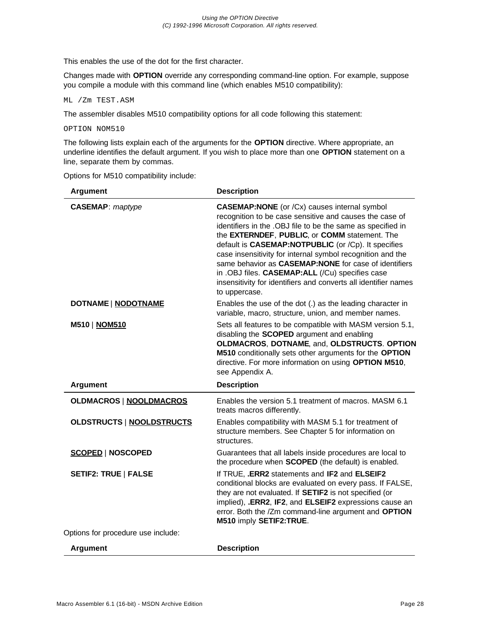This enables the use of the dot for the first character.

Changes made with **OPTION** override any corresponding command-line option. For example, suppose you compile a module with this command line (which enables M510 compatibility):

ML /Zm TEST.ASM

The assembler disables M510 compatibility options for all code following this statement:

OPTION NOM510

The following lists explain each of the arguments for the **OPTION** directive. Where appropriate, an underline identifies the default argument. If you wish to place more than one **OPTION** statement on a line, separate them by commas.

Options for M510 compatibility include:

| Argument                           | <b>Description</b>                                                                                                                                                                                                                                                                                                                                                                                                                                                                                                                                  |
|------------------------------------|-----------------------------------------------------------------------------------------------------------------------------------------------------------------------------------------------------------------------------------------------------------------------------------------------------------------------------------------------------------------------------------------------------------------------------------------------------------------------------------------------------------------------------------------------------|
| <b>CASEMAP:</b> maptype            | <b>CASEMAP:NONE</b> (or /Cx) causes internal symbol<br>recognition to be case sensitive and causes the case of<br>identifiers in the .OBJ file to be the same as specified in<br>the EXTERNDEF, PUBLIC, or COMM statement. The<br>default is CASEMAP:NOTPUBLIC (or /Cp). It specifies<br>case insensitivity for internal symbol recognition and the<br>same behavior as CASEMAP:NONE for case of identifiers<br>in .OBJ files. CASEMAP:ALL (/Cu) specifies case<br>insensitivity for identifiers and converts all identifier names<br>to uppercase. |
| <b>DOTNAME   NODOTNAME</b>         | Enables the use of the dot (.) as the leading character in<br>variable, macro, structure, union, and member names.                                                                                                                                                                                                                                                                                                                                                                                                                                  |
| M510   NOM510                      | Sets all features to be compatible with MASM version 5.1,<br>disabling the SCOPED argument and enabling<br>OLDMACROS, DOTNAME, and, OLDSTRUCTS. OPTION<br>M510 conditionally sets other arguments for the OPTION<br>directive. For more information on using OPTION M510,<br>see Appendix A.                                                                                                                                                                                                                                                        |
| <b>Argument</b>                    | <b>Description</b>                                                                                                                                                                                                                                                                                                                                                                                                                                                                                                                                  |
| <b>OLDMACROS   NOOLDMACROS</b>     | Enables the version 5.1 treatment of macros. MASM 6.1<br>treats macros differently.                                                                                                                                                                                                                                                                                                                                                                                                                                                                 |
| <b>OLDSTRUCTS   NOOLDSTRUCTS</b>   | Enables compatibility with MASM 5.1 for treatment of<br>structure members. See Chapter 5 for information on<br>structures.                                                                                                                                                                                                                                                                                                                                                                                                                          |
| <b>SCOPED   NOSCOPED</b>           | Guarantees that all labels inside procedures are local to<br>the procedure when SCOPED (the default) is enabled.                                                                                                                                                                                                                                                                                                                                                                                                                                    |
| <b>SETIF2: TRUE   FALSE</b>        | If TRUE, .ERR2 statements and IF2 and ELSEIF2<br>conditional blocks are evaluated on every pass. If FALSE,<br>they are not evaluated. If SETIF2 is not specified (or<br>implied), .ERR2, IF2, and ELSEIF2 expressions cause an<br>error. Both the /Zm command-line argument and OPTION<br>M510 imply SETIF2:TRUE.                                                                                                                                                                                                                                   |
| Options for procedure use include: |                                                                                                                                                                                                                                                                                                                                                                                                                                                                                                                                                     |
| <b>Argument</b>                    | <b>Description</b>                                                                                                                                                                                                                                                                                                                                                                                                                                                                                                                                  |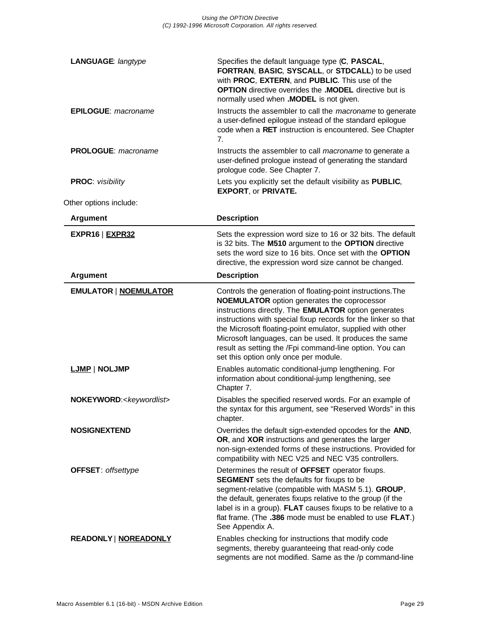| <b>LANGUAGE: langtype</b>              | Specifies the default language type (C, PASCAL,<br>FORTRAN, BASIC, SYSCALL, or STDCALL) to be used<br>with PROC, EXTERN, and PUBLIC. This use of the<br><b>OPTION</b> directive overrides the <b>.MODEL</b> directive but is<br>normally used when .MODEL is not given.                                                                                                                                                                                                        |
|----------------------------------------|--------------------------------------------------------------------------------------------------------------------------------------------------------------------------------------------------------------------------------------------------------------------------------------------------------------------------------------------------------------------------------------------------------------------------------------------------------------------------------|
| <b>EPILOGUE: macroname</b>             | Instructs the assembler to call the <i>macroname</i> to generate<br>a user-defined epilogue instead of the standard epilogue<br>code when a RET instruction is encountered. See Chapter<br>7.                                                                                                                                                                                                                                                                                  |
| <b>PROLOGUE: macroname</b>             | Instructs the assembler to call macroname to generate a<br>user-defined prologue instead of generating the standard<br>prologue code. See Chapter 7.                                                                                                                                                                                                                                                                                                                           |
| <b>PROC: visibility</b>                | Lets you explicitly set the default visibility as PUBLIC,<br><b>EXPORT, or PRIVATE.</b>                                                                                                                                                                                                                                                                                                                                                                                        |
| Other options include:                 |                                                                                                                                                                                                                                                                                                                                                                                                                                                                                |
| <b>Argument</b>                        | <b>Description</b>                                                                                                                                                                                                                                                                                                                                                                                                                                                             |
| <b>EXPR16   EXPR32</b>                 | Sets the expression word size to 16 or 32 bits. The default<br>is 32 bits. The M510 argument to the OPTION directive<br>sets the word size to 16 bits. Once set with the OPTION<br>directive, the expression word size cannot be changed.                                                                                                                                                                                                                                      |
| <b>Argument</b>                        | <b>Description</b>                                                                                                                                                                                                                                                                                                                                                                                                                                                             |
| <b>EMULATOR   NOEMULATOR</b>           | Controls the generation of floating-point instructions. The<br><b>NOEMULATOR</b> option generates the coprocessor<br>instructions directly. The <b>EMULATOR</b> option generates<br>instructions with special fixup records for the linker so that<br>the Microsoft floating-point emulator, supplied with other<br>Microsoft languages, can be used. It produces the same<br>result as setting the /Fpi command-line option. You can<br>set this option only once per module. |
|                                        |                                                                                                                                                                                                                                                                                                                                                                                                                                                                                |
| <b>LJMP   NOLJMP</b>                   | Enables automatic conditional-jump lengthening. For<br>information about conditional-jump lengthening, see<br>Chapter 7.                                                                                                                                                                                                                                                                                                                                                       |
| NOKEYWORD: <keywordlist></keywordlist> | Disables the specified reserved words. For an example of<br>the syntax for this argument, see "Reserved Words" in this<br>chapter.                                                                                                                                                                                                                                                                                                                                             |
| <b>NOSIGNEXTEND</b>                    | Overrides the default sign-extended opcodes for the AND,<br>OR, and XOR instructions and generates the larger<br>non-sign-extended forms of these instructions. Provided for<br>compatibility with NEC V25 and NEC V35 controllers.                                                                                                                                                                                                                                            |
| <b>OFFSET: offsettype</b>              | Determines the result of OFFSET operator fixups.<br><b>SEGMENT</b> sets the defaults for fixups to be<br>segment-relative (compatible with MASM 5.1). GROUP,<br>the default, generates fixups relative to the group (if the<br>label is in a group). FLAT causes fixups to be relative to a<br>flat frame. (The .386 mode must be enabled to use FLAT.)<br>See Appendix A.                                                                                                     |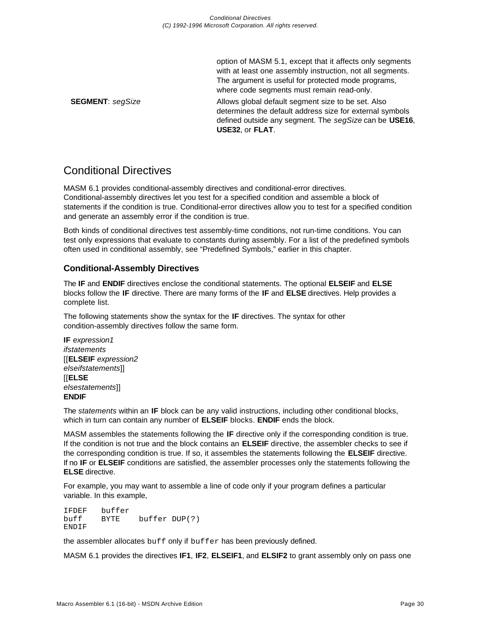option of MASM 5.1, except that it affects only segments with at least one assembly instruction, not all segments. The argument is useful for protected mode programs, where code segments must remain read-only.

**SEGMENT**: *segSize* Allows global default segment size to be set. Also determines the default address size for external symbols defined outside any segment. The *segSize* can be **USE16**, **USE32**, or **FLAT**.

## Conditional Directives

MASM 6.1 provides conditional-assembly directives and conditional-error directives. Conditional-assembly directives let you test for a specified condition and assemble a block of statements if the condition is true. Conditional-error directives allow you to test for a specified condition and generate an assembly error if the condition is true.

Both kinds of conditional directives test assembly-time conditions, not run-time conditions. You can test only expressions that evaluate to constants during assembly. For a list of the predefined symbols often used in conditional assembly, see "Predefined Symbols," earlier in this chapter.

#### **Conditional-Assembly Directives**

The **IF** and **ENDIF** directives enclose the conditional statements. The optional **ELSEIF** and **ELSE** blocks follow the **IF** directive. There are many forms of the **IF** and **ELSE** directives. Help provides a complete list.

The following statements show the syntax for the **IF** directives. The syntax for other condition-assembly directives follow the same form.

**IF** *expression1 ifstatements* [[**ELSEIF** *expression2 elseifstatements*]] [[**ELSE** *elsestatements*]] **ENDIF**

The *statements* within an **IF** block can be any valid instructions, including other conditional blocks, which in turn can contain any number of **ELSEIF** blocks. **ENDIF** ends the block.

MASM assembles the statements following the **IF** directive only if the corresponding condition is true. If the condition is not true and the block contains an **ELSEIF** directive, the assembler checks to see if the corresponding condition is true. If so, it assembles the statements following the **ELSEIF** directive. If no **IF** or **ELSEIF** conditions are satisfied, the assembler processes only the statements following the **ELSE** directive.

For example, you may want to assemble a line of code only if your program defines a particular variable. In this example,

IFDEF buffer<br>buff BYTE buffer DUP(?) ENDIF

the assembler allocates buff only if buffer has been previously defined.

MASM 6.1 provides the directives **IF1**, **IF2**, **ELSEIF1**, and **ELSIF2** to grant assembly only on pass one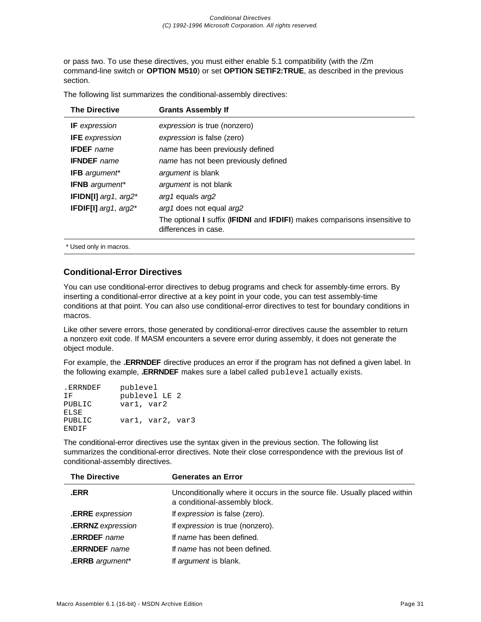or pass two. To use these directives, you must either enable 5.1 compatibility (with the /Zm command-line switch or **OPTION M510**) or set **OPTION SETIF2:TRUE**, as described in the previous section.

| <b>The Directive</b>          | <b>Grants Assembly If</b>                                                                          |
|-------------------------------|----------------------------------------------------------------------------------------------------|
| <b>IF</b> expression          | expression is true (nonzero)                                                                       |
| <b>IFE</b> expression         | expression is false (zero)                                                                         |
| <b>IFDEF</b> name             | name has been previously defined                                                                   |
| <b>IFNDEF</b> name            | name has not been previously defined                                                               |
| <b>IFB</b> argument*          | argument is blank                                                                                  |
| <b>IFNB</b> argument*         | argument is not blank                                                                              |
| IFIDN[I] arg1, arg2*          | arg1 equals arg2                                                                                   |
| <b>IFDIF[I]</b> arg1, $arg2*$ | arg1 does not equal arg2                                                                           |
|                               | The optional I suffix (IFIDNI and IFDIFI) makes comparisons insensitive to<br>differences in case. |
|                               |                                                                                                    |

The following list summarizes the conditional-assembly directives:

\* Used only in macros.

#### **Conditional-Error Directives**

You can use conditional-error directives to debug programs and check for assembly-time errors. By inserting a conditional-error directive at a key point in your code, you can test assembly-time conditions at that point. You can also use conditional-error directives to test for boundary conditions in macros.

Like other severe errors, those generated by conditional-error directives cause the assembler to return a nonzero exit code. If MASM encounters a severe error during assembly, it does not generate the object module.

For example, the **.ERRNDEF** directive produces an error if the program has not defined a given label. In the following example, **.ERRNDEF** makes sure a label called publevel actually exists.

| .ERRNDEF     | publevel         |
|--------------|------------------|
| T F          | publevel LE 2    |
| PUBLIC       | varl, var2       |
| ELSE         |                  |
| PUBLIC       | varl, var2, var3 |
| <b>ENDIF</b> |                  |

The conditional-error directives use the syntax given in the previous section. The following list summarizes the conditional-error directives. Note their close correspondence with the previous list of conditional-assembly directives.

| <b>The Directive</b>    | <b>Generates an Error</b>                                                                                  |
|-------------------------|------------------------------------------------------------------------------------------------------------|
| .ERR                    | Unconditionally where it occurs in the source file. Usually placed within<br>a conditional-assembly block. |
| <b>.ERRE</b> expression | If expression is false (zero).                                                                             |
| .ERRNZ expression       | If expression is true (nonzero).                                                                           |
| <b>ERRDEF</b> name.     | If name has been defined.                                                                                  |
| <b>ERRNDEF</b> name.    | If <i>name</i> has not been defined.                                                                       |
| .ERRB argument*         | If argument is blank.                                                                                      |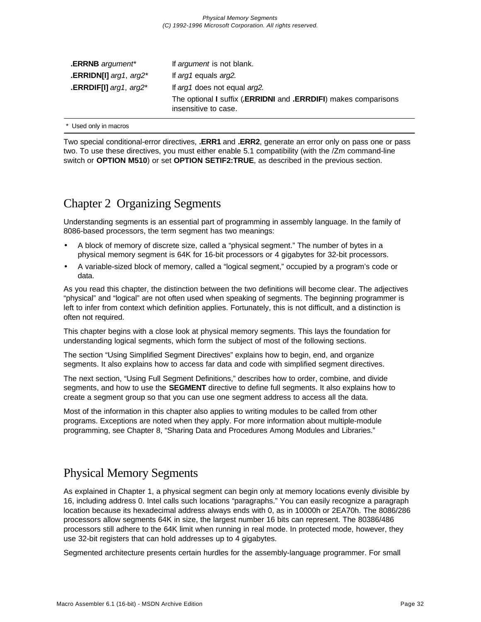| <b>ERRNB</b> argument*              | If <i>argument</i> is not blank.                                                        |
|-------------------------------------|-----------------------------------------------------------------------------------------|
| <b>.ERRIDN[I]</b> $arg1$ , $arg2^*$ | If arg1 equals arg2.                                                                    |
| <b>.ERRDIF[I]</b> arg1, $arg2*$     | If arg1 does not equal arg2.                                                            |
|                                     | The optional I suffix (.ERRIDNI and .ERRDIFI) makes comparisons<br>insensitive to case. |

\* Used only in macros

Two special conditional-error directives, **.ERR1** and **.ERR2**, generate an error only on pass one or pass two. To use these directives, you must either enable 5.1 compatibility (with the /Zm command-line switch or **OPTION M510**) or set **OPTION SETIF2:TRUE**, as described in the previous section.

## Chapter 2 Organizing Segments

Understanding segments is an essential part of programming in assembly language. In the family of 8086-based processors, the term segment has two meanings:

- A block of memory of discrete size, called a "physical segment." The number of bytes in a physical memory segment is 64K for 16-bit processors or 4 gigabytes for 32-bit processors.
- A variable-sized block of memory, called a "logical segment," occupied by a program's code or data.

As you read this chapter, the distinction between the two definitions will become clear. The adjectives "physical" and "logical" are not often used when speaking of segments. The beginning programmer is left to infer from context which definition applies. Fortunately, this is not difficult, and a distinction is often not required.

This chapter begins with a close look at physical memory segments. This lays the foundation for understanding logical segments, which form the subject of most of the following sections.

The section "Using Simplified Segment Directives" explains how to begin, end, and organize segments. It also explains how to access far data and code with simplified segment directives.

The next section, "Using Full Segment Definitions," describes how to order, combine, and divide segments, and how to use the **SEGMENT** directive to define full segments. It also explains how to create a segment group so that you can use one segment address to access all the data.

Most of the information in this chapter also applies to writing modules to be called from other programs. Exceptions are noted when they apply. For more information about multiple-module programming, see Chapter 8, "Sharing Data and Procedures Among Modules and Libraries."

## Physical Memory Segments

As explained in Chapter 1, a physical segment can begin only at memory locations evenly divisible by 16, including address 0. Intel calls such locations "paragraphs." You can easily recognize a paragraph location because its hexadecimal address always ends with 0, as in 10000h or 2EA70h. The 8086/286 processors allow segments 64K in size, the largest number 16 bits can represent. The 80386/486 processors still adhere to the 64K limit when running in real mode. In protected mode, however, they use 32-bit registers that can hold addresses up to 4 gigabytes.

Segmented architecture presents certain hurdles for the assembly-language programmer. For small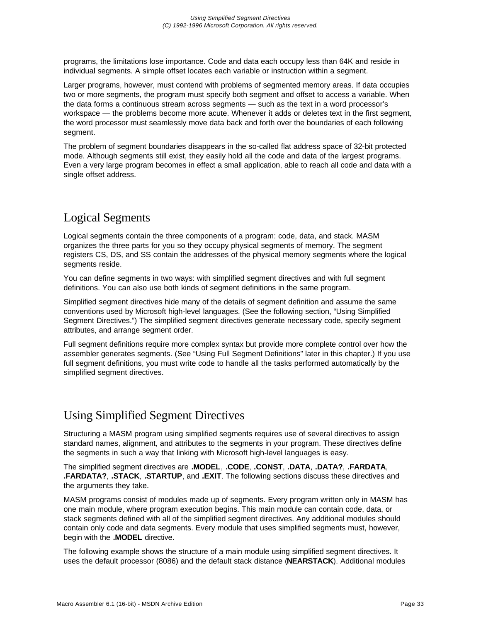programs, the limitations lose importance. Code and data each occupy less than 64K and reside in individual segments. A simple offset locates each variable or instruction within a segment.

Larger programs, however, must contend with problems of segmented memory areas. If data occupies two or more segments, the program must specify both segment and offset to access a variable. When the data forms a continuous stream across segments — such as the text in a word processor's workspace — the problems become more acute. Whenever it adds or deletes text in the first segment, the word processor must seamlessly move data back and forth over the boundaries of each following segment.

The problem of segment boundaries disappears in the so-called flat address space of 32-bit protected mode. Although segments still exist, they easily hold all the code and data of the largest programs. Even a very large program becomes in effect a small application, able to reach all code and data with a single offset address.

## Logical Segments

Logical segments contain the three components of a program: code, data, and stack. MASM organizes the three parts for you so they occupy physical segments of memory. The segment registers CS, DS, and SS contain the addresses of the physical memory segments where the logical segments reside.

You can define segments in two ways: with simplified segment directives and with full segment definitions. You can also use both kinds of segment definitions in the same program.

Simplified segment directives hide many of the details of segment definition and assume the same conventions used by Microsoft high-level languages. (See the following section, "Using Simplified Segment Directives.") The simplified segment directives generate necessary code, specify segment attributes, and arrange segment order.

Full segment definitions require more complex syntax but provide more complete control over how the assembler generates segments. (See "Using Full Segment Definitions" later in this chapter.) If you use full segment definitions, you must write code to handle all the tasks performed automatically by the simplified segment directives.

## Using Simplified Segment Directives

Structuring a MASM program using simplified segments requires use of several directives to assign standard names, alignment, and attributes to the segments in your program. These directives define the segments in such a way that linking with Microsoft high-level languages is easy.

The simplified segment directives are **.MODEL**, **.CODE**, **.CONST**, **.DATA**, **.DATA?**, **.FARDATA**, **.FARDATA?**, **.STACK**, **.STARTUP**, and **.EXIT**. The following sections discuss these directives and the arguments they take.

MASM programs consist of modules made up of segments. Every program written only in MASM has one main module, where program execution begins. This main module can contain code, data, or stack segments defined with all of the simplified segment directives. Any additional modules should contain only code and data segments. Every module that uses simplified segments must, however, begin with the **.MODEL** directive.

The following example shows the structure of a main module using simplified segment directives. It uses the default processor (8086) and the default stack distance (**NEARSTACK**). Additional modules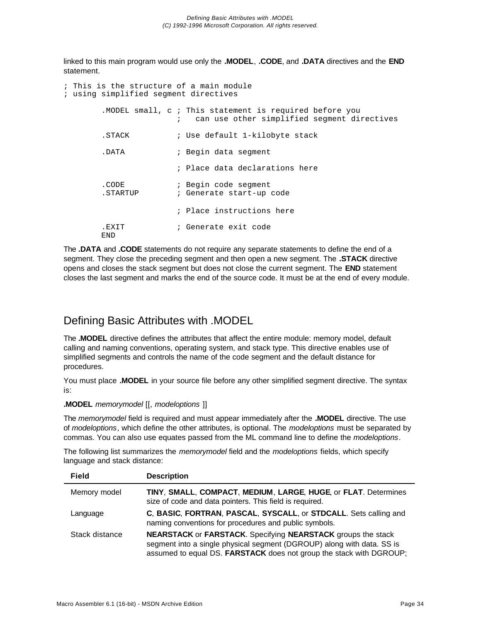linked to this main program would use only the **.MODEL**, **.CODE**, and **.DATA** directives and the **END** statement.

```
; This is the structure of a main module
; using simplified segment directives
          .MODEL small, c ; This statement is required before you
                           ; can use other simplified segment directives
          .STACK ; Use default 1-kilobyte stack
         .DATA \qquad ; Begin data segment
                           ; Place data declarations here
         .CODE                 ; Begin code segment<br>STARTUP            ; Generate start-up
                          : Generate start-up code
                           ; Place instructions here
         .EXIT \qquad \qquad ; Generate exit code
         END
```
The **.DATA** and **.CODE** statements do not require any separate statements to define the end of a segment. They close the preceding segment and then open a new segment. The **.STACK** directive opens and closes the stack segment but does not close the current segment. The **END** statement closes the last segment and marks the end of the source code. It must be at the end of every module.

## Defining Basic Attributes with .MODEL

The **.MODEL** directive defines the attributes that affect the entire module: memory model, default calling and naming conventions, operating system, and stack type. This directive enables use of simplified segments and controls the name of the code segment and the default distance for procedures.

You must place **.MODEL** in your source file before any other simplified segment directive. The syntax is:

#### **.MODEL** *memorymodel* [[, *modeloptions* ]]

The *memorymodel* field is required and must appear immediately after the **.MODEL** directive. The use of *modeloptions*, which define the other attributes, is optional. The *modeloptions* must be separated by commas. You can also use equates passed from the ML command line to define the *modeloptions*.

The following list summarizes the *memorymodel* field and the *modeloptions* fields, which specify language and stack distance:

| <b>Field</b>   | <b>Description</b>                                                                                                                                                                                            |
|----------------|---------------------------------------------------------------------------------------------------------------------------------------------------------------------------------------------------------------|
| Memory model   | TINY, SMALL, COMPACT, MEDIUM, LARGE, HUGE, or FLAT. Determines<br>size of code and data pointers. This field is required.                                                                                     |
| Language       | C, BASIC, FORTRAN, PASCAL, SYSCALL, or STDCALL. Sets calling and<br>naming conventions for procedures and public symbols.                                                                                     |
| Stack distance | NEARSTACK or FARSTACK. Specifying NEARSTACK groups the stack<br>segment into a single physical segment (DGROUP) along with data. SS is<br>assumed to equal DS. FARSTACK does not group the stack with DGROUP; |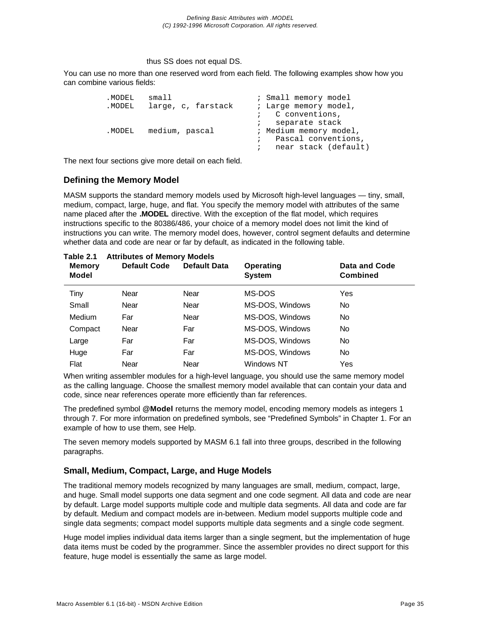#### thus SS does not equal DS.

You can use no more than one reserved word from each field. The following examples show how you can combine various fields:

| .MODEL | small              | ; Small memory model   |
|--------|--------------------|------------------------|
| .MODEL | large, c, farstack | ; Large memory model,  |
|        |                    | ; C conventions,       |
|        |                    | separate stack         |
| .MODEL | medium, pascal     | ; Medium memory model, |
|        |                    | Pascal conventions,    |
|        |                    | near stack (default)   |
|        |                    |                        |

The next four sections give more detail on each field.

#### **Defining the Memory Model**

MASM supports the standard memory models used by Microsoft high-level languages — tiny, small, medium, compact, large, huge, and flat. You specify the memory model with attributes of the same name placed after the **.MODEL** directive. With the exception of the flat model, which requires instructions specific to the 80386/486, your choice of a memory model does not limit the kind of instructions you can write. The memory model does, however, control segment defaults and determine whether data and code are near or far by default, as indicated in the following table.

| Table 2.1              | <b>Attributes of Memory Models</b> |              |                            |                                  |  |  |  |  |
|------------------------|------------------------------------|--------------|----------------------------|----------------------------------|--|--|--|--|
| <b>Memory</b><br>Model | <b>Default Code</b>                | Default Data | Operating<br><b>System</b> | Data and Code<br><b>Combined</b> |  |  |  |  |
| Tiny                   | Near                               | Near         | MS-DOS                     | Yes                              |  |  |  |  |
| Small                  | Near                               | Near         | MS-DOS, Windows            | No.                              |  |  |  |  |
| Medium                 | Far                                | Near         | MS-DOS, Windows            | No                               |  |  |  |  |
| Compact                | Near                               | Far          | MS-DOS, Windows            | No.                              |  |  |  |  |
| Large                  | Far                                | Far          | MS-DOS, Windows            | No.                              |  |  |  |  |
| Huge                   | Far                                | Far          | MS-DOS, Windows            | No.                              |  |  |  |  |
| Flat                   | Near                               | Near         | Windows NT                 | Yes                              |  |  |  |  |

# Flat Near Near Windows NT Yes

When writing assembler modules for a high-level language, you should use the same memory model as the calling language. Choose the smallest memory model available that can contain your data and code, since near references operate more efficiently than far references.

The predefined symbol **@Model** returns the memory model, encoding memory models as integers 1 through 7. For more information on predefined symbols, see "Predefined Symbols" in Chapter 1. For an example of how to use them, see Help.

The seven memory models supported by MASM 6.1 fall into three groups, described in the following paragraphs.

#### **Small, Medium, Compact, Large, and Huge Models**

The traditional memory models recognized by many languages are small, medium, compact, large, and huge. Small model supports one data segment and one code segment. All data and code are near by default. Large model supports multiple code and multiple data segments. All data and code are far by default. Medium and compact models are in-between. Medium model supports multiple code and single data segments; compact model supports multiple data segments and a single code segment.

Huge model implies individual data items larger than a single segment, but the implementation of huge data items must be coded by the programmer. Since the assembler provides no direct support for this feature, huge model is essentially the same as large model.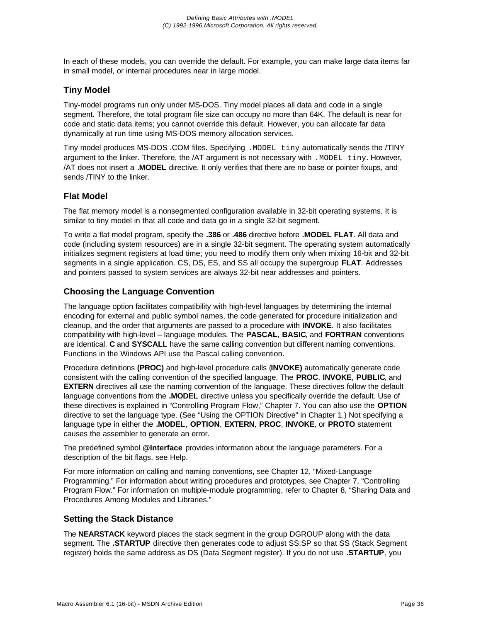In each of these models, you can override the default. For example, you can make large data items far in small model, or internal procedures near in large model.

#### **Tiny Model**

Tiny-model programs run only under MS-DOS. Tiny model places all data and code in a single segment. Therefore, the total program file size can occupy no more than 64K. The default is near for code and static data items; you cannot override this default. However, you can allocate far data dynamically at run time using MS-DOS memory allocation services.

Tiny model produces MS-DOS .COM files. Specifying .MODEL tiny automatically sends the /TINY argument to the linker. Therefore, the /AT argument is not necessary with . MODEL tiny. However, /AT does not insert a **.MODEL** directive. It only verifies that there are no base or pointer fixups, and sends /TINY to the linker.

#### **Flat Model**

The flat memory model is a nonsegmented configuration available in 32-bit operating systems. It is similar to tiny model in that all code and data go in a single 32-bit segment.

To write a flat model program, specify the **.386** or **.486** directive before **.MODEL FLAT**. All data and code (including system resources) are in a single 32-bit segment. The operating system automatically initializes segment registers at load time; you need to modify them only when mixing 16-bit and 32-bit segments in a single application. CS, DS, ES, and SS all occupy the supergroup **FLAT**. Addresses and pointers passed to system services are always 32-bit near addresses and pointers.

#### **Choosing the Language Convention**

The language option facilitates compatibility with high-level languages by determining the internal encoding for external and public symbol names, the code generated for procedure initialization and cleanup, and the order that arguments are passed to a procedure with **INVOKE**. It also facilitates compatibility with high-level – language modules. The **PASCAL**, **BASIC**, and **FORTRAN** conventions are identical. **C** and **SYSCALL** have the same calling convention but different naming conventions. Functions in the Windows API use the Pascal calling convention.

Procedure definitions **(PROC)** and high-level procedure calls (**INVOKE)** automatically generate code consistent with the calling convention of the specified language. The **PROC**, **INVOKE**, **PUBLIC**, and **EXTERN** directives all use the naming convention of the language. These directives follow the default language conventions from the **.MODEL** directive unless you specifically override the default. Use of these directives is explained in "Controlling Program Flow," Chapter 7. You can also use the **OPTION** directive to set the language type. (See "Using the OPTION Directive" in Chapter 1.) Not specifying a language type in either the **.MODEL**, **OPTION**, **EXTERN**, **PROC**, **INVOKE**, or **PROTO** statement causes the assembler to generate an error.

The predefined symbol **@Interface** provides information about the language parameters. For a description of the bit flags, see Help.

For more information on calling and naming conventions, see Chapter 12, "Mixed-Language Programming." For information about writing procedures and prototypes, see Chapter 7, "Controlling Program Flow." For information on multiple-module programming, refer to Chapter 8, "Sharing Data and Procedures Among Modules and Libraries."

#### **Setting the Stack Distance**

The **NEARSTACK** keyword places the stack segment in the group DGROUP along with the data segment. The **.STARTUP** directive then generates code to adjust SS:SP so that SS (Stack Segment register) holds the same address as DS (Data Segment register). If you do not use **.STARTUP**, you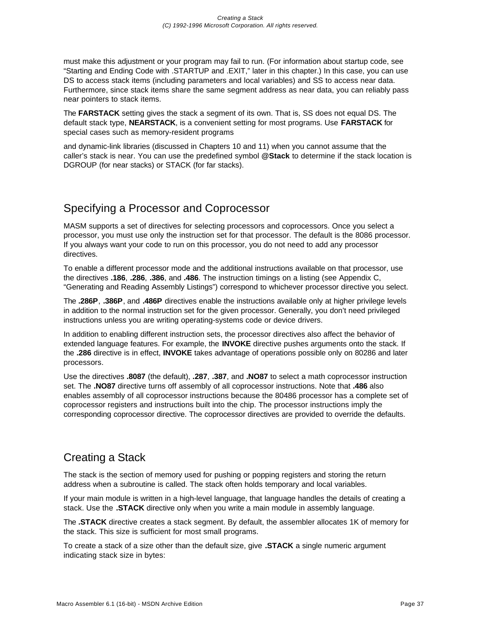must make this adjustment or your program may fail to run. (For information about startup code, see "Starting and Ending Code with .STARTUP and .EXIT," later in this chapter.) In this case, you can use DS to access stack items (including parameters and local variables) and SS to access near data. Furthermore, since stack items share the same segment address as near data, you can reliably pass near pointers to stack items.

The **FARSTACK** setting gives the stack a segment of its own. That is, SS does not equal DS. The default stack type, **NEARSTACK**, is a convenient setting for most programs. Use **FARSTACK** for special cases such as memory-resident programs

and dynamic-link libraries (discussed in Chapters 10 and 11) when you cannot assume that the caller's stack is near. You can use the predefined symbol **@Stack** to determine if the stack location is DGROUP (for near stacks) or STACK (for far stacks).

## Specifying a Processor and Coprocessor

MASM supports a set of directives for selecting processors and coprocessors. Once you select a processor, you must use only the instruction set for that processor. The default is the 8086 processor. If you always want your code to run on this processor, you do not need to add any processor directives.

To enable a different processor mode and the additional instructions available on that processor, use the directives **.186**, **.286**, **.386**, and **.486**. The instruction timings on a listing (see Appendix C, "Generating and Reading Assembly Listings") correspond to whichever processor directive you select.

The **.286P**, **.386P**, and **.486P** directives enable the instructions available only at higher privilege levels in addition to the normal instruction set for the given processor. Generally, you don't need privileged instructions unless you are writing operating-systems code or device drivers.

In addition to enabling different instruction sets, the processor directives also affect the behavior of extended language features. For example, the **INVOKE** directive pushes arguments onto the stack. If the **.286** directive is in effect, **INVOKE** takes advantage of operations possible only on 80286 and later processors.

Use the directives **.8087** (the default), **.287**, **.387**, and **.NO87** to select a math coprocessor instruction set. The **.NO87** directive turns off assembly of all coprocessor instructions. Note that **.486** also enables assembly of all coprocessor instructions because the 80486 processor has a complete set of coprocessor registers and instructions built into the chip. The processor instructions imply the corresponding coprocessor directive. The coprocessor directives are provided to override the defaults.

# Creating a Stack

The stack is the section of memory used for pushing or popping registers and storing the return address when a subroutine is called. The stack often holds temporary and local variables.

If your main module is written in a high-level language, that language handles the details of creating a stack. Use the **.STACK** directive only when you write a main module in assembly language.

The **.STACK** directive creates a stack segment. By default, the assembler allocates 1K of memory for the stack. This size is sufficient for most small programs.

To create a stack of a size other than the default size, give **.STACK** a single numeric argument indicating stack size in bytes: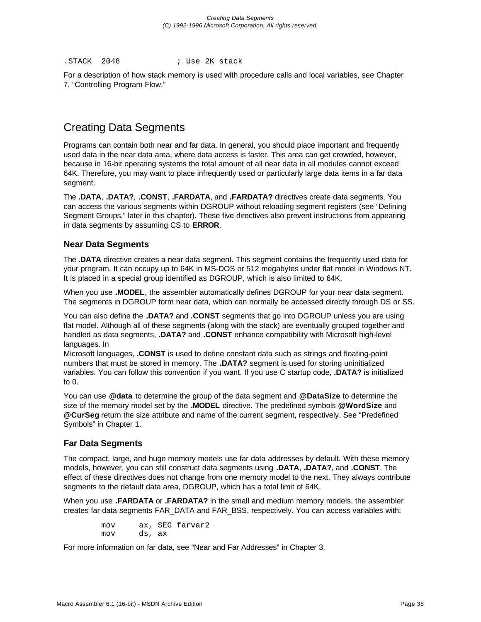.STACK 2048 ; Use 2K stack

For a description of how stack memory is used with procedure calls and local variables, see Chapter 7, "Controlling Program Flow."

## Creating Data Segments

Programs can contain both near and far data. In general, you should place important and frequently used data in the near data area, where data access is faster. This area can get crowded, however, because in 16-bit operating systems the total amount of all near data in all modules cannot exceed 64K. Therefore, you may want to place infrequently used or particularly large data items in a far data segment.

The **.DATA**, **.DATA?**, **.CONST**, **.FARDATA**, and **.FARDATA?** directives create data segments. You can access the various segments within DGROUP without reloading segment registers (see "Defining Segment Groups," later in this chapter). These five directives also prevent instructions from appearing in data segments by assuming CS to **ERROR**.

#### **Near Data Segments**

The **.DATA** directive creates a near data segment. This segment contains the frequently used data for your program. It can occupy up to 64K in MS-DOS or 512 megabytes under flat model in Windows NT. It is placed in a special group identified as DGROUP, which is also limited to 64K.

When you use **.MODEL**, the assembler automatically defines DGROUP for your near data segment. The segments in DGROUP form near data, which can normally be accessed directly through DS or SS.

You can also define the **.DATA?** and **.CONST** segments that go into DGROUP unless you are using flat model. Although all of these segments (along with the stack) are eventually grouped together and handled as data segments, **.DATA?** and **.CONST** enhance compatibility with Microsoft high-level languages. In

Microsoft languages, **.CONST** is used to define constant data such as strings and floating-point numbers that must be stored in memory. The **.DATA?** segment is used for storing uninitialized variables. You can follow this convention if you want. If you use C startup code, **.DATA?** is initialized to  $0<sub>1</sub>$ 

You can use **@data** to determine the group of the data segment and **@DataSize** to determine the size of the memory model set by the **.MODEL** directive. The predefined symbols **@WordSize** and **@CurSeg** return the size attribute and name of the current segment, respectively. See "Predefined Symbols" in Chapter 1.

### **Far Data Segments**

The compact, large, and huge memory models use far data addresses by default. With these memory models, however, you can still construct data segments using **.DATA**, **.DATA?**, and **.CONST**. The effect of these directives does not change from one memory model to the next. They always contribute segments to the default data area, DGROUP, which has a total limit of 64K.

When you use **.FARDATA** or **.FARDATA?** in the small and medium memory models, the assembler creates far data segments FAR\_DATA and FAR\_BSS, respectively. You can access variables with:

> mov ax, SEG farvar2 mov ds, ax

For more information on far data, see "Near and Far Addresses" in Chapter 3.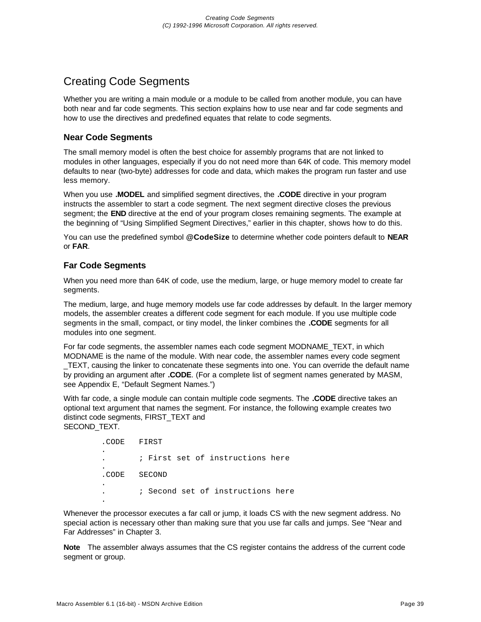# Creating Code Segments

Whether you are writing a main module or a module to be called from another module, you can have both near and far code segments. This section explains how to use near and far code segments and how to use the directives and predefined equates that relate to code segments.

### **Near Code Segments**

The small memory model is often the best choice for assembly programs that are not linked to modules in other languages, especially if you do not need more than 64K of code. This memory model defaults to near (two-byte) addresses for code and data, which makes the program run faster and use less memory.

When you use **.MODEL** and simplified segment directives, the **.CODE** directive in your program instructs the assembler to start a code segment. The next segment directive closes the previous segment; the **END** directive at the end of your program closes remaining segments. The example at the beginning of "Using Simplified Segment Directives," earlier in this chapter, shows how to do this.

You can use the predefined symbol **@CodeSize** to determine whether code pointers default to **NEAR** or **FAR**.

### **Far Code Segments**

When you need more than 64K of code, use the medium, large, or huge memory model to create far segments.

The medium, large, and huge memory models use far code addresses by default. In the larger memory models, the assembler creates a different code segment for each module. If you use multiple code segments in the small, compact, or tiny model, the linker combines the **.CODE** segments for all modules into one segment.

For far code segments, the assembler names each code segment MODNAME\_TEXT, in which MODNAME is the name of the module. With near code, the assembler names every code segment \_TEXT, causing the linker to concatenate these segments into one. You can override the default name by providing an argument after **.CODE**. (For a complete list of segment names generated by MASM, see Appendix E, "Default Segment Names.")

With far code, a single module can contain multiple code segments. The **.CODE** directive takes an optional text argument that names the segment. For instance, the following example creates two distinct code segments, FIRST\_TEXT and SECOND\_TEXT.

```
 .CODE FIRST
 .
              . ; First set of instructions here
 .
       .CODE SECOND
 .
              . ; Second set of instructions here
 .
```
Whenever the processor executes a far call or jump, it loads CS with the new segment address. No special action is necessary other than making sure that you use far calls and jumps. See "Near and Far Addresses" in Chapter 3.

**Note** The assembler always assumes that the CS register contains the address of the current code segment or group.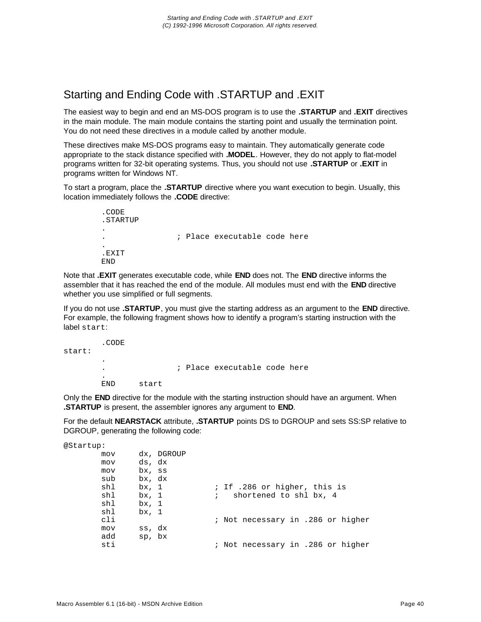### Starting and Ending Code with .STARTUP and .EXIT

The easiest way to begin and end an MS-DOS program is to use the **.STARTUP** and **.EXIT** directives in the main module. The main module contains the starting point and usually the termination point. You do not need these directives in a module called by another module.

These directives make MS-DOS programs easy to maintain. They automatically generate code appropriate to the stack distance specified with **.MODEL**. However, they do not apply to flat-model programs written for 32-bit operating systems. Thus, you should not use **.STARTUP** or **.EXIT** in programs written for Windows NT.

To start a program, place the **.STARTUP** directive where you want execution to begin. Usually, this location immediately follows the **.CODE** directive:

```
 .CODE
        .STARTUP
 .
                        . ; Place executable code here
 .
        .EXIT
        END
```
Note that **.EXIT** generates executable code, while **END** does not. The **END** directive informs the assembler that it has reached the end of the module. All modules must end with the **END** directive whether you use simplified or full segments.

If you do not use **.STARTUP**, you must give the starting address as an argument to the **END** directive. For example, the following fragment shows how to identify a program's starting instruction with the label start:

```
 .CODE
start:
 .
       . ; Place executable code here
 .
      END start
```
Only the **END** directive for the module with the starting instruction should have an argument. When **.STARTUP** is present, the assembler ignores any argument to **END**.

For the default **NEARSTACK** attribute, **.STARTUP** points DS to DGROUP and sets SS:SP relative to DGROUP, generating the following code:

| @Startup: |     |          |            |                                         |
|-----------|-----|----------|------------|-----------------------------------------|
|           | mov |          | dx, DGROUP |                                         |
|           | mov | ds, dx   |            |                                         |
|           | mov | bx, ss   |            |                                         |
|           | sub | bx, dx   |            |                                         |
|           | shl | bx, 1    |            | ; If .286 or higher, this is            |
|           | shl | bx, 1    |            | shortened to shl bx, 4<br>$\mathcal{L}$ |
|           | shl | bx, 1    |            |                                         |
|           | shl | $bx \t1$ |            |                                         |
|           | cli |          |            | ; Not necessary in .286 or higher       |
|           | mov | ss, dx   |            |                                         |
|           | add | sp, bx   |            |                                         |
|           | sti |          |            | ; Not necessary in .286 or higher       |
|           |     |          |            |                                         |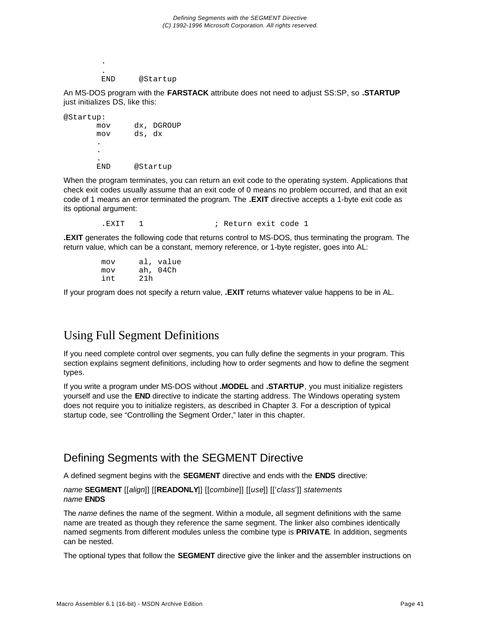```
 .
      END @Startup
```
.

An MS-DOS program with the **FARSTACK** attribute does not need to adjust SS:SP, so **.STARTUP** just initializes DS, like this:

@Startup: mov dx, DGROUP mov ds, dx . . . END @Startup

When the program terminates, you can return an exit code to the operating system. Applications that check exit codes usually assume that an exit code of 0 means no problem occurred, and that an exit code of 1 means an error terminated the program. The **.EXIT** directive accepts a 1-byte exit code as its optional argument:

.EXIT 1  $\qquad \qquad ;$  Return exit code 1

**.EXIT** generates the following code that returns control to MS-DOS, thus terminating the program. The return value, which can be a constant, memory reference, or 1-byte register, goes into AL:

> mov al, value mov ah, 04Ch<br>int 21h int

If your program does not specify a return value, **.EXIT** returns whatever value happens to be in AL.

# Using Full Segment Definitions

If you need complete control over segments, you can fully define the segments in your program. This section explains segment definitions, including how to order segments and how to define the segment types.

If you write a program under MS-DOS without **.MODEL** and **.STARTUP**, you must initialize registers yourself and use the **END** directive to indicate the starting address. The Windows operating system does not require you to initialize registers, as described in Chapter 3. For a description of typical startup code, see "Controlling the Segment Order," later in this chapter.

### Defining Segments with the SEGMENT Directive

A defined segment begins with the **SEGMENT** directive and ends with the **ENDS** directive:

*name* **SEGMENT** [[*align*]] [[**READONLY**]] [[*combine*]] [[*use*]] [['*class*']] *statements name* **ENDS**

The *name* defines the name of the segment. Within a module, all segment definitions with the same name are treated as though they reference the same segment. The linker also combines identically named segments from different modules unless the combine type is **PRIVATE**. In addition, segments can be nested.

The optional types that follow the **SEGMENT** directive give the linker and the assembler instructions on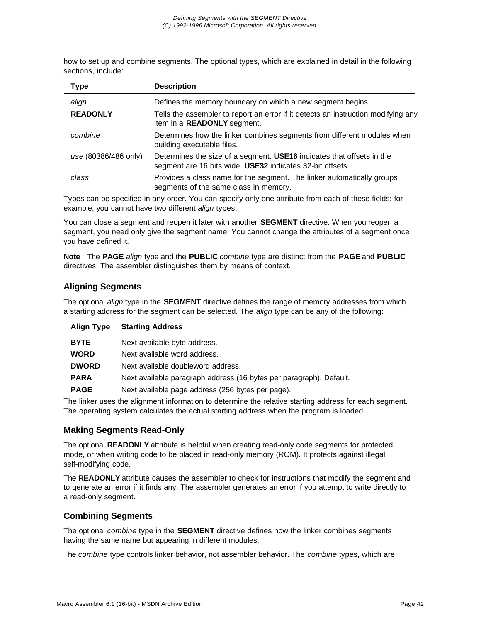how to set up and combine segments. The optional types, which are explained in detail in the following sections, include:

| Type                 | <b>Description</b>                                                                                                                 |
|----------------------|------------------------------------------------------------------------------------------------------------------------------------|
| align                | Defines the memory boundary on which a new segment begins.                                                                         |
| <b>READONLY</b>      | Tells the assembler to report an error if it detects an instruction modifying any<br>item in a <b>READONLY</b> segment.            |
| combine              | Determines how the linker combines segments from different modules when<br>building executable files.                              |
| use (80386/486 only) | Determines the size of a segment. USE16 indicates that offsets in the<br>segment are 16 bits wide. USE32 indicates 32-bit offsets. |
| class                | Provides a class name for the segment. The linker automatically groups<br>segments of the same class in memory.                    |

Types can be specified in any order. You can specify only one attribute from each of these fields; for example, you cannot have two different *align* types.

You can close a segment and reopen it later with another **SEGMENT** directive. When you reopen a segment, you need only give the segment name. You cannot change the attributes of a segment once you have defined it.

**Note** The **PAGE** *align* type and the **PUBLIC** *combine* type are distinct from the **PAGE** and **PUBLIC** directives. The assembler distinguishes them by means of context.

### **Aligning Segments**

The optional *align* type in the **SEGMENT** directive defines the range of memory addresses from which a starting address for the segment can be selected. The *align* type can be any of the following:

| <b>Align Type</b> | <b>Starting Address</b>                                             |
|-------------------|---------------------------------------------------------------------|
| <b>BYTE</b>       | Next available byte address.                                        |
| <b>WORD</b>       | Next available word address.                                        |
| <b>DWORD</b>      | Next available doubleword address.                                  |
| <b>PARA</b>       | Next available paragraph address (16 bytes per paragraph). Default. |
| <b>PAGE</b>       | Next available page address (256 bytes per page).                   |
|                   |                                                                     |

The linker uses the alignment information to determine the relative starting address for each segment. The operating system calculates the actual starting address when the program is loaded.

### **Making Segments Read-Only**

The optional **READONLY** attribute is helpful when creating read-only code segments for protected mode, or when writing code to be placed in read-only memory (ROM). It protects against illegal self-modifying code.

The **READONLY** attribute causes the assembler to check for instructions that modify the segment and to generate an error if it finds any. The assembler generates an error if you attempt to write directly to a read-only segment.

### **Combining Segments**

The optional *combine* type in the **SEGMENT** directive defines how the linker combines segments having the same name but appearing in different modules.

The *combine* type controls linker behavior, not assembler behavior. The *combine* types, which are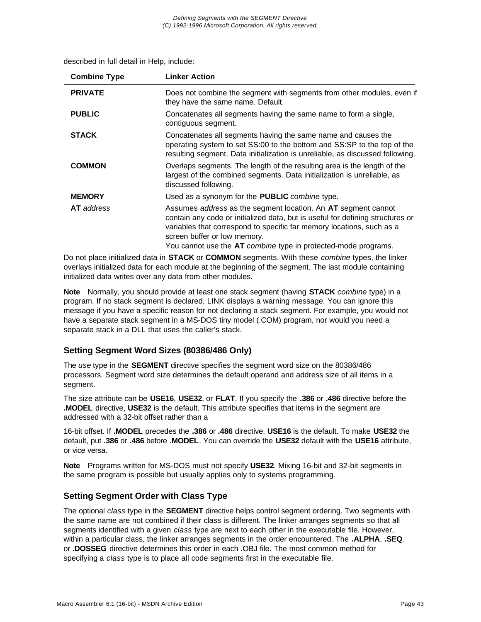described in full detail in Help, include:

| <b>Combine Type</b> | <b>Linker Action</b>                                                                                                                                                                                                                                                                                                       |
|---------------------|----------------------------------------------------------------------------------------------------------------------------------------------------------------------------------------------------------------------------------------------------------------------------------------------------------------------------|
| <b>PRIVATE</b>      | Does not combine the segment with segments from other modules, even if<br>they have the same name. Default.                                                                                                                                                                                                                |
| <b>PUBLIC</b>       | Concatenates all segments having the same name to form a single,<br>contiguous segment.                                                                                                                                                                                                                                    |
| <b>STACK</b>        | Concatenates all segments having the same name and causes the<br>operating system to set SS:00 to the bottom and SS:SP to the top of the<br>resulting segment. Data initialization is unreliable, as discussed following.                                                                                                  |
| <b>COMMON</b>       | Overlaps segments. The length of the resulting area is the length of the<br>largest of the combined segments. Data initialization is unreliable, as<br>discussed following.                                                                                                                                                |
| <b>MEMORY</b>       | Used as a synonym for the PUBLIC combine type.                                                                                                                                                                                                                                                                             |
| <b>AT</b> address   | Assumes address as the segment location. An AT segment cannot<br>contain any code or initialized data, but is useful for defining structures or<br>variables that correspond to specific far memory locations, such as a<br>screen buffer or low memory.<br>You cannot use the AT combine type in protected-mode programs. |

Do not place initialized data in **STACK** or **COMMON** segments. With these *combine* types, the linker overlays initialized data for each module at the beginning of the segment. The last module containing initialized data writes over any data from other modules.

**Note** Normally, you should provide at least one stack segment (having **STACK** *combine* type) in a program. If no stack segment is declared, LINK displays a warning message. You can ignore this message if you have a specific reason for not declaring a stack segment. For example, you would not have a separate stack segment in a MS-DOS tiny model (.COM) program, nor would you need a separate stack in a DLL that uses the caller's stack.

### **Setting Segment Word Sizes (80386/486 Only)**

The *use* type in the **SEGMENT** directive specifies the segment word size on the 80386/486 processors. Segment word size determines the default operand and address size of all items in a segment.

The size attribute can be **USE16**, **USE32**, or **FLAT**. If you specify the **.386** or **.486** directive before the **.MODEL** directive, **USE32** is the default. This attribute specifies that items in the segment are addressed with a 32-bit offset rather than a

16-bit offset. If **.MODEL** precedes the **.386** or **.486** directive, **USE16** is the default. To make **USE32** the default, put **.386** or **.486** before **.MODEL**. You can override the **USE32** default with the **USE16** attribute, or vice versa.

**Note** Programs written for MS-DOS must not specify **USE32**. Mixing 16-bit and 32-bit segments in the same program is possible but usually applies only to systems programming.

### **Setting Segment Order with Class Type**

The optional *class* type in the **SEGMENT** directive helps control segment ordering. Two segments with the same name are not combined if their class is different. The linker arranges segments so that all segments identified with a given *class* type are next to each other in the executable file. However, within a particular class, the linker arranges segments in the order encountered. The **.ALPHA**, **.SEQ**, or **.DOSSEG** directive determines this order in each .OBJ file. The most common method for specifying a *class* type is to place all code segments first in the executable file.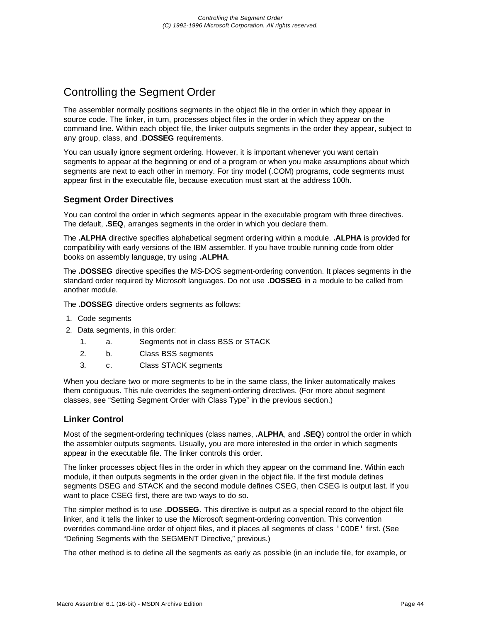### Controlling the Segment Order

The assembler normally positions segments in the object file in the order in which they appear in source code. The linker, in turn, processes object files in the order in which they appear on the command line. Within each object file, the linker outputs segments in the order they appear, subject to any group, class, and .**DOSSEG** requirements.

You can usually ignore segment ordering. However, it is important whenever you want certain segments to appear at the beginning or end of a program or when you make assumptions about which segments are next to each other in memory. For tiny model (.COM) programs, code segments must appear first in the executable file, because execution must start at the address 100h.

### **Segment Order Directives**

You can control the order in which segments appear in the executable program with three directives. The default, **.SEQ**, arranges segments in the order in which you declare them.

The **.ALPHA** directive specifies alphabetical segment ordering within a module. **.ALPHA** is provided for compatibility with early versions of the IBM assembler. If you have trouble running code from older books on assembly language, try using **.ALPHA**.

The **.DOSSEG** directive specifies the MS-DOS segment-ordering convention. It places segments in the standard order required by Microsoft languages. Do not use **.DOSSEG** in a module to be called from another module.

The **.DOSSEG** directive orders segments as follows:

- 1. Code segments
- 2. Data segments, in this order:
	- 1. a. Segments not in class BSS or STACK
	- 2. b. Class BSS segments
	- 3. c. Class STACK segments

When you declare two or more segments to be in the same class, the linker automatically makes them contiguous. This rule overrides the segment-ordering directives. (For more about segment classes, see "Setting Segment Order with Class Type" in the previous section.)

### **Linker Control**

Most of the segment-ordering techniques (class names, **.ALPHA**, and **.SEQ**) control the order in which the assembler outputs segments. Usually, you are more interested in the order in which segments appear in the executable file. The linker controls this order.

The linker processes object files in the order in which they appear on the command line. Within each module, it then outputs segments in the order given in the object file. If the first module defines segments DSEG and STACK and the second module defines CSEG, then CSEG is output last. If you want to place CSEG first, there are two ways to do so.

The simpler method is to use **.DOSSEG**. This directive is output as a special record to the object file linker, and it tells the linker to use the Microsoft segment-ordering convention. This convention overrides command-line order of object files, and it places all segments of class 'CODE' first. (See "Defining Segments with the SEGMENT Directive," previous.)

The other method is to define all the segments as early as possible (in an include file, for example, or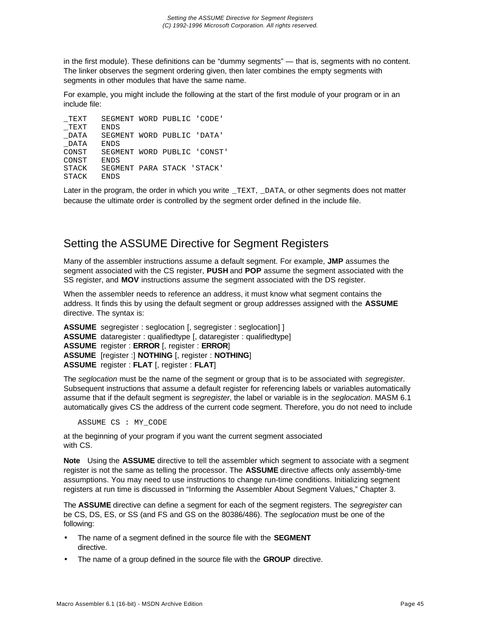in the first module). These definitions can be "dummy segments" — that is, segments with no content. The linker observes the segment ordering given, then later combines the empty segments with segments in other modules that have the same name.

For example, you might include the following at the start of the first module of your program or in an include file:

```
TEXT SEGMENT WORD PUBLIC 'CODE'
_TEXT ENDS
_DATA SEGMENT WORD PUBLIC 'DATA'
_DATA ENDS
CONST SEGMENT WORD PUBLIC 'CONST'
CONST ENDS<br>STACK SEGMI
        SEGMENT PARA STACK 'STACK'
STACK ENDS
```
Later in the program, the order in which you write \_TEXT, \_DATA, or other segments does not matter because the ultimate order is controlled by the segment order defined in the include file.

## Setting the ASSUME Directive for Segment Registers

Many of the assembler instructions assume a default segment. For example, **JMP** assumes the segment associated with the CS register, **PUSH** and **POP** assume the segment associated with the SS register, and **MOV** instructions assume the segment associated with the DS register.

When the assembler needs to reference an address, it must know what segment contains the address. It finds this by using the default segment or group addresses assigned with the **ASSUME** directive. The syntax is:

**ASSUME** segregister : seglocation [, segregister : seglocation] ] **ASSUME** dataregister : qualifiedtype [, dataregister : qualifiedtype] **ASSUME** register : **ERROR** [, register : **ERROR**] **ASSUME** [register :] **NOTHING** [, register : **NOTHING**] **ASSUME** register : **FLAT** [, register : **FLAT**]

The *seglocation* must be the name of the segment or group that is to be associated with *segregister*. Subsequent instructions that assume a default register for referencing labels or variables automatically assume that if the default segment is *segregister*, the label or variable is in the *seglocation*. MASM 6.1 automatically gives CS the address of the current code segment. Therefore, you do not need to include

ASSUME CS : MY\_CODE

at the beginning of your program if you want the current segment associated with CS.

**Note** Using the **ASSUME** directive to tell the assembler which segment to associate with a segment register is not the same as telling the processor. The **ASSUME** directive affects only assembly-time assumptions. You may need to use instructions to change run-time conditions. Initializing segment registers at run time is discussed in "Informing the Assembler About Segment Values," Chapter 3.

The **ASSUME** directive can define a segment for each of the segment registers. The *segregister* can be CS, DS, ES, or SS (and FS and GS on the 80386/486). The *seglocation* must be one of the following:

- The name of a segment defined in the source file with the **SEGMENT** directive.
- The name of a group defined in the source file with the **GROUP** directive.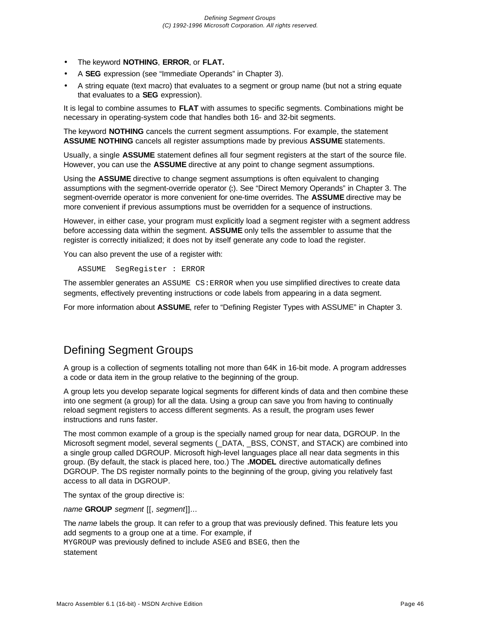- The keyword **NOTHING**, **ERROR**, or **FLAT.**
- A **SEG** expression (see "Immediate Operands" in Chapter 3).
- A string equate (text macro) that evaluates to a segment or group name (but not a string equate that evaluates to a **SEG** expression).

It is legal to combine assumes to **FLAT** with assumes to specific segments. Combinations might be necessary in operating-system code that handles both 16- and 32-bit segments.

The keyword **NOTHING** cancels the current segment assumptions. For example, the statement **ASSUME NOTHING** cancels all register assumptions made by previous **ASSUME** statements.

Usually, a single **ASSUME** statement defines all four segment registers at the start of the source file. However, you can use the **ASSUME** directive at any point to change segment assumptions.

Using the **ASSUME** directive to change segment assumptions is often equivalent to changing assumptions with the segment-override operator (**:**). See "Direct Memory Operands" in Chapter 3. The segment-override operator is more convenient for one-time overrides. The **ASSUME** directive may be more convenient if previous assumptions must be overridden for a sequence of instructions.

However, in either case, your program must explicitly load a segment register with a segment address before accessing data within the segment. **ASSUME** only tells the assembler to assume that the register is correctly initialized; it does not by itself generate any code to load the register.

You can also prevent the use of a register with:

ASSUME SegRegister : ERROR

The assembler generates an ASSUME CS:ERROR when you use simplified directives to create data segments, effectively preventing instructions or code labels from appearing in a data segment.

For more information about **ASSUME**, refer to "Defining Register Types with ASSUME" in Chapter 3.

# Defining Segment Groups

A group is a collection of segments totalling not more than 64K in 16-bit mode. A program addresses a code or data item in the group relative to the beginning of the group.

A group lets you develop separate logical segments for different kinds of data and then combine these into one segment (a group) for all the data. Using a group can save you from having to continually reload segment registers to access different segments. As a result, the program uses fewer instructions and runs faster.

The most common example of a group is the specially named group for near data, DGROUP. In the Microsoft segment model, several segments ( $\overline{DATA}$ ,  $\overline{BSS}$ , CONST, and STACK) are combined into a single group called DGROUP. Microsoft high-level languages place all near data segments in this group. (By default, the stack is placed here, too.) The **.MODEL** directive automatically defines DGROUP. The DS register normally points to the beginning of the group, giving you relatively fast access to all data in DGROUP.

The syntax of the group directive is:

*name* **GROUP** *segment* [[, *segment*]]...

The *name* labels the group. It can refer to a group that was previously defined. This feature lets you add segments to a group one at a time. For example, if MYGROUP was previously defined to include ASEG and BSEG, then the statement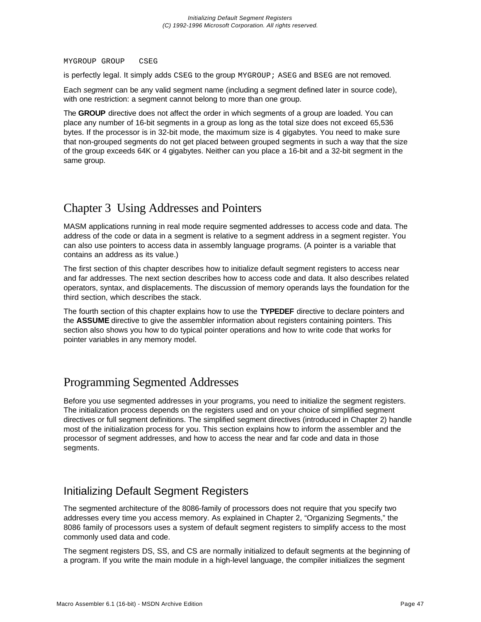#### MYGROUP GROUP CSEG

is perfectly legal. It simply adds CSEG to the group MYGROUP; ASEG and BSEG are not removed.

Each *segment* can be any valid segment name (including a segment defined later in source code), with one restriction: a segment cannot belong to more than one group.

The **GROUP** directive does not affect the order in which segments of a group are loaded. You can place any number of 16-bit segments in a group as long as the total size does not exceed 65,536 bytes. If the processor is in 32-bit mode, the maximum size is 4 gigabytes. You need to make sure that non-grouped segments do not get placed between grouped segments in such a way that the size of the group exceeds 64K or 4 gigabytes. Neither can you place a 16-bit and a 32-bit segment in the same group.

# Chapter 3 Using Addresses and Pointers

MASM applications running in real mode require segmented addresses to access code and data. The address of the code or data in a segment is relative to a segment address in a segment register. You can also use pointers to access data in assembly language programs. (A pointer is a variable that contains an address as its value.)

The first section of this chapter describes how to initialize default segment registers to access near and far addresses. The next section describes how to access code and data. It also describes related operators, syntax, and displacements. The discussion of memory operands lays the foundation for the third section, which describes the stack.

The fourth section of this chapter explains how to use the **TYPEDEF** directive to declare pointers and the **ASSUME** directive to give the assembler information about registers containing pointers. This section also shows you how to do typical pointer operations and how to write code that works for pointer variables in any memory model.

### Programming Segmented Addresses

Before you use segmented addresses in your programs, you need to initialize the segment registers. The initialization process depends on the registers used and on your choice of simplified segment directives or full segment definitions. The simplified segment directives (introduced in Chapter 2) handle most of the initialization process for you. This section explains how to inform the assembler and the processor of segment addresses, and how to access the near and far code and data in those segments.

### Initializing Default Segment Registers

The segmented architecture of the 8086-family of processors does not require that you specify two addresses every time you access memory. As explained in Chapter 2, "Organizing Segments," the 8086 family of processors uses a system of default segment registers to simplify access to the most commonly used data and code.

The segment registers DS, SS, and CS are normally initialized to default segments at the beginning of a program. If you write the main module in a high-level language, the compiler initializes the segment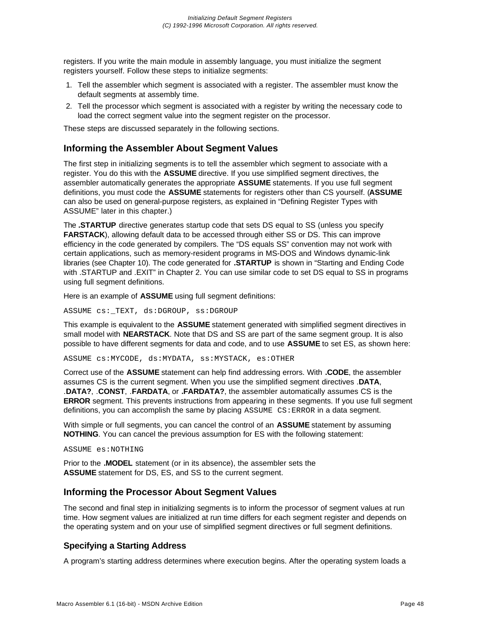registers. If you write the main module in assembly language, you must initialize the segment registers yourself. Follow these steps to initialize segments:

- 1. Tell the assembler which segment is associated with a register. The assembler must know the default segments at assembly time.
- 2. Tell the processor which segment is associated with a register by writing the necessary code to load the correct segment value into the segment register on the processor.

These steps are discussed separately in the following sections.

### **Informing the Assembler About Segment Values**

The first step in initializing segments is to tell the assembler which segment to associate with a register. You do this with the **ASSUME** directive. If you use simplified segment directives, the assembler automatically generates the appropriate **ASSUME** statements. If you use full segment definitions, you must code the **ASSUME** statements for registers other than CS yourself. (**ASSUME** can also be used on general-purpose registers, as explained in "Defining Register Types with ASSUME" later in this chapter.)

The **.STARTUP** directive generates startup code that sets DS equal to SS (unless you specify **FARSTACK**), allowing default data to be accessed through either SS or DS. This can improve efficiency in the code generated by compilers. The "DS equals SS" convention may not work with certain applications, such as memory-resident programs in MS-DOS and Windows dynamic-link libraries (see Chapter 10). The code generated for **.STARTUP** is shown in "Starting and Ending Code with .STARTUP and .EXIT" in Chapter 2. You can use similar code to set DS equal to SS in programs using full segment definitions.

Here is an example of **ASSUME** using full segment definitions:

ASSUME cs:\_TEXT, ds:DGROUP, ss:DGROUP

This example is equivalent to the **ASSUME** statement generated with simplified segment directives in small model with **NEARSTACK**. Note that DS and SS are part of the same segment group. It is also possible to have different segments for data and code, and to use **ASSUME** to set ES, as shown here:

ASSUME cs:MYCODE, ds:MYDATA, ss:MYSTACK, es:OTHER

Correct use of the **ASSUME** statement can help find addressing errors. With **.CODE**, the assembler assumes CS is the current segment. When you use the simplified segment directives .**DATA**, .**DATA?**, .**CONST**, .**FARDATA**, or **.FARDATA?**, the assembler automatically assumes CS is the **ERROR** segment. This prevents instructions from appearing in these segments. If you use full segment definitions, you can accomplish the same by placing ASSUME CS:ERROR in a data segment.

With simple or full segments, you can cancel the control of an **ASSUME** statement by assuming **NOTHING**. You can cancel the previous assumption for ES with the following statement:

ASSUME es:NOTHING

Prior to the **.MODEL** statement (or in its absence), the assembler sets the **ASSUME** statement for DS, ES, and SS to the current segment.

#### **Informing the Processor About Segment Values**

The second and final step in initializing segments is to inform the processor of segment values at run time. How segment values are initialized at run time differs for each segment register and depends on the operating system and on your use of simplified segment directives or full segment definitions.

#### **Specifying a Starting Address**

A program's starting address determines where execution begins. After the operating system loads a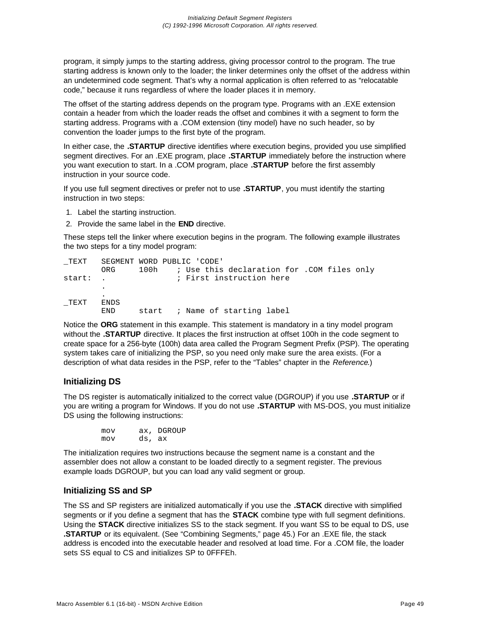program, it simply jumps to the starting address, giving processor control to the program. The true starting address is known only to the loader; the linker determines only the offset of the address within an undetermined code segment. That's why a normal application is often referred to as "relocatable code," because it runs regardless of where the loader places it in memory.

The offset of the starting address depends on the program type. Programs with an .EXE extension contain a header from which the loader reads the offset and combines it with a segment to form the starting address. Programs with a .COM extension (tiny model) have no such header, so by convention the loader jumps to the first byte of the program.

In either case, the **.STARTUP** directive identifies where execution begins, provided you use simplified segment directives. For an .EXE program, place **.STARTUP** immediately before the instruction where you want execution to start. In a .COM program, place **.STARTUP** before the first assembly instruction in your source code.

If you use full segment directives or prefer not to use **.STARTUP**, you must identify the starting instruction in two steps:

- 1. Label the starting instruction.
- 2. Provide the same label in the **END** directive.

These steps tell the linker where execution begins in the program. The following example illustrates the two steps for a tiny model program:

| TEXT   |                           | SEGMENT WORD PUBLIC 'CODE'                        |  |
|--------|---------------------------|---------------------------------------------------|--|
|        | ORG                       | 100h - ; Use this declaration for .COM files only |  |
| start: |                           | ; First instruction here                          |  |
|        |                           |                                                   |  |
| TEXT   | <b>ENDS</b><br><b>END</b> | start ; Name of starting label                    |  |

Notice the **ORG** statement in this example. This statement is mandatory in a tiny model program without the **.STARTUP** directive. It places the first instruction at offset 100h in the code segment to create space for a 256-byte (100h) data area called the Program Segment Prefix (PSP). The operating system takes care of initializing the PSP, so you need only make sure the area exists. (For a description of what data resides in the PSP, refer to the "Tables" chapter in the *Reference*.)

#### **Initializing DS**

The DS register is automatically initialized to the correct value (DGROUP) if you use **.STARTUP** or if you are writing a program for Windows. If you do not use **.STARTUP** with MS-DOS, you must initialize DS using the following instructions:

> mov ax, DGROUP mov ds, ax

The initialization requires two instructions because the segment name is a constant and the assembler does not allow a constant to be loaded directly to a segment register. The previous example loads DGROUP, but you can load any valid segment or group.

#### **Initializing SS and SP**

The SS and SP registers are initialized automatically if you use the **.STACK** directive with simplified segments or if you define a segment that has the **STACK** combine type with full segment definitions. Using the **STACK** directive initializes SS to the stack segment. If you want SS to be equal to DS, use **.STARTUP** or its equivalent. (See "Combining Segments," page 45.) For an .EXE file, the stack address is encoded into the executable header and resolved at load time. For a .COM file, the loader sets SS equal to CS and initializes SP to 0FFFEh.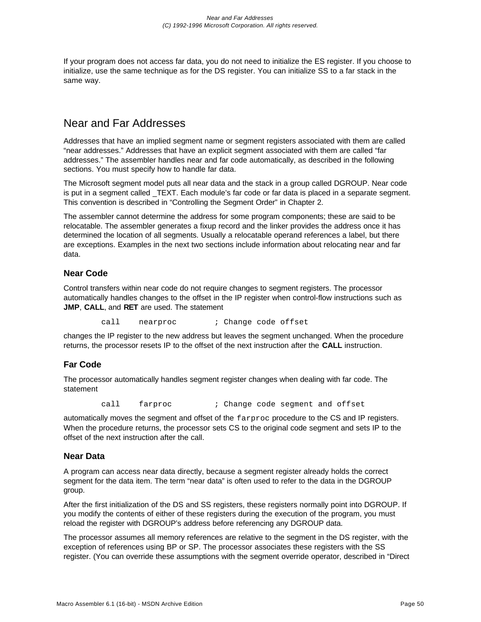If your program does not access far data, you do not need to initialize the ES register. If you choose to initialize, use the same technique as for the DS register. You can initialize SS to a far stack in the same way.

### Near and Far Addresses

Addresses that have an implied segment name or segment registers associated with them are called "near addresses." Addresses that have an explicit segment associated with them are called "far addresses." The assembler handles near and far code automatically, as described in the following sections. You must specify how to handle far data.

The Microsoft segment model puts all near data and the stack in a group called DGROUP. Near code is put in a segment called \_TEXT. Each module's far code or far data is placed in a separate segment. This convention is described in "Controlling the Segment Order" in Chapter 2.

The assembler cannot determine the address for some program components; these are said to be relocatable. The assembler generates a fixup record and the linker provides the address once it has determined the location of all segments. Usually a relocatable operand references a label, but there are exceptions. Examples in the next two sections include information about relocating near and far data.

#### **Near Code**

Control transfers within near code do not require changes to segment registers. The processor automatically handles changes to the offset in the IP register when control-flow instructions such as **JMP**, **CALL**, and **RET** are used. The statement

call nearproc ; Change code offset

changes the IP register to the new address but leaves the segment unchanged. When the procedure returns, the processor resets IP to the offset of the next instruction after the **CALL** instruction.

### **Far Code**

The processor automatically handles segment register changes when dealing with far code. The statement

call farproc ; Change code segment and offset

automatically moves the segment and offset of the farproc procedure to the CS and IP registers. When the procedure returns, the processor sets CS to the original code segment and sets IP to the offset of the next instruction after the call.

### **Near Data**

A program can access near data directly, because a segment register already holds the correct segment for the data item. The term "near data" is often used to refer to the data in the DGROUP group.

After the first initialization of the DS and SS registers, these registers normally point into DGROUP. If you modify the contents of either of these registers during the execution of the program, you must reload the register with DGROUP's address before referencing any DGROUP data.

The processor assumes all memory references are relative to the segment in the DS register, with the exception of references using BP or SP. The processor associates these registers with the SS register. (You can override these assumptions with the segment override operator, described in "Direct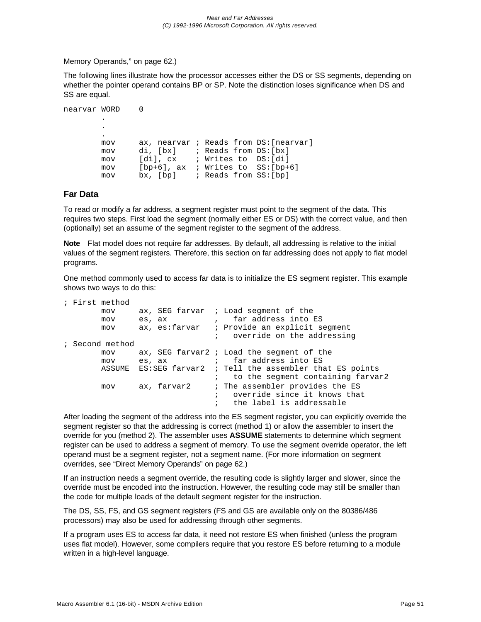Memory Operands," on page 62.)

The following lines illustrate how the processor accesses either the DS or SS segments, depending on whether the pointer operand contains BP or SP. Note the distinction loses significance when DS and SS are equal.

```
nearvar WORD 0
 .
 .
 .
       mov ax, nearvar ; Reads from DS:[nearvar]
       mov di, [bx] ; Reads from DS:[bx]
       mov [di], cx ; Writes to DS:[di]
       mov [bp+6], ax ; Writes to SS:[bp+6]
       mov bx, [bp] ; Reads from SS:[bp]
```
#### **Far Data**

To read or modify a far address, a segment register must point to the segment of the data. This requires two steps. First load the segment (normally either ES or DS) with the correct value, and then (optionally) set an assume of the segment register to the segment of the address.

**Note** Flat model does not require far addresses. By default, all addressing is relative to the initial values of the segment registers. Therefore, this section on far addressing does not apply to flat model programs.

One method commonly used to access far data is to initialize the ES segment register. This example shows two ways to do this:

|  | ; First method  |             |               |                                                           |
|--|-----------------|-------------|---------------|-----------------------------------------------------------|
|  | mov             |             |               | ax, SEG farvar ; Load seqment of the                      |
|  | mov             | es, ax      |               | far address into ES                                       |
|  | mov             |             |               | ax, es: farvar ; Provide an explicit segment              |
|  |                 |             |               | <i>i</i> override on the addressing                       |
|  | ; Second method |             |               |                                                           |
|  | mov             |             |               | ax, SEG farvar2; Load the seqment of the                  |
|  | mov             | es, ax      |               | ; far address into ES                                     |
|  |                 |             |               | ASSUME ES:SEG farvar2 ; Tell the assembler that ES points |
|  |                 |             | $\mathcal{L}$ | to the segment containing farvar2                         |
|  | mov             | ax, farvar2 |               | ; The assembler provides the ES                           |
|  |                 |             | $\mathcal{L}$ | override since it knows that                              |
|  |                 |             | $\ddot{ }$    | the label is addressable                                  |
|  |                 |             |               |                                                           |

After loading the segment of the address into the ES segment register, you can explicitly override the segment register so that the addressing is correct (method 1) or allow the assembler to insert the override for you (method 2). The assembler uses **ASSUME** statements to determine which segment register can be used to address a segment of memory. To use the segment override operator, the left operand must be a segment register, not a segment name. (For more information on segment overrides, see "Direct Memory Operands" on page 62.)

If an instruction needs a segment override, the resulting code is slightly larger and slower, since the override must be encoded into the instruction. However, the resulting code may still be smaller than the code for multiple loads of the default segment register for the instruction.

The DS, SS, FS, and GS segment registers (FS and GS are available only on the 80386/486 processors) may also be used for addressing through other segments.

If a program uses ES to access far data, it need not restore ES when finished (unless the program uses flat model). However, some compilers require that you restore ES before returning to a module written in a high-level language.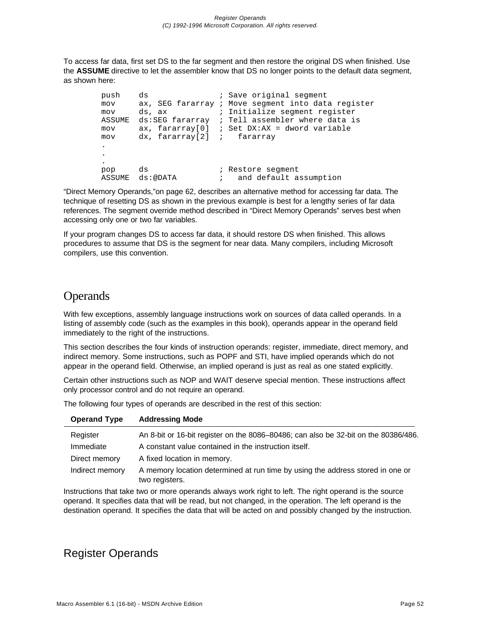To access far data, first set DS to the far segment and then restore the original DS when finished. Use the **ASSUME** directive to let the assembler know that DS no longer points to the default data segment, as shown here:

```
push ds \qquad \qquad ; Save original segment
       mov ax, SEG fararray ; Move segment into data register
      mov ds, ax \qquad ; Initialize segment register
 ASSUME ds:SEG fararray ; Tell assembler where data is
 mov ax, fararray[0] ; Set DX:AX = dword variable
 mov dx, fararray[2] ; fararray
 .
 .
 .
       pop ds ; Restore segment
      ASSUME ds:@DATA ; and default assumption
```
"Direct Memory Operands,"on page 62, describes an alternative method for accessing far data. The technique of resetting DS as shown in the previous example is best for a lengthy series of far data references. The segment override method described in "Direct Memory Operands" serves best when accessing only one or two far variables.

If your program changes DS to access far data, it should restore DS when finished. This allows procedures to assume that DS is the segment for near data. Many compilers, including Microsoft compilers, use this convention.

### **Operands**

With few exceptions, assembly language instructions work on sources of data called operands. In a listing of assembly code (such as the examples in this book), operands appear in the operand field immediately to the right of the instructions.

This section describes the four kinds of instruction operands: register, immediate, direct memory, and indirect memory. Some instructions, such as POPF and STI, have implied operands which do not appear in the operand field. Otherwise, an implied operand is just as real as one stated explicitly.

Certain other instructions such as NOP and WAIT deserve special mention. These instructions affect only processor control and do not require an operand.

The following four types of operands are described in the rest of this section:

| <b>Operand Type</b> | <b>Addressing Mode</b>                                                                           |
|---------------------|--------------------------------------------------------------------------------------------------|
| Register            | An 8-bit or 16-bit register on the 8086–80486; can also be 32-bit on the 80386/486.              |
| Immediate           | A constant value contained in the instruction itself.                                            |
| Direct memory       | A fixed location in memory.                                                                      |
| Indirect memory     | A memory location determined at run time by using the address stored in one or<br>two registers. |

Instructions that take two or more operands always work right to left. The right operand is the source operand. It specifies data that will be read, but not changed, in the operation. The left operand is the destination operand. It specifies the data that will be acted on and possibly changed by the instruction.

### Register Operands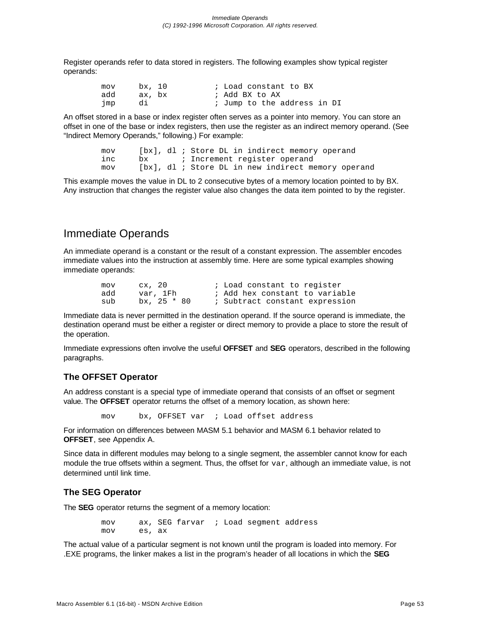Register operands refer to data stored in registers. The following examples show typical register operands:

| bx, 10<br>mov. | ; Load constant to BX       |
|----------------|-----------------------------|
| add<br>ax, bx  | ; Add BX to AX              |
| imp            | ; Jump to the address in DI |

An offset stored in a base or index register often serves as a pointer into memory. You can store an offset in one of the base or index registers, then use the register as an indirect memory operand. (See "Indirect Memory Operands," following.) For example:

> mov [bx], dl ; Store DL in indirect memory operand inc bx ; Increment register operand mov [bx], dl ; Store DL in new indirect memory operand

This example moves the value in DL to 2 consecutive bytes of a memory location pointed to by BX. Any instruction that changes the register value also changes the data item pointed to by the register.

### Immediate Operands

An immediate operand is a constant or the result of a constant expression. The assembler encodes immediate values into the instruction at assembly time. Here are some typical examples showing immediate operands:

| mov | cx, 20        | ; Load constant to register    |
|-----|---------------|--------------------------------|
| add | var. 1Fh      | ; Add hex constant to variable |
| sub | $bx. 25 * 80$ | ; Subtract constant expression |

Immediate data is never permitted in the destination operand. If the source operand is immediate, the destination operand must be either a register or direct memory to provide a place to store the result of the operation.

Immediate expressions often involve the useful **OFFSET** and **SEG** operators, described in the following paragraphs.

### **The OFFSET Operator**

An address constant is a special type of immediate operand that consists of an offset or segment value. The **OFFSET** operator returns the offset of a memory location, as shown here:

mov bx, OFFSET var ; Load offset address

For information on differences between MASM 5.1 behavior and MASM 6.1 behavior related to **OFFSET**, see Appendix A.

Since data in different modules may belong to a single segment, the assembler cannot know for each module the true offsets within a segment. Thus, the offset for var, although an immediate value, is not determined until link time.

### **The SEG Operator**

The **SEG** operator returns the segment of a memory location:

 mov ax, SEG farvar ; Load segment address mov es, ax

The actual value of a particular segment is not known until the program is loaded into memory. For .EXE programs, the linker makes a list in the program's header of all locations in which the **SEG**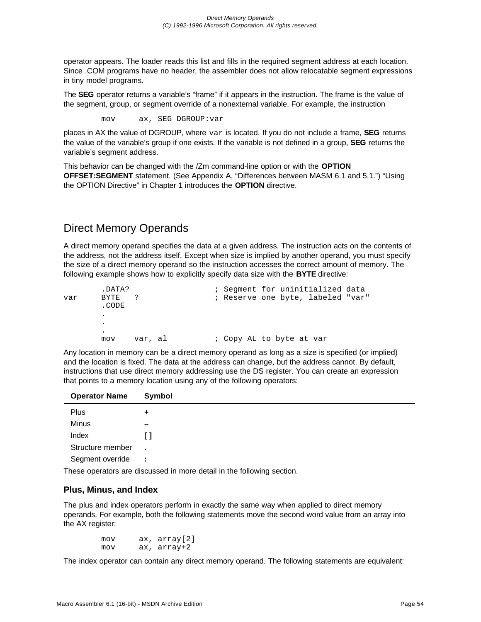operator appears. The loader reads this list and fills in the required segment address at each location. Since .COM programs have no header, the assembler does not allow relocatable segment expressions in tiny model programs.

The **SEG** operator returns a variable's "frame" if it appears in the instruction. The frame is the value of the segment, group, or segment override of a nonexternal variable. For example, the instruction

mov ax, SEG DGROUP:var

places in AX the value of DGROUP, where var is located. If you do not include a frame, **SEG** returns the value of the variable's group if one exists. If the variable is not defined in a group, **SEG** returns the variable's segment address.

This behavior can be changed with the /Zm command-line option or with the **OPTION OFFSET:SEGMENT** statement. (See Appendix A, "Differences between MASM 6.1 and 5.1.") "Using the OPTION Directive" in Chapter 1 introduces the **OPTION** directive.

### Direct Memory Operands

A direct memory operand specifies the data at a given address. The instruction acts on the contents of the address, not the address itself. Except when size is implied by another operand, you must specify the size of a direct memory operand so the instruction accesses the correct amount of memory. The following example shows how to explicitly specify data size with the **BYTE** directive:

```
.DATA?                          ; Segment for uninitialized data<br>BYTE   ?                    ; Reserve one byte, labeled "var'
var BYTE ? : in Reserve one byte, labeled "var"
          .CODE
 .
 .
 .
         mov var, al i Copy AL to byte at var
```
Any location in memory can be a direct memory operand as long as a size is specified (or implied) and the location is fixed. The data at the address can change, but the address cannot. By default, instructions that use direct memory addressing use the DS register. You can create an expression that points to a memory location using any of the following operators:

| <b>Operator Name</b> | Symbol    |                                                                       |  |
|----------------------|-----------|-----------------------------------------------------------------------|--|
| <b>Plus</b>          | ٠         |                                                                       |  |
| Minus                |           |                                                                       |  |
| Index                |           |                                                                       |  |
| Structure member     | ÷.        |                                                                       |  |
| Segment override     | $\sim 10$ |                                                                       |  |
|                      |           | These energiese are discussed in more detail in the following eastign |  |

These operators are discussed in more detail in the following section.

#### **Plus, Minus, and Index**

The plus and index operators perform in exactly the same way when applied to direct memory operands. For example, both the following statements move the second word value from an array into the AX register:

> mov ax, array[2] mov ax, array+2

The index operator can contain any direct memory operand. The following statements are equivalent: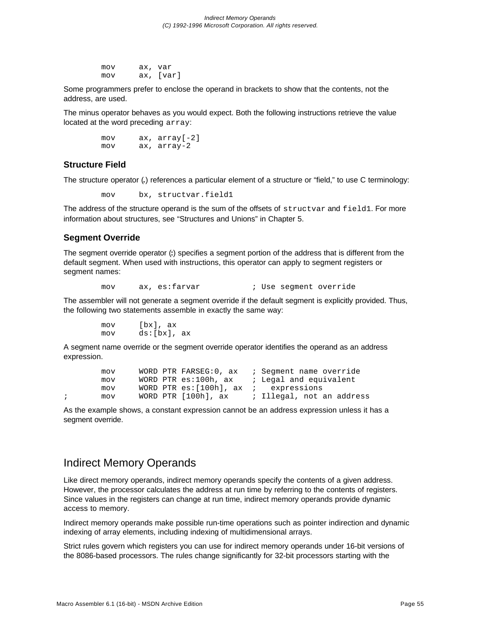mov ax, var mov ax, [var]

Some programmers prefer to enclose the operand in brackets to show that the contents, not the address, are used.

The minus operator behaves as you would expect. Both the following instructions retrieve the value located at the word preceding array:

> mov ax, array[-2] mov ax, array-2

#### **Structure Field**

The structure operator (**.**) references a particular element of a structure or "field," to use C terminology:

mov bx, structvar.field1

The address of the structure operand is the sum of the offsets of structvar and field1. For more information about structures, see "Structures and Unions" in Chapter 5.

#### **Segment Override**

The segment override operator (**:**) specifies a segment portion of the address that is different from the default segment. When used with instructions, this operator can apply to segment registers or segment names:

mov ax, es: farvar  $\qquad$  ; Use segment override

The assembler will not generate a segment override if the default segment is explicitly provided. Thus, the following two statements assemble in exactly the same way:

> mov [bx], ax mov ds:[bx], ax

A segment name override or the segment override operator identifies the operand as an address expression.

|            | mov | WORD PTR FARSEG:0, ax                     | ; Segment name override   |
|------------|-----|-------------------------------------------|---------------------------|
|            | mov | WORD PTR es:100h, ax                      | ; Legal and equivalent    |
|            | mov | WORD PTR $es:[100h]$ , $ax$ ; expressions |                           |
| $\ddot{i}$ | mov | WORD PTR [100h], ax                       | ; Illegal, not an address |

As the example shows, a constant expression cannot be an address expression unless it has a segment override.

### Indirect Memory Operands

Like direct memory operands, indirect memory operands specify the contents of a given address. However, the processor calculates the address at run time by referring to the contents of registers. Since values in the registers can change at run time, indirect memory operands provide dynamic access to memory.

Indirect memory operands make possible run-time operations such as pointer indirection and dynamic indexing of array elements, including indexing of multidimensional arrays.

Strict rules govern which registers you can use for indirect memory operands under 16-bit versions of the 8086-based processors. The rules change significantly for 32-bit processors starting with the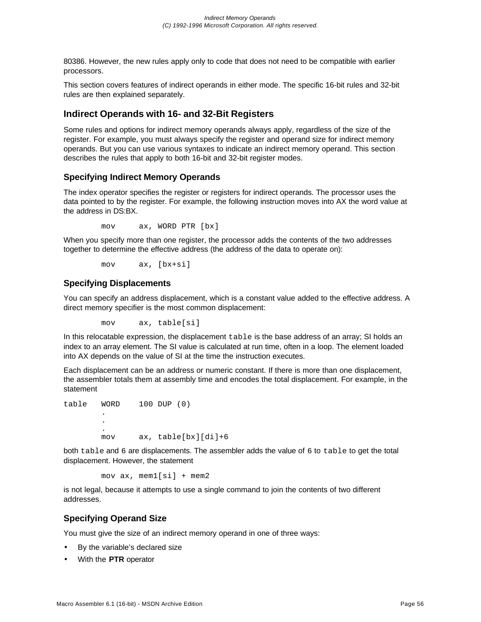80386. However, the new rules apply only to code that does not need to be compatible with earlier processors.

This section covers features of indirect operands in either mode. The specific 16-bit rules and 32-bit rules are then explained separately.

#### **Indirect Operands with 16- and 32-Bit Registers**

Some rules and options for indirect memory operands always apply, regardless of the size of the register. For example, you must always specify the register and operand size for indirect memory operands. But you can use various syntaxes to indicate an indirect memory operand. This section describes the rules that apply to both 16-bit and 32-bit register modes.

#### **Specifying Indirect Memory Operands**

The index operator specifies the register or registers for indirect operands. The processor uses the data pointed to by the register. For example, the following instruction moves into AX the word value at the address in DS:BX.

mov ax, WORD PTR [bx]

When you specify more than one register, the processor adds the contents of the two addresses together to determine the effective address (the address of the data to operate on):

mov ax, [bx+si]

#### **Specifying Displacements**

You can specify an address displacement, which is a constant value added to the effective address. A direct memory specifier is the most common displacement:

mov ax, table[si]

In this relocatable expression, the displacement table is the base address of an array; SI holds an index to an array element. The SI value is calculated at run time, often in a loop. The element loaded into AX depends on the value of SI at the time the instruction executes.

Each displacement can be an address or numeric constant. If there is more than one displacement, the assembler totals them at assembly time and encodes the total displacement. For example, in the statement

```
table WORD 100 DUP (0)
 .
 .
 .
      mov ax, table[bx][di]+6
```
both table and 6 are displacements. The assembler adds the value of 6 to table to get the total displacement. However, the statement

mov ax, mem1[si] + mem2

is not legal, because it attempts to use a single command to join the contents of two different addresses.

#### **Specifying Operand Size**

You must give the size of an indirect memory operand in one of three ways:

- By the variable's declared size
- With the **PTR** operator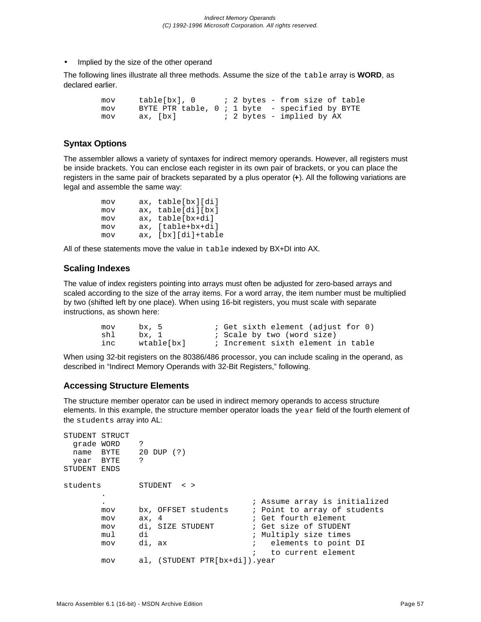Implied by the size of the other operand

The following lines illustrate all three methods. Assume the size of the table array is **WORD**, as declared earlier.

> mov table[bx], 0 ; 2 bytes - from size of table mov BYTE PTR table, 0 ; 1 byte - specified by BYTE mov ax, [bx]  $\qquad$  ; 2 bytes - implied by AX

### **Syntax Options**

The assembler allows a variety of syntaxes for indirect memory operands. However, all registers must be inside brackets. You can enclose each register in its own pair of brackets, or you can place the registers in the same pair of brackets separated by a plus operator (**+**). All the following variations are legal and assemble the same way:

> mov ax, table[bx][di] mov ax, table[di][bx] mov ax, table[bx+di] mov ax, [table+bx+di] mov ax, [bx][di]+table

All of these statements move the value in table indexed by BX+DI into AX.

### **Scaling Indexes**

The value of index registers pointing into arrays must often be adjusted for zero-based arrays and scaled according to the size of the array items. For a word array, the item number must be multiplied by two (shifted left by one place). When using 16-bit registers, you must scale with separate instructions, as shown here:

| mov | bx, 5      | ; Get sixth element (adjust for 0) |  |  |  |
|-----|------------|------------------------------------|--|--|--|
| shl | bx. 1      | ; Scale by two (word size)         |  |  |  |
| inc | wtable[bx] | ; Increment sixth element in table |  |  |  |

When using 32-bit registers on the 80386/486 processor, you can include scaling in the operand, as described in "Indirect Memory Operands with 32-Bit Registers," following.

### **Accessing Structure Elements**

The structure member operator can be used in indirect memory operands to access structure elements. In this example, the structure member operator loads the year field of the fourth element of the students array into AL:

```
STUDENT STRUCT
 grade WORD ?<br>name BYTE 20 DUP (?)
 name BYTE
  year BYTE ?
STUDENT ENDS
students STUDENT < >
 .
        .<br>mov      bx, OFFSET students       ; Point to array of students
         mov bx, OFFSET students ; Point to array of students
        mov ax, 4 ; Get fourth element<br>mov di, SIZE STUDENT ; Get size of STUDEN
        mov di, SIZE STUDENT ; Get size of STUDENT<br>mul di ; Multiply size times
         mul di ; Multiply size times
        mov di, ax \qquad \qquad ; \qquad elements to point DI
                                          ; to current element
         mov al, (STUDENT PTR[bx+di]).year
```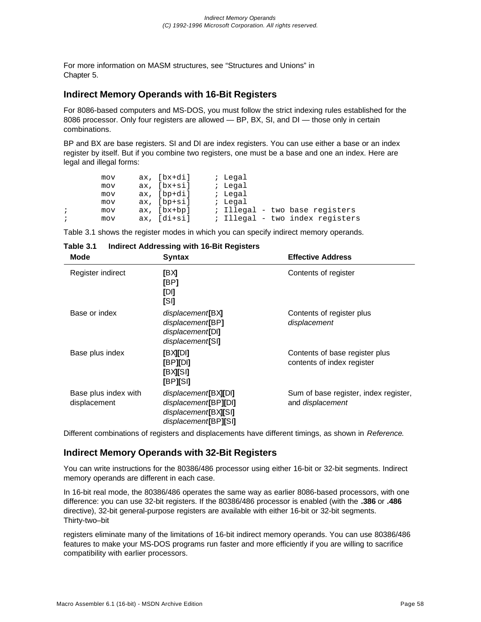For more information on MASM structures, see "Structures and Unions" in Chapter 5.

#### **Indirect Memory Operands with 16-Bit Registers**

For 8086-based computers and MS-DOS, you must follow the strict indexing rules established for the 8086 processor. Only four registers are allowed — BP, BX, SI, and DI — those only in certain combinations.

BP and BX are base registers. SI and DI are index registers. You can use either a base or an index register by itself. But if you combine two registers, one must be a base and one an index. Here are legal and illegal forms:

|            | mov | $ax, [bx+di]$ | ; Legal                         |  |  |  |
|------------|-----|---------------|---------------------------------|--|--|--|
|            | mov | $ax, [bx+si]$ | ; Legal                         |  |  |  |
|            | mov | $ax, [bp+di]$ | ; Legal                         |  |  |  |
|            | mov | ax, [bpsi]    | ; Legal                         |  |  |  |
| $\ddot{i}$ | mov | $ax, [bx+bp]$ | ; Illegal - two base registers  |  |  |  |
| $\ddot{i}$ | mov | ax, [di+si]   | ; Illegal - two index registers |  |  |  |
|            |     |               |                                 |  |  |  |

Table 3.1 shows the register modes in which you can specify indirect memory operands.

| <b>Mode</b>                          | Syntax                                                                                                               | <b>Effective Address</b>                                     |
|--------------------------------------|----------------------------------------------------------------------------------------------------------------------|--------------------------------------------------------------|
| Register indirect                    | [BX]<br>[BP]<br>[DI]<br>[SI]                                                                                         | Contents of register                                         |
| Base or index                        | displacement[BX]<br>displacement <sup>[BP]</sup><br>displacement <sup>[DI]</sup><br>displacement <sup>[SI]</sup>     | Contents of register plus<br>displacement                    |
| Base plus index                      | [BX][D]<br>[BP][D]<br>[BX][SI]<br>[BP][SI]                                                                           | Contents of base register plus<br>contents of index register |
| Base plus index with<br>displacement | displacement <sup>[BX][DI]</sup><br>displacement <sup>[BP][DI]</sup><br>displacement[BX][SI]<br>displacement[BP][SI] | Sum of base register, index register,<br>and displacement    |

#### **Table 3.1 Indirect Addressing with 16-Bit Registers**

Different combinations of registers and displacements have different timings, as shown in *Reference*.

### **Indirect Memory Operands with 32-Bit Registers**

You can write instructions for the 80386/486 processor using either 16-bit or 32-bit segments. Indirect memory operands are different in each case.

In 16-bit real mode, the 80386/486 operates the same way as earlier 8086-based processors, with one difference: you can use 32-bit registers. If the 80386/486 processor is enabled (with the **.386** or **.486** directive), 32-bit general-purpose registers are available with either 16-bit or 32-bit segments. Thirty-two–bit

registers eliminate many of the limitations of 16-bit indirect memory operands. You can use 80386/486 features to make your MS-DOS programs run faster and more efficiently if you are willing to sacrifice compatibility with earlier processors.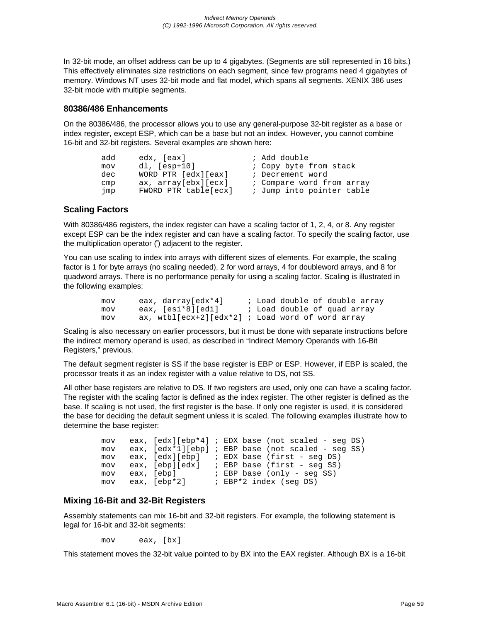In 32-bit mode, an offset address can be up to 4 gigabytes. (Segments are still represented in 16 bits.) This effectively eliminates size restrictions on each segment, since few programs need 4 gigabytes of memory. Windows NT uses 32-bit mode and flat model, which spans all segments. XENIX 386 uses 32-bit mode with multiple segments.

#### **80386/486 Enhancements**

On the 80386/486, the processor allows you to use any general-purpose 32-bit register as a base or index register, except ESP, which can be a base but not an index. However, you cannot combine 16-bit and 32-bit registers. Several examples are shown here:

```
add edx, [eax] ; Add double
mov dl, [esp+10]               ; Copy byte from stack
dec WORD PTR [edx][eax] ; Decrement word
 cmp ax, array[ebx][ecx] ; Compare word from array
 jmp FWORD PTR table[ecx] ; Jump into pointer table
```
#### **Scaling Factors**

With 80386/486 registers, the index register can have a scaling factor of 1, 2, 4, or 8. Any register except ESP can be the index register and can have a scaling factor. To specify the scaling factor, use the multiplication operator (**\*** ) adjacent to the register.

You can use scaling to index into arrays with different sizes of elements. For example, the scaling factor is 1 for byte arrays (no scaling needed), 2 for word arrays, 4 for doubleword arrays, and 8 for quadword arrays. There is no performance penalty for using a scaling factor. Scaling is illustrated in the following examples:

```
 mov eax, darray[edx*4] ; Load double of double array
 mov eax, [esi*8][edi] ; Load double of quad array
       mov ax, wtbl[ecx+2][edx*2] ; Load word of word array
```
Scaling is also necessary on earlier processors, but it must be done with separate instructions before the indirect memory operand is used, as described in "Indirect Memory Operands with 16-Bit Registers," previous.

The default segment register is SS if the base register is EBP or ESP. However, if EBP is scaled, the processor treats it as an index register with a value relative to DS, not SS.

All other base registers are relative to DS. If two registers are used, only one can have a scaling factor. The register with the scaling factor is defined as the index register. The other register is defined as the base. If scaling is not used, the first register is the base. If only one register is used, it is considered the base for deciding the default segment unless it is scaled. The following examples illustrate how to determine the base register:

```
 mov eax, [edx][ebp*4] ; EDX base (not scaled - seg DS)
       mov eax, [edx*1][ebp] ; EBP base (not scaled - seg SS)
       mov eax, [edx][ebp] ; EDX base (first - seg DS)
       mov eax, [ebp][edx] ; EBP base (first - seg SS)
 mov eax, [ebp] ; EBP base (only - seg SS)
 mov eax, [ebp*2] ; EBP*2 index (seg DS)
```
#### **Mixing 16-Bit and 32-Bit Registers**

Assembly statements can mix 16-bit and 32-bit registers. For example, the following statement is legal for 16-bit and 32-bit segments:

mov eax, [bx]

This statement moves the 32-bit value pointed to by BX into the EAX register. Although BX is a 16-bit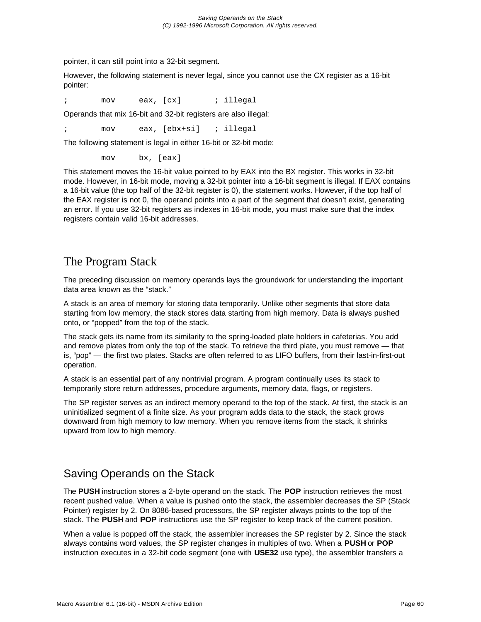pointer, it can still point into a 32-bit segment.

However, the following statement is never legal, since you cannot use the CX register as a 16-bit pointer:

; mov eax, [cx] ; illegal

Operands that mix 16-bit and 32-bit registers are also illegal:

; mov eax, [ebx+si] ; illegal

The following statement is legal in either 16-bit or 32-bit mode:

mov bx, [eax]

This statement moves the 16-bit value pointed to by EAX into the BX register. This works in 32-bit mode. However, in 16-bit mode, moving a 32-bit pointer into a 16-bit segment is illegal. If EAX contains a 16-bit value (the top half of the 32-bit register is 0), the statement works. However, if the top half of the EAX register is not 0, the operand points into a part of the segment that doesn't exist, generating an error. If you use 32-bit registers as indexes in 16-bit mode, you must make sure that the index registers contain valid 16-bit addresses.

### The Program Stack

The preceding discussion on memory operands lays the groundwork for understanding the important data area known as the "stack."

A stack is an area of memory for storing data temporarily. Unlike other segments that store data starting from low memory, the stack stores data starting from high memory. Data is always pushed onto, or "popped" from the top of the stack.

The stack gets its name from its similarity to the spring-loaded plate holders in cafeterias. You add and remove plates from only the top of the stack. To retrieve the third plate, you must remove — that is, "pop" — the first two plates. Stacks are often referred to as LIFO buffers, from their last-in-first-out operation.

A stack is an essential part of any nontrivial program. A program continually uses its stack to temporarily store return addresses, procedure arguments, memory data, flags, or registers.

The SP register serves as an indirect memory operand to the top of the stack. At first, the stack is an uninitialized segment of a finite size. As your program adds data to the stack, the stack grows downward from high memory to low memory. When you remove items from the stack, it shrinks upward from low to high memory.

### Saving Operands on the Stack

The **PUSH** instruction stores a 2-byte operand on the stack. The **POP** instruction retrieves the most recent pushed value. When a value is pushed onto the stack, the assembler decreases the SP (Stack Pointer) register by 2. On 8086-based processors, the SP register always points to the top of the stack. The **PUSH** and **POP** instructions use the SP register to keep track of the current position.

When a value is popped off the stack, the assembler increases the SP register by 2. Since the stack always contains word values, the SP register changes in multiples of two. When a **PUSH** or **POP** instruction executes in a 32-bit code segment (one with **USE32** use type), the assembler transfers a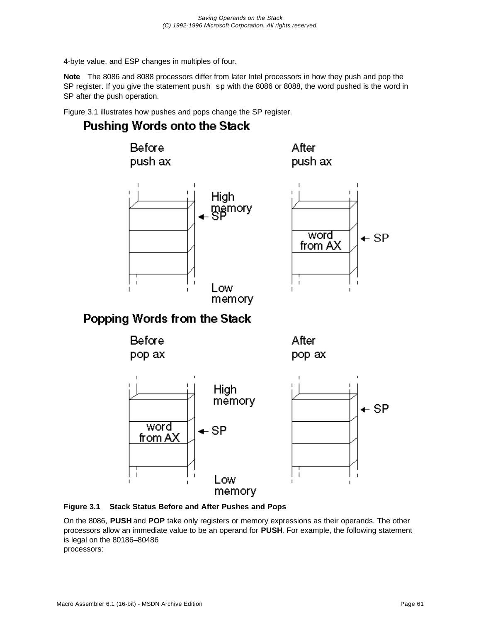4-byte value, and ESP changes in multiples of four.

**Note** The 8086 and 8088 processors differ from later Intel processors in how they push and pop the SP register. If you give the statement push sp with the 8086 or 8088, the word pushed is the word in SP after the push operation.

Figure 3.1 illustrates how pushes and pops change the SP register.

# **Pushing Words onto the Stack**





**Figure 3.1 Stack Status Before and After Pushes and Pops**

On the 8086, **PUSH** and **POP** take only registers or memory expressions as their operands. The other processors allow an immediate value to be an operand for **PUSH**. For example, the following statement is legal on the 80186–80486

processors: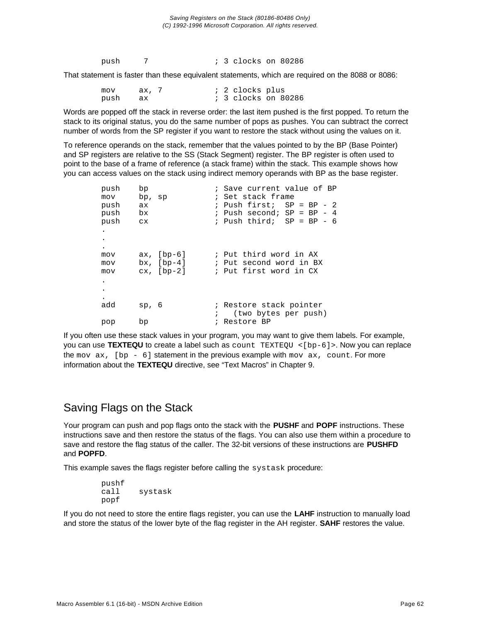push 7 ; 3 clocks on 80286

That statement is faster than these equivalent statements, which are required on the 8088 or 8086:

| mov  | ax. 7 |  | ; 2 clocks plus       |  |
|------|-------|--|-----------------------|--|
| push | ax    |  | $: 3$ clocks on 80286 |  |

Words are popped off the stack in reverse order: the last item pushed is the first popped. To return the stack to its original status, you do the same number of pops as pushes. You can subtract the correct number of words from the SP register if you want to restore the stack without using the values on it.

To reference operands on the stack, remember that the values pointed to by the BP (Base Pointer) and SP registers are relative to the SS (Stack Segment) register. The BP register is often used to point to the base of a frame of reference (a stack frame) within the stack. This example shows how you can access values on the stack using indirect memory operands with BP as the base register.

```
 push bp ; Save current value of BP
      mov bp, sp            ; Set stack frame<br>push                             ; Push first; SP
       push ax ; Push first; SP = BP - 2
       push bx ; Push second; SP = BP - 4
       push cx ; Push third; SP = BP - 6
 .
 .
 .
       mov ax, [bp-6] ; Put third word in AX
       mov bx, [bp-4] ; Put second word in BX
       mov cx, [bp-2] ; Put first word in CX
 .
 .
 .
      add sp, 6 ; Restore stack pointer
                          ; (two bytes per push)
       pop bp ; Restore BP
```
If you often use these stack values in your program, you may want to give them labels. For example, you can use TEXTEQU to create a label such as count TEXTEQU <[bp-6]>. Now you can replace the mov  $ax$ ,  $[bp - 6]$  statement in the previous example with mov  $ax$ , count. For more information about the **TEXTEQU** directive, see "Text Macros" in Chapter 9.

### Saving Flags on the Stack

Your program can push and pop flags onto the stack with the **PUSHF** and **POPF** instructions. These instructions save and then restore the status of the flags. You can also use them within a procedure to save and restore the flag status of the caller. The 32-bit versions of these instructions are **PUSHFD** and **POPFD**.

This example saves the flags register before calling the systask procedure:

```
 pushf
         systask
 popf
```
If you do not need to store the entire flags register, you can use the **LAHF** instruction to manually load and store the status of the lower byte of the flag register in the AH register. **SAHF** restores the value.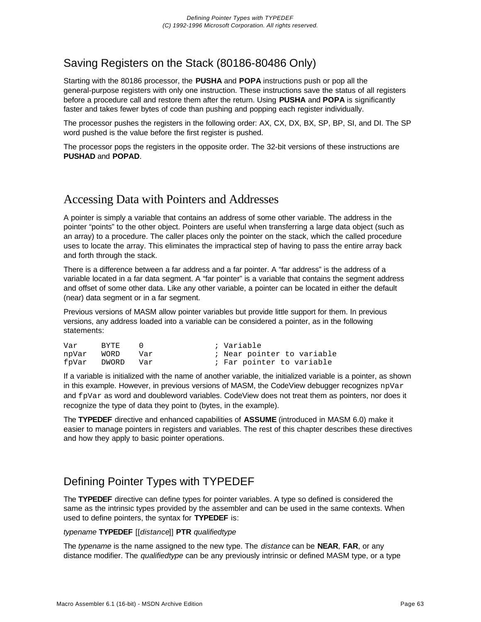# Saving Registers on the Stack (80186-80486 Only)

Starting with the 80186 processor, the **PUSHA** and **POPA** instructions push or pop all the general-purpose registers with only one instruction. These instructions save the status of all registers before a procedure call and restore them after the return. Using **PUSHA** and **POPA** is significantly faster and takes fewer bytes of code than pushing and popping each register individually.

The processor pushes the registers in the following order: AX, CX, DX, BX, SP, BP, SI, and DI. The SP word pushed is the value before the first register is pushed.

The processor pops the registers in the opposite order. The 32-bit versions of these instructions are **PUSHAD** and **POPAD**.

### Accessing Data with Pointers and Addresses

A pointer is simply a variable that contains an address of some other variable. The address in the pointer "points" to the other object. Pointers are useful when transferring a large data object (such as an array) to a procedure. The caller places only the pointer on the stack, which the called procedure uses to locate the array. This eliminates the impractical step of having to pass the entire array back and forth through the stack.

There is a difference between a far address and a far pointer. A "far address" is the address of a variable located in a far data segment. A "far pointer" is a variable that contains the segment address and offset of some other data. Like any other variable, a pointer can be located in either the default (near) data segment or in a far segment.

Previous versions of MASM allow pointer variables but provide little support for them. In previous versions, any address loaded into a variable can be considered a pointer, as in the following statements:

| Var        | BYTE.           |     | ; Variable                 |
|------------|-----------------|-----|----------------------------|
| npVar WORD |                 | Var | ; Near pointer to variable |
|            | fpVar DWORD Var |     | ; Far pointer to variable  |

If a variable is initialized with the name of another variable, the initialized variable is a pointer, as shown in this example. However, in previous versions of MASM, the CodeView debugger recognizes  $npVar$ and fpVar as word and doubleword variables. CodeView does not treat them as pointers, nor does it recognize the type of data they point to (bytes, in the example).

The **TYPEDEF** directive and enhanced capabilities of **ASSUME** (introduced in MASM 6.0) make it easier to manage pointers in registers and variables. The rest of this chapter describes these directives and how they apply to basic pointer operations.

# Defining Pointer Types with TYPEDEF

The **TYPEDEF** directive can define types for pointer variables. A type so defined is considered the same as the intrinsic types provided by the assembler and can be used in the same contexts. When used to define pointers, the syntax for **TYPEDEF** is:

#### *typename* **TYPEDEF** [[*distance*]] **PTR** *qualifiedtype*

The *typename* is the name assigned to the new type. The *distance* can be **NEAR**, **FAR**, or any distance modifier. The *qualifiedtype* can be any previously intrinsic or defined MASM type, or a type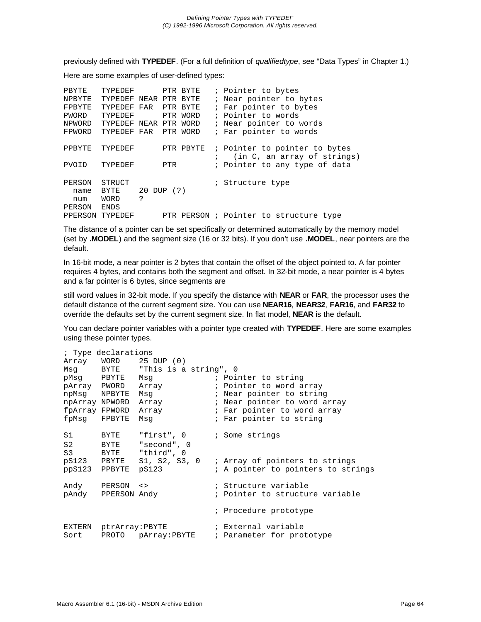previously defined with **TYPEDEF**. (For a full definition of *qualifiedtype*, see "Data Types" in Chapter 1.)

Here are some examples of user-defined types:

| PRYTE.                          | TYPEDEF                        |                  |     | PTR BYTE  | ; Pointer to bytes                                           |
|---------------------------------|--------------------------------|------------------|-----|-----------|--------------------------------------------------------------|
| <b>NPBYTE</b>                   | TYPEDEF NEAR PTR BYTE          |                  |     |           | ; Near pointer to bytes                                      |
| <b>FPBYTE</b>                   | TYPEDEF FAR PTR BYTE           |                  |     |           | ; Far pointer to bytes                                       |
| PWORD                           | TYPEDEF                        |                  |     | PTR WORD  | ; Pointer to words                                           |
| NPWORD                          | TYPEDEF NEAR PTR WORD          |                  |     |           | ; Near pointer to words                                      |
| FPWORD                          | TYPEDEF FAR                    |                  |     | PTR WORD  | ; Far pointer to words                                       |
| PPBYTE                          | TYPEDEF                        |                  |     | PTR PBYTE | ; Pointer to pointer to bytes<br>(in C, an array of strings) |
| PVOID                           | TYPEDEF                        |                  | PTR |           | ; Pointer to any type of data                                |
| PERSON<br>name<br>num<br>PERSON | STRUCT<br>BYTE<br>WORD<br>ENDS | 20 DUP (?)<br>S. |     |           | ; Structure type                                             |
| PPERSON TYPEDEF                 |                                |                  |     |           | PTR PERSON ; Pointer to structure type                       |

The distance of a pointer can be set specifically or determined automatically by the memory model (set by **.MODEL**) and the segment size (16 or 32 bits). If you don't use **.MODEL**, near pointers are the default.

In 16-bit mode, a near pointer is 2 bytes that contain the offset of the object pointed to. A far pointer requires 4 bytes, and contains both the segment and offset. In 32-bit mode, a near pointer is 4 bytes and a far pointer is 6 bytes, since segments are

still word values in 32-bit mode. If you specify the distance with **NEAR** or **FAR**, the processor uses the default distance of the current segment size. You can use **NEAR16**, **NEAR32**, **FAR16**, and **FAR32** to override the defaults set by the current segment size. In flat model, **NEAR** is the default.

You can declare pointer variables with a pointer type created with **TYPEDEF**. Here are some examples using these pointer types.

|               | ; Type declarations    |                                |                                                    |
|---------------|------------------------|--------------------------------|----------------------------------------------------|
|               |                        | Array WORD 25 DUP (0)          |                                                    |
|               |                        | Msg BYTE "This is a string", 0 |                                                    |
|               | pMsg PBYTE Msg         |                                | ; Pointer to string                                |
|               | pArray PWORD           |                                | Array (a) i Pointer to word array                  |
|               | npMsq NPBYTE           |                                |                                                    |
|               | npArray NPWORD         |                                | Array $\qquad \qquad$ ; Near pointer to word array |
|               | fpArray FPWORD         |                                | Array (a) i Far pointer to word array              |
|               | fpMsq FPBYTE           | Msq                            | ; Far pointer to string                            |
| S1            |                        | BYTE "first", 0 ; Some strings |                                                    |
| S2            |                        | BYTE        "second",   0      |                                                    |
| S3            |                        | BYTE "third", 0                |                                                    |
|               | pS123 PBYTE            |                                | $S1, S2, S3, 0$ ; Array of pointers to strings     |
| ppS123 PPBYTE |                        | pS123                          | ; A pointer to pointers to strings                 |
|               | Andy PERSON <>         |                                | ; Structure variable                               |
|               | pAndy PPERSON Andy     |                                | ; Pointer to structure variable                    |
|               |                        |                                |                                                    |
|               |                        |                                | ; Procedure prototype                              |
|               | EXTERN ptrArray: PBYTE |                                | ; External variable                                |
| Sort          |                        | PROTO pArray: PBYTE            | ; Parameter for prototype                          |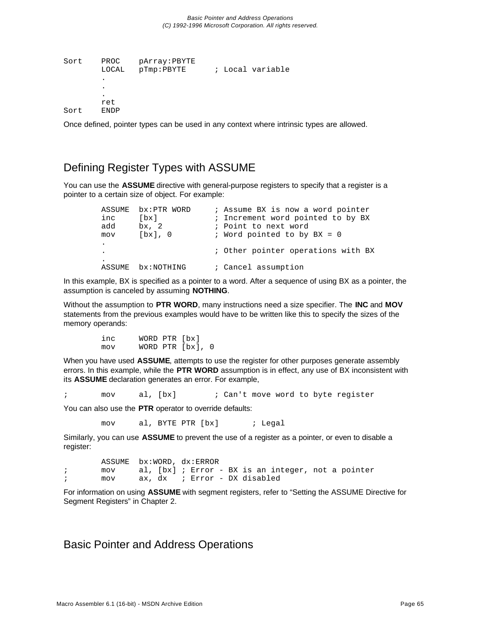```
Sort PROC pArray:PBYTE<br>LOCAL pTmp:PBYTE
               pTmp:PBYTE ; Local variable
 .
 .
 .
       ret<br>ENDP
Sort
```
Once defined, pointer types can be used in any context where intrinsic types are allowed.

## Defining Register Types with ASSUME

You can use the **ASSUME** directive with general-purpose registers to specify that a register is a pointer to a certain size of object. For example:

| ASSUME | bx:PTR WORD | ; Assume BX is now a word pointer  |
|--------|-------------|------------------------------------|
| inc    | [bx]        | ; Increment word pointed to by BX  |
| add    | bx, 2       | ; Point to next word               |
| mov    | $[bx]$ , 0  | ; Word pointed to by $BX = 0$      |
| ٠      |             |                                    |
|        |             | ; Other pointer operations with BX |
| ٠      |             |                                    |
| ASSUME | bx:NOTHING  | ; Cancel assumption                |

In this example, BX is specified as a pointer to a word. After a sequence of using BX as a pointer, the assumption is canceled by assuming **NOTHING**.

Without the assumption to **PTR WORD**, many instructions need a size specifier. The **INC** and **MOV** statements from the previous examples would have to be written like this to specify the sizes of the memory operands:

> inc WORD PTR [bx] mov WORD PTR [bx], 0

When you have used **ASSUME**, attempts to use the register for other purposes generate assembly errors. In this example, while the **PTR WORD** assumption is in effect, any use of BX inconsistent with its **ASSUME** declaration generates an error. For example,

; mov al, [bx] ; Can't move word to byte register

You can also use the **PTR** operator to override defaults:

mov al, BYTE PTR [bx] ; Legal

Similarly, you can use **ASSUME** to prevent the use of a register as a pointer, or even to disable a register:

 ASSUME bx:WORD, dx:ERROR ; mov al, [bx] ; Error - BX is an integer, not a pointer ; mov ax, dx ; Error - DX disabled

For information on using **ASSUME** with segment registers, refer to "Setting the ASSUME Directive for Segment Registers" in Chapter 2.

### Basic Pointer and Address Operations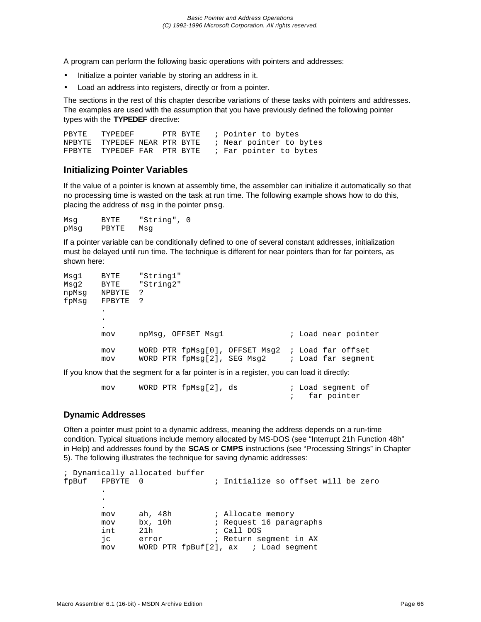A program can perform the following basic operations with pointers and addresses:

- Initialize a pointer variable by storing an address in it.
- Load an address into registers, directly or from a pointer.

The sections in the rest of this chapter describe variations of these tasks with pointers and addresses. The examples are used with the assumption that you have previously defined the following pointer types with the **TYPEDEF** directive:

PBYTE TYPEDEF PTR BYTE ; Pointer to bytes NPBYTE TYPEDEF NEAR PTR BYTE ; Near pointer to bytes FPBYTE TYPEDEF FAR PTR BYTE ; Far pointer to bytes

### **Initializing Pointer Variables**

If the value of a pointer is known at assembly time, the assembler can initialize it automatically so that no processing time is wasted on the task at run time. The following example shows how to do this, placing the address of  $msg$  in the pointer pmsq.

Msg BYTE "String", 0<br>pMsg PBYTE Msg PBYTE Msq

If a pointer variable can be conditionally defined to one of several constant addresses, initialization must be delayed until run time. The technique is different for near pointers than for far pointers, as shown here:

```
Msg1 BYTE "String1"<br>Msg2 BYTE "String2"
              "String2"
npMsg NPBYTE ?
fpMsg FPBYTE ?
 .
 .
 .
       mov npMsq, OFFSET Msq1 (a) i Load near pointer
        mov WORD PTR fpMsg[0], OFFSET Msg2 ; Load far offset
       mov WORD PTR fpMsg[2], SEG Msg2 ; Load far segment
```
If you know that the segment for a far pointer is in a register, you can load it directly:

```
mov WORD PTR fpMsq[2], ds \qquad \qquad ; Load seqment of
                                         far pointer
```
#### **Dynamic Addresses**

Often a pointer must point to a dynamic address, meaning the address depends on a run-time condition. Typical situations include memory allocated by MS-DOS (see "Interrupt 21h Function 48h" in Help) and addresses found by the **SCAS** or **CMPS** instructions (see "Processing Strings" in Chapter 5). The following illustrates the technique for saving dynamic addresses:

```
; Dynamically allocated buffer<br>f¤Buf   FPBYTE  0
fpBuf FPBYTE 0 ; Initialize so offset will be zero
 .
 .
 .
      mov ah, 48h ; Allocate memory
      mov bx, 10h ; Request 16 paragraphs<br>int 21h ; Call DOS
      int 21h ; Call DOS
       jc error ; Return segment in AX
       mov WORD PTR fpBuf[2], ax ; Load segment
```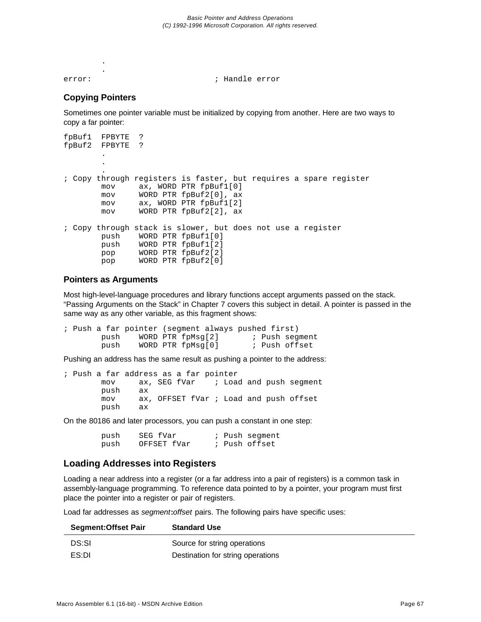. .

error:  $i$  Handle error

### **Copying Pointers**

Sometimes one pointer variable must be initialized by copying from another. Here are two ways to copy a far pointer:

```
fpBuf1 FPBYTE ?
fpBuf2 FPBYTE ?
 .
 .
 .
; Copy through registers is faster, but requires a spare register
              ax, WORD PTR fpBuf1[0]
        mov WORD PTR fpBuf2[0], ax
        mov ax, WORD PTR fpBuf1[2]
        mov WORD PTR fpBuf2[2], ax
; Copy through stack is slower, but does not use a register
        push WORD PTR fpBuf1[0]
        push WORD PTR fpBuf1[2]
        pop WORD PTR fpBuf2[2]
        pop WORD PTR fpBuf2[0]
```
#### **Pointers as Arguments**

Most high-level-language procedures and library functions accept arguments passed on the stack. "Passing Arguments on the Stack" in Chapter 7 covers this subject in detail. A pointer is passed in the same way as any other variable, as this fragment shows:

|  |      | ; Push a far pointer (seqment always pushed first) |  |  |  |                |
|--|------|----------------------------------------------------|--|--|--|----------------|
|  | push | WORD PTR fpMsq[2]                                  |  |  |  | ; Push seqment |
|  | push | WORD PTR fpMsq[0]                                  |  |  |  | ; Push offset  |

Pushing an address has the same result as pushing a pointer to the address:

```
; Push a far address as a far pointer
       mov ax, SEG fVar ; Load and push segment
        push ax
        mov ax, OFFSET fVar ; Load and push offset
       push
```
On the 80186 and later processors, you can push a constant in one step:

| push | SEG fVar    |  | ; Push segment |
|------|-------------|--|----------------|
| push | OFFSET fVar |  | ; Push offset  |

### **Loading Addresses into Registers**

**Segment:Offset Pair Standard Use**

Loading a near address into a register (or a far address into a pair of registers) is a common task in assembly-language programming. To reference data pointed to by a pointer, your program must first place the pointer into a register or pair of registers.

Load far addresses as *segment***:***offset* pairs. The following pairs have specific uses:

| Segment:Offset Pair | standard Use                      |
|---------------------|-----------------------------------|
| DS:SI               | Source for string operations      |
| ES:DI               | Destination for string operations |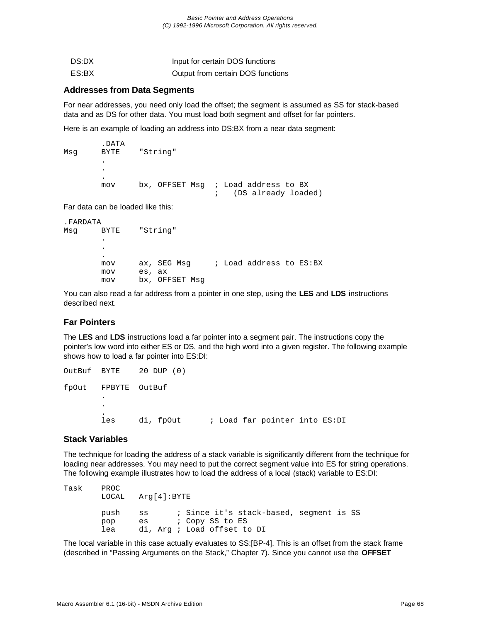| DS:DX | Input for certain DOS functions   |
|-------|-----------------------------------|
| ES:BX | Output from certain DOS functions |

#### **Addresses from Data Segments**

For near addresses, you need only load the offset; the segment is assumed as SS for stack-based data and as DS for other data. You must load both segment and offset for far pointers.

Here is an example of loading an address into DS:BX from a near data segment:

 .DATA "String" . . . mov bx, OFFSET Msg ; Load address to BX ; (DS already loaded)

Far data can be loaded like this:

```
.FARDATA<br>Msq          BYTE
Msg BYTE "String"
 .
 .
 .
      mov ax, SEG Msg ; Load address to ES: BX
       mov es, ax
       mov bx, OFFSET Msg
```
You can also read a far address from a pointer in one step, using the **LES** and **LDS** instructions described next.

#### **Far Pointers**

The **LES** and **LDS** instructions load a far pointer into a segment pair. The instructions copy the pointer's low word into either ES or DS, and the high word into a given register. The following example shows how to load a far pointer into ES:DI:

```
OutBuf BYTE 20 DUP (0)
fpOut FPBYTE OutBuf
 .
 .
 .
      les di, fpOut ; Load far pointer into ES: DI
```
#### **Stack Variables**

The technique for loading the address of a stack variable is significantly different from the technique for loading near addresses. You may need to put the correct segment value into ES for string operations. The following example illustrates how to load the address of a local (stack) variable to ES:DI:

```
Task PROC
             Arg[4]:BYTE
      push ss : Since it's stack-based, segment is SS
       pop es ; Copy SS to ES
       lea di, Arg ; Load offset to DI
```
The local variable in this case actually evaluates to SS:[BP-4]. This is an offset from the stack frame (described in "Passing Arguments on the Stack," Chapter 7). Since you cannot use the **OFFSET**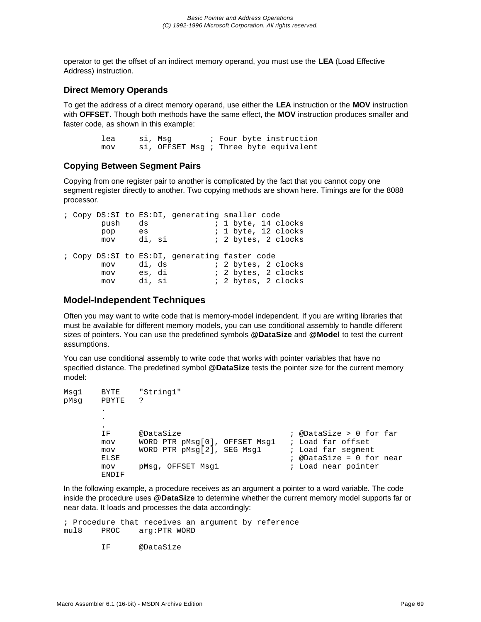operator to get the offset of an indirect memory operand, you must use the **LEA** (Load Effective Address) instruction.

#### **Direct Memory Operands**

To get the address of a direct memory operand, use either the **LEA** instruction or the **MOV** instruction with **OFFSET**. Though both methods have the same effect, the **MOV** instruction produces smaller and faster code, as shown in this example:

> lea si, Msq  $\qquad$  ; Four byte instruction mov si, OFFSET Msg ; Three byte equivalent

#### **Copying Between Segment Pairs**

Copying from one register pair to another is complicated by the fact that you cannot copy one segment register directly to another. Two copying methods are shown here. Timings are for the 8088 processor.

|  |      |            | ; Copy DS: SI to ES: DI, generating smaller code |                     |  |
|--|------|------------|--------------------------------------------------|---------------------|--|
|  | push | ds         |                                                  | ; 1 byte, 14 clocks |  |
|  | pop  | es         |                                                  | ; 1 byte, 12 clocks |  |
|  | mov  | di, si     |                                                  | ; 2 bytes, 2 clocks |  |
|  |      |            |                                                  |                     |  |
|  |      |            |                                                  |                     |  |
|  |      |            | ; Copy DS: SI to ES: DI, generating faster code  |                     |  |
|  | mov  | di, ds     |                                                  | ; 2 bytes, 2 clocks |  |
|  |      | mov es, di |                                                  | ; 2 bytes, 2 clocks |  |

### **Model-Independent Techniques**

Often you may want to write code that is memory-model independent. If you are writing libraries that must be available for different memory models, you can use conditional assembly to handle different sizes of pointers. You can use the predefined symbols **@DataSize** and **@Model** to test the current assumptions.

You can use conditional assembly to write code that works with pointer variables that have no specified distance. The predefined symbol **@DataSize** tests the pointer size for the current memory model:

```
Msg1 BYTE "String1"<br>pMsg PBYTE ?
      PBYTE
 .
 .
 .
       IF @DataSize ; @DataSize > 0 for far
       mov WORD PTR pMsg[0], OFFSET Msg1 ; Load far offset
      mov WORD PTR pMsg[2], SEG Msg1 ; Load far segment
      ELSE<br>mov pMsg, OFFSET Msg1 \qquad ; Load near pointer
      mov pMsq, OFFSET Msql \qquad \qquad ; Load near pointer
       ENDIF
```
In the following example, a procedure receives as an argument a pointer to a word variable. The code inside the procedure uses **@DataSize** to determine whether the current memory model supports far or near data. It loads and processes the data accordingly:

; Procedure that receives an argument by reference<br>mul8 PROC arg:PTR WORD PROC arg:PTR WORD

IF @DataSize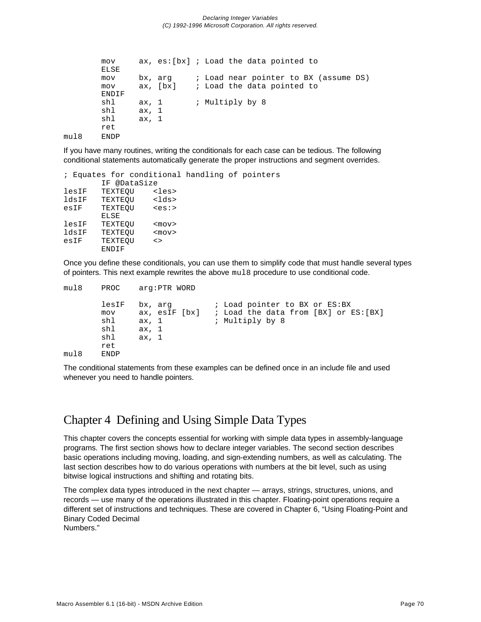#### *Declaring Integer Variables (C) 1992-1996 Microsoft Corporation. All rights reserved.*

 mov ax, es:[bx] ; Load the data pointed to ELSE mov bx, arg ; Load near pointer to BX (assume DS)<br>mov ax, [bx] ; Load the data pointed to mov ax, [bx] ; Load the data pointed to ENDIF shl ax, 1 ; Multiply by 8 shl ax, 1 shl ax, 1 ret mul8 ENDP

If you have many routines, writing the conditionals for each case can be tedious. The following conditional statements automatically generate the proper instructions and segment overrides.

|       |                 | ; Equates for conditional handling of pointers |  |  |
|-------|-----------------|------------------------------------------------|--|--|
|       | @DataSize<br>ΙF |                                                |  |  |
| lesIF | TEXTEOU         | <les></les>                                    |  |  |
| ldsIF | <b>TEXTEOU</b>  | $<$ lds>                                       |  |  |
| esIF  | TEXTEOU         | <es:< td=""><td></td><td></td></es:<>          |  |  |
|       | ELSE            |                                                |  |  |
| lesIF | TEXTEOU         | $<$ mov $>$                                    |  |  |
| ldsIF | TEXTEOU         | $<$ mov $>$                                    |  |  |
| esIF  | TEXTEOU         | $\leq$                                         |  |  |
|       | ENDIF           |                                                |  |  |

Once you define these conditionals, you can use them to simplify code that must handle several types of pointers. This next example rewrites the above mul8 procedure to use conditional code.

```
mul8 PROC arg:PTR WORD
      lesIF bx, arg \qquad ; Load pointer to BX or ES:BX
       mov ax, esIF [bx] ; Load the data from [BX] or ES:[BX]
      shl ax, 1 ; Multiply by 8
       shl ax, 1
       shl ax, 1
       ret
mul8 ENDP
```
The conditional statements from these examples can be defined once in an include file and used whenever you need to handle pointers.

### Chapter 4 Defining and Using Simple Data Types

This chapter covers the concepts essential for working with simple data types in assembly-language programs. The first section shows how to declare integer variables. The second section describes basic operations including moving, loading, and sign-extending numbers, as well as calculating. The last section describes how to do various operations with numbers at the bit level, such as using bitwise logical instructions and shifting and rotating bits.

The complex data types introduced in the next chapter — arrays, strings, structures, unions, and records — use many of the operations illustrated in this chapter. Floating-point operations require a different set of instructions and techniques. These are covered in Chapter 6, "Using Floating-Point and Binary Coded Decimal Numbers."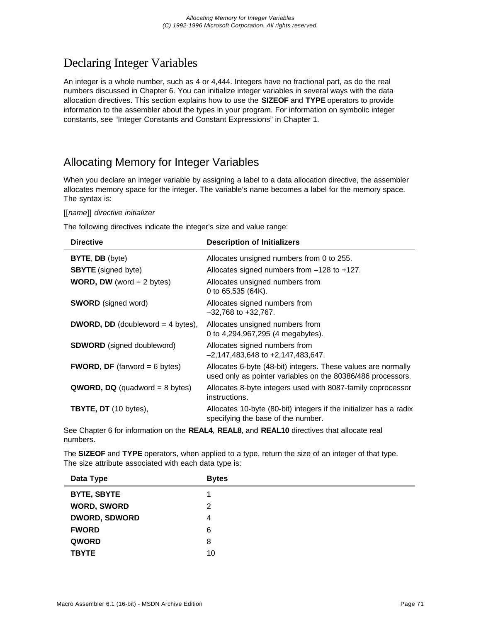# Declaring Integer Variables

An integer is a whole number, such as 4 or 4,444. Integers have no fractional part, as do the real numbers discussed in Chapter 6. You can initialize integer variables in several ways with the data allocation directives. This section explains how to use the **SIZEOF** and **TYPE** operators to provide information to the assembler about the types in your program. For information on symbolic integer constants, see "Integer Constants and Constant Expressions" in Chapter 1.

## Allocating Memory for Integer Variables

When you declare an integer variable by assigning a label to a data allocation directive, the assembler allocates memory space for the integer. The variable's name becomes a label for the memory space. The syntax is:

[[*name*]] *directive initializer*

The following directives indicate the integer's size and value range:

| <b>Directive</b>                           | <b>Description of Initializers</b>                                                                                           |
|--------------------------------------------|------------------------------------------------------------------------------------------------------------------------------|
| <b>BYTE, DB</b> (byte)                     | Allocates unsigned numbers from 0 to 255.                                                                                    |
| <b>SBYTE</b> (signed byte)                 | Allocates signed numbers from $-128$ to $+127$ .                                                                             |
| <b>WORD, DW</b> (word $= 2$ bytes)         | Allocates unsigned numbers from<br>0 to $65,535$ $(64K)$ .                                                                   |
| <b>SWORD</b> (signed word)                 | Allocates signed numbers from<br>$-32,768$ to $+32,767$ .                                                                    |
| <b>DWORD, DD</b> (doubleword $=$ 4 bytes), | Allocates unsigned numbers from<br>0 to 4,294,967,295 (4 megabytes).                                                         |
| <b>SDWORD</b> (signed doubleword)          | Allocates signed numbers from<br>$-2,147,483,648$ to $+2,147,483,647$ .                                                      |
| <b>FWORD, DF</b> (farword = 6 bytes)       | Allocates 6-byte (48-bit) integers. These values are normally<br>used only as pointer variables on the 80386/486 processors. |
| <b>QWORD, DQ</b> (quadword = $8$ bytes)    | Allocates 8-byte integers used with 8087-family coprocessor<br>instructions.                                                 |
| <b>TBYTE, DT</b> (10 bytes),               | Allocates 10-byte (80-bit) integers if the initializer has a radix<br>specifying the base of the number.                     |

See Chapter 6 for information on the **REAL4**, **REAL8**, and **REAL10** directives that allocate real numbers.

The **SIZEOF** and **TYPE** operators, when applied to a type, return the size of an integer of that type. The size attribute associated with each data type is:

| Data Type            | <b>Bytes</b> |
|----------------------|--------------|
| <b>BYTE, SBYTE</b>   | 1            |
| <b>WORD, SWORD</b>   | 2            |
| <b>DWORD, SDWORD</b> | 4            |
| <b>FWORD</b>         | 6            |
| <b>QWORD</b>         | 8            |
| <b>TBYTE</b>         | 10           |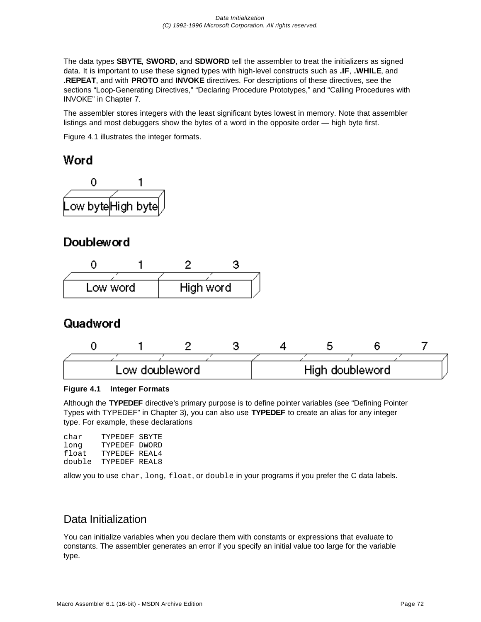The data types **SBYTE**, **SWORD**, and **SDWORD** tell the assembler to treat the initializers as signed data. It is important to use these signed types with high-level constructs such as **.IF**, **.WHILE**, and **.REPEAT**, and with **PROTO** and **INVOKE** directives. For descriptions of these directives, see the sections "Loop-Generating Directives," "Declaring Procedure Prototypes," and "Calling Procedures with INVOKE" in Chapter 7.

The assembler stores integers with the least significant bytes lowest in memory. Note that assembler listings and most debuggers show the bytes of a word in the opposite order — high byte first.

Figure 4.1 illustrates the integer formats.

### Word



### Doubleword



### Quadword



#### **Figure 4.1 Integer Formats**

Although the **TYPEDEF** directive's primary purpose is to define pointer variables (see "Defining Pointer Types with TYPEDEF" in Chapter 3), you can also use **TYPEDEF** to create an alias for any integer type. For example, these declarations

| char   | TYPEDEF       | SBYTE |
|--------|---------------|-------|
| long   | TYPEDEF DWORD |       |
| float  | TYPEDEF REAL4 |       |
| double | TYPEDEF REALS |       |

allow you to use char, long, float, or double in your programs if you prefer the C data labels.

### Data Initialization

You can initialize variables when you declare them with constants or expressions that evaluate to constants. The assembler generates an error if you specify an initial value too large for the variable type.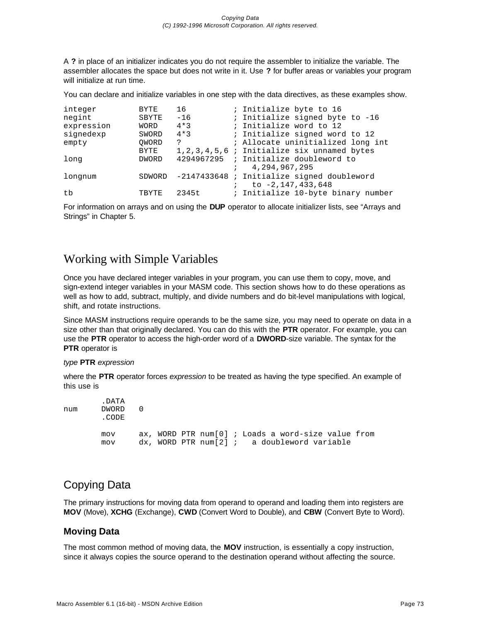A **?** in place of an initializer indicates you do not require the assembler to initialize the variable. The assembler allocates the space but does not write in it. Use **?** for buffer areas or variables your program will initialize at run time.

You can declare and initialize variables in one step with the data directives, as these examples show.

| integer    | BYTE  | 16         |            | ; Initialize byte to 16                           |
|------------|-------|------------|------------|---------------------------------------------------|
| negint     | SBYTE | $-16$      |            | ; Initialize signed byte to -16                   |
| expression | WORD  | $4*3$      |            | ; Initialize word to 12                           |
| signedexp  | SWORD | $4*3$      |            | ; Initialize signed word to 12                    |
| empty      | OWORD | $\ddot{?}$ |            | ; Allocate uninitialized long int                 |
|            | BYTE  |            |            | $1, 2, 3, 4, 5, 6$ ; Initialize six unnamed bytes |
| long       | DWORD |            |            | 4294967295 ; Initialize doubleword to             |
|            |       |            |            | 4,294,967,295                                     |
| longnum    |       |            |            | SDWORD -2147433648 ; Initialize signed doubleword |
|            |       |            | $\ddot{i}$ | to $-2, 147, 433, 648$                            |
| tb         | TBYTE | 2345t      |            | ; Initialize 10-byte binary number                |

For information on arrays and on using the **DUP** operator to allocate initializer lists, see "Arrays and Strings" in Chapter 5.

# Working with Simple Variables

Once you have declared integer variables in your program, you can use them to copy, move, and sign-extend integer variables in your MASM code. This section shows how to do these operations as well as how to add, subtract, multiply, and divide numbers and do bit-level manipulations with logical, shift, and rotate instructions.

Since MASM instructions require operands to be the same size, you may need to operate on data in a size other than that originally declared. You can do this with the **PTR** operator. For example, you can use the **PTR** operator to access the high-order word of a **DWORD**-size variable. The syntax for the **PTR** operator is

#### *type* **PTR** *expression*

where the **PTR** operator forces *expression* to be treated as having the type specified. An example of this use is

 .DATA num DWORD 0 .CODE mov ax, WORD PTR num[0] ; Loads a word-size value from mov dx, WORD PTR num[2] ; a doubleword variable

## Copying Data

The primary instructions for moving data from operand to operand and loading them into registers are **MOV** (Move), **XCHG** (Exchange), **CWD** (Convert Word to Double), and **CBW** (Convert Byte to Word).

### **Moving Data**

The most common method of moving data, the **MOV** instruction, is essentially a copy instruction, since it always copies the source operand to the destination operand without affecting the source.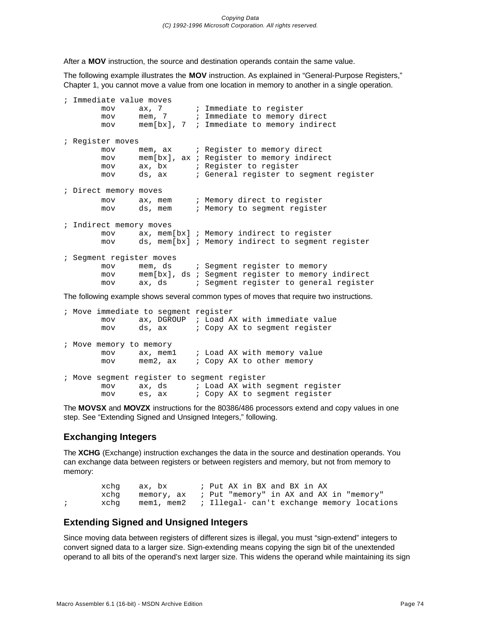After a **MOV** instruction, the source and destination operands contain the same value.

The following example illustrates the **MOV** instruction. As explained in "General-Purpose Registers," Chapter 1, you cannot move a value from one location in memory to another in a single operation.

```
; Immediate value moves
mov ax, 7 cmmediate to register
mov mem, 7 commediate to memory direct
 mov mem[bx], 7 ; Immediate to memory indirect 
; Register moves
        mov mem, ax ; Register to memory direct<br>mov mem[bx], ax ; Register to memory indire
         mov mem[bx], ax ; Register to memory indirect<br>mov ax, bx ; Register to register
         mov ax, bx ; Register to register<br>mov ds, ax ; General register to :
                               ; General register to segment register
; Direct memory moves
mov ax, mem  ; Memory direct to register
 mov ds, mem ; Memory to segment register
; Indirect memory moves
        mov ax, mem[bx] ; Memory indirect to register<br>mov ds, mem[bx] ; Memory indirect to segment
                ds, mem[bx] ; Memory indirect to segment register
; Segment register moves
         mov mem, ds  ; Segment register to memory<br>mov mem[bx], ds ; Segment register to memory
         mov mem[bx], ds ; Segment register to memory indirect<br>mov ax. ds ; Seqment reqister to general registe
                ax, ds        ; Segment register to general register
```
The following example shows several common types of moves that require two instructions.

|  | ; Move immediate to segment register        |        |                   |  |                                           |
|--|---------------------------------------------|--------|-------------------|--|-------------------------------------------|
|  | mov                                         |        |                   |  | ax, DGROUP ; Load AX with immediate value |
|  | mov                                         |        | ds, ax            |  | ; Copy AX to seqment register             |
|  |                                             |        |                   |  |                                           |
|  | ; Move memory to memory                     |        |                   |  |                                           |
|  | mov                                         |        | ax, meml          |  | ; Load AX with memory value               |
|  | mov                                         |        | $m$ em $2$ , $ax$ |  | ; Copy AX to other memory                 |
|  |                                             |        |                   |  |                                           |
|  | ; Move seqment register to seqment register |        |                   |  |                                           |
|  | mov                                         |        | ax, ds            |  | ; Load AX with segment register           |
|  | mov                                         | es, ax |                   |  | ; Copy AX to seqment register             |

The **MOVSX** and **MOVZX** instructions for the 80386/486 processors extend and copy values in one step. See "Extending Signed and Unsigned Integers," following.

### **Exchanging Integers**

The **XCHG** (Exchange) instruction exchanges the data in the source and destination operands. You can exchange data between registers or between registers and memory, but not from memory to memory:

 xchg ax, bx ; Put AX in BX and BX in AX xchg memory, ax ; Put "memory" in AX and AX in "memory" ; xchg mem1, mem2 ; Illegal- can't exchange memory locations

### **Extending Signed and Unsigned Integers**

Since moving data between registers of different sizes is illegal, you must "sign-extend" integers to convert signed data to a larger size. Sign-extending means copying the sign bit of the unextended operand to all bits of the operand's next larger size. This widens the operand while maintaining its sign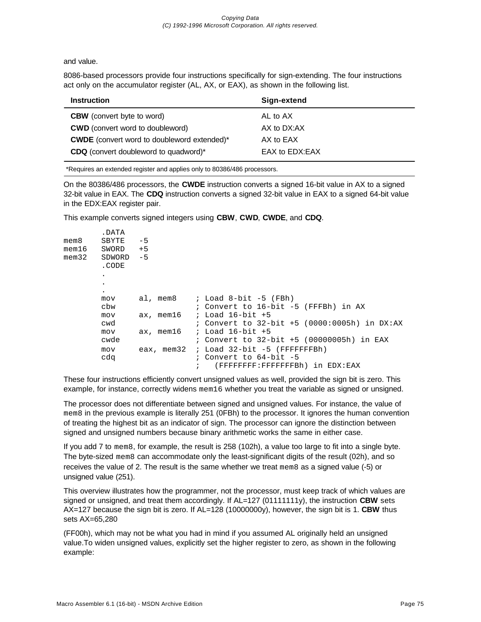and value.

8086-based processors provide four instructions specifically for sign-extending. The four instructions act only on the accumulator register (AL, AX, or EAX), as shown in the following list.

| <b>Instruction</b>                                 | Sign-extend     |
|----------------------------------------------------|-----------------|
| <b>CBW</b> (convert byte to word)                  | AL to AX        |
| <b>CWD</b> (convert word to doubleword)            | $AX$ to $DX:AX$ |
| <b>CWDE</b> (convert word to doubleword extended)* | AX to EAX       |
| <b>CDQ</b> (convert doubleword to quadword)*       | EAX to EDX:EAX  |

\*Requires an extended register and applies only to 80386/486 processors.

On the 80386/486 processors, the **CWDE** instruction converts a signed 16-bit value in AX to a signed 32-bit value in EAX. The **CDQ** instruction converts a signed 32-bit value in EAX to a signed 64-bit value in the EDX:EAX register pair.

This example converts signed integers using **CBW**, **CWD**, **CWDE**, and **CDQ**.

|       | .DATA           |      |                                                 |
|-------|-----------------|------|-------------------------------------------------|
| mem8  | SBYTE           | $-5$ |                                                 |
| mem16 | SWORD           | $+5$ |                                                 |
| mem32 | SDWORD<br>.CODE | $-5$ |                                                 |
|       |                 |      |                                                 |
|       | $\bullet$       |      |                                                 |
|       | $\bullet$       |      |                                                 |
|       | mov             |      | al, mem8     ; Load 8-bit -5 (FBh)              |
|       | cbw             |      | ; Convert to 16-bit -5 (FFFBh) in AX            |
|       | mov             |      | ax, mem16 ; Load 16-bit +5                      |
|       | cwd             |      | ; Convert to 32-bit +5 (0000:0005h) in DX:AX    |
|       | mov             |      | ax, mem16 $:$ Load 16-bit +5                    |
|       | cwde            |      | : Convert to 32-bit +5 (00000005h) in EAX       |
|       | mov             |      | eax, $mem32$ ; Load $32-bit$ -5 (FFFFFFFBh)     |
|       | cdq             |      | ; Convert to 64-bit -5                          |
|       |                 |      | (FFFFFFFF:FFFFFFFBh) in EDX:EAX<br>$\mathbf{r}$ |
|       |                 |      |                                                 |

These four instructions efficiently convert unsigned values as well, provided the sign bit is zero. This example, for instance, correctly widens mem16 whether you treat the variable as signed or unsigned.

The processor does not differentiate between signed and unsigned values. For instance, the value of mem8 in the previous example is literally 251 (0FBh) to the processor. It ignores the human convention of treating the highest bit as an indicator of sign. The processor can ignore the distinction between signed and unsigned numbers because binary arithmetic works the same in either case.

If you add 7 to mem8, for example, the result is 258 (102h), a value too large to fit into a single byte. The byte-sized mem8 can accommodate only the least-significant digits of the result (02h), and so receives the value of 2. The result is the same whether we treat mem8 as a signed value (-5) or unsigned value (251).

This overview illustrates how the programmer, not the processor, must keep track of which values are signed or unsigned, and treat them accordingly. If AL=127 (01111111y), the instruction **CBW** sets AX=127 because the sign bit is zero. If AL=128 (10000000y), however, the sign bit is 1. **CBW** thus sets AX=65,280

(FF00h), which may not be what you had in mind if you assumed AL originally held an unsigned value.To widen unsigned values, explicitly set the higher register to zero, as shown in the following example: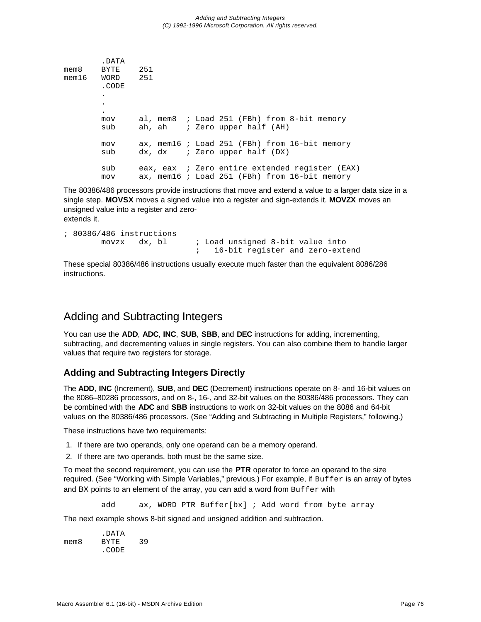#### *Adding and Subtracting Integers (C) 1992-1996 Microsoft Corporation. All rights reserved.*

```
 .DATA
mem8 BYTE 251
mem16 WORD 251
        .CODE
 .
 .
 .
       mov al, mem8 ; Load 251 (FBh) from 8-bit memory
      sub ah, ah ; Zero upper half (AH)
       mov ax, mem16 ; Load 251 (FBh) from 16-bit memory
      sub dx, dx ; Zero upper half (DX)
      sub eax, eax ; Zero entire extended register (EAX)
       mov ax, mem16 ; Load 251 (FBh) from 16-bit memory
```
The 80386/486 processors provide instructions that move and extend a value to a larger data size in a single step. **MOVSX** moves a signed value into a register and sign-extends it. **MOVZX** moves an unsigned value into a register and zeroextends it.

```
; 80386/486 instructions
```
 movzx dx, bl ; Load unsigned 8-bit value into ; 16-bit register and zero-extend

These special 80386/486 instructions usually execute much faster than the equivalent 8086/286 instructions.

# Adding and Subtracting Integers

You can use the **ADD**, **ADC**, **INC**, **SUB**, **SBB**, and **DEC** instructions for adding, incrementing, subtracting, and decrementing values in single registers. You can also combine them to handle larger values that require two registers for storage.

### **Adding and Subtracting Integers Directly**

The **ADD**, **INC** (Increment), **SUB**, and **DEC** (Decrement) instructions operate on 8- and 16-bit values on the 8086–80286 processors, and on 8-, 16-, and 32-bit values on the 80386/486 processors. They can be combined with the **ADC** and **SBB** instructions to work on 32-bit values on the 8086 and 64-bit values on the 80386/486 processors. (See "Adding and Subtracting in Multiple Registers," following.)

These instructions have two requirements:

1. If there are two operands, only one operand can be a memory operand.

2. If there are two operands, both must be the same size.

To meet the second requirement, you can use the **PTR** operator to force an operand to the size required. (See "Working with Simple Variables," previous.) For example, if Buffer is an array of bytes and BX points to an element of the array, you can add a word from  $\text{Buffer with}$ 

add ax, WORD PTR Buffer[bx] ; Add word from byte array

The next example shows 8-bit signed and unsigned addition and subtraction.

 .DATA mem8 BYTE 39 .CODE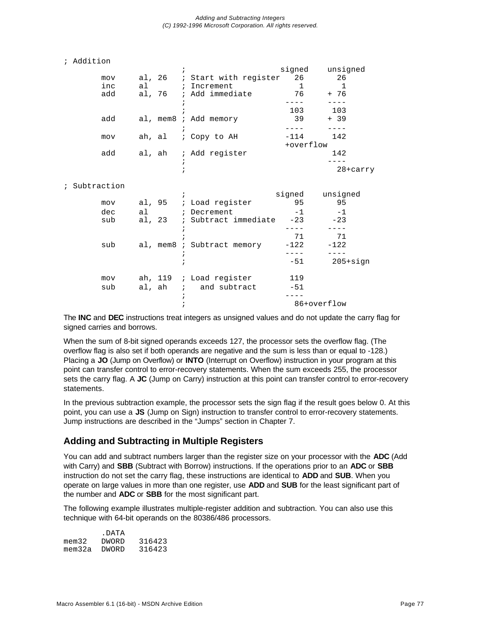#### *Adding and Subtracting Integers (C) 1992-1996 Microsoft Corporation. All rights reserved.*

| ; Addition  |    |  |                                         |                |                |
|-------------|----|--|-----------------------------------------|----------------|----------------|
|             |    |  |                                         | signed         | unsigned       |
| mov         |    |  | al, 26 ; Start with register            | 26             | 26             |
| inc         | al |  | ; Increment                             | $\overline{1}$ | $\overline{1}$ |
| add         |    |  | al, 76 ; Add immediate                  | 76             | $+ 76$         |
|             |    |  |                                         |                |                |
|             |    |  |                                         | 103            | 103            |
| add         |    |  | al, mem8 ; Add memory                   | 39             | $+39$          |
|             |    |  |                                         | $- - - -$      | $- - -$        |
| mov         |    |  | ah, al $i$ Copy to AH                   | $-114$         | 142            |
|             |    |  |                                         | +overflow      |                |
| add         |    |  | al, ah     ; Add register               |                | 142            |
|             |    |  |                                         |                |                |
|             |    |  |                                         |                | $28+carry$     |
|             |    |  |                                         |                |                |
| Subtraction |    |  |                                         |                |                |
|             |    |  |                                         | signed         | unsigned       |
| mov         |    |  | al, 95 ; Load register                  | 95             | 95             |
| dec         | al |  | ; Decrement                             | $-1$           | $-1$           |
| sub         |    |  | al, 23 $\cdot$ Subtract immediate $-23$ |                | $-23$          |
|             |    |  |                                         |                |                |
|             |    |  |                                         | 71             | 71             |
| sub         |    |  | al, mem8 ; Subtract memory              | $-122$         | $-122$         |
|             |    |  |                                         |                |                |
|             |    |  |                                         | $-51$          | 205+sign       |
| mov         |    |  | ah, $119$ ; Load register               | 119            |                |
| sub         |    |  | al, ah ; and subtract                   | -51            |                |
|             |    |  |                                         |                |                |
|             |    |  |                                         |                | 86+overflow    |
|             |    |  |                                         |                |                |

The **INC** and **DEC** instructions treat integers as unsigned values and do not update the carry flag for signed carries and borrows.

When the sum of 8-bit signed operands exceeds 127, the processor sets the overflow flag. (The overflow flag is also set if both operands are negative and the sum is less than or equal to -128.) Placing a **JO** (Jump on Overflow) or **INTO** (Interrupt on Overflow) instruction in your program at this point can transfer control to error-recovery statements. When the sum exceeds 255, the processor sets the carry flag. A **JC** (Jump on Carry) instruction at this point can transfer control to error-recovery statements.

In the previous subtraction example, the processor sets the sign flag if the result goes below 0. At this point, you can use a **JS** (Jump on Sign) instruction to transfer control to error-recovery statements. Jump instructions are described in the "Jumps" section in Chapter 7.

### **Adding and Subtracting in Multiple Registers**

You can add and subtract numbers larger than the register size on your processor with the **ADC** (Add with Carry) and **SBB** (Subtract with Borrow) instructions. If the operations prior to an **ADC** or **SBB** instruction do not set the carry flag, these instructions are identical to **ADD** and **SUB**. When you operate on large values in more than one register, use **ADD** and **SUB** for the least significant part of the number and **ADC** or **SBB** for the most significant part.

The following example illustrates multiple-register addition and subtraction. You can also use this technique with 64-bit operands on the 80386/486 processors.

|              | .DATA |        |
|--------------|-------|--------|
| mem32        | DWORD | 316423 |
| $m$ em $32a$ | DWORD | 316423 |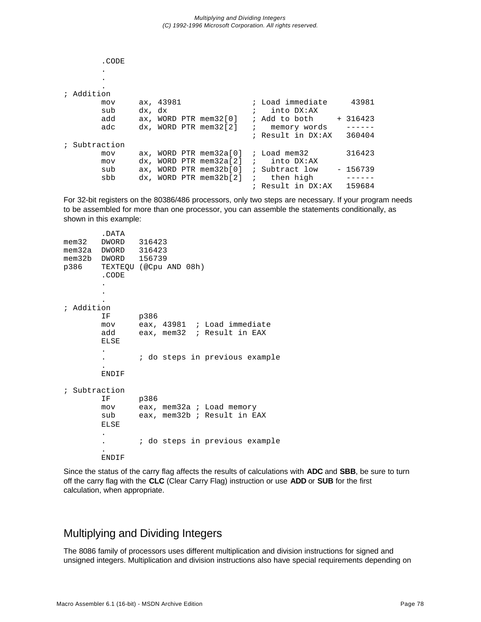#### *Multiplying and Dividing Integers (C) 1992-1996 Microsoft Corporation. All rights reserved.*

```
 .CODE
 .
 .
 .
; Addition
mov ax, 43981 ; Load immediate 43981
sub dx, dx \cdot ; into DX:AX
     add ax, WORD PTR mem32[0] ; Add to both +316423 adc dx, WORD PTR mem32[2] ; memory words ------
                             ; Result in DX:AX 360404
; Subtraction
 mov ax, WORD PTR mem32a[0] ; Load mem32 316423
 mov dx, WORD PTR mem32a[2] ; into DX:AX
 sub ax, WORD PTR mem32b[0] ; Subtract low - 156739
 sbb dx, WORD PTR mem32b[2] ; then high ------
                              ; Result in DX:AX 159684
```
For 32-bit registers on the 80386/486 processors, only two steps are necessary. If your program needs to be assembled for more than one processor, you can assemble the statements conditionally, as shown in this example:

```
 .DATA
mem32 DWORD 316423
mem32a DWORD 316423
mem32b DWORD 156739
p386 TEXTEQU (@Cpu AND 08h)
       .CODE
 .
 .
 .
; Addition
       IF p386
       mov eax, 43981 ; Load immediate
       add eax, mem32 ; Result in EAX
       ELSE
 .
             . ; do steps in previous example
 .
       ENDIF
; Subtraction
       IF p386
 mov eax, mem32a ; Load memory
 sub eax, mem32b ; Result in EAX
       ELSE
 .
             . ; do steps in previous example
 .
       ENDIF
```
Since the status of the carry flag affects the results of calculations with **ADC** and **SBB**, be sure to turn off the carry flag with the **CLC** (Clear Carry Flag) instruction or use **ADD** or **SUB** for the first calculation, when appropriate.

## Multiplying and Dividing Integers

The 8086 family of processors uses different multiplication and division instructions for signed and unsigned integers. Multiplication and division instructions also have special requirements depending on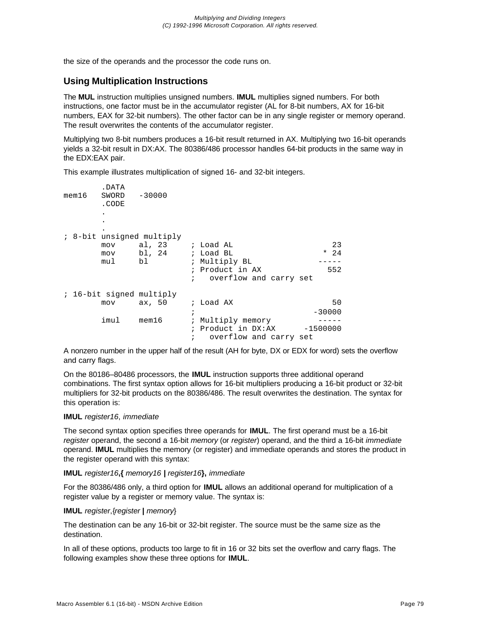the size of the operands and the processor the code runs on.

### **Using Multiplication Instructions**

The **MUL** instruction multiplies unsigned numbers. **IMUL** multiplies signed numbers. For both instructions, one factor must be in the accumulator register (AL for 8-bit numbers, AX for 16-bit numbers, EAX for 32-bit numbers). The other factor can be in any single register or memory operand. The result overwrites the contents of the accumulator register.

Multiplying two 8-bit numbers produces a 16-bit result returned in AX. Multiplying two 16-bit operands yields a 32-bit result in DX:AX. The 80386/486 processor handles 64-bit products in the same way in the EDX:EAX pair.

This example illustrates multiplication of signed 16- and 32-bit integers.

| mem16 | .DATA<br>SWORD<br>.CODE | $-30000$                                      |         |                                                                           |            |           |
|-------|-------------------------|-----------------------------------------------|---------|---------------------------------------------------------------------------|------------|-----------|
|       |                         |                                               |         |                                                                           |            |           |
|       | mov<br>mul              | : 8-bit unsigned multiply<br>mov bl, 24<br>bl |         | ; Load BL<br>; Multiply BL<br>; Product in AX<br>; overflow and carry set | $* 24$     | 23<br>552 |
|       | mov                     | ; 16-bit signed multiply<br>ax, 50            | $\cdot$ | ; Load AX                                                                 | $-30000$   | 50        |
|       | imul                    | mem16                                         |         | ; Multiply memory<br>; Product in DX:AX<br>overflow and carry set         | $-1500000$ |           |

A nonzero number in the upper half of the result (AH for byte, DX or EDX for word) sets the overflow and carry flags.

On the 80186–80486 processors, the **IMUL** instruction supports three additional operand combinations. The first syntax option allows for 16-bit multipliers producing a 16-bit product or 32-bit multipliers for 32-bit products on the 80386/486. The result overwrites the destination. The syntax for this operation is:

#### **IMUL** *register16*, *immediate*

The second syntax option specifies three operands for **IMUL**. The first operand must be a 16-bit *register* operand, the second a 16-bit *memory* (or *register*) operand, and the third a 16-bit *immediate* operand. **IMUL** multiplies the memory (or register) and immediate operands and stores the product in the register operand with this syntax:

#### **IMUL** *register16***,{** *memory16* **|** *register16***},** *immediate*

For the 80386/486 only, a third option for **IMUL** allows an additional operand for multiplication of a register value by a register or memory value. The syntax is:

#### **IMUL** *register*,{*register* **|** *memory*}

The destination can be any 16-bit or 32-bit register. The source must be the same size as the destination.

In all of these options, products too large to fit in 16 or 32 bits set the overflow and carry flags. The following examples show these three options for **IMUL**.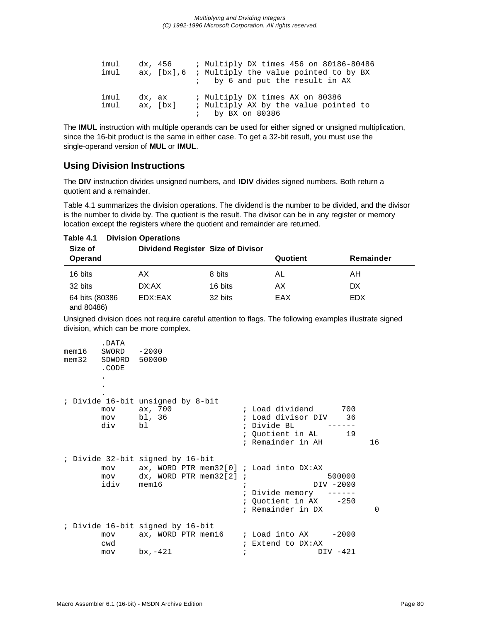| imul<br>imul          |        | dx, 456 | ; Multiply DX times 456 on 80186-80486<br>ax, [bx], 6 ; Multiply the value pointed to by BX<br>; by 6 and put the result in AX |
|-----------------------|--------|---------|--------------------------------------------------------------------------------------------------------------------------------|
| imul<br>imul ax. [bx] | dx, ax |         | ; Multiply DX times AX on 80386<br>; Multiply AX by the value pointed to<br>$\frac{1}{2}$ by BX on 80386                       |

The **IMUL** instruction with multiple operands can be used for either signed or unsigned multiplication, since the 16-bit product is the same in either case. To get a 32-bit result, you must use the single-operand version of **MUL** or **IMUL**.

### **Using Division Instructions**

The **DIV** instruction divides unsigned numbers, and **IDIV** divides signed numbers. Both return a quotient and a remainder.

Table 4.1 summarizes the division operations. The dividend is the number to be divided, and the divisor is the number to divide by. The quotient is the result. The divisor can be in any register or memory location except the registers where the quotient and remainder are returned.

| Table 4.1<br>Size of<br>Operand | <b>Division Operations</b><br>Dividend Register Size of Divisor |         | Quotient | Remainder  |  |
|---------------------------------|-----------------------------------------------------------------|---------|----------|------------|--|
| 16 bits                         | AX.                                                             | 8 bits  | AL       | AH         |  |
| 32 bits                         | DX:AX                                                           | 16 bits | AX       | DX         |  |
| 64 bits (80386<br>and 80486)    | EDX:EAX                                                         | 32 bits | EAX      | <b>EDX</b> |  |

### Unsigned division does not require careful attention to flags. The following examples illustrate signed division, which can be more complex.

| .DATA<br>$mem16$ SWORD $-2000$<br>mem32 SDWORD 500000<br>.CODE |                                                                                                                  |            |                                                                                                            |    |
|----------------------------------------------------------------|------------------------------------------------------------------------------------------------------------------|------------|------------------------------------------------------------------------------------------------------------|----|
| mov<br>mov bl, 36<br>div bl                                    | ; Divide 16-bit unsigned by 8-bit<br>ax, 700                                                                     |            | ; Load dividend 700<br>: Load divisor DIV 36<br>; Divide BL<br>19<br>; Quotient in AL<br>; Remainder in AH | 16 |
| idiv mem16                                                     | ; Divide 32-bit signed by 16-bit<br>mov ax, WORD PTR mem32[0] ; Load into DX:AX<br>$mov$ dx, WORD PTR mem32[2] ; | i.         | 500000<br>DIV -2000<br>; Divide memory<br>; Ouotient in AX -250<br>; Remainder in DX                       | 0  |
| mov<br>cwd<br>mov                                              | ; Divide 16-bit signed by 16-bit<br>ax, WORD PTR mem16 ; Load into AX<br>bx,-421                                 | $\ddot{i}$ | $-2000$<br>; Extend to DX:AX<br>DIV -421                                                                   |    |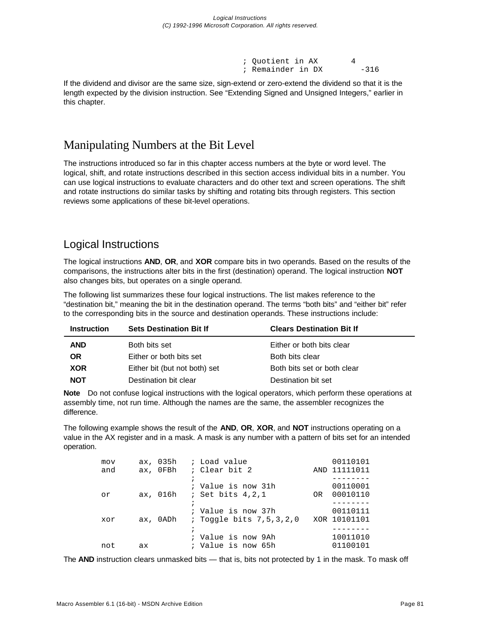; Quotient in AX 4 ; Remainder in DX -316

If the dividend and divisor are the same size, sign-extend or zero-extend the dividend so that it is the length expected by the division instruction. See "Extending Signed and Unsigned Integers," earlier in this chapter.

# Manipulating Numbers at the Bit Level

The instructions introduced so far in this chapter access numbers at the byte or word level. The logical, shift, and rotate instructions described in this section access individual bits in a number. You can use logical instructions to evaluate characters and do other text and screen operations. The shift and rotate instructions do similar tasks by shifting and rotating bits through registers. This section reviews some applications of these bit-level operations.

## Logical Instructions

The logical instructions **AND**, **OR**, and **XOR** compare bits in two operands. Based on the results of the comparisons, the instructions alter bits in the first (destination) operand. The logical instruction **NOT** also changes bits, but operates on a single operand.

The following list summarizes these four logical instructions. The list makes reference to the "destination bit," meaning the bit in the destination operand. The terms "both bits" and "either bit" refer to the corresponding bits in the source and destination operands. These instructions include:

| <b>Instruction</b> | <b>Sets Destination Bit If</b> | <b>Clears Destination Bit If</b> |
|--------------------|--------------------------------|----------------------------------|
| <b>AND</b>         | Both bits set                  | Either or both bits clear        |
| <b>OR</b>          | Either or both bits set        | Both bits clear                  |
| <b>XOR</b>         | Either bit (but not both) set  | Both bits set or both clear      |
| <b>NOT</b>         | Destination bit clear          | Destination bit set              |

**Note** Do not confuse logical instructions with the logical operators, which perform these operations at assembly time, not run time. Although the names are the same, the assembler recognizes the difference.

The following example shows the result of the **AND**, **OR**, **XOR**, and **NOT** instructions operating on a value in the AX register and in a mask. A mask is any number with a pattern of bits set for an intended operation.

| mov |    | ax, 035h | ; Load value                |    | 00110101     |
|-----|----|----------|-----------------------------|----|--------------|
| and |    |          | $ax,$ OFBh ; Clear bit 2    |    | AND 11111011 |
|     |    |          |                             |    |              |
|     |    |          | ; Value is now 31h          |    | 00110001     |
| or  |    |          | ax, 016h ; Set bits $4,2,1$ | OR | 00010110     |
|     |    |          |                             |    |              |
|     |    |          | ; Value is now 37h          |    | 00110111     |
| xor |    | ax, OADh | ; Toggle bits 7,5,3,2,0     |    | XOR 10101101 |
|     |    |          |                             |    |              |
|     |    |          | ; Value is now 9Ah          |    | 10011010     |
| not | ax |          | ; Value is now 65h          |    | 01100101     |

The **AND** instruction clears unmasked bits — that is, bits not protected by 1 in the mask. To mask off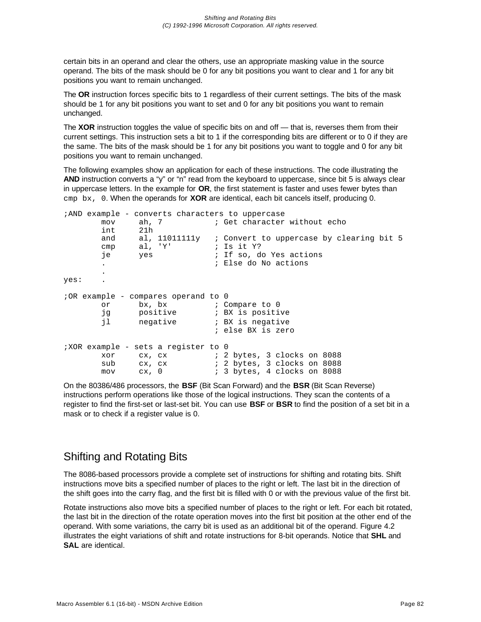certain bits in an operand and clear the others, use an appropriate masking value in the source operand. The bits of the mask should be 0 for any bit positions you want to clear and 1 for any bit positions you want to remain unchanged.

The **OR** instruction forces specific bits to 1 regardless of their current settings. The bits of the mask should be 1 for any bit positions you want to set and 0 for any bit positions you want to remain unchanged.

The **XOR** instruction toggles the value of specific bits on and off — that is, reverses them from their current settings. This instruction sets a bit to 1 if the corresponding bits are different or to 0 if they are the same. The bits of the mask should be 1 for any bit positions you want to toggle and 0 for any bit positions you want to remain unchanged.

The following examples show an application for each of these instructions. The code illustrating the **AND** instruction converts a "y" or "n" read from the keyboard to uppercase, since bit 5 is always clear in uppercase letters. In the example for **OR**, the first statement is faster and uses fewer bytes than cmp bx, 0. When the operands for **XOR** are identical, each bit cancels itself, producing 0.

```
;AND example - converts characters to uppercase
      mov ah, 7 ; Get character without echo
       int 21h
      and al, 11011111y ; Convert to uppercase by clearing bit 5
      cmp al, 'Y' ; Is it Y?
      je yes ; If so, do Yes actions
                          . ; Else do No actions
 .
yes: .
;OR example - compares operand to 0
or bx, bx \longrightarrow ; Compare to 0
 jg positive ; BX is positive
      jl negative : BX is negative
                          ; else BX is zero
;XOR example - sets a register to 0
 xor cx, cx ; 2 bytes, 3 clocks on 8088
 sub cx, cx ; 2 bytes, 3 clocks on 8088
      mov cx, 0 : 3 \text{ bytes}, 4 clocks on 8088
```
On the 80386/486 processors, the **BSF** (Bit Scan Forward) and the **BSR** (Bit Scan Reverse) instructions perform operations like those of the logical instructions. They scan the contents of a register to find the first-set or last-set bit. You can use **BSF** or **BSR** to find the position of a set bit in a mask or to check if a register value is 0.

# Shifting and Rotating Bits

The 8086-based processors provide a complete set of instructions for shifting and rotating bits. Shift instructions move bits a specified number of places to the right or left. The last bit in the direction of the shift goes into the carry flag, and the first bit is filled with 0 or with the previous value of the first bit.

Rotate instructions also move bits a specified number of places to the right or left. For each bit rotated, the last bit in the direction of the rotate operation moves into the first bit position at the other end of the operand. With some variations, the carry bit is used as an additional bit of the operand. Figure 4.2 illustrates the eight variations of shift and rotate instructions for 8-bit operands. Notice that **SHL** and **SAL** are identical.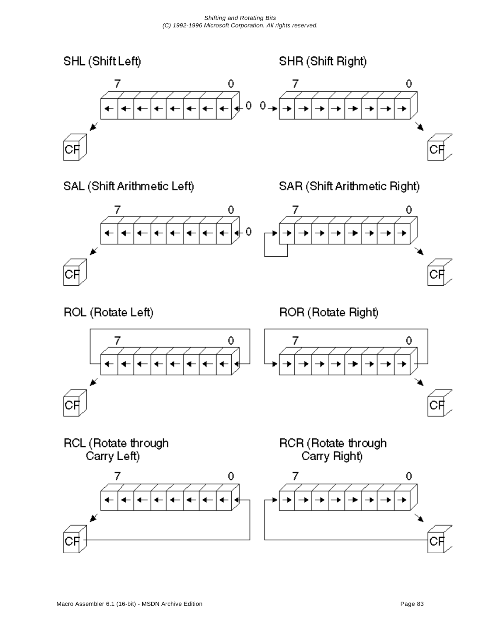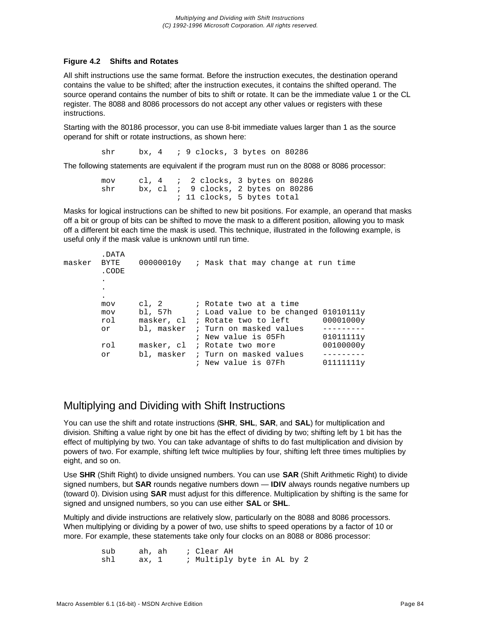#### **Figure 4.2 Shifts and Rotates**

All shift instructions use the same format. Before the instruction executes, the destination operand contains the value to be shifted; after the instruction executes, it contains the shifted operand. The source operand contains the number of bits to shift or rotate. It can be the immediate value 1 or the CL register. The 8088 and 8086 processors do not accept any other values or registers with these instructions.

Starting with the 80186 processor, you can use 8-bit immediate values larger than 1 as the source operand for shift or rotate instructions, as shown here:

shr bx, 4 ; 9 clocks, 3 bytes on 80286

The following statements are equivalent if the program must run on the 8088 or 8086 processor:

mov cl, 4 ; 2 clocks, 3 bytes on 80286<br>shr bx, cl ; 9 clocks, 2 bytes on 80286 bx, cl  $i$  9 clocks, 2 bytes on 80286 ; 11 clocks, 5 bytes total

Masks for logical instructions can be shifted to new bit positions. For example, an operand that masks off a bit or group of bits can be shifted to move the mask to a different position, allowing you to mask off a different bit each time the mask is used. This technique, illustrated in the following example, is useful only if the mask value is unknown until run time.

| masker BYTE | .DATA<br>.CODE |  | 00000010y ; Mask that may change at run time |
|-------------|----------------|--|----------------------------------------------|
|             |                |  |                                              |
|             |                |  |                                              |
|             |                |  |                                              |
|             | mov            |  | cl, 2 cl, Rotate two at a time               |
|             | mov            |  | bl, 57h ; Load value to be changed 01010111y |
|             | rol            |  | 00001000y<br>masker, cl ; Rotate two to left |
|             | or             |  | bl, masker ; Turn on masked values           |
|             |                |  | ; New value is O5Fh<br>01011111 <sub>y</sub> |
|             | rol            |  | 00100000y<br>masker, cl ; Rotate two more    |
|             | or.            |  | bl, masker ; Turn on masked values           |
|             |                |  | ; New value is 07Fh<br>01111111 <sub>y</sub> |
|             |                |  |                                              |

## Multiplying and Dividing with Shift Instructions

You can use the shift and rotate instructions (**SHR**, **SHL**, **SAR**, and **SAL**) for multiplication and division. Shifting a value right by one bit has the effect of dividing by two; shifting left by 1 bit has the effect of multiplying by two. You can take advantage of shifts to do fast multiplication and division by powers of two. For example, shifting left twice multiplies by four, shifting left three times multiplies by eight, and so on.

Use **SHR** (Shift Right) to divide unsigned numbers. You can use **SAR** (Shift Arithmetic Right) to divide signed numbers, but **SAR** rounds negative numbers down — **IDIV** always rounds negative numbers up (toward 0). Division using **SAR** must adjust for this difference. Multiplication by shifting is the same for signed and unsigned numbers, so you can use either **SAL** or **SHL**.

Multiply and divide instructions are relatively slow, particularly on the 8088 and 8086 processors. When multiplying or dividing by a power of two, use shifts to speed operations by a factor of 10 or more. For example, these statements take only four clocks on an 8088 or 8086 processor:

> sub ah, ah ; Clear AH shl ax, 1 ; Multiply byte in AL by 2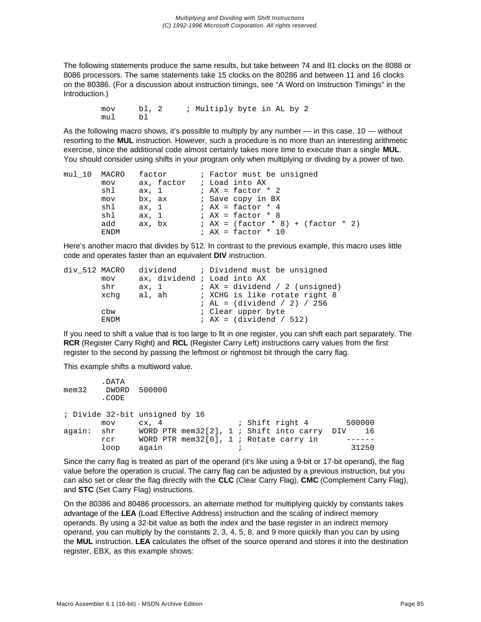The following statements produce the same results, but take between 74 and 81 clocks on the 8088 or 8086 processors. The same statements take 15 clocks on the 80286 and between 11 and 16 clocks on the 80386. (For a discussion about instruction timings, see "A Word on Instruction Timings" in the Introduction.)

> mov bl, 2 ; Multiply byte in AL by 2 mul bl

As the following macro shows, it's possible to multiply by any number — in this case,  $10 -$  without resorting to the **MUL** instruction. However, such a procedure is no more than an interesting arithmetic exercise, since the additional code almost certainly takes more time to execute than a single **MUL**. You should consider using shifts in your program only when multiplying or dividing by a power of two.

```
mul_10 MACRO factor : Factor must be unsigned
                       mov ax, factor ; Load into AX
                       shl ax, 1 ; AX = factor * 2<br>mov bx, ax ; Save copy in BX
                       mov bx, ax ; Save copy in BX
                       \begin{tabular}{lllllll} \shl & \quad ax, \ 1 & \quad & \text{;} \ \shl X = \text{factor} \ * \ 4 \\ \shl & \quad ax, \ 1 & \quad & \text{;} \ \thinspace \text{AX} = \text{factor} \ * \ 8 \\ \end{tabular}\begin{tabular}{lllllll} \multicolumn{1}{l}{} \multicolumn{1}{l}{} & \multicolumn{1}{l}{} & \multicolumn{1}{l}{} & \multicolumn{1}{l}{} & \multicolumn{1}{l}{} & \multicolumn{1}{l}{} & \multicolumn{1}{l}{} & \multicolumn{1}{l}{} & \multicolumn{1}{l}{} & \multicolumn{1}{l}{} & \multicolumn{1}{l}{} & \multicolumn{1}{l}{} & \multicolumn{1}{l}{} & \multicolumn{1}{l}{} & \multicolumn{1}{l}{} & \multicolumn{1}{l}{} & \multicolumn{1}{l}{} & \multicolumn{1}{l}{} & \add ax, bx ; AX = (factor * 8) + (factor * 2)<br>ENDM ; AX = factor * 10
                                                                                   ; AX = factor * 10
```
Here's another macro that divides by 512. In contrast to the previous example, this macro uses little code and operates faster than an equivalent **DIV** instruction.

|             |        |       | div 512 MACRO dividend (b) i Dividend must be unsigned |
|-------------|--------|-------|--------------------------------------------------------|
| mov         |        |       | ax, dividend ; Load into AX                            |
| shr         |        | ax, 1 | $;$ AX = dividend / 2 (unsigned)                       |
| xchq        | al, ah |       | ; XCHG is like rotate right 8                          |
|             |        |       | ; AL = $(dividend / 2) / 256$                          |
| cbw         |        |       | ; Clear upper byte                                     |
| <b>ENDM</b> |        |       | $; AX = (dividend / 512)$                              |
|             |        |       |                                                        |

If you need to shift a value that is too large to fit in one register, you can shift each part separately. The **RCR** (Register Carry Right) and **RCL** (Register Carry Left) instructions carry values from the first register to the second by passing the leftmost or rightmost bit through the carry flag.

This example shifts a multiword value.

```
 .DATA
mem32 DWORD 500000
       .CODE
; Divide 32-bit unsigned by 16
              mov cx, 4 ; Shift right 4 500000
again: shr WORD PTR mem32[2], 1 ; Shift into carry DIV 16
      rcr WORD PTR mem32[0], 1 ; Rotate carry in 100p again
loop again and the set of \sim 31250
```
Since the carry flag is treated as part of the operand (it's like using a 9-bit or 17-bit operand), the flag value before the operation is crucial. The carry flag can be adjusted by a previous instruction, but you can also set or clear the flag directly with the **CLC** (Clear Carry Flag), **CMC** (Complement Carry Flag), and **STC** (Set Carry Flag) instructions.

On the 80386 and 80486 processors, an alternate method for multiplying quickly by constants takes advantage of the **LEA** (Load Effective Address) instruction and the scaling of indirect memory operands. By using a 32-bit value as both the index and the base register in an indirect memory operand, you can multiply by the constants 2, 3, 4, 5, 8, and 9 more quickly than you can by using the **MUL** instruction. **LEA** calculates the offset of the source operand and stores it into the destination register, EBX, as this example shows: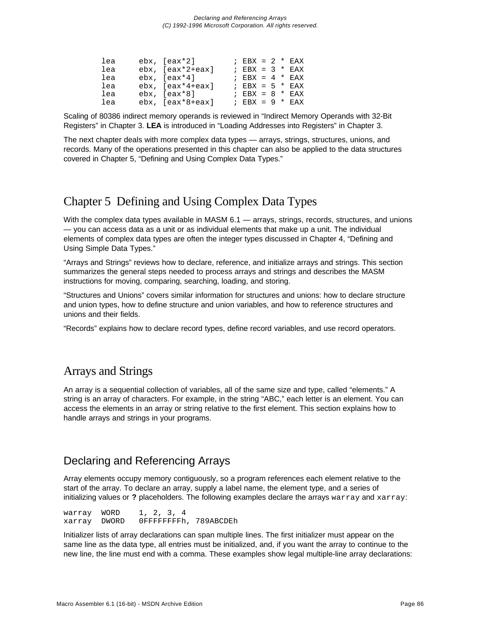#### *Declaring and Referencing Arrays (C) 1992-1996 Microsoft Corporation. All rights reserved.*

| lea | ebx, [eax*2]          | ; EBX = $2 *$ EAX |  |  |
|-----|-----------------------|-------------------|--|--|
| lea | $ebx$ , $[ear*2+eax]$ | ; EBX = $3 * EX$  |  |  |
| lea | $ebx$ , $[ear*4]$     | ; EBX = $4 *$ EAX |  |  |
| lea | $ebx$ , $[ear*4+eax]$ | ; EBX = $5 *$ EAX |  |  |
| lea | ebx, [eax*8]          | ; EBX = $8 *$ EAX |  |  |
| lea | $ebx$ , $[ear*8+ear]$ | ; $EBX = 9 * EAX$ |  |  |

Scaling of 80386 indirect memory operands is reviewed in "Indirect Memory Operands with 32-Bit Registers" in Chapter 3. **LEA** is introduced in "Loading Addresses into Registers" in Chapter 3.

The next chapter deals with more complex data types — arrays, strings, structures, unions, and records. Many of the operations presented in this chapter can also be applied to the data structures covered in Chapter 5, "Defining and Using Complex Data Types."

# Chapter 5 Defining and Using Complex Data Types

With the complex data types available in MASM 6.1 — arrays, strings, records, structures, and unions — you can access data as a unit or as individual elements that make up a unit. The individual elements of complex data types are often the integer types discussed in Chapter 4, "Defining and Using Simple Data Types."

"Arrays and Strings" reviews how to declare, reference, and initialize arrays and strings. This section summarizes the general steps needed to process arrays and strings and describes the MASM instructions for moving, comparing, searching, loading, and storing.

"Structures and Unions" covers similar information for structures and unions: how to declare structure and union types, how to define structure and union variables, and how to reference structures and unions and their fields.

"Records" explains how to declare record types, define record variables, and use record operators.

## Arrays and Strings

An array is a sequential collection of variables, all of the same size and type, called "elements." A string is an array of characters. For example, in the string "ABC," each letter is an element. You can access the elements in an array or string relative to the first element. This section explains how to handle arrays and strings in your programs.

## Declaring and Referencing Arrays

Array elements occupy memory contiguously, so a program references each element relative to the start of the array. To declare an array, supply a label name, the element type, and a series of initializing values or **?** placeholders. The following examples declare the arrays warray and xarray:

warray WORD 1, 2, 3, 4<br>xarray DWORD 0FFFFFFFFh OFFFFFFFFh, 789ABCDEh

Initializer lists of array declarations can span multiple lines. The first initializer must appear on the same line as the data type, all entries must be initialized, and, if you want the array to continue to the new line, the line must end with a comma. These examples show legal multiple-line array declarations: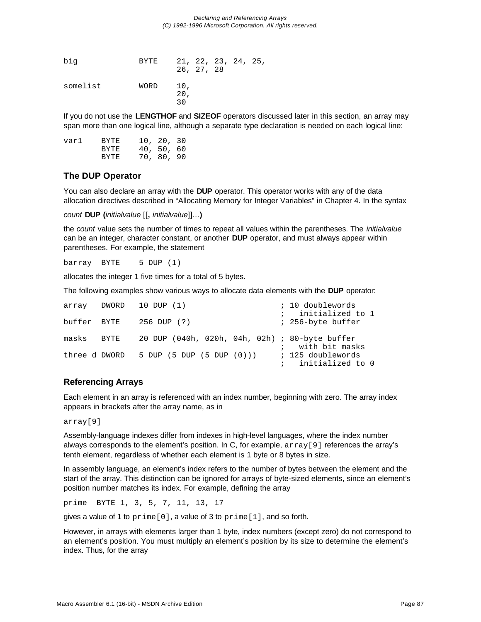| big      | BYTE | 26, 27, 28       |  | 21, 22, 23, 24, 25, |  |
|----------|------|------------------|--|---------------------|--|
| somelist | WORD | 10.<br>20.<br>30 |  |                     |  |

If you do not use the **LENGTHOF** and **SIZEOF** operators discussed later in this section, an array may span more than one logical line, although a separate type declaration is needed on each logical line:

| var1 | BYTE. | 10, 20, 30 |  |
|------|-------|------------|--|
|      | BYTE. | 40, 50, 60 |  |
|      | BYTE. | 70, 80, 90 |  |

#### **The DUP Operator**

You can also declare an array with the **DUP** operator. This operator works with any of the data allocation directives described in "Allocating Memory for Integer Variables" in Chapter 4. In the syntax

*count* **DUP (***initialvalue* [[**,** *initialvalue*]]...**)**

the *count* value sets the number of times to repeat all values within the parentheses. The *initialvalue* can be an integer, character constant, or another **DUP** operator, and must always appear within parentheses. For example, the statement

barray BYTE 5 DUP (1)

allocates the integer 1 five times for a total of 5 bytes.

The following examples show various ways to allocate data elements with the **DUP** operator:

|            | array DWORD 10 DUP (1)                                              | ; 10 doublewords<br>; initialized to 1 |
|------------|---------------------------------------------------------------------|----------------------------------------|
|            | $buffer$ BYTE 256 DUP $(?)$                                         | ; 256-byte buffer                      |
| masks BYTE | 20 DUP (040h, 020h, 04h, 02h) ; 80-byte buffer                      | with bit masks                         |
|            | three d DWORD $\,$ 5 DUP (5 DUP (5 DUP (0))) $\,$ ; 125 doublewords | ; initialized to 0                     |

### **Referencing Arrays**

Each element in an array is referenced with an index number, beginning with zero. The array index appears in brackets after the array name, as in

#### array[9]

Assembly-language indexes differ from indexes in high-level languages, where the index number always corresponds to the element's position. In C, for example,  $array[9]$  references the array's tenth element, regardless of whether each element is 1 byte or 8 bytes in size.

In assembly language, an element's index refers to the number of bytes between the element and the start of the array. This distinction can be ignored for arrays of byte-sized elements, since an element's position number matches its index. For example, defining the array

prime BYTE 1, 3, 5, 7, 11, 13, 17

gives a value of 1 to prime[0], a value of 3 to prime[1], and so forth.

However, in arrays with elements larger than 1 byte, index numbers (except zero) do not correspond to an element's position. You must multiply an element's position by its size to determine the element's index. Thus, for the array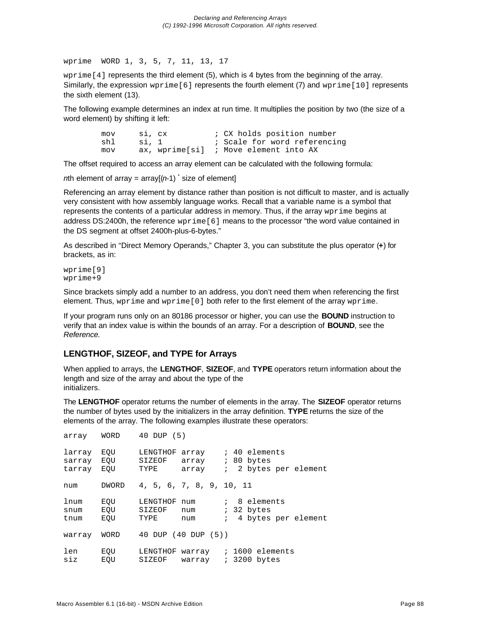wprime WORD 1, 3, 5, 7, 11, 13, 17

 $wprime[4]$  represents the third element (5), which is 4 bytes from the beginning of the array. Similarly, the expression wprime [6] represents the fourth element (7) and wprime [10] represents the sixth element (13).

The following example determines an index at run time. It multiplies the position by two (the size of a word element) by shifting it left:

> mov si, cx ; CX holds position number<br>shl si, 1 ; Scale for word referenci ; Scale for word referencing mov ax, wprime[si] ; Move element into AX

The offset required to access an array element can be calculated with the following formula:

*n*th element of array =  $\arctan((n-1)$  is ize of element]

Referencing an array element by distance rather than position is not difficult to master, and is actually very consistent with how assembly language works. Recall that a variable name is a symbol that represents the contents of a particular address in memory. Thus, if the array wprime begins at address DS:2400h, the reference wprime [6] means to the processor "the word value contained in the DS segment at offset 2400h-plus-6-bytes."

As described in "Direct Memory Operands," Chapter 3, you can substitute the plus operator (**+**) for brackets, as in:

wprime[9] wprime+9

Since brackets simply add a number to an address, you don't need them when referencing the first element. Thus, wprime and wprime[0] both refer to the first element of the array wprime.

If your program runs only on an 80186 processor or higher, you can use the **BOUND** instruction to verify that an index value is within the bounds of an array. For a description of **BOUND**, see the *Reference.*

### **LENGTHOF, SIZEOF, and TYPE for Arrays**

When applied to arrays, the **LENGTHOF**, **SIZEOF**, and **TYPE** operators return information about the length and size of the array and about the type of the initializers.

The **LENGTHOF** operator returns the number of elements in the array. The **SIZEOF** operator returns the number of bytes used by the initializers in the array definition. **TYPE** returns the size of the elements of the array. The following examples illustrate these operators:

| array                      | WORD              | 40 DUP (5)                                                                                                                  |
|----------------------------|-------------------|-----------------------------------------------------------------------------------------------------------------------------|
| larray<br>sarray<br>tarray | EOU<br>EQU<br>EOU | ; 40 elements<br>LENGTHOF<br>array<br>; 80 bytes<br>SIZEOF<br>array<br>2 bytes per element<br>$\mathbf{i}$<br>TYPE<br>array |
| num                        | DWORD             | 4, 5, 6, 7, 8, 9, 10, 11                                                                                                    |
| lnum<br>snum<br>tnum       | EOU<br>EOU<br>EOU | ; 8 elements<br>LENGTHOF<br>num<br>; 32 bytes<br>SIZEOF<br>num<br>4 bytes per element<br>$\ddot{i}$<br>TYPE<br>num          |
| warray                     | WORD              | 40 DUP (40 DUP (5))                                                                                                         |
| len<br>siz                 | EOU<br>EOU        | LENGTHOF warray ; 1600 elements<br>$: 3200$ bytes<br>SIZEOF<br>warray                                                       |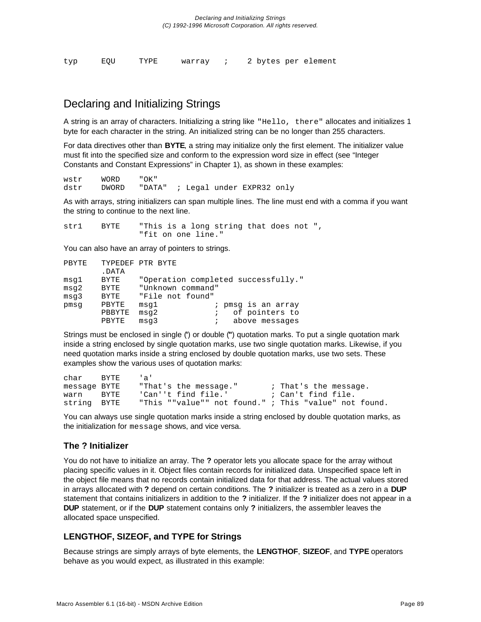typ EQU TYPE warray ; 2 bytes per element

### Declaring and Initializing Strings

A string is an array of characters. Initializing a string like "Hello, there" allocates and initializes 1 byte for each character in the string. An initialized string can be no longer than 255 characters.

For data directives other than **BYTE**, a string may initialize only the first element. The initializer value must fit into the specified size and conform to the expression word size in effect (see "Integer Constants and Constant Expressions" in Chapter 1), as shown in these examples:

wstr WORD "OK" dstr DWORD "DATA" ; Legal under EXPR32 only

As with arrays, string initializers can span multiple lines. The line must end with a comma if you want the string to continue to the next line.

str1 BYTE "This is a long string that does not ", "fit on one line."

You can also have an array of pointers to strings.

| PBYTE |             | TYPEDEF PTR BYTE  |                                     |
|-------|-------------|-------------------|-------------------------------------|
|       | .DATA       |                   |                                     |
| msql  | <b>BYTE</b> |                   | "Operation completed successfully." |
| msq2  | <b>BYTE</b> | "Unknown command" |                                     |
| msq3  | BYTE        | "File not found"  |                                     |
| pmsq  | PBYTE       | msql              | ; pmsq is an array                  |
|       | PBBYTE      | msq2              | of pointers to                      |
|       | PBYTE       | msq3              | above messages                      |

Strings must be enclosed in single (**'**) or double (**"**) quotation marks. To put a single quotation mark inside a string enclosed by single quotation marks, use two single quotation marks. Likewise, if you need quotation marks inside a string enclosed by double quotation marks, use two sets. These examples show the various uses of quotation marks:

| char         | BYTE  | $'$ a'                                                |                       |
|--------------|-------|-------------------------------------------------------|-----------------------|
| messaqe BYTE |       | "That's the message."                                 | ; That's the message. |
| warn         | BYTE. | 'Can''t find file.'                                   | ; Can't find file.    |
| string BYTE  |       | "This ""value"" not found." ; This "value" not found. |                       |

You can always use single quotation marks inside a string enclosed by double quotation marks, as the initialization for message shows, and vice versa.

#### **The ? Initializer**

You do not have to initialize an array. The **?** operator lets you allocate space for the array without placing specific values in it. Object files contain records for initialized data. Unspecified space left in the object file means that no records contain initialized data for that address. The actual values stored in arrays allocated with **?** depend on certain conditions. The **?** initializer is treated as a zero in a **DUP** statement that contains initializers in addition to the **?** initializer. If the **?** initializer does not appear in a **DUP** statement, or if the **DUP** statement contains only **?** initializers, the assembler leaves the allocated space unspecified.

### **LENGTHOF, SIZEOF, and TYPE for Strings**

Because strings are simply arrays of byte elements, the **LENGTHOF**, **SIZEOF**, and **TYPE** operators behave as you would expect, as illustrated in this example: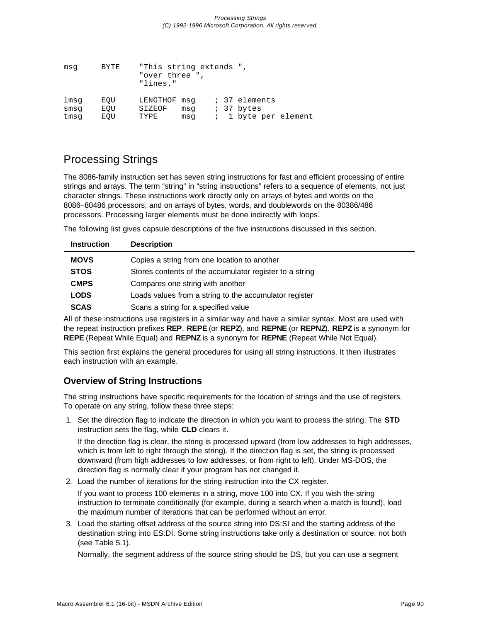| msq  | BYTE | "This string extends ",<br>"over three ",<br>"lines." |     |  |                      |  |
|------|------|-------------------------------------------------------|-----|--|----------------------|--|
| lmsq | EOU  | LENGTHOF msq                                          |     |  | ; 37 elements        |  |
| smsq | EOU  | SIZEOF                                                | msq |  | ; 37 bytes           |  |
| tmsq | EOU  | TYPE                                                  | msq |  | : 1 byte per element |  |

# Processing Strings

The 8086-family instruction set has seven string instructions for fast and efficient processing of entire strings and arrays. The term "string" in "string instructions" refers to a sequence of elements, not just character strings. These instructions work directly only on arrays of bytes and words on the 8086–80486 processors, and on arrays of bytes, words, and doublewords on the 80386/486 processors. Processing larger elements must be done indirectly with loops.

The following list gives capsule descriptions of the five instructions discussed in this section.

| <b>Instruction</b> | <b>Description</b>                                      |
|--------------------|---------------------------------------------------------|
| <b>MOVS</b>        | Copies a string from one location to another            |
| <b>STOS</b>        | Stores contents of the accumulator register to a string |
| <b>CMPS</b>        | Compares one string with another                        |
| <b>LODS</b>        | Loads values from a string to the accumulator register  |
| <b>SCAS</b>        | Scans a string for a specified value                    |

All of these instructions use registers in a similar way and have a similar syntax. Most are used with the repeat instruction prefixes **REP**, **REPE** (or **REPZ**), and **REPNE** (or **REPNZ**). **REPZ** is a synonym for **REPE** (Repeat While Equal) and **REPNZ** is a synonym for **REPNE** (Repeat While Not Equal).

This section first explains the general procedures for using all string instructions. It then illustrates each instruction with an example.

### **Overview of String Instructions**

The string instructions have specific requirements for the location of strings and the use of registers. To operate on any string, follow these three steps:

 1. Set the direction flag to indicate the direction in which you want to process the string. The **STD** instruction sets the flag, while **CLD** clears it.

If the direction flag is clear, the string is processed upward (from low addresses to high addresses, which is from left to right through the string). If the direction flag is set, the string is processed downward (from high addresses to low addresses, or from right to left). Under MS-DOS, the direction flag is normally clear if your program has not changed it.

2. Load the number of iterations for the string instruction into the CX register.

If you want to process 100 elements in a string, move 100 into CX. If you wish the string instruction to terminate conditionally (for example, during a search when a match is found), load the maximum number of iterations that can be performed without an error.

 3. Load the starting offset address of the source string into DS:SI and the starting address of the destination string into ES:DI. Some string instructions take only a destination or source, not both (see Table 5.1).

Normally, the segment address of the source string should be DS, but you can use a segment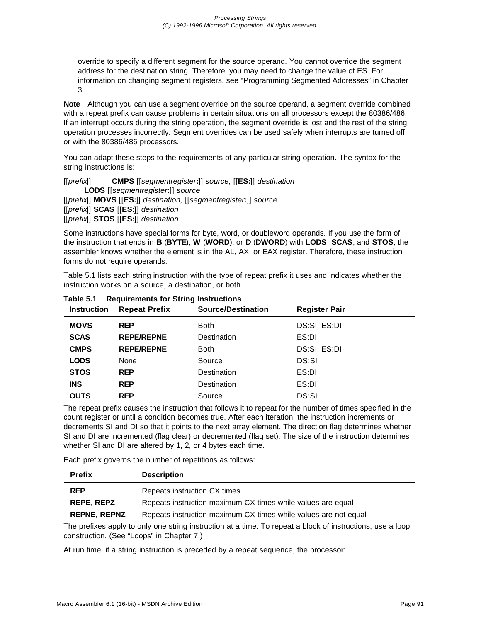override to specify a different segment for the source operand. You cannot override the segment address for the destination string. Therefore, you may need to change the value of ES. For information on changing segment registers, see "Programming Segmented Addresses" in Chapter 3.

**Note** Although you can use a segment override on the source operand, a segment override combined with a repeat prefix can cause problems in certain situations on all processors except the 80386/486. If an interrupt occurs during the string operation, the segment override is lost and the rest of the string operation processes incorrectly. Segment overrides can be used safely when interrupts are turned off or with the 80386/486 processors.

You can adapt these steps to the requirements of any particular string operation. The syntax for the string instructions is:

[[*prefix*]] **CMPS** [[*segmentregister***:**]] *source,* [[**ES:**]] *destination* **LODS** [[*segmentregister***:**]] *source* [[*prefix*]] **MOVS** [[**ES:**]] *destination,* [[*segmentregister***:**]] *source* [[*prefix*]] **SCAS** [[**ES:**]] *destination* [[*prefix*]] **STOS** [[**ES:**]] *destination*

Some instructions have special forms for byte, word, or doubleword operands. If you use the form of the instruction that ends in **B** (**BYTE**), **W** (**WORD**), or **D** (**DWORD**) with **LODS**, **SCAS**, and **STOS**, the assembler knows whether the element is in the AL, AX, or EAX register. Therefore, these instruction forms do not require operands.

Table 5.1 lists each string instruction with the type of repeat prefix it uses and indicates whether the instruction works on a source, a destination, or both.

| <b>Instruction</b> | <b>Repeat Prefix</b> | <b>Source/Destination</b> | <b>Register Pair</b> |
|--------------------|----------------------|---------------------------|----------------------|
| <b>MOVS</b>        | <b>REP</b>           | <b>Both</b>               | DS:SI, ES:DI         |
| <b>SCAS</b>        | <b>REPE/REPNE</b>    | Destination               | ES:DI                |
| <b>CMPS</b>        | <b>REPE/REPNE</b>    | <b>Both</b>               | DS:SI, ES:DI         |
| <b>LODS</b>        | None                 | Source                    | DS:SI                |
| <b>STOS</b>        | <b>REP</b>           | Destination               | ES:DI                |
| <b>INS</b>         | <b>REP</b>           | Destination               | ES:DI                |
| <b>OUTS</b>        | <b>REP</b>           | Source                    | DS:SI                |

#### **Table 5.1 Requirements for String Instructions**

The repeat prefix causes the instruction that follows it to repeat for the number of times specified in the count register or until a condition becomes true. After each iteration, the instruction increments or decrements SI and DI so that it points to the next array element. The direction flag determines whether SI and DI are incremented (flag clear) or decremented (flag set). The size of the instruction determines whether SI and DI are altered by 1, 2, or 4 bytes each time.

Each prefix governs the number of repetitions as follows:

| <b>Prefix</b>       | <b>Description</b>                                              |
|---------------------|-----------------------------------------------------------------|
| <b>REP</b>          | Repeats instruction CX times                                    |
| REPE. REPZ          | Repeats instruction maximum CX times while values are equal     |
| <b>REPNE. REPNZ</b> | Repeats instruction maximum CX times while values are not equal |
|                     |                                                                 |

The prefixes apply to only one string instruction at a time. To repeat a block of instructions, use a loop construction. (See "Loops" in Chapter 7.)

At run time, if a string instruction is preceded by a repeat sequence, the processor: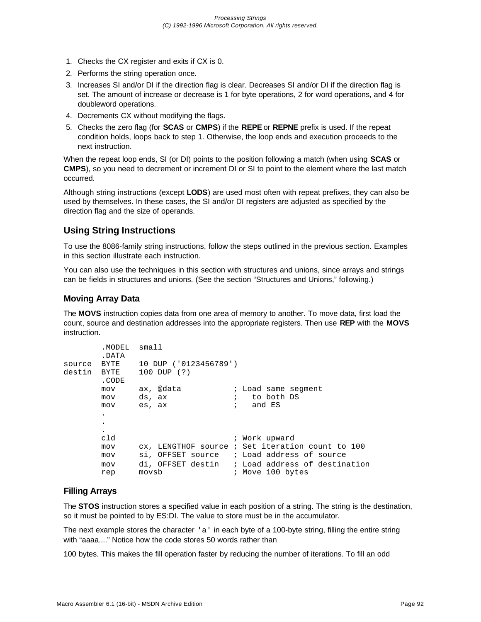- 1. Checks the CX register and exits if CX is 0.
- 2. Performs the string operation once.
- 3. Increases SI and/or DI if the direction flag is clear. Decreases SI and/or DI if the direction flag is set. The amount of increase or decrease is 1 for byte operations, 2 for word operations, and 4 for doubleword operations.
- 4. Decrements CX without modifying the flags.
- 5. Checks the zero flag (for **SCAS** or **CMPS**) if the **REPE** or **REPNE** prefix is used. If the repeat condition holds, loops back to step 1. Otherwise, the loop ends and execution proceeds to the next instruction.

When the repeat loop ends, SI (or DI) points to the position following a match (when using **SCAS** or **CMPS**), so you need to decrement or increment DI or SI to point to the element where the last match occurred.

Although string instructions (except **LODS**) are used most often with repeat prefixes, they can also be used by themselves. In these cases, the SI and/or DI registers are adjusted as specified by the direction flag and the size of operands.

### **Using String Instructions**

To use the 8086-family string instructions, follow the steps outlined in the previous section. Examples in this section illustrate each instruction.

You can also use the techniques in this section with structures and unions, since arrays and strings can be fields in structures and unions. (See the section "Structures and Unions," following.)

#### **Moving Array Data**

The **MOVS** instruction copies data from one area of memory to another. To move data, first load the count, source and destination addresses into the appropriate registers. Then use **REP** with the **MOVS** instruction.

```
 .MODEL small
 .DATA
source BYTE 10 DUP ('0123456789')
destin BYTE 100 DUP (?)
      .CODE
mov ax, @data (assembly in Load same segment
mov ds, ax \qquad \qquad ; to both DS
mov es, ax \qquad \qquad ; and ES
 .
 .
 .
      cld ; Work upward
      mov cx, LENGTHOF source ; Set iteration count to 100
      mov si, OFFSET source ; Load address of source
 mov di, OFFSET destin ; Load address of destination
 rep movsb ; Move 100 bytes
```
#### **Filling Arrays**

The **STOS** instruction stores a specified value in each position of a string. The string is the destination, so it must be pointed to by ES:DI. The value to store must be in the accumulator.

The next example stores the character  $a \cdot b$  in each byte of a 100-byte string, filling the entire string with "aaaa...." Notice how the code stores 50 words rather than

100 bytes. This makes the fill operation faster by reducing the number of iterations. To fill an odd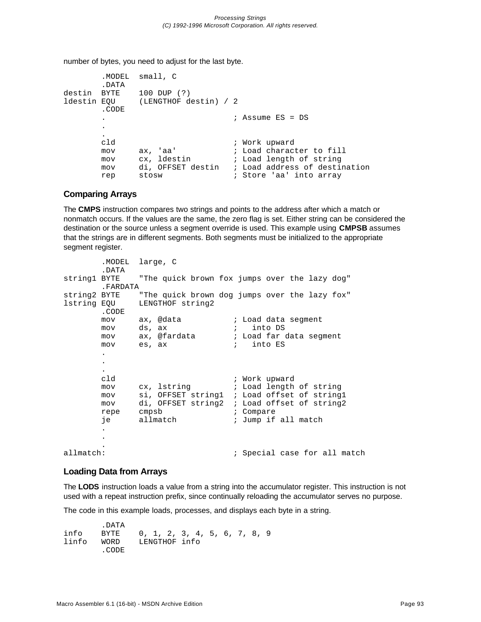#### *Processing Strings (C) 1992-1996 Microsoft Corporation. All rights reserved.*

number of bytes, you need to adjust for the last byte.

```
 .MODEL small, C
       .DATA
destin BYTE 100 DUP (?)
ldestin EQU (LENGTHOF destin) / 2
       .CODE
                             . ; Assume ES = DS
 .
 .
       cld ; Work upward
      mov ax, 'aa' ; Load character to fill
      mov cx, ldestin : Load length of string
       mov di, OFFSET destin ; Load address of destination
       rep stosw ; Store 'aa' into array
```
#### **Comparing Arrays**

The **CMPS** instruction compares two strings and points to the address after which a match or nonmatch occurs. If the values are the same, the zero flag is set. Either string can be considered the destination or the source unless a segment override is used. This example using **CMPSB** assumes that the strings are in different segments. Both segments must be initialized to the appropriate segment register.

```
 .MODEL large, C
DATA.<br>string1 BYTE
             "The quick brown fox jumps over the lazy dog"
        .FARDATA
string2 BYTE  "The quick brown dog jumps over the lazy fox"<br>lstring EQU  LENGTHOF string2
            LENGTHOF string2
       .CODE
mov ax, @data \qquad ; Load data segment
mov ds, ax \qquad \qquad ; into DS
       mov ax, @fardata ; Load far data segment
            es, ax
 .
 .
 .
 cld ; Work upward
mov cx, lstring \qquad ; Load length of string
       mov si, OFFSET string1 ; Load offset of string1
       mov di, OFFSET string2 ; Load offset of string2<br>repe cmpsb ; Compare
       repe cmpsb<br>je allmatch
       je allmatch ; Jump if all match
 .
 .
 .
allmatch: \qquad \qquad ; Special case for all match
```
### **Loading Data from Arrays**

The **LODS** instruction loads a value from a string into the accumulator register. This instruction is not used with a repeat instruction prefix, since continually reloading the accumulator serves no purpose.

The code in this example loads, processes, and displays each byte in a string.

```
DATA.<br>info BYTE
       BYTE 0, 1, 2, 3, 4, 5, 6, 7, 8, 9
linfo WORD LENGTHOF info
         .CODE
```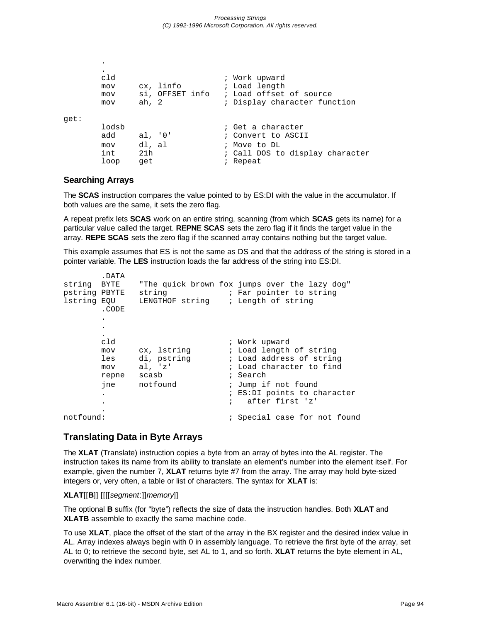```
 .
 .
 cld ; Work upward
mov cx, linfo \qquad ; Load length
 mov si, OFFSET info ; Load offset of source
        mov ah, 2 \qquad ; Display character function
get: 
        lodsb \begin{array}{ccc} i \text{ Get a character} \\ \text{add} & \text{al}, \text{ '0'} \end{array} ; Convert to ASCI.
        add al, '0' ; Convert to ASCII<br>mov dl, al ; Move to DL<br>int 21h ; Call DOS to disp
mov dl, al \qquad \qquad ; Move to DL
 int 21h ; Call DOS to display character
        loop get
```
#### **Searching Arrays**

The **SCAS** instruction compares the value pointed to by ES:DI with the value in the accumulator. If both values are the same, it sets the zero flag.

A repeat prefix lets **SCAS** work on an entire string, scanning (from which **SCAS** gets its name) for a particular value called the target. **REPNE SCAS** sets the zero flag if it finds the target value in the array. **REPE SCAS** sets the zero flag if the scanned array contains nothing but the target value.

This example assumes that ES is not the same as DS and that the address of the string is stored in a pointer variable. The **LES** instruction loads the far address of the string into ES:DI.

| .DATA                        |        |                                                                        |                                                                          |
|------------------------------|--------|------------------------------------------------------------------------|--------------------------------------------------------------------------|
| string BYTE<br>pstring PBYTE | string |                                                                        | "The quick brown fox jumps over the lazy dog"<br>; Far pointer to string |
| .CODE                        |        |                                                                        |                                                                          |
|                              |        |                                                                        |                                                                          |
|                              |        |                                                                        |                                                                          |
| $\bullet$                    |        |                                                                        |                                                                          |
|                              |        |                                                                        | ; Work upward                                                            |
| mov                          |        |                                                                        | ; Load length of string                                                  |
| les                          |        |                                                                        | ; Load address of string                                                 |
|                              |        |                                                                        | ; Load character to find                                                 |
| repne                        |        |                                                                        | ; Search                                                                 |
| ine                          |        |                                                                        | ; Jump if not found                                                      |
|                              |        |                                                                        | ; ES:DI points to character                                              |
|                              |        |                                                                        | after first 'z'                                                          |
|                              |        |                                                                        |                                                                          |
| notfound:                    |        |                                                                        | ; Special case for not found                                             |
|                              | cld    | cx, lstring<br>di, pstring<br>$mov \quad al, 'z'$<br>scasb<br>notfound | lstring EQU LENGTHOF string ; Length of string                           |

### **Translating Data in Byte Arrays**

The **XLAT** (Translate) instruction copies a byte from an array of bytes into the AL register. The instruction takes its name from its ability to translate an element's number into the element itself. For example, given the number 7, **XLAT** returns byte #7 from the array. The array may hold byte-sized integers or, very often, a table or list of characters. The syntax for **XLAT** is:

#### **XLAT**[[**B**]] [[[[*segment*:]]*memory*]]

The optional **B** suffix (for "byte") reflects the size of data the instruction handles. Both **XLAT** and **XLATB** assemble to exactly the same machine code.

To use **XLAT**, place the offset of the start of the array in the BX register and the desired index value in AL. Array indexes always begin with 0 in assembly language. To retrieve the first byte of the array, set AL to 0; to retrieve the second byte, set AL to 1, and so forth. **XLAT** returns the byte element in AL, overwriting the index number.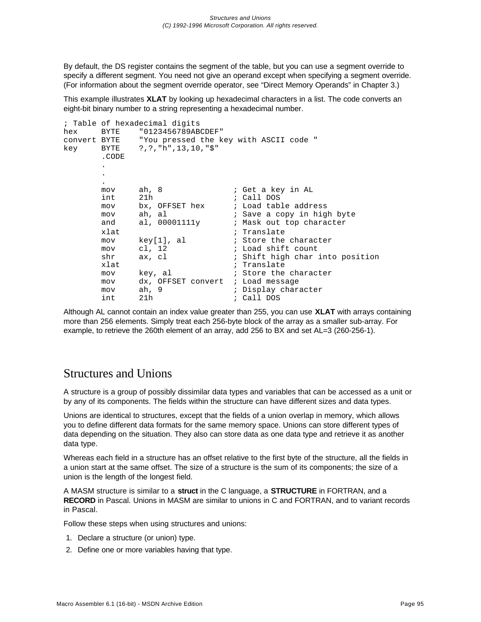By default, the DS register contains the segment of the table, but you can use a segment override to specify a different segment. You need not give an operand except when specifying a segment override. (For information about the segment override operator, see "Direct Memory Operands" in Chapter 3.)

This example illustrates **XLAT** by looking up hexadecimal characters in a list. The code converts an eight-bit binary number to a string representing a hexadecimal number.

```
; Table of hexadecimal digits
hex BYTE "0123456789ABCDEF"
convert BYTE "You pressed the key with ASCII code "
key BYTE ?,?,"h",13,10,"$"
       .CODE
 .
 .
 .
      mov ah, 8 \qquad ; Get a key in AL
int 21h \qquad ; Call DOS
 mov bx, OFFSET hex ; Load table address
mov ah, al \qquad \qquad ; Save a copy in high byte
 and al, 00001111y ; Mask out top character
       xlat ; Translate
      mov key[1], al            ; Store the character<br>mov      cl, 12                ; Load shift count
      mov cl, 12 \qquad \qquad ; Load shift count
      shr ax, cl \qquad \qquad ; Shift high char into position
       xlat ; Translate
      mov key, al \qquad \qquad ; Store the character
       mov dx, OFFSET convert ; Load message
      mov ah, 9 ; Display character
      int 21h ; Call DOS
```
Although AL cannot contain an index value greater than 255, you can use **XLAT** with arrays containing more than 256 elements. Simply treat each 256-byte block of the array as a smaller sub-array. For example, to retrieve the 260th element of an array, add 256 to BX and set AL=3 (260-256-1).

# Structures and Unions

A structure is a group of possibly dissimilar data types and variables that can be accessed as a unit or by any of its components. The fields within the structure can have different sizes and data types.

Unions are identical to structures, except that the fields of a union overlap in memory, which allows you to define different data formats for the same memory space. Unions can store different types of data depending on the situation. They also can store data as one data type and retrieve it as another data type.

Whereas each field in a structure has an offset relative to the first byte of the structure, all the fields in a union start at the same offset. The size of a structure is the sum of its components; the size of a union is the length of the longest field.

A MASM structure is similar to a **struct** in the C language, a **STRUCTURE** in FORTRAN, and a **RECORD** in Pascal. Unions in MASM are similar to unions in C and FORTRAN, and to variant records in Pascal.

Follow these steps when using structures and unions:

- 1. Declare a structure (or union) type.
- 2. Define one or more variables having that type.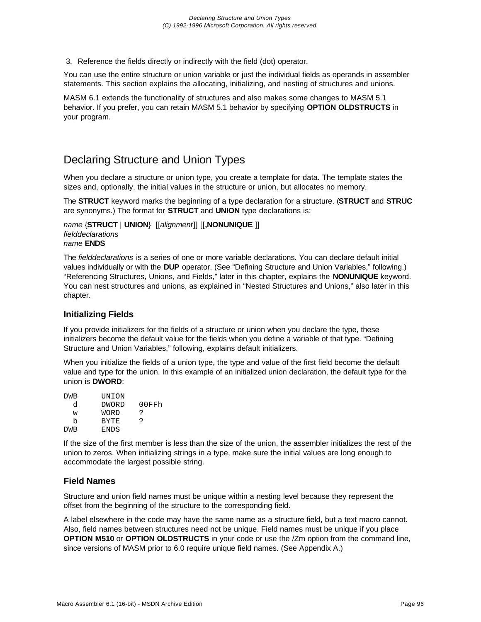3. Reference the fields directly or indirectly with the field (dot) operator.

You can use the entire structure or union variable or just the individual fields as operands in assembler statements. This section explains the allocating, initializing, and nesting of structures and unions.

MASM 6.1 extends the functionality of structures and also makes some changes to MASM 5.1 behavior. If you prefer, you can retain MASM 5.1 behavior by specifying **OPTION OLDSTRUCTS** in your program.

# Declaring Structure and Union Types

When you declare a structure or union type, you create a template for data. The template states the sizes and, optionally, the initial values in the structure or union, but allocates no memory.

The **STRUCT** keyword marks the beginning of a type declaration for a structure. (**STRUCT** and **STRUC** are synonyms.) The format for **STRUCT** and **UNION** type declarations is:

*name* {**STRUCT** | **UNION**} [[*alignment*]] [[**,NONUNIQUE** ]] *fielddeclarations name* **ENDS**

The *fielddeclarations* is a series of one or more variable declarations. You can declare default initial values individually or with the **DUP** operator. (See "Defining Structure and Union Variables," following.) "Referencing Structures, Unions, and Fields," later in this chapter, explains the **NONUNIQUE** keyword. You can nest structures and unions, as explained in "Nested Structures and Unions," also later in this chapter.

#### **Initializing Fields**

If you provide initializers for the fields of a structure or union when you declare the type, these initializers become the default value for the fields when you define a variable of that type. "Defining Structure and Union Variables," following, explains default initializers.

When you initialize the fields of a union type, the type and value of the first field become the default value and type for the union. In this example of an initialized union declaration, the default type for the union is **DWORD**:

| UNION       |          |
|-------------|----------|
| DWORD       | $00$ FFh |
| WORD        | 7        |
| <b>BYTE</b> | ?        |
| ENDS.       |          |
|             |          |

If the size of the first member is less than the size of the union, the assembler initializes the rest of the union to zeros. When initializing strings in a type, make sure the initial values are long enough to accommodate the largest possible string.

#### **Field Names**

Structure and union field names must be unique within a nesting level because they represent the offset from the beginning of the structure to the corresponding field.

A label elsewhere in the code may have the same name as a structure field, but a text macro cannot. Also, field names between structures need not be unique. Field names must be unique if you place **OPTION M510** or **OPTION OLDSTRUCTS** in your code or use the /Zm option from the command line, since versions of MASM prior to 6.0 require unique field names. (See Appendix A.)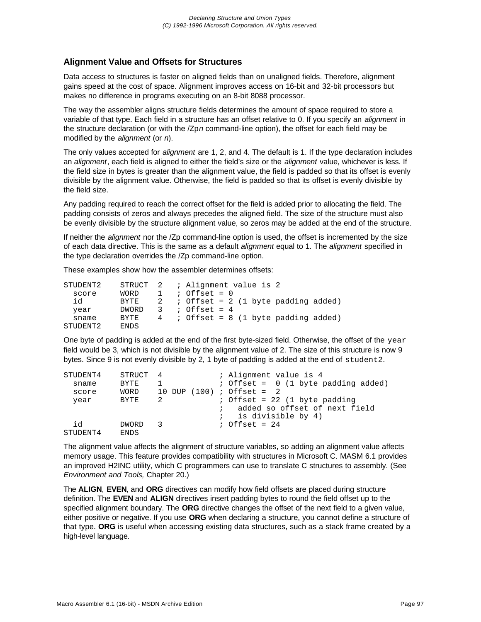### **Alignment Value and Offsets for Structures**

Data access to structures is faster on aligned fields than on unaligned fields. Therefore, alignment gains speed at the cost of space. Alignment improves access on 16-bit and 32-bit processors but makes no difference in programs executing on an 8-bit 8088 processor.

The way the assembler aligns structure fields determines the amount of space required to store a variable of that type. Each field in a structure has an offset relative to 0. If you specify an *alignment* in the structure declaration (or with the /Zp*n* command-line option), the offset for each field may be modified by the *alignment* (or *n*).

The only values accepted for *alignment* are 1, 2, and 4. The default is 1. If the type declaration includes an *alignment*, each field is aligned to either the field's size or the *alignment* value, whichever is less. If the field size in bytes is greater than the alignment value, the field is padded so that its offset is evenly divisible by the alignment value. Otherwise, the field is padded so that its offset is evenly divisible by the field size.

Any padding required to reach the correct offset for the field is added prior to allocating the field. The padding consists of zeros and always precedes the aligned field. The size of the structure must also be evenly divisible by the structure alignment value, so zeros may be added at the end of the structure.

If neither the *alignment* nor the /Zp command-line option is used, the offset is incremented by the size of each data directive. This is the same as a default *alignment* equal to 1. The *alignment* specified in the type declaration overrides the /Zp command-line option.

These examples show how the assembler determines offsets:

| STUDENT2 |             |  | STRUCT 2 ; Alignment value is 2                |
|----------|-------------|--|------------------------------------------------|
| score    | WORD        |  | $1$ ; Offset = $0$                             |
| id       | BYTE        |  | 2 : Offset = $2(1)$ byte padding added)        |
| vear     | DWORD       |  | $3:$ Offset = 4                                |
| sname    | BYTE        |  | 4 : Offset = $8(1 \text{ byte padding added})$ |
| STUDENT2 | <b>ENDS</b> |  |                                                |

One byte of padding is added at the end of the first byte-sized field. Otherwise, the offset of the  $year$ field would be 3, which is not divisible by the alignment value of 2. The size of this structure is now 9 bytes. Since 9 is not evenly divisible by 2, 1 byte of padding is added at the end of student2.

| STUDENT4 | STRUCT | - 4 | ; Alignment value is 4                |
|----------|--------|-----|---------------------------------------|
| sname    | BYTE   |     | $:$ Offset = 0 (1 byte padding added) |
| score    | WORD   |     | 10 DUP $(100)$ ; Offset = 2           |
| year     | BYTE   | 2   | $:$ Offset = 22 (1 byte padding       |
|          |        |     | added so offset of next field         |
|          |        |     | ; is divisible by 4)                  |
| id       | DWORD  | 3   | ; Offset = $24$                       |
| STUDENT4 | ENDS   |     |                                       |

The alignment value affects the alignment of structure variables, so adding an alignment value affects memory usage. This feature provides compatibility with structures in Microsoft C. MASM 6.1 provides an improved H2INC utility, which C programmers can use to translate C structures to assembly. (See *Environment and Tools,* Chapter 20.)

The **ALIGN**, **EVEN**, and **ORG** directives can modify how field offsets are placed during structure definition. The **EVEN** and **ALIGN** directives insert padding bytes to round the field offset up to the specified alignment boundary. The **ORG** directive changes the offset of the next field to a given value, either positive or negative. If you use **ORG** when declaring a structure, you cannot define a structure of that type. **ORG** is useful when accessing existing data structures, such as a stack frame created by a high-level language.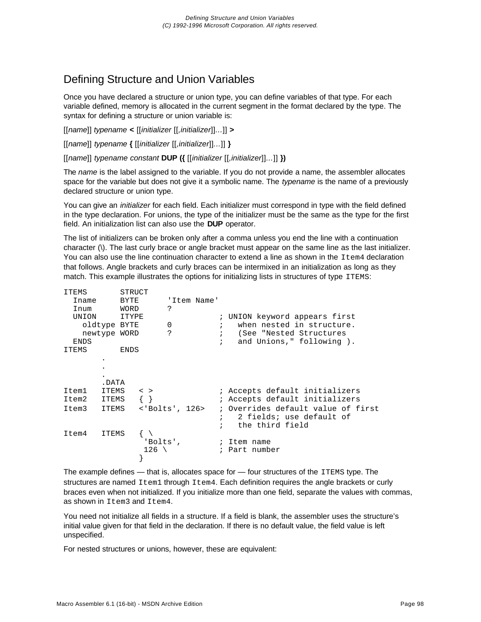# Defining Structure and Union Variables

Once you have declared a structure or union type, you can define variables of that type. For each variable defined, memory is allocated in the current segment in the format declared by the type. The syntax for defining a structure or union variable is:

[[*name*]] *typename* **<** [[*initializer* [[*,initializer*]]*...*]] **>**

[[*name*]] *typename* **{** [[*initializer* [[*,initializer*]]*...*]] **}**

[[*name*]] *typename constant* **DUP ({** [[*initializer* [[*,initializer*]]*...*]] **})**

The *name* is the label assigned to the variable. If you do not provide a name, the assembler allocates space for the variable but does not give it a symbolic name. The *typename* is the name of a previously declared structure or union type.

You can give an *initializer* for each field. Each initializer must correspond in type with the field defined in the type declaration. For unions, the type of the initializer must be the same as the type for the first field. An initialization list can also use the **DUP** operator.

The list of initializers can be broken only after a comma unless you end the line with a continuation character (\). The last curly brace or angle bracket must appear on the same line as the last initializer. You can also use the line continuation character to extend a line as shown in the  $Item4$  declaration that follows. Angle brackets and curly braces can be intermixed in an initialization as long as they match. This example illustrates the options for initializing lists in structures of type ITEMS:

| <b>STRUCT</b> |                                                                           |                            |                               |                                          |
|---------------|---------------------------------------------------------------------------|----------------------------|-------------------------------|------------------------------------------|
| BYTE          |                                                                           |                            |                               |                                          |
| WORD          | S.                                                                        |                            |                               |                                          |
| ITYPE         |                                                                           |                            |                               | ; UNION keyword appears first            |
|               | 0                                                                         |                            |                               | ; when nested in structure.              |
|               | Ċ.                                                                        |                            |                               | (See "Nested Structures)                 |
|               |                                                                           |                            |                               | and Unions," following).<br>$\mathbf{i}$ |
| ENDS          |                                                                           |                            |                               |                                          |
|               |                                                                           |                            |                               |                                          |
|               |                                                                           |                            |                               |                                          |
|               |                                                                           |                            |                               |                                          |
|               |                                                                           |                            |                               |                                          |
| $\langle$ >   |                                                                           |                            |                               | ; Accepts default initializers           |
|               |                                                                           |                            |                               | ; Accepts default initializers           |
|               |                                                                           |                            |                               | ; Overrides default value of first       |
|               |                                                                           |                            |                               | 2 fields; use default of                 |
|               |                                                                           |                            |                               | the third field                          |
|               |                                                                           |                            |                               |                                          |
|               |                                                                           |                            |                               | ; Item name                              |
|               |                                                                           |                            |                               | ; Part number                            |
|               |                                                                           |                            |                               |                                          |
|               | oldtype BYTE<br>newtype WORD<br>.DATA<br>ITEMS<br>ITEMS<br>ITEMS<br>ITEMS | 'Bolts',<br>$126 \sqrt{ }$ | 'Item Name'<br><'Bolts', 126> |                                          |

The example defines — that is, allocates space for — four structures of the  $I$ TEMS type. The structures are named  $I$ tem1 through Item4. Each definition requires the angle brackets or curly braces even when not initialized. If you initialize more than one field, separate the values with commas, as shown in Item3 and Item4.

You need not initialize all fields in a structure. If a field is blank, the assembler uses the structure's initial value given for that field in the declaration. If there is no default value, the field value is left unspecified.

For nested structures or unions, however, these are equivalent: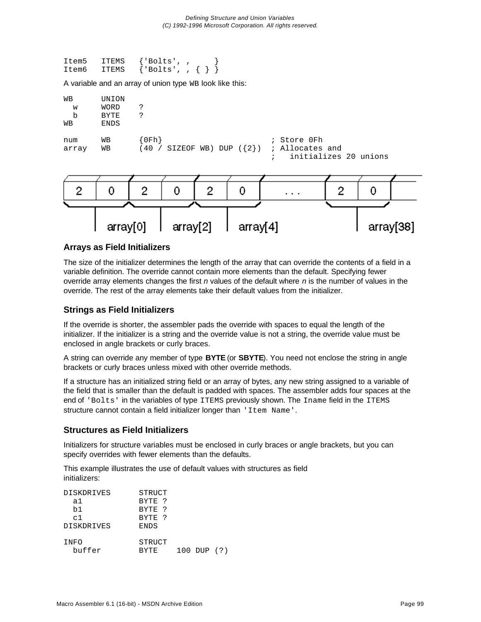```
Item5 ITEMS {'Bolts', ,<br>Item6 ITEMS {'Bolts', , { }
                             \left\{ 'Bolts', , \right\}
```
A variable and an array of union type WB look like this:

| WВ           | UNION       |                                                                                                       |
|--------------|-------------|-------------------------------------------------------------------------------------------------------|
| W            | WORD        | ?                                                                                                     |
| b            | BYTE        | ?                                                                                                     |
| WВ           | <b>ENDS</b> |                                                                                                       |
| num<br>array | WВ<br>WВ    | $\{$ OFh $\}$<br>; Store OFh<br>$(40 / SIZEOF WB) DUP ({2})$ ; Allocates and<br>initializes 20 unions |
|              |             |                                                                                                       |
|              |             |                                                                                                       |



#### **Arrays as Field Initializers**

The size of the initializer determines the length of the array that can override the contents of a field in a variable definition. The override cannot contain more elements than the default. Specifying fewer override array elements changes the first *n* values of the default where *n* is the number of values in the override. The rest of the array elements take their default values from the initializer.

#### **Strings as Field Initializers**

If the override is shorter, the assembler pads the override with spaces to equal the length of the initializer. If the initializer is a string and the override value is not a string, the override value must be enclosed in angle brackets or curly braces.

A string can override any member of type **BYTE** (or **SBYTE**). You need not enclose the string in angle brackets or curly braces unless mixed with other override methods.

If a structure has an initialized string field or an array of bytes, any new string assigned to a variable of the field that is smaller than the default is padded with spaces. The assembler adds four spaces at the end of 'Bolts' in the variables of type ITEMS previously shown. The Iname field in the ITEMS structure cannot contain a field initializer longer than 'Item Name'.

#### **Structures as Field Initializers**

Initializers for structure variables must be enclosed in curly braces or angle brackets, but you can specify overrides with fewer elements than the defaults.

This example illustrates the use of default values with structures as field initializers:

| DISKDRIVES | STRUCT |             |  |
|------------|--------|-------------|--|
| a1         | BYTE ? |             |  |
| h1         | BYTE ? |             |  |
| $\sim$ 1   | BYTE ? |             |  |
| DISKDRIVES | ENDS   |             |  |
|            |        |             |  |
| INFO       | STRUCT |             |  |
| buffer     | BYTE.  | 100 DUP (?) |  |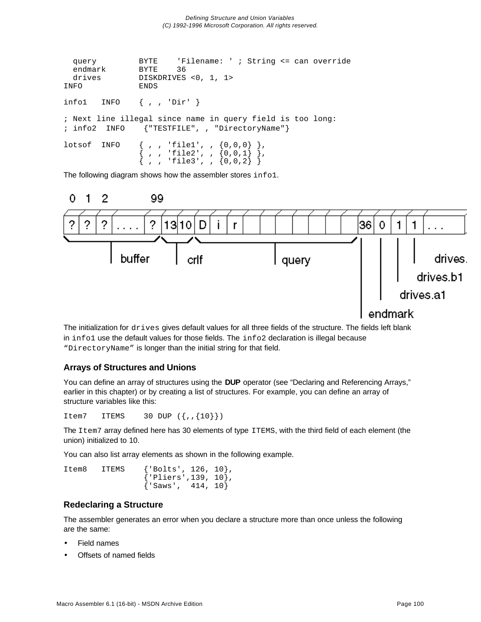```
 query BYTE 'Filename: ' ; String <= can override
  endmark BYTE 36 
drives DISKDRIVES <0, 1, 1><br>INFO ENDS
               ENDS
info1 INFO { , , 'Dir' }
; Next line illegal since name in query field is too long:
; info2 INFO {"TESTFILE", , "DirectoryName"} 
lotsof INFO { , , 'file1', , '0,0,0}, , 'file2', , \{0,0,1\} },
                 , , ' file3', , \{0, 0, 2\}
```
The following diagram shows how the assembler stores info1.



The initialization for drives gives default values for all three fields of the structure. The fields left blank in info1 use the default values for those fields. The info2 declaration is illegal because "DirectoryName" is longer than the initial string for that field.

### **Arrays of Structures and Unions**

You can define an array of structures using the **DUP** operator (see "Declaring and Referencing Arrays," earlier in this chapter) or by creating a list of structures. For example, you can define an array of structure variables like this:

Item7 ITEMS 30 DUP  $({}, {10})$ 

The Item7 array defined here has 30 elements of type ITEMS, with the third field of each element (the union) initialized to 10.

You can also list array elements as shown in the following example.

Item8 ITEMS {'Bolts', 126, 10}, {'Pliers',139, 10},  ${Saws', 414, 10}$ 

### **Redeclaring a Structure**

The assembler generates an error when you declare a structure more than once unless the following are the same:

- **Field names**
- Offsets of named fields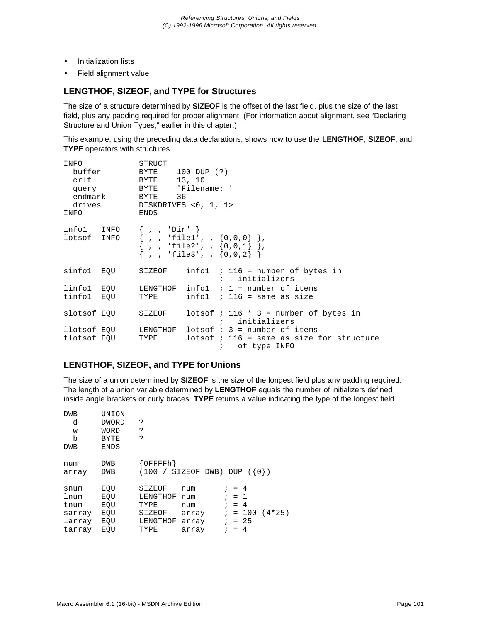- Initialization lists
- Field alignment value

#### **LENGTHOF, SIZEOF, and TYPE for Structures**

The size of a structure determined by **SIZEOF** is the offset of the last field, plus the size of the last field, plus any padding required for proper alignment. (For information about alignment, see "Declaring Structure and Union Types," earlier in this chapter.)

This example, using the preceding data declarations, shows how to use the **LENGTHOF**, **SIZEOF**, and **TYPE** operators with structures.

| INFO<br>INFO | STRUCT<br>buffer BYTE 100 DUP (?)<br>crlf BYTE 13, 10<br>query BYTE 'Filename: '<br>endmark BYTE 36<br>drives DISKDRIVES <0, 1, 1><br><b>ENDS</b> |                                                                                                                          |
|--------------|---------------------------------------------------------------------------------------------------------------------------------------------------|--------------------------------------------------------------------------------------------------------------------------|
|              |                                                                                                                                                   | infol INFO {,, 'Dir' }<br>lotsof INFO {,, 'filel', , {0,0,0} },<br>{,, 'file2', , {0,0,1} },<br>{,, 'file3', , {0,0,2} } |
|              |                                                                                                                                                   | sinfol EQU SIZEOF infol ; 116 = number of bytes in<br>; initializers                                                     |
|              |                                                                                                                                                   | $linfol$ EQU LENGTHOF $info1$ ; 1 = number of items                                                                      |
| tinfol EOU   |                                                                                                                                                   | TYPE infol ; 116 = same as size                                                                                          |
|              |                                                                                                                                                   | slotsof EQU SIZEOF lotsof $i$ 116 $*$ 3 = number of bytes in<br>; initializers                                           |
|              |                                                                                                                                                   | llotsof EQU LENGTHOF lotsof ; 3 = number of items                                                                        |
|              |                                                                                                                                                   | tlotsof EOU TYPE lotsof ; 116 = same as size for structure<br>; of type INFO                                             |

#### **LENGTHOF, SIZEOF, and TYPE for Unions**

The size of a union determined by **SIZEOF** is the size of the longest field plus any padding required. The length of a union variable determined by **LENGTHOF** equals the number of initializers defined inside angle brackets or curly braces. **TYPE** returns a value indicating the type of the longest field.

| <b>DWB</b><br>d<br>W<br>b<br>DWB                   | UNION<br><b>DWORD</b><br>WORD<br><b>BYTE</b><br>ENDS | ?<br>?<br>?                                              |                                              |                                            |                                      |                               |
|----------------------------------------------------|------------------------------------------------------|----------------------------------------------------------|----------------------------------------------|--------------------------------------------|--------------------------------------|-------------------------------|
| num<br>array                                       | DWB<br><b>DWB</b>                                    | $\{0$ FFFF ${\rm h}\}$                                   | $(100 / SIZEOF DWB) DUP (0)$                 |                                            |                                      |                               |
| snum<br>lnum<br>tnum<br>sarray<br>larray<br>tarray | EQU<br>EQU<br>EQU<br>EQU<br>EQU<br>EQU               | SIZEOF<br>LENGTHOF<br>TYPE<br>SIZEOF<br>LENGTHOF<br>TYPE | num<br>num<br>num<br>array<br>array<br>array | $\mathbf{r}$<br>$\mathbf{r}$<br>$\ddot{i}$ | $: = 4$<br>$: = 1$<br>$: = 4$<br>$=$ | $= 100 (4*25)$<br>$= 25$<br>4 |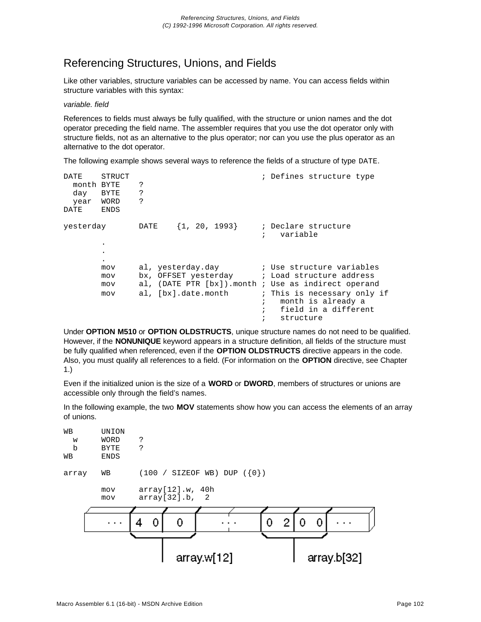# Referencing Structures, Unions, and Fields

Like other variables, structure variables can be accessed by name. You can access fields within structure variables with this syntax:

*variable. field* 

References to fields must always be fully qualified, with the structure or union names and the dot operator preceding the field name. The assembler requires that you use the dot operator only with structure fields, not as an alternative to the plus operator; nor can you use the plus operator as an alternative to the dot operator.

The following example shows several ways to reference the fields of a structure of type DATE.

| DATE<br>month BYTE<br>day<br>year<br>DATE | STRUCT<br>BYTE<br>WORD<br><b>ENDS</b> | ?<br>S.<br>? |                                          | ; Defines structure type                                                                                                                                                                                                            |
|-------------------------------------------|---------------------------------------|--------------|------------------------------------------|-------------------------------------------------------------------------------------------------------------------------------------------------------------------------------------------------------------------------------------|
| yesterday                                 |                                       | DATE         | $\{1, 20, 1993\}$                        | ; Declare structure<br>variable                                                                                                                                                                                                     |
|                                           | mov<br>mov<br>mov<br>mov              |              | al, yesterday.day<br>al, [bx].date.month | ; Use structure variables<br>bx, OFFSET yesterday (b) i Load structure address<br>al, (DATE PTR $[bx]$ ). month ; Use as indirect operand<br>; This is necessary only if<br>month is already a<br>field in a different<br>structure |

Under **OPTION M510** or **OPTION OLDSTRUCTS**, unique structure names do not need to be qualified. However, if the **NONUNIQUE** keyword appears in a structure definition, all fields of the structure must be fully qualified when referenced, even if the **OPTION OLDSTRUCTS** directive appears in the code. Also, you must qualify all references to a field. (For information on the **OPTION** directive, see Chapter 1.)

Even if the initialized union is the size of a **WORD** or **DWORD**, members of structures or unions are accessible only through the field's names.

In the following example, the two **MOV** statements show how you can access the elements of an array of unions.

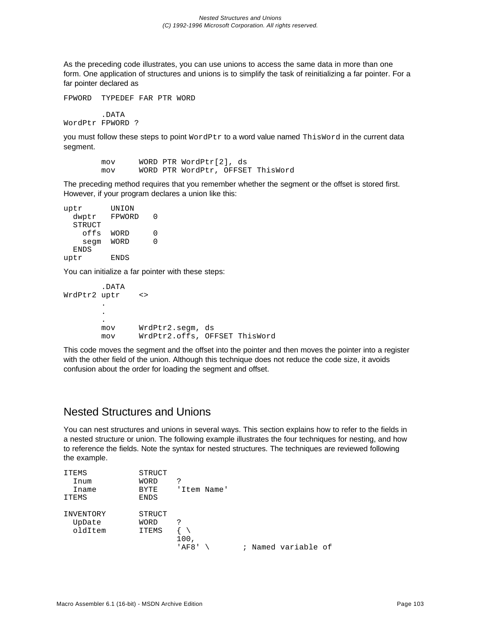As the preceding code illustrates, you can use unions to access the same data in more than one form. One application of structures and unions is to simplify the task of reinitializing a far pointer. For a far pointer declared as

```
FPWORD TYPEDEF FAR PTR WORD
```
 .DATA WordPtr FPWORD ?

you must follow these steps to point WordPtr to a word value named ThisWord in the current data segment.

> mov WORD PTR WordPtr[2], ds mov WORD PTR WordPtr, OFFSET ThisWord

The preceding method requires that you remember whether the segment or the offset is stored first. However, if your program declares a union like this:

```
uptr UNION
  dwptr FPWORD 0
  STRUCT
   offs WORD 0<br>secom WORD 0
   segm WORD
  ENDS
uptr ENDS
```
You can initialize a far pointer with these steps:

```
 .DATA
WrdPtr2 uptr <>
 .
 .
 .
        mov WrdPtr2.segm, ds<br>mov WrdPtr2.offs, OF
                WrdPtr2.offs, OFFSET ThisWord
```
This code moves the segment and the offset into the pointer and then moves the pointer into a register with the other field of the union. Although this technique does not reduce the code size, it avoids confusion about the order for loading the segment and offset.

# Nested Structures and Unions

You can nest structures and unions in several ways. This section explains how to refer to the fields in a nested structure or union. The following example illustrates the four techniques for nesting, and how to reference the fields. Note the syntax for nested structures. The techniques are reviewed following the example.

| ITEMS<br>Inum<br>Iname         | STRUCT<br>WORD<br><b>BYTE</b>  | ?<br>'Item Name'    |  |                   |  |
|--------------------------------|--------------------------------|---------------------|--|-------------------|--|
| <b>ITEMS</b>                   | ENDS                           |                     |  |                   |  |
| INVENTORY<br>UpDate<br>oldItem | STRUCT<br>WORD<br><b>ITEMS</b> | ç<br>100,<br>' AF8' |  | Named variable of |  |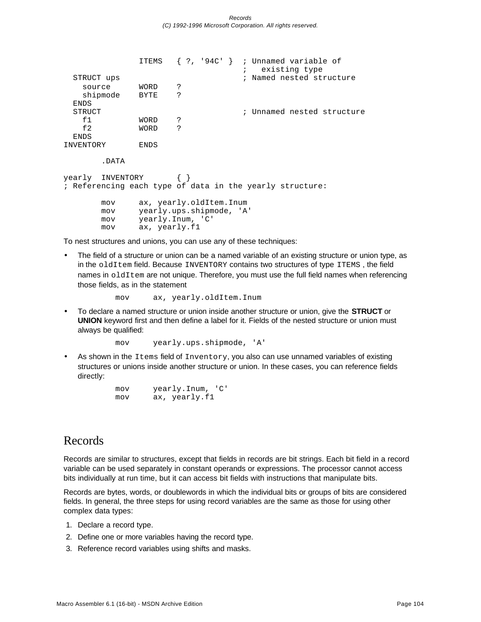#### *Records (C) 1992-1996 Microsoft Corporation. All rights reserved.*

|                  | ITEMS       |                          | $\{ ?, '94C' \}$ ; Unnamed variable of<br>existing type  |
|------------------|-------------|--------------------------|----------------------------------------------------------|
| STRUCT ups       |             |                          | ; Named nested structure                                 |
| source           | WORD        | ?                        |                                                          |
| shipmode         | BYTE        | 2                        |                                                          |
| <b>ENDS</b>      |             |                          |                                                          |
| STRUCT           |             |                          | ; Unnamed nested structure                               |
| f1               | WORD        | S.                       |                                                          |
| £2               | WORD        | 2                        |                                                          |
| <b>ENDS</b>      |             |                          |                                                          |
| INVENTORY        | <b>ENDS</b> |                          |                                                          |
| .DATA            |             |                          |                                                          |
|                  |             |                          |                                                          |
| yearly INVENTORY |             |                          | ; Referencing each type of data in the yearly structure: |
|                  |             |                          |                                                          |
| mov              |             | ax, yearly.oldItem.Inum  |                                                          |
| mov              |             | yearly.ups.shipmode, 'A' |                                                          |
| mov              |             | yearly.Inum, 'C'         |                                                          |

To nest structures and unions, you can use any of these techniques:

mov ax, yearly.f1

The field of a structure or union can be a named variable of an existing structure or union type, as in the oldItem field. Because INVENTORY contains two structures of type ITEMS , the field names in oldItem are not unique. Therefore, you must use the full field names when referencing those fields, as in the statement

mov ax, yearly.oldItem.Inum

• To declare a named structure or union inside another structure or union, give the **STRUCT** or **UNION** keyword first and then define a label for it. Fields of the nested structure or union must always be qualified:

mov yearly.ups.shipmode, 'A'

• As shown in the Items field of Inventory, you also can use unnamed variables of existing structures or unions inside another structure or union. In these cases, you can reference fields directly:

```
 mov yearly.Inum, 'C'
 mov ax, yearly.f1
```
## Records

Records are similar to structures, except that fields in records are bit strings. Each bit field in a record variable can be used separately in constant operands or expressions. The processor cannot access bits individually at run time, but it can access bit fields with instructions that manipulate bits.

Records are bytes, words, or doublewords in which the individual bits or groups of bits are considered fields. In general, the three steps for using record variables are the same as those for using other complex data types:

- 1. Declare a record type.
- 2. Define one or more variables having the record type.
- 3. Reference record variables using shifts and masks.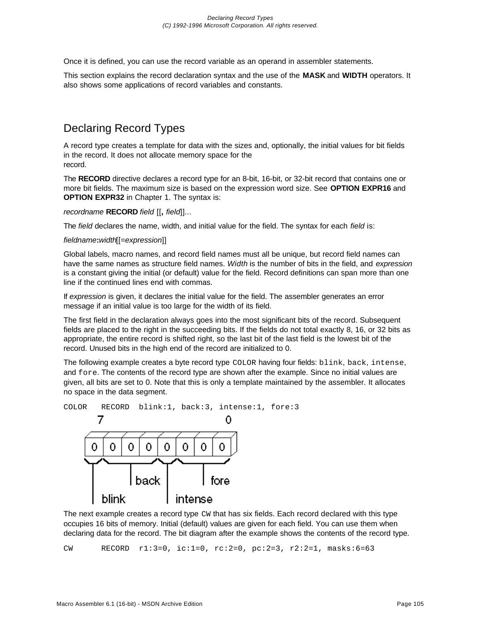Once it is defined, you can use the record variable as an operand in assembler statements.

This section explains the record declaration syntax and the use of the **MASK** and **WIDTH** operators. It also shows some applications of record variables and constants.

# Declaring Record Types

A record type creates a template for data with the sizes and, optionally, the initial values for bit fields in the record. It does not allocate memory space for the record.

The **RECORD** directive declares a record type for an 8-bit, 16-bit, or 32-bit record that contains one or more bit fields. The maximum size is based on the expression word size. See **OPTION EXPR16** and **OPTION EXPR32** in Chapter 1. The syntax is:

*recordname* **RECORD** *field* [[**,** *field*]]*...*

The *field* declares the name, width, and initial value for the field. The syntax for each *field* is:

#### *fieldname***:***width*[[*=expression*]]

Global labels, macro names, and record field names must all be unique, but record field names can have the same names as structure field names. *Width* is the number of bits in the field, and *expression* is a constant giving the initial (or default) value for the field. Record definitions can span more than one line if the continued lines end with commas.

If *expression* is given, it declares the initial value for the field. The assembler generates an error message if an initial value is too large for the width of its field.

The first field in the declaration always goes into the most significant bits of the record. Subsequent fields are placed to the right in the succeeding bits. If the fields do not total exactly 8, 16, or 32 bits as appropriate, the entire record is shifted right, so the last bit of the last field is the lowest bit of the record. Unused bits in the high end of the record are initialized to 0.

The following example creates a byte record type COLOR having four fields: blink, back, intense, and fore. The contents of the record type are shown after the example. Since no initial values are given, all bits are set to 0. Note that this is only a template maintained by the assembler. It allocates no space in the data segment.



The next example creates a record type CW that has six fields. Each record declared with this type occupies 16 bits of memory. Initial (default) values are given for each field. You can use them when declaring data for the record. The bit diagram after the example shows the contents of the record type.

CW RECORD r1:3=0, ic:1=0, rc:2=0, pc:2=3, r2:2=1, masks:6=63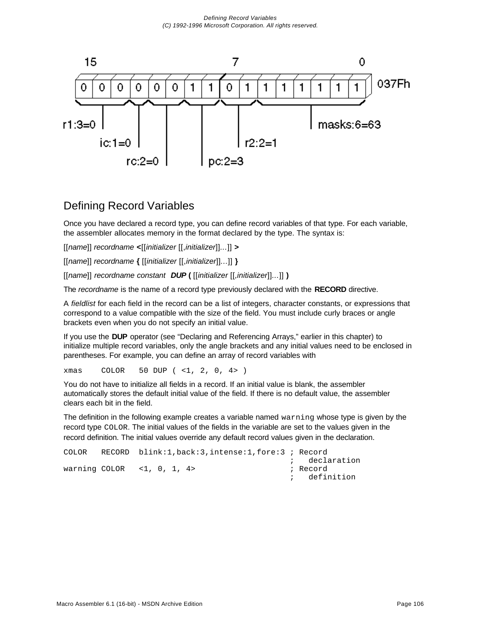

## Defining Record Variables

Once you have declared a record type, you can define record variables of that type. For each variable, the assembler allocates memory in the format declared by the type. The syntax is:

[[*name*]] *recordname* **<**[[*initializer* [[,*initializer*]]*...*]] **>**

[[*name*]] *recordname* **{** [[*initializer* [[,*initializer*]]*...*]] **}**

[[*name*]] *recordname constant DUP* **(** [[*initializer* [[*,initializer*]]*...*]] **)**

The *recordname* is the name of a record type previously declared with the **RECORD** directive.

A *fieldlist* for each field in the record can be a list of integers, character constants, or expressions that correspond to a value compatible with the size of the field. You must include curly braces or angle brackets even when you do not specify an initial value.

If you use the **DUP** operator (see "Declaring and Referencing Arrays," earlier in this chapter) to initialize multiple record variables, only the angle brackets and any initial values need to be enclosed in parentheses. For example, you can define an array of record variables with

xmas COLOR 50 DUP ( <1, 2, 0, 4> )

You do not have to initialize all fields in a record. If an initial value is blank, the assembler automatically stores the default initial value of the field. If there is no default value, the assembler clears each bit in the field.

The definition in the following example creates a variable named warning whose type is given by the record type COLOR. The initial values of the fields in the variable are set to the values given in the record definition. The initial values override any default record values given in the declaration.

```
COLOR RECORD blink:1,back:3,intense:1,fore:3 ; Record 
                                           declaration
warning COLOR <1, 0, 1, 4> ; Record
                                           definition
```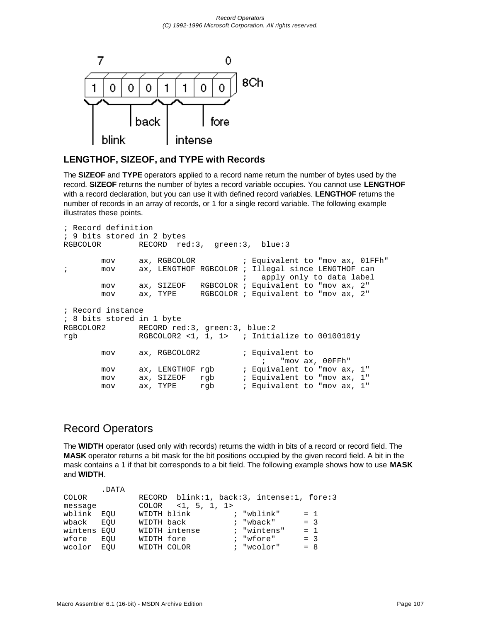

### **LENGTHOF, SIZEOF, and TYPE with Records**

The **SIZEOF** and **TYPE** operators applied to a record name return the number of bytes used by the record. **SIZEOF** returns the number of bytes a record variable occupies. You cannot use **LENGTHOF** with a record declaration, but you can use it with defined record variables. **LENGTHOF** returns the number of records in an array of records, or 1 for a single record variable. The following example illustrates these points.

```
; Record definition
; 9 bits stored in 2 bytes
RGBCOLOR RECORD red:3, green:3, blue:3 
         mov ax, RGBCOLOR ; Equivalent to "mov ax, 01FFh" 
; mov ax, LENGTHOF RGBCOLOR ; Illegal since LENGTHOF can
                                          ; apply only to data label
         mov ax, SIZEOF RGBCOLOR ; Equivalent to "mov ax, 2" 
         mov ax, TYPE RGBCOLOR ; Equivalent to "mov ax, 2" 
; Record instance
; 8 bits stored in 1 byte
RGBCOLOR2 RECORD red:3, green:3, blue:2<br>rgb RGBCOLOR2 <1, 1, 1> ; Initi.
                                         ; Initialize to 00100101y
        mov ax, RGBCOLOR2 ; Equivalent to
                 ax, LENGTHOF rgb             ;     "mov ax, 00FFh"<br>ax, LENGTHOF rgb        ; Equivalent to "mov ax
         mov ax, LENGTHOF rgb ; Equivalent to "mov ax, 1"
        mov ax, SIZEOF rgb ; Equivalent to "mov ax, 1"<br>mov ax, TYPE rgb ; Equivalent to "mov ax, 1"
         mov ax, TYPE rgb ; Equivalent to "mov ax, 1"
```
# Record Operators

The **WIDTH** operator (used only with records) returns the width in bits of a record or record field. The **MASK** operator returns a bit mask for the bit positions occupied by the given record field. A bit in the mask contains a 1 if that bit corresponds to a bit field. The following example shows how to use **MASK** and **WIDTH**.

|             | .DATA      |            |                                           |             |       |
|-------------|------------|------------|-------------------------------------------|-------------|-------|
| COLOR       |            |            | RECORD blink:1, back:3, intense:1, fore:3 |             |       |
| message     |            |            | COLOR < 1, 5, 1, 1 >                      |             |       |
| wblink EOU  |            |            | WIDTH blink                               | ; "wblink"  | $= 1$ |
| wback       | EOU        | WIDTH back |                                           | : "wback"   | $=$ 3 |
| wintens EOU |            |            | WIDTH intense                             | ; "wintens" | $= 1$ |
| wfore       | EOU        | WIDTH fore |                                           | ; "wfore"   | $=$ 3 |
| wcolor      | <b>EOU</b> |            | WIDTH COLOR                               | ; "wcolor"  | $= 8$ |
|             |            |            |                                           |             |       |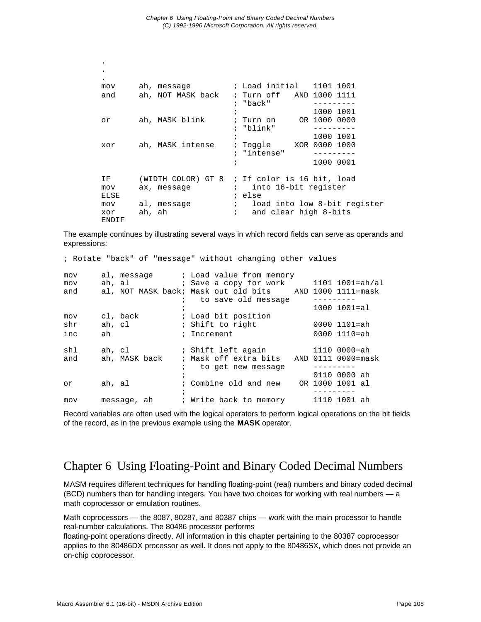. . . mov ah, message  $\qquad i$  Load initial 1101 1001 and ah, NOT MASK back ; Turn off AND 1000 1111 ; "back" --------- ; 1000 1001 or ah, MASK blink ; Turn on OR 1000 0000 ; "blink" --------- ; 1000 1001 xor ah, MASK intense ; Toggle XOR 0000 1000 ; "intense" --------- ; 1000 0001 IF (WIDTH COLOR) GT 8 ; If color is 16 bit, load mov ax, message  $\qquad i$  into 16-bit register ELSE ; else mov al, message  $\begin{array}{ccc} i & \text{load into low 8-bit register} \\ \text{xor} & \text{ah, ah} & \text{i and clear high 8-bits} \end{array}$ xor ah, ah  $\qquad i$  and clear high 8-bits ENDIF

The example continues by illustrating several ways in which record fields can serve as operands and expressions:

; Rotate "back" of "message" without changing other values

| mov |        |               | al, message $\qquad$ ; Load value from memory              |  |                  |
|-----|--------|---------------|------------------------------------------------------------|--|------------------|
| mov |        |               | ah, al $\qquad i$ Save a copy for work $1101 1001 = ah/al$ |  |                  |
| and |        |               | al, NOT MASK back; Mask out old bits AND 1000 1111=mask    |  |                  |
|     |        |               | to save old message                                        |  |                  |
|     |        |               |                                                            |  | $1000 1001 = a1$ |
| mov |        | cl, back      | ; Load bit position                                        |  |                  |
| shr |        | ah, cl        | ; Shift to right                                           |  | $0000 1101 = ah$ |
| inc | ah     |               | ; Increment                                                |  | 0000 1110=ah     |
| shl | ah, cl |               | ; Shift left again                                         |  | 1110 0000=ah     |
| and |        | ah, MASK back | ; Mask off extra bits AND 0111 0000=mask                   |  |                  |
|     |        |               | ; to get new message                                       |  |                  |
|     |        |               |                                                            |  | 0110 0000 ah     |
| or  | ah, al |               | ; Combine old and new                                      |  | OR 1000 1001 al  |
|     |        |               |                                                            |  |                  |
| mov |        | message, ah   | ; Write back to memory                                     |  | 1110 1001 ah     |

Record variables are often used with the logical operators to perform logical operations on the bit fields of the record, as in the previous example using the **MASK** operator.

# Chapter 6 Using Floating-Point and Binary Coded Decimal Numbers

MASM requires different techniques for handling floating-point (real) numbers and binary coded decimal (BCD) numbers than for handling integers. You have two choices for working with real numbers — a math coprocessor or emulation routines.

Math coprocessors — the 8087, 80287, and 80387 chips — work with the main processor to handle real-number calculations. The 80486 processor performs

floating-point operations directly. All information in this chapter pertaining to the 80387 coprocessor applies to the 80486DX processor as well. It does not apply to the 80486SX, which does not provide an on-chip coprocessor.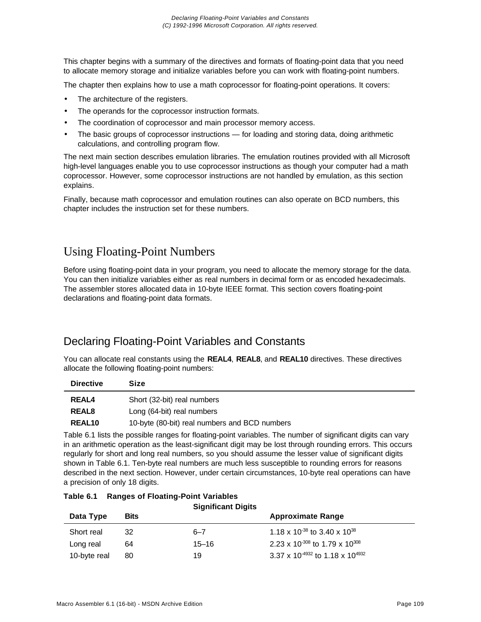This chapter begins with a summary of the directives and formats of floating-point data that you need to allocate memory storage and initialize variables before you can work with floating-point numbers.

The chapter then explains how to use a math coprocessor for floating-point operations. It covers:

- The architecture of the registers.
- The operands for the coprocessor instruction formats.
- The coordination of coprocessor and main processor memory access.
- The basic groups of coprocessor instructions for loading and storing data, doing arithmetic calculations, and controlling program flow.

The next main section describes emulation libraries. The emulation routines provided with all Microsoft high-level languages enable you to use coprocessor instructions as though your computer had a math coprocessor. However, some coprocessor instructions are not handled by emulation, as this section explains.

Finally, because math coprocessor and emulation routines can also operate on BCD numbers, this chapter includes the instruction set for these numbers.

## Using Floating-Point Numbers

Before using floating-point data in your program, you need to allocate the memory storage for the data. You can then initialize variables either as real numbers in decimal form or as encoded hexadecimals. The assembler stores allocated data in 10-byte IEEE format. This section covers floating-point declarations and floating-point data formats.

## Declaring Floating-Point Variables and Constants

You can allocate real constants using the **REAL4**, **REAL8**, and **REAL10** directives. These directives allocate the following floating-point numbers:

| <b>Directive</b> | Size                                          |
|------------------|-----------------------------------------------|
| <b>REAL4</b>     | Short (32-bit) real numbers                   |
| <b>REAL8</b>     | Long (64-bit) real numbers                    |
| <b>REAL10</b>    | 10-byte (80-bit) real numbers and BCD numbers |

Table 6.1 lists the possible ranges for floating-point variables. The number of significant digits can vary in an arithmetic operation as the least-significant digit may be lost through rounding errors. This occurs regularly for short and long real numbers, so you should assume the lesser value of significant digits shown in Table 6.1. Ten-byte real numbers are much less susceptible to rounding errors for reasons described in the next section. However, under certain circumstances, 10-byte real operations can have a precision of only 18 digits.

|              |             | <b>Significant Digits</b> |                                                         |
|--------------|-------------|---------------------------|---------------------------------------------------------|
| Data Type    | <b>Bits</b> |                           | <b>Approximate Range</b>                                |
| Short real   | 32          | $6 - 7$                   | 1.18 x 10 <sup>-38</sup> to 3.40 x 10 <sup>38</sup>     |
| Long real    | 64          | $15 - 16$                 | 2.23 x 10 <sup>-308</sup> to 1.79 x 10 <sup>308</sup>   |
| 10-byte real | 80          | 19                        | 3.37 x 10 <sup>-4932</sup> to 1.18 x 10 <sup>4932</sup> |

#### **Table 6.1 Ranges of Floating-Point Variables**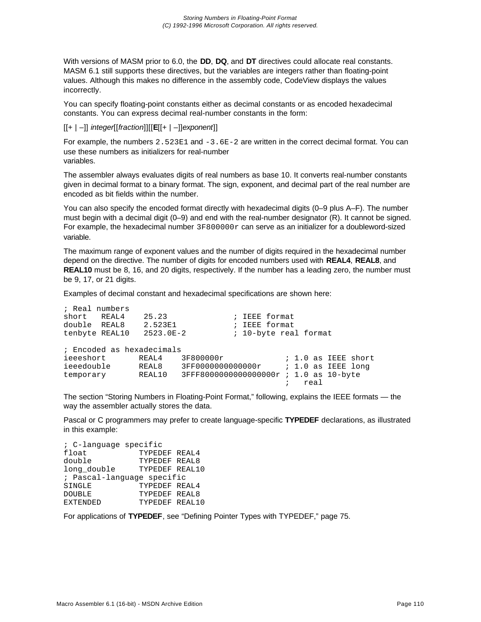With versions of MASM prior to 6.0, the **DD**, **DQ**, and **DT** directives could allocate real constants. MASM 6.1 still supports these directives, but the variables are integers rather than floating-point values. Although this makes no difference in the assembly code, CodeView displays the values incorrectly.

You can specify floating-point constants either as decimal constants or as encoded hexadecimal constants. You can express decimal real-number constants in the form:

[[+ | –]] *integer*[[*fraction*]][[**E**[[+ | –]]*exponent*]]

For example, the numbers  $2.523E1$  and  $-3.6E-2$  are written in the correct decimal format. You can use these numbers as initializers for real-number variables.

The assembler always evaluates digits of real numbers as base 10. It converts real-number constants given in decimal format to a binary format. The sign, exponent, and decimal part of the real number are encoded as bit fields within the number.

You can also specify the encoded format directly with hexadecimal digits (0–9 plus A–F). The number must begin with a decimal digit (0–9) and end with the real-number designator (R). It cannot be signed. For example, the hexadecimal number  $3F800000r$  can serve as an initializer for a doubleword-sized variable.

The maximum range of exponent values and the number of digits required in the hexadecimal number depend on the directive. The number of digits for encoded numbers used with **REAL4**, **REAL8**, and **REAL10** must be 8, 16, and 20 digits, respectively. If the number has a leading zero, the number must be 9, 17, or 21 digits.

Examples of decimal constant and hexadecimal specifications are shown here:

| ; Real numbers            |             |                                          |                       |  |      |                     |
|---------------------------|-------------|------------------------------------------|-----------------------|--|------|---------------------|
| short REAL4               | 25.23       |                                          | ; IEEE format         |  |      |                     |
| double REAL8              | 2.523E1     |                                          | ; IEEE format         |  |      |                     |
| tenbyte REAL10            | $2523.0E-2$ |                                          | ; 10-byte real format |  |      |                     |
| ; Encoded as hexadecimals |             |                                          |                       |  |      |                     |
| ieeeshort                 | REAL4       | 3F800000r                                |                       |  |      | ; 1.0 as IEEE short |
| ieeedouble                | REAL8       | 3FF000000000000000r ; 1.0 as IEEE long   |                       |  |      |                     |
| temporary                 | REAL10      | 3FFF800000000000000000r ; 1.0 as 10-byte |                       |  |      |                     |
|                           |             |                                          |                       |  | real |                     |

The section "Storing Numbers in Floating-Point Format," following, explains the IEEE formats — the way the assembler actually stores the data.

Pascal or C programmers may prefer to create language-specific **TYPEDEF** declarations, as illustrated in this example:

```
; C-language specific
float TYPEDEF REAL4
double TYPEDEF REAL8
long_double TYPEDEF REAL10
; Pascal-language specific
SINGLE TYPEDEF REAL4<br>DOUBLE TYPEDEF REAL8
DOUBLE TYPEDEF REAL8<br>EXTENDED TYPEDEF REAL1
               TYPEDEF REAL10
```
For applications of **TYPEDEF**, see "Defining Pointer Types with TYPEDEF," page 75.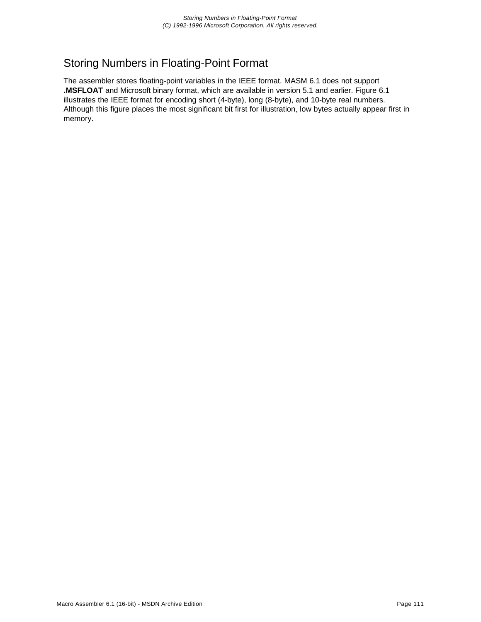# Storing Numbers in Floating-Point Format

The assembler stores floating-point variables in the IEEE format. MASM 6.1 does not support **.MSFLOAT** and Microsoft binary format, which are available in version 5.1 and earlier. Figure 6.1 illustrates the IEEE format for encoding short (4-byte), long (8-byte), and 10-byte real numbers. Although this figure places the most significant bit first for illustration, low bytes actually appear first in memory.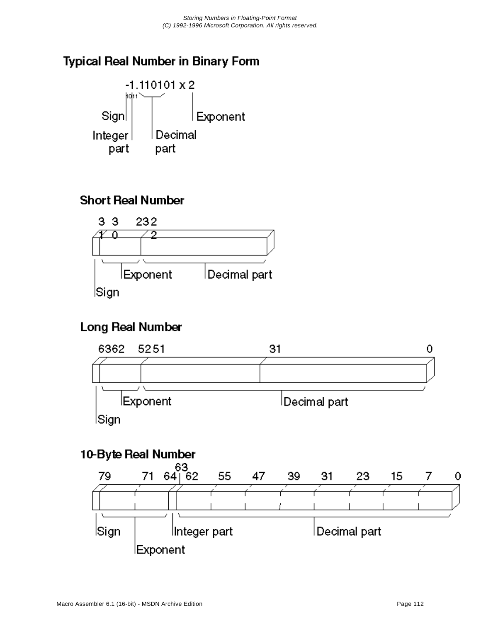# **Typical Real Number in Binary Form**



# **Short Real Number**



# Long Real Number



## 10-Byte Real Number

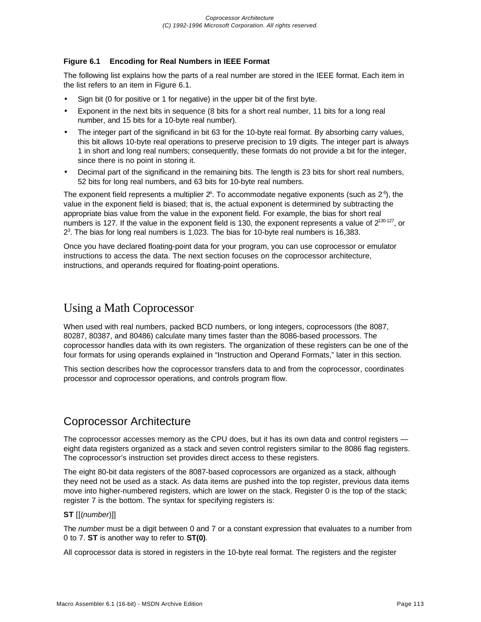#### **Figure 6.1 Encoding for Real Numbers in IEEE Format**

The following list explains how the parts of a real number are stored in the IEEE format. Each item in the list refers to an item in Figure 6.1.

- Sign bit (0 for positive or 1 for negative) in the upper bit of the first byte.
- Exponent in the next bits in sequence (8 bits for a short real number, 11 bits for a long real number, and 15 bits for a 10-byte real number).
- The integer part of the significand in bit 63 for the 10-byte real format. By absorbing carry values, this bit allows 10-byte real operations to preserve precision to 19 digits. The integer part is always 1 in short and long real numbers; consequently, these formats do not provide a bit for the integer, since there is no point in storing it.
- Decimal part of the significand in the remaining bits. The length is 23 bits for short real numbers, 52 bits for long real numbers, and 63 bits for 10-byte real numbers.

The exponent field represents a multiplier  $2^n$ . To accommodate negative exponents (such as  $2^6$ ), the value in the exponent field is biased; that is, the actual exponent is determined by subtracting the appropriate bias value from the value in the exponent field. For example, the bias for short real numbers is 127. If the value in the exponent field is 130, the exponent represents a value of 2<sup>130-127</sup>, or 2 3 . The bias for long real numbers is 1,023. The bias for 10-byte real numbers is 16,383.

Once you have declared floating-point data for your program, you can use coprocessor or emulator instructions to access the data. The next section focuses on the coprocessor architecture, instructions, and operands required for floating-point operations.

## Using a Math Coprocessor

When used with real numbers, packed BCD numbers, or long integers, coprocessors (the 8087, 80287, 80387, and 80486) calculate many times faster than the 8086-based processors. The coprocessor handles data with its own registers. The organization of these registers can be one of the four formats for using operands explained in "Instruction and Operand Formats," later in this section.

This section describes how the coprocessor transfers data to and from the coprocessor, coordinates processor and coprocessor operations, and controls program flow.

### Coprocessor Architecture

The coprocessor accesses memory as the CPU does, but it has its own data and control registers eight data registers organized as a stack and seven control registers similar to the 8086 flag registers. The coprocessor's instruction set provides direct access to these registers.

The eight 80-bit data registers of the 8087-based coprocessors are organized as a stack, although they need not be used as a stack. As data items are pushed into the top register, previous data items move into higher-numbered registers, which are lower on the stack. Register 0 is the top of the stack; register 7 is the bottom. The syntax for specifying registers is:

#### **ST** [[(*number*)]]

The *number* must be a digit between 0 and 7 or a constant expression that evaluates to a number from 0 to 7. **ST** is another way to refer to **ST(0)**.

All coprocessor data is stored in registers in the 10-byte real format. The registers and the register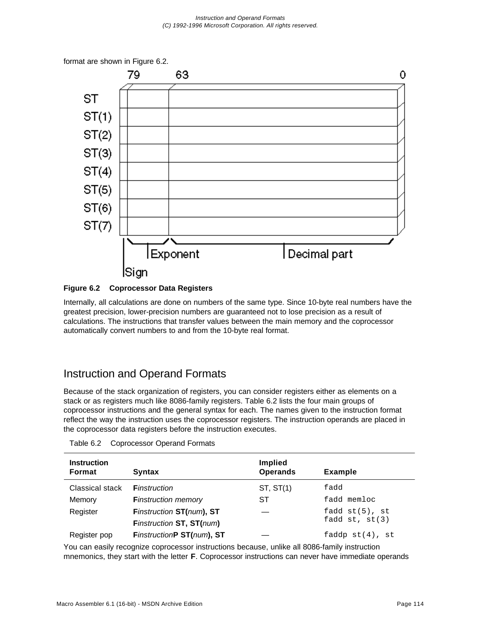

**Figure 6.2 Coprocessor Data Registers**

Internally, all calculations are done on numbers of the same type. Since 10-byte real numbers have the greatest precision, lower-precision numbers are guaranteed not to lose precision as a result of calculations. The instructions that transfer values between the main memory and the coprocessor automatically convert numbers to and from the 10-byte real format.

## Instruction and Operand Formats

Because of the stack organization of registers, you can consider registers either as elements on a stack or as registers much like 8086-family registers. Table 6.2 lists the four main groups of coprocessor instructions and the general syntax for each. The names given to the instruction format reflect the way the instruction uses the coprocessor registers. The instruction operands are placed in the coprocessor data registers before the instruction executes.

| <b>Instruction</b><br>Format | <b>Syntax</b>                                        | <b>Implied</b><br><b>Operands</b> | <b>Example</b>                        |
|------------------------------|------------------------------------------------------|-----------------------------------|---------------------------------------|
| Classical stack              | <b>Finstruction</b>                                  | ST, ST(1)                         | fadd                                  |
| Memory                       | <b>Finstruction memory</b>                           | SТ                                | fadd memloc                           |
| Register                     | Finstruction ST(num), ST<br>Finstruction ST, ST(num) |                                   | fadd $st(5)$ , st<br>fadd $st, st(3)$ |
| Register pop                 | FinstructionP ST(num), ST                            |                                   | faddp $st(4)$ , st                    |

| Table 6.2 Coprocessor Operand Formats |  |
|---------------------------------------|--|
|                                       |  |

You can easily recognize coprocessor instructions because, unlike all 8086-family instruction mnemonics, they start with the letter **F**. Coprocessor instructions can never have immediate operands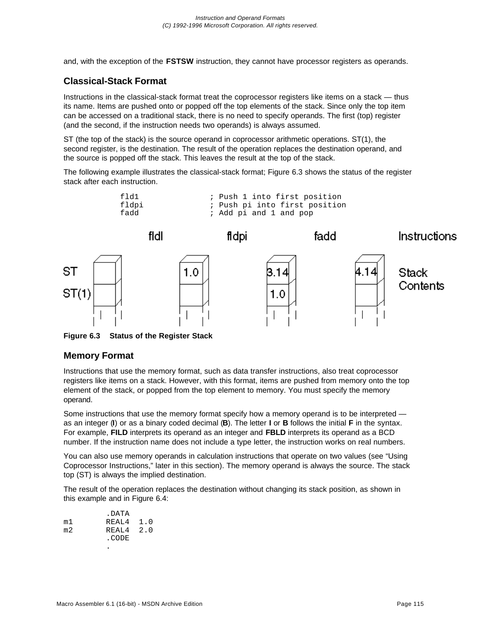and, with the exception of the **FSTSW** instruction, they cannot have processor registers as operands.

### **Classical-Stack Format**

Instructions in the classical-stack format treat the coprocessor registers like items on a stack — thus its name. Items are pushed onto or popped off the top elements of the stack. Since only the top item can be accessed on a traditional stack, there is no need to specify operands. The first (top) register (and the second, if the instruction needs two operands) is always assumed.

ST (the top of the stack) is the source operand in coprocessor arithmetic operations. ST(1), the second register, is the destination. The result of the operation replaces the destination operand, and the source is popped off the stack. This leaves the result at the top of the stack.

The following example illustrates the classical-stack format; Figure 6.3 shows the status of the register stack after each instruction.



**Figure 6.3 Status of the Register Stack**

#### **Memory Format**

Instructions that use the memory format, such as data transfer instructions, also treat coprocessor registers like items on a stack. However, with this format, items are pushed from memory onto the top element of the stack, or popped from the top element to memory. You must specify the memory operand.

Some instructions that use the memory format specify how a memory operand is to be interpreted as an integer (**I**) or as a binary coded decimal (**B**). The letter **I** or **B** follows the initial **F** in the syntax. For example, **FILD** interprets its operand as an integer and **FBLD** interprets its operand as a BCD number. If the instruction name does not include a type letter, the instruction works on real numbers.

You can also use memory operands in calculation instructions that operate on two values (see "Using Coprocessor Instructions," later in this section). The memory operand is always the source. The stack top (ST) is always the implied destination.

The result of the operation replaces the destination without changing its stack position, as shown in this example and in Figure 6.4:

|     | .DATA     |     |
|-----|-----------|-----|
| m 1 | REAL4 1.0 |     |
| m2  | REAL4     | 2.0 |
|     | .CODE     |     |
|     |           |     |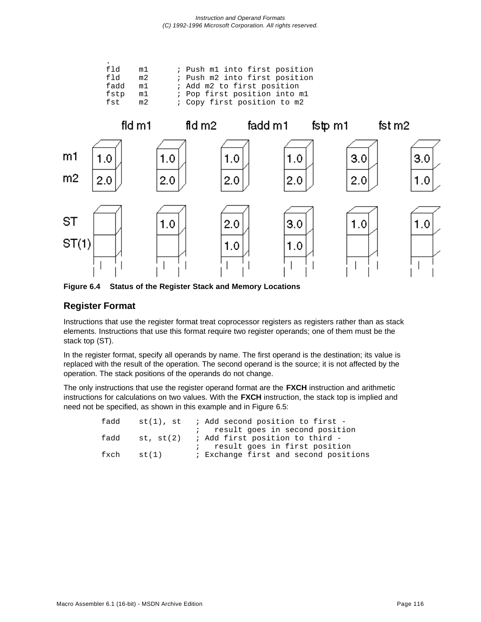#### *Instruction and Operand Formats (C) 1992-1996 Microsoft Corporation. All rights reserved.*

| f 1 d | m 1  | ; Push m1 into first position |
|-------|------|-------------------------------|
| F1d   | m 2. | ; Push m2 into first position |
| fadd  | m 1  | ; Add m2 to first position    |
| fstp  | m1   | ; Pop first position into m1  |
| fst   | m 2. | ; Copy first position to m2   |
|       |      |                               |



**Figure 6.4 Status of the Register Stack and Memory Locations**

#### **Register Format**

Instructions that use the register format treat coprocessor registers as registers rather than as stack elements. Instructions that use this format require two register operands; one of them must be the stack top (ST).

In the register format, specify all operands by name. The first operand is the destination; its value is replaced with the result of the operation. The second operand is the source; it is not affected by the operation. The stack positions of the operands do not change.

The only instructions that use the register operand format are the **FXCH** instruction and arithmetic instructions for calculations on two values. With the **FXCH** instruction, the stack top is implied and need not be specified, as shown in this example and in Figure 6.5:

| fadd |       | $st(1)$ , st ; Add second position to first - |
|------|-------|-----------------------------------------------|
|      |       | result goes in second position                |
| fadd |       | st, $st(2)$ ; Add first position to third -   |
|      |       | result goes in first position                 |
| fxch | st(1) | : Exchange first and second positions         |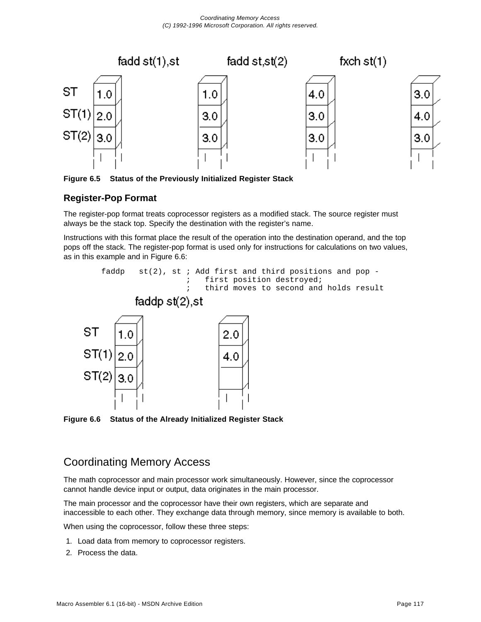

**Figure 6.5 Status of the Previously Initialized Register Stack**

#### **Register-Pop Format**

The register-pop format treats coprocessor registers as a modified stack. The source register must always be the stack top. Specify the destination with the register's name.

Instructions with this format place the result of the operation into the destination operand, and the top pops off the stack. The register-pop format is used only for instructions for calculations on two values, as in this example and in Figure 6.6:



**Figure 6.6 Status of the Already Initialized Register Stack**

## Coordinating Memory Access

The math coprocessor and main processor work simultaneously. However, since the coprocessor cannot handle device input or output, data originates in the main processor.

The main processor and the coprocessor have their own registers, which are separate and inaccessible to each other. They exchange data through memory, since memory is available to both.

When using the coprocessor, follow these three steps:

- 1. Load data from memory to coprocessor registers.
- 2. Process the data.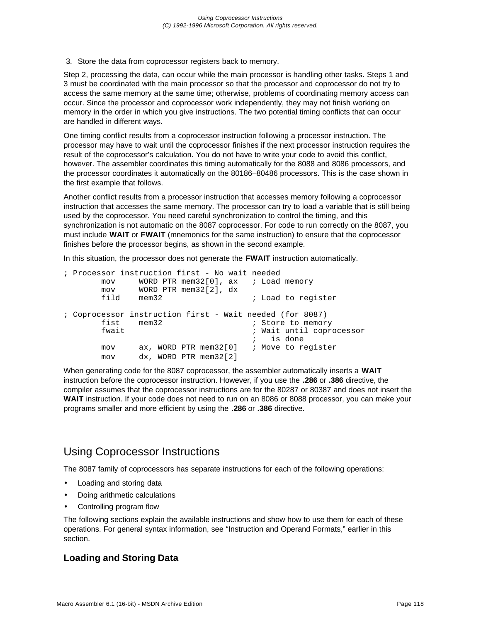3. Store the data from coprocessor registers back to memory.

Step 2, processing the data, can occur while the main processor is handling other tasks. Steps 1 and 3 must be coordinated with the main processor so that the processor and coprocessor do not try to access the same memory at the same time; otherwise, problems of coordinating memory access can occur. Since the processor and coprocessor work independently, they may not finish working on memory in the order in which you give instructions. The two potential timing conflicts that can occur are handled in different ways.

One timing conflict results from a coprocessor instruction following a processor instruction. The processor may have to wait until the coprocessor finishes if the next processor instruction requires the result of the coprocessor's calculation. You do not have to write your code to avoid this conflict, however. The assembler coordinates this timing automatically for the 8088 and 8086 processors, and the processor coordinates it automatically on the 80186–80486 processors. This is the case shown in the first example that follows.

Another conflict results from a processor instruction that accesses memory following a coprocessor instruction that accesses the same memory. The processor can try to load a variable that is still being used by the coprocessor. You need careful synchronization to control the timing, and this synchronization is not automatic on the 8087 coprocessor. For code to run correctly on the 8087, you must include **WAIT** or **FWAIT** (mnemonics for the same instruction) to ensure that the coprocessor finishes before the processor begins, as shown in the second example.

In this situation, the processor does not generate the **FWAIT** instruction automatically.

```
; Processor instruction first - No wait needed
        mov WORD PTR mem32[0], ax ; Load memory
       mov WORD PTR mem32[2], dx<br>fild mem32
                                       ; Load to register
; Coprocessor instruction first - Wait needed (for 8087)
       fist mem32 ; Store to memory<br>fwait : Wait until copre
                                        ; Wait until coprocessor
                                         ; is done
        mov ax, WORD PTR mem32[0] ; Move to register
        mov dx, WORD PTR mem32[2]
```
When generating code for the 8087 coprocessor, the assembler automatically inserts a **WAIT**  instruction before the coprocessor instruction. However, if you use the **.286** or **.386** directive, the compiler assumes that the coprocessor instructions are for the 80287 or 80387 and does not insert the **WAIT** instruction. If your code does not need to run on an 8086 or 8088 processor, you can make your programs smaller and more efficient by using the **.286** or **.386** directive.

## Using Coprocessor Instructions

The 8087 family of coprocessors has separate instructions for each of the following operations:

- Loading and storing data
- Doing arithmetic calculations
- Controlling program flow

The following sections explain the available instructions and show how to use them for each of these operations. For general syntax information, see "Instruction and Operand Formats," earlier in this section.

### **Loading and Storing Data**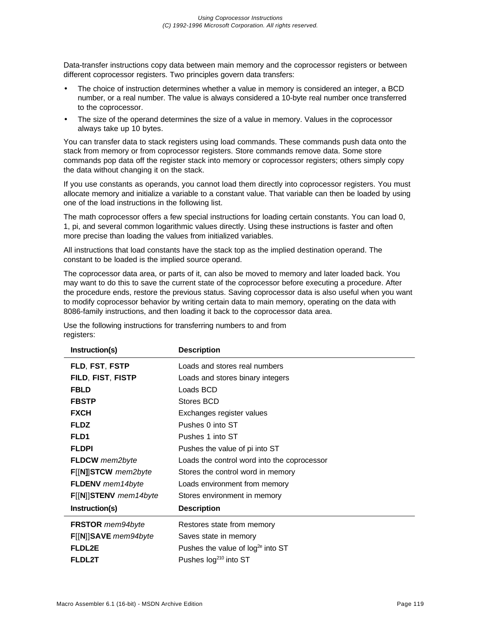Data-transfer instructions copy data between main memory and the coprocessor registers or between different coprocessor registers. Two principles govern data transfers:

- The choice of instruction determines whether a value in memory is considered an integer, a BCD number, or a real number. The value is always considered a 10-byte real number once transferred to the coprocessor.
- The size of the operand determines the size of a value in memory. Values in the coprocessor always take up 10 bytes.

You can transfer data to stack registers using load commands. These commands push data onto the stack from memory or from coprocessor registers. Store commands remove data. Some store commands pop data off the register stack into memory or coprocessor registers; others simply copy the data without changing it on the stack.

If you use constants as operands, you cannot load them directly into coprocessor registers. You must allocate memory and initialize a variable to a constant value. That variable can then be loaded by using one of the load instructions in the following list.

The math coprocessor offers a few special instructions for loading certain constants. You can load 0, 1, pi, and several common logarithmic values directly. Using these instructions is faster and often more precise than loading the values from initialized variables.

All instructions that load constants have the stack top as the implied destination operand. The constant to be loaded is the implied source operand.

The coprocessor data area, or parts of it, can also be moved to memory and later loaded back. You may want to do this to save the current state of the coprocessor before executing a procedure. After the procedure ends, restore the previous status. Saving coprocessor data is also useful when you want to modify coprocessor behavior by writing certain data to main memory, operating on the data with 8086-family instructions, and then loading it back to the coprocessor data area.

| Instruction(s)                 | <b>Description</b>                          |
|--------------------------------|---------------------------------------------|
| FLD, FST, FSTP                 | Loads and stores real numbers               |
| FILD, FIST, FISTP              | Loads and stores binary integers            |
| <b>FBLD</b>                    | Loads BCD                                   |
| <b>FBSTP</b>                   | Stores BCD                                  |
| <b>FXCH</b>                    | Exchanges register values                   |
| <b>FLDZ</b>                    | Pushes 0 into ST                            |
| FLD1                           | Pushes 1 into ST                            |
| <b>FLDPI</b>                   | Pushes the value of pi into ST              |
| <b>FLDCW</b> mem2byte          | Loads the control word into the coprocessor |
| <b>F[[N]]STCW</b> mem2byte     | Stores the control word in memory           |
| FLDENV mem14byte               | Loads environment from memory               |
| F[[N]]STENV mem14byte          | Stores environment in memory                |
| Instruction(s)                 | <b>Description</b>                          |
| <b>FRSTOR</b> mem94byte        | Restores state from memory                  |
| $F[[N]]$ SAVE <i>mem94byte</i> | Saves state in memory                       |
| FLDL2E                         | Pushes the value of $log^{2e}$ into ST      |
| <b>FLDL2T</b>                  | Pushes log <sup>210</sup> into ST           |

Use the following instructions for transferring numbers to and from registers: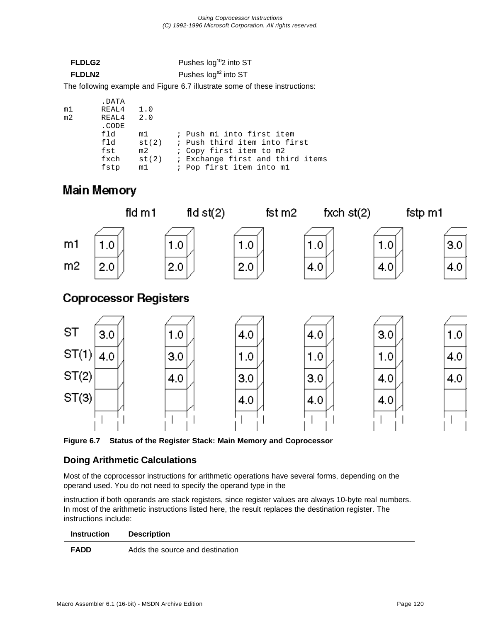| <b>FLDLG2</b> | Pushes log <sup>10</sup> 2 into ST |
|---------------|------------------------------------|
| <b>FLDLN2</b> | Pushes log <sup>e2</sup> into ST   |

The following example and Figure 6.7 illustrate some of these instructions:

|    | .DATA |     |                                          |
|----|-------|-----|------------------------------------------|
| m1 | REAL4 | 1.0 |                                          |
| m2 | REAL4 | 2.0 |                                          |
|    | .CODE |     |                                          |
|    | fld   | m1  | ; Push m1 into first item                |
|    | fld   |     | $st(2)$ ; Push third item into first     |
|    | fst   | m2  | ; Copy first item to m2                  |
|    | fxch  |     | $st(2)$ ; Exchange first and third items |
|    | fstp  | m1  | ; Pop first item into ml                 |
|    |       |     |                                          |

# **Main Memory**



**Figure 6.7 Status of the Register Stack: Main Memory and Coprocessor**

#### **Doing Arithmetic Calculations**

Most of the coprocessor instructions for arithmetic operations have several forms, depending on the operand used. You do not need to specify the operand type in the

instruction if both operands are stack registers, since register values are always 10-byte real numbers. In most of the arithmetic instructions listed here, the result replaces the destination register. The instructions include:

| Instruction | <b>Description</b>              |
|-------------|---------------------------------|
| <b>FADD</b> | Adds the source and destination |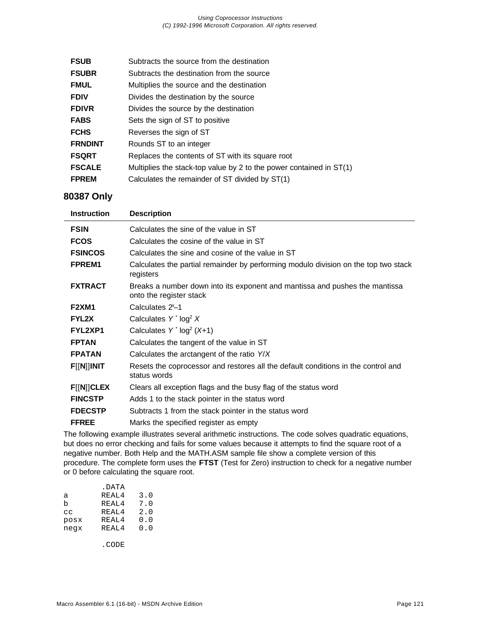| <b>FSUB</b>    | Subtracts the source from the destination                             |
|----------------|-----------------------------------------------------------------------|
| <b>FSUBR</b>   | Subtracts the destination from the source                             |
| <b>FMUL</b>    | Multiplies the source and the destination                             |
| <b>FDIV</b>    | Divides the destination by the source                                 |
| <b>FDIVR</b>   | Divides the source by the destination                                 |
| <b>FABS</b>    | Sets the sign of ST to positive                                       |
| <b>FCHS</b>    | Reverses the sign of ST                                               |
| <b>FRNDINT</b> | Rounds ST to an integer                                               |
| <b>FSQRT</b>   | Replaces the contents of ST with its square root                      |
| <b>FSCALE</b>  | Multiplies the stack-top value by 2 to the power contained in $ST(1)$ |
| <b>FPREM</b>   | Calculates the remainder of ST divided by ST(1)                       |

#### **80387 Only**

| <b>Instruction</b>             | <b>Description</b>                                                                                     |
|--------------------------------|--------------------------------------------------------------------------------------------------------|
| <b>FSIN</b>                    | Calculates the sine of the value in ST                                                                 |
| <b>FCOS</b>                    | Calculates the cosine of the value in ST                                                               |
| <b>FSINCOS</b>                 | Calculates the sine and cosine of the value in ST                                                      |
| <b>FPREM1</b>                  | Calculates the partial remainder by performing modulo division on the top two stack<br>registers       |
| <b>FXTRACT</b>                 | Breaks a number down into its exponent and mantissa and pushes the mantissa<br>onto the register stack |
| F <sub>2</sub> XM <sub>1</sub> | Calculates $2^x - 1$                                                                                   |
| <b>FYL2X</b>                   | Calculates $Y^{\dagger} \log^2 X$                                                                      |
| FYL2XP1                        | Calculates $Y^{\dagger} \log^2 (X+1)$                                                                  |
| <b>FPTAN</b>                   | Calculates the tangent of the value in ST                                                              |
| <b>FPATAN</b>                  | Calculates the arctangent of the ratio $Y/X$                                                           |
| $F[[N]]$ INIT                  | Resets the coprocessor and restores all the default conditions in the control and<br>status words      |
| F[[N]]CLEX                     | Clears all exception flags and the busy flag of the status word                                        |
| <b>FINCSTP</b>                 | Adds 1 to the stack pointer in the status word                                                         |
| <b>FDECSTP</b>                 | Subtracts 1 from the stack pointer in the status word                                                  |
| <b>FFREE</b>                   | Marks the specified register as empty                                                                  |
|                                |                                                                                                        |

The following example illustrates several arithmetic instructions. The code solves quadratic equations, but does no error checking and fails for some values because it attempts to find the square root of a negative number. Both Help and the MATH.ASM sample file show a complete version of this procedure. The complete form uses the **FTST** (Test for Zero) instruction to check for a negative number or 0 before calculating the square root.

|      | .DATA  |       |
|------|--------|-------|
| а    | REAL4  | 3.0   |
| b    | REAL4  | 7.0   |
| CC   | REAL4  | 2.0   |
| posx | REAL4  | ი . ი |
| negx | REAL4  | 0.0   |
|      |        |       |
|      | . CODE |       |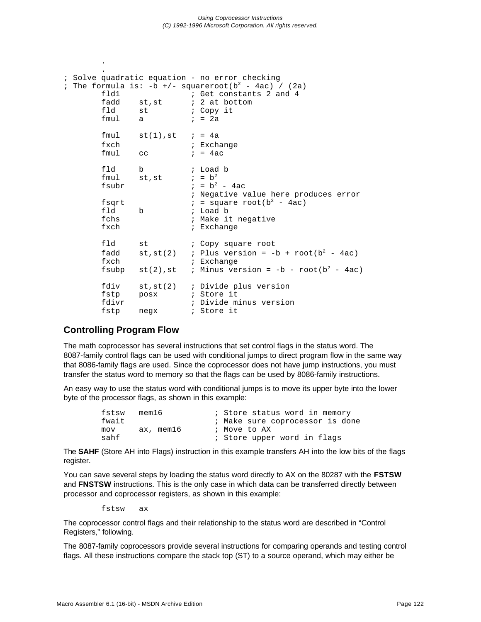#### *Using Coprocessor Instructions (C) 1992-1996 Microsoft Corporation. All rights reserved.*

```
 .
; Solve quadratic equation - no error checking
; The formula is: -b +/- squareroot(b^2 - 4ac) / (2a)
fld1 i i Get constants 2 and 4
fadd st, st i 2 at bottom
fld st ; Copy it
      fld st i Copy<br>fmul a i = 2afmul st(1), st i = 4afxch ; Exchange
      fmul cc ; = 4ac fld b ; Load b
fmul st, st ; = b^2fsubr i = b^2 - 4aci Negative value here produces error<br>i = \text{square root}(b^2 - 4ac)fsqrt i = square root(b^2 - 4ac)<br>fld b i Load b
      fld
b
i Loadb
fchs
i Makeit
                       ; Make it negative
      fxch ; Exchange
      fld st ; Copy square root<br>fadd st,st(2) ; Plus version = -
             st,st(2) : Plus version = -b + root(b^2 - 4ac)fxch ; Exchange
      fsubp st(2), st ; Minus version = -b - root(b^2 - 4ac)
      fdiv st, st(2) ; Divide plus version
      fstp posx ; Store it<br>
fdivr ; Divide mi
                      ; Divide minus version<br>; Store it
      fstp negx
```
### **Controlling Program Flow**

.

The math coprocessor has several instructions that set control flags in the status word. The 8087-family control flags can be used with conditional jumps to direct program flow in the same way that 8086-family flags are used. Since the coprocessor does not have jump instructions, you must transfer the status word to memory so that the flags can be used by 8086-family instructions.

An easy way to use the status word with conditional jumps is to move its upper byte into the lower byte of the processor flags, as shown in this example:

| fstsw | mem16     | ; Store status word in memory   |
|-------|-----------|---------------------------------|
| fwait |           | ; Make sure coprocessor is done |
| mov   | ax, mem16 | ; Move to AX                    |
| sahf  |           | ; Store upper word in flags     |

The **SAHF** (Store AH into Flags) instruction in this example transfers AH into the low bits of the flags register.

You can save several steps by loading the status word directly to AX on the 80287 with the **FSTSW** and **FNSTSW** instructions. This is the only case in which data can be transferred directly between processor and coprocessor registers, as shown in this example:

fstsw ax

The coprocessor control flags and their relationship to the status word are described in "Control Registers," following.

The 8087-family coprocessors provide several instructions for comparing operands and testing control flags. All these instructions compare the stack top (ST) to a source operand, which may either be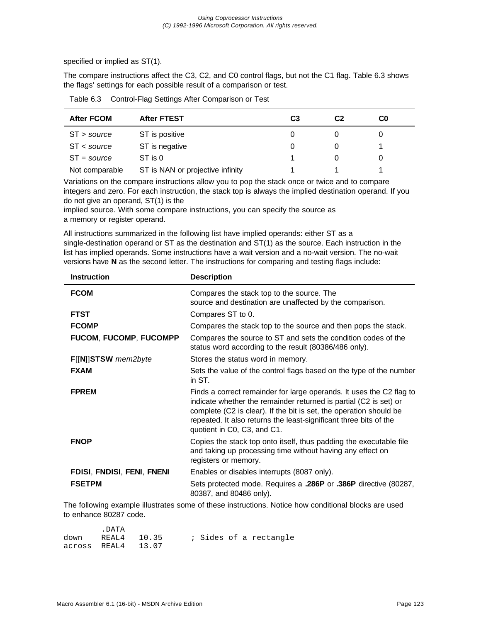specified or implied as ST(1).

The compare instructions affect the C3, C2, and C0 control flags, but not the C1 flag. Table 6.3 shows the flags' settings for each possible result of a comparison or test.

| Table 6.3 Control-Flag Settings After Comparison or Test |  |  |  |
|----------------------------------------------------------|--|--|--|
|                                                          |  |  |  |

| <b>After FCOM</b> | <b>After FTEST</b>               | C3 | C <sub>2</sub> | C0 |
|-------------------|----------------------------------|----|----------------|----|
| $ST$ > source     | ST is positive                   |    |                |    |
| ST < source       | ST is negative                   |    |                |    |
| $ST = source$     | ST is 0                          |    |                |    |
| Not comparable    | ST is NAN or projective infinity |    |                |    |

Variations on the compare instructions allow you to pop the stack once or twice and to compare integers and zero. For each instruction, the stack top is always the implied destination operand. If you do not give an operand, ST(1) is the

implied source. With some compare instructions, you can specify the source as a memory or register operand.

All instructions summarized in the following list have implied operands: either ST as a single-destination operand or ST as the destination and ST(1) as the source. Each instruction in the list has implied operands. Some instructions have a wait version and a no-wait version. The no-wait versions have **N** as the second letter. The instructions for comparing and testing flags include:

| <b>Instruction</b>         | <b>Description</b>                                                                                                                                                                                                                                                                                                  |
|----------------------------|---------------------------------------------------------------------------------------------------------------------------------------------------------------------------------------------------------------------------------------------------------------------------------------------------------------------|
| <b>FCOM</b>                | Compares the stack top to the source. The<br>source and destination are unaffected by the comparison.                                                                                                                                                                                                               |
| <b>FTST</b>                | Compares ST to 0.                                                                                                                                                                                                                                                                                                   |
| <b>FCOMP</b>               | Compares the stack top to the source and then pops the stack.                                                                                                                                                                                                                                                       |
| FUCOM, FUCOMP, FUCOMPP     | Compares the source to ST and sets the condition codes of the<br>status word according to the result (80386/486 only).                                                                                                                                                                                              |
| F[[N]]STSW mem2byte        | Stores the status word in memory.                                                                                                                                                                                                                                                                                   |
| <b>FXAM</b>                | Sets the value of the control flags based on the type of the number<br>in ST.                                                                                                                                                                                                                                       |
| <b>FPREM</b>               | Finds a correct remainder for large operands. It uses the C2 flag to<br>indicate whether the remainder returned is partial (C2 is set) or<br>complete (C2 is clear). If the bit is set, the operation should be<br>repeated. It also returns the least-significant three bits of the<br>quotient in C0, C3, and C1. |
| <b>FNOP</b>                | Copies the stack top onto itself, thus padding the executable file<br>and taking up processing time without having any effect on<br>registers or memory.                                                                                                                                                            |
| FDISI, FNDISI, FENI, FNENI | Enables or disables interrupts (8087 only).                                                                                                                                                                                                                                                                         |
| <b>FSETPM</b>              | Sets protected mode. Requires a .286P or .386P directive (80287,<br>80387, and 80486 only).                                                                                                                                                                                                                         |

The following example illustrates some of these instructions. Notice how conditional blocks are used to enhance 80287 code.

|                    | .DATA       |  |  |                        |
|--------------------|-------------|--|--|------------------------|
| down               | REAL4 10.35 |  |  | ; Sides of a rectangle |
| across REAL4 13.07 |             |  |  |                        |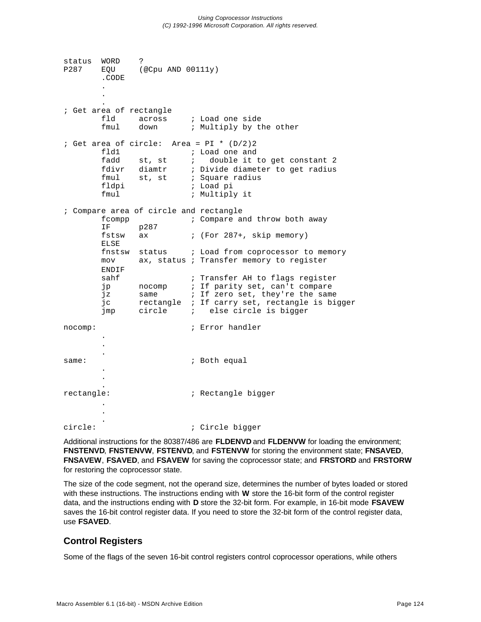```
status WORD ?<br>P287 EQU (
               (\text{@Cpu AND } 00111y) .CODE
 .
 .
 .
; Get area of rectangle
       fld across ; Load one side<br>fmul down ; Multiply by tl
        fmul down ; Multiply by the other
; Get area of circle: Area = PI * (D/2)2
        fld1 ; Load one and
                         i double it to get constant 2
       fdivr diamtr ; Divide diameter to get radius<br>fmul st, st ; Square radius
       fmul st, st : Square radius
        fldpi ; Load pi
       fmul ; Multiply it
; Compare area of circle and rectangle
       fcompp \qquad \qquad ; Compare and throw both away
       IF p287<br>fstsw ax
               \alpha i (For 287+, skip memory)
        ELSE
        fnstsw status ; Load from coprocessor to memory
        mov ax, status ; Transfer memory to register
        ENDIF
        sahf ; Transfer AH to flags register
                       j If parity set, can't compare<br>: If parity set, can't compare
        jz same ; If zero set, they're the same
        jz same ''It zero set, they ie the same<br>jc rectangle ; If carry set, rectangle is bigger<br>jmp circle ; else circle is bigger
               circle \qquad; else circle is bigger
nocomp: i Error handler
 .
 .
 .
same: \qquad \qquad ; \quad Both equal
 .
 .
 .
rectangle: \qquad \qquad ; Rectangle bigger
 .
 .
 .
circle: ; Circle bigger
```
Additional instructions for the 80387/486 are **FLDENVD** and **FLDENVW** for loading the environment; **FNSTENVD**, **FNSTENVW**, **FSTENVD**, and **FSTENVW** for storing the environment state; **FNSAVED**, **FNSAVEW**, **FSAVED**, and **FSAVEW** for saving the coprocessor state; and **FRSTORD** and **FRSTORW** for restoring the coprocessor state.

The size of the code segment, not the operand size, determines the number of bytes loaded or stored with these instructions. The instructions ending with **W** store the 16-bit form of the control register data, and the instructions ending with **D** store the 32-bit form. For example, in 16-bit mode **FSAVEW** saves the 16-bit control register data. If you need to store the 32-bit form of the control register data, use **FSAVED**.

#### **Control Registers**

Some of the flags of the seven 16-bit control registers control coprocessor operations, while others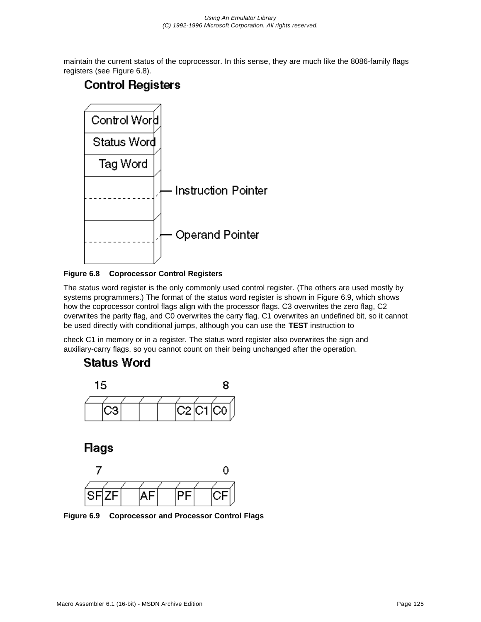maintain the current status of the coprocessor. In this sense, they are much like the 8086-family flags registers (see Figure 6.8).

# **Control Registers**



#### **Figure 6.8 Coprocessor Control Registers**

The status word register is the only commonly used control register. (The others are used mostly by systems programmers.) The format of the status word register is shown in Figure 6.9, which shows how the coprocessor control flags align with the processor flags. C3 overwrites the zero flag, C2 overwrites the parity flag, and C0 overwrites the carry flag. C1 overwrites an undefined bit, so it cannot be used directly with conditional jumps, although you can use the **TEST** instruction to

check C1 in memory or in a register. The status word register also overwrites the sign and auxiliary-carry flags, so you cannot count on their being unchanged after the operation.

### **Status Word**



**Hags** 



**Figure 6.9 Coprocessor and Processor Control Flags**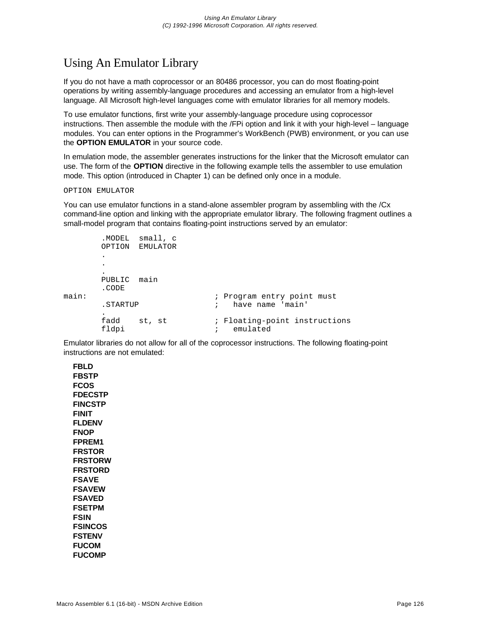# Using An Emulator Library

If you do not have a math coprocessor or an 80486 processor, you can do most floating-point operations by writing assembly-language procedures and accessing an emulator from a high-level language. All Microsoft high-level languages come with emulator libraries for all memory models.

To use emulator functions, first write your assembly-language procedure using coprocessor instructions. Then assemble the module with the /FPi option and link it with your high-level – language modules. You can enter options in the Programmer's WorkBench (PWB) environment, or you can use the **OPTION EMULATOR** in your source code.

In emulation mode, the assembler generates instructions for the linker that the Microsoft emulator can use. The form of the **OPTION** directive in the following example tells the assembler to use emulation mode. This option (introduced in Chapter 1) can be defined only once in a module.

#### OPTION EMULATOR

You can use emulator functions in a stand-alone assembler program by assembling with the /Cx command-line option and linking with the appropriate emulator library. The following fragment outlines a small-model program that contains floating-point instructions served by an emulator:

```
 .MODEL small, c
       OPTION EMULATOR
 .
 .
 .
       PUBLIC main
       .CODE
main: \qquad \qquad ; \qquad \qquad Program entry point must
       .STARTUP ; have name 'main'
 .
      fadd st, st \qquad ; Floating-point instructions
      fldpi ; emulated
```
Emulator libraries do not allow for all of the coprocessor instructions. The following floating-point instructions are not emulated:

**FBLD FBSTP FCOS FDECSTP FINCSTP FINIT FLDENV FNOP FPREM1 FRSTOR FRSTORW FRSTORD FSAVE FSAVEW FSAVED FSETPM FSIN FSINCOS FSTENV FUCOM FUCOMP**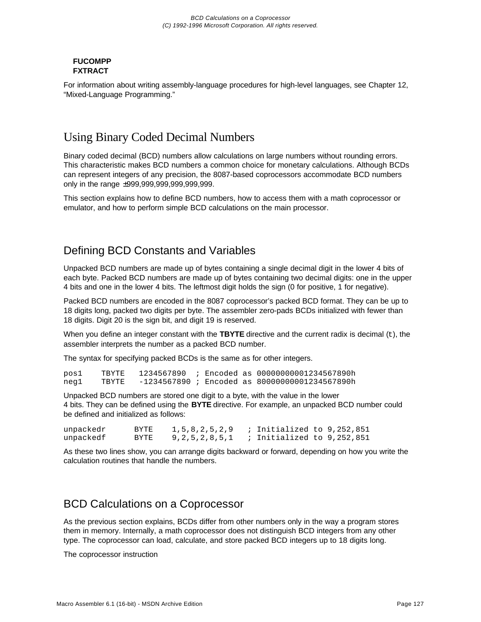#### **FUCOMPP FXTRACT**

For information about writing assembly-language procedures for high-level languages, see Chapter 12, "Mixed-Language Programming."

# Using Binary Coded Decimal Numbers

Binary coded decimal (BCD) numbers allow calculations on large numbers without rounding errors. This characteristic makes BCD numbers a common choice for monetary calculations. Although BCDs can represent integers of any precision, the 8087-based coprocessors accommodate BCD numbers only in the range ±999,999,999,999,999,999.

This section explains how to define BCD numbers, how to access them with a math coprocessor or emulator, and how to perform simple BCD calculations on the main processor.

### Defining BCD Constants and Variables

Unpacked BCD numbers are made up of bytes containing a single decimal digit in the lower 4 bits of each byte. Packed BCD numbers are made up of bytes containing two decimal digits: one in the upper 4 bits and one in the lower 4 bits. The leftmost digit holds the sign (0 for positive, 1 for negative).

Packed BCD numbers are encoded in the 8087 coprocessor's packed BCD format. They can be up to 18 digits long, packed two digits per byte. The assembler zero-pads BCDs initialized with fewer than 18 digits. Digit 20 is the sign bit, and digit 19 is reserved.

When you define an integer constant with the **TBYTE** directive and the current radix is decimal (t), the assembler interprets the number as a packed BCD number.

The syntax for specifying packed BCDs is the same as for other integers.

pos1 TBYTE 1234567890 ; Encoded as 00000000001234567890h neg1 TBYTE -1234567890 ; Encoded as 80000000001234567890h

Unpacked BCD numbers are stored one digit to a byte, with the value in the lower 4 bits. They can be defined using the **BYTE** directive. For example, an unpacked BCD number could be defined and initialized as follows:

unpackedr BYTE 1,5,8,2,5,2,9 ; Initialized to 9,252,851 unpackedf BYTE 9,2,5,2,8,5,1 ; Initialized to 9,252,851

As these two lines show, you can arrange digits backward or forward, depending on how you write the calculation routines that handle the numbers.

## BCD Calculations on a Coprocessor

As the previous section explains, BCDs differ from other numbers only in the way a program stores them in memory. Internally, a math coprocessor does not distinguish BCD integers from any other type. The coprocessor can load, calculate, and store packed BCD integers up to 18 digits long.

The coprocessor instruction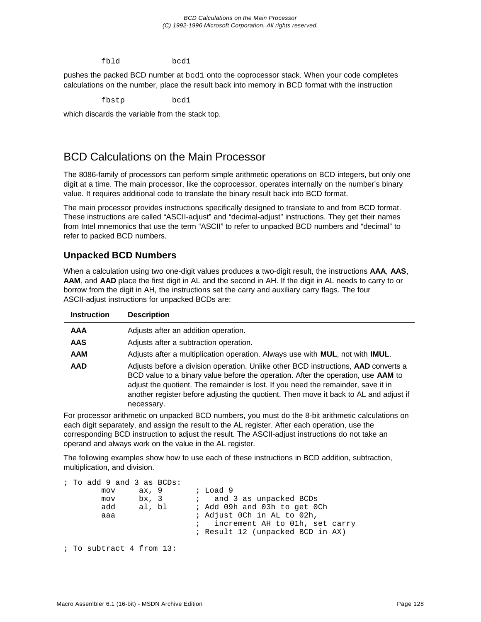fbld bcd1

pushes the packed BCD number at bcd1 onto the coprocessor stack. When your code completes calculations on the number, place the result back into memory in BCD format with the instruction

fbstp bcd1

which discards the variable from the stack top.

## BCD Calculations on the Main Processor

The 8086-family of processors can perform simple arithmetic operations on BCD integers, but only one digit at a time. The main processor, like the coprocessor, operates internally on the number's binary value. It requires additional code to translate the binary result back into BCD format.

The main processor provides instructions specifically designed to translate to and from BCD format. These instructions are called "ASCII-adjust" and "decimal-adjust" instructions. They get their names from Intel mnemonics that use the term "ASCII" to refer to unpacked BCD numbers and "decimal" to refer to packed BCD numbers.

#### **Unpacked BCD Numbers**

When a calculation using two one-digit values produces a two-digit result, the instructions **AAA**, **AAS**, **AAM**, and **AAD** place the first digit in AL and the second in AH. If the digit in AL needs to carry to or borrow from the digit in AH, the instructions set the carry and auxiliary carry flags. The four ASCII-adjust instructions for unpacked BCDs are:

| <b>Instruction</b> | <b>Description</b>                                                                                                                                                                                                                                                                                                                                                         |
|--------------------|----------------------------------------------------------------------------------------------------------------------------------------------------------------------------------------------------------------------------------------------------------------------------------------------------------------------------------------------------------------------------|
| <b>AAA</b>         | Adjusts after an addition operation.                                                                                                                                                                                                                                                                                                                                       |
| <b>AAS</b>         | Adjusts after a subtraction operation.                                                                                                                                                                                                                                                                                                                                     |
| <b>AAM</b>         | Adjusts after a multiplication operation. Always use with MUL, not with IMUL.                                                                                                                                                                                                                                                                                              |
| <b>AAD</b>         | Adjusts before a division operation. Unlike other BCD instructions, <b>AAD</b> converts a<br>BCD value to a binary value before the operation. After the operation, use AAM to<br>adjust the quotient. The remainder is lost. If you need the remainder, save it in<br>another register before adjusting the quotient. Then move it back to AL and adjust if<br>necessary. |

For processor arithmetic on unpacked BCD numbers, you must do the 8-bit arithmetic calculations on each digit separately, and assign the result to the AL register. After each operation, use the corresponding BCD instruction to adjust the result. The ASCII-adjust instructions do not take an operand and always work on the value in the AL register.

The following examples show how to use each of these instructions in BCD addition, subtraction, multiplication, and division.

|  | ; To add 9 and 3 as BCDs: |        |  |                                  |
|--|---------------------------|--------|--|----------------------------------|
|  | mov                       | ax, 9  |  | ; Load 9                         |
|  | mov                       | bx, 3  |  | <i>i</i> and 3 as unpacked BCDs  |
|  | add                       | al, bl |  | ; Add 09h and 03h to get 0Ch     |
|  | aaa                       |        |  | ; Adjust OCh in AL to 02h,       |
|  |                           |        |  | ; increment AH to 01h, set carry |
|  |                           |        |  | ; Result 12 (unpacked BCD in AX) |
|  |                           |        |  |                                  |
|  | ; To subtract 4 from 13:  |        |  |                                  |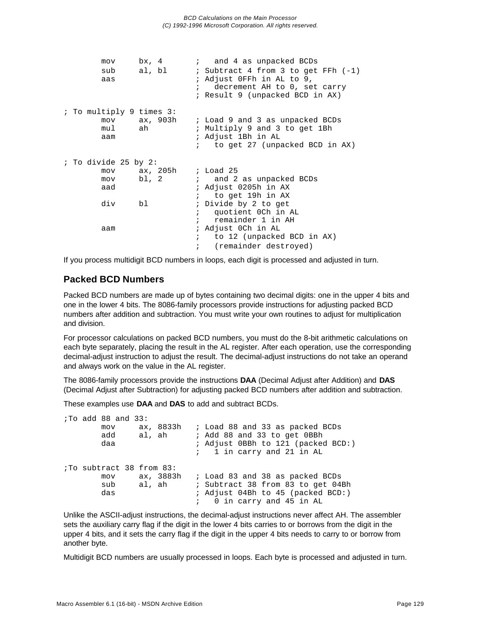```
mov bx, 4 ; and 4 as unpacked BCDs
       sub al, bl \qquad ; Subtract 4 from 3 to get FFh (-1)aas ; Adjust 0FFh in AL to 9,
                            ; decrement AH to 0, set carry
                            ; Result 9 (unpacked BCD in AX)
%; To multiply 9 times 3:<br>mov ax, 903h
               ax, 903h \frac{1}{2}; Load 9 and 3 as unpacked BCDs<br>ah \frac{1}{2}; Multiply 9 and 3 to get 1Bh
       mul ah ; Multiply 9 and 3 to get 1Bh
        aam ; Adjust 1Bh in AL
                            ; to get 27 (unpacked BCD in AX)
; To divide 25 by 2:
       mov ax, 205h ; Load 25<br>mov bl, 2 ; and 2
       mov bl, 2 ; and 2 as unpacked BCDs
       aad i Adjust 0205h in AX
       i to get 19h in AX<br>div bl i Divide by 2 to get
                           ; Divide by 2 to get
                            ; quotient 0Ch in AL
                            ; remainder 1 in AH
       aam ; Adjust 0Ch in AL
                            ; to 12 (unpacked BCD in AX)
                            ; (remainder destroyed)
```
If you process multidigit BCD numbers in loops, each digit is processed and adjusted in turn.

### **Packed BCD Numbers**

Packed BCD numbers are made up of bytes containing two decimal digits: one in the upper 4 bits and one in the lower 4 bits. The 8086-family processors provide instructions for adjusting packed BCD numbers after addition and subtraction. You must write your own routines to adjust for multiplication and division.

For processor calculations on packed BCD numbers, you must do the 8-bit arithmetic calculations on each byte separately, placing the result in the AL register. After each operation, use the corresponding decimal-adjust instruction to adjust the result. The decimal-adjust instructions do not take an operand and always work on the value in the AL register.

The 8086-family processors provide the instructions **DAA** (Decimal Adjust after Addition) and **DAS** (Decimal Adjust after Subtraction) for adjusting packed BCD numbers after addition and subtraction.

These examples use **DAA** and **DAS** to add and subtract BCDs.

```
iTo add 88 and 33:<br>mov ax, 8833h
        mov ax, 8833h ; Load 88 and 33 as packed BCDs<br>add al, ah ; Add 88 and 33 to get 0BBh
                al, ah ; Add 88 and 33 to get 0BBh
         daa ; Adjust 0BBh to 121 (packed BCD:)
                              ; 1 in carry and 21 in AL
;To subtract 38 from 83: 
         mov ax, 3883h ; Load 83 and 38 as packed BCDs
        sub al, ah ; Subtract 38 from 83 to get 04Bh
        das                    ; Adjust 04Bh to 45 (packed BCD:)
                              ; 0 in carry and 45 in AL
```
Unlike the ASCII-adjust instructions, the decimal-adjust instructions never affect AH. The assembler sets the auxiliary carry flag if the digit in the lower 4 bits carries to or borrows from the digit in the upper 4 bits, and it sets the carry flag if the digit in the upper 4 bits needs to carry to or borrow from another byte.

Multidigit BCD numbers are usually processed in loops. Each byte is processed and adjusted in turn.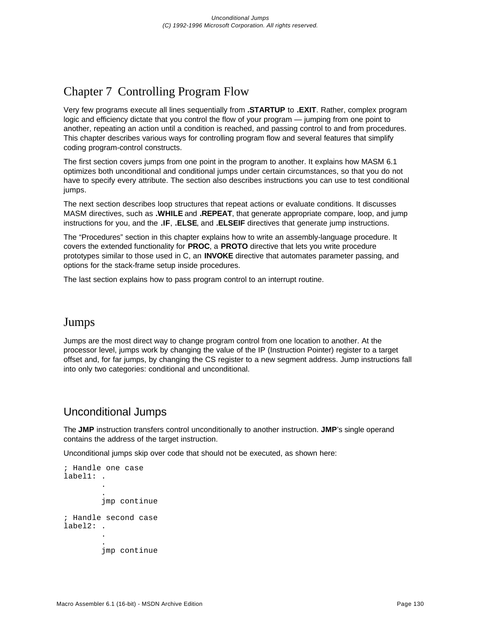# Chapter 7 Controlling Program Flow

Very few programs execute all lines sequentially from **.STARTUP** to **.EXIT**. Rather, complex program logic and efficiency dictate that you control the flow of your program — jumping from one point to another, repeating an action until a condition is reached, and passing control to and from procedures. This chapter describes various ways for controlling program flow and several features that simplify coding program-control constructs.

The first section covers jumps from one point in the program to another. It explains how MASM 6.1 optimizes both unconditional and conditional jumps under certain circumstances, so that you do not have to specify every attribute. The section also describes instructions you can use to test conditional jumps.

The next section describes loop structures that repeat actions or evaluate conditions. It discusses MASM directives, such as **.WHILE** and **.REPEAT**, that generate appropriate compare, loop, and jump instructions for you, and the **.IF**, **.ELSE**, and **.ELSEIF** directives that generate jump instructions.

The "Procedures" section in this chapter explains how to write an assembly-language procedure. It covers the extended functionality for **PROC**, a **PROTO** directive that lets you write procedure prototypes similar to those used in C, an **INVOKE** directive that automates parameter passing, and options for the stack-frame setup inside procedures.

The last section explains how to pass program control to an interrupt routine.

## Jumps

Jumps are the most direct way to change program control from one location to another. At the processor level, jumps work by changing the value of the IP (Instruction Pointer) register to a target offset and, for far jumps, by changing the CS register to a new segment address. Jump instructions fall into only two categories: conditional and unconditional.

### Unconditional Jumps

The **JMP** instruction transfers control unconditionally to another instruction. **JMP**'s single operand contains the address of the target instruction.

Unconditional jumps skip over code that should not be executed, as shown here:

```
; Handle one case
label1: .
 .
 .
       jmp continue
; Handle second case
label2: .
 .
 .
       jmp continue
```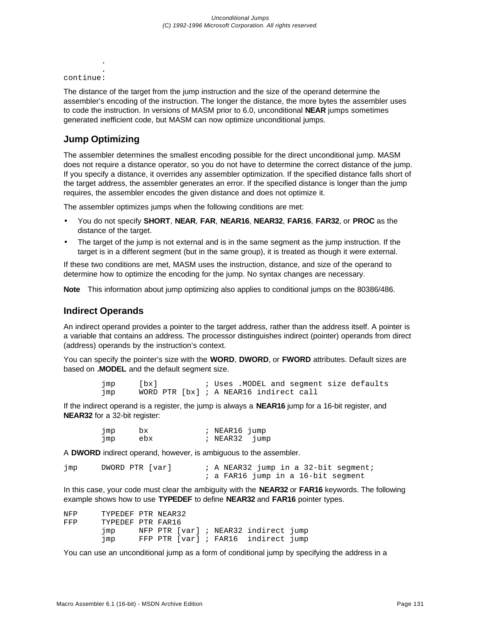#### . . continue:

The distance of the target from the jump instruction and the size of the operand determine the assembler's encoding of the instruction. The longer the distance, the more bytes the assembler uses to code the instruction. In versions of MASM prior to 6.0, unconditional **NEAR** jumps sometimes generated inefficient code, but MASM can now optimize unconditional jumps.

#### **Jump Optimizing**

The assembler determines the smallest encoding possible for the direct unconditional jump. MASM does not require a distance operator, so you do not have to determine the correct distance of the jump. If you specify a distance, it overrides any assembler optimization. If the specified distance falls short of the target address, the assembler generates an error. If the specified distance is longer than the jump requires, the assembler encodes the given distance and does not optimize it.

The assembler optimizes jumps when the following conditions are met:

- You do not specify **SHORT**, **NEAR**, **FAR**, **NEAR16**, **NEAR32**, **FAR16**, **FAR32**, or **PROC** as the distance of the target.
- The target of the jump is not external and is in the same segment as the jump instruction. If the target is in a different segment (but in the same group), it is treated as though it were external.

If these two conditions are met, MASM uses the instruction, distance, and size of the operand to determine how to optimize the encoding for the jump. No syntax changes are necessary.

**Note** This information about jump optimizing also applies to conditional jumps on the 80386/486.

#### **Indirect Operands**

An indirect operand provides a pointer to the target address, rather than the address itself. A pointer is a variable that contains an address. The processor distinguishes indirect (pointer) operands from direct (address) operands by the instruction's context.

You can specify the pointer's size with the **WORD**, **DWORD**, or **FWORD** attributes. Default sizes are based on **.MODEL** and the default segment size.

> jmp [bx] ; Uses .MODEL and segment size defaults jmp WORD PTR [bx] ; A NEAR16 indirect call

If the indirect operand is a register, the jump is always a **NEAR16** jump for a 16-bit register, and **NEAR32** for a 32-bit register:

| jmp | bx  | ; NEAR16 jump |  |
|-----|-----|---------------|--|
| jmp | ebx | ; NEAR32 jump |  |

A **DWORD** indirect operand, however, is ambiguous to the assembler.

| jmp | DWORD PTR [var] |  |  | ; A NEAR32 jump in a 32-bit segment;      |
|-----|-----------------|--|--|-------------------------------------------|
|     |                 |  |  | <i>i</i> a FAR16 jump in a 16-bit segment |

In this case, your code must clear the ambiguity with the **NEAR32** or **FAR16** keywords. The following example shows how to use **TYPEDEF** to define **NEAR32** and **FAR16** pointer types.

| NFP | TYPEDEF PTR NEAR32 |  |  |                                      |  |
|-----|--------------------|--|--|--------------------------------------|--|
| FFP | TYPEDEF PTR FAR16  |  |  |                                      |  |
|     | imp                |  |  | NFP PTR [var] ; NEAR32 indirect jump |  |
|     | סווד               |  |  | FFP PTR [var] ; FAR16 indirect jump  |  |

You can use an unconditional jump as a form of conditional jump by specifying the address in a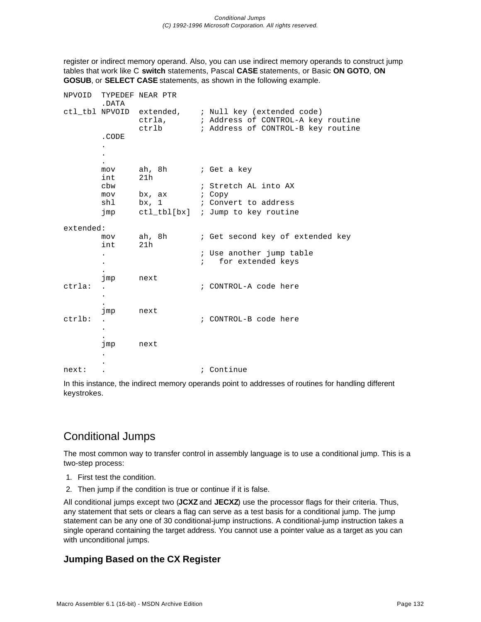register or indirect memory operand. Also, you can use indirect memory operands to construct jump tables that work like C **switch** statements, Pascal **CASE** statements, or Basic **ON GOTO**, **ON GOSUB**, or **SELECT CASE** statements, as shown in the following example.

| NPVOID    | .DATA | TYPEDEF NEAR PTR  |                                                     |
|-----------|-------|-------------------|-----------------------------------------------------|
|           |       |                   | ctl_tbl NPVOID extended, ; Null key (extended code) |
|           |       |                   | ctrla, and identicator of CONTROL-A key routine     |
|           |       | ctrlb             | ; Address of CONTROL-B key routine                  |
|           | .CODE |                   |                                                     |
|           |       |                   |                                                     |
|           |       |                   |                                                     |
|           |       |                   |                                                     |
|           |       | mov ah, 8h        | ; Get a key                                         |
|           | int   | 21h               |                                                     |
|           | cbw   |                   | ; Stretch AL into AX                                |
|           |       | mov bx, ax ; Copy |                                                     |
|           |       |                   | shl bx, 1 ; Convert to address                      |
|           | jmp   |                   | ctl_tbl[bx] ; Jump to key routine                   |
| extended: |       |                   |                                                     |
|           | int   | mov ah, 8h<br>21h | ; Get second key of extended key                    |
|           |       |                   | ; Use another jump table                            |
|           |       |                   | ; for extended keys                                 |
|           |       |                   |                                                     |
|           | jmp   | next              |                                                     |
| $ctrla$ : |       |                   | ; CONTROL-A code here                               |
|           |       |                   |                                                     |
|           | jmp   | next              |                                                     |
| $ctrlb$ : |       |                   | ; CONTROL-B code here                               |
|           |       |                   |                                                     |
|           |       |                   |                                                     |
|           | jmp   | next              |                                                     |
|           |       |                   |                                                     |
|           |       |                   |                                                     |
| next:     |       |                   | ; Continue                                          |

In this instance, the indirect memory operands point to addresses of routines for handling different keystrokes.

## Conditional Jumps

The most common way to transfer control in assembly language is to use a conditional jump. This is a two-step process:

- 1. First test the condition.
- 2. Then jump if the condition is true or continue if it is false.

All conditional jumps except two (**JCXZ** and **JECXZ**) use the processor flags for their criteria. Thus, any statement that sets or clears a flag can serve as a test basis for a conditional jump. The jump statement can be any one of 30 conditional-jump instructions. A conditional-jump instruction takes a single operand containing the target address. You cannot use a pointer value as a target as you can with unconditional jumps.

### **Jumping Based on the CX Register**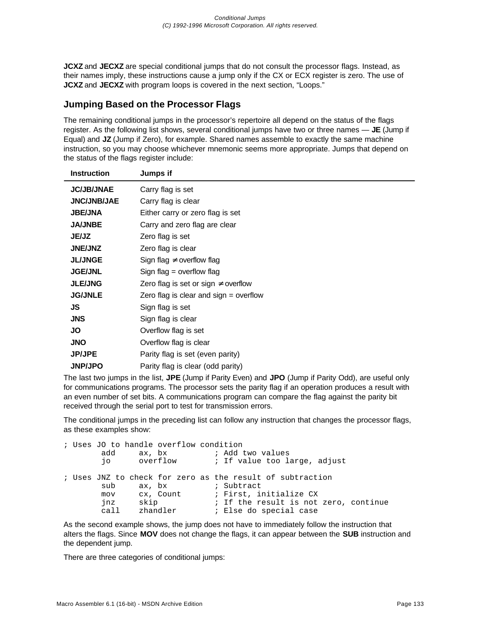**JCXZ** and **JECXZ** are special conditional jumps that do not consult the processor flags. Instead, as their names imply, these instructions cause a jump only if the CX or ECX register is zero. The use of **JCXZ** and **JECXZ** with program loops is covered in the next section, "Loops."

#### **Jumping Based on the Processor Flags**

The remaining conditional jumps in the processor's repertoire all depend on the status of the flags register. As the following list shows, several conditional jumps have two or three names — **JE** (Jump if Equal) and **JZ** (Jump if Zero), for example. Shared names assemble to exactly the same machine instruction, so you may choose whichever mnemonic seems more appropriate. Jumps that depend on the status of the flags register include:

| <b>Instruction</b> | Jumps if                                 |
|--------------------|------------------------------------------|
| <b>JC/JB/JNAE</b>  | Carry flag is set                        |
| <b>JNC/JNB/JAE</b> | Carry flag is clear                      |
| <b>JBE/JNA</b>     | Either carry or zero flag is set         |
| <b>JA/JNBE</b>     | Carry and zero flag are clear            |
| <b>JE/JZ</b>       | Zero flag is set                         |
| <b>JNE/JNZ</b>     | Zero flag is clear                       |
| <b>JL/JNGE</b>     | Sign flag $\neq$ overflow flag           |
| <b>JGE/JNL</b>     | Sign flag = overflow flag                |
| <b>JLE/JNG</b>     | Zero flag is set or sign $\neq$ overflow |
| <b>JG/JNLE</b>     | Zero flag is clear and sign $=$ overflow |
| JS                 | Sign flag is set                         |
| <b>JNS</b>         | Sign flag is clear                       |
| JO                 | Overflow flag is set                     |
| <b>JNO</b>         | Overflow flag is clear                   |
| <b>JP/JPE</b>      | Parity flag is set (even parity)         |
| <b>JNP/JPO</b>     | Parity flag is clear (odd parity)        |

The last two jumps in the list, **JPE** (Jump if Parity Even) and **JPO** (Jump if Parity Odd), are useful only for communications programs. The processor sets the parity flag if an operation produces a result with an even number of set bits. A communications program can compare the flag against the parity bit received through the serial port to test for transmission errors.

The conditional jumps in the preceding list can follow any instruction that changes the processor flags, as these examples show:

|  | add                | ; Uses JO to handle overflow condition<br>ax, bx | ; Add two values<br>jo overflow ; If value too large, adjust                                                                                                                                               |
|--|--------------------|--------------------------------------------------|------------------------------------------------------------------------------------------------------------------------------------------------------------------------------------------------------------|
|  | sub<br>jnz<br>cal1 | skip<br>zhandler                                 | ; Uses JNZ to check for zero as the result of subtraction<br>ax, bx                  ; Subtract<br>mov cx, Count ; First, initialize CX<br>; If the result is not zero, continue<br>; Else do special case |

As the second example shows, the jump does not have to immediately follow the instruction that alters the flags. Since **MOV** does not change the flags, it can appear between the **SUB** instruction and the dependent jump.

There are three categories of conditional jumps: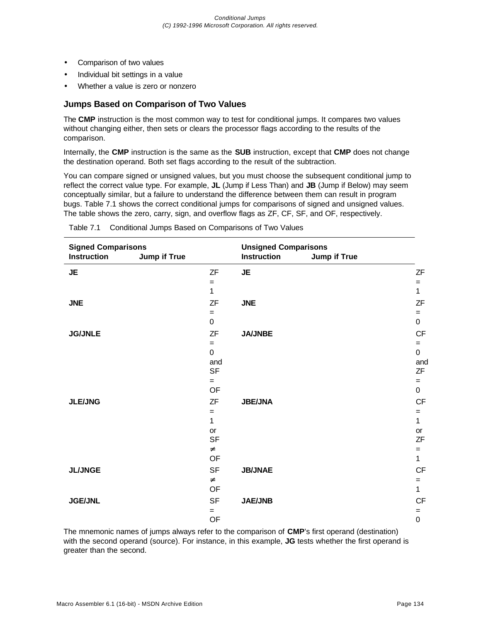- Comparison of two values
- Individual bit settings in a value
- Whether a value is zero or nonzero

#### **Jumps Based on Comparison of Two Values**

The **CMP** instruction is the most common way to test for conditional jumps. It compares two values without changing either, then sets or clears the processor flags according to the results of the comparison.

Internally, the **CMP** instruction is the same as the **SUB** instruction, except that **CMP** does not change the destination operand. Both set flags according to the result of the subtraction.

You can compare signed or unsigned values, but you must choose the subsequent conditional jump to reflect the correct value type. For example, **JL** (Jump if Less Than) and **JB** (Jump if Below) may seem conceptually similar, but a failure to understand the difference between them can result in program bugs. Table 7.1 shows the correct conditional jumps for comparisons of signed and unsigned values. The table shows the zero, carry, sign, and overflow flags as ZF, CF, SF, and OF, respectively.

| <b>Signed Comparisons</b><br><b>Jump if True</b><br><b>Instruction</b> |                   | <b>Unsigned Comparisons</b><br><b>Instruction</b> | Jump if True |                   |
|------------------------------------------------------------------------|-------------------|---------------------------------------------------|--------------|-------------------|
| <b>JE</b>                                                              | ZF                | ${\sf J}{\sf E}$                                  |              | ZF                |
|                                                                        | $\qquad \qquad =$ |                                                   |              | $=$               |
|                                                                        | 1                 |                                                   |              | 1                 |
| <b>JNE</b>                                                             | ZF                | <b>JNE</b>                                        |              | ΖF                |
|                                                                        | $\equiv$          |                                                   |              | $=$               |
|                                                                        | $\pmb{0}$         |                                                   |              | $\mathbf 0$       |
| <b>JG/JNLE</b>                                                         | ZF                | <b>JA/JNBE</b>                                    |              | CF                |
|                                                                        | $=$               |                                                   |              | $=$               |
|                                                                        | $\pmb{0}$         |                                                   |              | $\mathbf 0$       |
|                                                                        | and               |                                                   |              | and               |
|                                                                        | <b>SF</b>         |                                                   |              | ΖF                |
|                                                                        | $=$               |                                                   |              | $\qquad \qquad =$ |
|                                                                        | OF                |                                                   |              | $\mathbf 0$       |
| <b>JLE/JNG</b>                                                         | ZF                | <b>JBE/JNA</b>                                    |              | CF                |
|                                                                        | $=$               |                                                   |              | $=$               |
|                                                                        | 1                 |                                                   |              | $\mathbf{1}$      |
|                                                                        | or                |                                                   |              | or                |
|                                                                        | <b>SF</b>         |                                                   |              | ZF                |
|                                                                        | $\neq$            |                                                   |              | $=$               |
|                                                                        | OF                |                                                   |              | $\mathbf{1}$      |
| <b>JL/JNGE</b>                                                         | <b>SF</b>         | <b>JB/JNAE</b>                                    |              | CF                |
|                                                                        | $\neq$            |                                                   |              | $=$               |
|                                                                        | OF                |                                                   |              | $\mathbf{1}$      |
| <b>JGE/JNL</b>                                                         | <b>SF</b>         | <b>JAE/JNB</b>                                    |              | CF                |
|                                                                        | $=$               |                                                   |              | =                 |
|                                                                        | OF                |                                                   |              | $\pmb{0}$         |

Table 7.1 Conditional Jumps Based on Comparisons of Two Values

The mnemonic names of jumps always refer to the comparison of **CMP**'s first operand (destination) with the second operand (source). For instance, in this example, **JG** tests whether the first operand is greater than the second.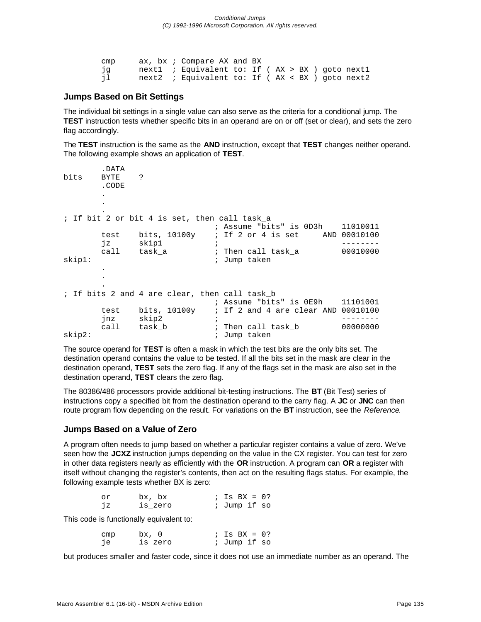| cmp  |  | ax, bx ; Compare AX and BX                           |  |  |  |  |  |
|------|--|------------------------------------------------------|--|--|--|--|--|
| 7q l |  | $next1$ ; Equivalent to: If ( $AX > BX$ ) goto next1 |  |  |  |  |  |
|      |  | next2 ; Equivalent to: If (AX < BX ) goto next2      |  |  |  |  |  |

#### **Jumps Based on Bit Settings**

The individual bit settings in a single value can also serve as the criteria for a conditional jump. The **TEST** instruction tests whether specific bits in an operand are on or off (set or clear), and sets the zero flag accordingly.

The **TEST** instruction is the same as the **AND** instruction, except that **TEST** changes neither operand. The following example shows an application of **TEST**.

```
 .DATA
      BYTE ?
        .CODE
 .
 .
 .
; If bit 2 or bit 4 is set, then call task_a
                           ; Assume "bits" is 0D3h 11010011
       test bits, 10100y ; If 2 or 4 is set AND 00010100<br>
\frac{1}{7} skinl ;
       jz skip1 ;<br>
call task_a  ; Then call task_a      00010000
 call task_a ; Then call task_a 00010000
skip1: ; Jump taken
 .
 .
 .
; If bits 2 and 4 are clear, then call task_b
             ; Assume "bits" is 0E9h 11101001<br>bits, 10100y ; If 2 and 4 are clear AND 00010100
       test bits, 10100y ; If 2 and 4 are clear AND 00010100
       jnz skip2 ;<br>call task_b ; Then_call_task_b 000000000
       call task b ; Then call task b
skip2: \qquad \qquad ; Jump taken
```
The source operand for **TEST** is often a mask in which the test bits are the only bits set. The destination operand contains the value to be tested. If all the bits set in the mask are clear in the destination operand, **TEST** sets the zero flag. If any of the flags set in the mask are also set in the destination operand, **TEST** clears the zero flag.

The 80386/486 processors provide additional bit-testing instructions. The **BT** (Bit Test) series of instructions copy a specified bit from the destination operand to the carry flag. A **JC** or **JNC** can then route program flow depending on the result. For variations on the **BT** instruction, see the *Reference*.

#### **Jumps Based on a Value of Zero**

A program often needs to jump based on whether a particular register contains a value of zero. We've seen how the **JCXZ** instruction jumps depending on the value in the CX register. You can test for zero in other data registers nearly as efficiently with the **OR** instruction. A program can **OR** a register with itself without changing the register's contents, then act on the resulting flags status. For example, the following example tests whether BX is zero:

| bx, bx  | ; Is $BX = 0$ ? |  |
|---------|-----------------|--|
| is zero | ; Jump if so    |  |

This code is functionally equivalent to:

| cmp | bx, 0   | ; Is $BX = 0$ ? |  |
|-----|---------|-----------------|--|
|     | is zero | ; Jump if so    |  |

but produces smaller and faster code, since it does not use an immediate number as an operand. The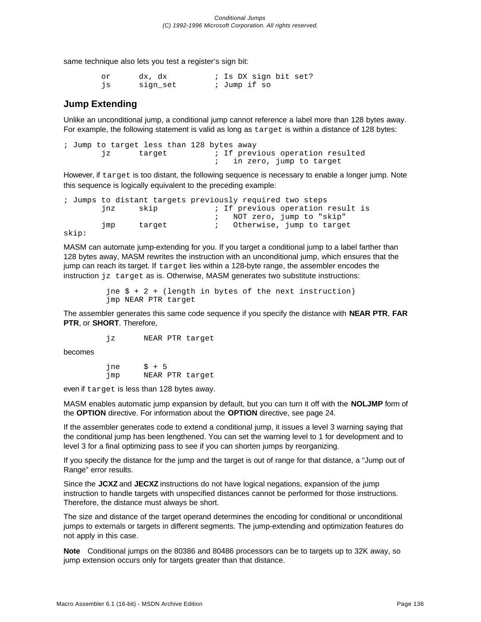same technique also lets you test a register's sign bit:

| or | dx, dx   | ; Is DX sign bit set? |
|----|----------|-----------------------|
| 1S | sign set | ; Jump if so          |

#### **Jump Extending**

Unlike an unconditional jump, a conditional jump cannot reference a label more than 128 bytes away. For example, the following statement is valid as long as target is within a distance of 128 bytes:

; Jump to target less than 128 bytes away jz target ; If previous operation resulted ; in zero, jump to target

However, if target is too distant, the following sequence is necessary to enable a longer jump. Note this sequence is logically equivalent to the preceding example:

|       |     |      | ; Jumps to distant targets previously required two steps |  |                             |  |                                   |  |
|-------|-----|------|----------------------------------------------------------|--|-----------------------------|--|-----------------------------------|--|
|       | inz | skip |                                                          |  |                             |  | ; If previous operation result is |  |
|       |     |      |                                                          |  | ; NOT zero, jump to "skip"  |  |                                   |  |
|       | amr |      | target                                                   |  | : Otherwise, jump to target |  |                                   |  |
| skip: |     |      |                                                          |  |                             |  |                                   |  |

MASM can automate jump-extending for you. If you target a conditional jump to a label farther than 128 bytes away, MASM rewrites the instruction with an unconditional jump, which ensures that the jump can reach its target. If target lies within a 128-byte range, the assembler encodes the instruction  $jz$  target as is. Otherwise, MASM generates two substitute instructions:

> jne  $$ + 2 + (length in bytes of the next instruction)$ jmp NEAR PTR target

The assembler generates this same code sequence if you specify the distance with **NEAR PTR**, **FAR PTR**, or **SHORT**. Therefore,

jz NEAR PTR target

becomes

 $jne$   $\frac{1}{5}$  + 5 jmp NEAR PTR target

even if target is less than 128 bytes away.

MASM enables automatic jump expansion by default, but you can turn it off with the **NOLJMP** form of the **OPTION** directive. For information about the **OPTION** directive, see page 24.

If the assembler generates code to extend a conditional jump, it issues a level 3 warning saying that the conditional jump has been lengthened. You can set the warning level to 1 for development and to level 3 for a final optimizing pass to see if you can shorten jumps by reorganizing.

If you specify the distance for the jump and the target is out of range for that distance, a "Jump out of Range" error results.

Since the **JCXZ** and **JECXZ** instructions do not have logical negations, expansion of the jump instruction to handle targets with unspecified distances cannot be performed for those instructions. Therefore, the distance must always be short.

The size and distance of the target operand determines the encoding for conditional or unconditional jumps to externals or targets in different segments. The jump-extending and optimization features do not apply in this case.

**Note** Conditional jumps on the 80386 and 80486 processors can be to targets up to 32K away, so jump extension occurs only for targets greater than that distance.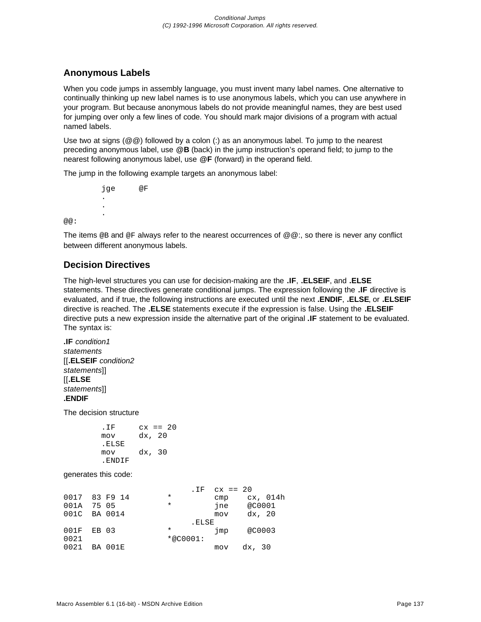### **Anonymous Labels**

When you code jumps in assembly language, you must invent many label names. One alternative to continually thinking up new label names is to use anonymous labels, which you can use anywhere in your program. But because anonymous labels do not provide meaningful names, they are best used for jumping over only a few lines of code. You should mark major divisions of a program with actual named labels.

Use two at signs (@@) followed by a colon (:) as an anonymous label. To jump to the nearest preceding anonymous label, use **@B** (back) in the jump instruction's operand field; to jump to the nearest following anonymous label, use **@F** (forward) in the operand field.

The jump in the following example targets an anonymous label:

```
 jge @F
 .
 .
 .
```
The items  $@$ B and  $@$ F always refer to the nearest occurrences of  $@$  $@$ :, so there is never any conflict between different anonymous labels.

### **Decision Directives**

@@:

The high-level structures you can use for decision-making are the **.IF**, **.ELSEIF**, and **.ELSE** statements. These directives generate conditional jumps. The expression following the **.IF** directive is evaluated, and if true, the following instructions are executed until the next **.ENDIF**, **.ELSE**, or **.ELSEIF** directive is reached. The **.ELSE** statements execute if the expression is false. Using the **.ELSEIF** directive puts a new expression inside the alternative part of the original **.IF** statement to be evaluated. The syntax is:

**.IF** *condition1 statements* [[**.ELSEIF** *condition2 statements*]] [[**.ELSE** *statements*]] **.ENDIF**

The decision structure

 $I.F$   $CX = = 20$ <br>mov  $dx, 20$ dx, 20 .ELSE<br>mov dx, 30 .ENDIF

generates this code:

|      |                |            | . TF  | $cx == 20$ |        |          |
|------|----------------|------------|-------|------------|--------|----------|
| 0017 | 83 F9 14       | $\star$    |       | cmp        |        | cx, 014h |
| 001A | 7505           | $\star$    |       | ine        | @C0001 |          |
| 001C | BA 0014        |            |       | mov        | dx, 20 |          |
|      |                |            | .ELSE |            |        |          |
| 001F | EB 03          | $\star$    |       | jmp        | @C0003 |          |
| 0021 |                | $*@C0001:$ |       |            |        |          |
| 0021 | <b>BA 001E</b> |            |       | mov        | dx, 30 |          |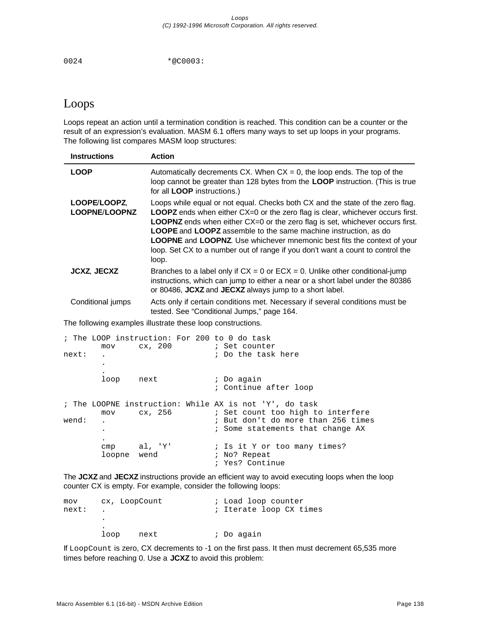```
0024 *@C0003:
```
### Loops

Loops repeat an action until a termination condition is reached. This condition can be a counter or the result of an expression's evaluation. MASM 6.1 offers many ways to set up loops in your programs. The following list compares MASM loop structures:

| <b>Instructions</b>           | <b>Action</b>                                                                                                                                                                                                                                                                                                                                                                                                                                                                                                                         |
|-------------------------------|---------------------------------------------------------------------------------------------------------------------------------------------------------------------------------------------------------------------------------------------------------------------------------------------------------------------------------------------------------------------------------------------------------------------------------------------------------------------------------------------------------------------------------------|
| <b>LOOP</b>                   | Automatically decrements CX. When $CX = 0$ , the loop ends. The top of the<br>loop cannot be greater than 128 bytes from the LOOP instruction. (This is true<br>for all <b>LOOP</b> instructions.)                                                                                                                                                                                                                                                                                                                                    |
| LOOPE/LOOPZ.<br>LOOPNE/LOOPNZ | Loops while equal or not equal. Checks both CX and the state of the zero flag.<br><b>LOOPZ</b> ends when either CX=0 or the zero flag is clear, whichever occurs first.<br><b>LOOPNZ</b> ends when either CX=0 or the zero flag is set, whichever occurs first.<br><b>LOOPE</b> and <b>LOOPZ</b> assemble to the same machine instruction, as do<br><b>LOOPNE</b> and <b>LOOPNZ</b> . Use whichever mnemonic best fits the context of your<br>loop. Set CX to a number out of range if you don't want a count to control the<br>loop. |
| JCXZ, JECXZ                   | Branches to a label only if $CX = 0$ or $ECX = 0$ . Unlike other conditional-jump<br>instructions, which can jump to either a near or a short label under the 80386<br>or 80486, JCXZ and JECXZ always jump to a short label.                                                                                                                                                                                                                                                                                                         |
| Conditional jumps             | Acts only if certain conditions met. Necessary if several conditions must be<br>tested. See "Conditional Jumps," page 164.                                                                                                                                                                                                                                                                                                                                                                                                            |

The following examples illustrate these loop constructions.

|       | mov  | ; The LOOP instruction: For 200 to 0 do task<br>cx, 200 | ; Set counter                                                                                                                                                         |
|-------|------|---------------------------------------------------------|-----------------------------------------------------------------------------------------------------------------------------------------------------------------------|
| next: |      |                                                         | ; Do the task here                                                                                                                                                    |
|       | loop | next                                                    | ; Do again<br>; Continue after loop                                                                                                                                   |
| wend: | mov  | cx, 256 and the c                                       | ; The LOOPNE instruction: While AX is not 'Y', do task<br>; Set count too high to interfere<br>; But don't do more than 256 times<br>; Some statements that change AX |
|       | cmp  | al, 'Y'<br>loopne wend                                  | ; Is it Y or too many times?<br>; No? Repeat<br>; Yes? Continue                                                                                                       |

The **JCXZ** and **JECXZ** instructions provide an efficient way to avoid executing loops when the loop counter CX is empty. For example, consider the following loops:

| mov<br>next: | cx, LoopCount |      |  | ; Load loop counter<br>; Iterate loop CX times |  |  |  |  |
|--------------|---------------|------|--|------------------------------------------------|--|--|--|--|
|              | $\bullet$     |      |  |                                                |  |  |  |  |
|              | loop          | next |  | ; Do aqain                                     |  |  |  |  |

If LoopCount is zero, CX decrements to -1 on the first pass. It then must decrement 65,535 more times before reaching 0. Use a **JCXZ** to avoid this problem: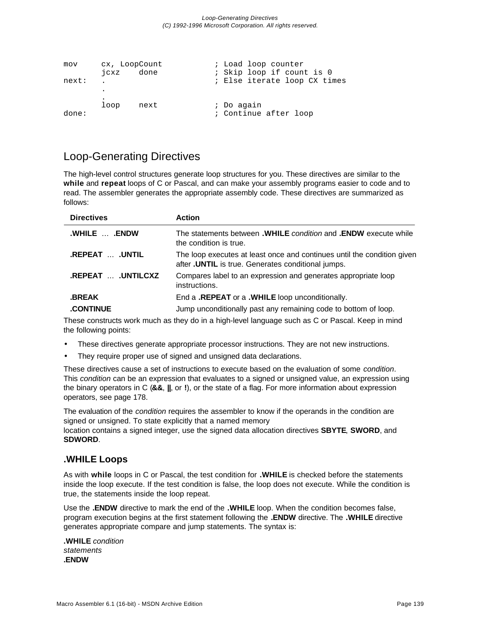| mov   | cx, LoopCount<br>icxz | done | ; Load loop counter<br>; Skip loop if count is 0 |
|-------|-----------------------|------|--------------------------------------------------|
| next: | $\bullet$             |      | ; Else iterate loop CX times                     |
| done: | ٠<br>100p             | next | ; Do again<br>; Continue after loop              |

## Loop-Generating Directives

The high-level control structures generate loop structures for you. These directives are similar to the **while** and **repeat** loops of C or Pascal, and can make your assembly programs easier to code and to read. The assembler generates the appropriate assembly code. These directives are summarized as follows:

| <b>Directives</b>         | <b>Action</b>                                                                                                                       |
|---------------------------|-------------------------------------------------------------------------------------------------------------------------------------|
| WHILE  ENDW               | The statements between .WHILE condition and .ENDW execute while<br>the condition is true.                                           |
| REPEAT UNTIL              | The loop executes at least once and continues until the condition given<br>after <b>UNTIL</b> is true. Generates conditional jumps. |
| <b>REPEAT  .UNTILCXZ.</b> | Compares label to an expression and generates appropriate loop<br>instructions.                                                     |
| <b>.BREAK</b>             | End a .REPEAT or a .WHILE loop unconditionally.                                                                                     |
| <b>CONTINUE</b>           | Jump unconditionally past any remaining code to bottom of loop.                                                                     |

These constructs work much as they do in a high-level language such as C or Pascal. Keep in mind the following points:

- These directives generate appropriate processor instructions. They are not new instructions.
- They require proper use of signed and unsigned data declarations.

These directives cause a set of instructions to execute based on the evaluation of some *condition*. This *condition* can be an expression that evaluates to a signed or unsigned value, an expression using the binary operators in C (**&&**, **||**, or **!**), or the state of a flag. For more information about expression operators, see page 178.

The evaluation of the *condition* requires the assembler to know if the operands in the condition are signed or unsigned. To state explicitly that a named memory

location contains a signed integer, use the signed data allocation directives **SBYTE**, **SWORD**, and **SDWORD**.

#### **.WHILE Loops**

As with **while** loops in C or Pascal, the test condition for **.WHILE** is checked before the statements inside the loop execute. If the test condition is false, the loop does not execute. While the condition is true, the statements inside the loop repeat.

Use the **.ENDW** directive to mark the end of the **.WHILE** loop. When the condition becomes false, program execution begins at the first statement following the **.ENDW** directive. The **.WHILE** directive generates appropriate compare and jump statements. The syntax is:

**.WHILE** *condition statements* **.ENDW**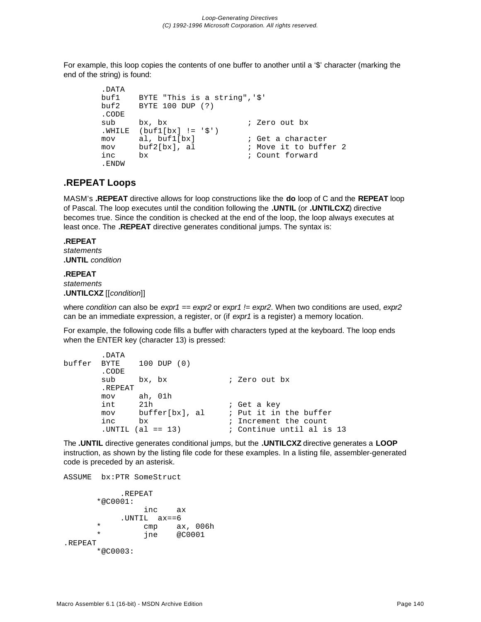For example, this loop copies the contents of one buffer to another until a '\$' character (marking the end of the string) is found:

```
 .DATA
 buf1 BYTE "This is a string",'$'
 buf2 BYTE 100 DUP (?)
 .CODE
 sub bx, bx ; Zero out bx
.WHILE (buf1[bx] != '§')mov al, buf1[bx] ; Get a character<br>mov buf2[bx], al ; Move it to buff
mov buf2[bx], al \qquad ; Move it to buffer 2
 inc bx ; Count forward
 .ENDW
```
#### **.REPEAT Loops**

MASM's **.REPEAT** directive allows for loop constructions like the **do** loop of C and the **REPEAT** loop of Pascal. The loop executes until the condition following the **.UNTIL** (or **.UNTILCXZ**) directive becomes true. Since the condition is checked at the end of the loop, the loop always executes at least once. The **.REPEAT** directive generates conditional jumps. The syntax is:

#### **.REPEAT**

*statements* **.UNTIL** *condition*

#### **.REPEAT** *statements*

**.UNTILCXZ** [[*condition*]]

where *condition* can also be *expr1 == expr2* or *expr1 != expr2*. When two conditions are used, *expr2* can be an immediate expression, a register, or (if *expr1* is a register) a memory location.

For example, the following code fills a buffer with characters typed at the keyboard. The loop ends when the ENTER key (character 13) is pressed:

```
 .DATA
buffer BYTE 100 DUP (0)
        .CODE<br>sub
               bx, bx ; Zero out bx
        .REPEAT<br>mov
               ah, 01h
        int 21h ; Get a key
        mov buffer[bx], al i Put it in the buffer
        inc bx ; Increment the count<br>
.UNTIL (al == 13) ; Continue until al is
                                   : Continue until al is 13
```
The **.UNTIL** directive generates conditional jumps, but the **.UNTILCXZ** directive generates a **LOOP** instruction, as shown by the listing file code for these examples. In a listing file, assembler-generated code is preceded by an asterisk.

ASSUME bx:PTR SomeStruct

```
 .REPEAT
         *@C0001:
                    inc ax
        . UNTIL <math>ax==6</math>* cmp ax, 006h<br>* jne @C0001
                           @C0001
.REPEAT
         *@C0003:
```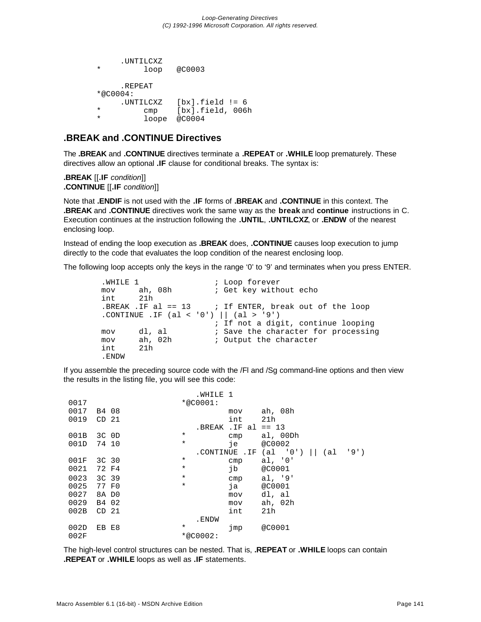|            | .UNTILCXZ |                     |
|------------|-----------|---------------------|
| $\star$    | loop      | @C0003              |
|            |           |                     |
|            | .REPEAT   |                     |
| $*@C0004:$ |           |                     |
|            | .UNTILCXZ | $[bx]$ .field != 6  |
| *          | cmp       | $[bx]$ .field, 006h |
| *          | loope     | @C0004              |
|            |           |                     |

### **.BREAK and .CONTINUE Directives**

The **.BREAK** and **.CONTINUE** directives terminate a **.REPEAT** or **.WHILE** loop prematurely. These directives allow an optional **.IF** clause for conditional breaks. The syntax is:

**.BREAK** [[**.IF** *condition*]] **.CONTINUE** [[**.IF** *condition*]]

Note that **.ENDIF** is not used with the **.IF** forms of **.BREAK** and **.CONTINUE** in this context. The **.BREAK** and **.CONTINUE** directives work the same way as the **break** and **continue** instructions in C. Execution continues at the instruction following the **.UNTIL**, **.UNTILCXZ**, or **.ENDW** of the nearest enclosing loop.

Instead of ending the loop execution as **.BREAK** does, **.CONTINUE** causes loop execution to jump directly to the code that evaluates the loop condition of the nearest enclosing loop.

The following loop accepts only the keys in the range '0' to '9' and terminates when you press ENTER.

```
.WHILE 1 <br>nov ah, 08h <br>i Get key with
                                 ; Get key without echo
int 21h<br>.BREAK .IF al == 13
                                : If ENTER, break out of the loop
 .CONTINUE .IF (al < '0') || (al > '9')
          ; If not a digit, continue looping<br>dl, al           ; Save the character for processing
mov dl, al \begin{array}{ccc} i & \text{Save the character for processing} \\ \text{mov} & \text{ah} & \text{02h} \\ \end{array} ; Output the character
mov ah, 02h ; Output the character
 int 21h
 .ENDW
```
If you assemble the preceding source code with the /Fl and /Sg command-line options and then view the results in the listing file, you will see this code:

|      |                  | .WHILE 1   |                        |                                        |
|------|------------------|------------|------------------------|----------------------------------------|
| 0017 |                  | $*@C0001:$ |                        |                                        |
| 0017 | B4 08            |            | mov                    | ah, 08h                                |
| 0019 | CD <sub>21</sub> |            | int                    | 21h                                    |
|      |                  |            | $BREAK$ $IF$ al == 13. |                                        |
| 001B | 3C OD            | $\star$    |                        | cmp al, 00Dh                           |
| 001D | 74 10            | $\star$    | ie                     | @C0002                                 |
|      |                  |            |                        | 191)<br>.CONTINUE . IF (al '0')<br>(al |
| 001F | 3C 30            | $\star$    | cmp                    | al, '0'                                |
| 0021 | 72 F4            | $\star$    | jb                     | @C0001                                 |
| 0023 | 3C 39            | $\star$    | cmp                    | a1, '9'                                |
| 0025 | 77 FO            | $\star$    | ja                     | @C0001                                 |
| 0027 | 8A D0            |            | mov                    | dl, al                                 |
| 0029 | B4 02            |            | mov                    | ah, 02h                                |
| 002B | CD <sub>21</sub> |            | int                    | 21h                                    |
|      |                  | .ENDW      |                        |                                        |
| 002D | EB E8            | $\star$    | jmp                    | @C0001                                 |
| 002F |                  | *@C0002:   |                        |                                        |

The high-level control structures can be nested. That is, **.REPEAT** or **.WHILE** loops can contain **.REPEAT** or **.WHILE** loops as well as **.IF** statements.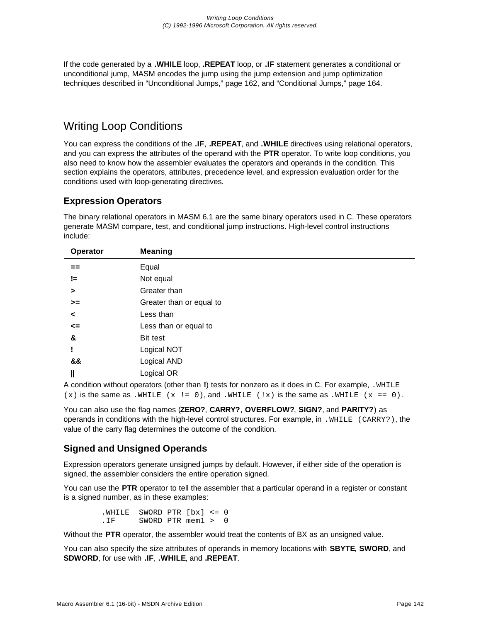If the code generated by a **.WHILE** loop, **.REPEAT** loop, or **.IF** statement generates a conditional or unconditional jump, MASM encodes the jump using the jump extension and jump optimization techniques described in "Unconditional Jumps," page 162, and "Conditional Jumps," page 164.

# Writing Loop Conditions

You can express the conditions of the **.IF**, **.REPEAT**, and **.WHILE** directives using relational operators, and you can express the attributes of the operand with the **PTR** operator. To write loop conditions, you also need to know how the assembler evaluates the operators and operands in the condition. This section explains the operators, attributes, precedence level, and expression evaluation order for the conditions used with loop-generating directives.

### **Expression Operators**

The binary relational operators in MASM 6.1 are the same binary operators used in C. These operators generate MASM compare, test, and conditional jump instructions. High-level control instructions include:

| Operator | <b>Meaning</b>                                                                                                                    |
|----------|-----------------------------------------------------------------------------------------------------------------------------------|
| ==       | Equal                                                                                                                             |
| !=       | Not equal                                                                                                                         |
| >        | Greater than                                                                                                                      |
| $>=$     | Greater than or equal to                                                                                                          |
| $\prec$  | Less than                                                                                                                         |
| $\leq$   | Less than or equal to                                                                                                             |
| &        | <b>Bit test</b>                                                                                                                   |
|          | Logical NOT                                                                                                                       |
| &&       | Logical AND                                                                                                                       |
| II       | Logical OR                                                                                                                        |
|          | $\land$ condition without operators (other than $\land$ toota for nonzero as it does in $\land$ $\Box$ or evenue<br><b>TITTTT</b> |

A condition without operators (other than **!**) tests for nonzero as it does in C. For example, .WHILE  $(x)$  is the same as . WHILE  $(x := 0)$ , and . WHILE  $(!x)$  is the same as . WHILE  $(x == 0)$ .

You can also use the flag names (**ZERO?**, **CARRY?**, **OVERFLOW?**, **SIGN?**, and **PARITY?**) as operands in conditions with the high-level control structures. For example, in .WHILE (CARRY?), the value of the carry flag determines the outcome of the condition.

### **Signed and Unsigned Operands**

Expression operators generate unsigned jumps by default. However, if either side of the operation is signed, the assembler considers the entire operation signed.

You can use the **PTR** operator to tell the assembler that a particular operand in a register or constant is a signed number, as in these examples:

> .WHILE SWORD PTR [bx] <= 0 .IF SWORD PTR mem1 > 0

Without the **PTR** operator, the assembler would treat the contents of BX as an unsigned value.

You can also specify the size attributes of operands in memory locations with **SBYTE**, **SWORD**, and **SDWORD**, for use with **.IF**, **.WHILE**, and **.REPEAT**.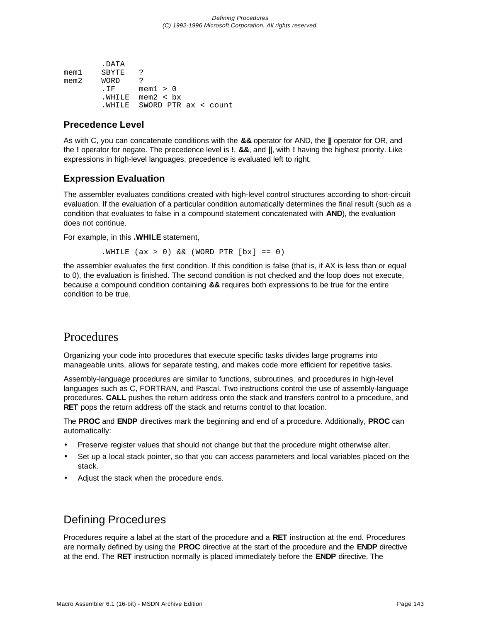|      | .DATA  |                             |
|------|--------|-----------------------------|
| mem1 | SBYTE  | <b>P</b>                    |
| mem2 | WORD   | <b>P</b>                    |
|      | .IF    | $m$ em $1 > 0$              |
|      | .WHILE | $m$ em $2 < bx$             |
|      |        | .WHILE SWORD PTR ax < count |

### **Precedence Level**

As with C, you can concatenate conditions with the **&&** operator for AND, the **||** operator for OR, and the **!** operator for negate. The precedence level is **!**, **&&**, and **||**, with **!** having the highest priority. Like expressions in high-level languages, precedence is evaluated left to right.

#### **Expression Evaluation**

The assembler evaluates conditions created with high-level control structures according to short-circuit evaluation. If the evaluation of a particular condition automatically determines the final result (such as a condition that evaluates to false in a compound statement concatenated with **AND**), the evaluation does not continue.

For example, in this **.WHILE** statement,

```
.WHILE (ax > 0) & (WORD PTR [bx] == 0)
```
the assembler evaluates the first condition. If this condition is false (that is, if AX is less than or equal to 0), the evaluation is finished. The second condition is not checked and the loop does not execute, because a compound condition containing **&&** requires both expressions to be true for the entire condition to be true.

### Procedures

Organizing your code into procedures that execute specific tasks divides large programs into manageable units, allows for separate testing, and makes code more efficient for repetitive tasks.

Assembly-language procedures are similar to functions, subroutines, and procedures in high-level languages such as C, FORTRAN, and Pascal. Two instructions control the use of assembly-language procedures. **CALL** pushes the return address onto the stack and transfers control to a procedure, and **RET** pops the return address off the stack and returns control to that location.

The **PROC** and **ENDP** directives mark the beginning and end of a procedure. Additionally, **PROC** can automatically:

- Preserve register values that should not change but that the procedure might otherwise alter.
- Set up a local stack pointer, so that you can access parameters and local variables placed on the stack.
- Adjust the stack when the procedure ends.

## Defining Procedures

Procedures require a label at the start of the procedure and a **RET** instruction at the end. Procedures are normally defined by using the **PROC** directive at the start of the procedure and the **ENDP** directive at the end. The **RET** instruction normally is placed immediately before the **ENDP** directive. The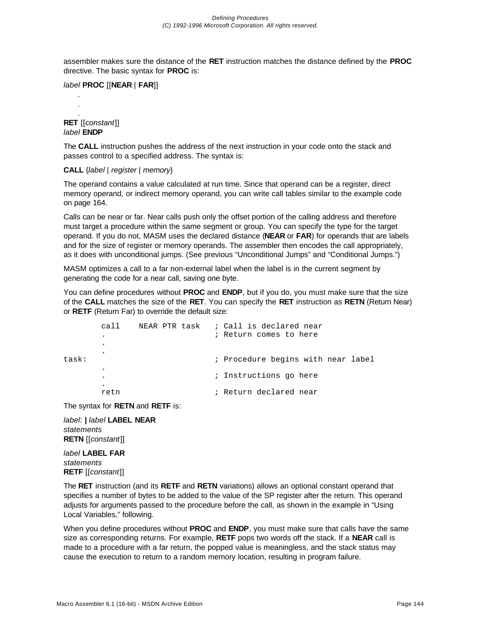assembler makes sure the distance of the **RET** instruction matches the distance defined by the **PROC** directive. The basic syntax for **PROC** is:

*label* **PROC** [[**NEAR** | **FAR**]]

 . **RET** [[*constant*]] *label* **ENDP**

 . .

The **CALL** instruction pushes the address of the next instruction in your code onto the stack and passes control to a specified address. The syntax is:

**CALL** {*label* | *register* | *memory*}

The operand contains a value calculated at run time. Since that operand can be a register, direct memory operand, or indirect memory operand, you can write call tables similar to the example code on page 164.

Calls can be near or far. Near calls push only the offset portion of the calling address and therefore must target a procedure within the same segment or group. You can specify the type for the target operand. If you do not, MASM uses the declared distance (**NEAR** or **FAR**) for operands that are labels and for the size of register or memory operands. The assembler then encodes the call appropriately, as it does with unconditional jumps. (See previous "Unconditional Jumps" and "Conditional Jumps.")

MASM optimizes a call to a far non-external label when the label is in the current segment by generating the code for a near call, saving one byte.

You can define procedures without **PROC** and **ENDP**, but if you do, you must make sure that the size of the **CALL** matches the size of the **RET**. You can specify the **RET** instruction as **RETN** (Return Near) or **RETF** (Return Far) to override the default size:

|       | ca11      |  | NEAR PTR task ; Call is declared near |
|-------|-----------|--|---------------------------------------|
|       | ٠         |  | ; Return comes to here                |
|       |           |  |                                       |
| task: |           |  | ; Procedure begins with near label    |
|       | $\bullet$ |  | ; Instructions go here                |
|       | ٠<br>retn |  | ; Return declared near                |

The syntax for **RETN** and **RETF** is:

*label*: **|** *label* **LABEL NEAR** *statements* **RETN** [[*constant*]]

*label* **LABEL FAR** *statements* **RETF** [[*constant*]]

The **RET** instruction (and its **RETF** and **RETN** variations) allows an optional constant operand that specifies a number of bytes to be added to the value of the SP register after the return. This operand adjusts for arguments passed to the procedure before the call, as shown in the example in "Using Local Variables," following.

When you define procedures without **PROC** and **ENDP**, you must make sure that calls have the same size as corresponding returns. For example, **RETF** pops two words off the stack. If a **NEAR** call is made to a procedure with a far return, the popped value is meaningless, and the stack status may cause the execution to return to a random memory location, resulting in program failure.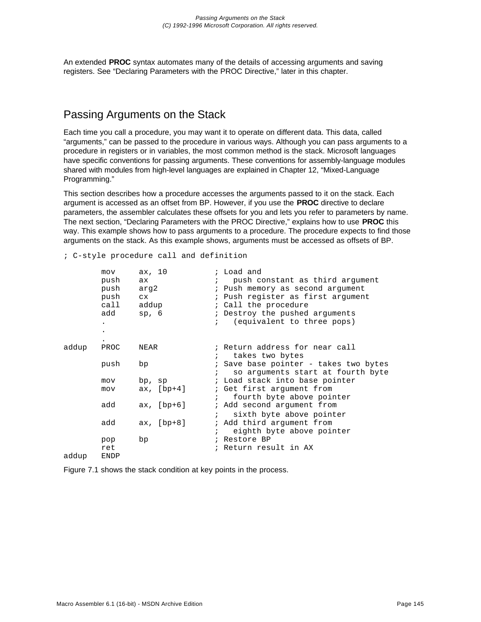An extended **PROC** syntax automates many of the details of accessing arguments and saving registers. See "Declaring Parameters with the PROC Directive," later in this chapter.

### Passing Arguments on the Stack

Each time you call a procedure, you may want it to operate on different data. This data, called "arguments," can be passed to the procedure in various ways. Although you can pass arguments to a procedure in registers or in variables, the most common method is the stack. Microsoft languages have specific conventions for passing arguments. These conventions for assembly-language modules shared with modules from high-level languages are explained in Chapter 12, "Mixed-Language Programming."

This section describes how a procedure accesses the arguments passed to it on the stack. Each argument is accessed as an offset from BP. However, if you use the **PROC** directive to declare parameters, the assembler calculates these offsets for you and lets you refer to parameters by name. The next section, "Declaring Parameters with the PROC Directive," explains how to use **PROC** this way. This example shows how to pass arguments to a procedure. The procedure expects to find those arguments on the stack. As this example shows, arguments must be accessed as offsets of BP.

#### ; C-style procedure call and definition

|       | mov<br>push<br>push<br>push<br>call<br>add | ax, 10<br>ax<br>arq2<br>C X<br>addup<br>sp, 6 | ; Load and<br><i>i</i> push constant as third argument<br>; Push memory as second argument<br>; Push register as first argument<br>; Call the procedure<br>; Destroy the pushed arguments<br><i>i</i> (equivalent to three pops) |
|-------|--------------------------------------------|-----------------------------------------------|----------------------------------------------------------------------------------------------------------------------------------------------------------------------------------------------------------------------------------|
| addup | PROC                                       | NEAR                                          | ; Return address for near call<br>takes two bytes                                                                                                                                                                                |
|       | push                                       | bp                                            | ; Save base pointer - takes two bytes<br>so arguments start at fourth byte<br>$\mathcal{L}$                                                                                                                                      |
|       | mov                                        | bp, sp                                        | ; Load stack into base pointer                                                                                                                                                                                                   |
|       | mov                                        | $ax, [bp+4]$                                  | ; Get first argument from<br>fourth byte above pointer                                                                                                                                                                           |
|       | add                                        | $ax, [bp+6]$                                  | ; Add second argument from                                                                                                                                                                                                       |
|       |                                            |                                               | sixth byte above pointer<br>$\mathbf{r}$                                                                                                                                                                                         |
|       | add                                        | $ax, [bp+8]$                                  | ; Add third argument from<br>eighth byte above pointer                                                                                                                                                                           |
|       | pop                                        | bp                                            | ; Restore BP                                                                                                                                                                                                                     |
| addup | ret<br><b>ENDP</b>                         |                                               | ; Return result in AX                                                                                                                                                                                                            |

Figure 7.1 shows the stack condition at key points in the process.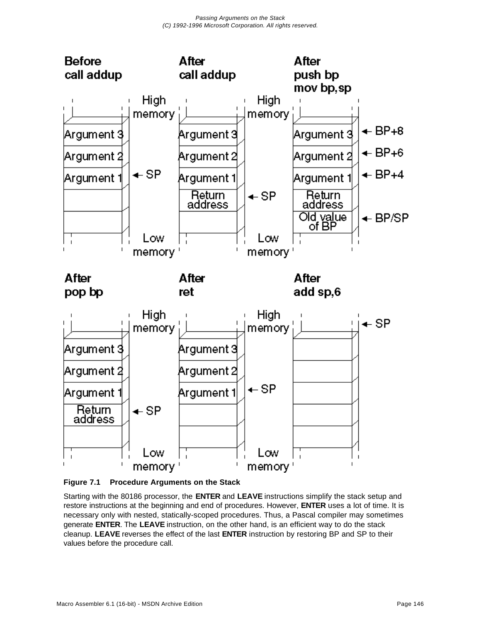

**Figure 7.1 Procedure Arguments on the Stack**

Starting with the 80186 processor, the **ENTER** and **LEAVE** instructions simplify the stack setup and restore instructions at the beginning and end of procedures. However, **ENTER** uses a lot of time. It is necessary only with nested, statically-scoped procedures. Thus, a Pascal compiler may sometimes generate **ENTER**. The **LEAVE** instruction, on the other hand, is an efficient way to do the stack cleanup. **LEAVE** reverses the effect of the last **ENTER** instruction by restoring BP and SP to their values before the procedure call.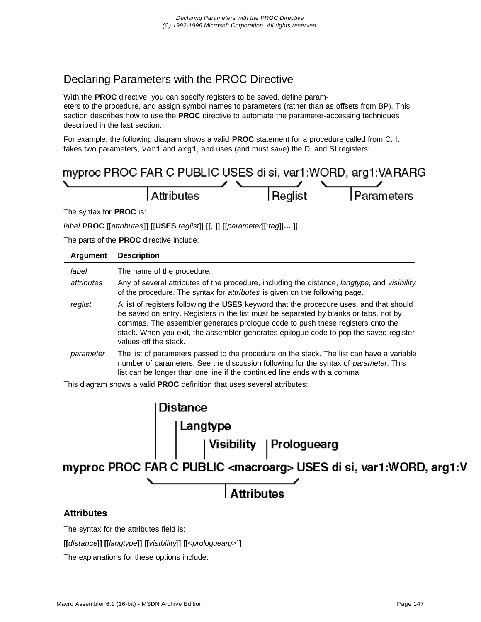# Declaring Parameters with the PROC Directive

With the **PROC** directive, you can specify registers to be saved, define parameters to the procedure, and assign symbol names to parameters (rather than as offsets from BP). This section describes how to use the **PROC** directive to automate the parameter-accessing techniques described in the last section.

For example, the following diagram shows a valid **PROC** statement for a procedure called from C. It takes two parameters,  $var1$  and  $arg1$ , and uses (and must save) the DI and SI registers:

# myproc PROC FAR C PUBLIC USES di si, var1:WORD, arg1:VARARG



The syntax for **PROC** is:

*label* **PROC** [[*attributes*]] [[**USES** *reglist*]] [[*,* ]] [[*parameter*[[:*tag*]]**...** ]]

The parts of the **PROC** directive include:

| <b>Argument</b> | <b>Description</b>                                                                                                                                                                                                                                                                                                                                                                  |
|-----------------|-------------------------------------------------------------------------------------------------------------------------------------------------------------------------------------------------------------------------------------------------------------------------------------------------------------------------------------------------------------------------------------|
| label           | The name of the procedure.                                                                                                                                                                                                                                                                                                                                                          |
| attributes      | Any of several attributes of the procedure, including the distance, langtype, and visibility<br>of the procedure. The syntax for <i>attributes</i> is given on the following page.                                                                                                                                                                                                  |
| reglist         | A list of registers following the USES keyword that the procedure uses, and that should<br>be saved on entry. Registers in the list must be separated by blanks or tabs, not by<br>commas. The assembler generates prologue code to push these registers onto the<br>stack. When you exit, the assembler generates epilogue code to pop the saved register<br>values off the stack. |
| parameter       | The list of parameters passed to the procedure on the stack. The list can have a variable<br>number of parameters. See the discussion following for the syntax of <i>parameter</i> . This<br>list can be longer than one line if the continued line ends with a comma.                                                                                                              |

This diagram shows a valid **PROC** definition that uses several attributes:



### **Attributes**

The syntax for the attributes field is:

**[[***distance*]**] [[***langtype***]] [[***visibility*]**] [**[<*prologuearg*>]**]** 

The explanations for these options include: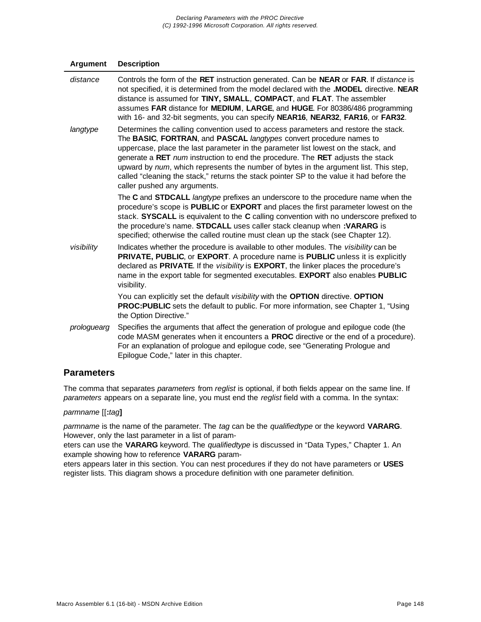#### **Argument Description**

| distance    | Controls the form of the RET instruction generated. Can be NEAR or FAR. If distance is<br>not specified, it is determined from the model declared with the .MODEL directive. NEAR<br>distance is assumed for TINY, SMALL, COMPACT, and FLAT. The assembler<br>assumes FAR distance for MEDIUM, LARGE, and HUGE. For 80386/486 programming<br>with 16- and 32-bit segments, you can specify NEAR16, NEAR32, FAR16, or FAR32.                                                                                                                           |
|-------------|-------------------------------------------------------------------------------------------------------------------------------------------------------------------------------------------------------------------------------------------------------------------------------------------------------------------------------------------------------------------------------------------------------------------------------------------------------------------------------------------------------------------------------------------------------|
| langtype    | Determines the calling convention used to access parameters and restore the stack.<br>The BASIC, FORTRAN, and PASCAL langtypes convert procedure names to<br>uppercase, place the last parameter in the parameter list lowest on the stack, and<br>generate a RET num instruction to end the procedure. The RET adjusts the stack<br>upward by num, which represents the number of bytes in the argument list. This step,<br>called "cleaning the stack," returns the stack pointer SP to the value it had before the<br>caller pushed any arguments. |
|             | The C and <b>STDCALL</b> langtype prefixes an underscore to the procedure name when the<br>procedure's scope is PUBLIC or EXPORT and places the first parameter lowest on the<br>stack. SYSCALL is equivalent to the C calling convention with no underscore prefixed to<br>the procedure's name. STDCALL uses caller stack cleanup when : VARARG is<br>specified; otherwise the called routine must clean up the stack (see Chapter 12).                                                                                                             |
| visibility  | Indicates whether the procedure is available to other modules. The visibility can be<br>PRIVATE, PUBLIC, or EXPORT. A procedure name is PUBLIC unless it is explicitly<br>declared as PRIVATE. If the <i>visibility</i> is <b>EXPORT</b> , the linker places the procedure's<br>name in the export table for segmented executables. EXPORT also enables PUBLIC<br>visibility.                                                                                                                                                                         |
|             | You can explicitly set the default visibility with the OPTION directive. OPTION<br><b>PROC:PUBLIC</b> sets the default to public. For more information, see Chapter 1, "Using<br>the Option Directive."                                                                                                                                                                                                                                                                                                                                               |
| prologuearg | Specifies the arguments that affect the generation of prologue and epilogue code (the<br>code MASM generates when it encounters a <b>PROC</b> directive or the end of a procedure).<br>For an explanation of prologue and epilogue code, see "Generating Prologue and<br>Epilogue Code," later in this chapter.                                                                                                                                                                                                                                       |

### **Parameters**

The comma that separates *parameters* from *reglist* is optional, if both fields appear on the same line. If *parameters* appears on a separate line, you must end the *reglist* field with a comma. In the syntax:

#### *parmname* [[**:***tag***]**

*parmname* is the name of the parameter. The *tag* can be the *qualifiedtype* or the keyword **VARARG**. However, only the last parameter in a list of param-

eters can use the **VARARG** keyword. The *qualifiedtype* is discussed in "Data Types," Chapter 1. An example showing how to reference **VARARG** param-

eters appears later in this section. You can nest procedures if they do not have parameters or **USES** register lists. This diagram shows a procedure definition with one parameter definition.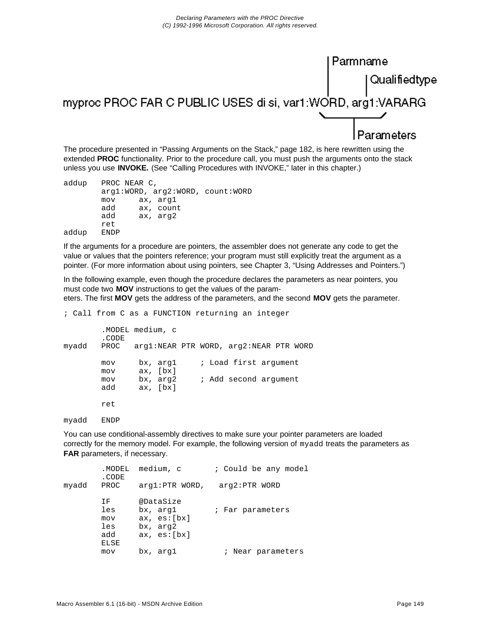

extended **PROC** functionality. Prior to the procedure call, you must push the arguments onto the stack unless you use **INVOKE.** (See "Calling Procedures with INVOKE," later in this chapter.)

```
addup PROC NEAR C,
           arg1:WORD, arg2:WORD, count:WORD
          mov ax, argl<br>add ax, count
          add ax, count<br>add ax, arg2
                     ax, arg2
          ret<br>ENDP
addup
```
If the arguments for a procedure are pointers, the assembler does not generate any code to get the value or values that the pointers reference; your program must still explicitly treat the argument as a pointer. (For more information about using pointers, see Chapter 3, "Using Addresses and Pointers.")

In the following example, even though the procedure declares the parameters as near pointers, you must code two **MOV** instructions to get the values of the parameters. The first **MOV** gets the address of the parameters, and the second **MOV** gets the parameter.

; Call from C as a FUNCTION returning an integer

|       | .CODE      | .MODEL medium, c     |  |                                        |  |
|-------|------------|----------------------|--|----------------------------------------|--|
| myadd | PROC       |                      |  | argl:NEAR PTR WORD, arg2:NEAR PTR WORD |  |
|       | mov<br>mov | bx, arql<br>ax, [bx] |  | ; Load first argument                  |  |
|       | mov<br>add | bx, arg2<br>ax, [bx] |  | ; Add second argument                  |  |
|       | ret        |                      |  |                                        |  |

```
myadd ENDP
```
You can use conditional-assembly directives to make sure your pointer parameters are loaded correctly for the memory model. For example, the following version of myadd treats the parameters as **FAR** parameters, if necessary.

|       | .MODEL<br>.CODE                        | medium, c                                                       | ; Could be any model |
|-------|----------------------------------------|-----------------------------------------------------------------|----------------------|
| myadd | PROC                                   | $arg1:PTR$ WORD,                                                | $arg2:PTR$ WORD      |
|       | ΙF<br>les<br>mov<br>les<br>add<br>ELSE | @DataSize<br>bx, arql<br>ax, es:[bx]<br>bx, arg2<br>ax, es:[bx] | ; Far parameters     |
|       | mov                                    | bx, arql                                                        | ; Near parameters    |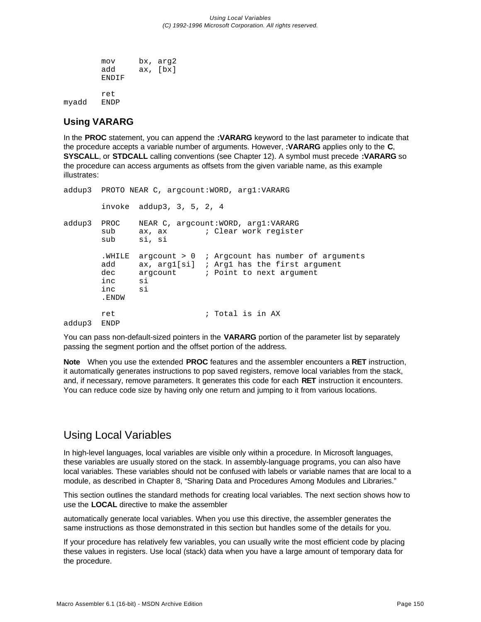mov bx, arg2 add ax, [bx] ENDIF ret<br>ENDP

myadd

### **Using VARARG**

In the **PROC** statement, you can append the **:VARARG** keyword to the last parameter to indicate that the procedure accepts a variable number of arguments. However, **:VARARG** applies only to the **C**, **SYSCALL**, or **STDCALL** calling conventions (see Chapter 12). A symbol must precede **:VARARG** so the procedure can access arguments as offsets from the given variable name, as this example illustrates:

```
addup3 PROTO NEAR C, argcount:WORD, arg1:VARARG
        invoke addup3, 3, 5, 2, 4
addup3 PROC NEAR C, argcount:WORD, arg1:VARARG
       sub ax, ax ; Clear work register
        sub si, si
        .WHILE argcount > 0 ; Argcount has number of arguments
        add ax, arg1[si] ; Arg1 has the first argument
       dec argcount ; Point to next argument
        inc si
        inc si
        .ENDW
       ret \qquad \qquad ; Total is in AX
addup3 ENDP
```
You can pass non-default-sized pointers in the **VARARG** portion of the parameter list by separately passing the segment portion and the offset portion of the address.

**Note** When you use the extended **PROC** features and the assembler encounters a **RET** instruction, it automatically generates instructions to pop saved registers, remove local variables from the stack, and, if necessary, remove parameters. It generates this code for each **RET** instruction it encounters. You can reduce code size by having only one return and jumping to it from various locations.

### Using Local Variables

In high-level languages, local variables are visible only within a procedure. In Microsoft languages, these variables are usually stored on the stack. In assembly-language programs, you can also have local variables. These variables should not be confused with labels or variable names that are local to a module, as described in Chapter 8, "Sharing Data and Procedures Among Modules and Libraries."

This section outlines the standard methods for creating local variables. The next section shows how to use the **LOCAL** directive to make the assembler

automatically generate local variables. When you use this directive, the assembler generates the same instructions as those demonstrated in this section but handles some of the details for you.

If your procedure has relatively few variables, you can usually write the most efficient code by placing these values in registers. Use local (stack) data when you have a large amount of temporary data for the procedure.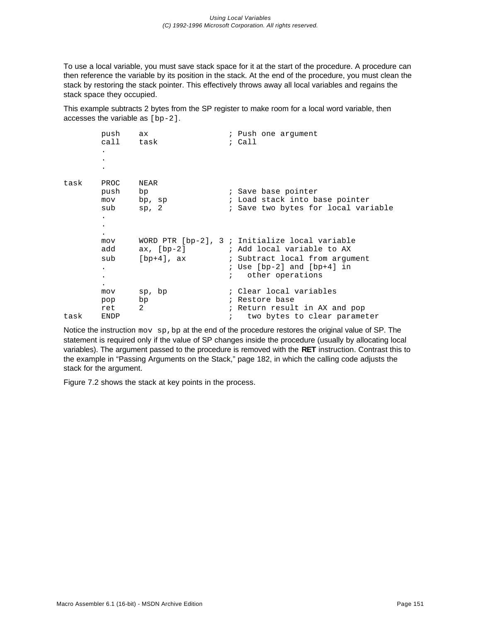To use a local variable, you must save stack space for it at the start of the procedure. A procedure can then reference the variable by its position in the stack. At the end of the procedure, you must clean the stack by restoring the stack pointer. This effectively throws away all local variables and regains the stack space they occupied.

This example subtracts 2 bytes from the SP register to make room for a local word variable, then accesses the variable as [bp-2].

|      | push<br>call task | ax             |              | ; Push one argument<br>; Call                     |
|------|-------------------|----------------|--------------|---------------------------------------------------|
|      | $\bullet$         |                |              |                                                   |
|      |                   |                |              |                                                   |
| task | PROC              | NEAR           |              |                                                   |
|      | push              | bp             |              | ; Save base pointer                               |
|      | mov bp, sp        |                |              | ; Load stack into base pointer                    |
|      | sub sp, 2         |                |              | ; Save two bytes for local variable               |
|      | $\bullet$         |                |              |                                                   |
|      | $\bullet$         |                |              |                                                   |
|      |                   |                |              |                                                   |
|      | mov               |                |              | WORD PTR $[bp-2]$ , 3 ; Initialize local variable |
|      | add               |                |              | ax, [bp-2] : Add local variable to AX             |
|      |                   | sub [bp+4], ax |              | ; Subtract local from argument                    |
|      | $\bullet$         |                |              | ; Use $[bp-2]$ and $[bp+4]$ in                    |
|      | $\bullet$         |                |              | ; other operations                                |
|      |                   |                |              |                                                   |
|      | mov               | sp, bp         |              | ; Clear local variables                           |
|      | pop               | bp             |              | ; Restore base                                    |
|      | ret               | 2              |              | ; Return result in AX and pop                     |
| task | ENDP              |                | $\mathbf{i}$ | two bytes to clear parameter                      |

Notice the instruction  $mov \, sp$ , bp at the end of the procedure restores the original value of SP. The statement is required only if the value of SP changes inside the procedure (usually by allocating local variables). The argument passed to the procedure is removed with the **RET** instruction. Contrast this to the example in "Passing Arguments on the Stack," page 182, in which the calling code adjusts the stack for the argument.

Figure 7.2 shows the stack at key points in the process.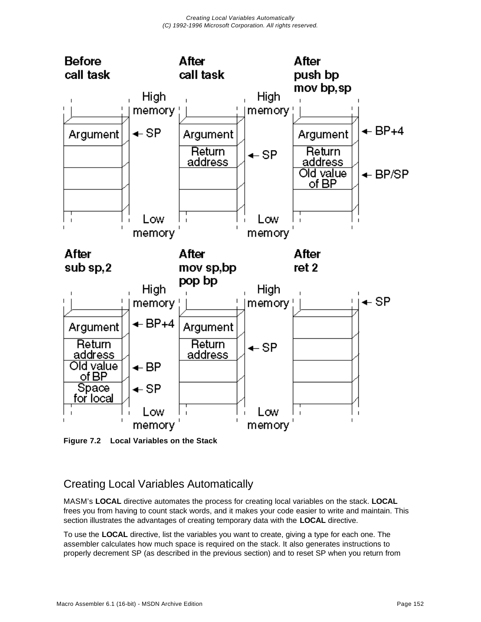

**Figure 7.2 Local Variables on the Stack**

### Creating Local Variables Automatically

MASM's **LOCAL** directive automates the process for creating local variables on the stack. **LOCAL** frees you from having to count stack words, and it makes your code easier to write and maintain. This section illustrates the advantages of creating temporary data with the **LOCAL** directive.

To use the **LOCAL** directive, list the variables you want to create, giving a type for each one. The assembler calculates how much space is required on the stack. It also generates instructions to properly decrement SP (as described in the previous section) and to reset SP when you return from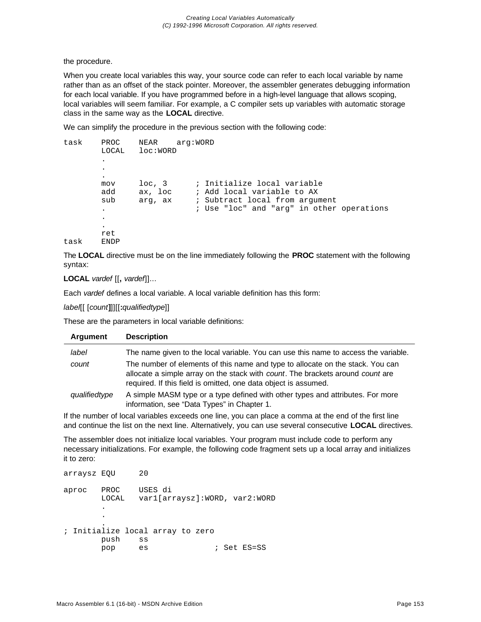the procedure.

When you create local variables this way, your source code can refer to each local variable by name rather than as an offset of the stack pointer. Moreover, the assembler generates debugging information for each local variable. If you have programmed before in a high-level language that allows scoping, local variables will seem familiar. For example, a C compiler sets up variables with automatic storage class in the same way as the **LOCAL** directive.

We can simplify the procedure in the previous section with the following code:

```
task PROC NEAR arg:WORD
                 loc:WORD
 .
 .
 .
        mov loc, 3 ; Initialize local variable<br>add ax, loc ; Add local variable to AX
        add ax, loc : Add local variable to AX<br>sub arg, ax : Subtract local from argum
                 arg, ax ; Subtract local from argument
                                . ; Use "loc" and "arg" in other operations
 .
 .
        ret<br>ENDP
task
```
The **LOCAL** directive must be on the line immediately following the **PROC** statement with the following syntax:

**LOCAL** *vardef* [[**,** *vardef*]]...

Each *vardef* defines a local variable. A local variable definition has this form:

*label*[[ [*count***]**]][[**:***qualifiedtype*]]

These are the parameters in local variable definitions:

| Argument      | <b>Description</b>                                                                                                                                                                                                                                 |
|---------------|----------------------------------------------------------------------------------------------------------------------------------------------------------------------------------------------------------------------------------------------------|
| label         | The name given to the local variable. You can use this name to access the variable.                                                                                                                                                                |
| count         | The number of elements of this name and type to allocate on the stack. You can<br>allocate a simple array on the stack with <i>count</i> . The brackets around <i>count</i> are<br>required. If this field is omitted, one data object is assumed. |
| qualifiedtype | A simple MASM type or a type defined with other types and attributes. For more<br>information, see "Data Types" in Chapter 1.                                                                                                                      |

If the number of local variables exceeds one line, you can place a comma at the end of the first line and continue the list on the next line. Alternatively, you can use several consecutive **LOCAL** directives.

The assembler does not initialize local variables. Your program must include code to perform any necessary initializations. For example, the following code fragment sets up a local array and initializes it to zero:

| arraysz EQU |               | 20                                       |
|-------------|---------------|------------------------------------------|
| aproc       | PROC<br>LOCAL | USES di<br>varl[arraysz]:WORD, var2:WORD |
|             | ٠             |                                          |
|             | push          | ; Initialize local array to zero         |
|             | pop           | SS<br>; Set ES=SS<br>es                  |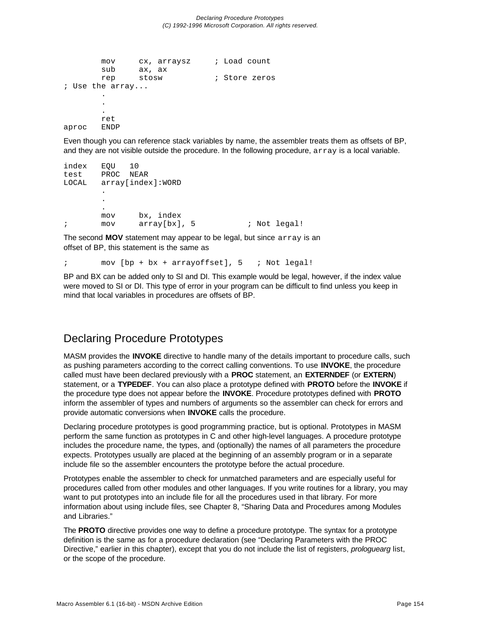```
mov cx, arraysz i Load count
      sub ax, ax
      rep stosw ; Store zeros
; Use the array...
 .
 .
 .
      ret
aproc ENDP
```
Even though you can reference stack variables by name, the assembler treats them as offsets of BP, and they are not visible outside the procedure. In the following procedure,  $array$  is a local variable.

```
index EQU 10
test PROC NEAR
LOCAL array[index]:WORD
 .
 .
 .
      mov bx, index<br>mov array[bx], 5
; mov array[bx], 5 ; Not legal!
```
The second **MOV** statement may appear to be legal, but since array is an offset of BP, this statement is the same as

; mov [bp + bx + arrayoffset], 5 ; Not legal!

BP and BX can be added only to SI and DI. This example would be legal, however, if the index value were moved to SI or DI. This type of error in your program can be difficult to find unless you keep in mind that local variables in procedures are offsets of BP.

### Declaring Procedure Prototypes

MASM provides the **INVOKE** directive to handle many of the details important to procedure calls, such as pushing parameters according to the correct calling conventions. To use **INVOKE**, the procedure called must have been declared previously with a **PROC** statement, an **EXTERNDEF** (or **EXTERN**) statement, or a **TYPEDEF**. You can also place a prototype defined with **PROTO** before the **INVOKE** if the procedure type does not appear before the **INVOKE**. Procedure prototypes defined with **PROTO** inform the assembler of types and numbers of arguments so the assembler can check for errors and provide automatic conversions when **INVOKE** calls the procedure.

Declaring procedure prototypes is good programming practice, but is optional. Prototypes in MASM perform the same function as prototypes in C and other high-level languages. A procedure prototype includes the procedure name, the types, and (optionally) the names of all parameters the procedure expects. Prototypes usually are placed at the beginning of an assembly program or in a separate include file so the assembler encounters the prototype before the actual procedure.

Prototypes enable the assembler to check for unmatched parameters and are especially useful for procedures called from other modules and other languages. If you write routines for a library, you may want to put prototypes into an include file for all the procedures used in that library. For more information about using include files, see Chapter 8, "Sharing Data and Procedures among Modules and Libraries."

The **PROTO** directive provides one way to define a procedure prototype. The syntax for a prototype definition is the same as for a procedure declaration (see "Declaring Parameters with the PROC Directive," earlier in this chapter), except that you do not include the list of registers, *prologuearg* list, or the scope of the procedure.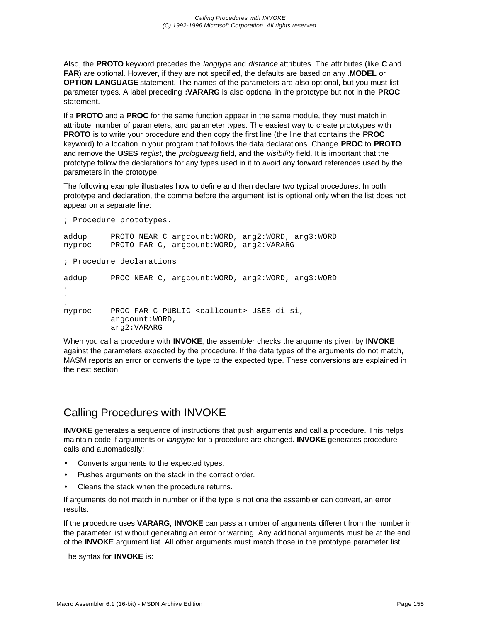Also, the **PROTO** keyword precedes the *langtype* and *distance* attributes. The attributes (like **C** and **FAR**) are optional. However, if they are not specified, the defaults are based on any **.MODEL** or **OPTION LANGUAGE** statement. The names of the parameters are also optional, but you must list parameter types. A label preceding **:VARARG** is also optional in the prototype but not in the **PROC** statement.

If a **PROTO** and a **PROC** for the same function appear in the same module, they must match in attribute, number of parameters, and parameter types. The easiest way to create prototypes with **PROTO** is to write your procedure and then copy the first line (the line that contains the **PROC** keyword) to a location in your program that follows the data declarations. Change **PROC** to **PROTO** and remove the **USES** *reglist*, the *prologuearg* field, and the *visibility* field. It is important that the prototype follow the declarations for any types used in it to avoid any forward references used by the parameters in the prototype.

The following example illustrates how to define and then declare two typical procedures. In both prototype and declaration, the comma before the argument list is optional only when the list does not appear on a separate line:

; Procedure prototypes.

addup PROTO NEAR C argcount:WORD, arg2:WORD, arg3:WORD<br>myproc PROTO FAR C, argcount:WORD, arg2:VARARG PROTO FAR C, argcount:WORD, arg2:VARARG ; Procedure declarations addup PROC NEAR C, argcount:WORD, arg2:WORD, arg3:WORD . . . myproc PROC FAR C PUBLIC <callcount> USES di si, argcount:WORD, arg2:VARARG

When you call a procedure with **INVOKE**, the assembler checks the arguments given by **INVOKE** against the parameters expected by the procedure. If the data types of the arguments do not match, MASM reports an error or converts the type to the expected type. These conversions are explained in the next section.

### Calling Procedures with INVOKE

**INVOKE** generates a sequence of instructions that push arguments and call a procedure. This helps maintain code if arguments or *langtype* for a procedure are changed. **INVOKE** generates procedure calls and automatically:

- Converts arguments to the expected types.
- Pushes arguments on the stack in the correct order.
- Cleans the stack when the procedure returns.

If arguments do not match in number or if the type is not one the assembler can convert, an error results.

If the procedure uses **VARARG**, **INVOKE** can pass a number of arguments different from the number in the parameter list without generating an error or warning. Any additional arguments must be at the end of the **INVOKE** argument list. All other arguments must match those in the prototype parameter list.

The syntax for **INVOKE** is: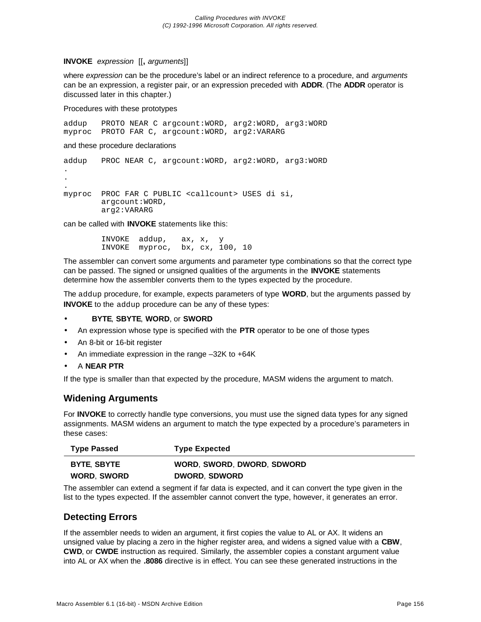#### **INVOKE** *expression* [[**,** *arguments*]]

where *expression* can be the procedure's label or an indirect reference to a procedure, and *arguments* can be an expression, a register pair, or an expression preceded with **ADDR**. (The **ADDR** operator is discussed later in this chapter.)

Procedures with these prototypes

addup PROTO NEAR C argcount:WORD, arg2:WORD, arg3:WORD myproc PROTO FAR C, argcount:WORD, arg2:VARARG

and these procedure declarations

```
addup PROC NEAR C, argcount:WORD, arg2:WORD, arg3:WORD 
.
.
.
myproc PROC FAR C PUBLIC <callcount> USES di si,
         argcount:WORD,
         arg2:VARARG
```
can be called with **INVOKE** statements like this:

 INVOKE addup, ax, x, y INVOKE myproc, bx, cx, 100, 10

The assembler can convert some arguments and parameter type combinations so that the correct type can be passed. The signed or unsigned qualities of the arguments in the **INVOKE** statements determine how the assembler converts them to the types expected by the procedure.

The addup procedure, for example, expects parameters of type **WORD**, but the arguments passed by **INVOKE** to the addup procedure can be any of these types:

#### • **BYTE**, **SBYTE**, **WORD**, or **SWORD**

- An expression whose type is specified with the **PTR** operator to be one of those types
- An 8-bit or 16-bit register
- An immediate expression in the range –32K to +64K
- A **NEAR PTR**

If the type is smaller than that expected by the procedure, MASM widens the argument to match.

### **Widening Arguments**

For **INVOKE** to correctly handle type conversions, you must use the signed data types for any signed assignments. MASM widens an argument to match the type expected by a procedure's parameters in these cases:

| <b>Type Passed</b> | <b>Type Expected</b>       |
|--------------------|----------------------------|
| <b>BYTE SBYTE</b>  | WORD, SWORD, DWORD, SDWORD |
| <b>WORD, SWORD</b> | <b>DWORD, SDWORD</b>       |

The assembler can extend a segment if far data is expected, and it can convert the type given in the list to the types expected. If the assembler cannot convert the type, however, it generates an error.

### **Detecting Errors**

If the assembler needs to widen an argument, it first copies the value to AL or AX. It widens an unsigned value by placing a zero in the higher register area, and widens a signed value with a **CBW**, **CWD**, or **CWDE** instruction as required. Similarly, the assembler copies a constant argument value into AL or AX when the **.8086** directive is in effect. You can see these generated instructions in the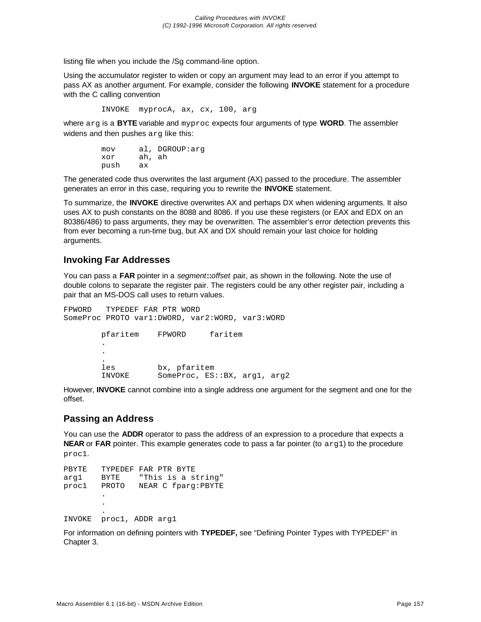listing file when you include the /Sg command-line option.

Using the accumulator register to widen or copy an argument may lead to an error if you attempt to pass AX as another argument. For example, consider the following **INVOKE** statement for a procedure with the C calling convention

INVOKE myprocA, ax, cx, 100, arg

where arg is a **BYTE** variable and myproc expects four arguments of type **WORD**. The assembler widens and then pushes arg like this:

> mov al, DGROUP:arg xor ah, ah push ax

The generated code thus overwrites the last argument (AX) passed to the procedure. The assembler generates an error in this case, requiring you to rewrite the **INVOKE** statement.

To summarize, the **INVOKE** directive overwrites AX and perhaps DX when widening arguments. It also uses AX to push constants on the 8088 and 8086. If you use these registers (or EAX and EDX on an 80386/486) to pass arguments, they may be overwritten. The assembler's error detection prevents this from ever becoming a run-time bug, but AX and DX should remain your last choice for holding arguments.

### **Invoking Far Addresses**

You can pass a **FAR** pointer in a *segment***::***offset* pair, as shown in the following. Note the use of double colons to separate the register pair. The registers could be any other register pair, including a pair that an MS-DOS call uses to return values.

```
FPWORD TYPEDEF FAR PTR WORD
SomeProc PROTO var1:DWORD, var2:WORD, var3:WORD
        pfaritem FPWORD faritem
 .
 .
 .
       les bx, pfaritem<br>INVOKE SomeProc, ES
                   SomeProc, ES::BX, arg1, arg2
```
However, **INVOKE** cannot combine into a single address one argument for the segment and one for the offset.

### **Passing an Address**

You can use the **ADDR** operator to pass the address of an expression to a procedure that expects a **NEAR** or **FAR** pointer. This example generates code to pass a far pointer (to  $\arg 1$ ) to the procedure proc1.

```
PBYTE TYPEDEF FAR PTR BYTE
arg1 BYTE "This is a string"
proc1 PROTO NEAR C fparg:PBYTE
 .
 .
 .
INVOKE proc1, ADDR arg1
```
For information on defining pointers with **TYPEDEF,** see "Defining Pointer Types with TYPEDEF" in Chapter 3.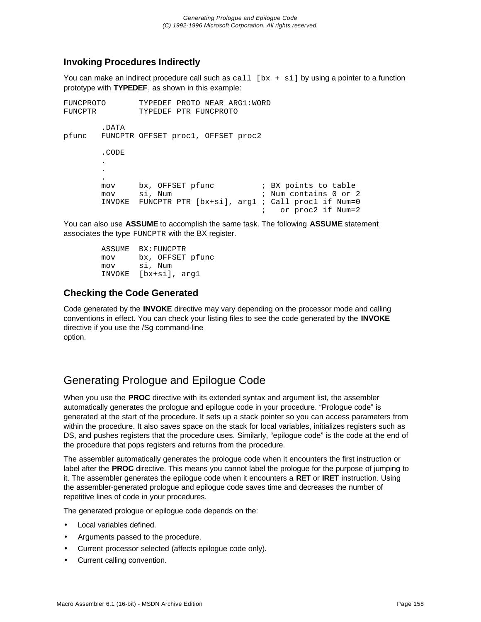### **Invoking Procedures Indirectly**

You can make an indirect procedure call such as  $\text{call } [\text{bx } + \text{si}]$  by using a pointer to a function prototype with **TYPEDEF**, as shown in this example:

```
FUNCPROTO TYPEDEF PROTO NEAR ARG1:WORD 
FUNCPTR TYPEDEF PTR FUNCPROTO
       .DATA
pfunc FUNCPTR OFFSET proc1, OFFSET proc2
       .CODE
 .
 .
 .
mov bx, OFFSET pfunc \qquad ; BX points to table
mov si, Num in the contains 0 or 2
       INVOKE FUNCPTR PTR [bx+si], arg1 ; Call proc1 if Num=0
                                  ; or proc2 if Num=2
```
You can also use **ASSUME** to accomplish the same task. The following **ASSUME** statement associates the type FUNCPTR with the BX register.

> ASSUME BX:FUNCPTR mov bx, OFFSET pfunc mov si, Num INVOKE [bx+si], arg1

### **Checking the Code Generated**

Code generated by the **INVOKE** directive may vary depending on the processor mode and calling conventions in effect. You can check your listing files to see the code generated by the **INVOKE** directive if you use the /Sg command-line option.

# Generating Prologue and Epilogue Code

When you use the **PROC** directive with its extended syntax and argument list, the assembler automatically generates the prologue and epilogue code in your procedure. "Prologue code" is generated at the start of the procedure. It sets up a stack pointer so you can access parameters from within the procedure. It also saves space on the stack for local variables, initializes registers such as DS, and pushes registers that the procedure uses. Similarly, "epilogue code" is the code at the end of the procedure that pops registers and returns from the procedure.

The assembler automatically generates the prologue code when it encounters the first instruction or label after the **PROC** directive. This means you cannot label the prologue for the purpose of jumping to it. The assembler generates the epilogue code when it encounters a **RET** or **IRET** instruction. Using the assembler-generated prologue and epilogue code saves time and decreases the number of repetitive lines of code in your procedures.

The generated prologue or epilogue code depends on the:

- Local variables defined.
- Arguments passed to the procedure.
- Current processor selected (affects epilogue code only).
- Current calling convention.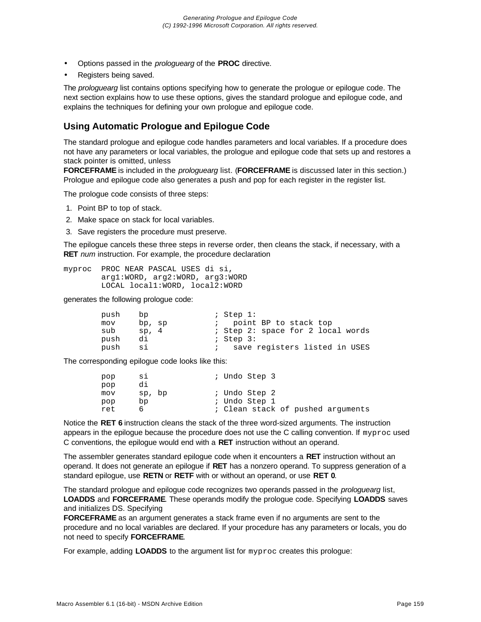- Options passed in the *prologuearg* of the **PROC** directive.
- Registers being saved.

The *prologuearg* list contains options specifying how to generate the prologue or epilogue code. The next section explains how to use these options, gives the standard prologue and epilogue code, and explains the techniques for defining your own prologue and epilogue code.

### **Using Automatic Prologue and Epilogue Code**

The standard prologue and epilogue code handles parameters and local variables. If a procedure does not have any parameters or local variables, the prologue and epilogue code that sets up and restores a stack pointer is omitted, unless

**FORCEFRAME** is included in the *prologuearg* list. (**FORCEFRAME** is discussed later in this section.) Prologue and epilogue code also generates a push and pop for each register in the register list.

The prologue code consists of three steps:

- 1. Point BP to top of stack.
- 2. Make space on stack for local variables.
- 3. Save registers the procedure must preserve.

The epilogue cancels these three steps in reverse order, then cleans the stack, if necessary, with a **RET** *num* instruction. For example, the procedure declaration

myproc PROC NEAR PASCAL USES di si, arg1:WORD, arg2:WORD, arg3:WORD LOCAL local1:WORD, local2:WORD

generates the following prologue code:

| push | ad     | ; Step 1:                         |
|------|--------|-----------------------------------|
| mov  | bp, sp | point BP to stack top             |
| sub  | sp.4   | ; Step 2: space for 2 local words |
| push | di     | $;$ Step $3:$                     |
| push | si     | save registers listed in USES     |

The corresponding epilogue code looks like this:

| pop | Sl     | ; Undo Step 3                     |
|-----|--------|-----------------------------------|
| pop | di     |                                   |
| mov | sp, bp | ; Undo Step 2                     |
| pop | pp     | ; Undo Step 1                     |
| ret |        | : Clean stack of pushed arguments |

Notice the **RET 6** instruction cleans the stack of the three word-sized arguments. The instruction appears in the epilogue because the procedure does not use the C calling convention. If  $myr\text{p}\text{r}$  used C conventions, the epilogue would end with a **RET** instruction without an operand.

The assembler generates standard epilogue code when it encounters a **RET** instruction without an operand. It does not generate an epilogue if **RET** has a nonzero operand. To suppress generation of a standard epilogue, use **RETN** or **RETF** with or without an operand, or use **RET 0**.

The standard prologue and epilogue code recognizes two operands passed in the *prologuearg* list, **LOADDS** and **FORCEFRAME**. These operands modify the prologue code. Specifying **LOADDS** saves and initializes DS. Specifying

**FORCEFRAME** as an argument generates a stack frame even if no arguments are sent to the procedure and no local variables are declared. If your procedure has any parameters or locals, you do not need to specify **FORCEFRAME**.

For example, adding **LOADDS** to the argument list for myproc creates this prologue: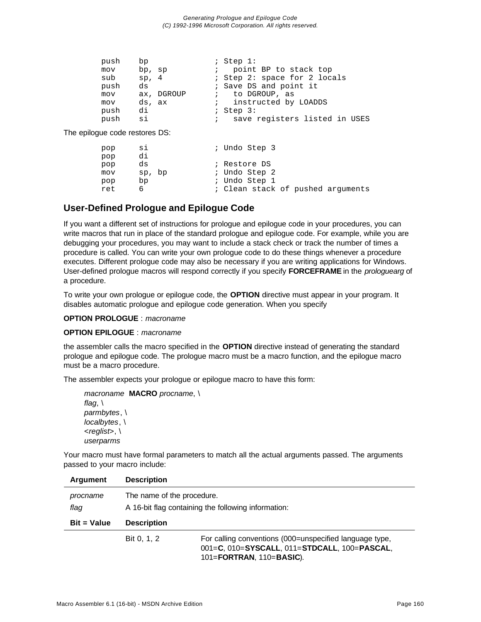```
push bp \begin{array}{ccc} \text{push} & \text{bp} & \text{step 1:} \\ \text{mov} & \text{bp} & \text{sp} & \text{ipoint} \end{array}mov bp, sp ; point BP to stack top<br>sub sp, 4 ; Step 2: space for 2 local<br>nush ds : Save DS and point it
sub sp, 4 ; Step 2: space for 2 locals
 push ds ; Save DS and point it
push us <br>mov ax, DGROUP ; to DGROUP, as<br>mov ds, ax ; instructed by
                               ; instructed by LOADDS
 push di ; Step 3:
push si \qquad ; save registers listed in USES
```
The epilogue code restores DS:

| pop | Sl     | ; Undo Step 3                     |  |  |
|-----|--------|-----------------------------------|--|--|
| pop | di     |                                   |  |  |
| pop | ds     | ; Restore DS                      |  |  |
| mov | sp, bp | ; Undo Step 2                     |  |  |
| pop | bp     | ; Undo Step 1                     |  |  |
| ret |        | : Clean stack of pushed arguments |  |  |

### **User-Defined Prologue and Epilogue Code**

If you want a different set of instructions for prologue and epilogue code in your procedures, you can write macros that run in place of the standard prologue and epilogue code. For example, while you are debugging your procedures, you may want to include a stack check or track the number of times a procedure is called. You can write your own prologue code to do these things whenever a procedure executes. Different prologue code may also be necessary if you are writing applications for Windows. User-defined prologue macros will respond correctly if you specify **FORCEFRAME** in the *prologuearg* of a procedure.

To write your own prologue or epilogue code, the **OPTION** directive must appear in your program. It disables automatic prologue and epilogue code generation. When you specify

#### **OPTION PROLOGUE** : *macroname*

#### **OPTION EPILOGUE** : *macroname*

the assembler calls the macro specified in the **OPTION** directive instead of generating the standard prologue and epilogue code. The prologue macro must be a macro function, and the epilogue macro must be a macro procedure.

The assembler expects your prologue or epilogue macro to have this form:

```
macroname MACRO procname, \
flag, \
parmbytes, \
localbytes, \
<reglist>, \
userparms
```
Your macro must have formal parameters to match all the actual arguments passed. The arguments passed to your macro include:

| Argument         | <b>Description</b> |                                                                                                                                     |  |  |  |  |  |
|------------------|--------------------|-------------------------------------------------------------------------------------------------------------------------------------|--|--|--|--|--|
| procname<br>flaq |                    | The name of the procedure.<br>A 16-bit flag containing the following information:                                                   |  |  |  |  |  |
| $Bit = Value$    | <b>Description</b> |                                                                                                                                     |  |  |  |  |  |
|                  | Bit 0, 1, 2        | For calling conventions (000=unspecified language type,<br>001=C, 010=SYSCALL, 011=STDCALL, 100=PASCAL,<br>101=FORTRAN, 110=BASIC). |  |  |  |  |  |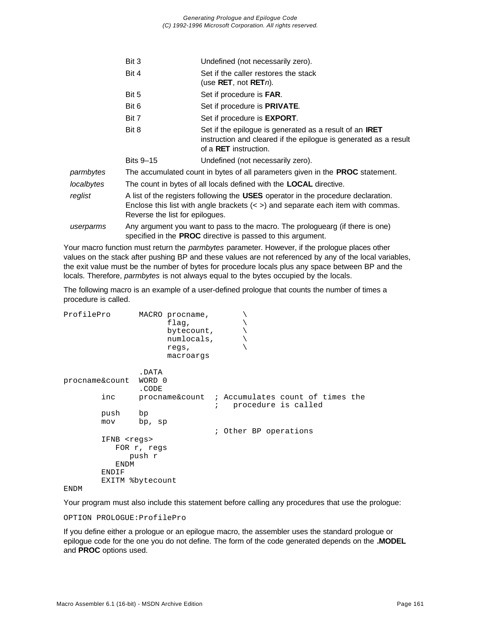|            | Bit 3                           | Undefined (not necessarily zero).                                                                                                                                    |
|------------|---------------------------------|----------------------------------------------------------------------------------------------------------------------------------------------------------------------|
|            | Bit 4                           | Set if the caller restores the stack<br>(use $\mathsf{RET}$ , not $\mathsf{RET}$ ).                                                                                  |
|            | Bit 5                           | Set if procedure is FAR.                                                                                                                                             |
|            | Bit 6                           | Set if procedure is <b>PRIVATE</b> .                                                                                                                                 |
|            | Bit 7                           | Set if procedure is <b>EXPORT</b> .                                                                                                                                  |
|            | Bit 8                           | Set if the epilogue is generated as a result of an <b>IRET</b><br>instruction and cleared if the epilogue is generated as a result<br>of a <b>RET</b> instruction.   |
|            | <b>Bits 9–15</b>                | Undefined (not necessarily zero).                                                                                                                                    |
| parmbytes  |                                 | The accumulated count in bytes of all parameters given in the <b>PROC</b> statement.                                                                                 |
| localbytes |                                 | The count in bytes of all locals defined with the <b>LOCAL</b> directive.                                                                                            |
| reglist    | Reverse the list for epilogues. | A list of the registers following the USES operator in the procedure declaration.<br>Enclose this list with angle brackets $(<)$ and separate each item with commas. |
| userparms  |                                 | Any argument you want to pass to the macro. The prologuearg (if there is one)<br>specified in the <b>PROC</b> directive is passed to this argument.                  |

Your macro function must return the *parmbytes* parameter. However, if the prologue places other values on the stack after pushing BP and these values are not referenced by any of the local variables, the exit value must be the number of bytes for procedure locals plus any space between BP and the locals. Therefore, *parmbytes* is not always equal to the bytes occupied by the locals.

The following macro is an example of a user-defined prologue that counts the number of times a procedure is called.

| ProfilePro     |                                              |                                           | MACRO procname,<br>flag,<br>bytecount,<br>numlocals,<br>regs,<br>macroargs |                                                                                      |
|----------------|----------------------------------------------|-------------------------------------------|----------------------------------------------------------------------------|--------------------------------------------------------------------------------------|
|                |                                              | .DATA                                     |                                                                            |                                                                                      |
| procname&count |                                              | WORD 0<br>.CODE                           |                                                                            |                                                                                      |
|                | inc                                          |                                           |                                                                            | procname&count ; Accumulates count of times the<br>procedure is called<br>$\ddot{i}$ |
|                | push<br>mov                                  | bp<br>bp, sp                              |                                                                            |                                                                                      |
|                |                                              |                                           |                                                                            | ; Other BP operations                                                                |
|                | IFNB <regs><br/>ENDM<br/><b>ENDIF</b></regs> | FOR r, regs<br>push r<br>EXITM %bytecount |                                                                            |                                                                                      |
|                |                                              |                                           |                                                                            |                                                                                      |

ENDM

Your program must also include this statement before calling any procedures that use the prologue:

OPTION PROLOGUE:ProfilePro

If you define either a prologue or an epilogue macro, the assembler uses the standard prologue or epilogue code for the one you do not define. The form of the code generated depends on the **.MODEL** and **PROC** options used.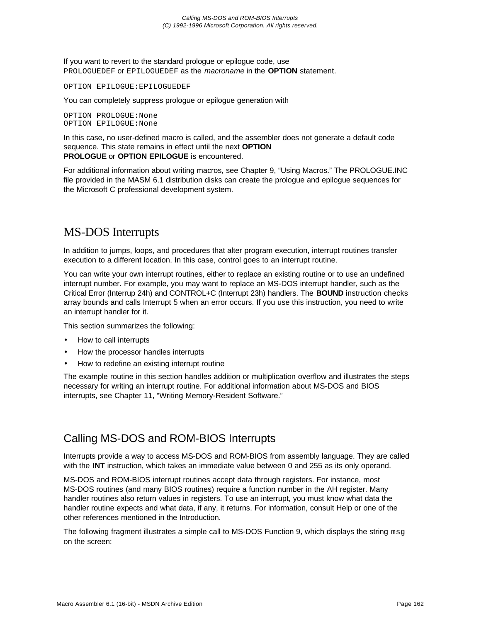If you want to revert to the standard prologue or epilogue code, use PROLOGUEDEF or EPILOGUEDEF as the *macroname* in the **OPTION** statement.

```
OPTION EPILOGUE:EPILOGUEDEF
```
You can completely suppress prologue or epilogue generation with

```
OPTION PROLOGUE:None
OPTION EPILOGUE:None
```
In this case, no user-defined macro is called, and the assembler does not generate a default code sequence. This state remains in effect until the next **OPTION PROLOGUE** or **OPTION EPILOGUE** is encountered.

For additional information about writing macros, see Chapter 9, "Using Macros." The PROLOGUE.INC file provided in the MASM 6.1 distribution disks can create the prologue and epilogue sequences for the Microsoft C professional development system.

# MS-DOS Interrupts

In addition to jumps, loops, and procedures that alter program execution, interrupt routines transfer execution to a different location. In this case, control goes to an interrupt routine.

You can write your own interrupt routines, either to replace an existing routine or to use an undefined interrupt number. For example, you may want to replace an MS-DOS interrupt handler, such as the Critical Error (Interrup 24h) and CONTROL+C (Interrupt 23h) handlers. The **BOUND** instruction checks array bounds and calls Interrupt 5 when an error occurs. If you use this instruction, you need to write an interrupt handler for it.

This section summarizes the following:

- How to call interrupts
- How the processor handles interrupts
- How to redefine an existing interrupt routine

The example routine in this section handles addition or multiplication overflow and illustrates the steps necessary for writing an interrupt routine. For additional information about MS-DOS and BIOS interrupts, see Chapter 11, "Writing Memory-Resident Software."

### Calling MS-DOS and ROM-BIOS Interrupts

Interrupts provide a way to access MS-DOS and ROM-BIOS from assembly language. They are called with the **INT** instruction, which takes an immediate value between 0 and 255 as its only operand.

MS-DOS and ROM-BIOS interrupt routines accept data through registers. For instance, most MS-DOS routines (and many BIOS routines) require a function number in the AH register. Many handler routines also return values in registers. To use an interrupt, you must know what data the handler routine expects and what data, if any, it returns. For information, consult Help or one of the other references mentioned in the Introduction.

The following fragment illustrates a simple call to MS-DOS Function 9, which displays the string msg on the screen: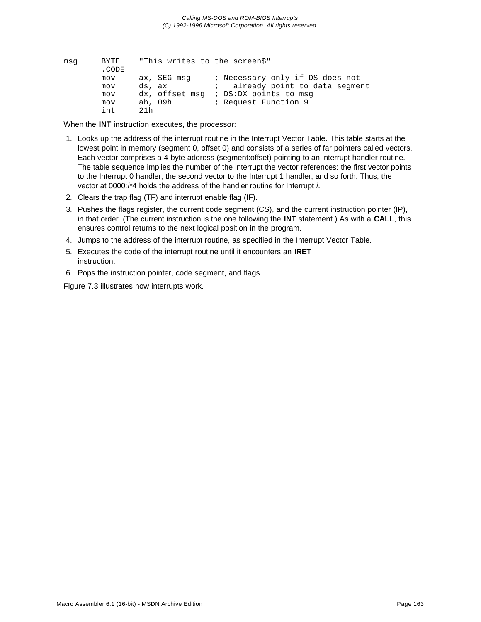| msq | BYTE<br>.CODE |        | "This writes to the screen\$" |                                        |
|-----|---------------|--------|-------------------------------|----------------------------------------|
|     | mov           |        | ax, SEG msq                   | ; Necessary only if DS does not        |
|     | mov           | ds, ax |                               | <i>i</i> already point to data seqment |
|     | mov           |        |                               | dx, offset msq ; DS:DX points to msq   |
|     | mov           |        | ah, 09h                       | ; Request Function 9                   |
|     | int           | 21h    |                               |                                        |

When the **INT** instruction executes, the processor:

- 1. Looks up the address of the interrupt routine in the Interrupt Vector Table. This table starts at the lowest point in memory (segment 0, offset 0) and consists of a series of far pointers called vectors. Each vector comprises a 4-byte address (segment:offset) pointing to an interrupt handler routine. The table sequence implies the number of the interrupt the vector references: the first vector points to the Interrupt 0 handler, the second vector to the Interrupt 1 handler, and so forth. Thus, the vector at 0000:*i*\*4 holds the address of the handler routine for Interrupt *i*.
- 2. Clears the trap flag (TF) and interrupt enable flag (IF).
- 3. Pushes the flags register, the current code segment (CS), and the current instruction pointer (IP), in that order. (The current instruction is the one following the **INT** statement.) As with a **CALL**, this ensures control returns to the next logical position in the program.
- 4. Jumps to the address of the interrupt routine, as specified in the Interrupt Vector Table.
- 5. Executes the code of the interrupt routine until it encounters an **IRET** instruction.
- 6. Pops the instruction pointer, code segment, and flags.

Figure 7.3 illustrates how interrupts work.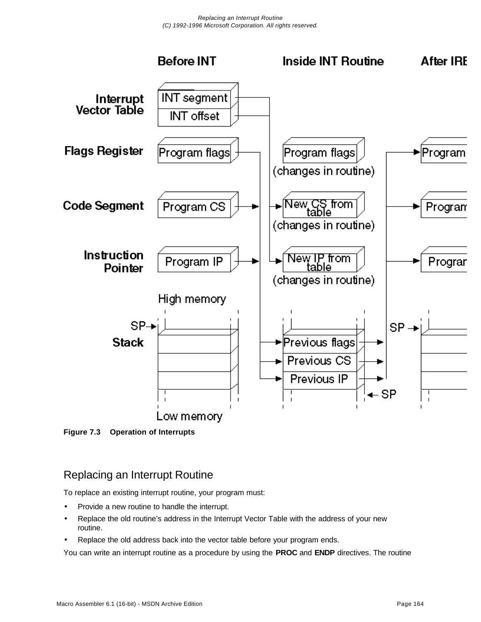

**Figure 7.3 Operation of Interrupts**

### Replacing an Interrupt Routine

To replace an existing interrupt routine, your program must:

- Provide a new routine to handle the interrupt.
- Replace the old routine's address in the Interrupt Vector Table with the address of your new routine.
- Replace the old address back into the vector table before your program ends.

You can write an interrupt routine as a procedure by using the **PROC** and **ENDP** directives. The routine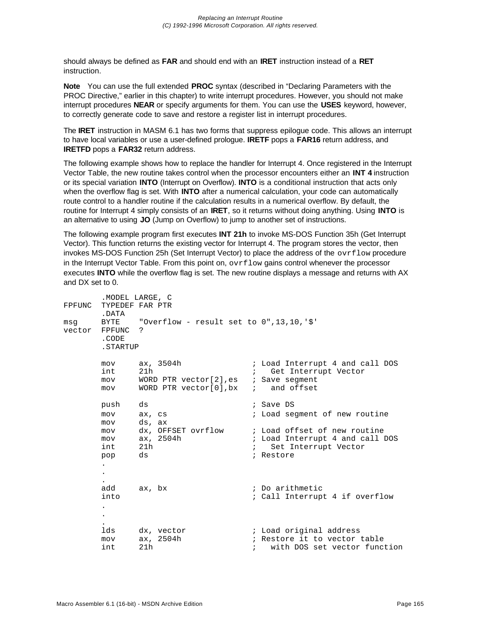should always be defined as **FAR** and should end with an **IRET** instruction instead of a **RET** instruction.

**Note** You can use the full extended **PROC** syntax (described in "Declaring Parameters with the PROC Directive," earlier in this chapter) to write interrupt procedures. However, you should not make interrupt procedures **NEAR** or specify arguments for them. You can use the **USES** keyword, however, to correctly generate code to save and restore a register list in interrupt procedures.

The **IRET** instruction in MASM 6.1 has two forms that suppress epilogue code. This allows an interrupt to have local variables or use a user-defined prologue. **IRETF** pops a **FAR16** return address, and **IRETFD** pops a **FAR32** return address.

The following example shows how to replace the handler for Interrupt 4. Once registered in the Interrupt Vector Table, the new routine takes control when the processor encounters either an **INT 4** instruction or its special variation **INTO** (Interrupt on Overflow). **INTO** is a conditional instruction that acts only when the overflow flag is set. With **INTO** after a numerical calculation, your code can automatically route control to a handler routine if the calculation results in a numerical overflow. By default, the routine for Interrupt 4 simply consists of an **IRET**, so it returns without doing anything. Using **INTO** is an alternative to using **JO** (Jump on Overflow) to jump to another set of instructions.

The following example program first executes **INT 21h** to invoke MS-DOS Function 35h (Get Interrupt Vector). This function returns the existing vector for Interrupt 4. The program stores the vector, then invokes MS-DOS Function 25h (Set Interrupt Vector) to place the address of the  $\text{ovflow procedure}$ in the Interrupt Vector Table. From this point on, ovrflow gains control whenever the processor executes **INTO** while the overflow flag is set. The new routine displays a message and returns with AX and DX set to 0.

| FPFUNC<br>msg<br>vector | .DATA<br>FPFUNC ?<br>.CODE<br>.STARTUP                                                                                           | . MODEL LARGE, C<br>TYPEDEF FAR PTR<br>BYTE "Overflow - result set to 0", 13, 10, '\$'                        |                                                                                                                                                      |
|-------------------------|----------------------------------------------------------------------------------------------------------------------------------|---------------------------------------------------------------------------------------------------------------|------------------------------------------------------------------------------------------------------------------------------------------------------|
|                         | int<br>mov                                                                                                                       | mov ax, 3504h<br>21h<br>mov WORD PTR vector [2], es ; Save seqment<br>WORD PTR vector $[0]$ , bx ; and offset | ; Load Interrupt 4 and call DOS<br>; Get Interrupt Vector                                                                                            |
|                         | push<br>mov ax, cs<br>mov<br>mov<br>int<br>pop                                                                                   | ds<br>ds, ax<br>dx, OFFSET ovrflow<br>mov ax, 2504h<br>21h<br>ds                                              | ; Save DS<br>; Load seqment of new routine<br>; Load offset of new routine<br>; Load Interrupt 4 and call DOS<br>; Set Interrupt Vector<br>; Restore |
|                         | $\ddot{\phantom{0}}$<br>$\bullet$ .<br><br><br><br><br><br><br><br><br><br><br><br><br><br>add<br>into<br>$\bullet$<br>$\bullet$ | ax, bx                                                                                                        | ; Do arithmetic<br>; Call Interrupt 4 if overflow                                                                                                    |
|                         | lds<br>mov<br>int                                                                                                                | dx, vector<br>ax, 2504h<br>21h                                                                                | ; Load original address<br>; Restore it to vector table<br>with DOS set vector function<br>$\mathbf{r}$                                              |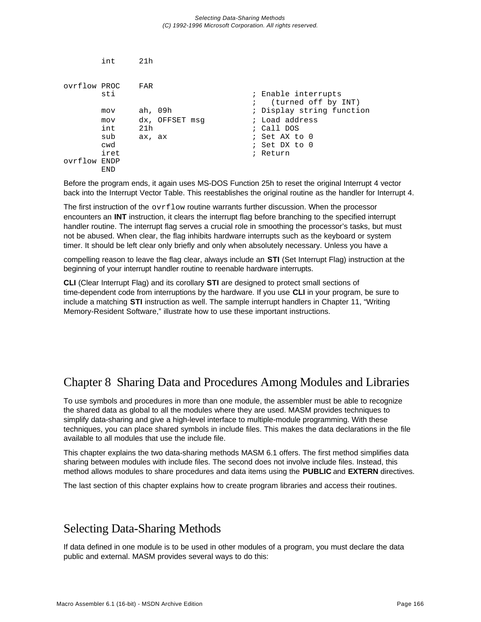#### *Selecting Data-Sharing Methods (C) 1992-1996 Microsoft Corporation. All rights reserved.*

```
 int 21h
ovrflow PROC FAR
           sti ; Enable interrupts
                  i (turned off by INT)<br>ah, 09h                        ; Display string functi
          mov ah, 09h ; Display string function
          mov an, 021<br>mov dx, OFFSET msg ; Load address<br>int 21h ; Call DOS
          int 21h ; Call DOS
          sub ax, ax \qquad \qquad ; Set AX to 0
           cwd ; Set DX to 0
          iret in the settlement of the settlement of the settlement of the settlement of the settlement of the set of the set of the set of the set of the set of the set of the set of the set of the set of the set of the set of the
ovrflow ENDP
           END
```
Before the program ends, it again uses MS-DOS Function 25h to reset the original Interrupt 4 vector back into the Interrupt Vector Table. This reestablishes the original routine as the handler for Interrupt 4.

The first instruction of the  $\text{ovrflow}$  routine warrants further discussion. When the processor encounters an **INT** instruction, it clears the interrupt flag before branching to the specified interrupt handler routine. The interrupt flag serves a crucial role in smoothing the processor's tasks, but must not be abused. When clear, the flag inhibits hardware interrupts such as the keyboard or system timer. It should be left clear only briefly and only when absolutely necessary. Unless you have a

compelling reason to leave the flag clear, always include an **STI** (Set Interrupt Flag) instruction at the beginning of your interrupt handler routine to reenable hardware interrupts.

**CLI** (Clear Interrupt Flag) and its corollary **STI** are designed to protect small sections of time-dependent code from interruptions by the hardware. If you use **CLI** in your program, be sure to include a matching **STI** instruction as well. The sample interrupt handlers in Chapter 11, "Writing Memory-Resident Software," illustrate how to use these important instructions.

# Chapter 8 Sharing Data and Procedures Among Modules and Libraries

To use symbols and procedures in more than one module, the assembler must be able to recognize the shared data as global to all the modules where they are used. MASM provides techniques to simplify data-sharing and give a high-level interface to multiple-module programming. With these techniques, you can place shared symbols in include files. This makes the data declarations in the file available to all modules that use the include file.

This chapter explains the two data-sharing methods MASM 6.1 offers. The first method simplifies data sharing between modules with include files. The second does not involve include files. Instead, this method allows modules to share procedures and data items using the **PUBLIC** and **EXTERN** directives.

The last section of this chapter explains how to create program libraries and access their routines.

# Selecting Data-Sharing Methods

If data defined in one module is to be used in other modules of a program, you must declare the data public and external. MASM provides several ways to do this: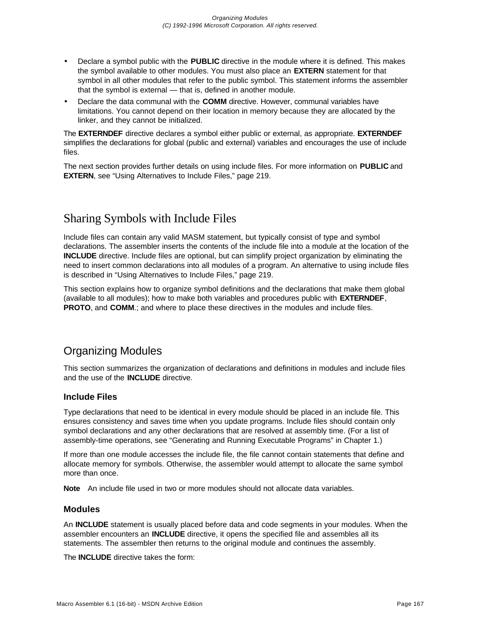- Declare a symbol public with the **PUBLIC** directive in the module where it is defined. This makes the symbol available to other modules. You must also place an **EXTERN** statement for that symbol in all other modules that refer to the public symbol. This statement informs the assembler that the symbol is external — that is, defined in another module.
- Declare the data communal with the **COMM** directive. However, communal variables have limitations. You cannot depend on their location in memory because they are allocated by the linker, and they cannot be initialized.

The **EXTERNDEF** directive declares a symbol either public or external, as appropriate. **EXTERNDEF** simplifies the declarations for global (public and external) variables and encourages the use of include files.

The next section provides further details on using include files. For more information on **PUBLIC** and **EXTERN**, see "Using Alternatives to Include Files," page 219.

# Sharing Symbols with Include Files

Include files can contain any valid MASM statement, but typically consist of type and symbol declarations. The assembler inserts the contents of the include file into a module at the location of the **INCLUDE** directive. Include files are optional, but can simplify project organization by eliminating the need to insert common declarations into all modules of a program. An alternative to using include files is described in "Using Alternatives to Include Files," page 219.

This section explains how to organize symbol definitions and the declarations that make them global (available to all modules); how to make both variables and procedures public with **EXTERNDEF**, **PROTO**, and **COMM**.; and where to place these directives in the modules and include files.

### Organizing Modules

This section summarizes the organization of declarations and definitions in modules and include files and the use of the **INCLUDE** directive.

#### **Include Files**

Type declarations that need to be identical in every module should be placed in an include file. This ensures consistency and saves time when you update programs. Include files should contain only symbol declarations and any other declarations that are resolved at assembly time. (For a list of assembly-time operations, see "Generating and Running Executable Programs" in Chapter 1.)

If more than one module accesses the include file, the file cannot contain statements that define and allocate memory for symbols. Otherwise, the assembler would attempt to allocate the same symbol more than once.

**Note** An include file used in two or more modules should not allocate data variables.

#### **Modules**

An **INCLUDE** statement is usually placed before data and code segments in your modules. When the assembler encounters an **INCLUDE** directive, it opens the specified file and assembles all its statements. The assembler then returns to the original module and continues the assembly.

The **INCLUDE** directive takes the form: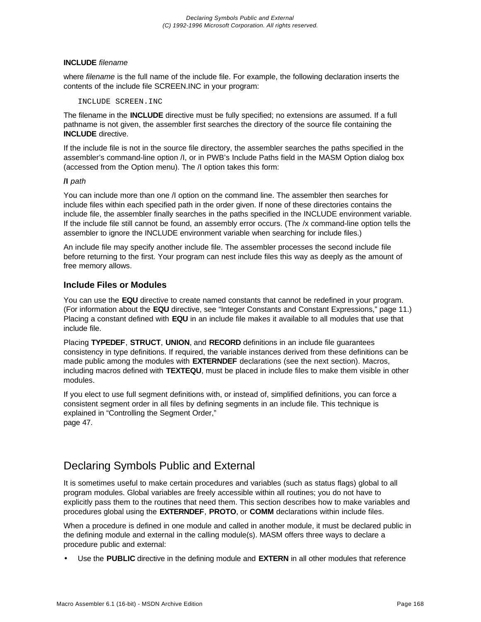#### **INCLUDE** *filename*

where *filename* is the full name of the include file. For example, the following declaration inserts the contents of the include file SCREEN.INC in your program:

INCLUDE SCREEN.INC

The filename in the **INCLUDE** directive must be fully specified; no extensions are assumed. If a full pathname is not given, the assembler first searches the directory of the source file containing the **INCLUDE** directive.

If the include file is not in the source file directory, the assembler searches the paths specified in the assembler's command-line option /I, or in PWB's Include Paths field in the MASM Option dialog box (accessed from the Option menu). The /I option takes this form:

#### **/I** *path*

You can include more than one /I option on the command line. The assembler then searches for include files within each specified path in the order given. If none of these directories contains the include file, the assembler finally searches in the paths specified in the INCLUDE environment variable. If the include file still cannot be found, an assembly error occurs. (The /x command-line option tells the assembler to ignore the INCLUDE environment variable when searching for include files.)

An include file may specify another include file. The assembler processes the second include file before returning to the first. Your program can nest include files this way as deeply as the amount of free memory allows.

### **Include Files or Modules**

You can use the **EQU** directive to create named constants that cannot be redefined in your program. (For information about the **EQU** directive, see "Integer Constants and Constant Expressions," page 11.) Placing a constant defined with **EQU** in an include file makes it available to all modules that use that include file.

Placing **TYPEDEF**, **STRUCT**, **UNION**, and **RECORD** definitions in an include file guarantees consistency in type definitions. If required, the variable instances derived from these definitions can be made public among the modules with **EXTERNDEF** declarations (see the next section). Macros, including macros defined with **TEXTEQU**, must be placed in include files to make them visible in other modules.

If you elect to use full segment definitions with, or instead of, simplified definitions, you can force a consistent segment order in all files by defining segments in an include file. This technique is explained in "Controlling the Segment Order," page 47.

# Declaring Symbols Public and External

It is sometimes useful to make certain procedures and variables (such as status flags) global to all program modules. Global variables are freely accessible within all routines; you do not have to explicitly pass them to the routines that need them. This section describes how to make variables and procedures global using the **EXTERNDEF**, **PROTO**, or **COMM** declarations within include files.

When a procedure is defined in one module and called in another module, it must be declared public in the defining module and external in the calling module(s). MASM offers three ways to declare a procedure public and external:

• Use the **PUBLIC** directive in the defining module and **EXTERN** in all other modules that reference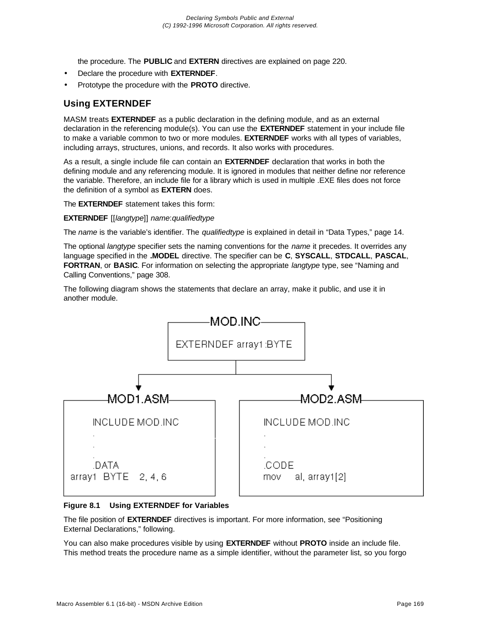the procedure. The **PUBLIC** and **EXTERN** directives are explained on page 220.

- Declare the procedure with **EXTERNDEF**.
- Prototype the procedure with the **PROTO** directive.

### **Using EXTERNDEF**

MASM treats **EXTERNDEF** as a public declaration in the defining module, and as an external declaration in the referencing module(s). You can use the **EXTERNDEF** statement in your include file to make a variable common to two or more modules. **EXTERNDEF** works with all types of variables, including arrays, structures, unions, and records. It also works with procedures.

As a result, a single include file can contain an **EXTERNDEF** declaration that works in both the defining module and any referencing module. It is ignored in modules that neither define nor reference the variable. Therefore, an include file for a library which is used in multiple .EXE files does not force the definition of a symbol as **EXTERN** does.

The **EXTERNDEF** statement takes this form:

#### **EXTERNDEF** [[*langtype*]] *name*:*qualifiedtype*

The *name* is the variable's identifier. The *qualifiedtype* is explained in detail in "Data Types," page 14.

The optional *langtype* specifier sets the naming conventions for the *name* it precedes. It overrides any language specified in the **.MODEL** directive. The specifier can be **C**, **SYSCALL**, **STDCALL**, **PASCAL**, **FORTRAN**, or **BASIC**. For information on selecting the appropriate *langtype* type, see "Naming and Calling Conventions," page 308.

The following diagram shows the statements that declare an array, make it public, and use it in another module.



#### **Figure 8.1 Using EXTERNDEF for Variables**

The file position of **EXTERNDEF** directives is important. For more information, see "Positioning External Declarations," following.

You can also make procedures visible by using **EXTERNDEF** without **PROTO** inside an include file. This method treats the procedure name as a simple identifier, without the parameter list, so you forgo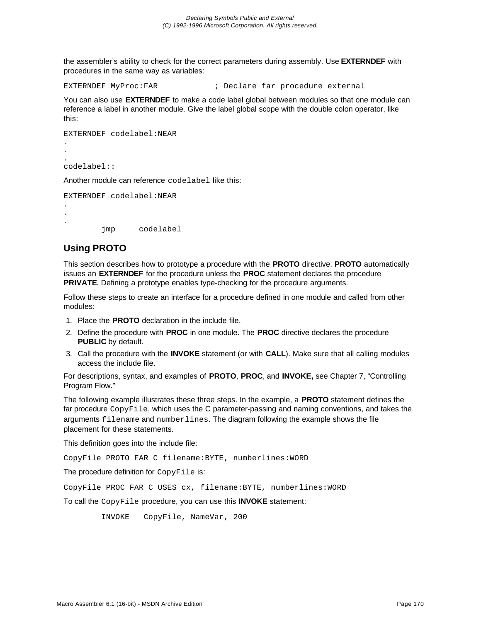the assembler's ability to check for the correct parameters during assembly. Use **EXTERNDEF** with procedures in the same way as variables:

EXTERNDEF MyProc:FAR  $\qquad \qquad ;$  Declare far procedure external

You can also use **EXTERNDEF** to make a code label global between modules so that one module can reference a label in another module. Give the label global scope with the double colon operator, like this:

```
EXTERNDEF codelabel:NEAR
.
.
.
codelabel::
Another module can reference codelabel like this:
```
EXTERNDEF codelabel:NEAR

```
.
.
.
         jmp codelabel
```
### **Using PROTO**

This section describes how to prototype a procedure with the **PROTO** directive. **PROTO** automatically issues an **EXTERNDEF** for the procedure unless the **PROC** statement declares the procedure **PRIVATE**. Defining a prototype enables type-checking for the procedure arguments.

Follow these steps to create an interface for a procedure defined in one module and called from other modules:

- 1. Place the **PROTO** declaration in the include file.
- 2. Define the procedure with **PROC** in one module. The **PROC** directive declares the procedure **PUBLIC** by default.
- 3. Call the procedure with the **INVOKE** statement (or with **CALL**). Make sure that all calling modules access the include file.

For descriptions, syntax, and examples of **PROTO**, **PROC**, and **INVOKE,** see Chapter 7, "Controlling Program Flow."

The following example illustrates these three steps. In the example, a **PROTO** statement defines the far procedure  $\text{CopyFile}$ , which uses the C parameter-passing and naming conventions, and takes the arguments filename and numberlines. The diagram following the example shows the file placement for these statements.

This definition goes into the include file:

CopyFile PROTO FAR C filename:BYTE, numberlines:WORD

The procedure definition for CopyFile is:

CopyFile PROC FAR C USES cx, filename:BYTE, numberlines:WORD

To call the CopyFile procedure, you can use this **INVOKE** statement:

INVOKE CopyFile, NameVar, 200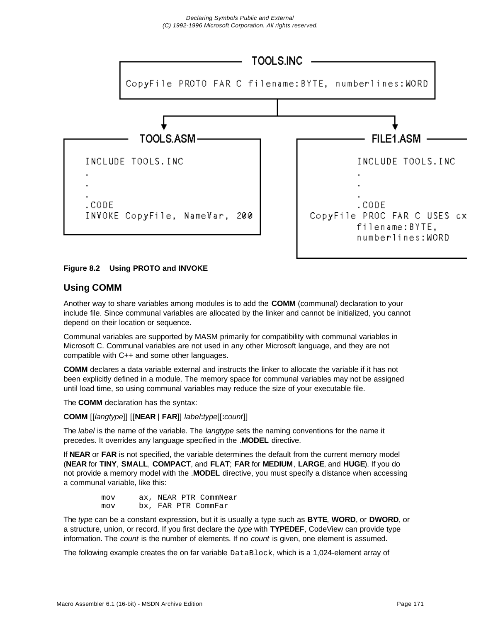#### *Declaring Symbols Public and External (C) 1992-1996 Microsoft Corporation. All rights reserved.*



#### **Figure 8.2 Using PROTO and INVOKE**

### **Using COMM**

Another way to share variables among modules is to add the **COMM** (communal) declaration to your include file. Since communal variables are allocated by the linker and cannot be initialized, you cannot depend on their location or sequence.

Communal variables are supported by MASM primarily for compatibility with communal variables in Microsoft C. Communal variables are not used in any other Microsoft language, and they are not compatible with C++ and some other languages.

**COMM** declares a data variable external and instructs the linker to allocate the variable if it has not been explicitly defined in a module. The memory space for communal variables may not be assigned until load time, so using communal variables may reduce the size of your executable file.

The **COMM** declaration has the syntax:

**COMM** [[*langtype*]] [[**NEAR** | **FAR**]] *label***:***type*[[**:***count*]]

The *label* is the name of the variable. The *langtype* sets the naming conventions for the name it precedes. It overrides any language specified in the **.MODEL** directive.

If **NEAR** or **FAR** is not specified, the variable determines the default from the current memory model (**NEAR** for **TINY**, **SMALL**, **COMPACT**, and **FLAT**; **FAR** for **MEDIUM**, **LARGE**, and **HUGE**). If you do not provide a memory model with the .**MODEL** directive, you must specify a distance when accessing a communal variable, like this:

> mov ax, NEAR PTR CommNear mov bx, FAR PTR CommFar

The *type* can be a constant expression, but it is usually a type such as **BYTE**, **WORD**, or **DWORD**, or a structure, union, or record. If you first declare the *type* with **TYPEDEF**, CodeView can provide type information. The *count* is the number of elements. If no *count* is given, one element is assumed.

The following example creates the on far variable DataBlock, which is a 1,024-element array of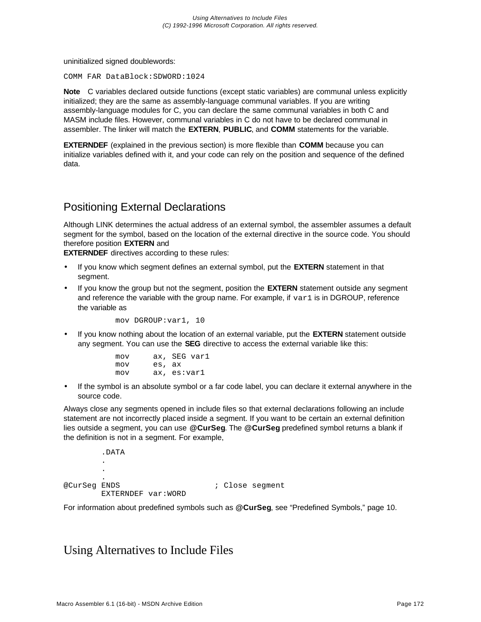uninitialized signed doublewords:

COMM FAR DataBlock:SDWORD:1024

**Note** C variables declared outside functions (except static variables) are communal unless explicitly initialized; they are the same as assembly-language communal variables. If you are writing assembly-language modules for C, you can declare the same communal variables in both C and MASM include files. However, communal variables in C do not have to be declared communal in assembler. The linker will match the **EXTERN**, **PUBLIC**, and **COMM** statements for the variable.

**EXTERNDEF** (explained in the previous section) is more flexible than **COMM** because you can initialize variables defined with it, and your code can rely on the position and sequence of the defined data.

### Positioning External Declarations

Although LINK determines the actual address of an external symbol, the assembler assumes a default segment for the symbol, based on the location of the external directive in the source code. You should therefore position **EXTERN** and

**EXTERNDEF** directives according to these rules:

- If you know which segment defines an external symbol, put the **EXTERN** statement in that segment.
- If you know the group but not the segment, position the **EXTERN** statement outside any segment and reference the variable with the group name. For example, if  $var1$  is in DGROUP, reference the variable as

mov DGROUP:var1, 10

• If you know nothing about the location of an external variable, put the **EXTERN** statement outside any segment. You can use the **SEG** directive to access the external variable like this:

> mov ax, SEG var1 mov es, ax mov ax, es:var1

• If the symbol is an absolute symbol or a far code label, you can declare it external anywhere in the source code.

Always close any segments opened in include files so that external declarations following an include statement are not incorrectly placed inside a segment. If you want to be certain an external definition lies outside a segment, you can use **@CurSeg**. The **@CurSeg** predefined symbol returns a blank if the definition is not in a segment. For example,

```
 .DATA
 .
 .
 .
@CurSeg ENDS ; Close segment
      EXTERNDEF var:WORD
```
For information about predefined symbols such as **@CurSeg**, see "Predefined Symbols," page 10.

# Using Alternatives to Include Files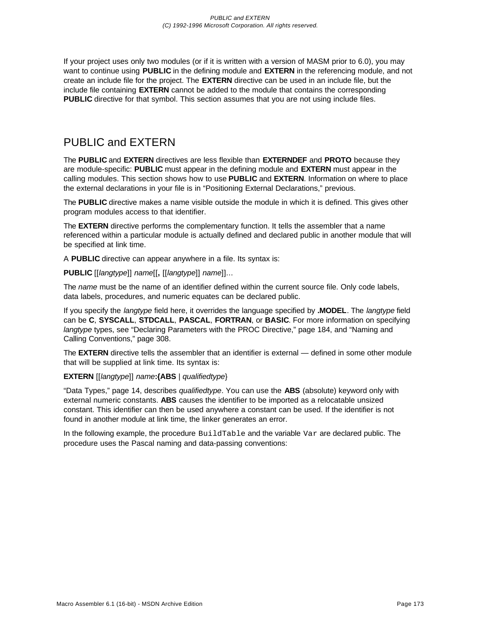If your project uses only two modules (or if it is written with a version of MASM prior to 6.0), you may want to continue using **PUBLIC** in the defining module and **EXTERN** in the referencing module, and not create an include file for the project. The **EXTERN** directive can be used in an include file, but the include file containing **EXTERN** cannot be added to the module that contains the corresponding **PUBLIC** directive for that symbol. This section assumes that you are not using include files.

# PUBLIC and EXTERN

The **PUBLIC** and **EXTERN** directives are less flexible than **EXTERNDEF** and **PROTO** because they are module-specific: **PUBLIC** must appear in the defining module and **EXTERN** must appear in the calling modules. This section shows how to use **PUBLIC** and **EXTERN**. Information on where to place the external declarations in your file is in "Positioning External Declarations," previous.

The **PUBLIC** directive makes a name visible outside the module in which it is defined. This gives other program modules access to that identifier.

The **EXTERN** directive performs the complementary function. It tells the assembler that a name referenced within a particular module is actually defined and declared public in another module that will be specified at link time.

A **PUBLIC** directive can appear anywhere in a file. Its syntax is:

**PUBLIC** [[*langtype*]] *name*[[**,** [[*langtype*]] *name*]]...

The *name* must be the name of an identifier defined within the current source file. Only code labels, data labels, procedures, and numeric equates can be declared public.

If you specify the *langtype* field here, it overrides the language specified by **.MODEL**. The *langtype* field can be **C**, **SYSCALL**, **STDCALL**, **PASCAL**, **FORTRAN**, or **BASIC**. For more information on specifying *langtype* types, see "Declaring Parameters with the PROC Directive," page 184, and "Naming and Calling Conventions," page 308.

The **EXTERN** directive tells the assembler that an identifier is external — defined in some other module that will be supplied at link time. Its syntax is:

#### **EXTERN** [[*langtype*]] *name***:{ABS** | *qualifiedtype*}

"Data Types," page 14, describes *qualifiedtype*. You can use the **ABS** (absolute) keyword only with external numeric constants. **ABS** causes the identifier to be imported as a relocatable unsized constant. This identifier can then be used anywhere a constant can be used. If the identifier is not found in another module at link time, the linker generates an error.

In the following example, the procedure BuildTable and the variable Var are declared public. The procedure uses the Pascal naming and data-passing conventions: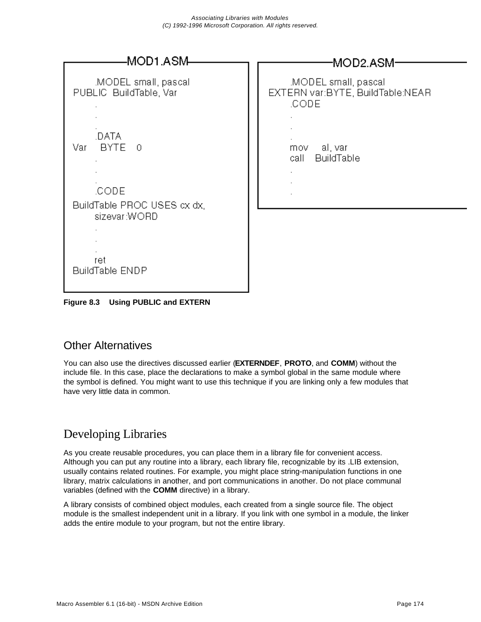

**Figure 8.3 Using PUBLIC and EXTERN**

### Other Alternatives

You can also use the directives discussed earlier (**EXTERNDEF**, **PROTO**, and **COMM**) without the include file. In this case, place the declarations to make a symbol global in the same module where the symbol is defined. You might want to use this technique if you are linking only a few modules that have very little data in common.

# Developing Libraries

As you create reusable procedures, you can place them in a library file for convenient access. Although you can put any routine into a library, each library file, recognizable by its .LIB extension, usually contains related routines. For example, you might place string-manipulation functions in one library, matrix calculations in another, and port communications in another. Do not place communal variables (defined with the **COMM** directive) in a library.

A library consists of combined object modules, each created from a single source file. The object module is the smallest independent unit in a library. If you link with one symbol in a module, the linker adds the entire module to your program, but not the entire library.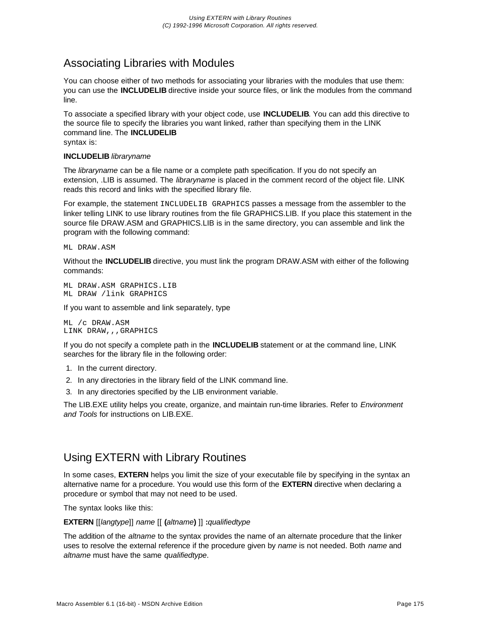# Associating Libraries with Modules

You can choose either of two methods for associating your libraries with the modules that use them: you can use the **INCLUDELIB** directive inside your source files, or link the modules from the command line.

To associate a specified library with your object code, use **INCLUDELIB**. You can add this directive to the source file to specify the libraries you want linked, rather than specifying them in the LINK command line. The **INCLUDELIB** syntax is:

#### **INCLUDELIB** *libraryname*

The *libraryname* can be a file name or a complete path specification. If you do not specify an extension, .LIB is assumed. The *libraryname* is placed in the comment record of the object file. LINK reads this record and links with the specified library file.

For example, the statement INCLUDELIB GRAPHICS passes a message from the assembler to the linker telling LINK to use library routines from the file GRAPHICS.LIB. If you place this statement in the source file DRAW.ASM and GRAPHICS.LIB is in the same directory, you can assemble and link the program with the following command:

ML DRAW.ASM

Without the **INCLUDELIB** directive, you must link the program DRAW.ASM with either of the following commands:

```
ML DRAW.ASM GRAPHICS.LIB
ML DRAW /link GRAPHICS
```
If you want to assemble and link separately, type

```
ML /c DRAW.ASM
LINK DRAW,,,GRAPHICS
```
If you do not specify a complete path in the **INCLUDELIB** statement or at the command line, LINK searches for the library file in the following order:

- 1. In the current directory.
- 2. In any directories in the library field of the LINK command line.
- 3. In any directories specified by the LIB environment variable.

The LIB.EXE utility helps you create, organize, and maintain run-time libraries. Refer to *Environment and Tools* for instructions on LIB.EXE.

### Using EXTERN with Library Routines

In some cases, **EXTERN** helps you limit the size of your executable file by specifying in the syntax an alternative name for a procedure. You would use this form of the **EXTERN** directive when declaring a procedure or symbol that may not need to be used.

The syntax looks like this:

**EXTERN** [[*langtype*]] *name* [[ **(***altname***)** ]] **:***qualifiedtype*

The addition of the *altname* to the syntax provides the name of an alternate procedure that the linker uses to resolve the external reference if the procedure given by *name* is not needed. Both *name* and *altname* must have the same *qualifiedtype*.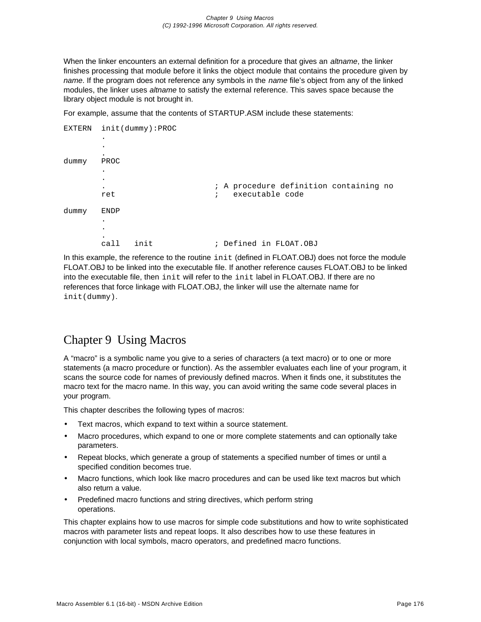When the linker encounters an external definition for a procedure that gives an *altname*, the linker finishes processing that module before it links the object module that contains the procedure given by *name*. If the program does not reference any symbols in the *name* file's object from any of the linked modules, the linker uses *altname* to satisfy the external reference. This saves space because the library object module is not brought in.

For example, assume that the contents of STARTUP.ASM include these statements:

```
EXTERN init(dummy):PROC
 .
 .
 .
dummy PROC
 .
 . 
                          . ; A procedure definition containing no
      ret \qquad \qquad ; \qquad \text{executable code}dummy ENDP
 .
 .
 .
       call init ; Defined in FLOAT.OBJ
```
In this example, the reference to the routine  $\text{init}$  (defined in FLOAT.OBJ) does not force the module FLOAT.OBJ to be linked into the executable file. If another reference causes FLOAT.OBJ to be linked into the executable file, then init will refer to the init label in FLOAT.OBJ. If there are no references that force linkage with FLOAT.OBJ, the linker will use the alternate name for init(dummy).

# Chapter 9 Using Macros

A "macro" is a symbolic name you give to a series of characters (a text macro) or to one or more statements (a macro procedure or function). As the assembler evaluates each line of your program, it scans the source code for names of previously defined macros. When it finds one, it substitutes the macro text for the macro name. In this way, you can avoid writing the same code several places in your program.

This chapter describes the following types of macros:

- Text macros, which expand to text within a source statement.
- Macro procedures, which expand to one or more complete statements and can optionally take parameters.
- Repeat blocks, which generate a group of statements a specified number of times or until a specified condition becomes true.
- Macro functions, which look like macro procedures and can be used like text macros but which also return a value.
- Predefined macro functions and string directives, which perform string operations.

This chapter explains how to use macros for simple code substitutions and how to write sophisticated macros with parameter lists and repeat loops. It also describes how to use these features in conjunction with local symbols, macro operators, and predefined macro functions.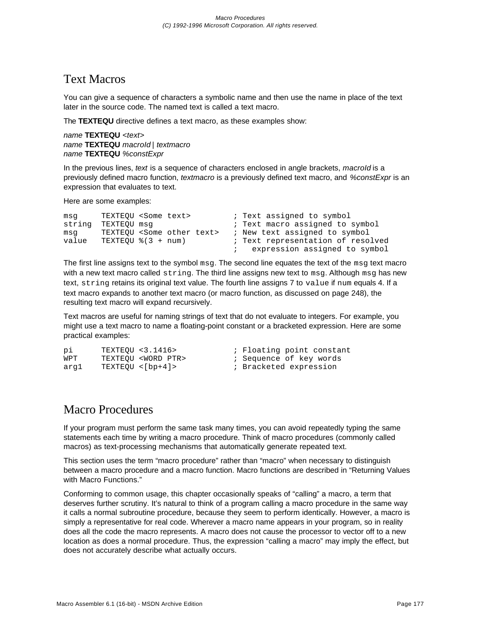# Text Macros

You can give a sequence of characters a symbolic name and then use the name in place of the text later in the source code. The named text is called a text macro.

The **TEXTEQU** directive defines a text macro, as these examples show:

*name* **TEXTEQU** *<text> name* **TEXTEQU** *macroId* | *textmacro name* **TEXTEQU** *%constExpr*

In the previous lines, *text* is a sequence of characters enclosed in angle brackets, *macroId* is a previously defined macro function, *textmacro* is a previously defined text macro, and *%constExpr* is an expression that evaluates to text.

Here are some examples:

| msa    | TEXTEOU <some text=""></some>          |  |  | ; Text assigned to symbol         |
|--------|----------------------------------------|--|--|-----------------------------------|
| string | TEXTEOU msq                            |  |  | ; Text macro assigned to symbol   |
| msa    | TEXTEOU <some other="" text=""></some> |  |  | ; New text assigned to symbol     |
| value  | TEXTEOU $$(3 + num)$                   |  |  | ; Text representation of resolved |
|        |                                        |  |  | expression assigned to symbol     |

The first line assigns text to the symbol msg. The second line equates the text of the msg text macro with a new text macro called  $string$ . The third line assigns new text to  $msg$ . Although  $msg$  has new text, string retains its original text value. The fourth line assigns 7 to value if num equals 4. If a text macro expands to another text macro (or macro function, as discussed on page 248), the resulting text macro will expand recursively.

Text macros are useful for naming strings of text that do not evaluate to integers. For example, you might use a text macro to name a floating-point constant or a bracketed expression. Here are some practical examples:

| рi   | TEXTEOU <3.1416>             | ; Floating point constant |  |
|------|------------------------------|---------------------------|--|
| WPT  | TEXTEOU <word ptr=""></word> | ; Sequence of key words   |  |
| arq1 | $TEXTEOU < [bp+4] >$         | ; Bracketed expression    |  |

# Macro Procedures

If your program must perform the same task many times, you can avoid repeatedly typing the same statements each time by writing a macro procedure. Think of macro procedures (commonly called macros) as text-processing mechanisms that automatically generate repeated text.

This section uses the term "macro procedure" rather than "macro" when necessary to distinguish between a macro procedure and a macro function. Macro functions are described in "Returning Values with Macro Functions."

Conforming to common usage, this chapter occasionally speaks of "calling" a macro, a term that deserves further scrutiny. It's natural to think of a program calling a macro procedure in the same way it calls a normal subroutine procedure, because they seem to perform identically. However, a macro is simply a representative for real code. Wherever a macro name appears in your program, so in reality does all the code the macro represents. A macro does not cause the processor to vector off to a new location as does a normal procedure. Thus, the expression "calling a macro" may imply the effect, but does not accurately describe what actually occurs.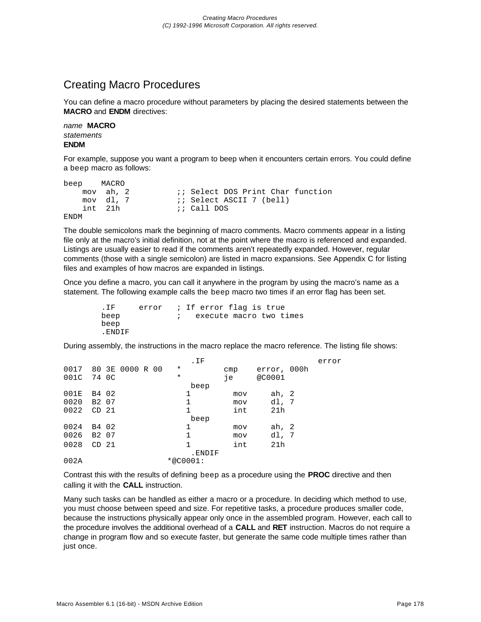# Creating Macro Procedures

You can define a macro procedure without parameters by placing the desired statements between the **MACRO** and **ENDM** directives:

*name* **MACRO** *statements* **ENDM**

For example, suppose you want a program to beep when it encounters certain errors. You could define a beep macro as follows:

```
beep MACRO<br>mov ah, 2<br>mov dl, 7
mov ah, 2 \hspace{1.6cm} ; Select DOS Print Char function
mov dl, 7 \qquad \qquad \qquad ; Select ASCII 7 (bell)
    int 21h i; Call DOS
ENDM
```
The double semicolons mark the beginning of macro comments. Macro comments appear in a listing file only at the macro's initial definition, not at the point where the macro is referenced and expanded. Listings are usually easier to read if the comments aren't repeatedly expanded. However, regular comments (those with a single semicolon) are listed in macro expansions. See Appendix C for listing files and examples of how macros are expanded in listings.

Once you define a macro, you can call it anywhere in the program by using the macro's name as a statement. The following example calls the beep macro two times if an error flag has been set.

> .IF error ; If error flag is true beep  $\qquad \qquad ; \qquad$  execute macro two times beep .ENDIF

During assembly, the instructions in the macro replace the macro reference. The listing file shows:

|                      |                  |  |  |          | I.F          |     |             | error |
|----------------------|------------------|--|--|----------|--------------|-----|-------------|-------|
| 0017 80 3E 0000 R 00 |                  |  |  | $^\star$ |              | cmp | error, 000h |       |
| 001C                 | 74 OC            |  |  | $\star$  |              | ie  | @C0001      |       |
|                      |                  |  |  |          | beep         |     |             |       |
| 001E                 | B4 02            |  |  |          | 1            | mov | ah, 2       |       |
| 0020                 | B2 07            |  |  |          |              | mov | dl, 7       |       |
| 0022                 | CD <sub>21</sub> |  |  |          |              | int | 21h         |       |
|                      |                  |  |  |          | beep         |     |             |       |
| 0024                 | B4 02            |  |  |          | $\mathbf{1}$ | mov | ah, 2       |       |
| 0026                 | B2 07            |  |  |          | 1            | mov | dl, 7       |       |
| 0028                 | CD <sub>21</sub> |  |  |          |              | int | 21h         |       |
|                      |                  |  |  |          | .ENDIF       |     |             |       |
| 002A                 |                  |  |  |          | $*@C0001:$   |     |             |       |

Contrast this with the results of defining beep as a procedure using the **PROC** directive and then calling it with the **CALL** instruction.

Many such tasks can be handled as either a macro or a procedure. In deciding which method to use, you must choose between speed and size. For repetitive tasks, a procedure produces smaller code, because the instructions physically appear only once in the assembled program. However, each call to the procedure involves the additional overhead of a **CALL** and **RET** instruction. Macros do not require a change in program flow and so execute faster, but generate the same code multiple times rather than just once.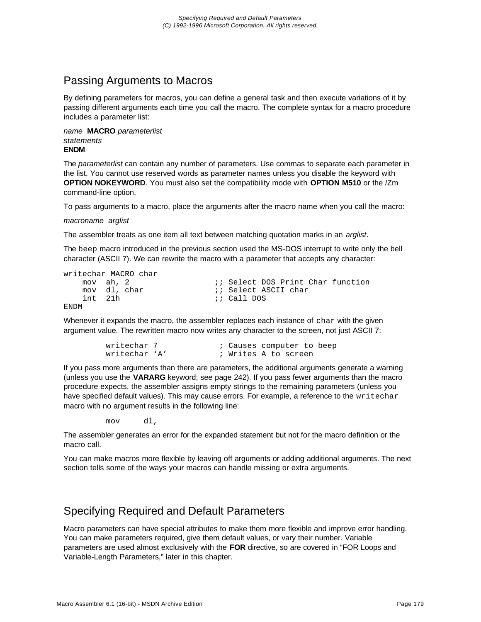# Passing Arguments to Macros

By defining parameters for macros, you can define a general task and then execute variations of it by passing different arguments each time you call the macro. The complete syntax for a macro procedure includes a parameter list:

*name* **MACRO** *parameterlist statements* **ENDM**

The *parameterlist* can contain any number of parameters. Use commas to separate each parameter in the list. You cannot use reserved words as parameter names unless you disable the keyword with **OPTION NOKEYWORD**. You must also set the compatibility mode with **OPTION M510** or the /Zm command-line option.

To pass arguments to a macro, place the arguments after the macro name when you call the macro:

*macroname arglist*

The assembler treats as one item all text between matching quotation marks in an *arglist*.

The beep macro introduced in the previous section used the MS-DOS interrupt to write only the bell character (ASCII 7). We can rewrite the macro with a parameter that accepts any character:

```
writechar MACRO char
   mov ah, 2 \qquad \qquad ; Select DOS Print Char function
                          ;; Select ASCII char
    int 21h ;; Call DOS
ENDM
```
Whenever it expands the macro, the assembler replaces each instance of char with the given argument value. The rewritten macro now writes any character to the screen, not just ASCII 7:

| writechar 7   |  | ; Causes computer to beep |  |  |  |
|---------------|--|---------------------------|--|--|--|
| writechar 'A' |  | ; Writes A to screen      |  |  |  |

If you pass more arguments than there are parameters, the additional arguments generate a warning (unless you use the **VARARG** keyword; see page 242). If you pass fewer arguments than the macro procedure expects, the assembler assigns empty strings to the remaining parameters (unless you have specified default values). This may cause errors. For example, a reference to the writechar macro with no argument results in the following line:

mov dl,

The assembler generates an error for the expanded statement but not for the macro definition or the macro call.

You can make macros more flexible by leaving off arguments or adding additional arguments. The next section tells some of the ways your macros can handle missing or extra arguments.

### Specifying Required and Default Parameters

Macro parameters can have special attributes to make them more flexible and improve error handling. You can make parameters required, give them default values, or vary their number. Variable parameters are used almost exclusively with the **FOR** directive, so are covered in "FOR Loops and Variable-Length Parameters," later in this chapter.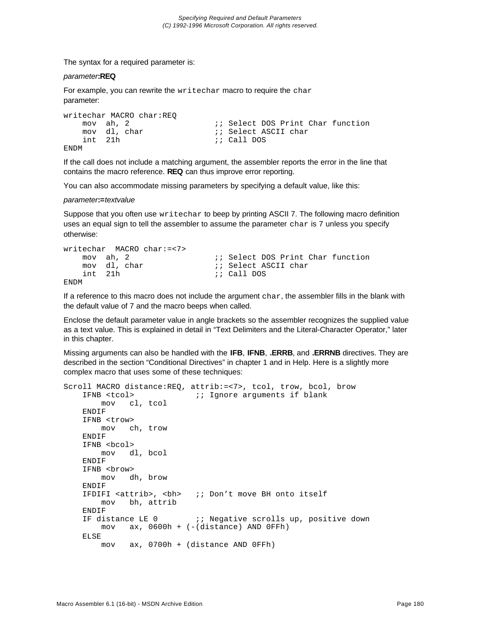The syntax for a required parameter is:

#### *parameter***:REQ**

For example, you can rewrite the writechar macro to require the char parameter:

```
writechar MACRO char:REQ
      mov ah, 2 \qquad \qquad ;; Select DOS Print Char function<br>mov dl, char \qquad \qquad ;; Select ASCII char
      mov dl, char \begin{array}{ccc} i & i & \text{Select ASCII char} \\ i & i & \text{Call DOS} \end{array}i; Call DOS
```
ENDM

If the call does not include a matching argument, the assembler reports the error in the line that contains the macro reference. **REQ** can thus improve error reporting.

You can also accommodate missing parameters by specifying a default value, like this:

```
parameter:=textvalue
```
Suppose that you often use writechar to beep by printing ASCII 7. The following macro definition uses an equal sign to tell the assembler to assume the parameter char is 7 unless you specify otherwise:

```
writechar MACRO char:=<7>
    mov ah, 2 \qquad \qquad ; Select DOS Print Char function
                                   ;; Select ASCII char<br>;; Call DOS
    mov dl, char<br> int 21h
ENDM
```
If a reference to this macro does not include the argument char, the assembler fills in the blank with the default value of 7 and the macro beeps when called.

Enclose the default parameter value in angle brackets so the assembler recognizes the supplied value as a text value. This is explained in detail in "Text Delimiters and the Literal-Character Operator," later in this chapter.

Missing arguments can also be handled with the **IFB**, **IFNB**, **.ERRB**, and **.ERRNB** directives. They are described in the section "Conditional Directives" in chapter 1 and in Help. Here is a slightly more complex macro that uses some of these techniques:

```
Scroll MACRO distance:REQ, attrib:=<7>, tcol, trow, bcol, brow
      IFNB <tcol> ;; Ignore arguments if blank
           mov cl, tcol
      ENDIF
      IFNB <trow>
           mov ch, trow
      ENDIF
     IFNB <bcol>
           mov dl, bcol
      ENDIF
     IFNB <br/> <br/> <br/> <br/> <br/> <br/> <br/> <br/> <br/> <br/> <br/> <br/> <br/> <br/> <br/> <br/> <br/> <br/> <br/> <br/> <br/> <br/> <br/> <br/> <br/> <br/> <br/> <br/> <br/> <br/> <br/> <br/> <br/> <br/> <br/> <br/> <
            mov dh, brow
      ENDIF
      IFDIFI <attrib>, <bh> ;; Don't move BH onto itself
           mov bh, attrib
      ENDIF
     IF distance LE 0 \cdots ; Negative scrolls up, positive down
           mov ax, 0600h + (-(distance) AND OFFh)
      ELSE
            mov ax, 0700h + (distance AND 0FFh)
```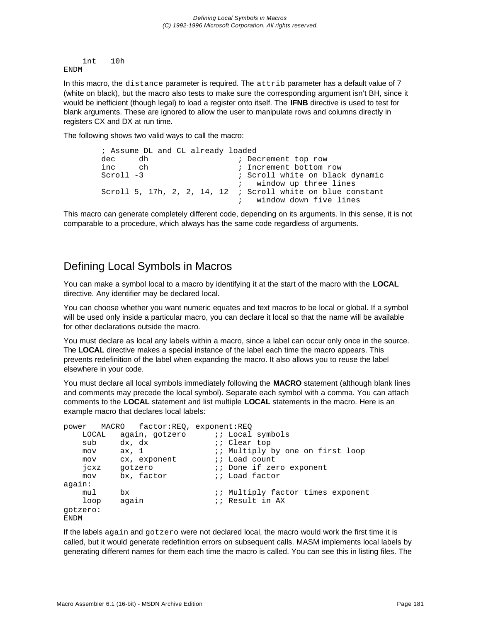int 10h ENDM

In this macro, the distance parameter is required. The attrib parameter has a default value of 7 (white on black), but the macro also tests to make sure the corresponding argument isn't BH, since it would be inefficient (though legal) to load a register onto itself. The **IFNB** directive is used to test for blank arguments. These are ignored to allow the user to manipulate rows and columns directly in registers CX and DX at run time.

The following shows two valid ways to call the macro:

```
 ; Assume DL and CL already loaded
dec dh ; Decrement top row
inc ch ; Increment bottom row<br>Scroll -3 ; Scroll white on black
                            ; Scroll white on black dynamic
                             ; window up three lines
 Scroll 5, 17h, 2, 2, 14, 12 ; Scroll white on blue constant
                             ; window down five lines
```
This macro can generate completely different code, depending on its arguments. In this sense, it is not comparable to a procedure, which always has the same code regardless of arguments.

### Defining Local Symbols in Macros

You can make a symbol local to a macro by identifying it at the start of the macro with the **LOCAL** directive. Any identifier may be declared local.

You can choose whether you want numeric equates and text macros to be local or global. If a symbol will be used only inside a particular macro, you can declare it local so that the name will be available for other declarations outside the macro.

You must declare as local any labels within a macro, since a label can occur only once in the source. The **LOCAL** directive makes a special instance of the label each time the macro appears. This prevents redefinition of the label when expanding the macro. It also allows you to reuse the label elsewhere in your code.

You must declare all local symbols immediately following the **MACRO** statement (although blank lines and comments may precede the local symbol). Separate each symbol with a comma. You can attach comments to the **LOCAL** statement and list multiple **LOCAL** statements in the macro. Here is an example macro that declares local labels:

```
power MACRO factor:REQ, exponent:REQ
   LOCAL again, gotzero :: Local symbols<br>sub dx, dx :: Clear top
sub dx, dx \qquad \qquad ; Clear top
mov ax, 1 i ; Multiply by one on first loop
mov cx, exponent ii Load count
jcxz gotzero i i Done if zero exponent
mov bx, factor i; Load factor
again:
mul bx \qquad \qquad \qquad \qquad \qquad ; Multiply factor times exponent
loop again \hspace{1cm} ;; Result in AX
gotzero:
ENDM
```
If the labels again and gotzero were not declared local, the macro would work the first time it is called, but it would generate redefinition errors on subsequent calls. MASM implements local labels by generating different names for them each time the macro is called. You can see this in listing files. The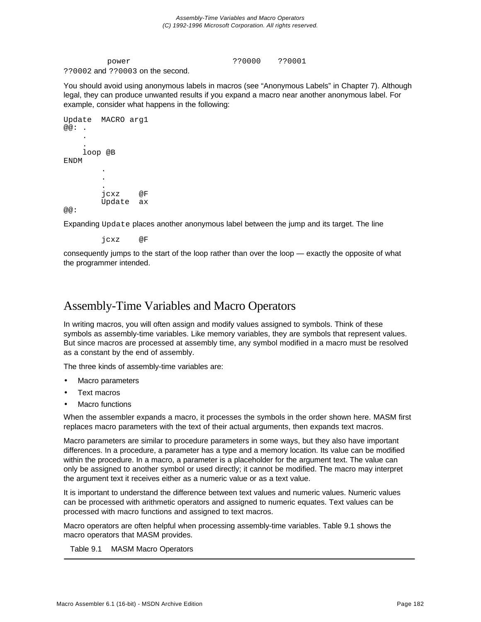power ??0000 ??0001 ??0002 and ??0003 on the second.

You should avoid using anonymous labels in macros (see "Anonymous Labels" in Chapter 7). Although legal, they can produce unwanted results if you expand a macro near another anonymous label. For example, consider what happens in the following:

```
Update MACRO arg1
@@: .
 .
    loop @B
ENDM
 .
 .
 .
       jcxz @F
       Update ax
@@:
```
Expanding Update places another anonymous label between the jump and its target. The line

jcxz @F

consequently jumps to the start of the loop rather than over the loop — exactly the opposite of what the programmer intended.

### Assembly-Time Variables and Macro Operators

In writing macros, you will often assign and modify values assigned to symbols. Think of these symbols as assembly-time variables. Like memory variables, they are symbols that represent values. But since macros are processed at assembly time, any symbol modified in a macro must be resolved as a constant by the end of assembly.

The three kinds of assembly-time variables are:

- Macro parameters
- Text macros
- Macro functions

When the assembler expands a macro, it processes the symbols in the order shown here. MASM first replaces macro parameters with the text of their actual arguments, then expands text macros.

Macro parameters are similar to procedure parameters in some ways, but they also have important differences. In a procedure, a parameter has a type and a memory location. Its value can be modified within the procedure. In a macro, a parameter is a placeholder for the argument text. The value can only be assigned to another symbol or used directly; it cannot be modified. The macro may interpret the argument text it receives either as a numeric value or as a text value.

It is important to understand the difference between text values and numeric values. Numeric values can be processed with arithmetic operators and assigned to numeric equates. Text values can be processed with macro functions and assigned to text macros.

Macro operators are often helpful when processing assembly-time variables. Table 9.1 shows the macro operators that MASM provides.

Table 9.1 MASM Macro Operators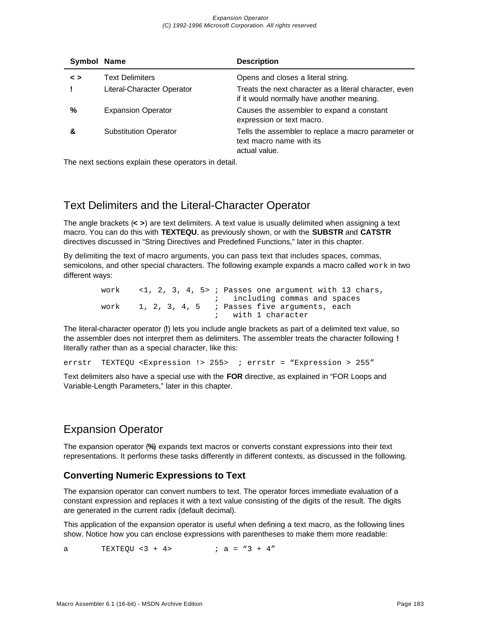#### *Expansion Operator (C) 1992-1996 Microsoft Corporation. All rights reserved.*

| Symbol Name |                              | <b>Description</b>                                                                                   |
|-------------|------------------------------|------------------------------------------------------------------------------------------------------|
| $\leq$ $>$  | Text Delimiters              | Opens and closes a literal string.                                                                   |
|             | Literal-Character Operator   | Treats the next character as a literal character, even<br>if it would normally have another meaning. |
| %           | <b>Expansion Operator</b>    | Causes the assembler to expand a constant<br>expression or text macro.                               |
| &           | <b>Substitution Operator</b> | Tells the assembler to replace a macro parameter or<br>text macro name with its<br>actual value.     |

The next sections explain these operators in detail.

#### Text Delimiters and the Literal-Character Operator

The angle brackets (**< >**) are text delimiters. A text value is usually delimited when assigning a text macro. You can do this with **TEXTEQU**, as previously shown, or with the **SUBSTR** and **CATSTR** directives discussed in "String Directives and Predefined Functions," later in this chapter.

By delimiting the text of macro arguments, you can pass text that includes spaces, commas, semicolons, and other special characters. The following example expands a macro called work in two different ways:

work  $\leq 1$ , 2, 3, 4, 5> ; Passes one argument with 13 chars, ; including commas and spaces work 1, 2, 3, 4, 5 ; Passes five arguments, each with 1 character

The literal-character operator (**!**) lets you include angle brackets as part of a delimited text value, so the assembler does not interpret them as delimiters. The assembler treats the character following **!** literally rather than as a special character, like this:

errstr TEXTEQU <Expression !> 255> ; errstr = "Expression > 255"

Text delimiters also have a special use with the **FOR** directive, as explained in "FOR Loops and Variable-Length Parameters," later in this chapter.

### Expansion Operator

The expansion operator (**%**) expands text macros or converts constant expressions into their text representations. It performs these tasks differently in different contexts, as discussed in the following.

#### **Converting Numeric Expressions to Text**

The expansion operator can convert numbers to text. The operator forces immediate evaluation of a constant expression and replaces it with a text value consisting of the digits of the result. The digits are generated in the current radix (default decimal).

This application of the expansion operator is useful when defining a text macro, as the following lines show. Notice how you can enclose expressions with parentheses to make them more readable:

a TEXTEQU < 3 + 4 >  $i$  a =  $"3 + 4"$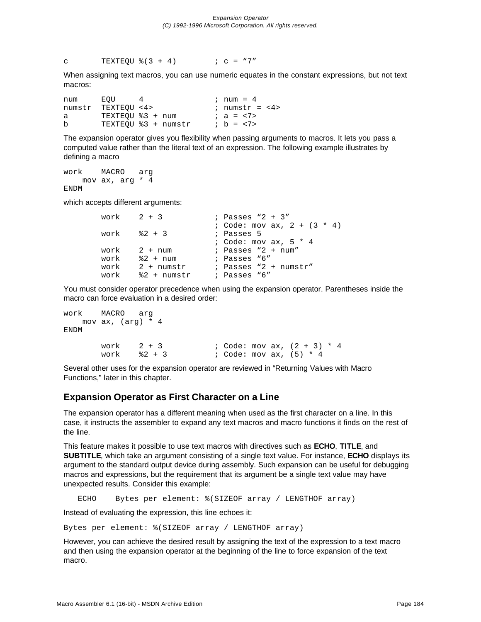c TEXTEQU  $*(3 + 4)$  ; c = "7"

When assigning text macros, you can use numeric equates in the constant expressions, but not text macros:

| num    | EOU         |                     | ; num = $4$               |
|--------|-------------|---------------------|---------------------------|
| numstr | TEXTEOU <4> |                     | ; numstr = $<4>$          |
| а      |             | TEXTEOU %3 + num    | ; a = $\langle 7 \rangle$ |
| b      |             | TEXTEOU %3 + numstr | ; b = $\langle 7 \rangle$ |

The expansion operator gives you flexibility when passing arguments to macros. It lets you pass a computed value rather than the literal text of an expression. The following example illustrates by defining a macro

```
work MACRO arg
    mov ax, arg * 4
ENDM
```
which accepts different arguments:

```
work 2 + 3 ; Passes "2 + 3"
                        ; Code: mov ax, 2 + (3 * 4)
     work \frac{2}{3} + 3
     work 2 + num 3 + 2 + 2; Code: mov ax, 5 * 4 work 2 + num ; Passes "2 + num"
work 2 + num ; Passes "6"
 work 2 + numstr ; Passes "2 + numstr"
work 2 + numstr ; Passes "6"
```
You must consider operator precedence when using the expansion operator. Parentheses inside the macro can force evaluation in a desired order:

```
work MACRO arg
   mov ax, (arg) * 4
ENDM
work 2 + 3 ; Code: mov ax, (2 + 3) * 4work 2 + 3 ; Code: mov ax, (5) * 4
```
Several other uses for the expansion operator are reviewed in "Returning Values with Macro Functions," later in this chapter.

#### **Expansion Operator as First Character on a Line**

The expansion operator has a different meaning when used as the first character on a line. In this case, it instructs the assembler to expand any text macros and macro functions it finds on the rest of the line.

This feature makes it possible to use text macros with directives such as **ECHO**, **TITLE**, and **SUBTITLE**, which take an argument consisting of a single text value. For instance, **ECHO** displays its argument to the standard output device during assembly. Such expansion can be useful for debugging macros and expressions, but the requirement that its argument be a single text value may have unexpected results. Consider this example:

ECHO Bytes per element: %(SIZEOF array / LENGTHOF array)

Instead of evaluating the expression, this line echoes it:

Bytes per element: %(SIZEOF array / LENGTHOF array)

However, you can achieve the desired result by assigning the text of the expression to a text macro and then using the expansion operator at the beginning of the line to force expansion of the text macro.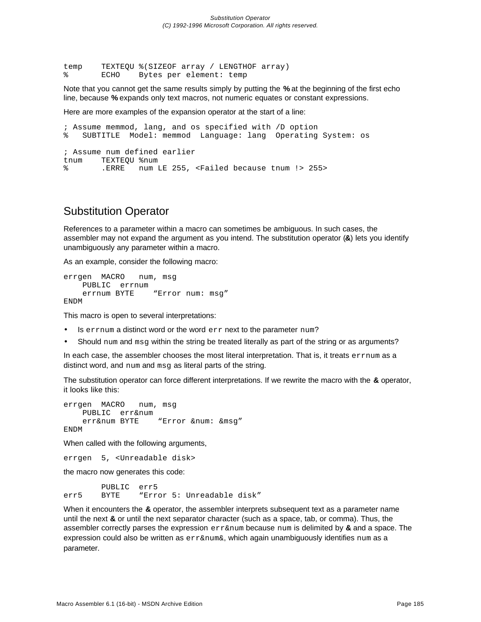temp TEXTEQU %(SIZEOF array / LENGTHOF array) % ECHO Bytes per element: temp

Note that you cannot get the same results simply by putting the **%** at the beginning of the first echo line, because **%** expands only text macros, not numeric equates or constant expressions.

Here are more examples of the expansion operator at the start of a line:

```
; Assume memmod, lang, and os specified with /D option
% SUBTITLE Model: memmod Language: lang Operating System: os
; Assume num defined earlier
tnum TEXTEQU %num
% .ERRE num LE 255, <Failed because tnum !> 255>
```
## Substitution Operator

References to a parameter within a macro can sometimes be ambiguous. In such cases, the assembler may not expand the argument as you intend. The substitution operator (**&**) lets you identify unambiguously any parameter within a macro.

As an example, consider the following macro:

```
errgen MACRO num, msg
    PUBLIC errnum
                  "Error num: msg"
ENDM
```
This macro is open to several interpretations:

- Is errnum a distinct word or the word err next to the parameter num?
- Should num and msq within the string be treated literally as part of the string or as arguments?

In each case, the assembler chooses the most literal interpretation. That is, it treats errnum as a distinct word, and num and msg as literal parts of the string.

The substitution operator can force different interpretations. If we rewrite the macro with the **&** operator, it looks like this:

```
errgen MACRO num, msg
    PUBLIC err&num
    err&num BYTE "Error &num: &msg"
ENDM
```
When called with the following arguments,

errgen 5, <Unreadable disk>

the macro now generates this code:

 PUBLIC err5 err5 BYTE "Error 5: Unreadable disk"

When it encounters the **&** operator, the assembler interprets subsequent text as a parameter name until the next **&** or until the next separator character (such as a space, tab, or comma). Thus, the assembler correctly parses the expression err&num because num is delimited by **&** and a space. The expression could also be written as err&num&, which again unambiguously identifies num as a parameter.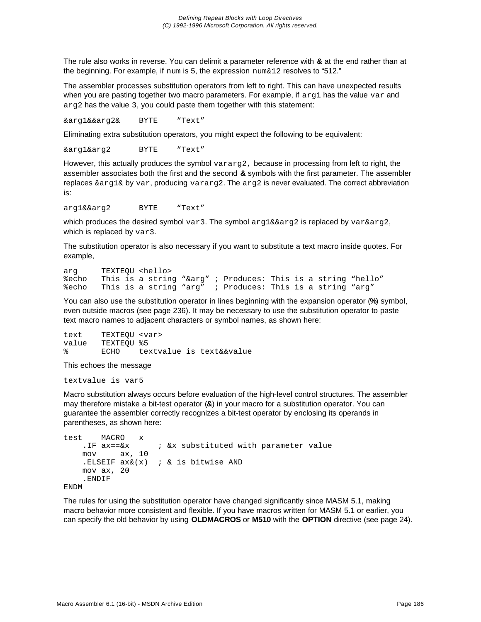The rule also works in reverse. You can delimit a parameter reference with **&** at the end rather than at the beginning. For example, if num is 5, the expression  $num@12$  resolves to "512."

The assembler processes substitution operators from left to right. This can have unexpected results when you are pasting together two macro parameters. For example, if  $\arg l$  has the value var and arg2 has the value 3, you could paste them together with this statement:

&arg1&&arg2& BYTE "Text"

Eliminating extra substitution operators, you might expect the following to be equivalent:

&arg1&arg2 BYTE "Text"

However, this actually produces the symbol vararg2, because in processing from left to right, the assembler associates both the first and the second **&** symbols with the first parameter. The assembler replaces &arg1& by var, producing vararg2. The arg2 is never evaluated. The correct abbreviation is:

arg1&&arg2 BYTE "Text"

which produces the desired symbol var3. The symbol arg1& $\&$ arg2 is replaced by var $\&$ arg2, which is replaced by var3.

The substitution operator is also necessary if you want to substitute a text macro inside quotes. For example,

arg TEXTEQU <hello> %echo This is a string "&arg" ; Produces: This is a string "hello" %echo This is a string "arg" ; Produces: This is a string "arg"

You can also use the substitution operator in lines beginning with the expansion operator (**%**) symbol, even outside macros (see page 236). It may be necessary to use the substitution operator to paste text macro names to adjacent characters or symbol names, as shown here:

text TEXTEQU <var> value TEXTEQU %5 % ECHO textvalue is text&&value

This echoes the message

```
textvalue is var5
```
Macro substitution always occurs before evaluation of the high-level control structures. The assembler may therefore mistake a bit-test operator (**&**) in your macro for a substitution operator. You can guarantee the assembler correctly recognizes a bit-test operator by enclosing its operands in parentheses, as shown here:

```
test MACRO x
   . IF ax = -\&x ; &x substituted with parameter value
    mov ax, 10
   . ELSEIF ax\&(x) ; & is bitwise AND
    mov ax, 20
    .ENDIF
```
ENDM

The rules for using the substitution operator have changed significantly since MASM 5.1, making macro behavior more consistent and flexible. If you have macros written for MASM 5.1 or earlier, you can specify the old behavior by using **OLDMACROS** or **M510** with the **OPTION** directive (see page 24).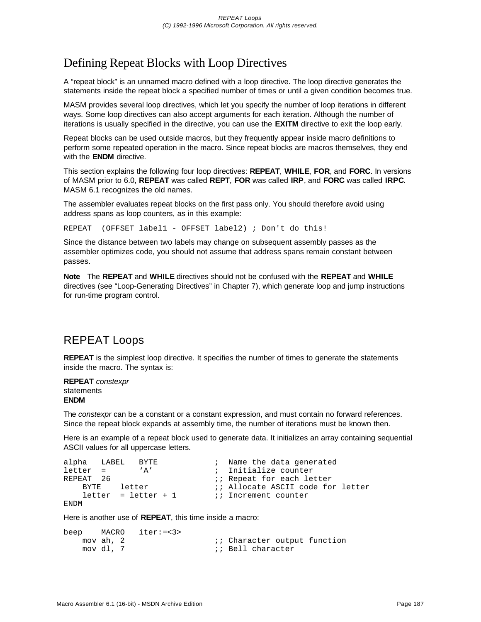# Defining Repeat Blocks with Loop Directives

A "repeat block" is an unnamed macro defined with a loop directive. The loop directive generates the statements inside the repeat block a specified number of times or until a given condition becomes true.

MASM provides several loop directives, which let you specify the number of loop iterations in different ways. Some loop directives can also accept arguments for each iteration. Although the number of iterations is usually specified in the directive, you can use the **EXITM** directive to exit the loop early.

Repeat blocks can be used outside macros, but they frequently appear inside macro definitions to perform some repeated operation in the macro. Since repeat blocks are macros themselves, they end with the **ENDM** directive.

This section explains the following four loop directives: **REPEAT**, **WHILE**, **FOR**, and **FORC**. In versions of MASM prior to 6.0, **REPEAT** was called **REPT**, **FOR** was called **IRP**, and **FORC** was called **IRPC**. MASM 6.1 recognizes the old names.

The assembler evaluates repeat blocks on the first pass only. You should therefore avoid using address spans as loop counters, as in this example:

REPEAT (OFFSET label1 - OFFSET label2) ; Don't do this!

Since the distance between two labels may change on subsequent assembly passes as the assembler optimizes code, you should not assume that address spans remain constant between passes.

**Note** The **REPEAT** and **WHILE** directives should not be confused with the **REPEAT** and **WHILE** directives (see "Loop-Generating Directives" in Chapter 7), which generate loop and jump instructions for run-time program control.

## REPEAT Loops

**REPEAT** is the simplest loop directive. It specifies the number of times to generate the statements inside the macro. The syntax is:

**REPEAT** *constexpr* statements **ENDM**

The *constexpr* can be a constant or a constant expression, and must contain no forward references. Since the repeat block expands at assembly time, the number of iterations must be known then.

Here is an example of a repeat block used to generate data. It initializes an array containing sequential ASCII values for all uppercase letters.

```
alpha LABEL BYTE : Name the data generated<br>letter = 'A' ; Initialize counter
letter = 'A' ; Initialize counter<br>REPEAT 26 ; Repeat for each le
    EAT 26 ;; Repeat for each letter<br>BYTE letter :; Allocate ASCII code for
                                        % ;; Allocate ASCII code for letter<br>;; Increment counter
     letter = letter + 1ENDM
```
Here is another use of **REPEAT**, this time inside a macro:

```
beep MACRO iter:=<3>
   mov ah, 2 \hspace{1cm} ; Character output function
    mov dl, 7 \qquad \qquad \qquad \qquad \qquad ; Bell character
```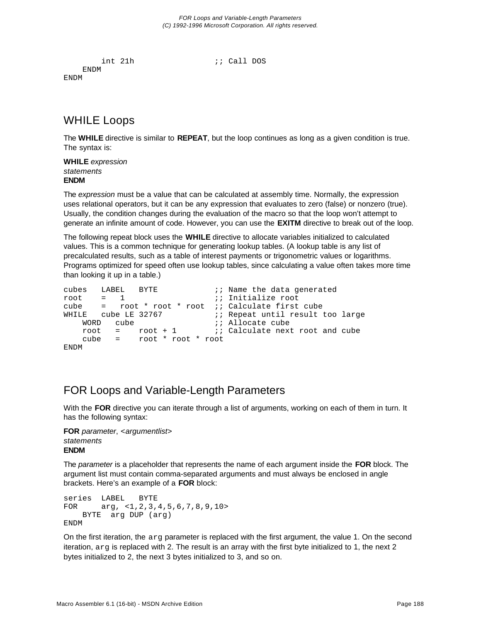ENDM ENDM

int 21h  $\qquad$  ; Call DOS

# WHILE Loops

The **WHILE** directive is similar to **REPEAT**, but the loop continues as long as a given condition is true. The syntax is:

**WHILE** *expression statements* **ENDM**

The *expression* must be a value that can be calculated at assembly time. Normally, the expression uses relational operators, but it can be any expression that evaluates to zero (false) or nonzero (true). Usually, the condition changes during the evaluation of the macro so that the loop won't attempt to generate an infinite amount of code. However, you can use the **EXITM** directive to break out of the loop.

The following repeat block uses the **WHILE** directive to allocate variables initialized to calculated values. This is a common technique for generating lookup tables. (A lookup table is any list of precalculated results, such as a table of interest payments or trigonometric values or logarithms. Programs optimized for speed often use lookup tables, since calculating a value often takes more time than looking it up in a table.)

```
cubes LABEL BYTE : ;; Name the data generated
root = 1 \qquad ; Initialize root
cube = root * root * root ;; Calculate first cube<br>WHILE cube LE 32767 ;; Repeat until result
                                          ii Repeat until result too large
     \begin{array}{lllll} \texttt{WORD} & \texttt{cube} & \texttt{;} & \texttt{Allocate cube} \\ \texttt{root} & = & \texttt{root} + 1 & \texttt{;} & \texttt{Calculate new} \end{array} root = root + 1 ;; Calculate next root and cube
 cube = root * root * root
ENDM
```
#### FOR Loops and Variable-Length Parameters

With the **FOR** directive you can iterate through a list of arguments, working on each of them in turn. It has the following syntax:

**FOR** *parameter*, <*argumentlist> statements* **ENDM**

The *parameter* is a placeholder that represents the name of each argument inside the **FOR** block. The argument list must contain comma-separated arguments and must always be enclosed in angle brackets. Here's an example of a **FOR** block:

```
series LABEL BYTE
FOR arg, <1,2,3,4,5,6,7,8,9,10>
    BYTE arg DUP (arg)
ENDM
```
On the first iteration, the  $\arg$  parameter is replaced with the first argument, the value 1. On the second iteration, arg is replaced with 2. The result is an array with the first byte initialized to 1, the next 2 bytes initialized to 2, the next 3 bytes initialized to 3, and so on.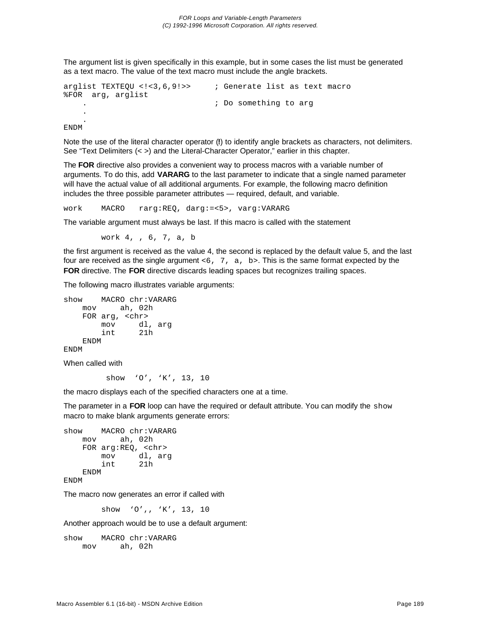The argument list is given specifically in this example, but in some cases the list must be generated as a text macro. The value of the text macro must include the angle brackets.

```
arglist TEXTEQU <!<3,6,9!>> ; Generate list as text macro
%FOR arg, arglist
                            . ; Do something to arg
 .
 .
ENDM
```
Note the use of the literal character operator (**!**) to identify angle brackets as characters, not delimiters. See "Text Delimiters (< >) and the Literal-Character Operator," earlier in this chapter.

The **FOR** directive also provides a convenient way to process macros with a variable number of arguments. To do this, add **VARARG** to the last parameter to indicate that a single named parameter will have the actual value of all additional arguments. For example, the following macro definition includes the three possible parameter attributes — required, default, and variable.

work MACRO rarg:REQ, darg:=<5>, varg:VARARG

The variable argument must always be last. If this macro is called with the statement

work 4, , 6, 7, a, b

the first argument is received as the value 4, the second is replaced by the default value 5, and the last four are received as the single argument  $\langle 6, 7, a, b \rangle$ . This is the same format expected by the **FOR** directive. The **FOR** directive discards leading spaces but recognizes trailing spaces.

The following macro illustrates variable arguments:

```
show MACRO chr:VARARG
    mov ah, 02h
    FOR arg, <chr>
      mov dl, arg<br>int 21h
       int
    ENDM
```
ENDM

When called with

show 'O', 'K', 13, 10

the macro displays each of the specified characters one at a time.

The parameter in a **FOR** loop can have the required or default attribute. You can modify the show macro to make blank arguments generate errors:

```
show MACRO chr:VARARG
    mov ah, 02h
    FOR arg:REQ, <chr>
        mov dl, arg
        int 21h
    ENDM
ENDM
```
The macro now generates an error if called with

show 'O',, 'K', 13, 10

Another approach would be to use a default argument:

show MACRO chr:VARARG mov ah, 02h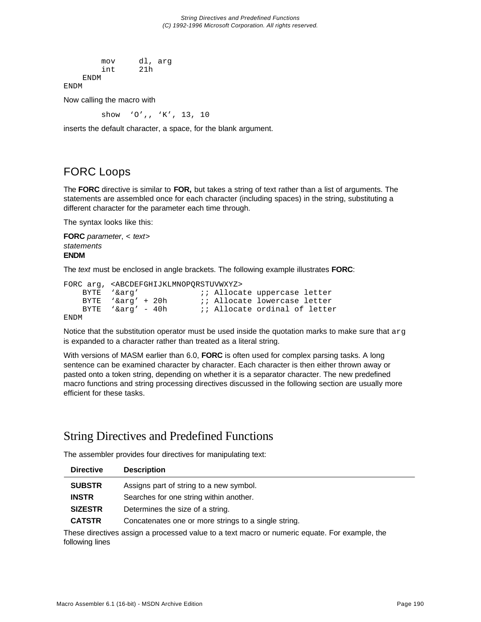| mov         | dl, arq |  |
|-------------|---------|--|
| int         | 21h     |  |
| <b>ENDM</b> |         |  |

ENDM

Now calling the macro with

show 'O',, 'K', 13, 10

inserts the default character, a space, for the blank argument.

## FORC Loops

The **FORC** directive is similar to **FOR,** but takes a string of text rather than a list of arguments. The statements are assembled once for each character (including spaces) in the string, substituting a different character for the parameter each time through.

The syntax looks like this:

```
FORC parameter, < text>
statements
ENDM
```
The *text* must be enclosed in angle brackets. The following example illustrates **FORC**:

```
FORC arg, <ABCDEFGHIJKLMNOPQRSTUVWXYZ><br>BYTE '&arq' ;; Alloca
     BYTE '&arg' ;; Allocate uppercase letter
                              B ; Allocate lowercase letter
                              ii Allocate ordinal of letter
ENDM
```
Notice that the substitution operator must be used inside the quotation marks to make sure that arg is expanded to a character rather than treated as a literal string.

With versions of MASM earlier than 6.0, **FORC** is often used for complex parsing tasks. A long sentence can be examined character by character. Each character is then either thrown away or pasted onto a token string, depending on whether it is a separator character. The new predefined macro functions and string processing directives discussed in the following section are usually more efficient for these tasks.

### String Directives and Predefined Functions

The assembler provides four directives for manipulating text:

| <b>Directive</b> | <b>Description</b>                                                                            |  |
|------------------|-----------------------------------------------------------------------------------------------|--|
| <b>SUBSTR</b>    | Assigns part of string to a new symbol.                                                       |  |
| <b>INSTR</b>     | Searches for one string within another.                                                       |  |
| <b>SIZESTR</b>   | Determines the size of a string.                                                              |  |
| <b>CATSTR</b>    | Concatenates one or more strings to a single string.                                          |  |
|                  | These directives assign a processed value to a text macro or numeric equate. For example, the |  |

These directives assign a processed value to a text macro or numeric equate. For example, the following lines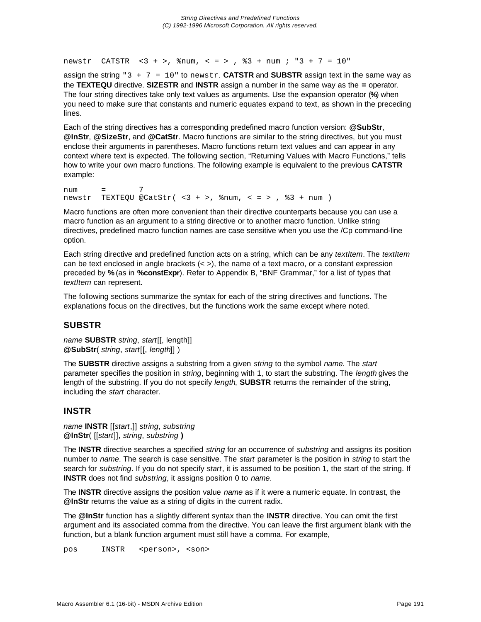newstr CATSTR <3 + >, %num, < = > , %3 + num ; "3 + 7 = 10"

assign the string "3 + 7 = 10" to newstr. **CATSTR** and **SUBSTR** assign text in the same way as the **TEXTEQU** directive. **SIZESTR** and **INSTR** assign a number in the same way as the **=** operator. The four string directives take only text values as arguments. Use the expansion operator (**%**) when you need to make sure that constants and numeric equates expand to text, as shown in the preceding lines.

Each of the string directives has a corresponding predefined macro function version: **@SubStr**, **@InStr**, **@SizeStr**, and **@CatStr**. Macro functions are similar to the string directives, but you must enclose their arguments in parentheses. Macro functions return text values and can appear in any context where text is expected. The following section, "Returning Values with Macro Functions," tells how to write your own macro functions. The following example is equivalent to the previous **CATSTR** example:

```
num = 7newstr TEXTEQU @CatStr(\langle 3 + \rangle, \langle 2 + \rangle, \langle 4 \rangle , \langle 3 + \rangle, \langle 3 + \rangle
```
Macro functions are often more convenient than their directive counterparts because you can use a macro function as an argument to a string directive or to another macro function. Unlike string directives, predefined macro function names are case sensitive when you use the /Cp command-line option.

Each string directive and predefined function acts on a string, which can be any *textItem*. The *textItem* can be text enclosed in angle brackets  $(<)$ , the name of a text macro, or a constant expression preceded by **%** (as in **%constExpr**). Refer to Appendix B, "BNF Grammar," for a list of types that *textItem* can represent.

The following sections summarize the syntax for each of the string directives and functions. The explanations focus on the directives, but the functions work the same except where noted.

#### **SUBSTR**

*name* **SUBSTR** *string*, *start*[[, length]] **@SubStr**( *string*, *start*[[, *length*]] )

The **SUBSTR** directive assigns a substring from a given *string* to the symbol *name*. The *start* parameter specifies the position in *string*, beginning with 1, to start the substring. The *length* gives the length of the substring. If you do not specify *length*, **SUBSTR** returns the remainder of the string, including the *start* character.

#### **INSTR**

*name* **INSTR** [[*start*,]] *string*, *substring* **@InStr**( [[*start*]], *string*, *substring* **)**

The **INSTR** directive searches a specified *string* for an occurrence of *substring* and assigns its position number to *name*. The search is case sensitive. The *start* parameter is the position in *string* to start the search for *substring*. If you do not specify *start*, it is assumed to be position 1, the start of the string. If **INSTR** does not find *substring*, it assigns position 0 to *name*.

The **INSTR** directive assigns the position value *name* as if it were a numeric equate. In contrast, the **@InStr** returns the value as a string of digits in the current radix.

The **@InStr** function has a slightly different syntax than the **INSTR** directive. You can omit the first argument and its associated comma from the directive. You can leave the first argument blank with the function, but a blank function argument must still have a comma. For example,

pos INSTR <person>, <son>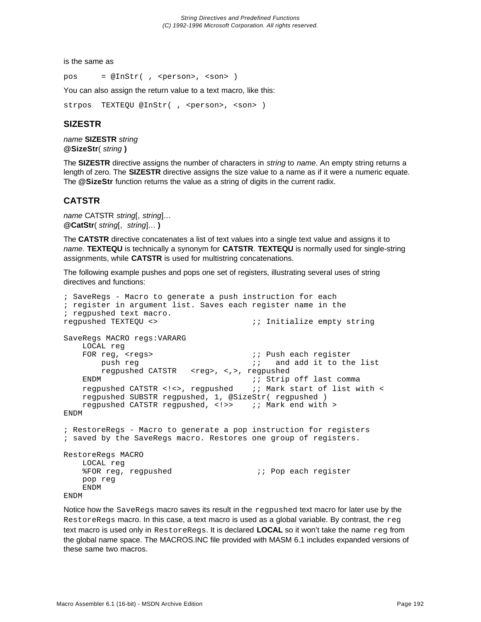is the same as

pos = @InStr( , <person>, <son> )

You can also assign the return value to a text macro, like this:

strpos TEXTEQU @InStr(, <person>, <son>)

#### **SIZESTR**

*name* **SIZESTR** *string* **@SizeStr**( *string* **)**

The **SIZESTR** directive assigns the number of characters in *string* to *name*. An empty string returns a length of zero. The **SIZESTR** directive assigns the size value to a name as if it were a numeric equate. The **@SizeStr** function returns the value as a string of digits in the current radix.

#### **CATSTR**

*name* CATSTR *string*[, *string*]... **@CatStr**( *string*[, *string*]... **)**

The **CATSTR** directive concatenates a list of text values into a single text value and assigns it to *name*. **TEXTEQU** is technically a synonym for **CATSTR**. **TEXTEQU** is normally used for single-string assignments, while **CATSTR** is used for multistring concatenations.

The following example pushes and pops one set of registers, illustrating several uses of string directives and functions:

```
; SaveRegs - Macro to generate a push instruction for each
; register in argument list. Saves each register name in the
; regpushed text macro.
regpushed TEXTEQU <> ;; Initialize empty string
SaveRegs MACRO regs:VARARG
    LOCAL reg
   FOR reg, <regs> i i Push each register
       push reg \qquad \qquad ; \qquad and add it to the list
        regpushed CATSTR <reg>, <,>, regpushed
   ENDM \qquad \qquad ; Strip off last comma
    regpushed CATSTR <!<>, regpushed ;; Mark start of list with <
    regpushed SUBSTR regpushed, 1, @SizeStr( regpushed )
   regpushed CATSTR regpushed, <!>> ;; Mark end with >
ENDM
; RestoreRegs - Macro to generate a pop instruction for registers
; saved by the SaveRegs macro. Restores one group of registers.
RestoreRegs MACRO
    LOCAL reg
   %FOR reg, regpushed \qquad ; Pop each register
    pop reg
    ENDM
ENDM
```
Notice how the SaveRegs macro saves its result in the regpushed text macro for later use by the RestoreRegs macro. In this case, a text macro is used as a global variable. By contrast, the reg text macro is used only in RestoreRegs. It is declared **LOCAL** so it won't take the name reg from the global name space. The MACROS.INC file provided with MASM 6.1 includes expanded versions of these same two macros.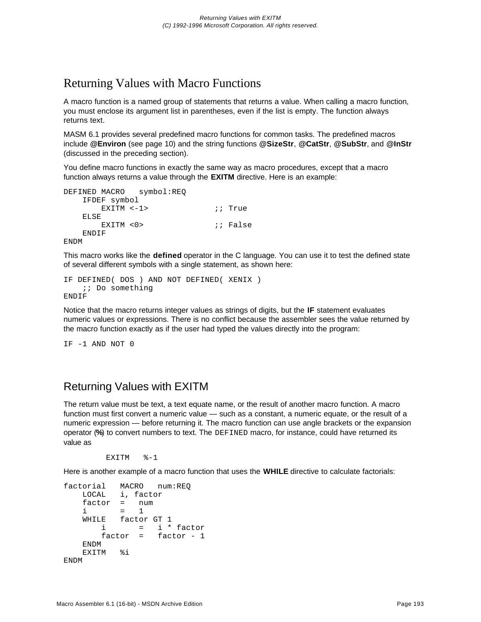# Returning Values with Macro Functions

A macro function is a named group of statements that returns a value. When calling a macro function, you must enclose its argument list in parentheses, even if the list is empty. The function always returns text.

MASM 6.1 provides several predefined macro functions for common tasks. The predefined macros include **@Environ** (see page 10) and the string functions **@SizeStr**, **@CatStr**, **@SubStr**, and **@InStr** (discussed in the preceding section).

You define macro functions in exactly the same way as macro procedures, except that a macro function always returns a value through the **EXITM** directive. Here is an example:

```
DEFINED MACRO symbol:REQ
    IFDEF symbol
      EXITM <-1> i ; True
    ELSE
      EXITM <0> \qquad ;; False
    ENDIF
ENDM
```
This macro works like the **defined** operator in the C language. You can use it to test the defined state of several different symbols with a single statement, as shown here:

```
IF DEFINED( DOS ) AND NOT DEFINED( XENIX )
     ;; Do something
ENDIF
```
Notice that the macro returns integer values as strings of digits, but the **IF** statement evaluates numeric values or expressions. There is no conflict because the assembler sees the value returned by the macro function exactly as if the user had typed the values directly into the program:

IF -1 AND NOT 0

### Returning Values with EXITM

The return value must be text, a text equate name, or the result of another macro function. A macro function must first convert a numeric value — such as a constant, a numeric equate, or the result of a numeric expression — before returning it. The macro function can use angle brackets or the expansion operator (**%**) to convert numbers to text. The DEFINED macro, for instance, could have returned its value as

EXITM %-1

Here is another example of a macro function that uses the **WHILE** directive to calculate factorials:

```
factorial MACRO num:REQ
    LOCAL i, factor
    factor = num
   i = 1 WHILE factor GT 1
      i = i * factor
       factor = factor - 1
    ENDM
    EXITM %i
ENDM
```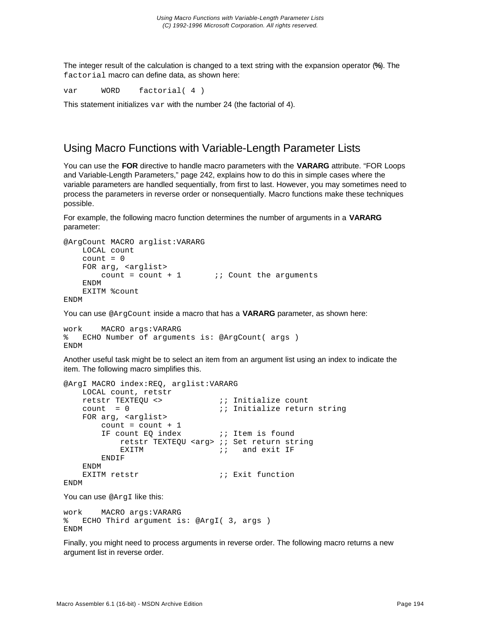The integer result of the calculation is changed to a text string with the expansion operator (**%**). The factorial macro can define data, as shown here:

var WORD factorial( 4 )

This statement initializes var with the number 24 (the factorial of 4).

#### Using Macro Functions with Variable-Length Parameter Lists

You can use the **FOR** directive to handle macro parameters with the **VARARG** attribute. "FOR Loops and Variable-Length Parameters," page 242, explains how to do this in simple cases where the variable parameters are handled sequentially, from first to last. However, you may sometimes need to process the parameters in reverse order or nonsequentially. Macro functions make these techniques possible.

For example, the following macro function determines the number of arguments in a **VARARG** parameter:

```
@ArgCount MACRO arglist:VARARG
    LOCAL count
   count = 0FOR arg, <arglist>
       count = count + 1 ; Count the arguments
    ENDM
    EXITM %count
ENDM
```
You can use @ArgCount inside a macro that has a **VARARG** parameter, as shown here:

```
work MACRO args:VARARG
% ECHO Number of arguments is: @ArgCount( args )
ENDM
```
Another useful task might be to select an item from an argument list using an index to indicate the item. The following macro simplifies this.

```
@ArgI MACRO index:REQ, arglist:VARARG
    LOCAL count, retstr
   retstr TEXTEQU <> \qquad ;; Initialize count
    count = 0 ;; Initialize return string
    FOR arg, <arglist>
       count = count + 1IF count EO index i: Item is found
            retstr TEXTEQU <arg> ;; Set return string
           EXITM \qquad \qquad ; \qquad \text{and exit IF} ENDIF
    ENDM
   EXITM retstr \qquad \qquad ; Exit function
ENDM
You can use @ArgI like this:
work MACRO args:VARARG
```
% ECHO Third argument is: @ArgI( 3, args ) ENDM

Finally, you might need to process arguments in reverse order. The following macro returns a new argument list in reverse order.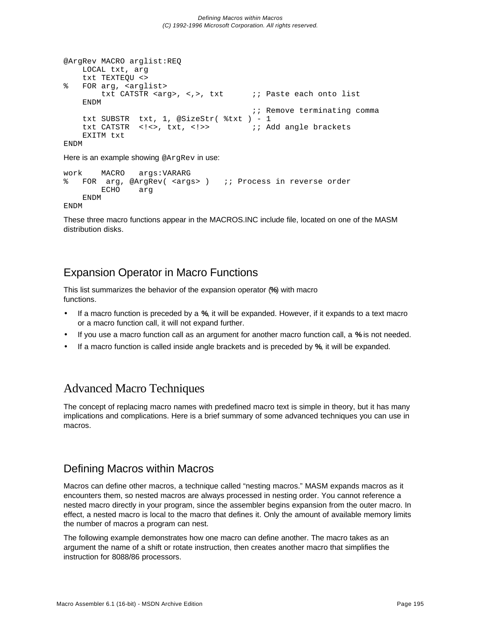```
@ArgRev MACRO arglist:REQ
    LOCAL txt, arg
    txt TEXTEQU <>
% FOR arg, <arglist>
        txt CATSTR <arg>, <,>, txt ;; Paste each onto list
    ENDM
                                      i; Remove terminating comma
    txt SUBSTR txt, 1, @SizeStr( %txt ) - 1
   txt CATSTR <!<>, txt, <!>> <>>> ;; Add angle brackets
    EXITM txt
ENDM
```
Here is an example showing @ArgRev in use:

```
work MACRO args:VARARG
% FOR arg, @ArgRev( <args> ) ;; Process in reverse order
       ECHO arg
    ENDM
ENDM
```
These three macro functions appear in the MACROS.INC include file, located on one of the MASM distribution disks.

## Expansion Operator in Macro Functions

This list summarizes the behavior of the expansion operator (**%**) with macro functions.

- If a macro function is preceded by a **%**, it will be expanded. However, if it expands to a text macro or a macro function call, it will not expand further.
- If you use a macro function call as an argument for another macro function call, a **%** is not needed.
- If a macro function is called inside angle brackets and is preceded by **%**, it will be expanded.

## Advanced Macro Techniques

The concept of replacing macro names with predefined macro text is simple in theory, but it has many implications and complications. Here is a brief summary of some advanced techniques you can use in macros.

### Defining Macros within Macros

Macros can define other macros, a technique called "nesting macros." MASM expands macros as it encounters them, so nested macros are always processed in nesting order. You cannot reference a nested macro directly in your program, since the assembler begins expansion from the outer macro. In effect, a nested macro is local to the macro that defines it. Only the amount of available memory limits the number of macros a program can nest.

The following example demonstrates how one macro can define another. The macro takes as an argument the name of a shift or rotate instruction, then creates another macro that simplifies the instruction for 8088/86 processors.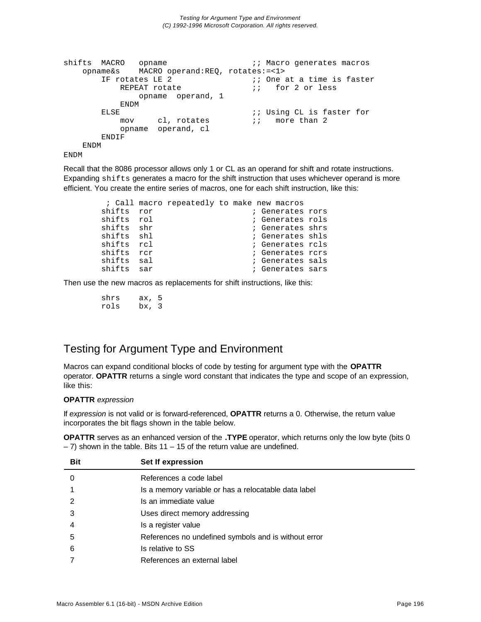*Testing for Argument Type and Environment (C) 1992-1996 Microsoft Corporation. All rights reserved.*

```
shifts MACRO opname \qquad \qquad ; Macro generates macros
     opname&s MACRO operand:REQ, rotates:=<1>
        IF rotates LE 2 \qquad ;; One at a time is faster<br>REPEAT rotate \qquad ;; for 2 or less
                                           ii for 2 or less
                  opname operand, 1
        ENDM<br>ELSE
                                         i: Using CL is faster for<br>i: more than 2
             mov cl, rotates
              opname operand, cl
         ENDIF
     ENDM
ENDM
```
Recall that the 8086 processor allows only 1 or CL as an operand for shift and rotate instructions. Expanding shifts generates a macro for the shift instruction that uses whichever operand is more efficient. You create the entire series of macros, one for each shift instruction, like this:

```
; Call macro repeatedly to make new macros<br>shifts ror ; Generates
 shifts ror ; Generates rors
 shifts rol ; Generates rols
                                               ; Generates shrs
shifts shl<br>shifts rcl                                  ; Generates rcls<br>
                       ; Generates rcls
shifts rcl \begin{array}{ccc} ; & \text{Generates} \text{rcls} \\ \text{shifts} & \text{rcr} \end{array} ; Generates rcrs
shifts rcr                             ; Generates rcrs<br>shifts sal                      ; Generates sals
                                               ; Generates sals
shifts sar \qquad \qquad ; Generates sars
```
Then use the new macros as replacements for shift instructions, like this:

| shrs | ax, 5 |  |
|------|-------|--|
| rols | bx, 3 |  |

### Testing for Argument Type and Environment

Macros can expand conditional blocks of code by testing for argument type with the **OPATTR** operator. **OPATTR** returns a single word constant that indicates the type and scope of an expression, like this:

#### **OPATTR** *expression*

If *expression* is not valid or is forward-referenced, **OPATTR** returns a 0. Otherwise, the return value incorporates the bit flags shown in the table below.

**OPATTR** serves as an enhanced version of the **.TYPE** operator, which returns only the low byte (bits 0  $-$  7) shown in the table. Bits 11  $-$  15 of the return value are undefined.

| <b>Bit</b> | Set If expression                                    |
|------------|------------------------------------------------------|
|            | References a code label                              |
|            | Is a memory variable or has a relocatable data label |
|            | Is an immediate value                                |
| 3          | Uses direct memory addressing                        |
| 4          | Is a register value                                  |
| 5          | References no undefined symbols and is without error |
| 6          | Is relative to SS                                    |
|            | References an external label                         |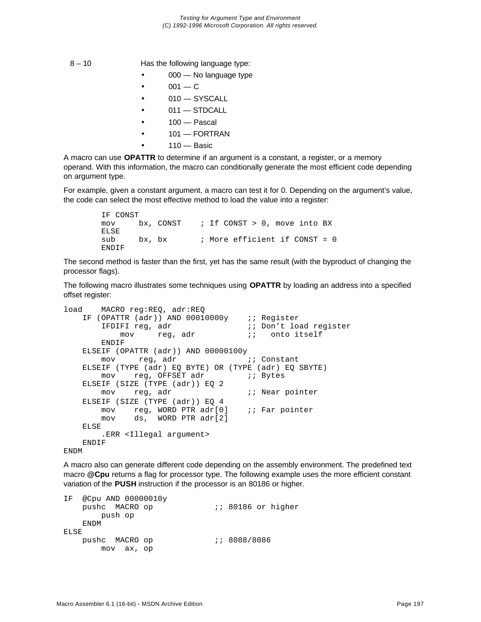- 8 10 Has the following language type:
	- 000 No language type
	- $001 C$
	- 010 SYSCALL
	- $\bullet$  011 STDCALL
	- $\bullet$  100 Pascal
	- 101 FORTRAN
	- $110 -$  Basic

A macro can use **OPATTR** to determine if an argument is a constant, a register, or a memory operand. With this information, the macro can conditionally generate the most efficient code depending on argument type.

For example, given a constant argument, a macro can test it for 0. Depending on the argument's value, the code can select the most effective method to load the value into a register:

```
 IF CONST
mov bx, CONST ; If CONST > 0, move into BX
 ELSE
sub bx, bx ; More efficient if CONST = 0
ENDIF
```
The second method is faster than the first, yet has the same result (with the byproduct of changing the processor flags).

The following macro illustrates some techniques using **OPATTR** by loading an address into a specified offset register:

```
load MACRO reg:REQ, adr:REQ
    IF (OPATTR (adr)) AND 00010000y : Register<br>IFDIFI reg, adr : Don't loa
                   IFDIFI reg, adr ;; Don't load register
           mov reg, adr \qquad ;; onto itself
         ENDIF
    ELSEIF (OPATTR (adr)) AND 00000100y<br>mov reg, adr (; Constant
        mov reg, adr
     ELSEIF (TYPE (adr) EQ BYTE) OR (TYPE (adr) EQ SBYTE)
       mov reg, OFFSET adr i; Bytes
     ELSEIF (SIZE (TYPE (adr)) EQ 2
       mov reg, adr \qquad \qquad ;; Near pointer
     ELSEIF (SIZE (TYPE (adr)) EQ 4
        mov reg, WORD PTR adr[0] ;; Far pointer
         mov ds, WORD PTR adr[2]
     ELSE
         .ERR <Illegal argument>
     ENDIF
ENDM
```
A macro also can generate different code depending on the assembly environment. The predefined text macro **@Cpu** returns a flag for processor type. The following example uses the more efficient constant variation of the **PUSH** instruction if the processor is an 80186 or higher.

| @Cpu AND 00000010y |                      |
|--------------------|----------------------|
| pushc MACRO op     | $i: 80186$ or higher |
| push op            |                      |
| <b>ENDM</b>        |                      |
|                    |                      |
| pushc MACRO op     | <i>;;</i> 8088/8086  |
| ax, op<br>mov      |                      |
|                    | ELSE                 |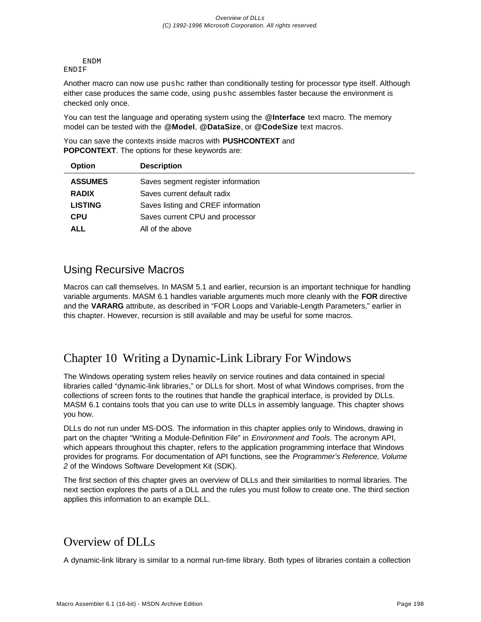ENDM ENDIF

Another macro can now use pushc rather than conditionally testing for processor type itself. Although either case produces the same code, using pushc assembles faster because the environment is checked only once.

You can test the language and operating system using the **@Interface** text macro. The memory model can be tested with the **@Model**, **@DataSize**, or **@CodeSize** text macros.

You can save the contexts inside macros with **PUSHCONTEXT** and **POPCONTEXT**. The options for these keywords are:

| <b>Option</b>  | <b>Description</b>                 |
|----------------|------------------------------------|
| <b>ASSUMES</b> | Saves segment register information |
| <b>RADIX</b>   | Saves current default radix        |
| <b>LISTING</b> | Saves listing and CREF information |
| <b>CPU</b>     | Saves current CPU and processor    |
| ALL            | All of the above                   |

### Using Recursive Macros

Macros can call themselves. In MASM 5.1 and earlier, recursion is an important technique for handling variable arguments. MASM 6.1 handles variable arguments much more cleanly with the **FOR** directive and the **VARARG** attribute, as described in "FOR Loops and Variable-Length Parameters," earlier in this chapter. However, recursion is still available and may be useful for some macros.

## Chapter 10 Writing a Dynamic-Link Library For Windows

The Windows operating system relies heavily on service routines and data contained in special libraries called "dynamic-link libraries," or DLLs for short. Most of what Windows comprises, from the collections of screen fonts to the routines that handle the graphical interface, is provided by DLLs. MASM 6.1 contains tools that you can use to write DLLs in assembly language. This chapter shows you how.

DLLs do not run under MS-DOS. The information in this chapter applies only to Windows, drawing in part on the chapter "Writing a Module-Definition File" in *Environment and Tools*. The acronym API, which appears throughout this chapter, refers to the application programming interface that Windows provides for programs. For documentation of API functions, see the *Programmer's Reference, Volume 2* of the Windows Software Development Kit (SDK).

The first section of this chapter gives an overview of DLLs and their similarities to normal libraries. The next section explores the parts of a DLL and the rules you must follow to create one. The third section applies this information to an example DLL.

### Overview of DLLs

A dynamic-link library is similar to a normal run-time library. Both types of libraries contain a collection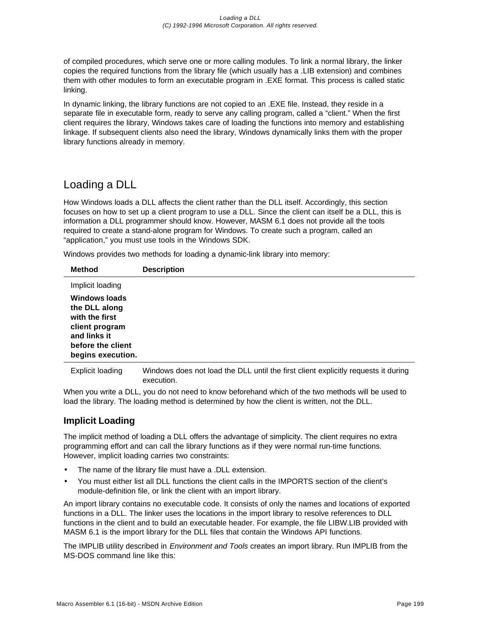of compiled procedures, which serve one or more calling modules. To link a normal library, the linker copies the required functions from the library file (which usually has a .LIB extension) and combines them with other modules to form an executable program in .EXE format. This process is called static linking.

In dynamic linking, the library functions are not copied to an .EXE file. Instead, they reside in a separate file in executable form, ready to serve any calling program, called a "client." When the first client requires the library, Windows takes care of loading the functions into memory and establishing linkage. If subsequent clients also need the library, Windows dynamically links them with the proper library functions already in memory.

## Loading a DLL

How Windows loads a DLL affects the client rather than the DLL itself. Accordingly, this section focuses on how to set up a client program to use a DLL. Since the client can itself be a DLL, this is information a DLL programmer should know. However, MASM 6.1 does not provide all the tools required to create a stand-alone program for Windows. To create such a program, called an "application," you must use tools in the Windows SDK.

Windows provides two methods for loading a dynamic-link library into memory:

| <b>Method</b>                                                                                                                       | <b>Description</b>                                                                 |
|-------------------------------------------------------------------------------------------------------------------------------------|------------------------------------------------------------------------------------|
| Implicit loading                                                                                                                    |                                                                                    |
| <b>Windows loads</b><br>the DLL along<br>with the first<br>client program<br>and links it<br>before the client<br>begins execution. |                                                                                    |
| Explicit Ioading                                                                                                                    | Windows does not load the DLL until the first client explicitly requests it during |

Explicit loading \_\_\_\_ Windows does not load the DLL until the first client explicitly requests it during execution.

When you write a DLL, you do not need to know beforehand which of the two methods will be used to load the library. The loading method is determined by how the client is written, not the DLL.

#### **Implicit Loading**

The implicit method of loading a DLL offers the advantage of simplicity. The client requires no extra programming effort and can call the library functions as if they were normal run-time functions. However, implicit loading carries two constraints:

- The name of the library file must have a .DLL extension.
- You must either list all DLL functions the client calls in the IMPORTS section of the client's module-definition file, or link the client with an import library.

An import library contains no executable code. It consists of only the names and locations of exported functions in a DLL. The linker uses the locations in the import library to resolve references to DLL functions in the client and to build an executable header. For example, the file LIBW.LIB provided with MASM 6.1 is the import library for the DLL files that contain the Windows API functions.

The IMPLIB utility described in *Environment and Tools* creates an import library. Run IMPLIB from the MS-DOS command line like this: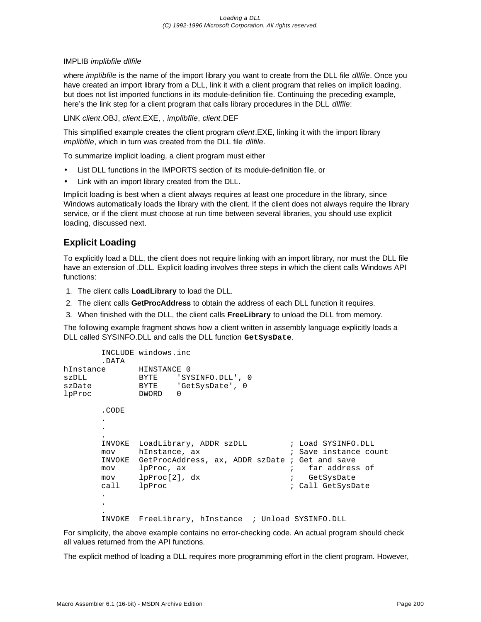#### IMPLIB *implibfile dllfile*

where *implibfile* is the name of the import library you want to create from the DLL file *dllfile*. Once you have created an import library from a DLL, link it with a client program that relies on implicit loading, but does not list imported functions in its module-definition file. Continuing the preceding example, here's the link step for a client program that calls library procedures in the DLL *dllfile*:

LINK *client*.OBJ, *client*.EXE, , *implibfile*, *client*.DEF

This simplified example creates the client program *client*.EXE, linking it with the import library *implibfile*, which in turn was created from the DLL file *dllfile*.

To summarize implicit loading, a client program must either

- List DLL functions in the IMPORTS section of its module-definition file, or
- Link with an import library created from the DLL.

Implicit loading is best when a client always requires at least one procedure in the library, since Windows automatically loads the library with the client. If the client does not always require the library service, or if the client must choose at run time between several libraries, you should use explicit loading, discussed next.

#### **Explicit Loading**

To explicitly load a DLL, the client does not require linking with an import library, nor must the DLL file have an extension of .DLL. Explicit loading involves three steps in which the client calls Windows API functions:

- 1. The client calls **LoadLibrary** to load the DLL.
- 2. The client calls **GetProcAddress** to obtain the address of each DLL function it requires.
- 3. When finished with the DLL, the client calls **FreeLibrary** to unload the DLL from memory.

The following example fragment shows how a client written in assembly language explicitly loads a DLL called SYSINFO.DLL and calls the DLL function **GetSysDate**.

```
 INCLUDE windows.inc
       .DATA
hInstance HINSTANCE 0
szDLL BYTE 'SYSINFO.DLL', 0
szDate BYTE 'GetSysDate', 0
lpProc DWORD 0
       .CODE
 .
 .
 .
 INVOKE LoadLibrary, ADDR szDLL ; Load SYSINFO.DLL
mov hInstance, ax \qquad \qquad ; Save instance count
 INVOKE GetProcAddress, ax, ADDR szDate ; Get and save
      mov lpProc, ax \qquad \qquad ; \qquad far address of
       mov lpProc[2], dx ; GetSysDate
                                    ; Call GetSysDate
 .
 .
 .
       INVOKE FreeLibrary, hInstance ; Unload SYSINFO.DLL
```
For simplicity, the above example contains no error-checking code. An actual program should check all values returned from the API functions.

The explicit method of loading a DLL requires more programming effort in the client program. However,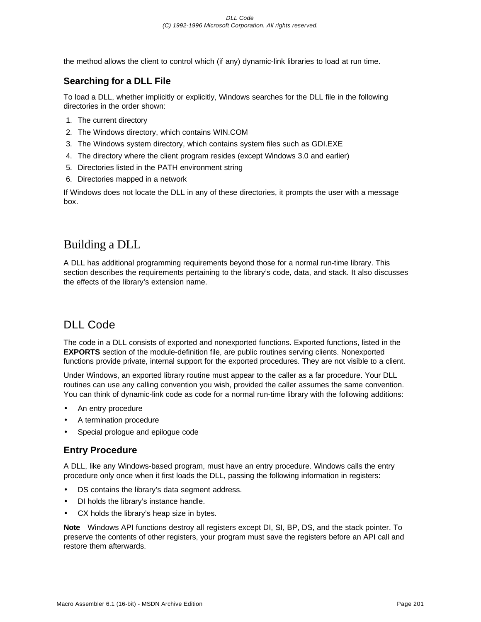the method allows the client to control which (if any) dynamic-link libraries to load at run time.

#### **Searching for a DLL File**

To load a DLL, whether implicitly or explicitly, Windows searches for the DLL file in the following directories in the order shown:

- 1. The current directory
- 2. The Windows directory, which contains WIN.COM
- 3. The Windows system directory, which contains system files such as GDI.EXE
- 4. The directory where the client program resides (except Windows 3.0 and earlier)
- 5. Directories listed in the PATH environment string
- 6. Directories mapped in a network

If Windows does not locate the DLL in any of these directories, it prompts the user with a message box.

## Building a DLL

A DLL has additional programming requirements beyond those for a normal run-time library. This section describes the requirements pertaining to the library's code, data, and stack. It also discusses the effects of the library's extension name.

## DLL Code

The code in a DLL consists of exported and nonexported functions. Exported functions, listed in the **EXPORTS** section of the module-definition file, are public routines serving clients. Nonexported functions provide private, internal support for the exported procedures. They are not visible to a client.

Under Windows, an exported library routine must appear to the caller as a far procedure. Your DLL routines can use any calling convention you wish, provided the caller assumes the same convention. You can think of dynamic-link code as code for a normal run-time library with the following additions:

- An entry procedure
- A termination procedure
- Special prologue and epilogue code

#### **Entry Procedure**

A DLL, like any Windows-based program, must have an entry procedure. Windows calls the entry procedure only once when it first loads the DLL, passing the following information in registers:

- DS contains the library's data segment address.
- DI holds the library's instance handle.
- CX holds the library's heap size in bytes.

**Note** Windows API functions destroy all registers except DI, SI, BP, DS, and the stack pointer. To preserve the contents of other registers, your program must save the registers before an API call and restore them afterwards.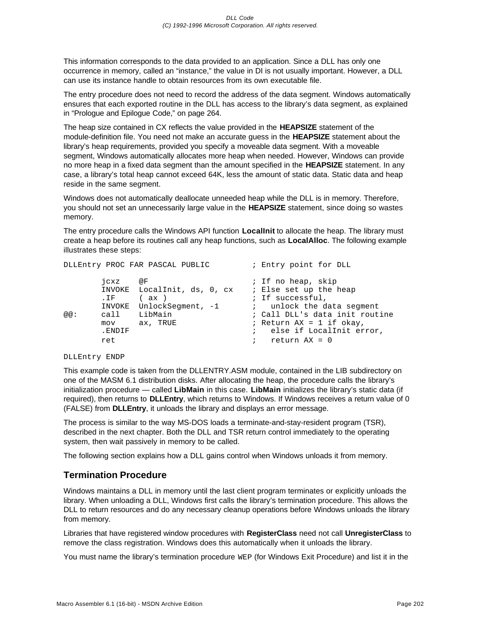This information corresponds to the data provided to an application. Since a DLL has only one occurrence in memory, called an "instance," the value in DI is not usually important. However, a DLL can use its instance handle to obtain resources from its own executable file.

The entry procedure does not need to record the address of the data segment. Windows automatically ensures that each exported routine in the DLL has access to the library's data segment, as explained in "Prologue and Epilogue Code," on page 264.

The heap size contained in CX reflects the value provided in the **HEAPSIZE** statement of the module-definition file. You need not make an accurate guess in the **HEAPSIZE** statement about the library's heap requirements, provided you specify a moveable data segment. With a moveable segment, Windows automatically allocates more heap when needed. However, Windows can provide no more heap in a fixed data segment than the amount specified in the **HEAPSIZE** statement. In any case, a library's total heap cannot exceed 64K, less the amount of static data. Static data and heap reside in the same segment.

Windows does not automatically deallocate unneeded heap while the DLL is in memory. Therefore, you should not set an unnecessarily large value in the **HEAPSIZE** statement, since doing so wastes memory.

The entry procedure calls the Windows API function **LocalInit** to allocate the heap. The library must create a heap before its routines call any heap functions, such as **LocalAlloc**. The following example illustrates these steps:

DLLEntry PROC FAR PASCAL PUBLIC ; Entry point for DLL jcxz @F ; If no heap, skip INVOKE LocalInit, ds, 0, cx ; Else set up the heap  $IF$  (ax )  $\qquad$  ; If successful, INVOKE UnlockSegment, -1 ; unlock the data segment @@: call LibMain ; Call DLL's data init routine mov ax, TRUE  $\qquad \qquad ;$  Return AX = 1 if okay, . ENDIF THE RESERVIE RESERVIES IN SERVICE SERVICE SERVICE SERVICE SERVICE SERVICE SERVICE SERVICE SERVICE SERVICE SERVICE SERVICE SERVICE SERVICE SERVICE SERVICE SERVICE SERVICE SERVICE SERVICE SERVICE SERVICE SERVICE SERV ret  $\qquad \qquad ; \qquad$  return AX = 0

#### DLLEntry ENDP

This example code is taken from the DLLENTRY.ASM module, contained in the LIB subdirectory on one of the MASM 6.1 distribution disks. After allocating the heap, the procedure calls the library's initialization procedure — called **LibMain** in this case. **LibMain** initializes the library's static data (if required), then returns to **DLLEntry**, which returns to Windows. If Windows receives a return value of 0 (FALSE) from **DLLEntry**, it unloads the library and displays an error message.

The process is similar to the way MS-DOS loads a terminate-and-stay-resident program (TSR), described in the next chapter. Both the DLL and TSR return control immediately to the operating system, then wait passively in memory to be called.

The following section explains how a DLL gains control when Windows unloads it from memory.

#### **Termination Procedure**

Windows maintains a DLL in memory until the last client program terminates or explicitly unloads the library. When unloading a DLL, Windows first calls the library's termination procedure. This allows the DLL to return resources and do any necessary cleanup operations before Windows unloads the library from memory.

Libraries that have registered window procedures with **RegisterClass** need not call **UnregisterClass** to remove the class registration. Windows does this automatically when it unloads the library.

You must name the library's termination procedure WEP (for Windows Exit Procedure) and list it in the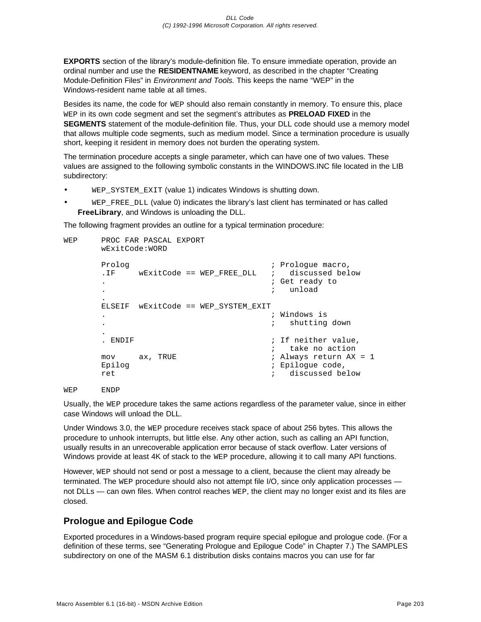**EXPORTS** section of the library's module-definition file. To ensure immediate operation, provide an ordinal number and use the **RESIDENTNAME** keyword, as described in the chapter "Creating Module-Definition Files" in *Environment and Tools.* This keeps the name "WEP" in the Windows-resident name table at all times.

Besides its name, the code for WEP should also remain constantly in memory. To ensure this, place WEP in its own code segment and set the segment's attributes as **PRELOAD FIXED** in the **SEGMENTS** statement of the module-definition file. Thus, your DLL code should use a memory model that allows multiple code segments, such as medium model. Since a termination procedure is usually short, keeping it resident in memory does not burden the operating system.

The termination procedure accepts a single parameter, which can have one of two values. These values are assigned to the following symbolic constants in the WINDOWS.INC file located in the LIB subdirectory:

- WEP\_SYSTEM\_EXIT (value 1) indicates Windows is shutting down.
- WEP\_FREE\_DLL (value 0) indicates the library's last client has terminated or has called **FreeLibrary**, and Windows is unloading the DLL.

The following fragment provides an outline for a typical termination procedure:

```
WEP PROC FAR PASCAL EXPORT
        wExitCode:WORD
Prolog and the contract of the contract of the prologue macro, i Prologue macro,
 .IF wExitCode == WEP_FREE_DLL ; discussed below
 . ; Get ready to
                                           unload
 .
        ELSEIF wExitCode == WEP_SYSTEM_EXIT
                                         . ; Windows is
                                          . ; shutting down
 .
       . ENDIF \qquad \qquad ; If neither value,
       mov ax, TRUE and the moving the moving control of the moving and the moving of the moving of the moving i always return AX
                                        ; Always return AX = 1
       Epilog \qquad \qquad ; Epiloque code,
        ret ; discussed below
```
WEP ENDP

Usually, the WEP procedure takes the same actions regardless of the parameter value, since in either case Windows will unload the DLL.

Under Windows 3.0, the WEP procedure receives stack space of about 256 bytes. This allows the procedure to unhook interrupts, but little else. Any other action, such as calling an API function, usually results in an unrecoverable application error because of stack overflow. Later versions of Windows provide at least 4K of stack to the WEP procedure, allowing it to call many API functions.

However, WEP should not send or post a message to a client, because the client may already be terminated. The WEP procedure should also not attempt file I/O, since only application processes not DLLs — can own files. When control reaches WEP, the client may no longer exist and its files are closed.

#### **Prologue and Epilogue Code**

Exported procedures in a Windows-based program require special epilogue and prologue code. (For a definition of these terms, see "Generating Prologue and Epilogue Code" in Chapter 7.) The SAMPLES subdirectory on one of the MASM 6.1 distribution disks contains macros you can use for far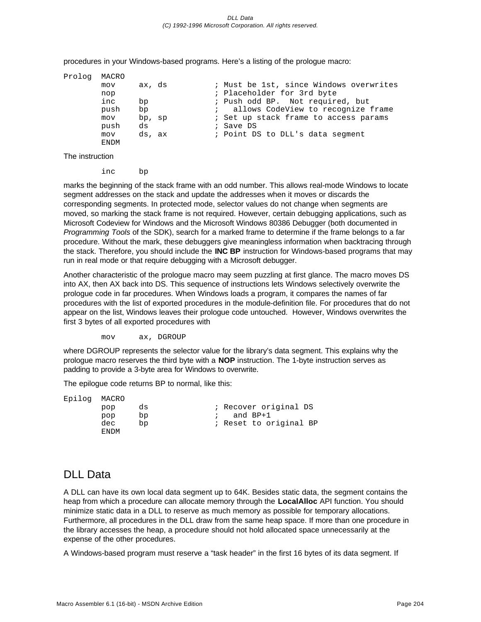procedures in your Windows-based programs. Here's a listing of the prologue macro:

| Prolog | MACRO       |        |  |                                         |
|--------|-------------|--------|--|-----------------------------------------|
|        | mov         | ax, ds |  | ; Must be 1st, since Windows overwrites |
|        | nop         |        |  | ; Placeholder for 3rd byte              |
|        | inc         | qd     |  | ; Push odd BP. Not required, but        |
|        | push        | bp     |  | allows CodeView to recognize frame      |
|        | mov         | bp, sp |  | ; Set up stack frame to access params   |
|        | push        | ds     |  | ; Save DS                               |
|        | mov         | ds, ax |  | ; Point DS to DLL's data segment        |
|        | <b>FNDM</b> |        |  |                                         |

The instruction

inc bp

marks the beginning of the stack frame with an odd number. This allows real-mode Windows to locate segment addresses on the stack and update the addresses when it moves or discards the corresponding segments. In protected mode, selector values do not change when segments are moved, so marking the stack frame is not required. However, certain debugging applications, such as Microsoft Codeview for Windows and the Microsoft Windows 80386 Debugger (both documented in *Programming Tools* of the SDK), search for a marked frame to determine if the frame belongs to a far procedure. Without the mark, these debuggers give meaningless information when backtracing through the stack. Therefore, you should include the **INC BP** instruction for Windows-based programs that may run in real mode or that require debugging with a Microsoft debugger.

Another characteristic of the prologue macro may seem puzzling at first glance. The macro moves DS into AX, then AX back into DS. This sequence of instructions lets Windows selectively overwrite the prologue code in far procedures. When Windows loads a program, it compares the names of far procedures with the list of exported procedures in the module-definition file. For procedures that do not appear on the list, Windows leaves their prologue code untouched. However, Windows overwrites the first 3 bytes of all exported procedures with

mov ax, DGROUP

where DGROUP represents the selector value for the library's data segment. This explains why the prologue macro reserves the third byte with a **NOP** instruction. The 1-byte instruction serves as padding to provide a 3-byte area for Windows to overwrite.

The epilogue code returns BP to normal, like this:

| Epilog MACRO |             |    |  |              |                        |  |
|--------------|-------------|----|--|--------------|------------------------|--|
|              | pop         | ds |  |              | ; Recover original DS  |  |
|              | pop         | ad |  | $:$ and BP+1 |                        |  |
|              | dec         | ad |  |              | ; Reset to original BP |  |
|              | <b>FNDM</b> |    |  |              |                        |  |

#### DLL Data

A DLL can have its own local data segment up to 64K. Besides static data, the segment contains the heap from which a procedure can allocate memory through the **LocalAlloc** API function. You should minimize static data in a DLL to reserve as much memory as possible for temporary allocations. Furthermore, all procedures in the DLL draw from the same heap space. If more than one procedure in the library accesses the heap, a procedure should not hold allocated space unnecessarily at the expense of the other procedures.

A Windows-based program must reserve a "task header" in the first 16 bytes of its data segment. If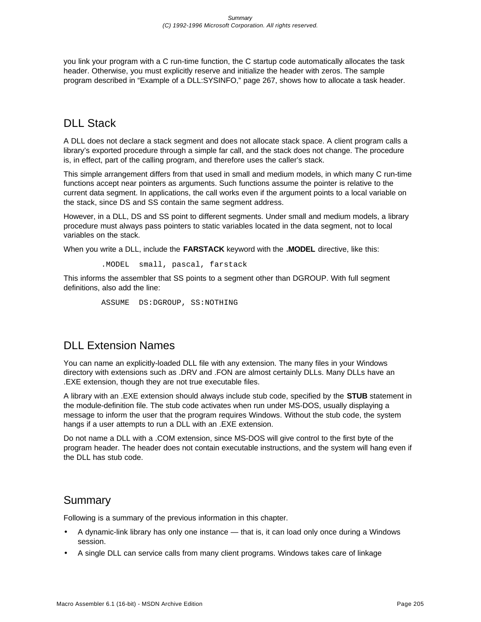you link your program with a C run-time function, the C startup code automatically allocates the task header. Otherwise, you must explicitly reserve and initialize the header with zeros. The sample program described in "Example of a DLL:SYSINFO," page 267, shows how to allocate a task header.

### DLL Stack

A DLL does not declare a stack segment and does not allocate stack space. A client program calls a library's exported procedure through a simple far call, and the stack does not change. The procedure is, in effect, part of the calling program, and therefore uses the caller's stack.

This simple arrangement differs from that used in small and medium models, in which many C run-time functions accept near pointers as arguments. Such functions assume the pointer is relative to the current data segment. In applications, the call works even if the argument points to a local variable on the stack, since DS and SS contain the same segment address.

However, in a DLL, DS and SS point to different segments. Under small and medium models, a library procedure must always pass pointers to static variables located in the data segment, not to local variables on the stack.

When you write a DLL, include the **FARSTACK** keyword with the **.MODEL** directive, like this:

```
 .MODEL small, pascal, farstack
```
This informs the assembler that SS points to a segment other than DGROUP. With full segment definitions, also add the line:

ASSUME DS:DGROUP, SS:NOTHING

### DLL Extension Names

You can name an explicitly-loaded DLL file with any extension. The many files in your Windows directory with extensions such as .DRV and .FON are almost certainly DLLs. Many DLLs have an .EXE extension, though they are not true executable files.

A library with an .EXE extension should always include stub code, specified by the **STUB** statement in the module-definition file. The stub code activates when run under MS-DOS, usually displaying a message to inform the user that the program requires Windows. Without the stub code, the system hangs if a user attempts to run a DLL with an .EXE extension.

Do not name a DLL with a .COM extension, since MS-DOS will give control to the first byte of the program header. The header does not contain executable instructions, and the system will hang even if the DLL has stub code.

#### Summary

Following is a summary of the previous information in this chapter.

- A dynamic-link library has only one instance that is, it can load only once during a Windows session.
- A single DLL can service calls from many client programs. Windows takes care of linkage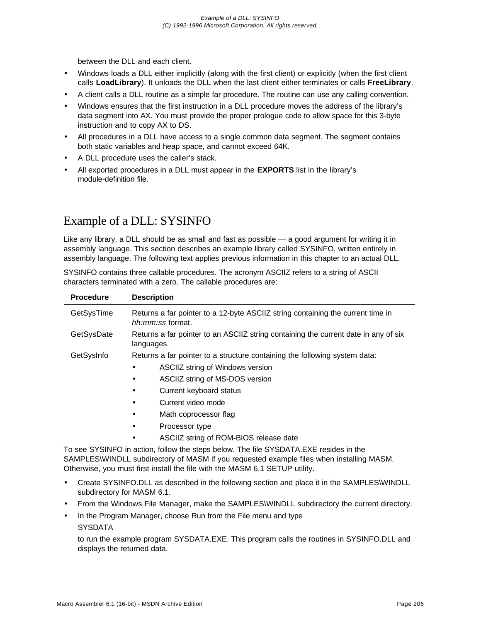between the DLL and each client.

- Windows loads a DLL either implicitly (along with the first client) or explicitly (when the first client calls **LoadLibrary**). It unloads the DLL when the last client either terminates or calls **FreeLibrary**.
- A client calls a DLL routine as a simple far procedure. The routine can use any calling convention.
- Windows ensures that the first instruction in a DLL procedure moves the address of the library's data segment into AX. You must provide the proper prologue code to allow space for this 3-byte instruction and to copy AX to DS.
- All procedures in a DLL have access to a single common data segment. The segment contains both static variables and heap space, and cannot exceed 64K.
- A DLL procedure uses the caller's stack.
- All exported procedures in a DLL must appear in the **EXPORTS** list in the library's module-definition file.

## Example of a DLL: SYSINFO

Like any library, a DLL should be as small and fast as possible — a good argument for writing it in assembly language. This section describes an example library called SYSINFO, written entirely in assembly language. The following text applies previous information in this chapter to an actual DLL.

SYSINFO contains three callable procedures. The acronym ASCIIZ refers to a string of ASCII characters terminated with a zero. The callable procedures are:

| <b>Procedure</b> | <b>Description</b>                                                                                                                                                                |  |  |  |
|------------------|-----------------------------------------------------------------------------------------------------------------------------------------------------------------------------------|--|--|--|
| GetSysTime       | Returns a far pointer to a 12-byte ASCIIZ string containing the current time in<br>hh:mm:ss format.                                                                               |  |  |  |
| GetSysDate       | Returns a far pointer to an ASCIIZ string containing the current date in any of six<br>languages.                                                                                 |  |  |  |
| GetSysInfo       | Returns a far pointer to a structure containing the following system data:                                                                                                        |  |  |  |
|                  | ASCIIZ string of Windows version                                                                                                                                                  |  |  |  |
|                  | ASCIIZ string of MS-DOS version                                                                                                                                                   |  |  |  |
|                  | Current keyboard status                                                                                                                                                           |  |  |  |
|                  | Current video mode                                                                                                                                                                |  |  |  |
|                  | Math coprocessor flag<br>٠                                                                                                                                                        |  |  |  |
|                  | Processor type                                                                                                                                                                    |  |  |  |
|                  | ASCIIZ string of ROM-BIOS release date                                                                                                                                            |  |  |  |
|                  | To see SYSINFO in action, follow the steps below. The file SYSDATA.EXE resides in the<br>SAMPLES\WINDLL subdirectory of MASM if you requested example files when installing MASM. |  |  |  |

Otherwise, you must first install the file with the MASM 6.1 SETUP utility.

- Create SYSINFO.DLL as described in the following section and place it in the SAMPLES\WINDLL subdirectory for MASM 6.1.
- From the Windows File Manager, make the SAMPLES\WINDLL subdirectory the current directory.
- In the Program Manager, choose Run from the File menu and type
	- **SYSDATA**

to run the example program SYSDATA.EXE. This program calls the routines in SYSINFO.DLL and displays the returned data.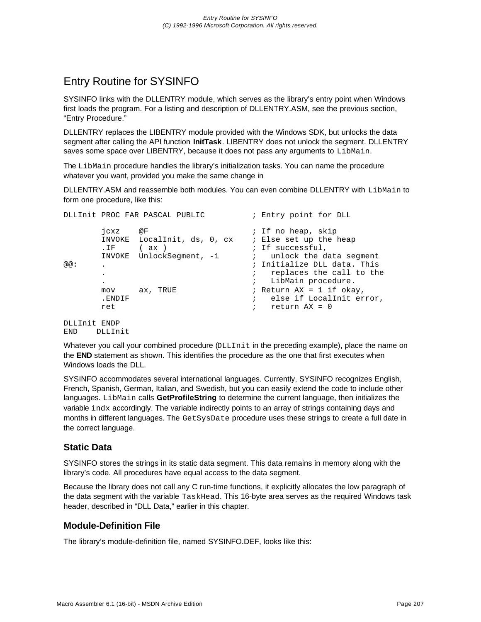# Entry Routine for SYSINFO

SYSINFO links with the DLLENTRY module, which serves as the library's entry point when Windows first loads the program. For a listing and description of DLLENTRY.ASM, see the previous section, "Entry Procedure."

DLLENTRY replaces the LIBENTRY module provided with the Windows SDK, but unlocks the data segment after calling the API function **InitTask**. LIBENTRY does not unlock the segment. DLLENTRY saves some space over LIBENTRY, because it does not pass any arguments to LibMain.

The LibMain procedure handles the library's initialization tasks. You can name the procedure whatever you want, provided you make the same change in

DLLENTRY.ASM and reassemble both modules. You can even combine DLLENTRY with LibMain to form one procedure, like this:

```
DLLInit PROC FAR PASCAL PUBLIC \qquad ; Entry point for DLL
 jcxz @F ; If no heap, skip
 INVOKE LocalInit, ds, 0, cx ; Else set up the heap
IF (ax ) \qquad ; If successful,
 INVOKE UnlockSegment, -1 ; unlock the data segment
@@: . ; Initialize DLL data. This
                                 % replaces the call to the<br>Wild the procedure.
                                   LibMain procedure.
      mov ax, TRUE ; Return AX = 1 if okay,<br>ENDIF ; else if LocalInit er.
                                   else if LocalInit error,
      ret \qquad \qquad ; \qquad return AX = 0
DLLInit ENDP
```
END DLLInit

Whatever you call your combined procedure (DLLInit in the preceding example), place the name on the **END** statement as shown. This identifies the procedure as the one that first executes when Windows loads the DLL.

SYSINFO accommodates several international languages. Currently, SYSINFO recognizes English, French, Spanish, German, Italian, and Swedish, but you can easily extend the code to include other languages. LibMain calls **GetProfileString** to determine the current language, then initializes the variable indx accordingly. The variable indirectly points to an array of strings containing days and months in different languages. The GetSysDate procedure uses these strings to create a full date in the correct language.

#### **Static Data**

SYSINFO stores the strings in its static data segment. This data remains in memory along with the library's code. All procedures have equal access to the data segment.

Because the library does not call any C run-time functions, it explicitly allocates the low paragraph of the data segment with the variable TaskHead. This 16-byte area serves as the required Windows task header, described in "DLL Data," earlier in this chapter.

#### **Module-Definition File**

The library's module-definition file, named SYSINFO.DEF, looks like this: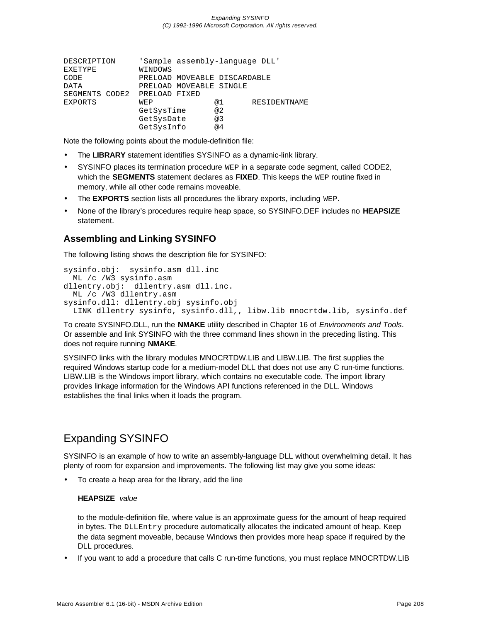| DESCRIPTION    | 'Sample assembly-language DLL' |    |              |
|----------------|--------------------------------|----|--------------|
| <b>EXETYPE</b> | WINDOWS                        |    |              |
| CODE           | PRELOAD MOVEABLE DISCARDABLE   |    |              |
| DATA           | PRELOAD MOVEABLE SINGLE        |    |              |
| SEGMENTS CODE2 | PRELOAD FIXED                  |    |              |
| <b>EXPORTS</b> | <b>WEP</b>                     | @1 | RESIDENTNAME |
|                | GetSysTime                     | @2 |              |
|                | GetSysDate                     | @3 |              |
|                | GetSysInfo                     | @4 |              |

Note the following points about the module-definition file:

- The **LIBRARY** statement identifies SYSINFO as a dynamic-link library.
- SYSINFO places its termination procedure WEP in a separate code segment, called CODE2, which the **SEGMENTS** statement declares as **FIXED**. This keeps the WEP routine fixed in memory, while all other code remains moveable.
- The **EXPORTS** section lists all procedures the library exports, including WEP.
- None of the library's procedures require heap space, so SYSINFO.DEF includes no **HEAPSIZE** statement.

#### **Assembling and Linking SYSINFO**

The following listing shows the description file for SYSINFO:

```
sysinfo.obj: sysinfo.asm dll.inc
  ML /c /W3 sysinfo.asm
dllentry.obj: dllentry.asm dll.inc.
  ML /c /W3 dllentry.asm
sysinfo.dll: dllentry.obj sysinfo.obj
   LINK dllentry sysinfo, sysinfo.dll,, libw.lib mnocrtdw.lib, sysinfo.def
```
To create SYSINFO.DLL, run the **NMAKE** utility described in Chapter 16 of *Environments and Tools*. Or assemble and link SYSINFO with the three command lines shown in the preceding listing. This does not require running **NMAKE**.

SYSINFO links with the library modules MNOCRTDW.LIB and LIBW.LIB. The first supplies the required Windows startup code for a medium-model DLL that does not use any C run-time functions. LIBW.LIB is the Windows import library, which contains no executable code. The import library provides linkage information for the Windows API functions referenced in the DLL. Windows establishes the final links when it loads the program.

#### Expanding SYSINFO

SYSINFO is an example of how to write an assembly-language DLL without overwhelming detail. It has plenty of room for expansion and improvements. The following list may give you some ideas:

• To create a heap area for the library, add the line

#### **HEAPSIZE** *value*

to the module-definition file, where value is an approximate guess for the amount of heap required in bytes. The DLLEntry procedure automatically allocates the indicated amount of heap. Keep the data segment moveable, because Windows then provides more heap space if required by the DLL procedures.

• If you want to add a procedure that calls C run-time functions, you must replace MNOCRTDW.LIB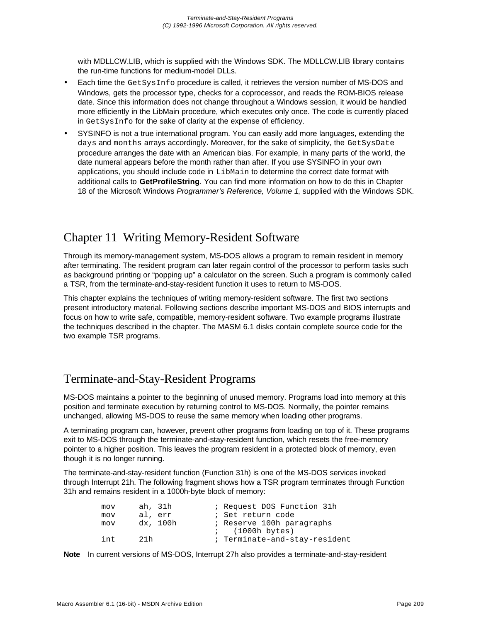with MDLLCW.LIB, which is supplied with the Windows SDK. The MDLLCW.LIB library contains the run-time functions for medium-model DLLs.

- Each time the GetSysInfo procedure is called, it retrieves the version number of MS-DOS and Windows, gets the processor type, checks for a coprocessor, and reads the ROM-BIOS release date. Since this information does not change throughout a Windows session, it would be handled more efficiently in the LibMain procedure, which executes only once. The code is currently placed in GetSysInfo for the sake of clarity at the expense of efficiency.
- SYSINFO is not a true international program. You can easily add more languages, extending the days and months arrays accordingly. Moreover, for the sake of simplicity, the GetSysDate procedure arranges the date with an American bias. For example, in many parts of the world, the date numeral appears before the month rather than after. If you use SYSINFO in your own applications, you should include code in LibMain to determine the correct date format with additional calls to **GetProfileString**. You can find more information on how to do this in Chapter 18 of the Microsoft Windows *Programmer's Reference, Volume 1*, supplied with the Windows SDK.

## Chapter 11 Writing Memory-Resident Software

Through its memory-management system, MS-DOS allows a program to remain resident in memory after terminating. The resident program can later regain control of the processor to perform tasks such as background printing or "popping up" a calculator on the screen. Such a program is commonly called a TSR, from the terminate-and-stay-resident function it uses to return to MS-DOS.

This chapter explains the techniques of writing memory-resident software. The first two sections present introductory material. Following sections describe important MS-DOS and BIOS interrupts and focus on how to write safe, compatible, memory-resident software. Two example programs illustrate the techniques described in the chapter. The MASM 6.1 disks contain complete source code for the two example TSR programs.

## Terminate-and-Stay-Resident Programs

MS-DOS maintains a pointer to the beginning of unused memory. Programs load into memory at this position and terminate execution by returning control to MS-DOS. Normally, the pointer remains unchanged, allowing MS-DOS to reuse the same memory when loading other programs.

A terminating program can, however, prevent other programs from loading on top of it. These programs exit to MS-DOS through the terminate-and-stay-resident function, which resets the free-memory pointer to a higher position. This leaves the program resident in a protected block of memory, even though it is no longer running.

The terminate-and-stay-resident function (Function 31h) is one of the MS-DOS services invoked through Interrupt 21h. The following fragment shows how a TSR program terminates through Function 31h and remains resident in a 1000h-byte block of memory:

| mov | ah, 31h  | ; Request DOS Function 31h    |
|-----|----------|-------------------------------|
| mov | al, err  | ; Set return code             |
| mov | dx, 100h | ; Reserve 100h paragraphs     |
|     |          | $:$ $(1000h \text{ bytes})$   |
| int | 21 h     | ; Terminate-and-stay-resident |

**Note** In current versions of MS-DOS, Interrupt 27h also provides a terminate-and-stay-resident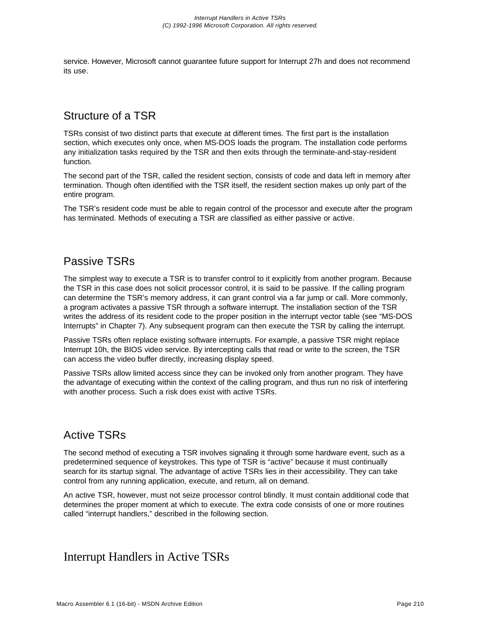service. However, Microsoft cannot guarantee future support for Interrupt 27h and does not recommend its use.

## Structure of a TSR

TSRs consist of two distinct parts that execute at different times. The first part is the installation section, which executes only once, when MS-DOS loads the program. The installation code performs any initialization tasks required by the TSR and then exits through the terminate-and-stay-resident function.

The second part of the TSR, called the resident section, consists of code and data left in memory after termination. Though often identified with the TSR itself, the resident section makes up only part of the entire program.

The TSR's resident code must be able to regain control of the processor and execute after the program has terminated. Methods of executing a TSR are classified as either passive or active.

### Passive TSRs

The simplest way to execute a TSR is to transfer control to it explicitly from another program. Because the TSR in this case does not solicit processor control, it is said to be passive. If the calling program can determine the TSR's memory address, it can grant control via a far jump or call. More commonly, a program activates a passive TSR through a software interrupt. The installation section of the TSR writes the address of its resident code to the proper position in the interrupt vector table (see "MS-DOS Interrupts" in Chapter 7). Any subsequent program can then execute the TSR by calling the interrupt.

Passive TSRs often replace existing software interrupts. For example, a passive TSR might replace Interrupt 10h, the BIOS video service. By intercepting calls that read or write to the screen, the TSR can access the video buffer directly, increasing display speed.

Passive TSRs allow limited access since they can be invoked only from another program. They have the advantage of executing within the context of the calling program, and thus run no risk of interfering with another process. Such a risk does exist with active TSRs.

### Active TSRs

The second method of executing a TSR involves signaling it through some hardware event, such as a predetermined sequence of keystrokes. This type of TSR is "active" because it must continually search for its startup signal. The advantage of active TSRs lies in their accessibility. They can take control from any running application, execute, and return, all on demand.

An active TSR, however, must not seize processor control blindly. It must contain additional code that determines the proper moment at which to execute. The extra code consists of one or more routines called "interrupt handlers," described in the following section.

## Interrupt Handlers in Active TSRs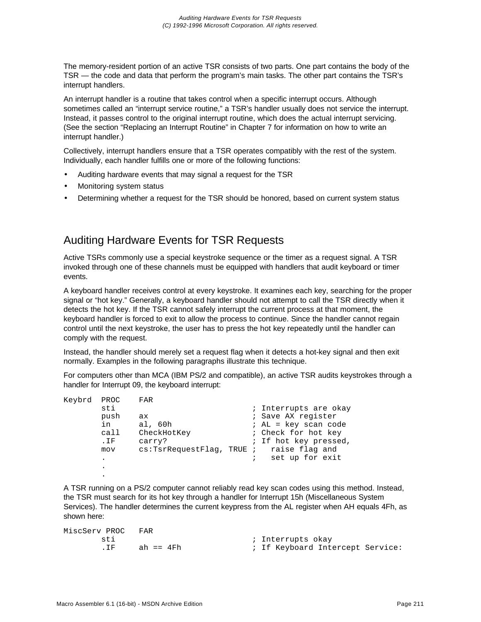The memory-resident portion of an active TSR consists of two parts. One part contains the body of the TSR — the code and data that perform the program's main tasks. The other part contains the TSR's interrupt handlers.

An interrupt handler is a routine that takes control when a specific interrupt occurs. Although sometimes called an "interrupt service routine," a TSR's handler usually does not service the interrupt. Instead, it passes control to the original interrupt routine, which does the actual interrupt servicing. (See the section "Replacing an Interrupt Routine" in Chapter 7 for information on how to write an interrupt handler.)

Collectively, interrupt handlers ensure that a TSR operates compatibly with the rest of the system. Individually, each handler fulfills one or more of the following functions:

- Auditing hardware events that may signal a request for the TSR
- Monitoring system status
- Determining whether a request for the TSR should be honored, based on current system status

#### Auditing Hardware Events for TSR Requests

Active TSRs commonly use a special keystroke sequence or the timer as a request signal. A TSR invoked through one of these channels must be equipped with handlers that audit keyboard or timer events.

A keyboard handler receives control at every keystroke. It examines each key, searching for the proper signal or "hot key." Generally, a keyboard handler should not attempt to call the TSR directly when it detects the hot key. If the TSR cannot safely interrupt the current process at that moment, the keyboard handler is forced to exit to allow the process to continue. Since the handler cannot regain control until the next keystroke, the user has to press the hot key repeatedly until the handler can comply with the request.

Instead, the handler should merely set a request flag when it detects a hot-key signal and then exit normally. Examples in the following paragraphs illustrate this technique.

For computers other than MCA (IBM PS/2 and compatible), an active TSR audits keystrokes through a handler for Interrupt 09, the keyboard interrupt:

| Keybrd | PROC | FAR                         |  |                        |
|--------|------|-----------------------------|--|------------------------|
|        | sti  |                             |  | ; Interrupts are okay  |
|        | push | ax                          |  | ; Save AX register     |
|        | in   | al, 60h                     |  | $I$ AL = key scan code |
|        | call | CheckHotKey                 |  | ; Check for hot key    |
|        | .IF  | carry?                      |  | ; If hot key pressed,  |
|        | mov  | $cs:TsrRequestFlag, TRUE$ ; |  | raise flag and         |
|        | ٠    |                             |  | set up for exit        |
|        | ٠    |                             |  |                        |
|        |      |                             |  |                        |

A TSR running on a PS/2 computer cannot reliably read key scan codes using this method. Instead, the TSR must search for its hot key through a handler for Interrupt 15h (Miscellaneous System Services). The handler determines the current keypress from the AL register when AH equals 4Fh, as shown here:

| MiscServ PROC FAR |                          |           |  |                   |                                  |  |
|-------------------|--------------------------|-----------|--|-------------------|----------------------------------|--|
| sti               |                          |           |  | ; Interrupts okay |                                  |  |
|                   | $\overline{A}$ . The set | ah == 4Fh |  |                   | : If Keyboard Intercept Service: |  |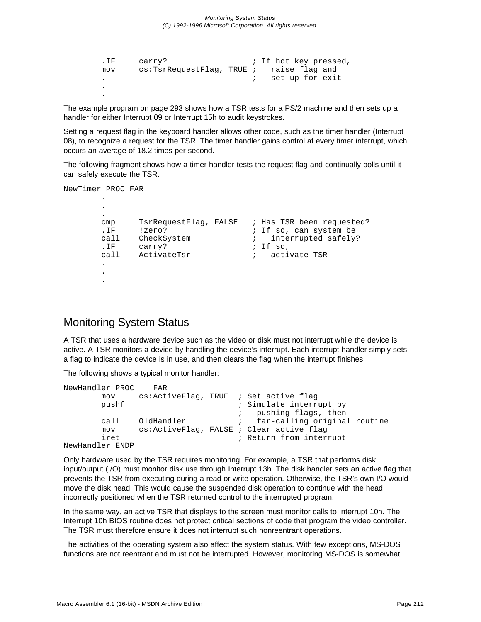```
.IF carry? \qquad \qquad ; If hot key pressed,
mov cs:TsrRequestFlag, TRUE ; raise flag and
      . The contract of the contract is set up for exit
 .
 .
```
The example program on page 293 shows how a TSR tests for a PS/2 machine and then sets up a handler for either Interrupt 09 or Interrupt 15h to audit keystrokes.

Setting a request flag in the keyboard handler allows other code, such as the timer handler (Interrupt 08), to recognize a request for the TSR. The timer handler gains control at every timer interrupt, which occurs an average of 18.2 times per second.

The following fragment shows how a timer handler tests the request flag and continually polls until it can safely execute the TSR.

```
NewTimer PROC FAR
 .
 .
 .
 cmp TsrRequestFlag, FALSE ; Has TSR been requested?
.IF : 2ero? The service of the service of the system be
 call CheckSystem ; interrupted safely?
.IF carry? \qquad \qquad ; If so,
call ActivateTsr \qquad \qquad ; \qquad activate TSR
 .
 .
 .
```
#### Monitoring System Status

A TSR that uses a hardware device such as the video or disk must not interrupt while the device is active. A TSR monitors a device by handling the device's interrupt. Each interrupt handler simply sets a flag to indicate the device is in use, and then clears the flag when the interrupt finishes.

The following shows a typical monitor handler:

```
NewHandler PROC FAR
      mov cs:ActiveFlag, TRUE ; Set active flag
      pushf \overline{\phantom{a}} ; Simulate interrupt by
 ; pushing flags, then
 call OldHandler ; far-calling original routine
 mov cs:ActiveFlag, FALSE ; Clear active flag
      iret \qquad \qquad ; Return from interrupt
NewHandler ENDP
```
Only hardware used by the TSR requires monitoring. For example, a TSR that performs disk input/output (I/O) must monitor disk use through Interrupt 13h. The disk handler sets an active flag that prevents the TSR from executing during a read or write operation. Otherwise, the TSR's own I/O would move the disk head. This would cause the suspended disk operation to continue with the head incorrectly positioned when the TSR returned control to the interrupted program.

In the same way, an active TSR that displays to the screen must monitor calls to Interrupt 10h. The Interrupt 10h BIOS routine does not protect critical sections of code that program the video controller. The TSR must therefore ensure it does not interrupt such nonreentrant operations.

The activities of the operating system also affect the system status. With few exceptions, MS-DOS functions are not reentrant and must not be interrupted. However, monitoring MS-DOS is somewhat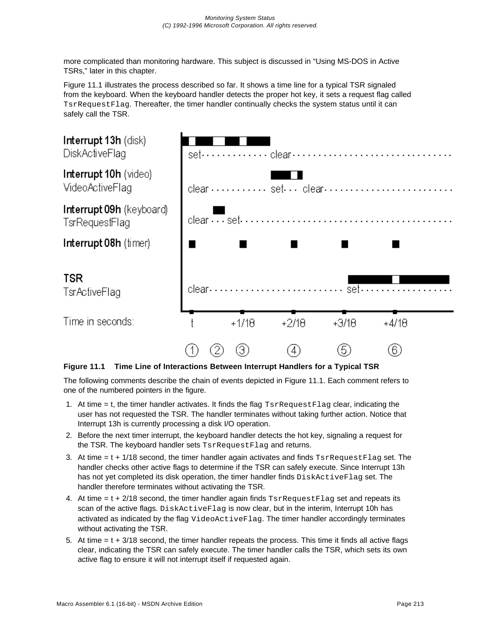more complicated than monitoring hardware. This subject is discussed in "Using MS-DOS in Active TSRs," later in this chapter.

Figure 11.1 illustrates the process described so far. It shows a time line for a typical TSR signaled from the keyboard. When the keyboard handler detects the proper hot key, it sets a request flag called TsrRequestFlag. Thereafter, the timer handler continually checks the system status until it can safely call the TSR.



#### **Figure 11.1 Time Line of Interactions Between Interrupt Handlers for a Typical TSR**

The following comments describe the chain of events depicted in Figure 11.1. Each comment refers to one of the numbered pointers in the figure.

- 1. At time  $=$  t, the timer handler activates. It finds the flag  $\text{TsrRequestFlag}$  clear, indicating the user has not requested the TSR. The handler terminates without taking further action. Notice that Interrupt 13h is currently processing a disk I/O operation.
- 2. Before the next timer interrupt, the keyboard handler detects the hot key, signaling a request for the TSR. The keyboard handler sets TsrRequestFlag and returns.
- 3. At time  $= t + 1/18$  second, the timer handler again activates and finds  $TsrRequestFlag$  set. The handler checks other active flags to determine if the TSR can safely execute. Since Interrupt 13h has not yet completed its disk operation, the timer handler finds DiskActiveFlag set. The handler therefore terminates without activating the TSR.
- 4. At time  $=$  t + 2/18 second, the timer handler again finds  $TsrRequestFlag$  set and repeats its scan of the active flags. DiskActiveFlag is now clear, but in the interim, Interrupt 10h has activated as indicated by the flag VideoActiveFlag. The timer handler accordingly terminates without activating the TSR.
- 5. At time  $= t + 3/18$  second, the timer handler repeats the process. This time it finds all active flags clear, indicating the TSR can safely execute. The timer handler calls the TSR, which sets its own active flag to ensure it will not interrupt itself if requested again.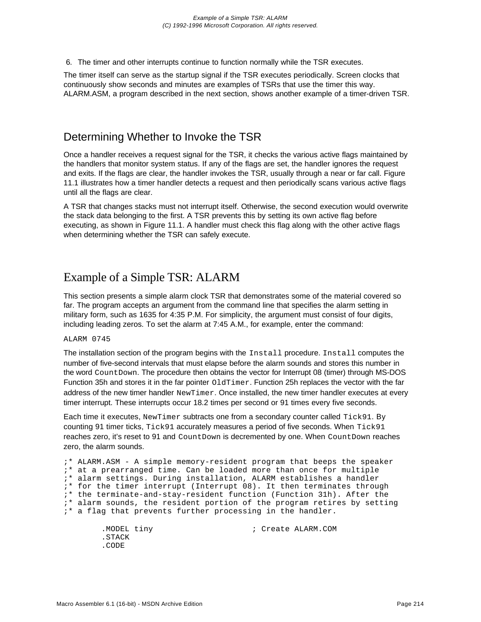6. The timer and other interrupts continue to function normally while the TSR executes.

The timer itself can serve as the startup signal if the TSR executes periodically. Screen clocks that continuously show seconds and minutes are examples of TSRs that use the timer this way. ALARM.ASM, a program described in the next section, shows another example of a timer-driven TSR.

#### Determining Whether to Invoke the TSR

Once a handler receives a request signal for the TSR, it checks the various active flags maintained by the handlers that monitor system status. If any of the flags are set, the handler ignores the request and exits. If the flags are clear, the handler invokes the TSR, usually through a near or far call. Figure 11.1 illustrates how a timer handler detects a request and then periodically scans various active flags until all the flags are clear.

A TSR that changes stacks must not interrupt itself. Otherwise, the second execution would overwrite the stack data belonging to the first. A TSR prevents this by setting its own active flag before executing, as shown in Figure 11.1. A handler must check this flag along with the other active flags when determining whether the TSR can safely execute.

## Example of a Simple TSR: ALARM

This section presents a simple alarm clock TSR that demonstrates some of the material covered so far. The program accepts an argument from the command line that specifies the alarm setting in military form, such as 1635 for 4:35 P.M. For simplicity, the argument must consist of four digits, including leading zeros. To set the alarm at 7:45 A.M., for example, enter the command:

#### ALARM 0745

The installation section of the program begins with the Install procedure. Install computes the number of five-second intervals that must elapse before the alarm sounds and stores this number in the word CountDown. The procedure then obtains the vector for Interrupt 08 (timer) through MS-DOS Function 35h and stores it in the far pointer  $\text{oldTimer}$ . Function 25h replaces the vector with the far address of the new timer handler NewTimer. Once installed, the new timer handler executes at every timer interrupt. These interrupts occur 18.2 times per second or 91 times every five seconds.

Each time it executes, NewTimer subtracts one from a secondary counter called Tick91. By counting 91 timer ticks, Tick91 accurately measures a period of five seconds. When Tick91 reaches zero, it's reset to 91 and CountDown is decremented by one. When CountDown reaches zero, the alarm sounds.

```
;* ALARM.ASM - A simple memory-resident program that beeps the speaker
;* at a prearranged time. Can be loaded more than once for multiple
;* alarm settings. During installation, ALARM establishes a handler
;* for the timer interrupt (Interrupt 08). It then terminates through
;* the terminate-and-stay-resident function (Function 31h). After the
;* alarm sounds, the resident portion of the program retires by setting
;* a flag that prevents further processing in the handler.
```

```
 .MODEL tiny ; Create ALARM.COM
 .STACK
 .CODE
```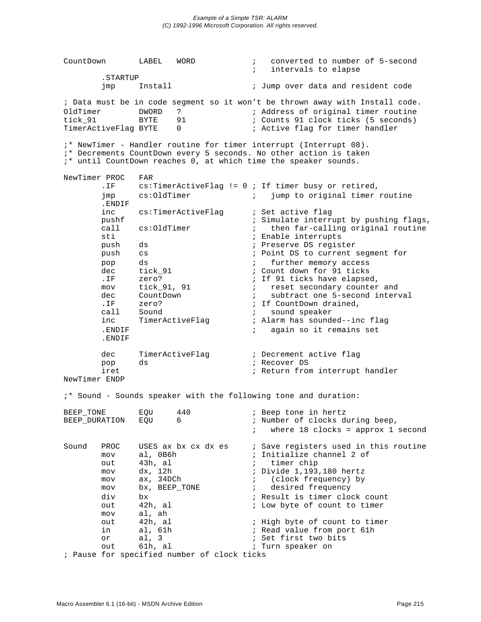CountDown LABEL WORD ; converted to number of 5-second ; intervals to elapse .STARTUP<br>imp Install jmp Install ; Jump over data and resident code ; Data must be in code segment so it won't be thrown away with Install code. OldTimer DWORD ? ; Address of original timer routine tick\_91 BYTE 91 ; Counts 91 clock ticks (5 seconds) ; Active flag for timer handler ;\* NewTimer - Handler routine for timer interrupt (Interrupt 08). ;\* Decrements CountDown every 5 seconds. No other action is taken ;\* until CountDown reaches 0, at which time the speaker sounds. NewTimer PROC FAR .IF cs:TimerActiveFlag != 0 ; If timer busy or retired, jmp cs:OldTimer ; jump to original timer routine .ENDIF<br>inc inc cs:TimerActiveFlag ; Set active flag<br>pushf ; Simulate interru pushf<br>call cs:OldTimer ; Simulate interrupt by pushing flags,<br>i then far-calling original routine call cs:OldTimer ; then far-calling original routine<br>sti ; Enable interrupts sti ; Enable interrupts ; Preserve DS register push cs ; Point DS to current segment for pop ds ; further memory access dec tick 91  $\qquad$  ; Count down for 91 ticks .IF zero? ; If 91 ticks have elapsed,<br>mov tick 91, 91 ; reset secondary counter mov tick\_91, 91 ; reset secondary counter and dec CountDown ; subtract one 5-second inter dec CountDown ; subtract one 5-second interval<br>
.IF zero?<br>
; If CountDown drained, zero?  $\begin{array}{ccc} i & \text{if CountDown drained,} \\ 5 & \text{ound} & \text{seaker} \end{array}$ call Sound<br>
inc TimerActiveFlag ; Alarm has sound inc TimerActiveFlag : Alarm has sounded--inc flag .ENDIF ; again so it remains set .ENDIF dec TimerActiveFlag **in Sear** ; Decrement active flag pop ds ; Recover DS ; Return from interrupt handler NewTimer ENDP ;\* Sound - Sounds speaker with the following tone and duration: BEEP TONE EQU 440 ; Beep tone in hertz BEEP\_DURATION EQU 6 ; Number of clocks during beep, ; where 18 clocks = approx 1 second Sound PROC USES ax bx cx dx es <br>mov al, 0B6h <br> Initialize channel 2 of mov al, 0B6h ; Initialize channel 2 of<br>
out 43h, al ; timer chip out 43h, al  $\qquad \qquad i$  timer chip<br>mov dx, 12h  $\qquad \qquad i$  Divide 1,193 dx, 12h ; Divide 1,193,180 hertz<br>ax, 34DCh ; (clock frequency) by mov ax, 34DCh ; (clock frequency) by<br>mov bx, BEEP\_TONE ; desired frequency mov bx, BEEP\_TONE : desired frequency div bx  $\begin{array}{ccc} i & \text{Result} & i \text{ time} \text{ clock count} \\ -42\text{ h}, \text{ al} & i \text{ Low byte of count to timer} \end{array}$ out 42h, al  $\qquad \qquad$  ; Low byte of count to timer mov al, ah<br>out 42h, al out 42h, al ; High byte of count to timer in al, 61h  $\begin{array}{ccc} i & i & R$  i Read value from port 61h or al, 3 or al, 3  $\cdot$  i Set first two bits<br>out 61h, al  $\cdot$  ; Turn speaker on out 61h, al  $\qquad \qquad$  ; Turn speaker on ; Pause for specified number of clock ticks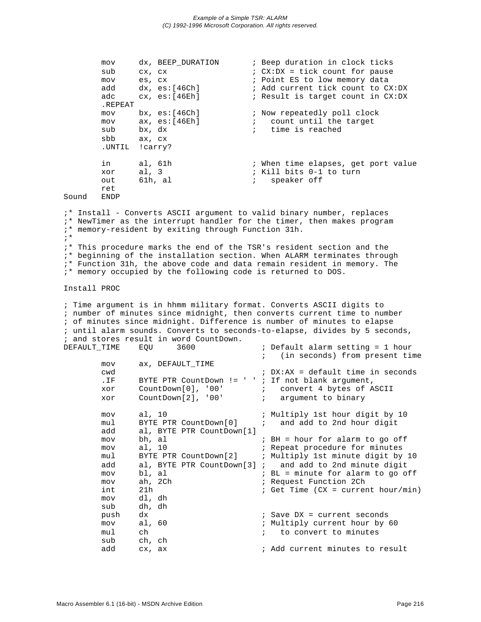#### *Example of a Simple TSR: ALARM (C) 1992-1996 Microsoft Corporation. All rights reserved.*

mov dx, BEEP DURATION ; Beep duration in clock ticks sub cx, cx  $;$  CX:DX = tick count for pause mov es, cx  $i$  Point ES to low memory data<br>add dx, es: [46Ch]  $i$  Add current tick count to C add dx, es: [46Ch] ; Add current tick count to CX:DX adc cx, es: [46Eh] ; Result is target count in CX:DX .REPEAT mov bx, es:[46Ch] ; Now repeatedly poll clock mov ax, es: [46Eh] ; count until the target sub bx, dx  $\qquad \qquad ; \qquad$  time is reached sbb ax, cx .UNTIL !carry? in al, 61h ; When time elapses, get port value<br>xor al, 3 ; Kill bits 0-1 to turn xor al, 3  $\cdot$  ; Kill bits 0-1 to turn<br>out 61h, al  $\cdot$  ; speaker off out 61h, al  $\qquad \qquad$  ; speaker off ret Sound ENDP ;\* Install - Converts ASCII argument to valid binary number, replaces ;\* NewTimer as the interrupt handler for the timer, then makes program ;\* memory-resident by exiting through Function 31h. ;\* ;\* This procedure marks the end of the TSR's resident section and the ;\* beginning of the installation section. When ALARM terminates through ;\* Function 31h, the above code and data remain resident in memory. The ;\* memory occupied by the following code is returned to DOS. Install PROC ; Time argument is in hhmm military format. Converts ASCII digits to ; number of minutes since midnight, then converts current time to number ; of minutes since midnight. Difference is number of minutes to elapse ; until alarm sounds. Converts to seconds-to-elapse, divides by 5 seconds, %; and stores result in word CountDown.<br>DEFAULT TIME EQU 3600 EQU 3600 ; Default alarm setting = 1 hour ; (in seconds) from present time mov ax, DEFAULT\_TIME cwd ; DX:AX = default time in seconds .IF BYTE PTR CountDown != ' ' ; If not blank argument,<br>xor CountDown[0], '00' ; convert 4 bytes of A xor CountDown[0], '00' ; convert 4 bytes of ASCII xor CountDown[2], '00' ; argument to binary mov al, 10  $\qquad \qquad$  ; Multiply 1st hour digit by 10  $\qquad \qquad$  mul BYTE PTR CountDown[0]  $\qquad \qquad$  and add to 2nd hour digit mul BYTE PTR CountDown[0] ; and add to 2nd hour digit add al, BYTE PTR CountDown[1] add al, BYTE PTR CountDown[1]<br>mov bh. al bh, al ; BH = hour for alarm to go off al, 10 ; Repeat procedure for minutes mov al, 10  $\blacksquare$  ; Repeat procedure for minutes mul BYTE PTR CountDown[2] ; Multiply 1st minute digit by 10 add al, BYTE PTR CountDown[3] ; and add to 2nd minute digit mov bl, al  $\qquad \qquad$  ; BL = minute for alarm to go off mov ah, 2Ch ; Request Function 2Ch int 21h int 21h ; Get Time (CX = current hour/min) mov dl, dh sub dh, dh push dx  $\cdot$  Save DX = current seconds mov al, 60 ; Multiply current hour by 60 mul ch  $\qquad \qquad ; \qquad \text{to convert to minutes}$  sub ch, ch add cx, ax  $\qquad \qquad ;$  Add current minutes to result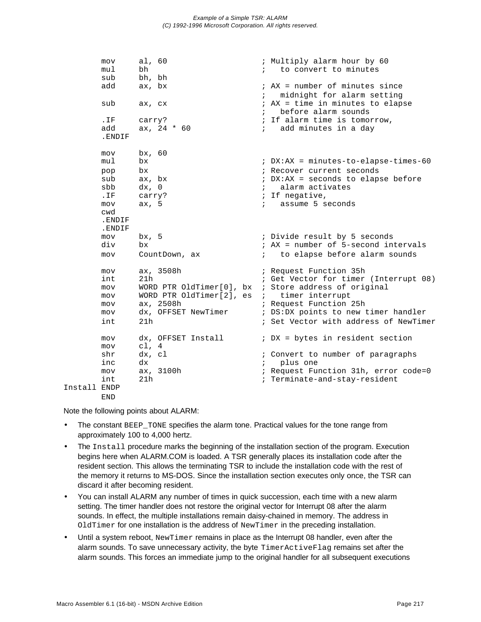```
mov al, 60 ; Multiply alarm hour by 60
      mul bh \qquad \qquad ; to convert to minutes
      sub bh, bh<br>add ax, bx
      add ax, bx ; AX = number of minutes since ; midnight for alarm setting
      sub ax, cx ; AX = time in minutes to elapse ; before alarm sounds
      The carry?<br>add ax, 24 * 60 . The add minutes in a day
                                      add minutes in a day
        .ENDIF
       mov bx, 60
       mul bx ; DX:AX = minutes-to-elapse-times-60
       pop bx ; Recover current seconds
      sub ax, bx \cdot i DX:AX = seconds to elapse before
      sbb dx, 0 \cdot if alarm activates <br>
.IF carry? \cdot if negative.
             carry? \qquad \qquad ; \text{ If negative,}mov ax, 5 \qquad \qquad ; assume 5 seconds
       cwd
        .ENDIF
      .ENDIF<br>mov
      mov bx, 5 ; Divide result by 5 seconds<br>div bx : AX = number of 5-second in
             bx i AX = number of 5-second intervals
      mov CountDown, ax \qquad \qquad ; \qquad to elapse before alarm sounds
      mov ax, 3508h ; Request Function 35h
      int 21h                           ; Get Vector for timer (Interrupt 08)
       mov WORD PTR OldTimer[0], bx ; Store address of original
       mov WORD PTR OldTimer[2], es ; timer interrupt
       mov ax, 2508h ; Request Function 25h
       mov dx, OFFSET NewTimer ; DS:DX points to new timer handler
      int 21h                                 ; Set Vector with address of NewTimer
       mov dx, OFFSET Install ; DX = bytes in resident section
      mov cl, 4<br>shr dx, cl
      shr dx, cl \cdot ; Convert to number of paragraphs
      inc dx <br>mov ax, 3100h <br>i Request Fu
      mov ax, 3100h ; Request Function 31h, error code=0
      int 21h                                 ; Terminate-and-stay-resident
Install ENDP
       END
```
Note the following points about ALARM:

- The constant BEEP\_TONE specifies the alarm tone. Practical values for the tone range from approximately 100 to 4,000 hertz.
- The Install procedure marks the beginning of the installation section of the program. Execution begins here when ALARM.COM is loaded. A TSR generally places its installation code after the resident section. This allows the terminating TSR to include the installation code with the rest of the memory it returns to MS-DOS. Since the installation section executes only once, the TSR can discard it after becoming resident.
- You can install ALARM any number of times in quick succession, each time with a new alarm setting. The timer handler does not restore the original vector for Interrupt 08 after the alarm sounds. In effect, the multiple installations remain daisy-chained in memory. The address in OldTimer for one installation is the address of NewTimer in the preceding installation.
- Until a system reboot, NewTimer remains in place as the Interrupt 08 handler, even after the alarm sounds. To save unnecessary activity, the byte TimerActiveFlag remains set after the alarm sounds. This forces an immediate jump to the original handler for all subsequent executions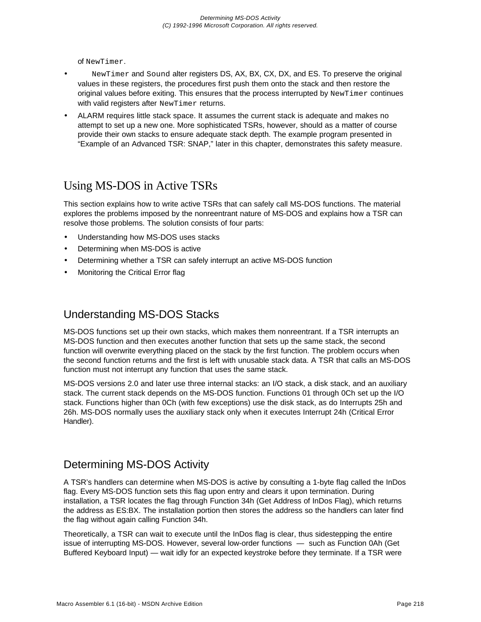of NewTimer.

- NewTimer and Sound alter registers DS, AX, BX, CX, DX, and ES. To preserve the original values in these registers, the procedures first push them onto the stack and then restore the original values before exiting. This ensures that the process interrupted by NewTimer continues with valid registers after NewTimer returns.
- ALARM requires little stack space. It assumes the current stack is adequate and makes no attempt to set up a new one. More sophisticated TSRs, however, should as a matter of course provide their own stacks to ensure adequate stack depth. The example program presented in "Example of an Advanced TSR: SNAP," later in this chapter, demonstrates this safety measure.

# Using MS-DOS in Active TSRs

This section explains how to write active TSRs that can safely call MS-DOS functions. The material explores the problems imposed by the nonreentrant nature of MS-DOS and explains how a TSR can resolve those problems. The solution consists of four parts:

- Understanding how MS-DOS uses stacks
- Determining when MS-DOS is active
- Determining whether a TSR can safely interrupt an active MS-DOS function
- Monitoring the Critical Error flag

## Understanding MS-DOS Stacks

MS-DOS functions set up their own stacks, which makes them nonreentrant. If a TSR interrupts an MS-DOS function and then executes another function that sets up the same stack, the second function will overwrite everything placed on the stack by the first function. The problem occurs when the second function returns and the first is left with unusable stack data. A TSR that calls an MS-DOS function must not interrupt any function that uses the same stack.

MS-DOS versions 2.0 and later use three internal stacks: an I/O stack, a disk stack, and an auxiliary stack. The current stack depends on the MS-DOS function. Functions 01 through 0Ch set up the I/O stack. Functions higher than 0Ch (with few exceptions) use the disk stack, as do Interrupts 25h and 26h. MS-DOS normally uses the auxiliary stack only when it executes Interrupt 24h (Critical Error Handler).

## Determining MS-DOS Activity

A TSR's handlers can determine when MS-DOS is active by consulting a 1-byte flag called the InDos flag. Every MS-DOS function sets this flag upon entry and clears it upon termination. During installation, a TSR locates the flag through Function 34h (Get Address of InDos Flag), which returns the address as ES:BX. The installation portion then stores the address so the handlers can later find the flag without again calling Function 34h.

Theoretically, a TSR can wait to execute until the InDos flag is clear, thus sidestepping the entire issue of interrupting MS-DOS. However, several low-order functions — such as Function 0Ah (Get Buffered Keyboard Input) — wait idly for an expected keystroke before they terminate. If a TSR were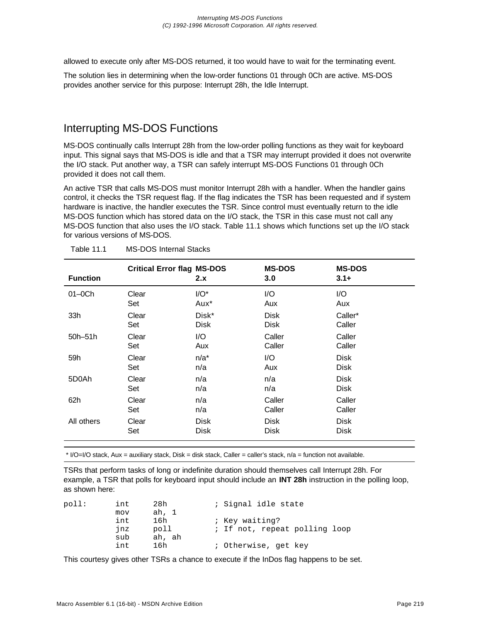allowed to execute only after MS-DOS returned, it too would have to wait for the terminating event.

The solution lies in determining when the low-order functions 01 through 0Ch are active. MS-DOS provides another service for this purpose: Interrupt 28h, the Idle Interrupt.

## Interrupting MS-DOS Functions

MS-DOS continually calls Interrupt 28h from the low-order polling functions as they wait for keyboard input. This signal says that MS-DOS is idle and that a TSR may interrupt provided it does not overwrite the I/O stack. Put another way, a TSR can safely interrupt MS-DOS Functions 01 through 0Ch provided it does not call them.

An active TSR that calls MS-DOS must monitor Interrupt 28h with a handler. When the handler gains control, it checks the TSR request flag. If the flag indicates the TSR has been requested and if system hardware is inactive, the handler executes the TSR. Since control must eventually return to the idle MS-DOS function which has stored data on the I/O stack, the TSR in this case must not call any MS-DOS function that also uses the I/O stack. Table 11.1 shows which functions set up the I/O stack for various versions of MS-DOS.

| <b>Function</b> | <b>Critical Error flag MS-DOS</b> | 2.x         | <b>MS-DOS</b><br>3.0 | <b>MS-DOS</b><br>$3.1+$ |
|-----------------|-----------------------------------|-------------|----------------------|-------------------------|
| $01 - 0$ Ch     | Clear                             | $I/O^*$     | I/O                  | 1/O                     |
|                 | Set                               | Aux*        | Aux                  | Aux                     |
| 33h             | Clear                             | Disk*       | <b>Disk</b>          | Caller*                 |
|                 | Set                               | <b>Disk</b> | Disk                 | Caller                  |
| $50h - 51h$     | Clear                             | 1/O         | Caller               | Caller                  |
|                 | Set                               | Aux         | Caller               | Caller                  |
| 59h             | Clear                             | $n/a^*$     | I/O                  | <b>Disk</b>             |
|                 | Set                               | n/a         | Aux                  | <b>Disk</b>             |
| 5D0Ah           | Clear                             | n/a         | n/a                  | <b>Disk</b>             |
|                 | Set                               | n/a         | n/a                  | Disk                    |
| 62h             | Clear                             | n/a         | Caller               | Caller                  |
|                 | Set                               | n/a         | Caller               | Caller                  |
| All others      | Clear                             | <b>Disk</b> | <b>Disk</b>          | Disk                    |
|                 | Set                               | Disk        | Disk                 | Disk                    |

Table 11.1 MS-DOS Internal Stacks

\* I/O=I/O stack, Aux = auxiliary stack, Disk = disk stack, Caller = caller's stack, n/a = function not available.

TSRs that perform tasks of long or indefinite duration should themselves call Interrupt 28h. For example, a TSR that polls for keyboard input should include an **INT 28h** instruction in the polling loop, as shown here:

| poll: | int | 28h    | ; Signal idle state           |
|-------|-----|--------|-------------------------------|
|       | mov | ah, 1  |                               |
|       | int | 16h    | ; Key waiting?                |
|       | inz | poll   | ; If not, repeat polling loop |
|       | sub | ah, ah |                               |
|       | int | 16h    | ; Otherwise, get key          |

This courtesy gives other TSRs a chance to execute if the InDos flag happens to be set.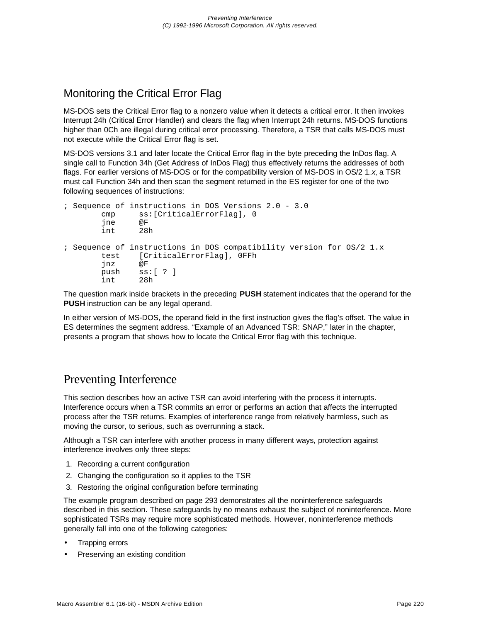# Monitoring the Critical Error Flag

MS-DOS sets the Critical Error flag to a nonzero value when it detects a critical error. It then invokes Interrupt 24h (Critical Error Handler) and clears the flag when Interrupt 24h returns. MS-DOS functions higher than 0Ch are illegal during critical error processing. Therefore, a TSR that calls MS-DOS must not execute while the Critical Error flag is set.

MS-DOS versions 3.1 and later locate the Critical Error flag in the byte preceding the InDos flag. A single call to Function 34h (Get Address of InDos Flag) thus effectively returns the addresses of both flags. For earlier versions of MS-DOS or for the compatibility version of MS-DOS in OS/2 1.*x*, a TSR must call Function 34h and then scan the segment returned in the ES register for one of the two following sequences of instructions:

```
; Sequence of instructions in DOS Versions 2.0 - 3.0
        cmp ss:[CriticalErrorFlag], 0
        jne @F
        int 28h
; Sequence of instructions in DOS compatibility version for OS/2 1.x
        test [CriticalErrorFlag], 0FFh 
        jnz @F
        push ss:[ ? ]
        int 28h
```
The question mark inside brackets in the preceding **PUSH** statement indicates that the operand for the **PUSH** instruction can be any legal operand.

In either version of MS-DOS, the operand field in the first instruction gives the flag's offset. The value in ES determines the segment address. "Example of an Advanced TSR: SNAP," later in the chapter, presents a program that shows how to locate the Critical Error flag with this technique.

# Preventing Interference

This section describes how an active TSR can avoid interfering with the process it interrupts. Interference occurs when a TSR commits an error or performs an action that affects the interrupted process after the TSR returns. Examples of interference range from relatively harmless, such as moving the cursor, to serious, such as overrunning a stack.

Although a TSR can interfere with another process in many different ways, protection against interference involves only three steps:

- 1. Recording a current configuration
- 2. Changing the configuration so it applies to the TSR
- 3. Restoring the original configuration before terminating

The example program described on page 293 demonstrates all the noninterference safeguards described in this section. These safeguards by no means exhaust the subject of noninterference. More sophisticated TSRs may require more sophisticated methods. However, noninterference methods generally fall into one of the following categories:

- Trapping errors
- Preserving an existing condition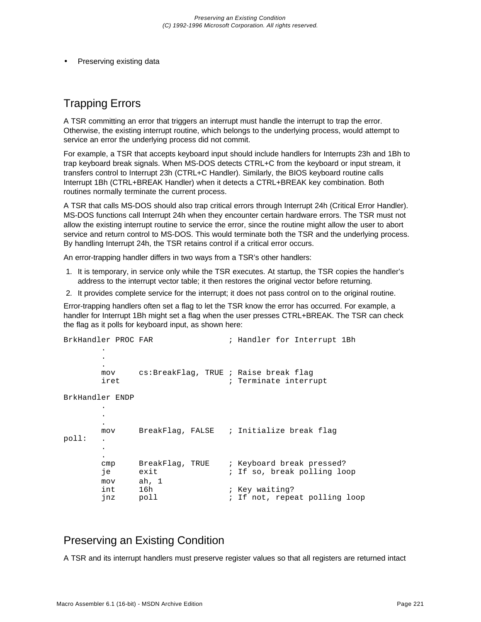• Preserving existing data

## Trapping Errors

A TSR committing an error that triggers an interrupt must handle the interrupt to trap the error. Otherwise, the existing interrupt routine, which belongs to the underlying process, would attempt to service an error the underlying process did not commit.

For example, a TSR that accepts keyboard input should include handlers for Interrupts 23h and 1Bh to trap keyboard break signals. When MS-DOS detects CTRL+C from the keyboard or input stream, it transfers control to Interrupt 23h (CTRL+C Handler). Similarly, the BIOS keyboard routine calls Interrupt 1Bh (CTRL+BREAK Handler) when it detects a CTRL+BREAK key combination. Both routines normally terminate the current process.

A TSR that calls MS-DOS should also trap critical errors through Interrupt 24h (Critical Error Handler). MS-DOS functions call Interrupt 24h when they encounter certain hardware errors. The TSR must not allow the existing interrupt routine to service the error, since the routine might allow the user to abort service and return control to MS-DOS. This would terminate both the TSR and the underlying process. By handling Interrupt 24h, the TSR retains control if a critical error occurs.

An error-trapping handler differs in two ways from a TSR's other handlers:

- 1. It is temporary, in service only while the TSR executes. At startup, the TSR copies the handler's address to the interrupt vector table; it then restores the original vector before returning.
- 2. It provides complete service for the interrupt; it does not pass control on to the original routine.

Error-trapping handlers often set a flag to let the TSR know the error has occurred. For example, a handler for Interrupt 1Bh might set a flag when the user presses CTRL+BREAK. The TSR can check the flag as it polls for keyboard input, as shown here:

```
BrkHandler PROC FAR \qquad \qquad ; Handler for Interrupt 1Bh
 .
 .
 .
       mov cs:BreakFlag, TRUE ; Raise break flag
      iret \qquad \qquad ; Terminate interrupt
BrkHandler ENDP
 .
 .
 .
      mov BreakFlag, FALSE ; Initialize break flag
poll: .
 .
 .
       cmp BreakFlag, TRUE ; Keyboard break pressed?
       je exit ; If so, break polling loop
       mov ah, 1
      int 16h ; Key waiting?
       jnz poll ; If not, repeat polling loop
```
## Preserving an Existing Condition

A TSR and its interrupt handlers must preserve register values so that all registers are returned intact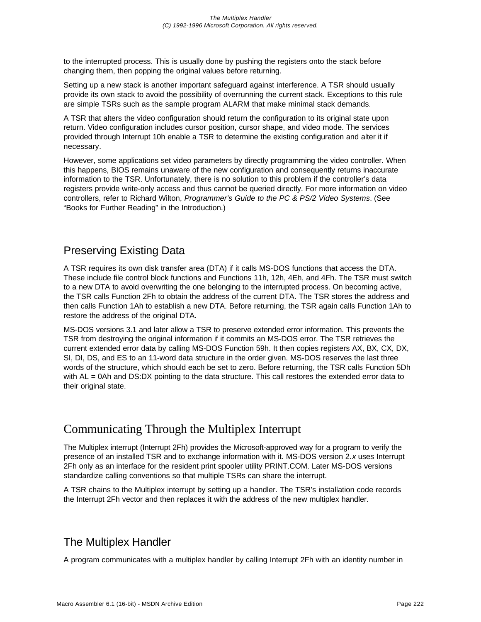to the interrupted process. This is usually done by pushing the registers onto the stack before changing them, then popping the original values before returning.

Setting up a new stack is another important safeguard against interference. A TSR should usually provide its own stack to avoid the possibility of overrunning the current stack. Exceptions to this rule are simple TSRs such as the sample program ALARM that make minimal stack demands.

A TSR that alters the video configuration should return the configuration to its original state upon return. Video configuration includes cursor position, cursor shape, and video mode. The services provided through Interrupt 10h enable a TSR to determine the existing configuration and alter it if necessary.

However, some applications set video parameters by directly programming the video controller. When this happens, BIOS remains unaware of the new configuration and consequently returns inaccurate information to the TSR. Unfortunately, there is no solution to this problem if the controller's data registers provide write-only access and thus cannot be queried directly. For more information on video controllers, refer to Richard Wilton, *Programmer's Guide to the PC & PS/2 Video Systems*. (See "Books for Further Reading" in the Introduction.)

## Preserving Existing Data

A TSR requires its own disk transfer area (DTA) if it calls MS-DOS functions that access the DTA. These include file control block functions and Functions 11h, 12h, 4Eh, and 4Fh. The TSR must switch to a new DTA to avoid overwriting the one belonging to the interrupted process. On becoming active, the TSR calls Function 2Fh to obtain the address of the current DTA. The TSR stores the address and then calls Function 1Ah to establish a new DTA. Before returning, the TSR again calls Function 1Ah to restore the address of the original DTA.

MS-DOS versions 3.1 and later allow a TSR to preserve extended error information. This prevents the TSR from destroying the original information if it commits an MS-DOS error. The TSR retrieves the current extended error data by calling MS-DOS Function 59h. It then copies registers AX, BX, CX, DX, SI, DI, DS, and ES to an 11-word data structure in the order given. MS-DOS reserves the last three words of the structure, which should each be set to zero. Before returning, the TSR calls Function 5Dh with AL = 0Ah and DS:DX pointing to the data structure. This call restores the extended error data to their original state.

# Communicating Through the Multiplex Interrupt

The Multiplex interrupt (Interrupt 2Fh) provides the Microsoft-approved way for a program to verify the presence of an installed TSR and to exchange information with it. MS-DOS version 2.*x* uses Interrupt 2Fh only as an interface for the resident print spooler utility PRINT.COM. Later MS-DOS versions standardize calling conventions so that multiple TSRs can share the interrupt.

A TSR chains to the Multiplex interrupt by setting up a handler. The TSR's installation code records the Interrupt 2Fh vector and then replaces it with the address of the new multiplex handler.

## The Multiplex Handler

A program communicates with a multiplex handler by calling Interrupt 2Fh with an identity number in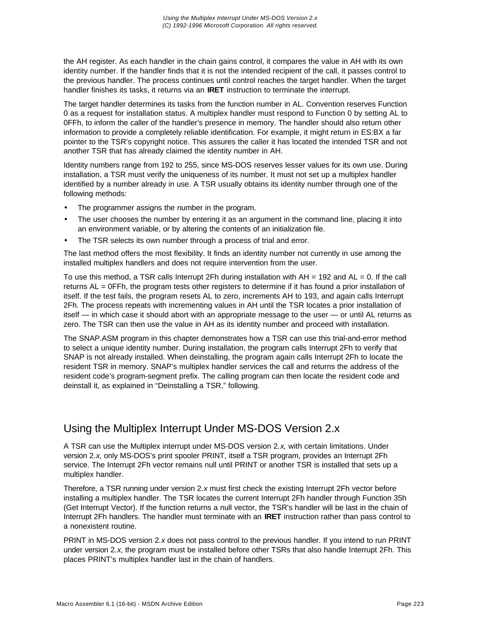the AH register. As each handler in the chain gains control, it compares the value in AH with its own identity number. If the handler finds that it is not the intended recipient of the call, it passes control to the previous handler. The process continues until control reaches the target handler. When the target handler finishes its tasks, it returns via an **IRET** instruction to terminate the interrupt.

The target handler determines its tasks from the function number in AL. Convention reserves Function 0 as a request for installation status. A multiplex handler must respond to Function 0 by setting AL to 0FFh, to inform the caller of the handler's presence in memory. The handler should also return other information to provide a completely reliable identification. For example, it might return in ES:BX a far pointer to the TSR's copyright notice. This assures the caller it has located the intended TSR and not another TSR that has already claimed the identity number in AH.

Identity numbers range from 192 to 255, since MS-DOS reserves lesser values for its own use. During installation, a TSR must verify the uniqueness of its number. It must not set up a multiplex handler identified by a number already in use. A TSR usually obtains its identity number through one of the following methods:

- The programmer assigns the number in the program.
- The user chooses the number by entering it as an argument in the command line, placing it into an environment variable, or by altering the contents of an initialization file.
- The TSR selects its own number through a process of trial and error.

The last method offers the most flexibility. It finds an identity number not currently in use among the installed multiplex handlers and does not require intervention from the user.

To use this method, a TSR calls Interrupt 2Fh during installation with  $AH = 192$  and  $AL = 0$ . If the call returns AL = 0FFh, the program tests other registers to determine if it has found a prior installation of itself. If the test fails, the program resets AL to zero, increments AH to 193, and again calls Interrupt 2Fh. The process repeats with incrementing values in AH until the TSR locates a prior installation of itself — in which case it should abort with an appropriate message to the user — or until AL returns as zero. The TSR can then use the value in AH as its identity number and proceed with installation.

The SNAP.ASM program in this chapter demonstrates how a TSR can use this trial-and-error method to select a unique identity number. During installation, the program calls Interrupt 2Fh to verify that SNAP is not already installed. When deinstalling, the program again calls Interrupt 2Fh to locate the resident TSR in memory. SNAP's multiplex handler services the call and returns the address of the resident code's program-segment prefix. The calling program can then locate the resident code and deinstall it, as explained in "Deinstalling a TSR," following.

## Using the Multiplex Interrupt Under MS-DOS Version 2.x

A TSR can use the Multiplex interrupt under MS-DOS version 2.*x,* with certain limitations. Under version 2.*x*, only MS-DOS's print spooler PRINT, itself a TSR program, provides an Interrupt 2Fh service. The Interrupt 2Fh vector remains null until PRINT or another TSR is installed that sets up a multiplex handler.

Therefore, a TSR running under version 2.*x* must first check the existing Interrupt 2Fh vector before installing a multiplex handler. The TSR locates the current Interrupt 2Fh handler through Function 35h (Get Interrupt Vector). If the function returns a null vector, the TSR's handler will be last in the chain of Interrupt 2Fh handlers. The handler must terminate with an **IRET** instruction rather than pass control to a nonexistent routine.

PRINT in MS-DOS version 2.*x* does not pass control to the previous handler. If you intend to run PRINT under version 2.*x*, the program must be installed before other TSRs that also handle Interrupt 2Fh. This places PRINT's multiplex handler last in the chain of handlers.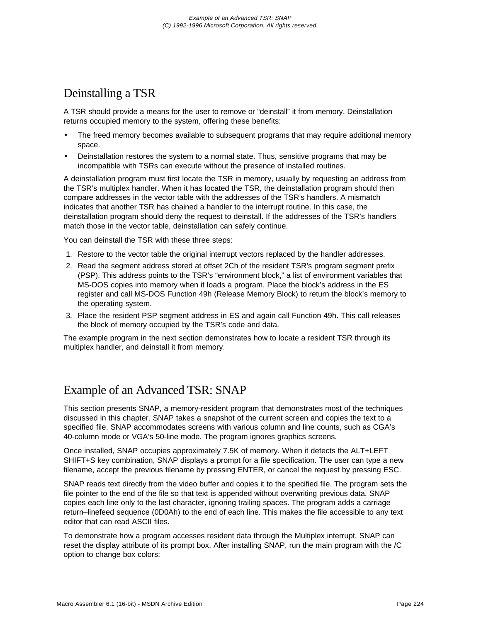## Deinstalling a TSR

A TSR should provide a means for the user to remove or "deinstall" it from memory. Deinstallation returns occupied memory to the system, offering these benefits:

- The freed memory becomes available to subsequent programs that may require additional memory space.
- Deinstallation restores the system to a normal state. Thus, sensitive programs that may be incompatible with TSRs can execute without the presence of installed routines.

A deinstallation program must first locate the TSR in memory, usually by requesting an address from the TSR's multiplex handler. When it has located the TSR, the deinstallation program should then compare addresses in the vector table with the addresses of the TSR's handlers. A mismatch indicates that another TSR has chained a handler to the interrupt routine. In this case, the deinstallation program should deny the request to deinstall. If the addresses of the TSR's handlers match those in the vector table, deinstallation can safely continue.

You can deinstall the TSR with these three steps:

- 1. Restore to the vector table the original interrupt vectors replaced by the handler addresses.
- 2. Read the segment address stored at offset 2Ch of the resident TSR's program segment prefix (PSP). This address points to the TSR's "environment block," a list of environment variables that MS-DOS copies into memory when it loads a program. Place the block's address in the ES register and call MS-DOS Function 49h (Release Memory Block) to return the block's memory to the operating system.
- 3. Place the resident PSP segment address in ES and again call Function 49h. This call releases the block of memory occupied by the TSR's code and data.

The example program in the next section demonstrates how to locate a resident TSR through its multiplex handler, and deinstall it from memory.

## Example of an Advanced TSR: SNAP

This section presents SNAP, a memory-resident program that demonstrates most of the techniques discussed in this chapter. SNAP takes a snapshot of the current screen and copies the text to a specified file. SNAP accommodates screens with various column and line counts, such as CGA's 40-column mode or VGA's 50-line mode. The program ignores graphics screens.

Once installed, SNAP occupies approximately 7.5K of memory. When it detects the ALT+LEFT SHIFT+S key combination, SNAP displays a prompt for a file specification. The user can type a new filename, accept the previous filename by pressing ENTER, or cancel the request by pressing ESC.

SNAP reads text directly from the video buffer and copies it to the specified file. The program sets the file pointer to the end of the file so that text is appended without overwriting previous data. SNAP copies each line only to the last character, ignoring trailing spaces. The program adds a carriage return–linefeed sequence (0D0Ah) to the end of each line. This makes the file accessible to any text editor that can read ASCII files.

To demonstrate how a program accesses resident data through the Multiplex interrupt, SNAP can reset the display attribute of its prompt box. After installing SNAP, run the main program with the /C option to change box colors: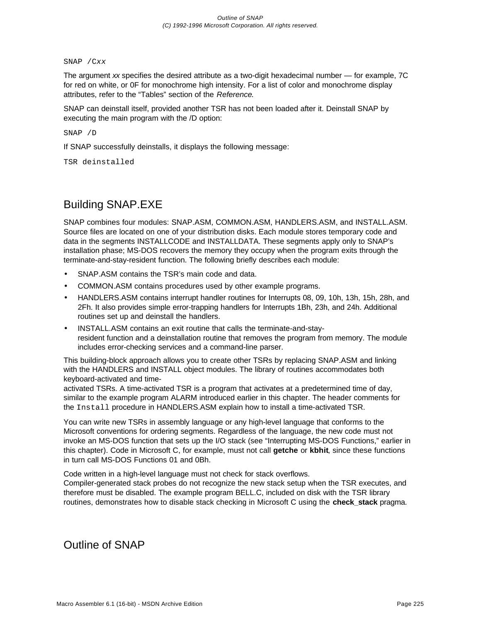#### SNAP /C*xx*

The argument *xx* specifies the desired attribute as a two-digit hexadecimal number — for example, 7C for red on white, or 0F for monochrome high intensity. For a list of color and monochrome display attributes, refer to the "Tables" section of the *Reference*.

SNAP can deinstall itself, provided another TSR has not been loaded after it. Deinstall SNAP by executing the main program with the /D option:

#### SNAP /D

If SNAP successfully deinstalls, it displays the following message:

TSR deinstalled

## Building SNAP.EXE

SNAP combines four modules: SNAP.ASM, COMMON.ASM, HANDLERS.ASM, and INSTALL.ASM. Source files are located on one of your distribution disks. Each module stores temporary code and data in the segments INSTALLCODE and INSTALLDATA. These segments apply only to SNAP's installation phase; MS-DOS recovers the memory they occupy when the program exits through the terminate-and-stay-resident function. The following briefly describes each module:

- SNAP.ASM contains the TSR's main code and data.
- COMMON.ASM contains procedures used by other example programs.
- HANDLERS.ASM contains interrupt handler routines for Interrupts 08, 09, 10h, 13h, 15h, 28h, and 2Fh. It also provides simple error-trapping handlers for Interrupts 1Bh, 23h, and 24h. Additional routines set up and deinstall the handlers.
- INSTALL.ASM contains an exit routine that calls the terminate-and-stayresident function and a deinstallation routine that removes the program from memory. The module includes error-checking services and a command-line parser.

This building-block approach allows you to create other TSRs by replacing SNAP.ASM and linking with the HANDLERS and INSTALL object modules. The library of routines accommodates both keyboard-activated and time-

activated TSRs. A time-activated TSR is a program that activates at a predetermined time of day, similar to the example program ALARM introduced earlier in this chapter. The header comments for the Install procedure in HANDLERS.ASM explain how to install a time-activated TSR.

You can write new TSRs in assembly language or any high-level language that conforms to the Microsoft conventions for ordering segments. Regardless of the language, the new code must not invoke an MS-DOS function that sets up the I/O stack (see "Interrupting MS-DOS Functions," earlier in this chapter). Code in Microsoft C, for example, must not call **getche** or **kbhit**, since these functions in turn call MS-DOS Functions 01 and 0Bh.

Code written in a high-level language must not check for stack overflows.

Compiler-generated stack probes do not recognize the new stack setup when the TSR executes, and therefore must be disabled. The example program BELL.C, included on disk with the TSR library routines, demonstrates how to disable stack checking in Microsoft C using the **check\_stack** pragma.

Outline of SNAP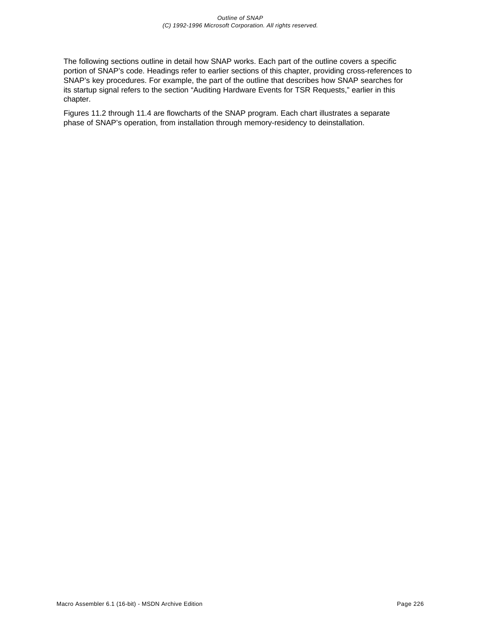The following sections outline in detail how SNAP works. Each part of the outline covers a specific portion of SNAP's code. Headings refer to earlier sections of this chapter, providing cross-references to SNAP's key procedures. For example, the part of the outline that describes how SNAP searches for its startup signal refers to the section "Auditing Hardware Events for TSR Requests," earlier in this chapter.

Figures 11.2 through 11.4 are flowcharts of the SNAP program. Each chart illustrates a separate phase of SNAP's operation, from installation through memory-residency to deinstallation.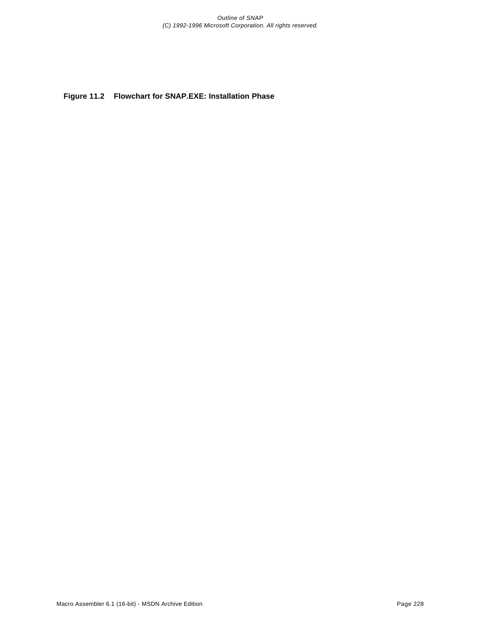**Figure 11.2 Flowchart for SNAP.EXE: Installation Phase**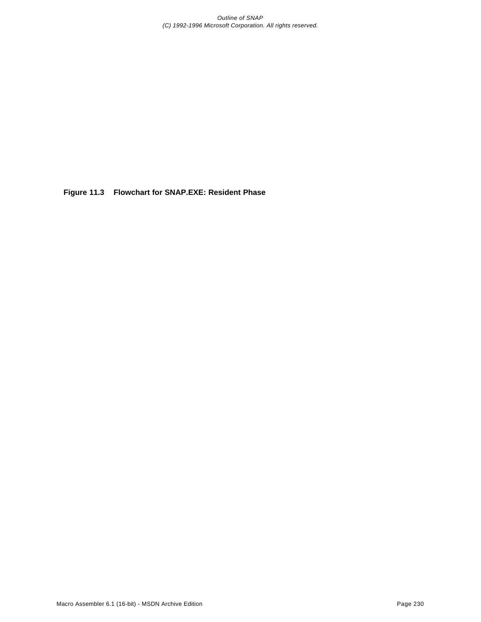**Figure 11.3 Flowchart for SNAP.EXE: Resident Phase**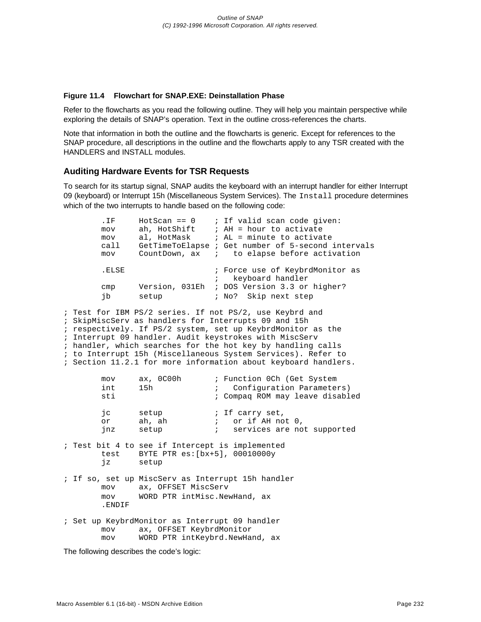#### **Figure 11.4 Flowchart for SNAP.EXE: Deinstallation Phase**

Refer to the flowcharts as you read the following outline. They will help you maintain perspective while exploring the details of SNAP's operation. Text in the outline cross-references the charts.

Note that information in both the outline and the flowcharts is generic. Except for references to the SNAP procedure, all descriptions in the outline and the flowcharts apply to any TSR created with the HANDLERS and INSTALL modules.

### **Auditing Hardware Events for TSR Requests**

To search for its startup signal, SNAP audits the keyboard with an interrupt handler for either Interrupt 09 (keyboard) or Interrupt 15h (Miscellaneous System Services). The Install procedure determines which of the two interrupts to handle based on the following code:

| I.F<br>mov<br>mov<br>call<br>mov | $HotScan == 0$<br>ah, HotShift |            | ; If valid scan code given:<br>; AH = hour to activate<br>al, HotMask $\qquad$ ; AL = minute to activate<br>GetTimeToElapse ; Get number of 5-second intervals<br>CountDown, ax ; to elapse before activation |
|----------------------------------|--------------------------------|------------|---------------------------------------------------------------------------------------------------------------------------------------------------------------------------------------------------------------|
| .ELSE<br>cmp<br>jþ               | setup                          | $\ddot{i}$ | ; Force use of KeybrdMonitor as<br>keyboard handler<br>Version, 031Eh ; DOS Version 3.3 or higher?<br>; No? Skip next step                                                                                    |

; Test for IBM PS/2 series. If not PS/2, use Keybrd and ; SkipMiscServ as handlers for Interrupts 09 and 15h ; respectively. If PS/2 system, set up KeybrdMonitor as the ; Interrupt 09 handler. Audit keystrokes with MiscServ ; handler, which searches for the hot key by handling calls ; to Interrupt 15h (Miscellaneous System Services). Refer to ; Section 11.2.1 for more information about keyboard handlers.

| mov<br>int<br>sti | ax, OCOOh<br>15h         | ; Function OCh (Get System<br>: Configuration Parameters)<br>; Compaq ROM may leave disabled |
|-------------------|--------------------------|----------------------------------------------------------------------------------------------|
| jс<br>or.<br>inz  | setup<br>ah, ah<br>setup | ; If carry set,<br>$:$ or if AH not 0,<br>; services are not supported                       |

; Test bit 4 to see if Intercept is implemented test BYTE PTR es:[bx+5], 00010000y jz setup

; If so, set up MiscServ as Interrupt 15h handler mov ax, OFFSET MiscServ mov WORD PTR intMisc.NewHand, ax .ENDIF

; Set up KeybrdMonitor as Interrupt 09 handler mov ax, OFFSET KeybrdMonitor mov WORD PTR intKeybrd.NewHand, ax

The following describes the code's logic: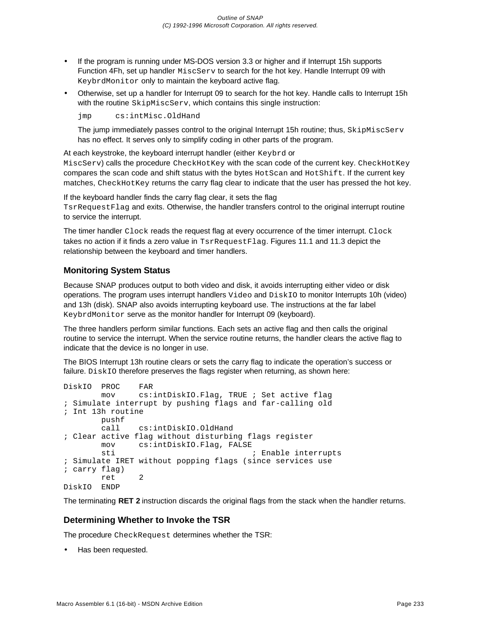- If the program is running under MS-DOS version 3.3 or higher and if Interrupt 15h supports Function 4Fh, set up handler MiscServ to search for the hot key. Handle Interrupt 09 with KeybrdMonitor only to maintain the keyboard active flag.
- Otherwise, set up a handler for Interrupt 09 to search for the hot key. Handle calls to Interrupt 15h with the routine SkipMiscServ, which contains this single instruction:

jmp cs:intMisc.OldHand

The jump immediately passes control to the original Interrupt 15h routine; thus, SkipMiscServ has no effect. It serves only to simplify coding in other parts of the program.

At each keystroke, the keyboard interrupt handler (either Keybrd or MiscServ) calls the procedure CheckHotKey with the scan code of the current key. CheckHotKey compares the scan code and shift status with the bytes HotScan and HotShift. If the current key matches, CheckHotKey returns the carry flag clear to indicate that the user has pressed the hot key.

If the keyboard handler finds the carry flag clear, it sets the flag TsrRequestFlag and exits. Otherwise, the handler transfers control to the original interrupt routine to service the interrupt.

The timer handler Clock reads the request flag at every occurrence of the timer interrupt. Clock takes no action if it finds a zero value in TsrRequestFlag. Figures 11.1 and 11.3 depict the relationship between the keyboard and timer handlers.

### **Monitoring System Status**

Because SNAP produces output to both video and disk, it avoids interrupting either video or disk operations. The program uses interrupt handlers Video and DiskIO to monitor Interrupts 10h (video) and 13h (disk). SNAP also avoids interrupting keyboard use. The instructions at the far label KeybrdMonitor serve as the monitor handler for Interrupt 09 (keyboard).

The three handlers perform similar functions. Each sets an active flag and then calls the original routine to service the interrupt. When the service routine returns, the handler clears the active flag to indicate that the device is no longer in use.

The BIOS Interrupt 13h routine clears or sets the carry flag to indicate the operation's success or failure. DiskIO therefore preserves the flags register when returning, as shown here:

```
DiskIO PROC FAR
        mov cs:intDiskIO.Flag, TRUE ; Set active flag
; Simulate interrupt by pushing flags and far-calling old 
; Int 13h routine
       pushf<br>call
             cs:intDiskIO.OldHand
; Clear active flag without disturbing flags register
        mov cs:intDiskIO.Flag, FALSE
       sti interrupts interrupts
; Simulate IRET without popping flags (since services use 
; carry flag)
        ret 2
DiskIO ENDP
```
The terminating **RET 2** instruction discards the original flags from the stack when the handler returns.

### **Determining Whether to Invoke the TSR**

The procedure CheckRequest determines whether the TSR:

• Has been requested.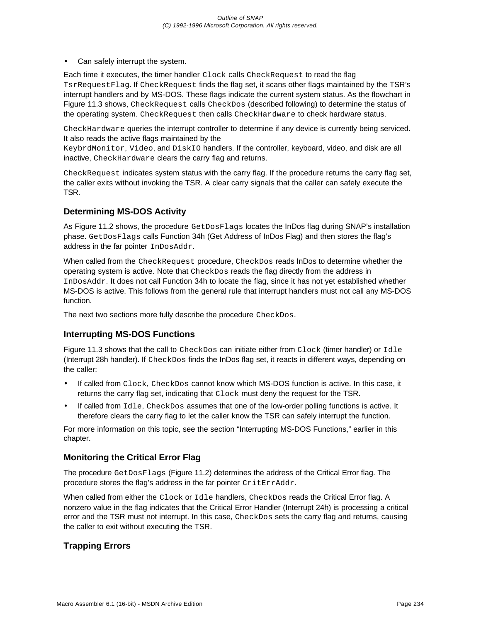• Can safely interrupt the system.

Each time it executes, the timer handler Clock calls CheckRequest to read the flag TsrRequestFlag. If CheckRequest finds the flag set, it scans other flags maintained by the TSR's interrupt handlers and by MS-DOS. These flags indicate the current system status. As the flowchart in Figure 11.3 shows, CheckRequest calls CheckDos (described following) to determine the status of the operating system. CheckRequest then calls CheckHardware to check hardware status.

CheckHardware queries the interrupt controller to determine if any device is currently being serviced. It also reads the active flags maintained by the

KeybrdMonitor, Video, and DiskIO handlers. If the controller, keyboard, video, and disk are all inactive, CheckHardware clears the carry flag and returns.

CheckRequest indicates system status with the carry flag. If the procedure returns the carry flag set, the caller exits without invoking the TSR. A clear carry signals that the caller can safely execute the TSR.

### **Determining MS-DOS Activity**

As Figure 11.2 shows, the procedure GetDosFlags locates the InDos flag during SNAP's installation phase. GetDosFlags calls Function 34h (Get Address of InDos Flag) and then stores the flag's address in the far pointer InDosAddr.

When called from the CheckRequest procedure, CheckDos reads InDos to determine whether the operating system is active. Note that CheckDos reads the flag directly from the address in  $InDSAddr.$  It does not call Function 34h to locate the flag, since it has not yet established whether MS-DOS is active. This follows from the general rule that interrupt handlers must not call any MS-DOS function.

The next two sections more fully describe the procedure CheckDos.

### **Interrupting MS-DOS Functions**

Figure 11.3 shows that the call to CheckDos can initiate either from Clock (timer handler) or Idle (Interrupt 28h handler). If CheckDos finds the InDos flag set, it reacts in different ways, depending on the caller:

- If called from Clock, CheckDos cannot know which MS-DOS function is active. In this case, it returns the carry flag set, indicating that Clock must deny the request for the TSR.
- If called from Idle, CheckDos assumes that one of the low-order polling functions is active. It therefore clears the carry flag to let the caller know the TSR can safely interrupt the function.

For more information on this topic, see the section "Interrupting MS-DOS Functions," earlier in this chapter.

### **Monitoring the Critical Error Flag**

The procedure GetDosFlags (Figure 11.2) determines the address of the Critical Error flag. The procedure stores the flag's address in the far pointer CritErrAddr.

When called from either the Clock or Idle handlers, CheckDos reads the Critical Error flag. A nonzero value in the flag indicates that the Critical Error Handler (Interrupt 24h) is processing a critical error and the TSR must not interrupt. In this case, CheckDos sets the carry flag and returns, causing the caller to exit without executing the TSR.

## **Trapping Errors**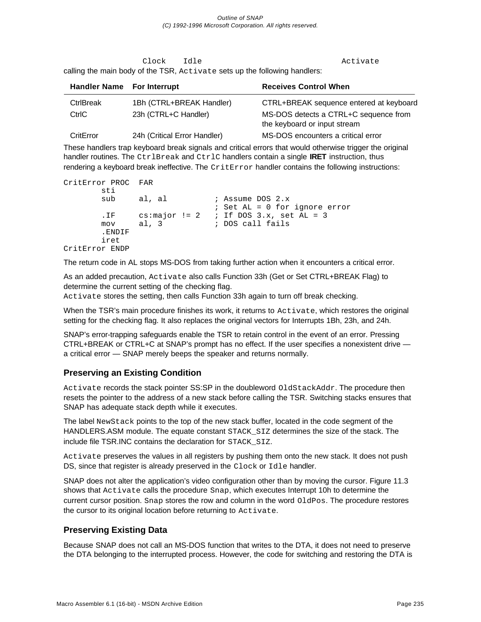Clock Idle **Activate** calling the main body of the TSR, Activate sets up the following handlers:

| <b>Handler Name For Interrupt</b> |                              | <b>Receives Control When</b>                                          |
|-----------------------------------|------------------------------|-----------------------------------------------------------------------|
| <b>CtrlBreak</b>                  | 1Bh (CTRL+BREAK Handler)     | CTRL+BREAK sequence entered at keyboard                               |
| <b>CtrlC</b>                      | 23h (CTRL+C Handler)         | MS-DOS detects a CTRL+C sequence from<br>the keyboard or input stream |
| CritError                         | 24h (Critical Error Handler) | MS-DOS encounters a critical error                                    |

These handlers trap keyboard break signals and critical errors that would otherwise trigger the original handler routines. The CtrlBreak and CtrlC handlers contain a single **IRET** instruction, thus rendering a keyboard break ineffective. The CritError handler contains the following instructions:

```
CritError PROC FAR
           sti
          sub al, al \begin{array}{ccc} \text{sub} & \text{al} & \text{all} \\ \text{sub} & \text{al} & \text{all} \\ \text{sub} & \text{all} & \text{all} \\ \end{array} ; Set AL = 0 for ignore error
 .IF cs:major != 2 ; If DOS 3.x, set AL = 3
mov al, 3 \qquad ; DOS call fails
           .ENDIF
           iret
CritError ENDP
```
The return code in AL stops MS-DOS from taking further action when it encounters a critical error.

As an added precaution, Activate also calls Function 33h (Get or Set CTRL+BREAK Flag) to determine the current setting of the checking flag.

Activate stores the setting, then calls Function 33h again to turn off break checking.

When the TSR's main procedure finishes its work, it returns to Activate, which restores the original setting for the checking flag. It also replaces the original vectors for Interrupts 1Bh, 23h, and 24h.

SNAP's error-trapping safeguards enable the TSR to retain control in the event of an error. Pressing CTRL+BREAK or CTRL+C at SNAP's prompt has no effect. If the user specifies a nonexistent drive a critical error — SNAP merely beeps the speaker and returns normally.

### **Preserving an Existing Condition**

Activate records the stack pointer SS:SP in the doubleword OldStackAddr. The procedure then resets the pointer to the address of a new stack before calling the TSR. Switching stacks ensures that SNAP has adequate stack depth while it executes.

The label NewStack points to the top of the new stack buffer, located in the code segment of the HANDLERS.ASM module. The equate constant STACK\_SIZ determines the size of the stack. The include file TSR.INC contains the declaration for STACK\_SIZ.

Activate preserves the values in all registers by pushing them onto the new stack. It does not push DS, since that register is already preserved in the Clock or Idle handler.

SNAP does not alter the application's video configuration other than by moving the cursor. Figure 11.3 shows that Activate calls the procedure Snap, which executes Interrupt 10h to determine the current cursor position. Snap stores the row and column in the word OldPos. The procedure restores the cursor to its original location before returning to Activate.

## **Preserving Existing Data**

Because SNAP does not call an MS-DOS function that writes to the DTA, it does not need to preserve the DTA belonging to the interrupted process. However, the code for switching and restoring the DTA is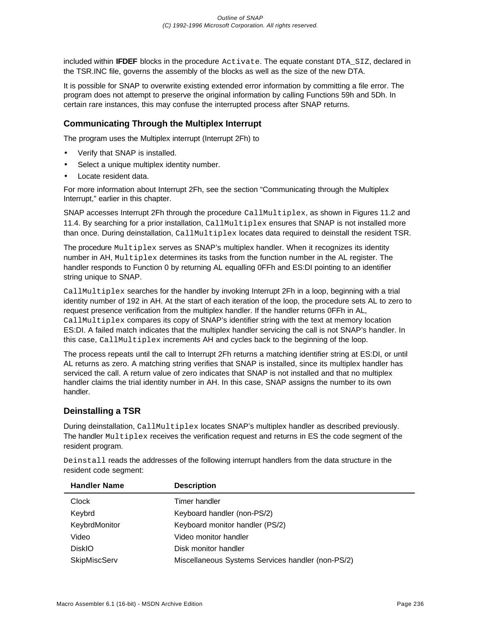included within **IFDEF** blocks in the procedure Activate. The equate constant DTA\_SIZ, declared in the TSR.INC file, governs the assembly of the blocks as well as the size of the new DTA.

It is possible for SNAP to overwrite existing extended error information by committing a file error. The program does not attempt to preserve the original information by calling Functions 59h and 5Dh. In certain rare instances, this may confuse the interrupted process after SNAP returns.

## **Communicating Through the Multiplex Interrupt**

The program uses the Multiplex interrupt (Interrupt 2Fh) to

- Verify that SNAP is installed.
- Select a unique multiplex identity number.
- Locate resident data.

For more information about Interrupt 2Fh, see the section "Communicating through the Multiplex Interrupt," earlier in this chapter.

SNAP accesses Interrupt 2Fh through the procedure CallMultiplex, as shown in Figures 11.2 and 11.4. By searching for a prior installation, CallMultiplex ensures that SNAP is not installed more than once. During deinstallation, CallMultiplex locates data required to deinstall the resident TSR.

The procedure Multiplex serves as SNAP's multiplex handler. When it recognizes its identity number in AH, Multiplex determines its tasks from the function number in the AL register. The handler responds to Function 0 by returning AL equalling 0FFh and ES:DI pointing to an identifier string unique to SNAP.

CallMultiplex searches for the handler by invoking Interrupt 2Fh in a loop, beginning with a trial identity number of 192 in AH. At the start of each iteration of the loop, the procedure sets AL to zero to request presence verification from the multiplex handler. If the handler returns 0FFh in AL, CallMultiplex compares its copy of SNAP's identifier string with the text at memory location ES:DI. A failed match indicates that the multiplex handler servicing the call is not SNAP's handler. In this case, CallMultiplex increments AH and cycles back to the beginning of the loop.

The process repeats until the call to Interrupt 2Fh returns a matching identifier string at ES:DI, or until AL returns as zero. A matching string verifies that SNAP is installed, since its multiplex handler has serviced the call. A return value of zero indicates that SNAP is not installed and that no multiplex handler claims the trial identity number in AH. In this case, SNAP assigns the number to its own handler.

## **Deinstalling a TSR**

During deinstallation, CallMultiplex locates SNAP's multiplex handler as described previously. The handler Multiplex receives the verification request and returns in ES the code segment of the resident program.

| <b>Handler Name</b> | <b>Description</b>                                |
|---------------------|---------------------------------------------------|
| <b>Clock</b>        | Timer handler                                     |
| Keybrd              | Keyboard handler (non-PS/2)                       |
| KeybrdMonitor       | Keyboard monitor handler (PS/2)                   |
| Video               | Video monitor handler                             |
| <b>DiskIO</b>       | Disk monitor handler                              |
| SkipMiscServ        | Miscellaneous Systems Services handler (non-PS/2) |

Deinstall reads the addresses of the following interrupt handlers from the data structure in the resident code segment: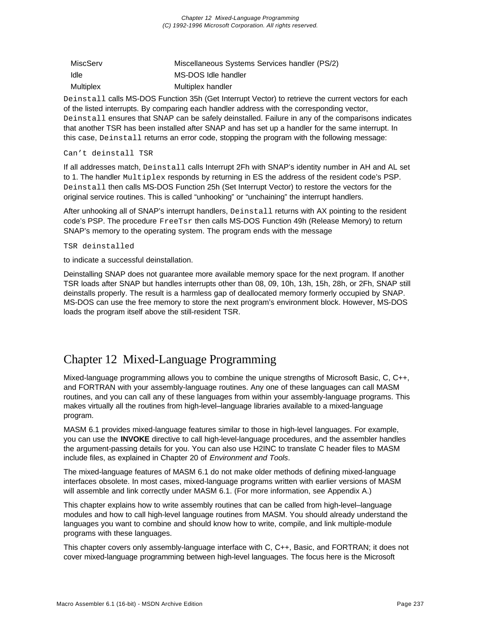| MiscServ  | Miscellaneous Systems Services handler (PS/2) |
|-----------|-----------------------------------------------|
| Idle      | MS-DOS Idle handler                           |
| Multiplex | Multiplex handler                             |

Deinstall calls MS-DOS Function 35h (Get Interrupt Vector) to retrieve the current vectors for each of the listed interrupts. By comparing each handler address with the corresponding vector, Deinstall ensures that SNAP can be safely deinstalled. Failure in any of the comparisons indicates that another TSR has been installed after SNAP and has set up a handler for the same interrupt. In this case, Deinstall returns an error code, stopping the program with the following message:

Can't deinstall TSR

If all addresses match, Deinstall calls Interrupt 2Fh with SNAP's identity number in AH and AL set to 1. The handler Multiplex responds by returning in ES the address of the resident code's PSP. Deinstall then calls MS-DOS Function 25h (Set Interrupt Vector) to restore the vectors for the original service routines. This is called "unhooking" or "unchaining" the interrupt handlers.

After unhooking all of SNAP's interrupt handlers, Deinstall returns with AX pointing to the resident code's PSP. The procedure FreeTsr then calls MS-DOS Function 49h (Release Memory) to return SNAP's memory to the operating system. The program ends with the message

TSR deinstalled

to indicate a successful deinstallation.

Deinstalling SNAP does not guarantee more available memory space for the next program. If another TSR loads after SNAP but handles interrupts other than 08, 09, 10h, 13h, 15h, 28h, or 2Fh, SNAP still deinstalls properly. The result is a harmless gap of deallocated memory formerly occupied by SNAP. MS-DOS can use the free memory to store the next program's environment block. However, MS-DOS loads the program itself above the still-resident TSR.

# Chapter 12 Mixed-Language Programming

Mixed-language programming allows you to combine the unique strengths of Microsoft Basic, C, C++, and FORTRAN with your assembly-language routines. Any one of these languages can call MASM routines, and you can call any of these languages from within your assembly-language programs. This makes virtually all the routines from high-level–language libraries available to a mixed-language program.

MASM 6.1 provides mixed-language features similar to those in high-level languages. For example, you can use the **INVOKE** directive to call high-level-language procedures, and the assembler handles the argument-passing details for you. You can also use H2INC to translate C header files to MASM include files, as explained in Chapter 20 of *Environment and Tools*.

The mixed-language features of MASM 6.1 do not make older methods of defining mixed-language interfaces obsolete. In most cases, mixed-language programs written with earlier versions of MASM will assemble and link correctly under MASM 6.1. (For more information, see Appendix A.)

This chapter explains how to write assembly routines that can be called from high-level–language modules and how to call high-level language routines from MASM. You should already understand the languages you want to combine and should know how to write, compile, and link multiple-module programs with these languages.

This chapter covers only assembly-language interface with C, C++, Basic, and FORTRAN; it does not cover mixed-language programming between high-level languages. The focus here is the Microsoft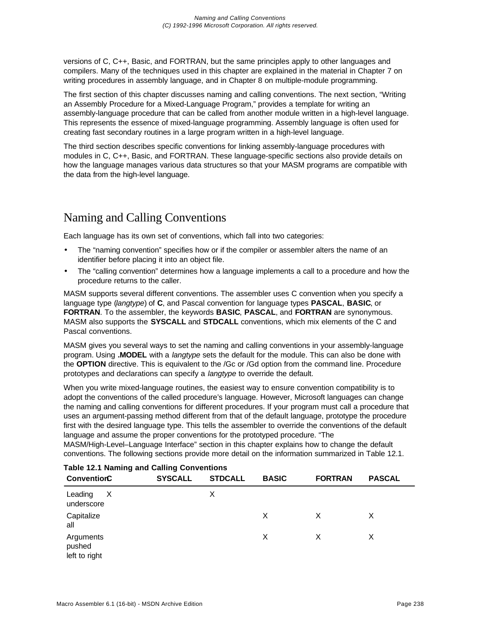versions of C, C++, Basic, and FORTRAN, but the same principles apply to other languages and compilers. Many of the techniques used in this chapter are explained in the material in Chapter 7 on writing procedures in assembly language, and in Chapter 8 on multiple-module programming.

The first section of this chapter discusses naming and calling conventions. The next section, "Writing an Assembly Procedure for a Mixed-Language Program," provides a template for writing an assembly-language procedure that can be called from another module written in a high-level language. This represents the essence of mixed-language programming. Assembly language is often used for creating fast secondary routines in a large program written in a high-level language.

The third section describes specific conventions for linking assembly-language procedures with modules in C, C++, Basic, and FORTRAN. These language-specific sections also provide details on how the language manages various data structures so that your MASM programs are compatible with the data from the high-level language.

# Naming and Calling Conventions

Each language has its own set of conventions, which fall into two categories:

- The "naming convention" specifies how or if the compiler or assembler alters the name of an identifier before placing it into an object file.
- The "calling convention" determines how a language implements a call to a procedure and how the procedure returns to the caller.

MASM supports several different conventions. The assembler uses C convention when you specify a language type (*langtype*) of **C**, and Pascal convention for language types **PASCAL**, **BASIC**, or **FORTRAN**. To the assembler, the keywords **BASIC**, **PASCAL**, and **FORTRAN** are synonymous. MASM also supports the **SYSCALL** and **STDCALL** conventions, which mix elements of the C and Pascal conventions.

MASM gives you several ways to set the naming and calling conventions in your assembly-language program. Using **.MODEL** with a *langtype* sets the default for the module. This can also be done with the **OPTION** directive. This is equivalent to the /Gc or /Gd option from the command line. Procedure prototypes and declarations can specify a *langtype* to override the default.

When you write mixed-language routines, the easiest way to ensure convention compatibility is to adopt the conventions of the called procedure's language. However, Microsoft languages can change the naming and calling conventions for different procedures. If your program must call a procedure that uses an argument-passing method different from that of the default language, prototype the procedure first with the desired language type. This tells the assembler to override the conventions of the default language and assume the proper conventions for the prototyped procedure. "The

MASM/High-Level–Language Interface" section in this chapter explains how to change the default conventions. The following sections provide more detail on the information summarized in Table 12.1.

| <b>1990 IL.I Ngumiy ang Jamiy Jonventions</b><br>ConventionC | <b>SYSCALL</b> | <b>STDCALL</b> | <b>BASIC</b> | <b>FORTRAN</b> | <b>PASCAL</b> |
|--------------------------------------------------------------|----------------|----------------|--------------|----------------|---------------|
| Leading<br>$\mathsf{X}$<br>underscore                        |                | X              |              |                |               |
| Capitalize<br>all                                            |                |                | X            | X              | Χ             |
| Arguments<br>pushed<br>left to right                         |                |                | X            | X              | X             |

|  |  | <b>Table 12.1 Naming and Calling Conventions</b> |  |
|--|--|--------------------------------------------------|--|
|  |  |                                                  |  |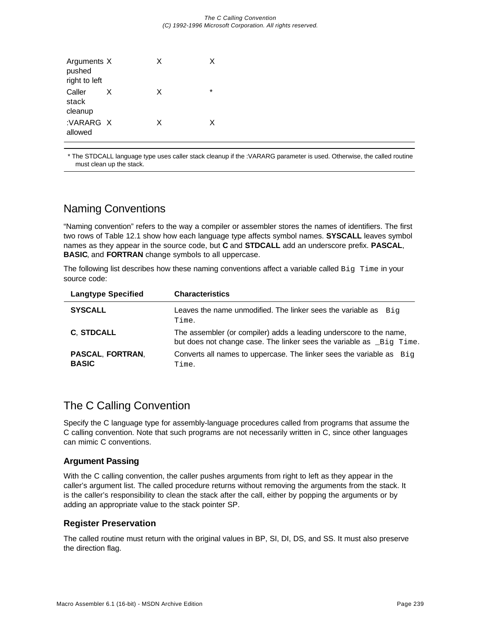#### *The C Calling Convention (C) 1992-1996 Microsoft Corporation. All rights reserved.*

| Arguments X<br>pushed<br>right to left |   | X | x |
|----------------------------------------|---|---|---|
| Caller<br>stack<br>cleanup             | x | x | * |
| :VARARG X<br>allowed                   |   | x | x |

The STDCALL language type uses caller stack cleanup if the :VARARG parameter is used. Otherwise, the called routine must clean up the stack.

# Naming Conventions

"Naming convention" refers to the way a compiler or assembler stores the names of identifiers. The first two rows of Table 12.1 show how each language type affects symbol names. **SYSCALL** leaves symbol names as they appear in the source code, but **C** and **STDCALL** add an underscore prefix. **PASCAL**, **BASIC**, and **FORTRAN** change symbols to all uppercase.

The following list describes how these naming conventions affect a variable called  $Bigi$  Time in your source code:

| <b>Langtype Specified</b>        | <b>Characteristics</b>                                                                                                                     |
|----------------------------------|--------------------------------------------------------------------------------------------------------------------------------------------|
| <b>SYSCALL</b>                   | Leaves the name unmodified. The linker sees the variable as $Big$<br>Time.                                                                 |
| C, STDCALL                       | The assembler (or compiler) adds a leading underscore to the name,<br>but does not change case. The linker sees the variable as _Big Time. |
| PASCAL, FORTRAN,<br><b>BASIC</b> | Converts all names to uppercase. The linker sees the variable as $B_{\text{HQ}}$<br>Time.                                                  |

## The C Calling Convention

Specify the C language type for assembly-language procedures called from programs that assume the C calling convention. Note that such programs are not necessarily written in C, since other languages can mimic C conventions.

## **Argument Passing**

With the C calling convention, the caller pushes arguments from right to left as they appear in the caller's argument list. The called procedure returns without removing the arguments from the stack. It is the caller's responsibility to clean the stack after the call, either by popping the arguments or by adding an appropriate value to the stack pointer SP.

### **Register Preservation**

The called routine must return with the original values in BP, SI, DI, DS, and SS. It must also preserve the direction flag.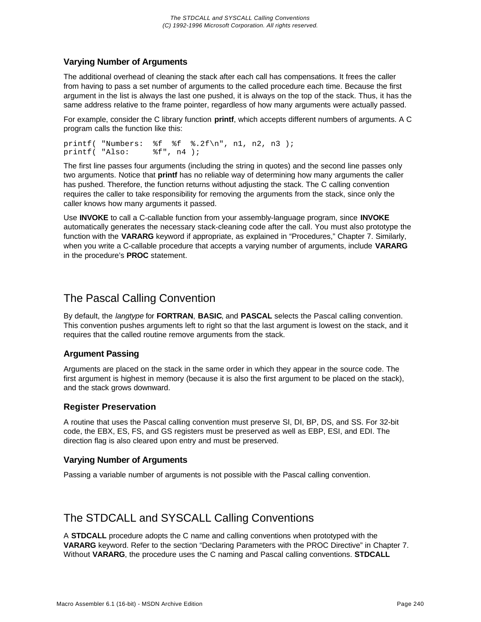## **Varying Number of Arguments**

The additional overhead of cleaning the stack after each call has compensations. It frees the caller from having to pass a set number of arguments to the called procedure each time. Because the first argument in the list is always the last one pushed, it is always on the top of the stack. Thus, it has the same address relative to the frame pointer, regardless of how many arguments were actually passed.

For example, consider the C library function **printf**, which accepts different numbers of arguments. A C program calls the function like this:

printf( "Numbers:  $f$   $f$   $f$   $f$   $f$   $n1$ ,  $n2$ ,  $n3$  );<br>printf( "Also:  $f$ ",  $n4$  ); printf( "Also:

The first line passes four arguments (including the string in quotes) and the second line passes only two arguments. Notice that **printf** has no reliable way of determining how many arguments the caller has pushed. Therefore, the function returns without adjusting the stack. The C calling convention requires the caller to take responsibility for removing the arguments from the stack, since only the caller knows how many arguments it passed.

Use **INVOKE** to call a C-callable function from your assembly-language program, since **INVOKE** automatically generates the necessary stack-cleaning code after the call. You must also prototype the function with the **VARARG** keyword if appropriate, as explained in "Procedures," Chapter 7. Similarly, when you write a C-callable procedure that accepts a varying number of arguments, include **VARARG** in the procedure's **PROC** statement.

## The Pascal Calling Convention

By default, the *langtype* for **FORTRAN**, **BASIC**, and **PASCAL** selects the Pascal calling convention. This convention pushes arguments left to right so that the last argument is lowest on the stack, and it requires that the called routine remove arguments from the stack.

## **Argument Passing**

Arguments are placed on the stack in the same order in which they appear in the source code. The first argument is highest in memory (because it is also the first argument to be placed on the stack), and the stack grows downward.

### **Register Preservation**

A routine that uses the Pascal calling convention must preserve SI, DI, BP, DS, and SS. For 32-bit code, the EBX, ES, FS, and GS registers must be preserved as well as EBP, ESI, and EDI. The direction flag is also cleared upon entry and must be preserved.

### **Varying Number of Arguments**

Passing a variable number of arguments is not possible with the Pascal calling convention.

## The STDCALL and SYSCALL Calling Conventions

A **STDCALL** procedure adopts the C name and calling conventions when prototyped with the **VARARG** keyword. Refer to the section "Declaring Parameters with the PROC Directive" in Chapter 7. Without **VARARG**, the procedure uses the C naming and Pascal calling conventions. **STDCALL**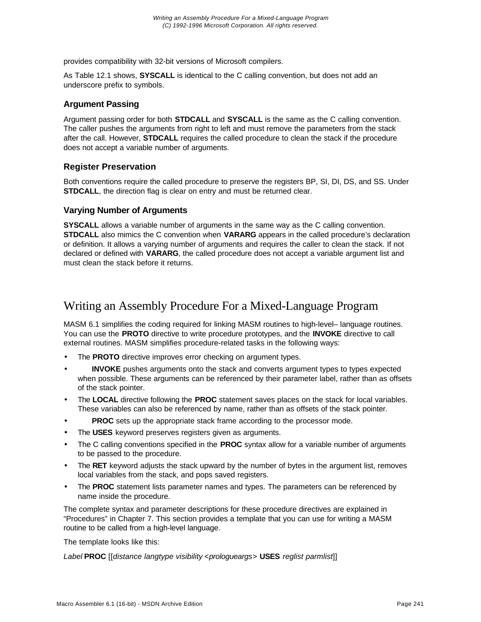provides compatibility with 32-bit versions of Microsoft compilers.

As Table 12.1 shows, **SYSCALL** is identical to the C calling convention, but does not add an underscore prefix to symbols.

### **Argument Passing**

Argument passing order for both **STDCALL** and **SYSCALL** is the same as the C calling convention. The caller pushes the arguments from right to left and must remove the parameters from the stack after the call. However, **STDCALL** requires the called procedure to clean the stack if the procedure does not accept a variable number of arguments.

### **Register Preservation**

Both conventions require the called procedure to preserve the registers BP, SI, DI, DS, and SS. Under **STDCALL**, the direction flag is clear on entry and must be returned clear.

### **Varying Number of Arguments**

**SYSCALL** allows a variable number of arguments in the same way as the C calling convention. **STDCALL** also mimics the C convention when **VARARG** appears in the called procedure's declaration or definition. It allows a varying number of arguments and requires the caller to clean the stack. If not declared or defined with **VARARG**, the called procedure does not accept a variable argument list and must clean the stack before it returns.

## Writing an Assembly Procedure For a Mixed-Language Program

MASM 6.1 simplifies the coding required for linking MASM routines to high-level– language routines. You can use the **PROTO** directive to write procedure prototypes, and the **INVOKE** directive to call external routines. MASM simplifies procedure-related tasks in the following ways:

- The **PROTO** directive improves error checking on argument types.
- **INVOKE** pushes arguments onto the stack and converts argument types to types expected when possible. These arguments can be referenced by their parameter label, rather than as offsets of the stack pointer.
- The **LOCAL** directive following the **PROC** statement saves places on the stack for local variables. These variables can also be referenced by name, rather than as offsets of the stack pointer.
- **PROC** sets up the appropriate stack frame according to the processor mode.
- The **USES** keyword preserves registers given as arguments.
- The C calling conventions specified in the **PROC** syntax allow for a variable number of arguments to be passed to the procedure.
- The **RET** keyword adjusts the stack upward by the number of bytes in the argument list, removes local variables from the stack, and pops saved registers.
- The **PROC** statement lists parameter names and types. The parameters can be referenced by name inside the procedure.

The complete syntax and parameter descriptions for these procedure directives are explained in "Procedures" in Chapter 7. This section provides a template that you can use for writing a MASM routine to be called from a high-level language.

The template looks like this:

*Label* **PROC** [[*distance langtype visibility* <*prologueargs*> **USES** *reglist parmlist*]]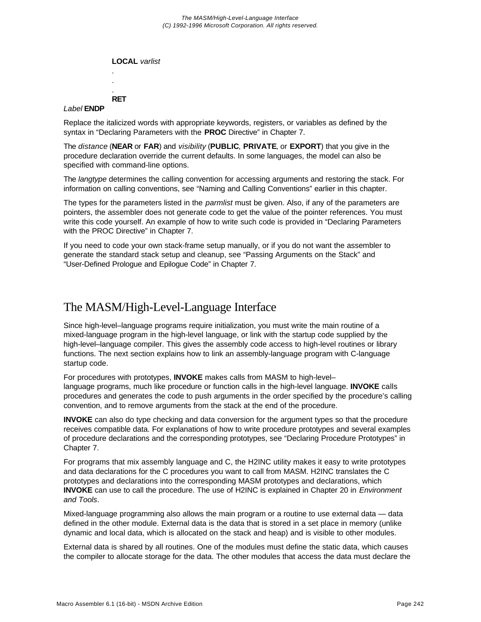| <b>LOCAL</b> varlist |
|----------------------|
|                      |
|                      |
| RET                  |

*Label* **ENDP**

Replace the italicized words with appropriate keywords, registers, or variables as defined by the syntax in "Declaring Parameters with the **PROC** Directive" in Chapter 7.

The *distance* (**NEAR** or **FAR**) and *visibility* (**PUBLIC**, **PRIVATE**, or **EXPORT**) that you give in the procedure declaration override the current defaults. In some languages, the model can also be specified with command-line options.

The *langtype* determines the calling convention for accessing arguments and restoring the stack. For information on calling conventions, see "Naming and Calling Conventions" earlier in this chapter.

The types for the parameters listed in the *parmlist* must be given. Also, if any of the parameters are pointers, the assembler does not generate code to get the value of the pointer references. You must write this code yourself. An example of how to write such code is provided in "Declaring Parameters with the PROC Directive" in Chapter 7.

If you need to code your own stack-frame setup manually, or if you do not want the assembler to generate the standard stack setup and cleanup, see "Passing Arguments on the Stack" and "User-Defined Prologue and Epilogue Code" in Chapter 7.

## The MASM/High-Level-Language Interface

Since high-level–language programs require initialization, you must write the main routine of a mixed-language program in the high-level language, or link with the startup code supplied by the high-level–language compiler. This gives the assembly code access to high-level routines or library functions. The next section explains how to link an assembly-language program with C-language startup code.

For procedures with prototypes, **INVOKE** makes calls from MASM to high-level– language programs, much like procedure or function calls in the high-level language. **INVOKE** calls procedures and generates the code to push arguments in the order specified by the procedure's calling convention, and to remove arguments from the stack at the end of the procedure.

**INVOKE** can also do type checking and data conversion for the argument types so that the procedure receives compatible data. For explanations of how to write procedure prototypes and several examples of procedure declarations and the corresponding prototypes, see "Declaring Procedure Prototypes" in Chapter 7.

For programs that mix assembly language and C, the H2INC utility makes it easy to write prototypes and data declarations for the C procedures you want to call from MASM. H2INC translates the C prototypes and declarations into the corresponding MASM prototypes and declarations, which **INVOKE** can use to call the procedure. The use of H2INC is explained in Chapter 20 in *Environment and Tools*.

Mixed-language programming also allows the main program or a routine to use external data — data defined in the other module. External data is the data that is stored in a set place in memory (unlike dynamic and local data, which is allocated on the stack and heap) and is visible to other modules.

External data is shared by all routines. One of the modules must define the static data, which causes the compiler to allocate storage for the data. The other modules that access the data must declare the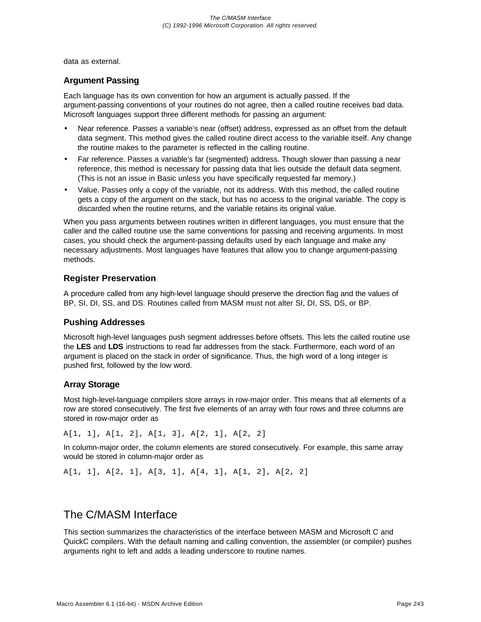data as external.

## **Argument Passing**

Each language has its own convention for how an argument is actually passed. If the argument-passing conventions of your routines do not agree, then a called routine receives bad data. Microsoft languages support three different methods for passing an argument:

- Near reference. Passes a variable's near (offset) address, expressed as an offset from the default data segment. This method gives the called routine direct access to the variable itself. Any change the routine makes to the parameter is reflected in the calling routine.
- Far reference. Passes a variable's far (segmented) address. Though slower than passing a near reference, this method is necessary for passing data that lies outside the default data segment. (This is not an issue in Basic unless you have specifically requested far memory.)
- Value. Passes only a copy of the variable, not its address. With this method, the called routine gets a copy of the argument on the stack, but has no access to the original variable. The copy is discarded when the routine returns, and the variable retains its original value.

When you pass arguments between routines written in different languages, you must ensure that the caller and the called routine use the same conventions for passing and receiving arguments. In most cases, you should check the argument-passing defaults used by each language and make any necessary adjustments. Most languages have features that allow you to change argument-passing methods.

## **Register Preservation**

A procedure called from any high-level language should preserve the direction flag and the values of BP, SI, DI, SS, and DS. Routines called from MASM must not alter SI, DI, SS, DS, or BP.

## **Pushing Addresses**

Microsoft high-level languages push segment addresses before offsets. This lets the called routine use the **LES** and **LDS** instructions to read far addresses from the stack. Furthermore, each word of an argument is placed on the stack in order of significance. Thus, the high word of a long integer is pushed first, followed by the low word.

## **Array Storage**

Most high-level-language compilers store arrays in row-major order. This means that all elements of a row are stored consecutively. The first five elements of an array with four rows and three columns are stored in row-major order as

A[1, 1], A[1, 2], A[1, 3], A[2, 1], A[2, 2]

In column-major order, the column elements are stored consecutively. For example, this same array would be stored in column-major order as

A[1, 1], A[2, 1], A[3, 1], A[4, 1], A[1, 2], A[2, 2]

## The C/MASM Interface

This section summarizes the characteristics of the interface between MASM and Microsoft C and QuickC compilers. With the default naming and calling convention, the assembler (or compiler) pushes arguments right to left and adds a leading underscore to routine names.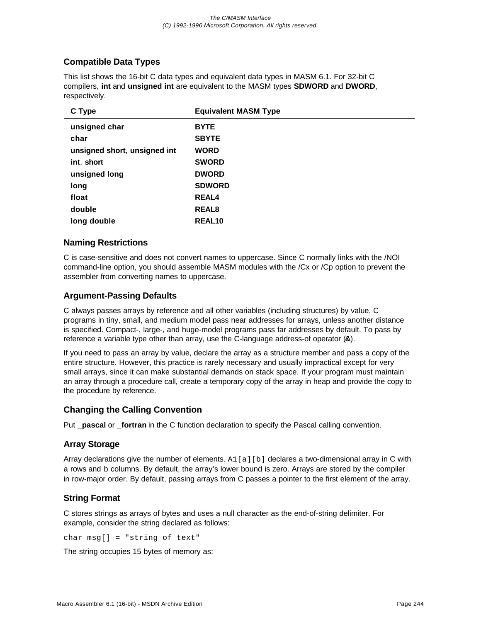## **Compatible Data Types**

This list shows the 16-bit C data types and equivalent data types in MASM 6.1. For 32-bit C compilers, **int** and **unsigned int** are equivalent to the MASM types **SDWORD** and **DWORD**, respectively.

| C Type                       | <b>Equivalent MASM Type</b> |  |  |  |  |  |
|------------------------------|-----------------------------|--|--|--|--|--|
| unsigned char                | <b>BYTE</b>                 |  |  |  |  |  |
| char                         | <b>SBYTE</b>                |  |  |  |  |  |
| unsigned short, unsigned int | <b>WORD</b>                 |  |  |  |  |  |
| int, short                   | <b>SWORD</b>                |  |  |  |  |  |
| unsigned long                | <b>DWORD</b>                |  |  |  |  |  |
| long                         | <b>SDWORD</b>               |  |  |  |  |  |
| float                        | <b>REAL4</b>                |  |  |  |  |  |
| double                       | <b>REAL8</b>                |  |  |  |  |  |
| long double                  | REAL <sub>10</sub>          |  |  |  |  |  |

### **Naming Restrictions**

C is case-sensitive and does not convert names to uppercase. Since C normally links with the /NOI command-line option, you should assemble MASM modules with the /Cx or /Cp option to prevent the assembler from converting names to uppercase.

### **Argument-Passing Defaults**

C always passes arrays by reference and all other variables (including structures) by value. C programs in tiny, small, and medium model pass near addresses for arrays, unless another distance is specified. Compact-, large-, and huge-model programs pass far addresses by default. To pass by reference a variable type other than array, use the C-language address-of operator (**&**).

If you need to pass an array by value, declare the array as a structure member and pass a copy of the entire structure. However, this practice is rarely necessary and usually impractical except for very small arrays, since it can make substantial demands on stack space. If your program must maintain an array through a procedure call, create a temporary copy of the array in heap and provide the copy to the procedure by reference.

## **Changing the Calling Convention**

Put **pascal** or **fortran** in the C function declaration to specify the Pascal calling convention.

### **Array Storage**

Array declarations give the number of elements. A1[a][b] declares a two-dimensional array in C with a rows and b columns. By default, the array's lower bound is zero. Arrays are stored by the compiler in row-major order. By default, passing arrays from C passes a pointer to the first element of the array.

## **String Format**

C stores strings as arrays of bytes and uses a null character as the end-of-string delimiter. For example, consider the string declared as follows:

char msg[] = "string of text"

The string occupies 15 bytes of memory as: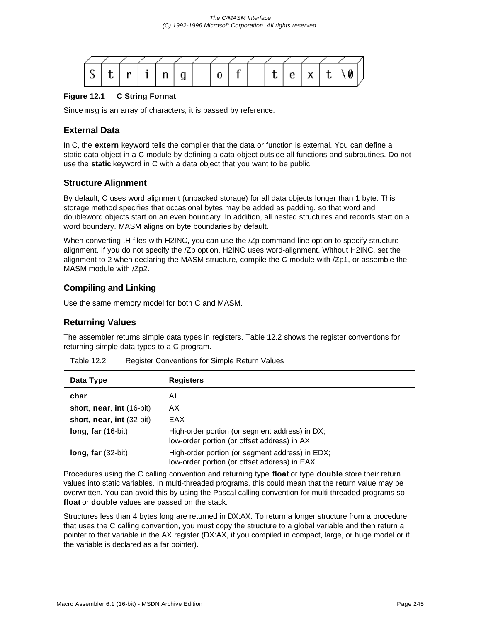

#### **Figure 12.1 C String Format**

Since msg is an array of characters, it is passed by reference.

### **External Data**

In C, the **extern** keyword tells the compiler that the data or function is external. You can define a static data object in a C module by defining a data object outside all functions and subroutines. Do not use the **static** keyword in C with a data object that you want to be public.

### **Structure Alignment**

By default, C uses word alignment (unpacked storage) for all data objects longer than 1 byte. This storage method specifies that occasional bytes may be added as padding, so that word and doubleword objects start on an even boundary. In addition, all nested structures and records start on a word boundary. MASM aligns on byte boundaries by default.

When converting .H files with H2INC, you can use the /Zp command-line option to specify structure alignment. If you do not specify the /Zp option, H2INC uses word-alignment. Without H2INC, set the alignment to 2 when declaring the MASM structure, compile the C module with /Zp1, or assemble the MASM module with /Zp2.

## **Compiling and Linking**

Use the same memory model for both C and MASM.

## **Returning Values**

The assembler returns simple data types in registers. Table 12.2 shows the register conventions for returning simple data types to a C program.

| Data Type                   | <b>Registers</b>                                                                                |
|-----------------------------|-------------------------------------------------------------------------------------------------|
| char                        | AL                                                                                              |
| short, near, int (16-bit)   | AX.                                                                                             |
| short, near, int (32-bit)   | EAX                                                                                             |
| long, far $(16-bit)$        | High-order portion (or segment address) in DX;<br>low-order portion (or offset address) in AX   |
| <b>long, far</b> $(32-bit)$ | High-order portion (or segment address) in EDX;<br>low-order portion (or offset address) in EAX |

Table 12.2 Register Conventions for Simple Return Values

Procedures using the C calling convention and returning type **float** or type **double** store their return values into static variables. In multi-threaded programs, this could mean that the return value may be overwritten. You can avoid this by using the Pascal calling convention for multi-threaded programs so **float** or **double** values are passed on the stack.

Structures less than 4 bytes long are returned in DX:AX. To return a longer structure from a procedure that uses the C calling convention, you must copy the structure to a global variable and then return a pointer to that variable in the AX register (DX:AX, if you compiled in compact, large, or huge model or if the variable is declared as a far pointer).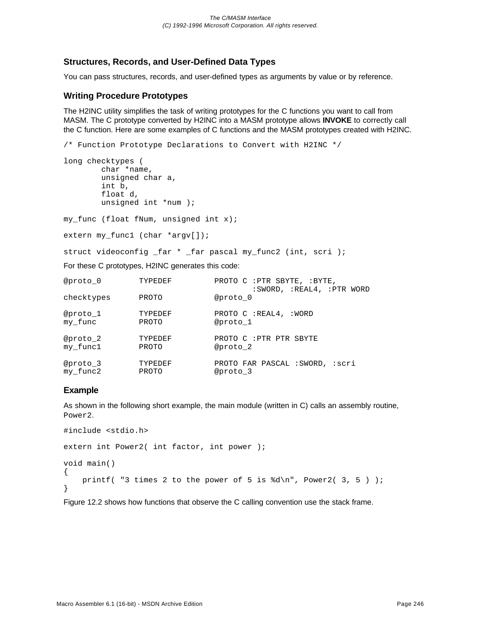## **Structures, Records, and User-Defined Data Types**

You can pass structures, records, and user-defined types as arguments by value or by reference.

#### **Writing Procedure Prototypes**

The H2INC utility simplifies the task of writing prototypes for the C functions you want to call from MASM. The C prototype converted by H2INC into a MASM prototype allows **INVOKE** to correctly call the C function. Here are some examples of C functions and the MASM prototypes created with H2INC.

```
/* Function Prototype Declarations to Convert with H2INC */
long checktypes (
         char *name,
         unsigned char a,
         int b,
         float d,
         unsigned int *num );
my_func (float fNum, unsigned int x);
extern my_func1 (char *argv[]);
struct videoconfig _far * _far pascal my_func2 (int, scri );
For these C prototypes, H2INC generates this code:
```

| @proto 0   | TYPEDEF      | PROTO C : PTR SBYTE, : BYTE,<br>: SWORD, : REAL4, : PTR WORD |
|------------|--------------|--------------------------------------------------------------|
| checktypes | <b>PROTO</b> | @proto 0                                                     |
| @proto 1   | TYPEDEF      | PROTO C : REAL4, : WORD                                      |
| my func    | <b>PROTO</b> | @proto 1                                                     |
| @proto 2   | TYPEDEF      | PROTO C : PTR PTR SBYTE                                      |
| my funcl   | <b>PROTO</b> | @proto 2                                                     |
| @proto 3   | TYPEDEF      | PROTO FAR PASCAL : SWORD, : scri                             |
| my func2   | PROTO        | @proto 3                                                     |

### **Example**

As shown in the following short example, the main module (written in C) calls an assembly routine, Power2.

```
#include <stdio.h>
extern int Power2( int factor, int power );
void main()
{
    printf( "3 times 2 to the power of 5 is d\n\pi, Power2( 3, 5) );
}
```
Figure 12.2 shows how functions that observe the C calling convention use the stack frame.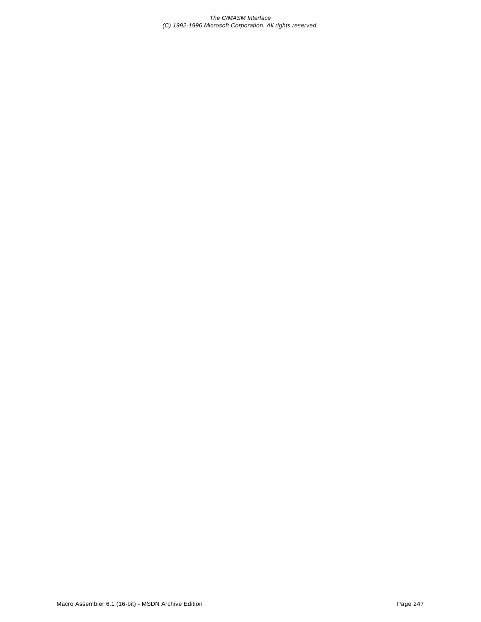*The C/MASM Interface (C) 1992-1996 Microsoft Corporation. All rights reserved.*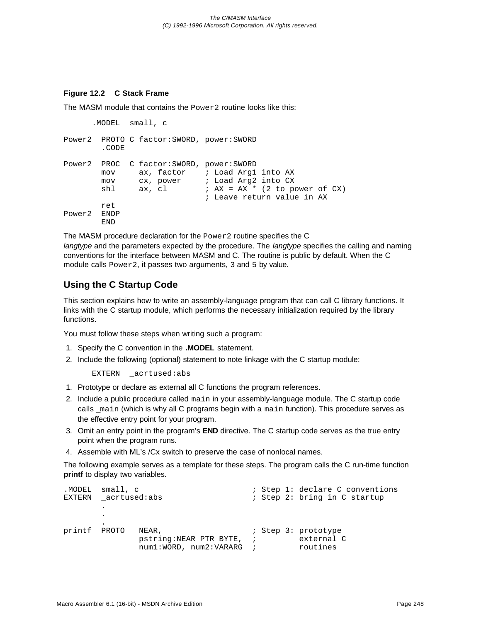#### **Figure 12.2 C Stack Frame**

The MASM module that contains the Power2 routine looks like this:

```
.MODEL small, c
Power2 PROTO C factor:SWORD, power:SWORD
       .CODE
Power2 PROC C factor:SWORD, power:SWORD
 mov ax, factor ; Load Arg1 into AX
 mov cx, power ; Load Arg2 into CX
shl ax, cl ; AX = AX * (2 to power of CX)
                         ; Leave return value in AX
       ret
Power2 ENDP
       END
```
The MASM procedure declaration for the Power2 routine specifies the C *langtype* and the parameters expected by the procedure. The *langtype* specifies the calling and naming conventions for the interface between MASM and C. The routine is public by default. When the C module calls Power2, it passes two arguments, 3 and 5 by value.

## **Using the C Startup Code**

This section explains how to write an assembly-language program that can call C library functions. It links with the C startup module, which performs the necessary initialization required by the library functions.

You must follow these steps when writing such a program:

- 1. Specify the C convention in the **.MODEL** statement.
- 2. Include the following (optional) statement to note linkage with the C startup module:

```
EXTERN _acrtused:abs
```
- 1. Prototype or declare as external all C functions the program references.
- 2. Include a public procedure called main in your assembly-language module. The C startup code calls \_main (which is why all C programs begin with a main function). This procedure serves as the effective entry point for your program.
- 3. Omit an entry point in the program's **END** directive. The C startup code serves as the true entry point when the program runs.
- 4. Assemble with ML's /Cx switch to preserve the case of nonlocal names.

The following example serves as a template for these steps. The program calls the C run-time function **printf** to display two variables.

```
.MODEL small, c<br>
EXTERN acrtused:abs                           ; Step 2: bring in C startup
                                  i Step 2: bring in C startup
 .
 .
 .
printf PROTO NEAR, \qquad \qquad ; Step 3: prototype
pstring:NEAR PTR BYTE, ; and external C
num1:WORD, num2:VARARG ; routines
```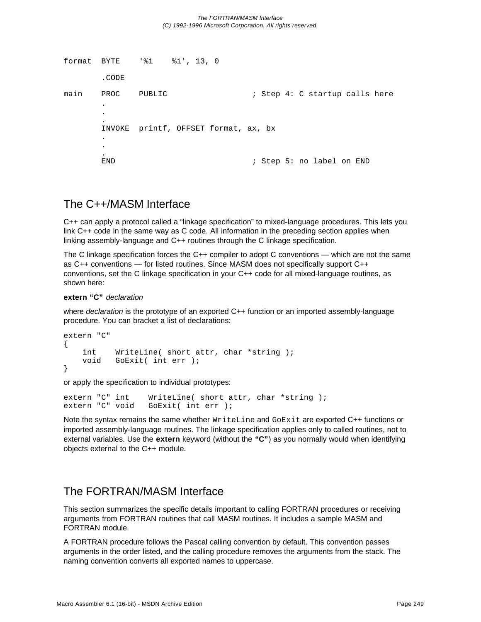```
format BYTE '%i %i', 13, 0
      .CODE
main PROC PUBLIC : i Step 4: C startup calls here
 .
 .
 .
      INVOKE printf, OFFSET format, ax, bx
 .
 .
 .
     END \qquad \qquad ; Step 5: no label on END
```
## The C++/MASM Interface

C++ can apply a protocol called a "linkage specification" to mixed-language procedures. This lets you link C++ code in the same way as C code. All information in the preceding section applies when linking assembly-language and C++ routines through the C linkage specification.

The C linkage specification forces the C++ compiler to adopt C conventions — which are not the same as C++ conventions — for listed routines. Since MASM does not specifically support C++ conventions, set the C linkage specification in your C++ code for all mixed-language routines, as shown here:

#### **extern "C"** *declaration*

where *declaration* is the prototype of an exported C++ function or an imported assembly-language procedure. You can bracket a list of declarations:

```
extern "C"
{
    int WriteLine( short attr, char *string );
    void GoExit( int err );
}
```
or apply the specification to individual prototypes:

```
extern "C" int WriteLine( short attr, char *string );<br>extern "C" void GoExit( int err );
                          GoExit( int err );
```
Note the syntax remains the same whether  $W$ riteLine and GoExit are exported C++ functions or imported assembly-language routines. The linkage specification applies only to called routines, not to external variables. Use the **extern** keyword (without the **"C"**) as you normally would when identifying objects external to the C++ module.

## The FORTRAN/MASM Interface

This section summarizes the specific details important to calling FORTRAN procedures or receiving arguments from FORTRAN routines that call MASM routines. It includes a sample MASM and FORTRAN module.

A FORTRAN procedure follows the Pascal calling convention by default. This convention passes arguments in the order listed, and the calling procedure removes the arguments from the stack. The naming convention converts all exported names to uppercase.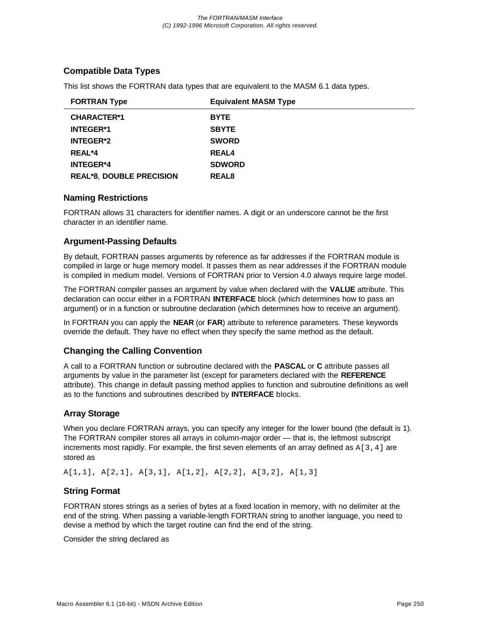## **Compatible Data Types**

This list shows the FORTRAN data types that are equivalent to the MASM 6.1 data types.

| <b>FORTRAN Type</b>             | <b>Equivalent MASM Type</b> |  |  |  |  |  |
|---------------------------------|-----------------------------|--|--|--|--|--|
| <b>CHARACTER*1</b>              | <b>BYTE</b>                 |  |  |  |  |  |
| <b>INTEGER*1</b>                | <b>SBYTE</b>                |  |  |  |  |  |
| <b>INTEGER*2</b>                | <b>SWORD</b>                |  |  |  |  |  |
| REAL*4                          | <b>REAL4</b>                |  |  |  |  |  |
| <b>INTEGER*4</b>                | <b>SDWORD</b>               |  |  |  |  |  |
| <b>REAL*8, DOUBLE PRECISION</b> | <b>REAL8</b>                |  |  |  |  |  |

### **Naming Restrictions**

FORTRAN allows 31 characters for identifier names. A digit or an underscore cannot be the first character in an identifier name.

## **Argument-Passing Defaults**

By default, FORTRAN passes arguments by reference as far addresses if the FORTRAN module is compiled in large or huge memory model. It passes them as near addresses if the FORTRAN module is compiled in medium model. Versions of FORTRAN prior to Version 4.0 always require large model.

The FORTRAN compiler passes an argument by value when declared with the **VALUE** attribute. This declaration can occur either in a FORTRAN **INTERFACE** block (which determines how to pass an argument) or in a function or subroutine declaration (which determines how to receive an argument).

In FORTRAN you can apply the **NEAR** (or **FAR**) attribute to reference parameters. These keywords override the default. They have no effect when they specify the same method as the default.

## **Changing the Calling Convention**

A call to a FORTRAN function or subroutine declared with the **PASCAL** or **C** attribute passes all arguments by value in the parameter list (except for parameters declared with the **REFERENCE** attribute). This change in default passing method applies to function and subroutine definitions as well as to the functions and subroutines described by **INTERFACE** blocks.

## **Array Storage**

When you declare FORTRAN arrays, you can specify any integer for the lower bound (the default is 1). The FORTRAN compiler stores all arrays in column-major order — that is, the leftmost subscript increments most rapidly. For example, the first seven elements of an array defined as  $A[3,4]$  are stored as

A[1,1], A[2,1], A[3,1], A[1,2], A[2,2], A[3,2], A[1,3]

## **String Format**

FORTRAN stores strings as a series of bytes at a fixed location in memory, with no delimiter at the end of the string. When passing a variable-length FORTRAN string to another language, you need to devise a method by which the target routine can find the end of the string.

Consider the string declared as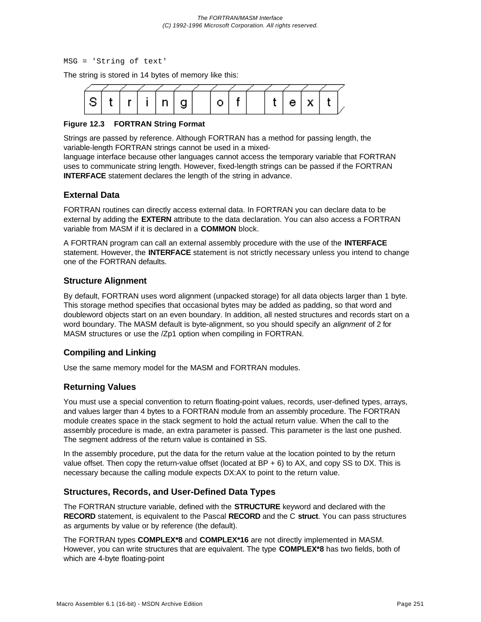#### MSG = 'String of text'

The string is stored in 14 bytes of memory like this:

| . Q   + | <b>110</b> | $\sim$ |  |  |  | $\mathsf{e}$ $\mathsf{r}$ | г |  |
|---------|------------|--------|--|--|--|---------------------------|---|--|

#### **Figure 12.3 FORTRAN String Format**

Strings are passed by reference. Although FORTRAN has a method for passing length, the variable-length FORTRAN strings cannot be used in a mixed-

language interface because other languages cannot access the temporary variable that FORTRAN uses to communicate string length. However, fixed-length strings can be passed if the FORTRAN **INTERFACE** statement declares the length of the string in advance.

### **External Data**

FORTRAN routines can directly access external data. In FORTRAN you can declare data to be external by adding the **EXTERN** attribute to the data declaration. You can also access a FORTRAN variable from MASM if it is declared in a **COMMON** block.

A FORTRAN program can call an external assembly procedure with the use of the **INTERFACE** statement. However, the **INTERFACE** statement is not strictly necessary unless you intend to change one of the FORTRAN defaults.

### **Structure Alignment**

By default, FORTRAN uses word alignment (unpacked storage) for all data objects larger than 1 byte. This storage method specifies that occasional bytes may be added as padding, so that word and doubleword objects start on an even boundary. In addition, all nested structures and records start on a word boundary. The MASM default is byte-alignment, so you should specify an *alignment* of 2 for MASM structures or use the /Zp1 option when compiling in FORTRAN.

## **Compiling and Linking**

Use the same memory model for the MASM and FORTRAN modules.

## **Returning Values**

You must use a special convention to return floating-point values, records, user-defined types, arrays, and values larger than 4 bytes to a FORTRAN module from an assembly procedure. The FORTRAN module creates space in the stack segment to hold the actual return value. When the call to the assembly procedure is made, an extra parameter is passed. This parameter is the last one pushed. The segment address of the return value is contained in SS.

In the assembly procedure, put the data for the return value at the location pointed to by the return value offset. Then copy the return-value offset (located at  $BP + 6$ ) to AX, and copy SS to DX. This is necessary because the calling module expects DX:AX to point to the return value.

### **Structures, Records, and User-Defined Data Types**

The FORTRAN structure variable, defined with the **STRUCTURE** keyword and declared with the **RECORD** statement, is equivalent to the Pascal **RECORD** and the C **struct**. You can pass structures as arguments by value or by reference (the default).

The FORTRAN types **COMPLEX\*8** and **COMPLEX\*16** are not directly implemented in MASM. However, you can write structures that are equivalent. The type **COMPLEX\*8** has two fields, both of which are 4-byte floating-point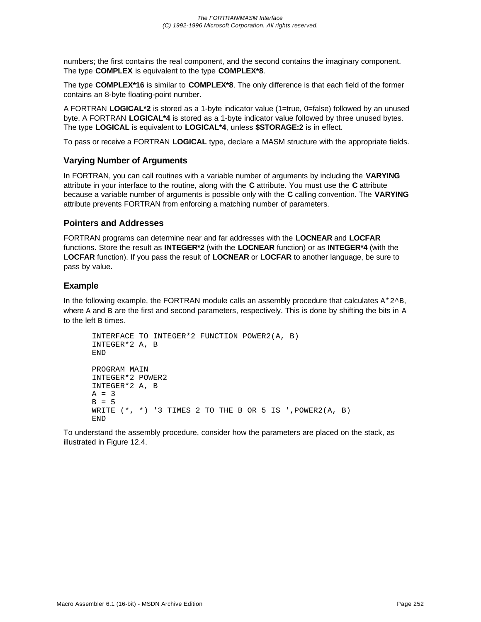numbers; the first contains the real component, and the second contains the imaginary component. The type **COMPLEX** is equivalent to the type **COMPLEX\*8**.

The type **COMPLEX\*16** is similar to **COMPLEX\*8**. The only difference is that each field of the former contains an 8-byte floating-point number.

A FORTRAN **LOGICAL\*2** is stored as a 1-byte indicator value (1=true, 0=false) followed by an unused byte. A FORTRAN **LOGICAL\*4** is stored as a 1-byte indicator value followed by three unused bytes. The type **LOGICAL** is equivalent to **LOGICAL\*4**, unless **\$STORAGE:2** is in effect.

To pass or receive a FORTRAN **LOGICAL** type, declare a MASM structure with the appropriate fields.

### **Varying Number of Arguments**

In FORTRAN, you can call routines with a variable number of arguments by including the **VARYING** attribute in your interface to the routine, along with the **C** attribute. You must use the **C** attribute because a variable number of arguments is possible only with the **C** calling convention. The **VARYING** attribute prevents FORTRAN from enforcing a matching number of parameters.

#### **Pointers and Addresses**

FORTRAN programs can determine near and far addresses with the **LOCNEAR** and **LOCFAR** functions. Store the result as **INTEGER\*2** (with the **LOCNEAR** function) or as **INTEGER\*4** (with the **LOCFAR** function). If you pass the result of **LOCNEAR** or **LOCFAR** to another language, be sure to pass by value.

#### **Example**

In the following example, the FORTRAN module calls an assembly procedure that calculates  $A^*2^B$ , where A and B are the first and second parameters, respectively. This is done by shifting the bits in  $A$ to the left B times.

```
 INTERFACE TO INTEGER*2 FUNCTION POWER2(A, B)
 INTEGER*2 A, B
 END
 PROGRAM MAIN
 INTEGER*2 POWER2
 INTEGER*2 A, B
A = 3B = 5WRITE (*, *) '3 TIMES 2 TO THE B OR 5 IS ', POWER2(A, B) END
```
To understand the assembly procedure, consider how the parameters are placed on the stack, as illustrated in Figure 12.4.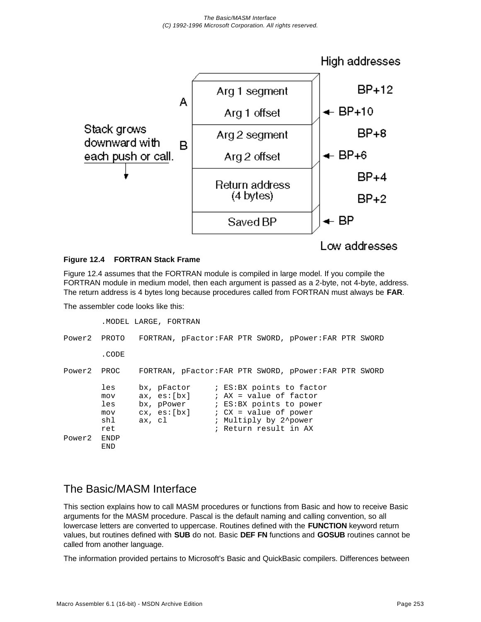

#### **Figure 12.4 FORTRAN Stack Frame**

Figure 12.4 assumes that the FORTRAN module is compiled in large model. If you compile the FORTRAN module in medium model, then each argument is passed as a 2-byte, not 4-byte, address. The return address is 4 bytes long because procedures called from FORTRAN must always be **FAR**.

The assembler code looks like this:

```
 .MODEL LARGE, FORTRAN
Power2 PROTO FORTRAN, pFactor:FAR PTR SWORD, pPower:FAR PTR SWORD
        .CODE
Power2 PROC FORTRAN, pFactor:FAR PTR SWORD, pPower:FAR PTR SWORD
        les bx, pFactor ; ES:BX points to factor
        mov ax, es:[bx] ; AX = value of factor
       les bx, pPower ; ES: BX points to power
        mov cx, es:[bx] ; CX = value of power
       shl ax, cl \cdots ; Multiply by 2^power
       ret \qquad \qquad ; Return result in AX
Power2 ENDP
        END
```
# The Basic/MASM Interface

This section explains how to call MASM procedures or functions from Basic and how to receive Basic arguments for the MASM procedure. Pascal is the default naming and calling convention, so all lowercase letters are converted to uppercase. Routines defined with the **FUNCTION** keyword return values, but routines defined with **SUB** do not. Basic **DEF FN** functions and **GOSUB** routines cannot be called from another language.

The information provided pertains to Microsoft's Basic and QuickBasic compilers. Differences between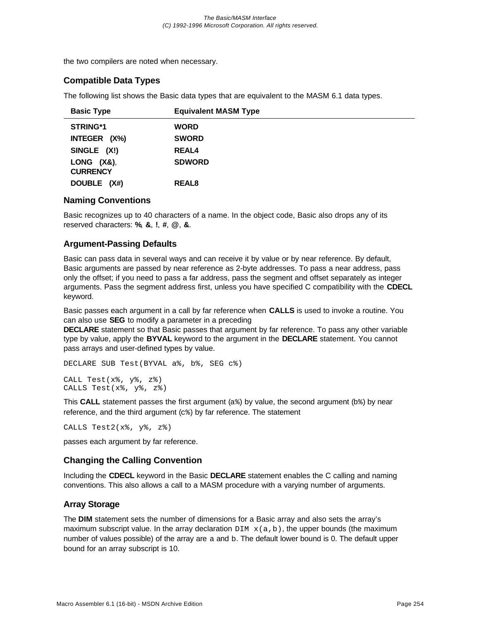the two compilers are noted when necessary.

# **Compatible Data Types**

The following list shows the Basic data types that are equivalent to the MASM 6.1 data types.

| <b>Basic Type</b>                 | <b>Equivalent MASM Type</b> |
|-----------------------------------|-----------------------------|
| <b>STRING*1</b>                   | <b>WORD</b>                 |
| INTEGER (X%)                      | <b>SWORD</b>                |
| SINGLE (X!)                       | <b>REAL4</b>                |
| LONG $(X&0)$ ,<br><b>CURRENCY</b> | <b>SDWORD</b>               |
| DOUBLE (X#)                       | <b>REAL8</b>                |

#### **Naming Conventions**

Basic recognizes up to 40 characters of a name. In the object code, Basic also drops any of its reserved characters: **%**, **&**, **!**, **#**, **@**, **&**.

## **Argument-Passing Defaults**

Basic can pass data in several ways and can receive it by value or by near reference. By default, Basic arguments are passed by near reference as 2-byte addresses. To pass a near address, pass only the offset; if you need to pass a far address, pass the segment and offset separately as integer arguments. Pass the segment address first, unless you have specified C compatibility with the **CDECL** keyword.

Basic passes each argument in a call by far reference when **CALLS** is used to invoke a routine. You can also use **SEG** to modify a parameter in a preceding

**DECLARE** statement so that Basic passes that argument by far reference. To pass any other variable type by value, apply the **BYVAL** keyword to the argument in the **DECLARE** statement. You cannot pass arrays and user-defined types by value.

DECLARE SUB Test(BYVAL a%, b%, SEG c%)

CALL Test( $x<sup>8</sup>$ ,  $y<sup>8</sup>$ ,  $z<sup>8</sup>$ ) CALLS Test(x%, y%, z%)

This **CALL** statement passes the first argument ( $a$ <sup>§</sup>) by value, the second argument ( $b$ <sup>§</sup>) by near reference, and the third argument  $(c*)$  by far reference. The statement

CALLS Test2(x%, y%, z%)

passes each argument by far reference.

# **Changing the Calling Convention**

Including the **CDECL** keyword in the Basic **DECLARE** statement enables the C calling and naming conventions. This also allows a call to a MASM procedure with a varying number of arguments.

## **Array Storage**

The **DIM** statement sets the number of dimensions for a Basic array and also sets the array's maximum subscript value. In the array declaration  $DM \times (a, b)$ , the upper bounds (the maximum number of values possible) of the array are a and b. The default lower bound is 0. The default upper bound for an array subscript is 10.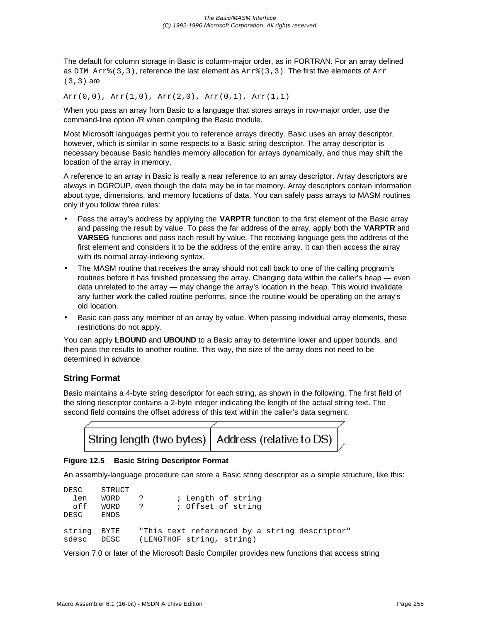The default for column storage in Basic is column-major order, as in FORTRAN. For an array defined as DIM  $Arr\frac{8}{3}$ , reference the last element as  $Arr\frac{8}{3}$ , 3). The first five elements of  $Arr$ (3,3) are

 $Arr(0,0)$ ,  $Arr(1,0)$ ,  $Arr(2,0)$ ,  $Arr(0,1)$ ,  $Arr(1,1)$ 

When you pass an array from Basic to a language that stores arrays in row-major order, use the command-line option /R when compiling the Basic module.

Most Microsoft languages permit you to reference arrays directly. Basic uses an array descriptor, however, which is similar in some respects to a Basic string descriptor. The array descriptor is necessary because Basic handles memory allocation for arrays dynamically, and thus may shift the location of the array in memory.

A reference to an array in Basic is really a near reference to an array descriptor. Array descriptors are always in DGROUP, even though the data may be in far memory. Array descriptors contain information about type, dimensions, and memory locations of data. You can safely pass arrays to MASM routines only if you follow three rules:

- Pass the array's address by applying the **VARPTR** function to the first element of the Basic array and passing the result by value. To pass the far address of the array, apply both the **VARPTR** and **VARSEG** functions and pass each result by value. The receiving language gets the address of the first element and considers it to be the address of the entire array. It can then access the array with its normal array-indexing syntax.
- The MASM routine that receives the array should not call back to one of the calling program's routines before it has finished processing the array. Changing data within the caller's heap — even data unrelated to the array — may change the array's location in the heap. This would invalidate any further work the called routine performs, since the routine would be operating on the array's old location.
- Basic can pass any member of an array by value. When passing individual array elements, these restrictions do not apply.

You can apply **LBOUND** and **UBOUND** to a Basic array to determine lower and upper bounds, and then pass the results to another routine. This way, the size of the array does not need to be determined in advance.

# **String Format**

Basic maintains a 4-byte string descriptor for each string, as shown in the following. The first field of the string descriptor contains a 2-byte integer indicating the length of the actual string text. The second field contains the offset address of this text within the caller's data segment.



#### **Figure 12.5 Basic String Descriptor Format**

An assembly-language procedure can store a Basic string descriptor as a simple structure, like this:

DESC STRUCT<br>len WORD len WORD ? ; Length of string<br>off WORD ? ; Offset of string WORD ? ; Offset of string<br>ENDS  $DESC$ string BYTE "This text referenced by a string descriptor"<br>sdesc DESC (LENGTHOF string, string) sdesc DESC (LENGTHOF string, string)

Version 7.0 or later of the Microsoft Basic Compiler provides new functions that access string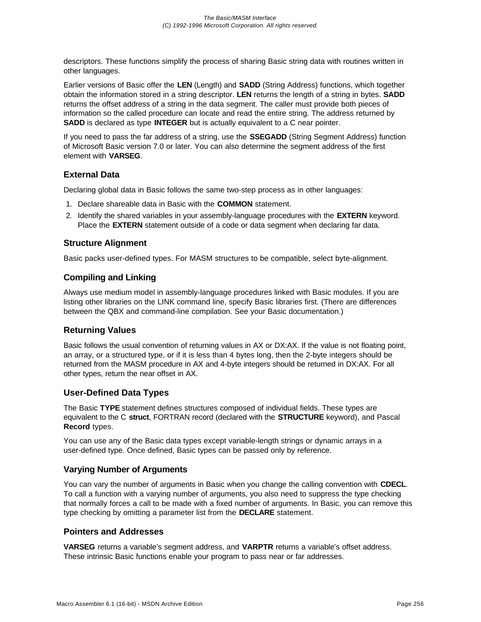descriptors. These functions simplify the process of sharing Basic string data with routines written in other languages.

Earlier versions of Basic offer the **LEN** (Length) and **SADD** (String Address) functions, which together obtain the information stored in a string descriptor. **LEN** returns the length of a string in bytes. **SADD** returns the offset address of a string in the data segment. The caller must provide both pieces of information so the called procedure can locate and read the entire string. The address returned by **SADD** is declared as type **INTEGER** but is actually equivalent to a C near pointer.

If you need to pass the far address of a string, use the **SSEGADD** (String Segment Address) function of Microsoft Basic version 7.0 or later. You can also determine the segment address of the first element with **VARSEG**.

# **External Data**

Declaring global data in Basic follows the same two-step process as in other languages:

- 1. Declare shareable data in Basic with the **COMMON** statement.
- 2. Identify the shared variables in your assembly-language procedures with the **EXTERN** keyword. Place the **EXTERN** statement outside of a code or data segment when declaring far data.

## **Structure Alignment**

Basic packs user-defined types. For MASM structures to be compatible, select byte-alignment.

# **Compiling and Linking**

Always use medium model in assembly-language procedures linked with Basic modules. If you are listing other libraries on the LINK command line, specify Basic libraries first. (There are differences between the QBX and command-line compilation. See your Basic documentation.)

# **Returning Values**

Basic follows the usual convention of returning values in AX or DX:AX. If the value is not floating point, an array, or a structured type, or if it is less than 4 bytes long, then the 2-byte integers should be returned from the MASM procedure in AX and 4-byte integers should be returned in DX:AX. For all other types, return the near offset in AX.

# **User-Defined Data Types**

The Basic **TYPE** statement defines structures composed of individual fields. These types are equivalent to the C **struct**, FORTRAN record (declared with the **STRUCTURE** keyword), and Pascal **Record** types.

You can use any of the Basic data types except variable-length strings or dynamic arrays in a user-defined type. Once defined, Basic types can be passed only by reference.

# **Varying Number of Arguments**

You can vary the number of arguments in Basic when you change the calling convention with **CDECL**. To call a function with a varying number of arguments, you also need to suppress the type checking that normally forces a call to be made with a fixed number of arguments. In Basic, you can remove this type checking by omitting a parameter list from the **DECLARE** statement.

## **Pointers and Addresses**

**VARSEG** returns a variable's segment address, and **VARPTR** returns a variable's offset address. These intrinsic Basic functions enable your program to pass near or far addresses.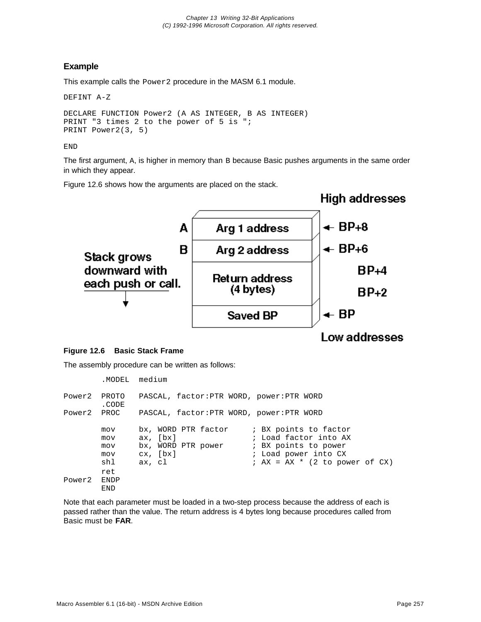# **Example**

This example calls the Power2 procedure in the MASM 6.1 module.

```
DEFINT A-Z
```

```
DECLARE FUNCTION Power2 (A AS INTEGER, B AS INTEGER)
PRINT "3 times 2 to the power of 5 is ";
PRINT Power2(3, 5)
```
END

The first argument, A, is higher in memory than B because Basic pushes arguments in the same order in which they appear.

Figure 12.6 shows how the arguments are placed on the stack.



## **Figure 12.6 Basic Stack Frame**

The assembly procedure can be written as follows:

```
 .MODEL medium
Power2 PROTO PASCAL, factor:PTR WORD, power:PTR WORD
         .CODE
Power2 PROC PASCAL, factor:PTR WORD, power:PTR WORD
        mov bx, WORD PTR factor ; BX points to factor
        mov ax, [bx] \qquad \qquad ; Load factor into AX
        mov bx, WORD PTR power ; BX points to power<br>mov cx, [bx] ; Load power into CX
        mov cx, [bx] ; Load power into CX<br>shl ax, cl ; AX = AX * (2 to pow
        shl ax, cl i AX = AX * (2 to power of CX)
       ret<br>ENDP
Power2
         END
```
Note that each parameter must be loaded in a two-step process because the address of each is passed rather than the value. The return address is 4 bytes long because procedures called from Basic must be **FAR**.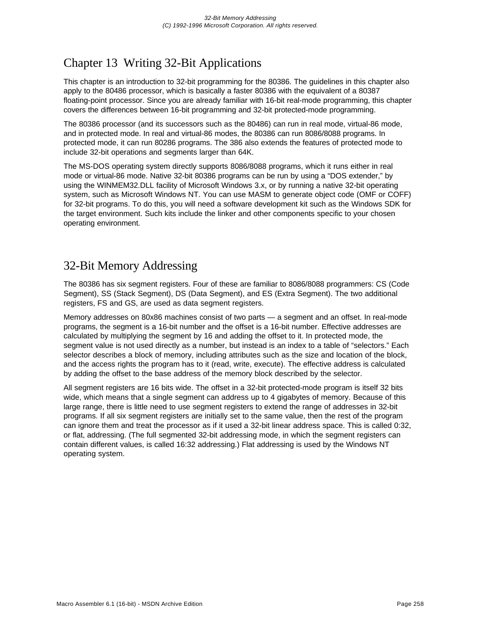# Chapter 13 Writing 32-Bit Applications

This chapter is an introduction to 32-bit programming for the 80386. The guidelines in this chapter also apply to the 80486 processor, which is basically a faster 80386 with the equivalent of a 80387 floating-point processor. Since you are already familiar with 16-bit real-mode programming, this chapter covers the differences between 16-bit programming and 32-bit protected-mode programming.

The 80386 processor (and its successors such as the 80486) can run in real mode, virtual-86 mode, and in protected mode. In real and virtual-86 modes, the 80386 can run 8086/8088 programs. In protected mode, it can run 80286 programs. The 386 also extends the features of protected mode to include 32-bit operations and segments larger than 64K.

The MS-DOS operating system directly supports 8086/8088 programs, which it runs either in real mode or virtual-86 mode. Native 32-bit 80386 programs can be run by using a "DOS extender," by using the WINMEM32.DLL facility of Microsoft Windows 3.x, or by running a native 32-bit operating system, such as Microsoft Windows NT. You can use MASM to generate object code (OMF or COFF) for 32-bit programs. To do this, you will need a software development kit such as the Windows SDK for the target environment. Such kits include the linker and other components specific to your chosen operating environment.

# 32-Bit Memory Addressing

The 80386 has six segment registers. Four of these are familiar to 8086/8088 programmers: CS (Code Segment), SS (Stack Segment), DS (Data Segment), and ES (Extra Segment). The two additional registers, FS and GS, are used as data segment registers.

Memory addresses on 80x86 machines consist of two parts — a segment and an offset. In real-mode programs, the segment is a 16-bit number and the offset is a 16-bit number. Effective addresses are calculated by multiplying the segment by 16 and adding the offset to it. In protected mode, the segment value is not used directly as a number, but instead is an index to a table of "selectors." Each selector describes a block of memory, including attributes such as the size and location of the block, and the access rights the program has to it (read, write, execute). The effective address is calculated by adding the offset to the base address of the memory block described by the selector.

All segment registers are 16 bits wide. The offset in a 32-bit protected-mode program is itself 32 bits wide, which means that a single segment can address up to 4 gigabytes of memory. Because of this large range, there is little need to use segment registers to extend the range of addresses in 32-bit programs. If all six segment registers are initially set to the same value, then the rest of the program can ignore them and treat the processor as if it used a 32-bit linear address space. This is called 0:32, or flat, addressing. (The full segmented 32-bit addressing mode, in which the segment registers can contain different values, is called 16:32 addressing.) Flat addressing is used by the Windows NT operating system.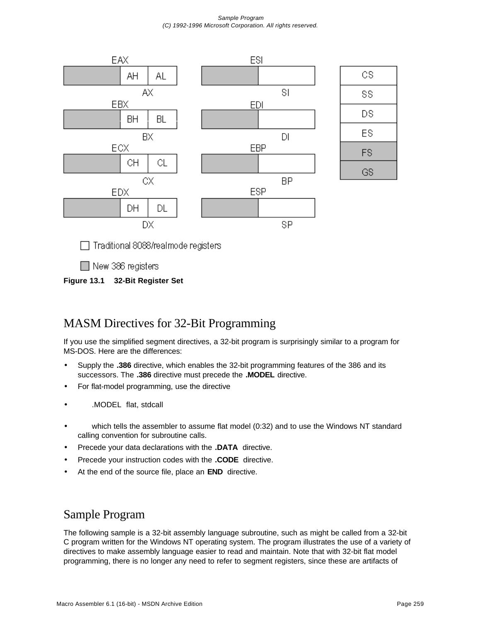#### *Sample Program (C) 1992-1996 Microsoft Corporation. All rights reserved.*





# MASM Directives for 32-Bit Programming

If you use the simplified segment directives, a 32-bit program is surprisingly similar to a program for MS-DOS. Here are the differences:

- Supply the **.386** directive, which enables the 32-bit programming features of the 386 and its successors. The **.386** directive must precede the **.MODEL** directive.
- For flat-model programming, use the directive
- .MODEL flat, stdcall
- which tells the assembler to assume flat model (0:32) and to use the Windows NT standard calling convention for subroutine calls.
- Precede your data declarations with the **.DATA** directive.
- Precede your instruction codes with the **.CODE** directive.
- At the end of the source file, place an **END** directive.

# Sample Program

The following sample is a 32-bit assembly language subroutine, such as might be called from a 32-bit C program written for the Windows NT operating system. The program illustrates the use of a variety of directives to make assembly language easier to read and maintain. Note that with 32-bit flat model programming, there is no longer any need to refer to segment registers, since these are artifacts of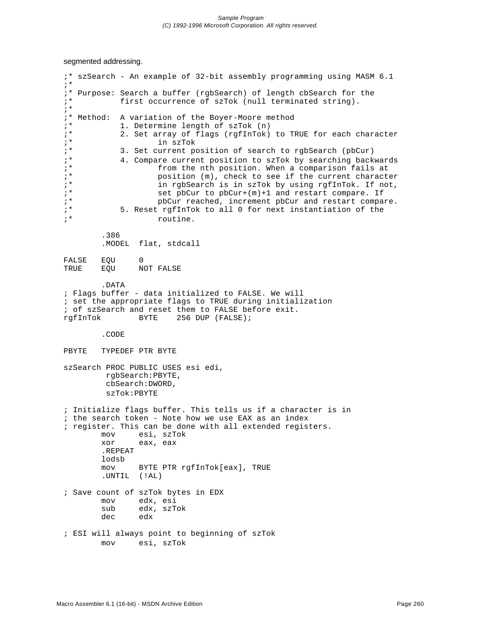segmented addressing.

```
;* szSearch - An example of 32-bit assembly programming using MASM 6.1
;*
;* Purpose: Search a buffer (rgbSearch) of length cbSearch for the
;* first occurrence of szTok (null terminated string).
;*
;* Method: A variation of the Boyer-Moore method
;* 1. Determine length of szTok (n)
;* 2. Set array of flags (rgfInTok) to TRUE for each character
;* in szTok<br>;* 3. Set current po
            3. Set current position of search to rgbSearch (pbCur)
;* 4. Compare current position to szTok by searching backwards 
%, the number of the nth position. When a comparison fails at<br>it is the current character of the contracters and position (m), check to see if the current characters
;* position (m), check to see if the current character 
;* in rgbSearch is in szTok by using rgfInTok. If not, 
;* set pbCur to pbCur+(m)+1 and restart compare. If 
;* pbCur reached, increment pbCur and restart compare.
            5. Reset rgfInTok to all 0 for next instantiation of the
; * routine.
         .386
         .MODEL flat, stdcall
FALSE EQU 0<br>TRUE EQU N
                NOT FALSE
         .DATA
; Flags buffer - data initialized to FALSE. We will 
; set the appropriate flags to TRUE during initialization
; of szSearch and reset them to FALSE before exit.
rgfInTok BYTE 256 DUP (FALSE);
         .CODE
PBYTE TYPEDEF PTR BYTE
szSearch PROC PUBLIC USES esi edi, 
          rgbSearch:PBYTE, 
          cbSearch:DWORD, 
          szTok:PBYTE
; Initialize flags buffer. This tells us if a character is in
; the search token - Note how we use EAX as an index
; register. This can be done with all extended registers.
         mov esi, szTok
         xor eax, eax
         .REPEAT
         lodsb
         mov BYTE PTR rgfInTok[eax], TRUE
         .UNTIL (!AL)
; Save count of szTok bytes in EDX
        mov edx, esi<br>sub edx, szT
                edx, szTok<br>edx
        dec; ESI will always point to beginning of szTok
         mov esi, szTok
```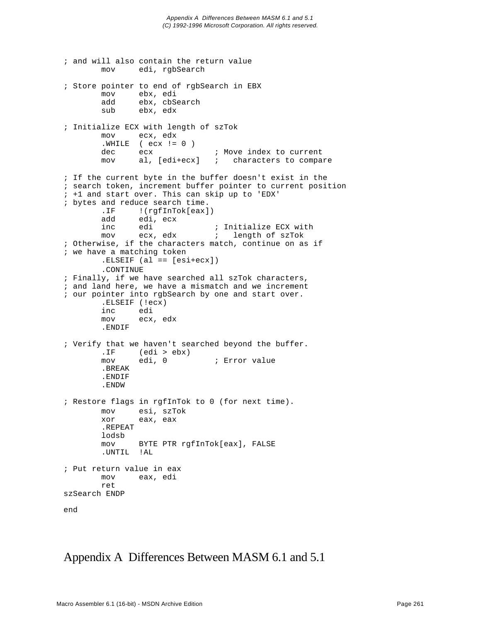```
; and will also contain the return value
         mov edi, rgbSearch
; Store pointer to end of rgbSearch in EBX
        mov ebx, edi<br>add ebx, cbS
                ebx, cbSearch
         sub ebx, edx
; Initialize ECX with length of szTok
         mov ecx, edx
        .WHILE ( ecx != 0 )dec ecx ; Move index to current<br>mov al, [edi+ecx] ; characters to compa
                               ; characters to compare
; If the current byte in the buffer doesn't exist in the 
; search token, increment buffer pointer to current position 
; +1 and start over. This can skip up to 'EDX'
; bytes and reduce search time.
         .IF !(rgfInTok[eax])
         add edi, ecx
         inc edi ; Initialize ECX with
         mov ecx, edx ; length of szTok
; Otherwise, if the characters match, continue on as if
; we have a matching token
         .ELSEIF (al == [esi+ecx])
         .CONTINUE
; Finally, if we have searched all szTok characters, 
; and land here, we have a mismatch and we increment 
; our pointer into rgbSearch by one and start over.
         .ELSEIF (!ecx)
         inc edi
                ecx, edx
         .ENDIF
; Verify that we haven't searched beyond the buffer.<br>IF (edi > ebx)
                 .IF (edi > ebx) 
        mov edi, 0 ; Error value
         .BREAK
         .ENDIF
         .ENDW
; Restore flags in rgfInTok to 0 (for next time).
        mov esi, szTok<br>xor eax, eax
                eax, eax
         .REPEAT
        lodsb<br>mov
                BYTE PTR rgfInTok[eax], FALSE
         .UNTIL !AL
; Put return value in eax
         mov eax, edi
         ret
szSearch ENDP
end
```
# Appendix A Differences Between MASM 6.1 and 5.1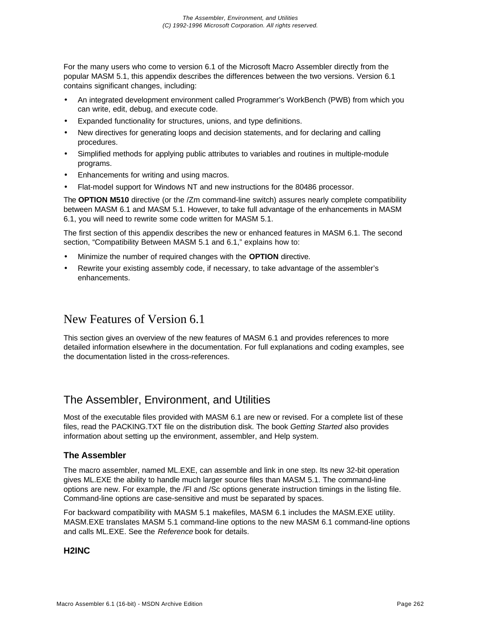For the many users who come to version 6.1 of the Microsoft Macro Assembler directly from the popular MASM 5.1, this appendix describes the differences between the two versions. Version 6.1 contains significant changes, including:

- An integrated development environment called Programmer's WorkBench (PWB) from which you can write, edit, debug, and execute code.
- Expanded functionality for structures, unions, and type definitions.
- New directives for generating loops and decision statements, and for declaring and calling procedures.
- Simplified methods for applying public attributes to variables and routines in multiple-module programs.
- Enhancements for writing and using macros.
- Flat-model support for Windows NT and new instructions for the 80486 processor.

The **OPTION M510** directive (or the /Zm command-line switch) assures nearly complete compatibility between MASM 6.1 and MASM 5.1. However, to take full advantage of the enhancements in MASM 6.1, you will need to rewrite some code written for MASM 5.1.

The first section of this appendix describes the new or enhanced features in MASM 6.1. The second section, "Compatibility Between MASM 5.1 and 6.1," explains how to:

- Minimize the number of required changes with the **OPTION** directive.
- Rewrite your existing assembly code, if necessary, to take advantage of the assembler's enhancements.

# New Features of Version 6.1

This section gives an overview of the new features of MASM 6.1 and provides references to more detailed information elsewhere in the documentation. For full explanations and coding examples, see the documentation listed in the cross-references.

# The Assembler, Environment, and Utilities

Most of the executable files provided with MASM 6.1 are new or revised. For a complete list of these files, read the PACKING.TXT file on the distribution disk. The book *Getting Started* also provides information about setting up the environment, assembler, and Help system.

# **The Assembler**

The macro assembler, named ML.EXE, can assemble and link in one step. Its new 32-bit operation gives ML.EXE the ability to handle much larger source files than MASM 5.1. The command-line options are new. For example, the /Fl and /Sc options generate instruction timings in the listing file. Command-line options are case-sensitive and must be separated by spaces.

For backward compatibility with MASM 5.1 makefiles, MASM 6.1 includes the MASM.EXE utility. MASM.EXE translates MASM 5.1 command-line options to the new MASM 6.1 command-line options and calls ML.EXE. See the *Reference* book for details.

## **H2INC**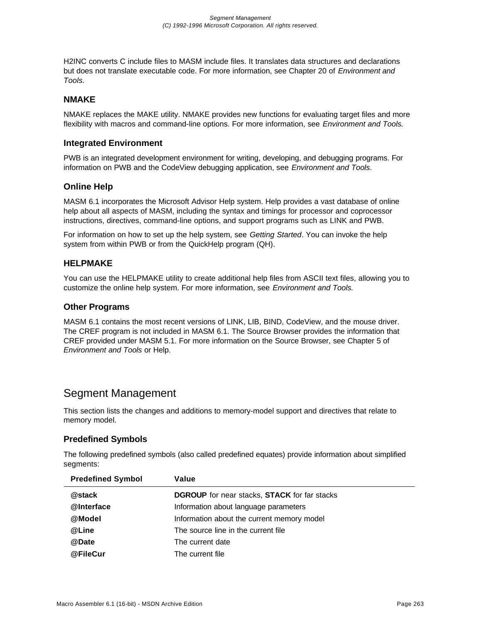H2INC converts C include files to MASM include files. It translates data structures and declarations but does not translate executable code. For more information, see Chapter 20 of *Environment and Tools.*

## **NMAKE**

NMAKE replaces the MAKE utility. NMAKE provides new functions for evaluating target files and more flexibility with macros and command-line options. For more information, see *Environment and Tools.*

### **Integrated Environment**

PWB is an integrated development environment for writing, developing, and debugging programs. For information on PWB and the CodeView debugging application, see *Environment and Tools*.

## **Online Help**

MASM 6.1 incorporates the Microsoft Advisor Help system. Help provides a vast database of online help about all aspects of MASM, including the syntax and timings for processor and coprocessor instructions, directives, command-line options, and support programs such as LINK and PWB.

For information on how to set up the help system, see *Getting Started*. You can invoke the help system from within PWB or from the QuickHelp program (QH).

#### **HELPMAKE**

You can use the HELPMAKE utility to create additional help files from ASCII text files, allowing you to customize the online help system. For more information, see *Environment and Tools.*

#### **Other Programs**

MASM 6.1 contains the most recent versions of LINK, LIB, BIND, CodeView, and the mouse driver. The CREF program is not included in MASM 6.1. The Source Browser provides the information that CREF provided under MASM 5.1. For more information on the Source Browser, see Chapter 5 of *Environment and Tools* or Help.

# Segment Management

This section lists the changes and additions to memory-model support and directives that relate to memory model.

## **Predefined Symbols**

The following predefined symbols (also called predefined equates) provide information about simplified segments:

| <b>Predefined Symbol</b> | Value                                                      |
|--------------------------|------------------------------------------------------------|
| @stack                   | <b>DGROUP</b> for near stacks, <b>STACK</b> for far stacks |
| @Interface               | Information about language parameters                      |
| @Model                   | Information about the current memory model                 |
| @Line                    | The source line in the current file                        |
| @Date                    | The current date                                           |
| @FileCur                 | The current file                                           |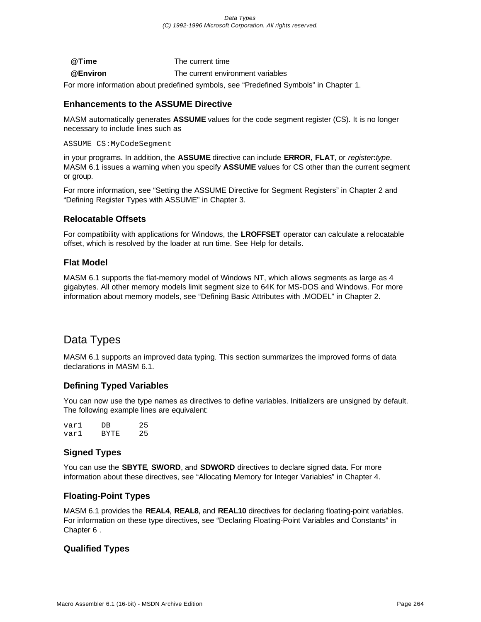| @Time    | The current time                  |
|----------|-----------------------------------|
| @Environ | The current environment variables |

For more information about predefined symbols, see "Predefined Symbols" in Chapter 1.

## **Enhancements to the ASSUME Directive**

MASM automatically generates **ASSUME** values for the code segment register (CS). It is no longer necessary to include lines such as

#### ASSUME CS:MyCodeSegment

in your programs. In addition, the **ASSUME** directive can include **ERROR**, **FLAT**, or *register***:***type*. MASM 6.1 issues a warning when you specify **ASSUME** values for CS other than the current segment or group.

For more information, see "Setting the ASSUME Directive for Segment Registers" in Chapter 2 and "Defining Register Types with ASSUME" in Chapter 3.

## **Relocatable Offsets**

For compatibility with applications for Windows, the **LROFFSET** operator can calculate a relocatable offset, which is resolved by the loader at run time. See Help for details.

## **Flat Model**

MASM 6.1 supports the flat-memory model of Windows NT, which allows segments as large as 4 gigabytes. All other memory models limit segment size to 64K for MS-DOS and Windows. For more information about memory models, see "Defining Basic Attributes with .MODEL" in Chapter 2.

# Data Types

MASM 6.1 supports an improved data typing. This section summarizes the improved forms of data declarations in MASM 6.1.

## **Defining Typed Variables**

You can now use the type names as directives to define variables. Initializers are unsigned by default. The following example lines are equivalent:

| var1 | DB.         | 25 |
|------|-------------|----|
| var1 | <b>BYTE</b> | 25 |

## **Signed Types**

You can use the **SBYTE**, **SWORD**, and **SDWORD** directives to declare signed data. For more information about these directives, see "Allocating Memory for Integer Variables" in Chapter 4.

## **Floating-Point Types**

MASM 6.1 provides the **REAL4**, **REAL8**, and **REAL10** directives for declaring floating-point variables. For information on these type directives, see "Declaring Floating-Point Variables and Constants" in Chapter 6 .

## **Qualified Types**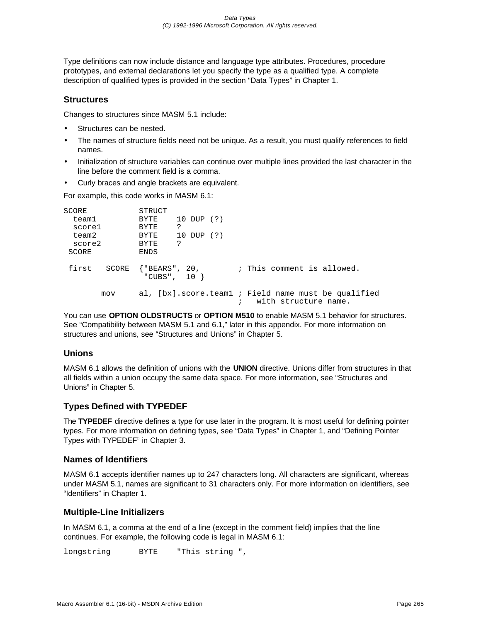Type definitions can now include distance and language type attributes. Procedures, procedure prototypes, and external declarations let you specify the type as a qualified type. A complete description of qualified types is provided in the section "Data Types" in Chapter 1.

## **Structures**

Changes to structures since MASM 5.1 include:

- Structures can be nested.
- The names of structure fields need not be unique. As a result, you must qualify references to field names.
- Initialization of structure variables can continue over multiple lines provided the last character in the line before the comment field is a comma.
- Curly braces and angle brackets are equivalent.

For example, this code works in MASM 6.1:

| SCORE  |             | STRUCT                          |            |                                                                            |
|--------|-------------|---------------------------------|------------|----------------------------------------------------------------------------|
| team1  |             | BYTE                            | 10 DUP (?) |                                                                            |
| score1 |             | BYTE                            |            |                                                                            |
| team2  |             | BYTE                            | 10 DUP (?) |                                                                            |
| score2 |             | BYTE                            | ?          |                                                                            |
| SCORE  |             | ENDS                            |            |                                                                            |
|        | first SCORE | {"BEARS", 20,<br>"CUBS", $10$ } |            | ; This comment is allowed.                                                 |
|        | mov         |                                 |            | al, [bx].score.team1; Field name must be qualified<br>with structure name. |

You can use **OPTION OLDSTRUCTS** or **OPTION M510** to enable MASM 5.1 behavior for structures. See "Compatibility between MASM 5.1 and 6.1," later in this appendix. For more information on structures and unions, see "Structures and Unions" in Chapter 5.

## **Unions**

MASM 6.1 allows the definition of unions with the **UNION** directive. Unions differ from structures in that all fields within a union occupy the same data space. For more information, see "Structures and Unions" in Chapter 5.

# **Types Defined with TYPEDEF**

The **TYPEDEF** directive defines a type for use later in the program. It is most useful for defining pointer types. For more information on defining types, see "Data Types" in Chapter 1, and "Defining Pointer Types with TYPEDEF" in Chapter 3.

## **Names of Identifiers**

MASM 6.1 accepts identifier names up to 247 characters long. All characters are significant, whereas under MASM 5.1, names are significant to 31 characters only. For more information on identifiers, see "Identifiers" in Chapter 1.

## **Multiple-Line Initializers**

In MASM 6.1, a comma at the end of a line (except in the comment field) implies that the line continues. For example, the following code is legal in MASM 6.1:

longstring BYTE "This string ",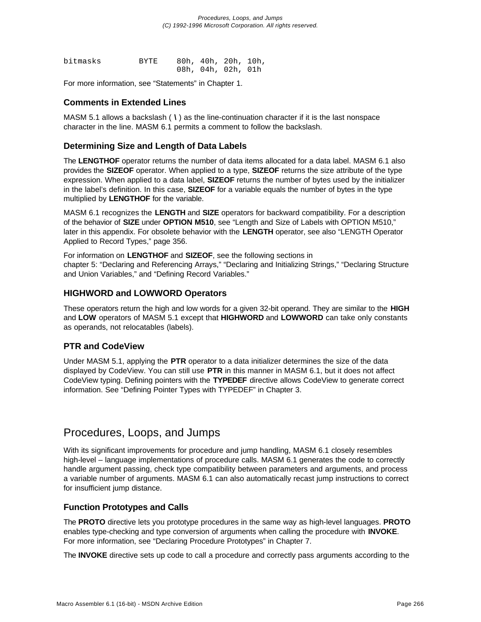| bitmasks | BYTE | 80h, 40h, 20h, 10h, |  |  |
|----------|------|---------------------|--|--|
|          |      | 08h, 04h, 02h, 01h  |  |  |

For more information, see "Statements" in Chapter 1.

### **Comments in Extended Lines**

MASM 5.1 allows a backslash ( **\** ) as the line-continuation character if it is the last nonspace character in the line. MASM 6.1 permits a comment to follow the backslash.

## **Determining Size and Length of Data Labels**

The **LENGTHOF** operator returns the number of data items allocated for a data label. MASM 6.1 also provides the **SIZEOF** operator. When applied to a type, **SIZEOF** returns the size attribute of the type expression. When applied to a data label, **SIZEOF** returns the number of bytes used by the initializer in the label's definition. In this case, **SIZEOF** for a variable equals the number of bytes in the type multiplied by **LENGTHOF** for the variable.

MASM 6.1 recognizes the **LENGTH** and **SIZE** operators for backward compatibility. For a description of the behavior of **SIZE** under **OPTION M510**, see "Length and Size of Labels with OPTION M510," later in this appendix. For obsolete behavior with the **LENGTH** operator, see also "LENGTH Operator Applied to Record Types," page 356.

For information on **LENGTHOF** and **SIZEOF**, see the following sections in chapter 5: "Declaring and Referencing Arrays," "Declaring and Initializing Strings," "Declaring Structure and Union Variables," and "Defining Record Variables."

## **HIGHWORD and LOWWORD Operators**

These operators return the high and low words for a given 32-bit operand. They are similar to the **HIGH** and **LOW** operators of MASM 5.1 except that **HIGHWORD** and **LOWWORD** can take only constants as operands, not relocatables (labels).

## **PTR and CodeView**

Under MASM 5.1, applying the **PTR** operator to a data initializer determines the size of the data displayed by CodeView. You can still use **PTR** in this manner in MASM 6.1, but it does not affect CodeView typing. Defining pointers with the **TYPEDEF** directive allows CodeView to generate correct information. See "Defining Pointer Types with TYPEDEF" in Chapter 3.

# Procedures, Loops, and Jumps

With its significant improvements for procedure and jump handling, MASM 6.1 closely resembles high-level – language implementations of procedure calls. MASM 6.1 generates the code to correctly handle argument passing, check type compatibility between parameters and arguments, and process a variable number of arguments. MASM 6.1 can also automatically recast jump instructions to correct for insufficient jump distance.

## **Function Prototypes and Calls**

The **PROTO** directive lets you prototype procedures in the same way as high-level languages. **PROTO** enables type-checking and type conversion of arguments when calling the procedure with **INVOKE**. For more information, see "Declaring Procedure Prototypes" in Chapter 7.

The **INVOKE** directive sets up code to call a procedure and correctly pass arguments according to the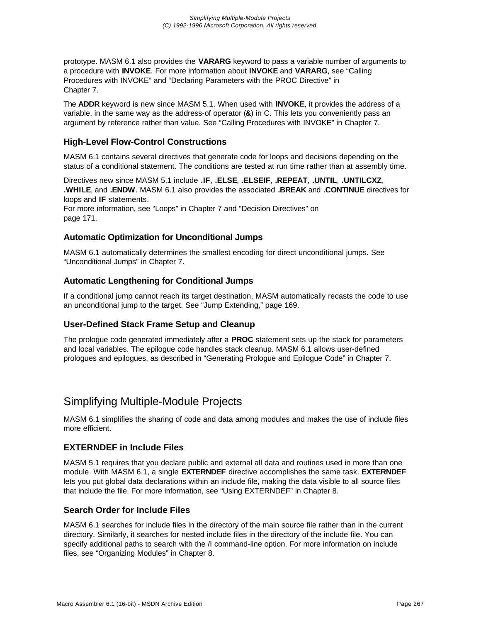prototype. MASM 6.1 also provides the **VARARG** keyword to pass a variable number of arguments to a procedure with **INVOKE**. For more information about **INVOKE** and **VARARG**, see "Calling Procedures with INVOKE" and "Declaring Parameters with the PROC Directive" in Chapter 7.

The **ADDR** keyword is new since MASM 5.1. When used with **INVOKE**, it provides the address of a variable, in the same way as the address-of operator (**&**) in C. This lets you conveniently pass an argument by reference rather than value. See "Calling Procedures with INVOKE" in Chapter 7.

# **High-Level Flow-Control Constructions**

MASM 6.1 contains several directives that generate code for loops and decisions depending on the status of a conditional statement. The conditions are tested at run time rather than at assembly time.

Directives new since MASM 5.1 include **.IF**, **.ELSE**, **.ELSEIF**, **.REPEAT**, **.UNTIL**, **.UNTILCXZ**, **.WHILE**, and **.ENDW**. MASM 6.1 also provides the associated **.BREAK** and **.CONTINUE** directives for loops and **IF** statements.

For more information, see "Loops" in Chapter 7 and "Decision Directives" on page 171.

## **Automatic Optimization for Unconditional Jumps**

MASM 6.1 automatically determines the smallest encoding for direct unconditional jumps. See "Unconditional Jumps" in Chapter 7.

## **Automatic Lengthening for Conditional Jumps**

If a conditional jump cannot reach its target destination, MASM automatically recasts the code to use an unconditional jump to the target. See "Jump Extending," page 169.

## **User-Defined Stack Frame Setup and Cleanup**

The prologue code generated immediately after a **PROC** statement sets up the stack for parameters and local variables. The epilogue code handles stack cleanup. MASM 6.1 allows user-defined prologues and epilogues, as described in "Generating Prologue and Epilogue Code" in Chapter 7.

# Simplifying Multiple-Module Projects

MASM 6.1 simplifies the sharing of code and data among modules and makes the use of include files more efficient.

## **EXTERNDEF in Include Files**

MASM 5.1 requires that you declare public and external all data and routines used in more than one module. With MASM 6.1, a single **EXTERNDEF** directive accomplishes the same task. **EXTERNDEF** lets you put global data declarations within an include file, making the data visible to all source files that include the file. For more information, see "Using EXTERNDEF" in Chapter 8.

## **Search Order for Include Files**

MASM 6.1 searches for include files in the directory of the main source file rather than in the current directory. Similarly, it searches for nested include files in the directory of the include file. You can specify additional paths to search with the /I command-line option. For more information on include files, see "Organizing Modules" in Chapter 8.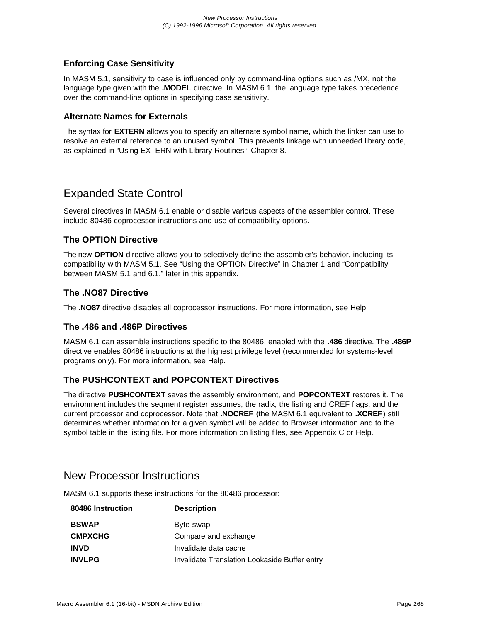# **Enforcing Case Sensitivity**

In MASM 5.1, sensitivity to case is influenced only by command-line options such as /MX, not the language type given with the **.MODEL** directive. In MASM 6.1, the language type takes precedence over the command-line options in specifying case sensitivity.

## **Alternate Names for Externals**

The syntax for **EXTERN** allows you to specify an alternate symbol name, which the linker can use to resolve an external reference to an unused symbol. This prevents linkage with unneeded library code, as explained in "Using EXTERN with Library Routines," Chapter 8.

# Expanded State Control

Several directives in MASM 6.1 enable or disable various aspects of the assembler control. These include 80486 coprocessor instructions and use of compatibility options.

# **The OPTION Directive**

The new **OPTION** directive allows you to selectively define the assembler's behavior, including its compatibility with MASM 5.1. See "Using the OPTION Directive" in Chapter 1 and "Compatibility between MASM 5.1 and 6.1," later in this appendix.

## **The .NO87 Directive**

The **.NO87** directive disables all coprocessor instructions. For more information, see Help.

# **The .486 and .486P Directives**

MASM 6.1 can assemble instructions specific to the 80486, enabled with the **.486** directive. The **.486P** directive enables 80486 instructions at the highest privilege level (recommended for systems-level programs only). For more information, see Help.

# **The PUSHCONTEXT and POPCONTEXT Directives**

The directive **PUSHCONTEXT** saves the assembly environment, and **POPCONTEXT** restores it. The environment includes the segment register assumes, the radix, the listing and CREF flags, and the current processor and coprocessor. Note that **.NOCREF** (the MASM 6.1 equivalent to **.XCREF**) still determines whether information for a given symbol will be added to Browser information and to the symbol table in the listing file. For more information on listing files, see Appendix C or Help.

# New Processor Instructions

| 80486 Instruction | <b>Description</b>                            |
|-------------------|-----------------------------------------------|
| <b>BSWAP</b>      | Byte swap                                     |
| <b>CMPXCHG</b>    | Compare and exchange                          |
| <b>INVD</b>       | Invalidate data cache                         |
| <b>INVLPG</b>     | Invalidate Translation Lookaside Buffer entry |

MASM 6.1 supports these instructions for the 80486 processor: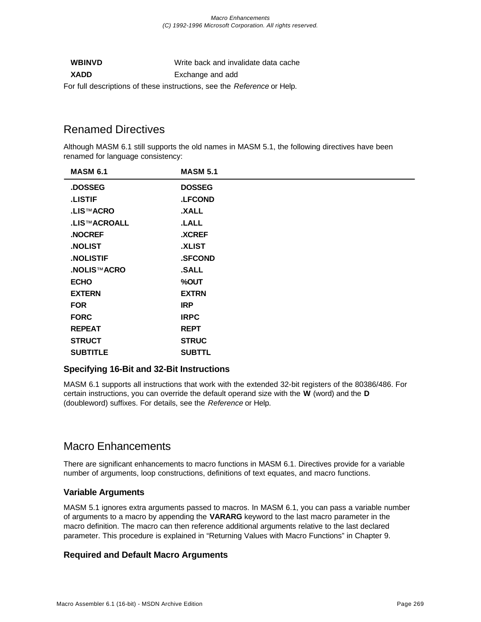| <b>WBINVD</b> | Write back and invalidate data cache |
|---------------|--------------------------------------|
| <b>XADD</b>   | Exchange and add                     |

For full descriptions of these instructions, see the *Reference* or Help.

# Renamed Directives

Although MASM 6.1 still supports the old names in MASM 5.1, the following directives have been renamed for language consistency:

| <b>MASM 6.1</b>     | <b>MASM 5.1</b> |  |
|---------------------|-----------------|--|
| <b>DOSSEG</b>       | <b>DOSSEG</b>   |  |
| <b>.LISTIF</b>      | <b>.LFCOND</b>  |  |
| <b>.LIS™ACRO</b>    | .XALL           |  |
| <b>.LIS™ACROALL</b> | <b>LALL</b>     |  |
| <b>NOCREF</b>       | <b>.XCREF</b>   |  |
| .NOLIST             | .XLIST          |  |
| .NOLISTIF           | <b>.SFCOND</b>  |  |
| <b>.NOLIS™ACRO</b>  | .SALL           |  |
| <b>ECHO</b>         | %OUT            |  |
| <b>EXTERN</b>       | <b>EXTRN</b>    |  |
| <b>FOR</b>          | <b>IRP</b>      |  |
| <b>FORC</b>         | <b>IRPC</b>     |  |
| <b>REPEAT</b>       | <b>REPT</b>     |  |
| <b>STRUCT</b>       | <b>STRUC</b>    |  |
| <b>SUBTITLE</b>     | <b>SUBTTL</b>   |  |

# **Specifying 16-Bit and 32-Bit Instructions**

MASM 6.1 supports all instructions that work with the extended 32-bit registers of the 80386/486. For certain instructions, you can override the default operand size with the **W** (word) and the **D** (doubleword) suffixes. For details, see the *Reference* or Help.

# Macro Enhancements

There are significant enhancements to macro functions in MASM 6.1. Directives provide for a variable number of arguments, loop constructions, definitions of text equates, and macro functions.

# **Variable Arguments**

MASM 5.1 ignores extra arguments passed to macros. In MASM 6.1, you can pass a variable number of arguments to a macro by appending the **VARARG** keyword to the last macro parameter in the macro definition. The macro can then reference additional arguments relative to the last declared parameter. This procedure is explained in "Returning Values with Macro Functions" in Chapter 9.

# **Required and Default Macro Arguments**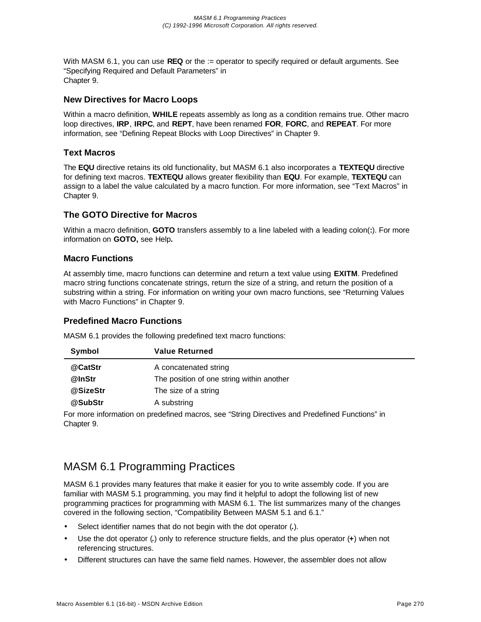With MASM 6.1, you can use **REQ** or the := operator to specify required or default arguments. See "Specifying Required and Default Parameters" in Chapter 9.

## **New Directives for Macro Loops**

Within a macro definition, **WHILE** repeats assembly as long as a condition remains true. Other macro loop directives, **IRP**, **IRPC**, and **REPT**, have been renamed **FOR**, **FORC**, and **REPEAT**. For more information, see "Defining Repeat Blocks with Loop Directives" in Chapter 9.

## **Text Macros**

The **EQU** directive retains its old functionality, but MASM 6.1 also incorporates a **TEXTEQU** directive for defining text macros. **TEXTEQU** allows greater flexibility than **EQU**. For example, **TEXTEQU** can assign to a label the value calculated by a macro function. For more information, see "Text Macros" in Chapter 9.

## **The GOTO Directive for Macros**

Within a macro definition, **GOTO** transfers assembly to a line labeled with a leading colon(**:**). For more information on **GOTO,** see Help**.**

#### **Macro Functions**

At assembly time, macro functions can determine and return a text value using **EXITM**. Predefined macro string functions concatenate strings, return the size of a string, and return the position of a substring within a string. For information on writing your own macro functions, see "Returning Values with Macro Functions" in Chapter 9.

#### **Predefined Macro Functions**

MASM 6.1 provides the following predefined text macro functions:

| Symbol   | <b>Value Returned</b>                     |
|----------|-------------------------------------------|
| @CatStr  | A concatenated string                     |
| @InStr   | The position of one string within another |
| @SizeStr | The size of a string                      |
| @SubStr  | A substring                               |
|          |                                           |

For more information on predefined macros, see "String Directives and Predefined Functions" in Chapter 9.

# MASM 6.1 Programming Practices

MASM 6.1 provides many features that make it easier for you to write assembly code. If you are familiar with MASM 5.1 programming, you may find it helpful to adopt the following list of new programming practices for programming with MASM 6.1. The list summarizes many of the changes covered in the following section, "Compatibility Between MASM 5.1 and 6.1."

- Select identifier names that do not begin with the dot operator (**.**).
- Use the dot operator (**.**) only to reference structure fields, and the plus operator (**+**) when not referencing structures.
- Different structures can have the same field names. However, the assembler does not allow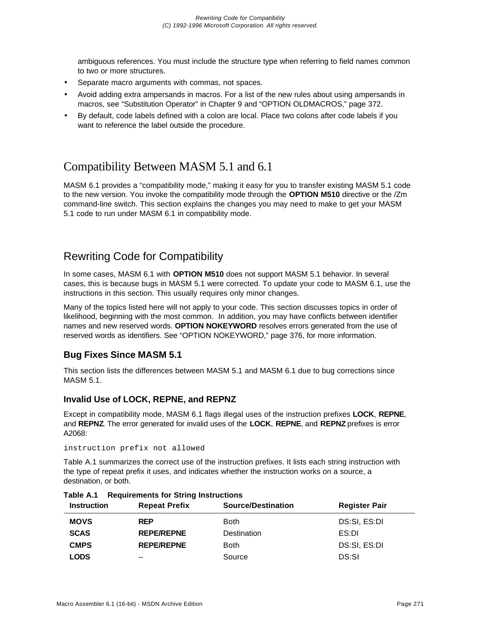ambiguous references. You must include the structure type when referring to field names common to two or more structures.

- Separate macro arguments with commas, not spaces.
- Avoid adding extra ampersands in macros. For a list of the new rules about using ampersands in macros, see "Substitution Operator" in Chapter 9 and "OPTION OLDMACROS," page 372.
- By default, code labels defined with a colon are local. Place two colons after code labels if you want to reference the label outside the procedure.

# Compatibility Between MASM 5.1 and 6.1

MASM 6.1 provides a "compatibility mode," making it easy for you to transfer existing MASM 5.1 code to the new version. You invoke the compatibility mode through the **OPTION M510** directive or the /Zm command-line switch. This section explains the changes you may need to make to get your MASM 5.1 code to run under MASM 6.1 in compatibility mode.

# Rewriting Code for Compatibility

In some cases, MASM 6.1 with **OPTION M510** does not support MASM 5.1 behavior. In several cases, this is because bugs in MASM 5.1 were corrected. To update your code to MASM 6.1, use the instructions in this section. This usually requires only minor changes.

Many of the topics listed here will not apply to your code. This section discusses topics in order of likelihood, beginning with the most common. In addition, you may have conflicts between identifier names and new reserved words. **OPTION NOKEYWORD** resolves errors generated from the use of reserved words as identifiers. See "OPTION NOKEYWORD," page 376, for more information.

# **Bug Fixes Since MASM 5.1**

This section lists the differences between MASM 5.1 and MASM 6.1 due to bug corrections since MASM 5.1.

## **Invalid Use of LOCK, REPNE, and REPNZ**

Except in compatibility mode, MASM 6.1 flags illegal uses of the instruction prefixes **LOCK**, **REPNE**, and **REPNZ**. The error generated for invalid uses of the **LOCK**, **REPNE**, and **REPNZ** prefixes is error A2068:

instruction prefix not allowed

Table A.1 summarizes the correct use of the instruction prefixes. It lists each string instruction with the type of repeat prefix it uses, and indicates whether the instruction works on a source, a destination, or both.

| <b>Instruction</b> | <b>Repeat Prefix</b> | <b>Source/Destination</b> | <b>Register Pair</b> |
|--------------------|----------------------|---------------------------|----------------------|
| <b>MOVS</b>        | <b>REP</b>           | Both                      | DS:SI, ES:DI         |
| <b>SCAS</b>        | <b>REPE/REPNE</b>    | <b>Destination</b>        | ES:DI                |
| <b>CMPS</b>        | <b>REPE/REPNE</b>    | <b>Both</b>               | DS:SI, ES:DI         |
| <b>LODS</b>        | $- -$                | Source                    | DS:SI                |

**Table A.1 Requirements for String Instructions**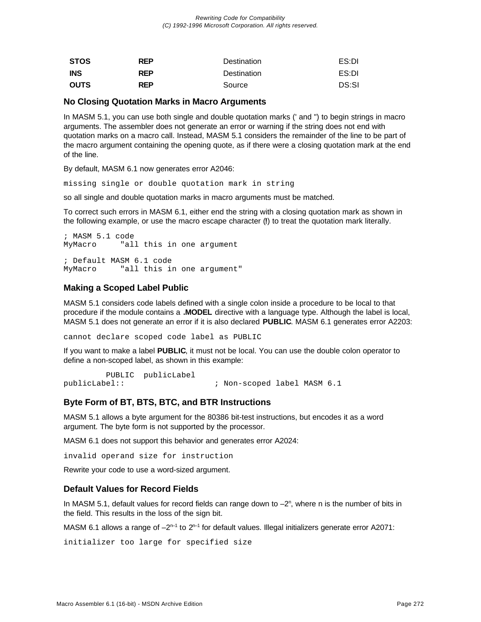| STOS        | <b>REP</b> | Destination | ES:DI |
|-------------|------------|-------------|-------|
| <b>INS</b>  | <b>REP</b> | Destination | ES:DI |
| <b>OUTS</b> | <b>REP</b> | Source      | DS:SI |

#### **No Closing Quotation Marks in Macro Arguments**

In MASM 5.1, you can use both single and double quotation marks (' and ") to begin strings in macro arguments. The assembler does not generate an error or warning if the string does not end with quotation marks on a macro call. Instead, MASM 5.1 considers the remainder of the line to be part of the macro argument containing the opening quote, as if there were a closing quotation mark at the end of the line.

By default, MASM 6.1 now generates error A2046:

missing single or double quotation mark in string

so all single and double quotation marks in macro arguments must be matched.

To correct such errors in MASM 6.1, either end the string with a closing quotation mark as shown in the following example, or use the macro escape character (**!**) to treat the quotation mark literally.

; MASM 5.1 code MyMacro "all this in one argument

; Default MASM 6.1 code MyMacro "all this in one argument"

#### **Making a Scoped Label Public**

MASM 5.1 considers code labels defined with a single colon inside a procedure to be local to that procedure if the module contains a **.MODEL** directive with a language type. Although the label is local, MASM 5.1 does not generate an error if it is also declared **PUBLIC**. MASM 6.1 generates error A2203:

cannot declare scoped code label as PUBLIC

If you want to make a label **PUBLIC**, it must not be local. You can use the double colon operator to define a non-scoped label, as shown in this example:

PUBLIC publicLabel<br>publicLabel::

; Non-scoped label MASM 6.1

## **Byte Form of BT, BTS, BTC, and BTR Instructions**

MASM 5.1 allows a byte argument for the 80386 bit-test instructions, but encodes it as a word argument. The byte form is not supported by the processor.

MASM 6.1 does not support this behavior and generates error A2024:

invalid operand size for instruction

Rewrite your code to use a word-sized argument.

#### **Default Values for Record Fields**

In MASM 5.1, default values for record fields can range down to  $-2<sup>n</sup>$ , where n is the number of bits in the field. This results in the loss of the sign bit.

MASM 6.1 allows a range of  $-2^{n-1}$  to  $2^{n-1}$  for default values. Illegal initializers generate error A2071:

initializer too large for specified size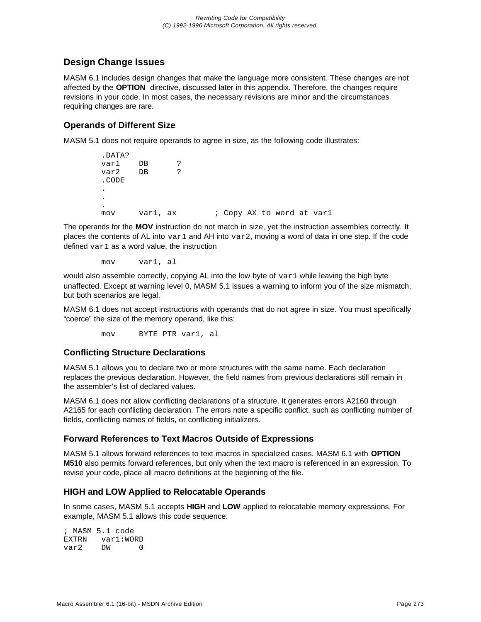# **Design Change Issues**

MASM 6.1 includes design changes that make the language more consistent. These changes are not affected by the **OPTION** directive, discussed later in this appendix. Therefore, the changes require revisions in your code. In most cases, the necessary revisions are minor and the circumstances requiring changes are rare.

# **Operands of Different Size**

MASM 5.1 does not require operands to agree in size, as the following code illustrates:

```
 .DATA?
      var1 DB ?<br>var2 DB ?
       var2 DB ?
       .CODE
 .
 .
 .
      mov var1, ax ; Copy AX to word at var1
```
The operands for the **MOV** instruction do not match in size, yet the instruction assembles correctly. It places the contents of AL into  $var1$  and AH into  $var2$ , moving a word of data in one step. If the code defined var1 as a word value, the instruction

mov var1, al

would also assemble correctly, copying AL into the low byte of var1 while leaving the high byte unaffected. Except at warning level 0, MASM 5.1 issues a warning to inform you of the size mismatch, but both scenarios are legal.

MASM 6.1 does not accept instructions with operands that do not agree in size. You must specifically "coerce" the size of the memory operand, like this:

mov BYTE PTR var1, al

# **Conflicting Structure Declarations**

MASM 5.1 allows you to declare two or more structures with the same name. Each declaration replaces the previous declaration. However, the field names from previous declarations still remain in the assembler's list of declared values.

MASM 6.1 does not allow conflicting declarations of a structure. It generates errors A2160 through A2165 for each conflicting declaration. The errors note a specific conflict, such as conflicting number of fields, conflicting names of fields, or conflicting initializers.

## **Forward References to Text Macros Outside of Expressions**

MASM 5.1 allows forward references to text macros in specialized cases. MASM 6.1 with **OPTION M510** also permits forward references, but only when the text macro is referenced in an expression. To revise your code, place all macro definitions at the beginning of the file.

## **HIGH and LOW Applied to Relocatable Operands**

In some cases, MASM 5.1 accepts **HIGH** and **LOW** applied to relocatable memory expressions. For example, MASM 5.1 allows this code sequence:

```
; MASM 5.1 code
EXTRN var1:WORD<br>var2 DW 0
var2
```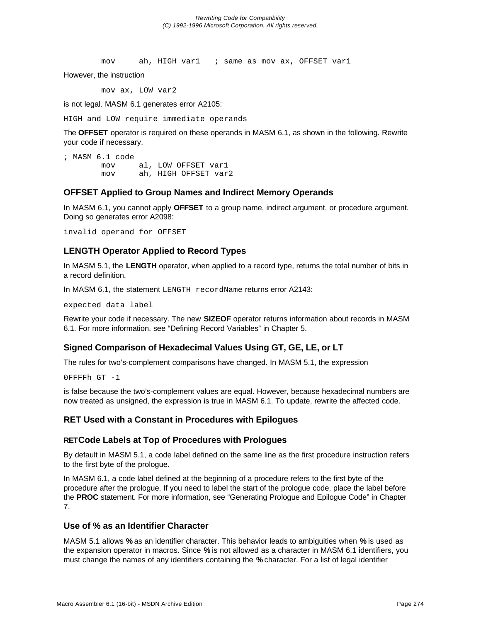mov ah, HIGH var1 ; same as mov ax, OFFSET var1

However, the instruction

mov ax, LOW var2

is not legal. MASM 6.1 generates error A2105:

HIGH and LOW require immediate operands

The **OFFSET** operator is required on these operands in MASM 6.1, as shown in the following. Rewrite your code if necessary.

```
; MASM 6.1 code
        mov al, LOW OFFSET var1
        mov ah, HIGH OFFSET var2
```
#### **OFFSET Applied to Group Names and Indirect Memory Operands**

In MASM 6.1, you cannot apply **OFFSET** to a group name, indirect argument, or procedure argument. Doing so generates error A2098:

invalid operand for OFFSET

## **LENGTH Operator Applied to Record Types**

In MASM 5.1, the **LENGTH** operator, when applied to a record type, returns the total number of bits in a record definition.

In MASM 6.1, the statement LENGTH recordName returns error A2143:

expected data label

Rewrite your code if necessary. The new **SIZEOF** operator returns information about records in MASM 6.1. For more information, see "Defining Record Variables" in Chapter 5.

#### **Signed Comparison of Hexadecimal Values Using GT, GE, LE, or LT**

The rules for two's-complement comparisons have changed. In MASM 5.1, the expression

0FFFFh GT -1

is false because the two's-complement values are equal. However, because hexadecimal numbers are now treated as unsigned, the expression is true in MASM 6.1. To update, rewrite the affected code.

#### **RET Used with a Constant in Procedures with Epilogues**

#### **RETCode Labels at Top of Procedures with Prologues**

By default in MASM 5.1, a code label defined on the same line as the first procedure instruction refers to the first byte of the prologue.

In MASM 6.1, a code label defined at the beginning of a procedure refers to the first byte of the procedure after the prologue. If you need to label the start of the prologue code, place the label before the **PROC** statement. For more information, see "Generating Prologue and Epilogue Code" in Chapter 7.

#### **Use of % as an Identifier Character**

MASM 5.1 allows **%** as an identifier character. This behavior leads to ambiguities when **%** is used as the expansion operator in macros. Since **%** is not allowed as a character in MASM 6.1 identifiers, you must change the names of any identifiers containing the **%** character. For a list of legal identifier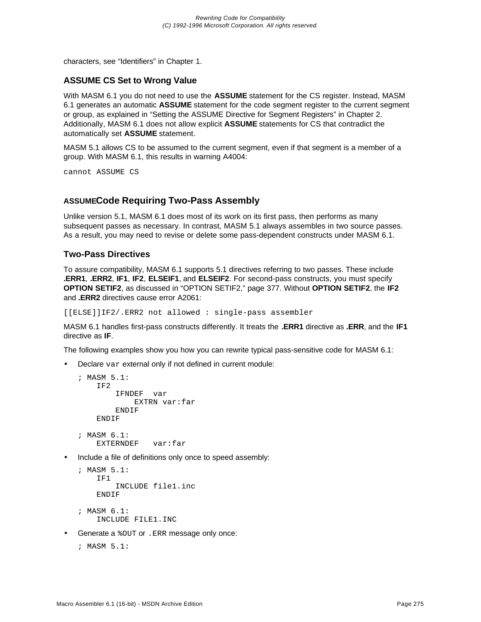characters, see "Identifiers" in Chapter 1.

# **ASSUME CS Set to Wrong Value**

With MASM 6.1 you do not need to use the **ASSUME** statement for the CS register. Instead, MASM 6.1 generates an automatic **ASSUME** statement for the code segment register to the current segment or group, as explained in "Setting the ASSUME Directive for Segment Registers" in Chapter 2. Additionally, MASM 6.1 does not allow explicit **ASSUME** statements for CS that contradict the automatically set **ASSUME** statement.

MASM 5.1 allows CS to be assumed to the current segment, even if that segment is a member of a group. With MASM 6.1, this results in warning A4004:

cannot ASSUME CS

# **ASSUMECode Requiring Two-Pass Assembly**

Unlike version 5.1, MASM 6.1 does most of its work on its first pass, then performs as many subsequent passes as necessary. In contrast, MASM 5.1 always assembles in two source passes. As a result, you may need to revise or delete some pass-dependent constructs under MASM 6.1.

## **Two-Pass Directives**

To assure compatibility, MASM 6.1 supports 5.1 directives referring to two passes. These include **.ERR1**, **.ERR2**, **IF1**, **IF2**, **ELSEIF1**, and **ELSEIF2**. For second-pass constructs, you must specify **OPTION SETIF2**, as discussed in "OPTION SETIF2," page 377. Without **OPTION SETIF2**, the **IF2** and **.ERR2** directives cause error A2061:

[[ELSE]]IF2/.ERR2 not allowed : single-pass assembler

MASM 6.1 handles first-pass constructs differently. It treats the **.ERR1** directive as **.ERR**, and the **IF1** directive as **IF**.

The following examples show you how you can rewrite typical pass-sensitive code for MASM 6.1:

Declare var external only if not defined in current module:

```
; MASM 5.1:
     IF2
         IFNDEF var
             EXTRN var:far
         ENDIF
     ENDIF
; MASM 6.1:
     EXTERNDEF var:far
```
• Include a file of definitions only once to speed assembly:

```
; MASM 5.1:
     IF1
          INCLUDE file1.inc
     ENDIF
; MASM 6.1:
```

```
 INCLUDE FILE1.INC
```
Generate a  $80UT$  or . ERR message only once:

```
; MASM 5.1:
```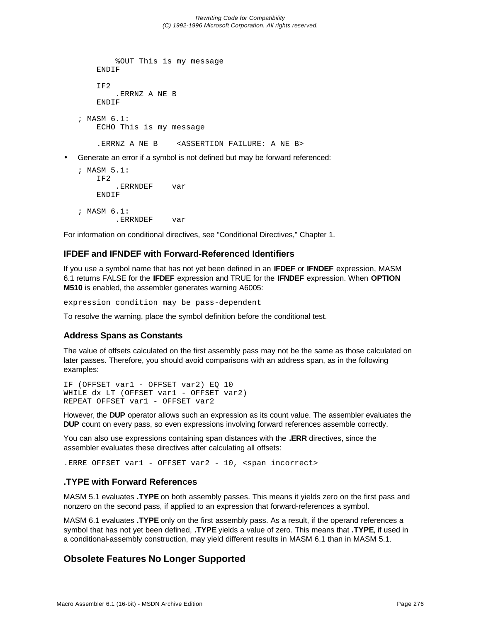```
 %OUT This is my message
     ENDIF
     IF2
         .ERRNZ A NE B
     ENDIF
; MASM 6.1:
     ECHO This is my message
     .ERRNZ A NE B <ASSERTION FAILURE: A NE B>
```
• Generate an error if a symbol is not defined but may be forward referenced:

```
; MASM 5.1:
    IF2
         .ERRNDEF var
    ENDIF
; MASM 6.1:
         .ERRNDEF var
```
For information on conditional directives, see "Conditional Directives," Chapter 1.

#### **IFDEF and IFNDEF with Forward-Referenced Identifiers**

If you use a symbol name that has not yet been defined in an **IFDEF** or **IFNDEF** expression, MASM 6.1 returns FALSE for the **IFDEF** expression and TRUE for the **IFNDEF** expression. When **OPTION M510** is enabled, the assembler generates warning A6005:

expression condition may be pass-dependent

To resolve the warning, place the symbol definition before the conditional test.

#### **Address Spans as Constants**

The value of offsets calculated on the first assembly pass may not be the same as those calculated on later passes. Therefore, you should avoid comparisons with an address span, as in the following examples:

```
IF (OFFSET var1 - OFFSET var2) EQ 10
WHILE dx LT (OFFSET var1 - OFFSET var2)
REPEAT OFFSET var1 - OFFSET var2
```
However, the **DUP** operator allows such an expression as its count value. The assembler evaluates the **DUP** count on every pass, so even expressions involving forward references assemble correctly.

You can also use expressions containing span distances with the **.ERR** directives, since the assembler evaluates these directives after calculating all offsets:

.ERRE OFFSET var1 - OFFSET var2 - 10, <span incorrect>

## **.TYPE with Forward References**

MASM 5.1 evaluates **.TYPE** on both assembly passes. This means it yields zero on the first pass and nonzero on the second pass, if applied to an expression that forward-references a symbol.

MASM 6.1 evaluates **.TYPE** only on the first assembly pass. As a result, if the operand references a symbol that has not yet been defined, **.TYPE** yields a value of zero. This means that **.TYPE**, if used in a conditional-assembly construction, may yield different results in MASM 6.1 than in MASM 5.1.

# **Obsolete Features No Longer Supported**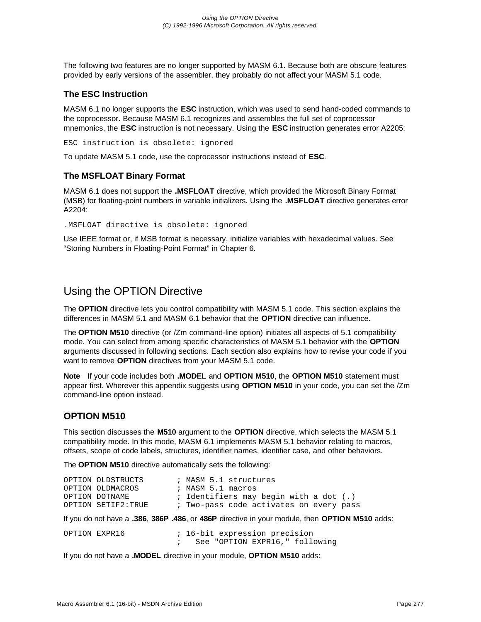The following two features are no longer supported by MASM 6.1. Because both are obscure features provided by early versions of the assembler, they probably do not affect your MASM 5.1 code.

#### **The ESC Instruction**

MASM 6.1 no longer supports the **ESC** instruction, which was used to send hand-coded commands to the coprocessor. Because MASM 6.1 recognizes and assembles the full set of coprocessor mnemonics, the **ESC** instruction is not necessary. Using the **ESC** instruction generates error A2205:

ESC instruction is obsolete: ignored

To update MASM 5.1 code, use the coprocessor instructions instead of **ESC**.

## **The MSFLOAT Binary Format**

MASM 6.1 does not support the **.MSFLOAT** directive, which provided the Microsoft Binary Format (MSB) for floating-point numbers in variable initializers. Using the **.MSFLOAT** directive generates error A2204:

.MSFLOAT directive is obsolete: ignored

Use IEEE format or, if MSB format is necessary, initialize variables with hexadecimal values. See "Storing Numbers in Floating-Point Format" in Chapter 6.

# Using the OPTION Directive

The **OPTION** directive lets you control compatibility with MASM 5.1 code. This section explains the differences in MASM 5.1 and MASM 6.1 behavior that the **OPTION** directive can influence.

The **OPTION M510** directive (or /Zm command-line option) initiates all aspects of 5.1 compatibility mode. You can select from among specific characteristics of MASM 5.1 behavior with the **OPTION** arguments discussed in following sections. Each section also explains how to revise your code if you want to remove **OPTION** directives from your MASM 5.1 code.

**Note** If your code includes both **.MODEL** and **OPTION M510**, the **OPTION M510** statement must appear first. Wherever this appendix suggests using **OPTION M510** in your code, you can set the /Zm command-line option instead.

## **OPTION M510**

This section discusses the **M510** argument to the **OPTION** directive, which selects the MASM 5.1 compatibility mode. In this mode, MASM 6.1 implements MASM 5.1 behavior relating to macros, offsets, scope of code labels, structures, identifier names, identifier case, and other behaviors.

The **OPTION M510** directive automatically sets the following:

|                    | If you do not have a .386, 386P .486, or 486P directive in your module, then OPTION M510 adds: |
|--------------------|------------------------------------------------------------------------------------------------|
| OPTION SETIF2:TRUE | ; Two-pass code activates on every pass                                                        |
| OPTION DOTNAME     | ; Identifiers may begin with a dot (.)                                                         |
| OPTION OLDMACROS   | ; MASM 5.1 macros                                                                              |
| OPTION OLDSTRUCTS  | ; MASM 5.1 structures                                                                          |

| OPTION EXPR16 |  | : 16-bit expression precision |  |                                |
|---------------|--|-------------------------------|--|--------------------------------|
|               |  |                               |  | See "OPTION EXPR16," following |

If you do not have a **.MODEL** directive in your module, **OPTION M510** adds: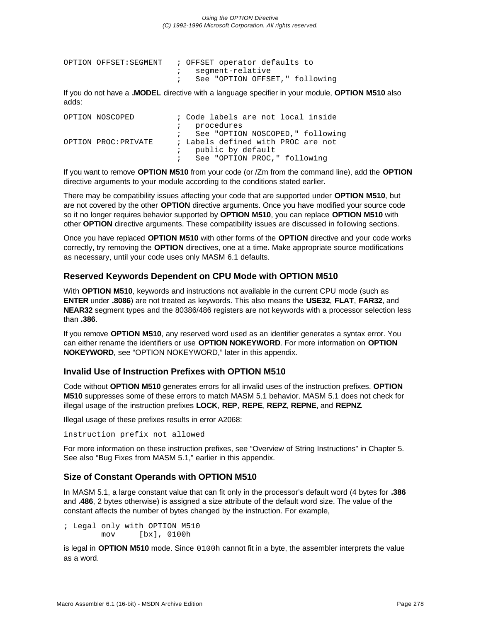| OPTION OFFSET: SEGMENT ; OFFSET operator defaults to |  |                    |                                |  |
|------------------------------------------------------|--|--------------------|--------------------------------|--|
|                                                      |  | ; segment-relative |                                |  |
|                                                      |  |                    | See "OPTION OFFSET," following |  |

If you do not have a **.MODEL** directive with a language specifier in your module, **OPTION M510** also adds:

| OPTION NOSCOPED      | ; Code labels are not local inside |
|----------------------|------------------------------------|
|                      | procedures                         |
|                      | ; See "OPTION NOSCOPED," following |
| OPTION PROC: PRIVATE | ; Labels defined with PROC are not |
|                      | public by default                  |
|                      | ; See "OPTION PROC," following     |

If you want to remove **OPTION M510** from your code (or /Zm from the command line), add the **OPTION** directive arguments to your module according to the conditions stated earlier.

There may be compatibility issues affecting your code that are supported under **OPTION M510**, but are not covered by the other **OPTION** directive arguments. Once you have modified your source code so it no longer requires behavior supported by **OPTION M510**, you can replace **OPTION M510** with other **OPTION** directive arguments. These compatibility issues are discussed in following sections.

Once you have replaced **OPTION M510** with other forms of the **OPTION** directive and your code works correctly, try removing the **OPTION** directives, one at a time. Make appropriate source modifications as necessary, until your code uses only MASM 6.1 defaults.

#### **Reserved Keywords Dependent on CPU Mode with OPTION M510**

With **OPTION M510**, keywords and instructions not available in the current CPU mode (such as **ENTER** under **.8086**) are not treated as keywords. This also means the **USE32**, **FLAT**, **FAR32**, and **NEAR32** segment types and the 80386/486 registers are not keywords with a processor selection less than **.386**.

If you remove **OPTION M510**, any reserved word used as an identifier generates a syntax error. You can either rename the identifiers or use **OPTION NOKEYWORD**. For more information on **OPTION NOKEYWORD**, see "OPTION NOKEYWORD," later in this appendix.

## **Invalid Use of Instruction Prefixes with OPTION M510**

Code without **OPTION M510** generates errors for all invalid uses of the instruction prefixes. **OPTION M510** suppresses some of these errors to match MASM 5.1 behavior. MASM 5.1 does not check for illegal usage of the instruction prefixes **LOCK**, **REP**, **REPE**, **REPZ**, **REPNE**, and **REPNZ**.

Illegal usage of these prefixes results in error A2068:

instruction prefix not allowed

For more information on these instruction prefixes, see "Overview of String Instructions" in Chapter 5. See also "Bug Fixes from MASM 5.1," earlier in this appendix.

#### **Size of Constant Operands with OPTION M510**

In MASM 5.1, a large constant value that can fit only in the processor's default word (4 bytes for **.386** and **.486**, 2 bytes otherwise) is assigned a size attribute of the default word size. The value of the constant affects the number of bytes changed by the instruction. For example,

```
; Legal only with OPTION M510
        mov [bx], 0100h
```
is legal in **OPTION M510** mode. Since 0100h cannot fit in a byte, the assembler interprets the value as a word.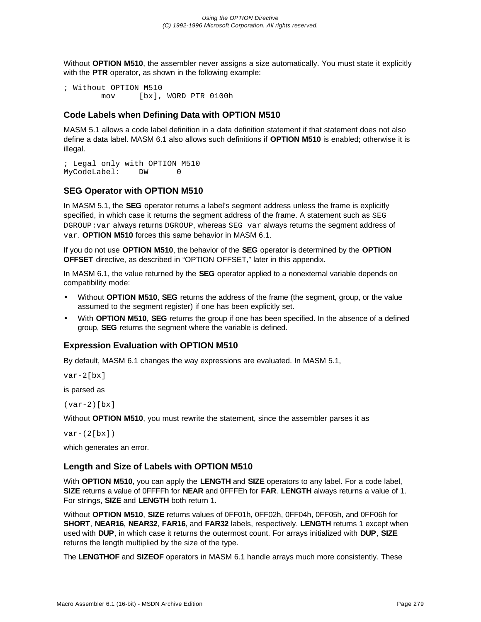Without **OPTION M510**, the assembler never assigns a size automatically. You must state it explicitly with the **PTR** operator, as shown in the following example:

; Without OPTION M510 mov [bx], WORD PTR 0100h

### **Code Labels when Defining Data with OPTION M510**

MASM 5.1 allows a code label definition in a data definition statement if that statement does not also define a data label. MASM 6.1 also allows such definitions if **OPTION M510** is enabled; otherwise it is illegal.

%; Legal only with OPTION M510<br>MyCodeLabel: DW 0 MyCodeLabel: DW 0

## **SEG Operator with OPTION M510**

In MASM 5.1, the **SEG** operator returns a label's segment address unless the frame is explicitly specified, in which case it returns the segment address of the frame. A statement such as SEG DGROUP:var always returns DGROUP, whereas SEG var always returns the segment address of var. **OPTION M510** forces this same behavior in MASM 6.1.

If you do not use **OPTION M510**, the behavior of the **SEG** operator is determined by the **OPTION OFFSET** directive, as described in "OPTION OFFSET," later in this appendix.

In MASM 6.1, the value returned by the **SEG** operator applied to a nonexternal variable depends on compatibility mode:

- Without **OPTION M510**, **SEG** returns the address of the frame (the segment, group, or the value assumed to the segment register) if one has been explicitly set.
- With **OPTION M510**, **SEG** returns the group if one has been specified. In the absence of a defined group, **SEG** returns the segment where the variable is defined.

## **Expression Evaluation with OPTION M510**

By default, MASM 6.1 changes the way expressions are evaluated. In MASM 5.1,

var-2[bx]

is parsed as

 $(var-2)$ [bx]

Without **OPTION M510**, you must rewrite the statement, since the assembler parses it as

var-(2[bx])

which generates an error.

#### **Length and Size of Labels with OPTION M510**

With **OPTION M510**, you can apply the **LENGTH** and **SIZE** operators to any label. For a code label, **SIZE** returns a value of 0FFFFh for **NEAR** and 0FFFEh for **FAR**. **LENGTH** always returns a value of 1. For strings, **SIZE** and **LENGTH** both return 1.

Without **OPTION M510**, **SIZE** returns values of 0FF01h, 0FF02h, 0FF04h, 0FF05h, and 0FF06h for **SHORT**, **NEAR16**, **NEAR32**, **FAR16**, and **FAR32** labels, respectively. **LENGTH** returns 1 except when used with **DUP**, in which case it returns the outermost count. For arrays initialized with **DUP**, **SIZE** returns the length multiplied by the size of the type.

The **LENGTHOF** and **SIZEOF** operators in MASM 6.1 handle arrays much more consistently. These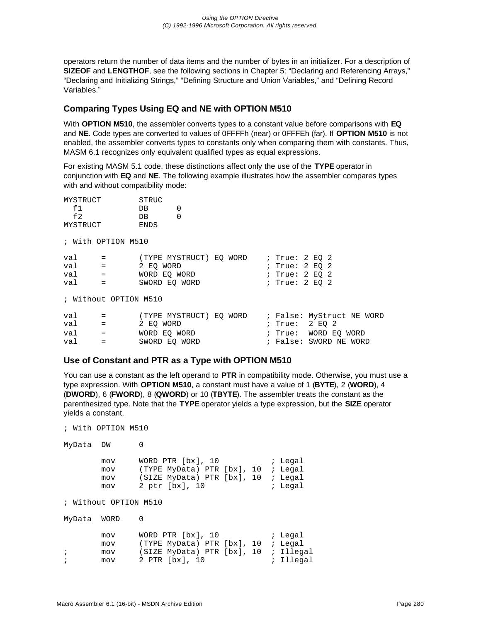operators return the number of data items and the number of bytes in an initializer. For a description of **SIZEOF** and **LENGTHOF**, see the following sections in Chapter 5: "Declaring and Referencing Arrays," "Declaring and Initializing Strings," "Defining Structure and Union Variables," and "Defining Record Variables."

# **Comparing Types Using EQ and NE with OPTION M510**

With **OPTION M510**, the assembler converts types to a constant value before comparisons with **EQ** and **NE**. Code types are converted to values of 0FFFFh (near) or 0FFFEh (far). If **OPTION M510** is not enabled, the assembler converts types to constants only when comparing them with constants. Thus, MASM 6.1 recognizes only equivalent qualified types as equal expressions.

For existing MASM 5.1 code, these distinctions affect only the use of the **TYPE** operator in conjunction with **EQ** and **NE**. The following example illustrates how the assembler compares types with and without compatibility mode:

| MYSTRUCT | STRUC       |
|----------|-------------|
| f1       | Ω<br>DВ     |
| f 2.     | DВ<br>Ω     |
| MYSTRUCT | <b>ENDS</b> |

; With OPTION M510

| val<br>val<br>val<br>val | $\mathbf{r} = \mathbf{r}$<br>$\alpha = 0$<br>$\alpha_{\rm{max}}=0.01$<br>$\mathbf{r} = \mathbf{r}$ | (TYPE MYSTRUCT) EQ WORD ; True: 2 EQ 2<br>2 EO WORD<br>WORD EQ WORD<br>SWORD EO WORD |  | : True: 2 EQ 2<br>: True: 2 E0 2<br>; True: 2 EQ 2 |                                                   |
|--------------------------|----------------------------------------------------------------------------------------------------|--------------------------------------------------------------------------------------|--|----------------------------------------------------|---------------------------------------------------|
|                          | ; Without OPTION M510                                                                              |                                                                                      |  |                                                    |                                                   |
| val<br>val               | $\mathcal{L} = \mathcal{L} \mathcal{L}$<br>$\mathcal{L} = \mathcal{L} \mathcal{L}$                 | 2 EO WORD                                                                            |  | : True: 2 EO 2                                     | (TYPE MYSTRUCT) EQ WORD : False: MyStruct NE WORD |
| val<br>val               | $\alpha_{\rm c} = 0.001$<br>$\alpha_{\rm c} = 0.001$                                               | WORD EO WORD<br>SWORD EO WORD                                                        |  |                                                    | ; True: WORD EO WORD<br>; False: SWORD NE WORD    |

## **Use of Constant and PTR as a Type with OPTION M510**

You can use a constant as the left operand to **PTR** in compatibility mode. Otherwise, you must use a type expression. With **OPTION M510**, a constant must have a value of 1 (**BYTE**), 2 (**WORD**), 4 (**DWORD**), 6 (**FWORD**), 8 (**QWORD**) or 10 (**TBYTE**). The assembler treats the constant as the parenthesized type. Note that the **TYPE** operator yields a type expression, but the **SIZE** operator yields a constant.

```
; With OPTION M510
```

```
MyData DW 0
```

| mov | WORD PTR $[bx]$ , 10                 | ; Legal |
|-----|--------------------------------------|---------|
| mov | (TYPE MyData) PTR [bx], 10 ; Legal   |         |
| mov | $(SIZE MyData) PTR [bx], 10$ ; Legal |         |
|     |                                      |         |
| mov | 2 ptr [bx], 10                       | ; Legal |

; Without OPTION M510

| WORD PTR $\lceil bx \rceil$ , 10<br>; Legal<br>mov<br>(TYPE MyData) PTR [bx], 10 ; Legal<br>mov<br>(SIZE MyData) PTR [bx], 10 ; Illegal<br>mov<br>2 PTR [bx], 10<br>mov | MyData WORD |  |           |
|-------------------------------------------------------------------------------------------------------------------------------------------------------------------------|-------------|--|-----------|
|                                                                                                                                                                         |             |  | ; Illegal |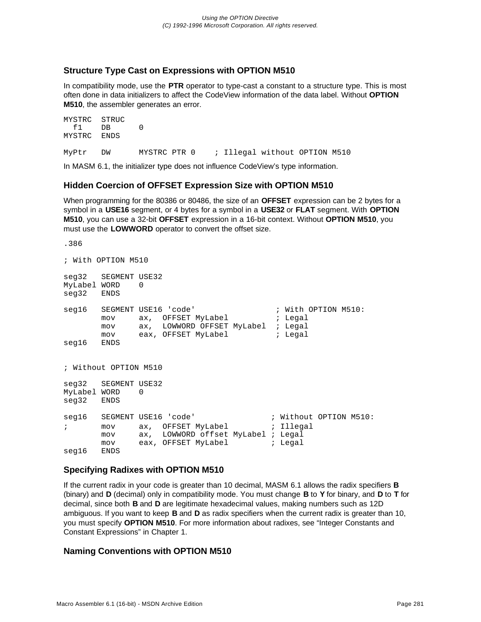# **Structure Type Cast on Expressions with OPTION M510**

In compatibility mode, use the **PTR** operator to type-cast a constant to a structure type. This is most often done in data initializers to affect the CodeView information of the data label. Without **OPTION M510**, the assembler generates an error.

MYSTRC STRUC f1 DB 0 MYSTRC ENDS MyPtr DW MYSTRC PTR 0 ; Illegal without OPTION M510

In MASM 6.1, the initializer type does not influence CodeView's type information.

## **Hidden Coercion of OFFSET Expression Size with OPTION M510**

When programming for the 80386 or 80486, the size of an **OFFSET** expression can be 2 bytes for a symbol in a **USE16** segment, or 4 bytes for a symbol in a **USE32** or **FLAT** segment. With **OPTION M510**, you can use a 32-bit **OFFSET** expression in a 16-bit context. Without **OPTION M510**, you must use the **LOWWORD** operator to convert the offset size.

```
.386 
; With OPTION M510
seg32 SEGMENT USE32
MyLabel WORD 0<br>seg32 ENDS
seg32
seg16 SEGMENT USE16 'code'                       ; With OPTION M510:
 mov ax, OFFSET MyLabel ; Legal
        mov ax, LOWWORD OFFSET MyLabel ; Legal
              eax, OFFSET MyLabel \qquad \qquad ; Legal
seg16 ENDS
; Without OPTION M510
seg32 SEGMENT USE32
MyLabel WORD 0<br>seg32 ENDS
seq32seg16 SEGMENT USE16 'code' (in the control of the SEGMENT USE16 'code'
; mov ax, OFFSET MyLabel ; Illegal
        mov ax, LOWWORD offset MyLabel ; Legal
        mov eax, OFFSET MyLabel ; Legal
seg16 ENDS
```
# **Specifying Radixes with OPTION M510**

If the current radix in your code is greater than 10 decimal, MASM 6.1 allows the radix specifiers **B** (binary) and **D** (decimal) only in compatibility mode. You must change **B** to **Y** for binary, and **D** to **T** for decimal, since both **B** and **D** are legitimate hexadecimal values, making numbers such as 12D ambiguous. If you want to keep **B** and **D** as radix specifiers when the current radix is greater than 10, you must specify **OPTION M510**. For more information about radixes, see "Integer Constants and Constant Expressions" in Chapter 1.

## **Naming Conventions with OPTION M510**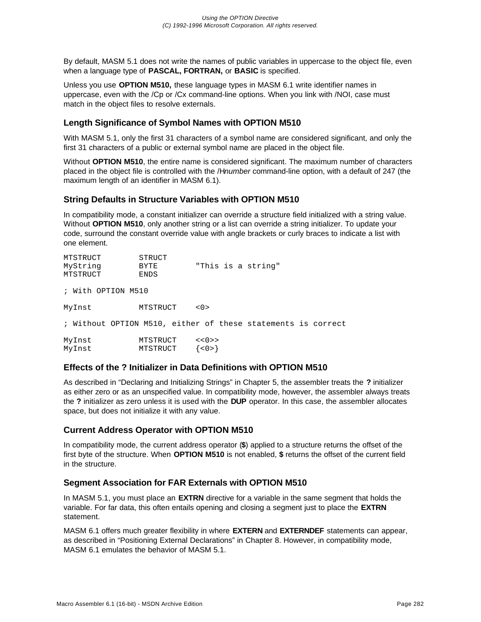By default, MASM 5.1 does not write the names of public variables in uppercase to the object file, even when a language type of **PASCAL, FORTRAN,** or **BASIC** is specified.

Unless you use **OPTION M510,** these language types in MASM 6.1 write identifier names in uppercase, even with the /Cp or /Cx command-line options. When you link with /NOI, case must match in the object files to resolve externals.

## **Length Significance of Symbol Names with OPTION M510**

With MASM 5.1, only the first 31 characters of a symbol name are considered significant, and only the first 31 characters of a public or external symbol name are placed in the object file.

Without **OPTION M510**, the entire name is considered significant. The maximum number of characters placed in the object file is controlled with the /H*number* command-line option, with a default of 247 (the maximum length of an identifier in MASM 6.1).

## **String Defaults in Structure Variables with OPTION M510**

In compatibility mode, a constant initializer can override a structure field initialized with a string value. Without **OPTION M510**, only another string or a list can override a string initializer. To update your code, surround the constant override value with angle brackets or curly braces to indicate a list with one element.

| MTSTRUCT<br>MyString<br>MTSTRUCT | STRUCT<br><b>BYTE</b><br><b>ENDS</b> | "This is a string"                                           |
|----------------------------------|--------------------------------------|--------------------------------------------------------------|
| ; With OPTION M510               |                                      |                                                              |
| MyInst                           | MTSTRUCT                             | 0 >                                                          |
|                                  |                                      | ; Without OPTION M510, either of these statements is correct |
| MyInst<br>MyInst                 | MTSTRUCT<br>MTSTRUCT                 | <<0>><br>${ < 0 > }$                                         |

# **Effects of the ? Initializer in Data Definitions with OPTION M510**

As described in "Declaring and Initializing Strings" in Chapter 5, the assembler treats the **?** initializer as either zero or as an unspecified value. In compatibility mode, however, the assembler always treats the **?** initializer as zero unless it is used with the **DUP** operator. In this case, the assembler allocates space, but does not initialize it with any value.

# **Current Address Operator with OPTION M510**

In compatibility mode, the current address operator (**\$**) applied to a structure returns the offset of the first byte of the structure. When **OPTION M510** is not enabled, **\$** returns the offset of the current field in the structure.

## **Segment Association for FAR Externals with OPTION M510**

In MASM 5.1, you must place an **EXTRN** directive for a variable in the same segment that holds the variable. For far data, this often entails opening and closing a segment just to place the **EXTRN** statement.

MASM 6.1 offers much greater flexibility in where **EXTERN** and **EXTERNDEF** statements can appear, as described in "Positioning External Declarations" in Chapter 8. However, in compatibility mode, MASM 6.1 emulates the behavior of MASM 5.1.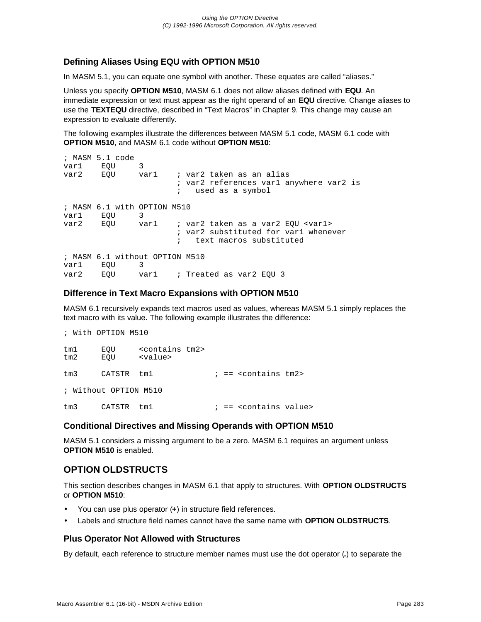# **Defining Aliases Using EQU with OPTION M510**

In MASM 5.1, you can equate one symbol with another. These equates are called "aliases."

Unless you specify **OPTION M510**, MASM 6.1 does not allow aliases defined with **EQU**. An immediate expression or text must appear as the right operand of an **EQU** directive. Change aliases to use the **TEXTEQU** directive, described in "Text Macros" in Chapter 9. This change may cause an expression to evaluate differently.

The following examples illustrate the differences between MASM 5.1 code, MASM 6.1 code with **OPTION M510**, and MASM 6.1 code without **OPTION M510**:

```
; MASM 5.1 code
var1 EQU 3 
var2 EQU var1 ; var2 taken as an alias
                       ; var2 references var1 anywhere var2 is
                       ; used as a symbol
; MASM 6.1 with OPTION M510
var1 EQU 3<br>var2 EQU va
              var1 ; var2 taken as a var2 EQU <var1>
                       ; var2 substituted for var1 whenever
                       ; text macros substituted
; MASM 6.1 without OPTION M510
var1 EQU 3 
var2 EQU var1 ; Treated as var2 EQU 3
```
## **Difference in Text Macro Expansions with OPTION M510**

MASM 6.1 recursively expands text macros used as values, whereas MASM 5.1 simply replaces the text macro with its value. The following example illustrates the difference:

```
; With OPTION M510
tm1 EQU <contains tm2><br>tm2 EOU <value>
       EQU <value>
tm3 CATSTR tm1 \qquad \qquad ; = < contains tm2>
; Without OPTION M510
tm3 CATSTR tm1 \qquad ; == <contains value>
```
# **Conditional Directives and Missing Operands with OPTION M510**

MASM 5.1 considers a missing argument to be a zero. MASM 6.1 requires an argument unless **OPTION M510** is enabled.

# **OPTION OLDSTRUCTS**

This section describes changes in MASM 6.1 that apply to structures. With **OPTION OLDSTRUCTS** or **OPTION M510**:

- You can use plus operator (**+**) in structure field references.
- Labels and structure field names cannot have the same name with **OPTION OLDSTRUCTS**.

## **Plus Operator Not Allowed with Structures**

By default, each reference to structure member names must use the dot operator (**.**) to separate the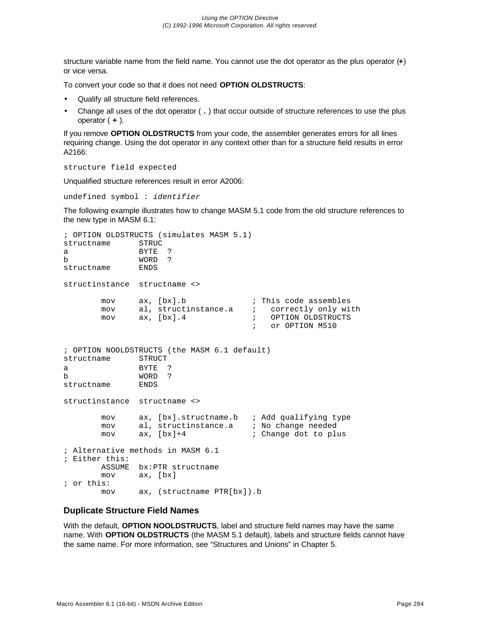structure variable name from the field name. You cannot use the dot operator as the plus operator (**+**) or vice versa.

To convert your code so that it does not need **OPTION OLDSTRUCTS**:

- Qualify all structure field references.
- Change all uses of the dot operator ( **.** ) that occur outside of structure references to use the plus operator ( **+** ).

If you remove **OPTION OLDSTRUCTS** from your code, the assembler generates errors for all lines requiring change. Using the dot operator in any context other than for a structure field results in error A2166:

```
structure field expected
```
Unqualified structure references result in error A2006:

```
undefined symbol : identifier
```
The following example illustrates how to change MASM 5.1 code from the old structure references to the new type in MASM 6.1:

```
; OPTION OLDSTRUCTS (simulates MASM 5.1)
structname STRUC
a BYTE ?
b WORD ?<br>structname ENDS
structname
structinstance structname <>
 mov ax, [bx].b ; This code assembles
 mov al, structinstance.a ; correctly only with
mov ax, [bx].4 ; OPTION OLDSTRUCTS
                                ; or OPTION M510
; OPTION NOOLDSTRUCTS (the MASM 6.1 default)
structname STRUCT
a BYTE ?
b WORD ?
structname ENDS
structinstance structname <>
       mov ax, [bx].structname.b ; Add qualifying type
mov al, structinstance.a (a) No change needed
mov ax, [bx]+4 ; Change dot to plus
; Alternative methods in MASM 6.1
; Either this:
       ASSUME bx:PTR structname
       mov ax, [bx] 
; or this:
       mov ax, (structname PTR[bx]).b
```
## **Duplicate Structure Field Names**

With the default, **OPTION NOOLDSTRUCTS**, label and structure field names may have the same name. With **OPTION OLDSTRUCTS** (the MASM 5.1 default), labels and structure fields cannot have the same name. For more information, see "Structures and Unions" in Chapter 5.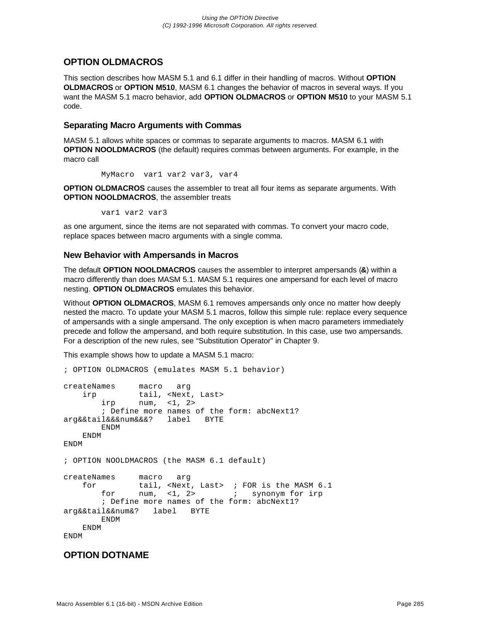# **OPTION OLDMACROS**

This section describes how MASM 5.1 and 6.1 differ in their handling of macros. Without **OPTION OLDMACROS** or **OPTION M510**, MASM 6.1 changes the behavior of macros in several ways. If you want the MASM 5.1 macro behavior, add **OPTION OLDMACROS** or **OPTION M510** to your MASM 5.1 code.

### **Separating Macro Arguments with Commas**

MASM 5.1 allows white spaces or commas to separate arguments to macros. MASM 6.1 with **OPTION NOOLDMACROS** (the default) requires commas between arguments. For example, in the macro call

MyMacro var1 var2 var3, var4

**OPTION OLDMACROS** causes the assembler to treat all four items as separate arguments. With **OPTION NOOLDMACROS**, the assembler treats

var1 var2 var3

as one argument, since the items are not separated with commas. To convert your macro code, replace spaces between macro arguments with a single comma.

#### **New Behavior with Ampersands in Macros**

The default **OPTION NOOLDMACROS** causes the assembler to interpret ampersands (**&**) within a macro differently than does MASM 5.1. MASM 5.1 requires one ampersand for each level of macro nesting. **OPTION OLDMACROS** emulates this behavior.

Without **OPTION OLDMACROS**, MASM 6.1 removes ampersands only once no matter how deeply nested the macro. To update your MASM 5.1 macros, follow this simple rule: replace every sequence of ampersands with a single ampersand. The only exception is when macro parameters immediately precede and follow the ampersand, and both require substitution. In this case, use two ampersands. For a description of the new rules, see "Substitution Operator" in Chapter 9.

This example shows how to update a MASM 5.1 macro:

```
; OPTION OLDMACROS (emulates MASM 5.1 behavior)
createNames macro arg
 irp tail, <Next, Last>
 irp num, <1, 2>
        ; Define more names of the form: abcNext1?
arg&&tail&&&num&&&? label BYTE
       ENDM
    ENDM
ENDM
; OPTION NOOLDMACROS (the MASM 6.1 default)
createNames macro arg
 for tail, <Next, Last> ; FOR is the MASM 6.1
for num, <1, 2> ; synonym for irp
        ; Define more names of the form: abcNext1?
arg&&tail&&num&? label BYTE
       ENDM
    ENDM
ENDM
```
# **OPTION DOTNAME**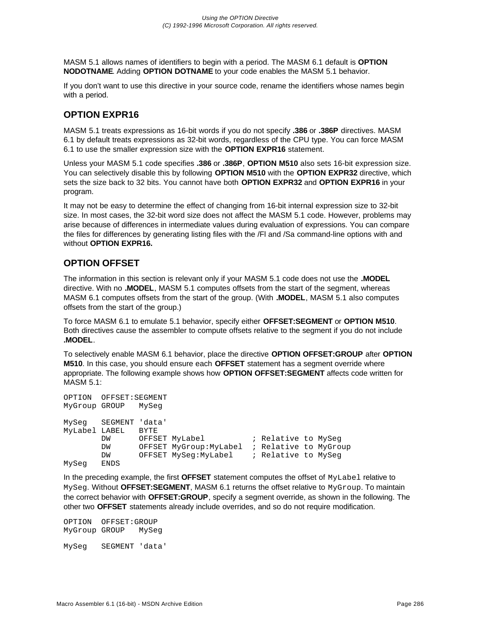MASM 5.1 allows names of identifiers to begin with a period. The MASM 6.1 default is **OPTION NODOTNAME**. Adding **OPTION DOTNAME** to your code enables the MASM 5.1 behavior.

If you don't want to use this directive in your source code, rename the identifiers whose names begin with a period.

# **OPTION EXPR16**

MASM 5.1 treats expressions as 16-bit words if you do not specify **.386** or **.386P** directives. MASM 6.1 by default treats expressions as 32-bit words, regardless of the CPU type. You can force MASM 6.1 to use the smaller expression size with the **OPTION EXPR16** statement.

Unless your MASM 5.1 code specifies **.386** or **.386P**, **OPTION M510** also sets 16-bit expression size. You can selectively disable this by following **OPTION M510** with the **OPTION EXPR32** directive, which sets the size back to 32 bits. You cannot have both **OPTION EXPR32** and **OPTION EXPR16** in your program.

It may not be easy to determine the effect of changing from 16-bit internal expression size to 32-bit size. In most cases, the 32-bit word size does not affect the MASM 5.1 code. However, problems may arise because of differences in intermediate values during evaluation of expressions. You can compare the files for differences by generating listing files with the /Fl and /Sa command-line options with and without **OPTION EXPR16.**

# **OPTION OFFSET**

The information in this section is relevant only if your MASM 5.1 code does not use the **.MODEL** directive. With no **.MODEL**, MASM 5.1 computes offsets from the start of the segment, whereas MASM 6.1 computes offsets from the start of the group. (With **.MODEL**, MASM 5.1 also computes offsets from the start of the group.)

To force MASM 6.1 to emulate 5.1 behavior, specify either **OFFSET:SEGMENT** or **OPTION M510**. Both directives cause the assembler to compute offsets relative to the segment if you do not include **.MODEL**.

To selectively enable MASM 6.1 behavior, place the directive **OPTION OFFSET:GROUP** after **OPTION M510**. In this case, you should ensure each **OFFSET** statement has a segment override where appropriate. The following example shows how **OPTION OFFSET:SEGMENT** affects code written for MASM 5.1:

```
OPTION OFFSET:SEGMENT
MyGroup GROUP MySeg
MySeg SEGMENT 'data'
MyLabel LABEL BYTE
       DW OFFSET MyLabel ; Relative to MySeq
        DW OFFSET MyGroup:MyLabel ; Relative to MyGroup
        DW OFFSET MySeg:MyLabel ; Relative to MySeg
MySeg ENDS
```
In the preceding example, the first **OFFSET** statement computes the offset of MyLabel relative to MySeg. Without **OFFSET:SEGMENT**, MASM 6.1 returns the offset relative to MyGroup. To maintain the correct behavior with **OFFSET:GROUP**, specify a segment override, as shown in the following. The other two **OFFSET** statements already include overrides, and so do not require modification.

OPTION OFFSET:GROUP MyGroup GROUP MySeg MySeg SEGMENT 'data'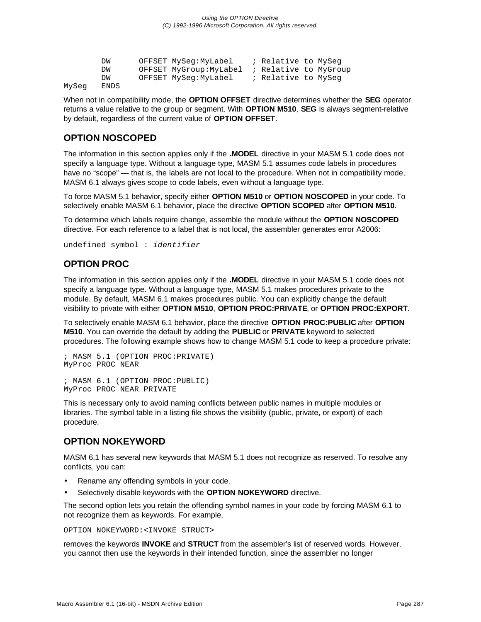| -- - |    |                        |                       |  |
|------|----|------------------------|-----------------------|--|
|      | DW | OFFSET MySeg:MyLabel   | ; Relative to MySeq   |  |
|      | DW | OFFSET MyGroup:MyLabel | ; Relative to MyGroup |  |
|      | DW | OFFSET MySeg:MyLabel   | ; Relative to MySeq   |  |

MySeg ENDS

When not in compatibility mode, the **OPTION OFFSET** directive determines whether the **SEG** operator returns a value relative to the group or segment. With **OPTION M510**, **SEG** is always segment-relative by default, regardless of the current value of **OPTION OFFSET**.

# **OPTION NOSCOPED**

The information in this section applies only if the **.MODEL** directive in your MASM 5.1 code does not specify a language type. Without a language type, MASM 5.1 assumes code labels in procedures have no "scope" — that is, the labels are not local to the procedure. When not in compatibility mode, MASM 6.1 always gives scope to code labels, even without a language type.

To force MASM 5.1 behavior, specify either **OPTION M510** or **OPTION NOSCOPED** in your code. To selectively enable MASM 6.1 behavior, place the directive **OPTION SCOPED** after **OPTION M510**.

To determine which labels require change, assemble the module without the **OPTION NOSCOPED** directive. For each reference to a label that is not local, the assembler generates error A2006:

undefined symbol : *identifier*

## **OPTION PROC**

The information in this section applies only if the **.MODEL** directive in your MASM 5.1 code does not specify a language type. Without a language type, MASM 5.1 makes procedures private to the module. By default, MASM 6.1 makes procedures public. You can explicitly change the default visibility to private with either **OPTION M510**, **OPTION PROC:PRIVATE**, or **OPTION PROC:EXPORT**.

To selectively enable MASM 6.1 behavior, place the directive **OPTION PROC:PUBLIC** after **OPTION M510**. You can override the default by adding the **PUBLIC** or **PRIVATE** keyword to selected procedures. The following example shows how to change MASM 5.1 code to keep a procedure private:

```
; MASM 5.1 (OPTION PROC:PRIVATE)
MyProc PROC NEAR
```
; MASM 6.1 (OPTION PROC:PUBLIC) MyProc PROC NEAR PRIVATE

This is necessary only to avoid naming conflicts between public names in multiple modules or libraries. The symbol table in a listing file shows the visibility (public, private, or export) of each procedure.

# **OPTION NOKEYWORD**

MASM 6.1 has several new keywords that MASM 5.1 does not recognize as reserved. To resolve any conflicts, you can:

- Rename any offending symbols in your code.
- Selectively disable keywords with the **OPTION NOKEYWORD** directive.

The second option lets you retain the offending symbol names in your code by forcing MASM 6.1 to not recognize them as keywords. For example,

OPTION NOKEYWORD:<INVOKE STRUCT>

removes the keywords **INVOKE** and **STRUCT** from the assembler's list of reserved words. However, you cannot then use the keywords in their intended function, since the assembler no longer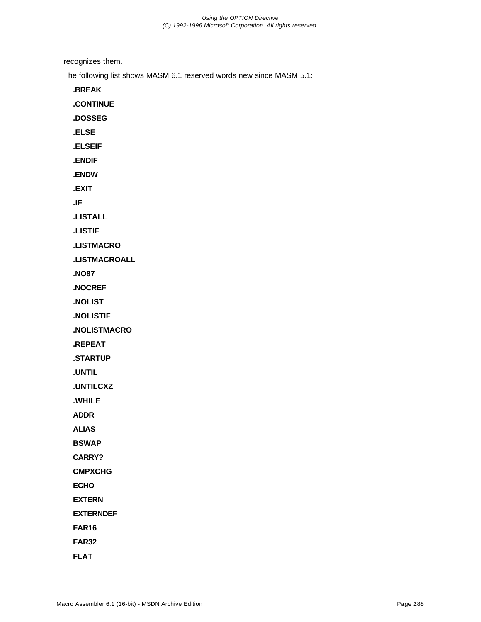recognizes them.

The following list shows MASM 6.1 reserved words new since MASM 5.1:

**.BREAK**

**.CONTINUE**

**.DOSSEG**

**.ELSE**

**.ELSEIF**

**.ENDIF**

**.ENDW**

**.EXIT**

**.IF**

**.LISTALL**

**.LISTIF**

**.LISTMACRO**

**.LISTMACROALL**

**.NO87**

**.NOCREF**

**.NOLIST**

**.NOLISTIF**

**.NOLISTMACRO**

**.REPEAT**

**.STARTUP**

**.UNTIL**

**.UNTILCXZ**

**.WHILE**

**ADDR**

**ALIAS**

**BSWAP**

**CARRY?**

**CMPXCHG**

**ECHO**

**EXTERN**

**EXTERNDEF**

**FAR16**

**FAR32**

**FLAT**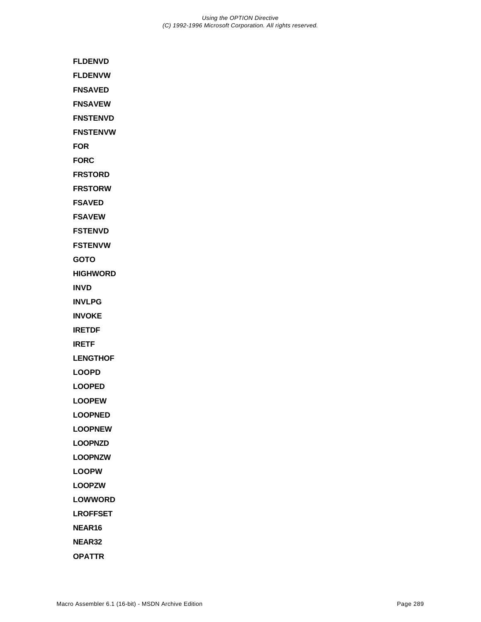**FLDENVD**

**FLDENVW**

**FNSAVED**

**FNSAVEW**

**FNSTENVD**

**FNSTENVW**

**FOR**

**FORC**

**FRSTORD**

**FRSTORW**

**FSAVED**

**FSAVEW**

**FSTENVD**

**FSTENVW**

**GOTO**

**HIGHWORD**

**INVD**

**INVLPG**

**INVOKE**

**IRETDF**

**IRETF**

**LENGTHOF**

**LOOPD**

**LOOPED**

**LOOPEW**

**LOOPNED**

**LOOPNEW**

**LOOPNZD**

**LOOPNZW**

**LOOPW**

**LOOPZW**

**LOWWORD**

**LROFFSET**

**NEAR16**

**NEAR32**

**OPATTR**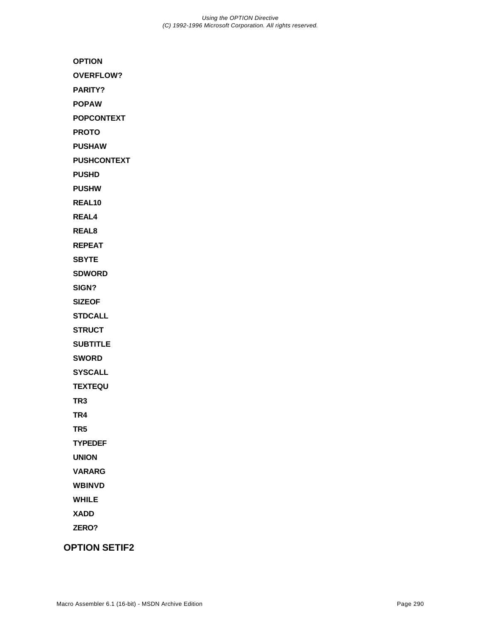**OPTION OVERFLOW? PARITY? POPAW POPCONTEXT PROTO PUSHAW PUSHCONTEXT PUSHD PUSHW REAL10 REAL4 REAL8 REPEAT SBYTE SDWORD SIGN? SIZEOF STDCALL STRUCT SUBTITLE SWORD SYSCALL TEXTEQU TR3 TR4 TR5 TYPEDEF UNION VARARG WBINVD WHILE XADD ZERO?**

**OPTION SETIF2**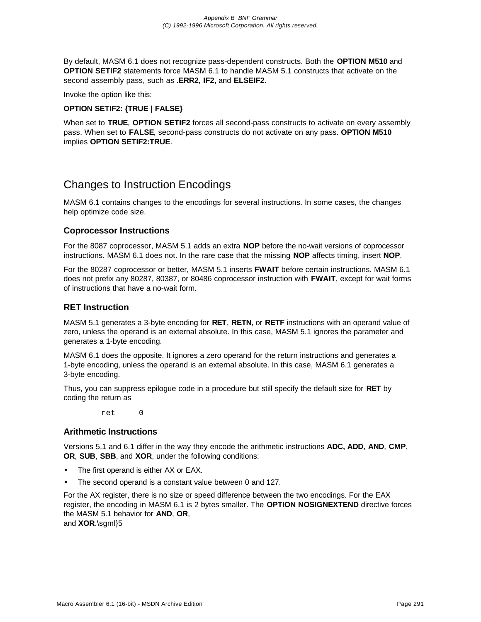By default, MASM 6.1 does not recognize pass-dependent constructs. Both the **OPTION M510** and **OPTION SETIF2** statements force MASM 6.1 to handle MASM 5.1 constructs that activate on the second assembly pass, such as **.ERR2**, **IF2**, and **ELSEIF2**.

Invoke the option like this:

### **OPTION SETIF2: {TRUE | FALSE}**

When set to **TRUE**, **OPTION SETIF2** forces all second-pass constructs to activate on every assembly pass. When set to **FALSE**, second-pass constructs do not activate on any pass. **OPTION M510** implies **OPTION SETIF2:TRUE**.

## Changes to Instruction Encodings

MASM 6.1 contains changes to the encodings for several instructions. In some cases, the changes help optimize code size.

### **Coprocessor Instructions**

For the 8087 coprocessor, MASM 5.1 adds an extra **NOP** before the no-wait versions of coprocessor instructions. MASM 6.1 does not. In the rare case that the missing **NOP** affects timing, insert **NOP**.

For the 80287 coprocessor or better, MASM 5.1 inserts **FWAIT** before certain instructions. MASM 6.1 does not prefix any 80287, 80387, or 80486 coprocessor instruction with **FWAIT**, except for wait forms of instructions that have a no-wait form.

### **RET Instruction**

MASM 5.1 generates a 3-byte encoding for **RET**, **RETN**, or **RETF** instructions with an operand value of zero, unless the operand is an external absolute. In this case, MASM 5.1 ignores the parameter and generates a 1-byte encoding.

MASM 6.1 does the opposite. It ignores a zero operand for the return instructions and generates a 1-byte encoding, unless the operand is an external absolute. In this case, MASM 6.1 generates a 3-byte encoding.

Thus, you can suppress epilogue code in a procedure but still specify the default size for **RET** by coding the return as

ret 0

### **Arithmetic Instructions**

Versions 5.1 and 6.1 differ in the way they encode the arithmetic instructions **ADC, ADD**, **AND**, **CMP**, **OR**, **SUB**, **SBB**, and **XOR**, under the following conditions:

- The first operand is either AX or EAX.
- The second operand is a constant value between 0 and 127.

For the AX register, there is no size or speed difference between the two encodings. For the EAX register, the encoding in MASM 6.1 is 2 bytes smaller. The **OPTION NOSIGNEXTEND** directive forces the MASM 5.1 behavior for **AND**, **OR**, and **XOR**.\sgml}5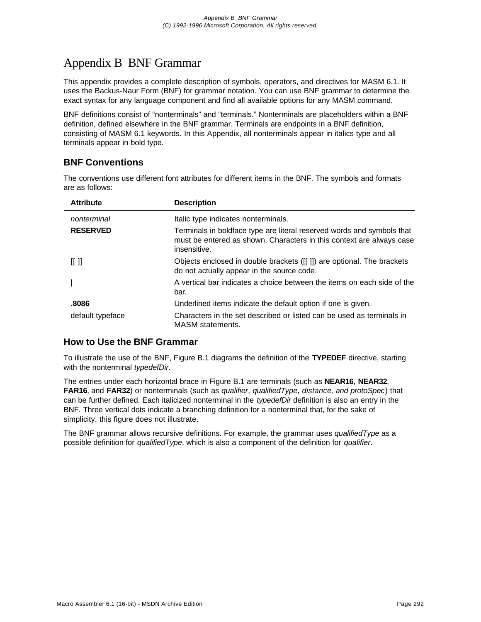# Appendix B BNF Grammar

This appendix provides a complete description of symbols, operators, and directives for MASM 6.1. It uses the Backus-Naur Form (BNF) for grammar notation. You can use BNF grammar to determine the exact syntax for any language component and find all available options for any MASM command.

BNF definitions consist of "nonterminals" and "terminals." Nonterminals are placeholders within a BNF definition, defined elsewhere in the BNF grammar. Terminals are endpoints in a BNF definition, consisting of MASM 6.1 keywords. In this Appendix, all nonterminals appear in italics type and all terminals appear in bold type.

### **BNF Conventions**

The conventions use different font attributes for different items in the BNF. The symbols and formats are as follows:

| <b>Attribute</b> | <b>Description</b>                                                                                                                                             |
|------------------|----------------------------------------------------------------------------------------------------------------------------------------------------------------|
| nonterminal      | Italic type indicates nonterminals.                                                                                                                            |
| <b>RESERVED</b>  | Terminals in boldface type are literal reserved words and symbols that<br>must be entered as shown. Characters in this context are always case<br>insensitive. |
| [[]]             | Objects enclosed in double brackets ([[ ]]) are optional. The brackets<br>do not actually appear in the source code.                                           |
|                  | A vertical bar indicates a choice between the items on each side of the<br>bar.                                                                                |
| .8086            | Underlined items indicate the default option if one is given.                                                                                                  |
| default typeface | Characters in the set described or listed can be used as terminals in<br>MASM statements.                                                                      |

### **How to Use the BNF Grammar**

To illustrate the use of the BNF, Figure B.1 diagrams the definition of the **TYPEDEF** directive, starting with the nonterminal *typedefDir*.

The entries under each horizontal brace in Figure B.1 are terminals (such as **NEAR16**, **NEAR32**, **FAR16**, and **FAR32**) or nonterminals (such as *qualifier*, *qualifiedType*, *distance*, *and protoSpec*) that can be further defined. Each italicized nonterminal in the *typedefDir* definition is also an entry in the BNF. Three vertical dots indicate a branching definition for a nonterminal that, for the sake of simplicity, this figure does not illustrate.

The BNF grammar allows recursive definitions. For example, the grammar uses *qualifiedType* as a possible definition for *qualifiedType*, which is also a component of the definition for *qualifier*.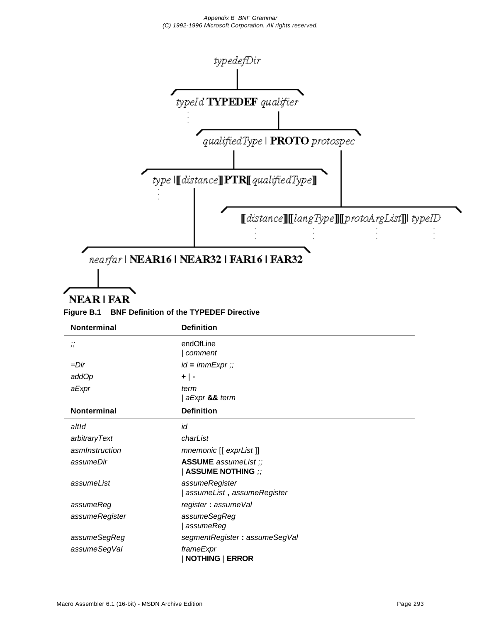*Appendix B BNF Grammar (C) 1992-1996 Microsoft Corporation. All rights reserved.*



## **NEARIFAR**

### **Figure B.1 BNF Definition of the TYPEDEF Directive**

| <b>Nonterminal</b> | <b>Definition</b>                                        |
|--------------------|----------------------------------------------------------|
| ,,                 | endOfLine<br>comment                                     |
| $=Dir$             | $id = immExpr$ ;;                                        |
| addOp              | $+$   -                                                  |
| aExpr              | term<br>aExpr && term                                    |
| Nonterminal        | <b>Definition</b>                                        |
| altld              | id                                                       |
| arbitraryText      | charList                                                 |
| asminstruction     | mnemonic [[ exprList ]]                                  |
| assumeDir          | ASSUME assumeList ;;<br><b>ASSUME NOTHING</b> $\ddot{y}$ |
| assumeList         | assumeRegister<br>assumeList, assumeRegister             |
| assumeReg          | register: assumeVal                                      |
| assumeRegister     | assumeSegReg<br>assumeReg                                |
| assumeSegReg       | segmentRegister: assumeSegVal                            |
| assumeSegVal       | frameExpr<br><b>NOTHING   ERROR</b>                      |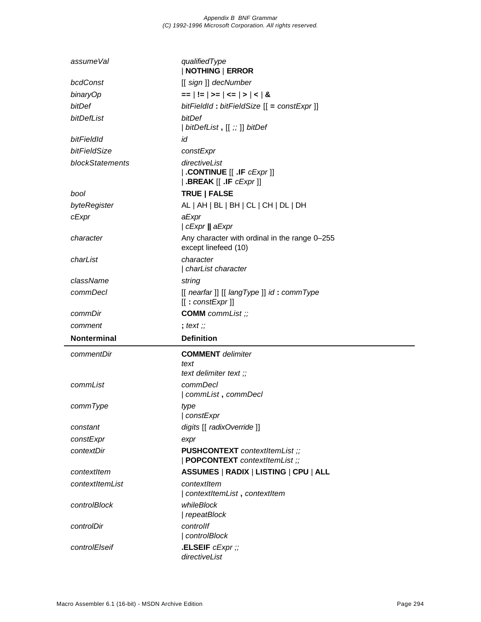| assumeVal       | qualifiedType<br>  NOTHING   ERROR                                            |
|-----------------|-------------------------------------------------------------------------------|
| bcdConst        | [[ sign ]] decNumber                                                          |
| binaryOp        | $==   !=   >=   <=   >   <   <$                                               |
| bitDef          | bitFieldId: bitFieldSize [[ = constExpr ]]                                    |
| bitDefList      | bitDef<br>  bitDefList, [[ ;; ]] bitDef                                       |
| bitFieldId      | id                                                                            |
| bitFieldSize    | constExpr                                                                     |
| blockStatements | directiveList<br>.CONTINUE [[ .IF cExpr ]]<br>  BREAK [[ .IF <i>cExpr</i> ]]. |
| bool            | TRUE   FALSE                                                                  |
| byteRegister    | AL   AH   BL   BH   CL   CH   DL   DH                                         |
| cExpr           | aExpr<br>  cExpr    aExpr                                                     |
| character       | Any character with ordinal in the range 0-255<br>except linefeed (10)         |
| charList        | character<br>charList character                                               |
| className       | string                                                                        |
| commDecl        | $[[$ nearfar $]]$ $[[$ langType $]]$ id : commType<br>[[:constExpr]]          |
|                 |                                                                               |
| commDir         | COMM commList ;;                                                              |
| comment         | ; text $\therefore$                                                           |
| Nonterminal     | <b>Definition</b>                                                             |
| commentDir      | <b>COMMENT</b> delimiter<br>text                                              |
| commList        | text delimiter text ;;<br>commDecl                                            |
| commType        | commList, commDecl<br>type<br>constExpr                                       |
| constant        | digits [[ radixOverride ]]                                                    |
| constExpr       | expr                                                                          |
| contextDir      | PUSHCONTEXT contextItemList;<br>  <b>POPCONTEXT</b> contextItemList ;;        |
| contextItem     | ASSUMES   RADIX   LISTING   CPU   ALL                                         |
| contextItemList | contextItem<br>contextItemList, contextItem                                   |
| controlBlock    | whileBlock<br>repeatBlock                                                     |
| controlDir      | controllf<br>  controlBlock                                                   |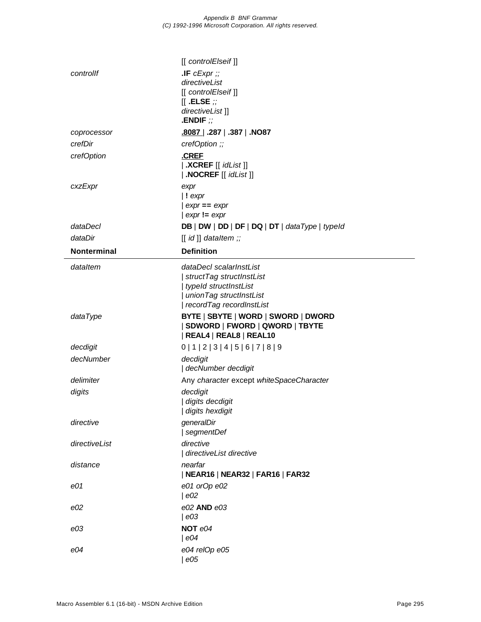|               | [[ controlElseif ]]                             |
|---------------|-------------------------------------------------|
| controllf     | $I.F$ cExpr ;;                                  |
|               | directiveList                                   |
|               | [[ controlElseif ]]                             |
|               | $[[$ .ELSE $,$                                  |
|               | directiveList]]                                 |
|               | .ENDIF ;;                                       |
| coprocessor   | .8087   .287   .387   .NO87                     |
| crefDir       | crefOption ;;                                   |
| crefOption    | .CREF                                           |
|               | <b>.XCREF</b> [[ <i>idList</i> ]]               |
|               | $\vert$ .NOCREF $\vert [\textit{idlist}]\vert$  |
| cxzExpr       | expr                                            |
|               | ! $expr$                                        |
|               | $\vert$ expr == expr                            |
|               | $ $ expr != expr                                |
| dataDecl      | $DB   DW   DD   DF   DQ   DT   dataType   type$ |
| dataDir       | $[[id]]$ dataltem;;                             |
| Nonterminal   | <b>Definition</b>                               |
| dataltem      | dataDecl scalarInstList                         |
|               | structTag structInstList                        |
|               | typeld structInstList                           |
|               | unionTag structInstList                         |
|               | recordTag recordInstList                        |
|               |                                                 |
| dataType      | BYTE   SBYTE   WORD   SWORD   DWORD             |
|               | SDWORD   FWORD   QWORD   TBYTE                  |
|               | REAL4   REAL8   REAL10                          |
| decdigit      | 0 1 2 3 4 5 6 7 8 9                             |
| decNumber     | decdigit                                        |
|               | decNumber decdigit                              |
| delimiter     | Any character except whiteSpaceCharacter        |
| digits        | decdigit                                        |
|               | digits decdigit                                 |
|               | digits hexdigit                                 |
| directive     | generalDir                                      |
|               | segmentDef                                      |
| directiveList | directive                                       |
|               | directiveList directive                         |
| distance      | nearfar                                         |
|               | NEAR16   NEAR32   FAR16   FAR32                 |
| e01           | e01 orOp e02                                    |
|               | e02                                             |
| e02           | e02 AND e03                                     |
|               | e03                                             |
| eO3           | NOT e04                                         |
|               | e04                                             |
| e04           | e04 relOp e05                                   |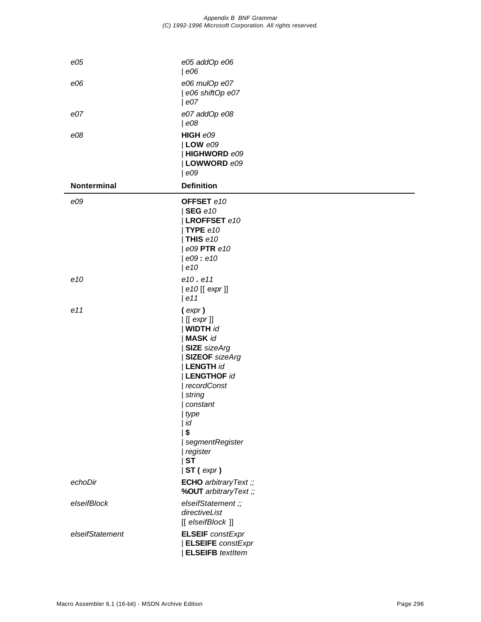| e05             | e05 addOp e06<br> e06                                                                                                                                                                                                                                                                             |
|-----------------|---------------------------------------------------------------------------------------------------------------------------------------------------------------------------------------------------------------------------------------------------------------------------------------------------|
| e06             | e06 mulOp e07<br>e06 shiftOp e07<br>  e07                                                                                                                                                                                                                                                         |
| e07             | e07 addOp e08<br> e08                                                                                                                                                                                                                                                                             |
| e08             | HIGH e09<br>$LOW$ $e09$<br>HIGHWORD e09<br>LOWWORD e09<br>e09                                                                                                                                                                                                                                     |
| Nonterminal     | <b>Definition</b>                                                                                                                                                                                                                                                                                 |
| e09             | OFFSET e10<br>SEG e10<br>LROFFSET e10<br>TYPE e10<br>THIS e10<br>e09 PTR e10<br>e09: e10<br>e10                                                                                                                                                                                                   |
| e10             | e10.e11<br>  e10 [[ expr ]]<br>e11                                                                                                                                                                                                                                                                |
| e11             | $\left(\text{expr}\right)$<br>  [[ expr ]]<br><b>WIDTH</b> id<br><b>MASK id</b><br><b>SIZE</b> sizeArg<br><b>SIZEOF</b> sizeArg<br><b>LENGTH id</b><br><b>LENGTHOF id</b><br>recordConst<br>string<br>constant<br>type<br>id<br>\$<br>segmentRegister<br>register<br><b>ST</b><br>$ST$ ( $expr$ ) |
| echoDir         | ECHO arbitrary Text ;;<br>%OUT arbitraryText ;;                                                                                                                                                                                                                                                   |
| elseifBlock     | elseifStatement ;;<br>directiveList<br>[[ elseifBlock ]]                                                                                                                                                                                                                                          |
| elseifStatement | <b>ELSEIF</b> constExpr<br><b>ELSEIFE</b> constExpr<br><b>ELSEIFB</b> textItem                                                                                                                                                                                                                    |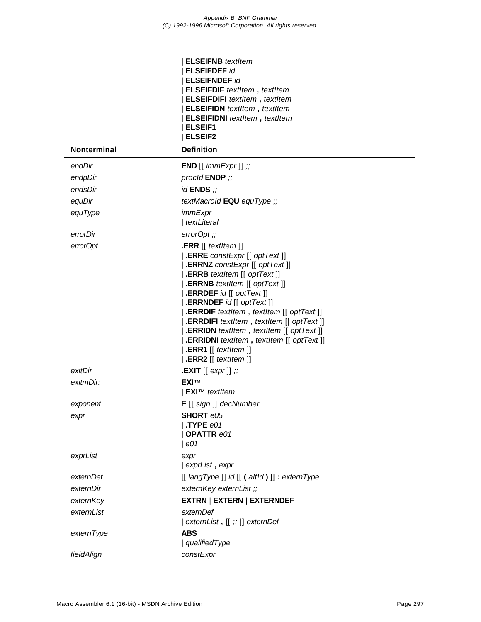|             | <b>ELSEIFNB</b> textItem<br><b>ELSEIFDEF id</b><br><b>ELSEIFNDEF id</b><br><b>ELSEIFDIF</b> textItem, textItem<br><b>ELSEIFDIFI</b> textItem, textItem<br><b>ELSEIFIDN</b> textItem, textItem<br><b>ELSEIFIDNI</b> textItem, textItem<br>ELSEIF1<br><b>ELSEIF2</b>                                                                                                                                                                                                                                                         |
|-------------|----------------------------------------------------------------------------------------------------------------------------------------------------------------------------------------------------------------------------------------------------------------------------------------------------------------------------------------------------------------------------------------------------------------------------------------------------------------------------------------------------------------------------|
| Nonterminal | <b>Definition</b>                                                                                                                                                                                                                                                                                                                                                                                                                                                                                                          |
| endDir      | <b>END</b> $[[ \text{ } \textit{immExpr} ]]$ ;;                                                                                                                                                                                                                                                                                                                                                                                                                                                                            |
| endpDir     | procld $ENDP$ ;;                                                                                                                                                                                                                                                                                                                                                                                                                                                                                                           |
| endsDir     | $id$ ENDS $\dddot{a}$                                                                                                                                                                                                                                                                                                                                                                                                                                                                                                      |
| equDir      | textMacrold EQU equType ;;                                                                                                                                                                                                                                                                                                                                                                                                                                                                                                 |
| equType     | <i>immExpr</i><br>  textLiteral                                                                                                                                                                                                                                                                                                                                                                                                                                                                                            |
| errorDir    | errorOpt;;                                                                                                                                                                                                                                                                                                                                                                                                                                                                                                                 |
| errorOpt    | .ERR $[[$ textitem $]]$<br>$ $ .ERRE constExpr $[$ optText $]$<br><b>.ERRNZ</b> constExpr [[ optText ]]<br>$ $ .ERRB textitem $[$ optText $]$<br><b>.ERRNB</b> textItem [[ optText ]]<br><b>.ERRDEF</b> id $[[$ optText $]]$<br><b>ERRNDEF</b> id $[[$ optText $]]$<br><b>ERRDIF</b> textItem, textItem [[ optText ]]<br>  ERRDIFI textItem, textItem [[ optText ]]<br>  ERRIDN textitem, textitem [[ optText ]]<br>  ERRIDNI textitem, textitem [[ optText ]]<br>  .ERR1 $[[$ textitem $]]$<br>$ $ .ERR2 $[$ textitem $]$ |
| exitDir     | <b>.EXIT</b> [[ $expr$ ]] ;;                                                                                                                                                                                                                                                                                                                                                                                                                                                                                               |
| exitmDir:   | <b>EXI</b> ™<br>  EXI™ textItem                                                                                                                                                                                                                                                                                                                                                                                                                                                                                            |
| exponent    | E [[ sign ]] decNumber                                                                                                                                                                                                                                                                                                                                                                                                                                                                                                     |
| expr        | SHORT e05<br>.TYPE e01<br><b>OPATTR</b> e01<br>e01                                                                                                                                                                                                                                                                                                                                                                                                                                                                         |
| exprList    | expr<br>exprList, expr                                                                                                                                                                                                                                                                                                                                                                                                                                                                                                     |
| externDef   | $[[$ langType $]]$ id $[[$ (altld) $]]$ : externType                                                                                                                                                                                                                                                                                                                                                                                                                                                                       |
| externDir   | externKey externList ;;                                                                                                                                                                                                                                                                                                                                                                                                                                                                                                    |
| externKey   | <b>EXTRN   EXTERN   EXTERNDEF</b>                                                                                                                                                                                                                                                                                                                                                                                                                                                                                          |
| externList  | externDef<br>  externList, [[ ;; ]] externDef                                                                                                                                                                                                                                                                                                                                                                                                                                                                              |
| externType  | <b>ABS</b><br>  qualifiedType                                                                                                                                                                                                                                                                                                                                                                                                                                                                                              |
| fieldAlign  | constExpr                                                                                                                                                                                                                                                                                                                                                                                                                                                                                                                  |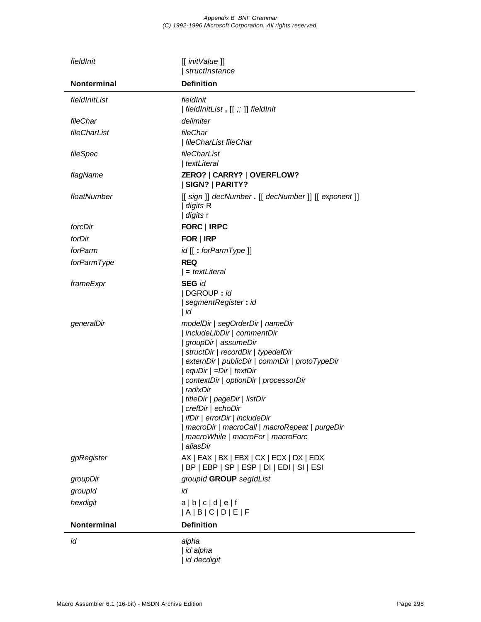#### *Appendix B BNF Grammar (C) 1992-1996 Microsoft Corporation. All rights reserved.*

| fieldInit     | [[ initValue ]]<br>structInstance                                                                                                                                                                                                                                                                                                                                                                                                                       |
|---------------|---------------------------------------------------------------------------------------------------------------------------------------------------------------------------------------------------------------------------------------------------------------------------------------------------------------------------------------------------------------------------------------------------------------------------------------------------------|
| Nonterminal   | <b>Definition</b>                                                                                                                                                                                                                                                                                                                                                                                                                                       |
| fieldInitList | fieldInit<br>  fieldInitList , [[ ;; ]] fieldInit                                                                                                                                                                                                                                                                                                                                                                                                       |
| fileChar      | delimiter                                                                                                                                                                                                                                                                                                                                                                                                                                               |
| fileCharList  | fileChar<br>  fileCharList fileChar                                                                                                                                                                                                                                                                                                                                                                                                                     |
| fileSpec      | fileCharList<br>  textLiteral                                                                                                                                                                                                                                                                                                                                                                                                                           |
| flagName      | ZERO?   CARRY?   OVERFLOW?<br>  SIGN?   PARITY?                                                                                                                                                                                                                                                                                                                                                                                                         |
| floatNumber   | [[ sign ]] decNumber . [[ decNumber ]] [[ exponent ]]<br>  <i>digits</i> R<br>  <i>digits</i> r                                                                                                                                                                                                                                                                                                                                                         |
| forcDir       | <b>FORC   IRPC</b>                                                                                                                                                                                                                                                                                                                                                                                                                                      |
| forDir        | FOR   IRP                                                                                                                                                                                                                                                                                                                                                                                                                                               |
| forParm       | id [[ : forParmType ]]                                                                                                                                                                                                                                                                                                                                                                                                                                  |
| forParmType   | <b>REQ</b><br>= textLiteral                                                                                                                                                                                                                                                                                                                                                                                                                             |
| frameExpr     | <b>SEG id</b><br>DGROUP: id<br>segmentRegister: id<br>id                                                                                                                                                                                                                                                                                                                                                                                                |
| generalDir    | modelDir   segOrderDir   nameDir<br>includeLibDir   commentDir<br>groupDir   assumeDir<br>structDir   recordDir   typedefDir<br>externDir   publicDir   commDir   protoTypeDir<br>$equDir$ = Dir   textDir<br>contextDir   optionDir   processorDir<br>radixDir<br>titleDir   pageDir   listDir<br>crefDir   echoDir<br>ifDir   errorDir   includeDir<br>macroDir   macroCall   macroRepeat   purgeDir<br>macroWhile   macroFor   macroForc<br>aliasDir |
| gpRegister    | $AX   EAX   BX   EBX   CX   CX   ECX   DX   EDX$<br>  BP   EBP   SP   ESP   DI   EDI   SI   ESI                                                                                                                                                                                                                                                                                                                                                         |
| groupDir      | groupId GROUP segIdList                                                                                                                                                                                                                                                                                                                                                                                                                                 |
| groupId       | id                                                                                                                                                                                                                                                                                                                                                                                                                                                      |
| hexdigit      | a b c d e f<br> A B C D E F                                                                                                                                                                                                                                                                                                                                                                                                                             |
| Nonterminal   | <b>Definition</b>                                                                                                                                                                                                                                                                                                                                                                                                                                       |
| id            | alpha<br>id alpha<br>id decdigit                                                                                                                                                                                                                                                                                                                                                                                                                        |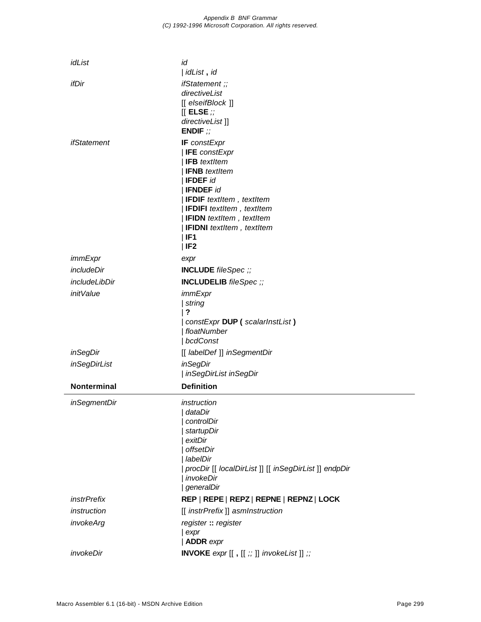| idList               | id                                                          |
|----------------------|-------------------------------------------------------------|
|                      | idList, id                                                  |
| ifDir                | ifStatement ;;<br>directiveList                             |
|                      | [[ elseifBlock ]]                                           |
|                      | $[$ ELSE $;$ ;                                              |
|                      | directiveList]]                                             |
|                      | ENDIF $\cdot$                                               |
| <i>ifStatement</i>   | <b>IF</b> constExpr<br><b>IFE</b> constExpr                 |
|                      | <b>IFB</b> textItem                                         |
|                      | <b>IFNB</b> textItem                                        |
|                      | <b>IFDEF id</b>                                             |
|                      | <b>IFNDEF id</b><br><b>IFDIF</b> textItem, textItem         |
|                      | <b>IFDIFI</b> textItem, textItem                            |
|                      | <b>IFIDN</b> textItem, textItem                             |
|                      | <b>IFIDNI</b> textItem, textItem                            |
|                      | IF <sub>1</sub><br> IF2                                     |
| <i>immExpr</i>       | expr                                                        |
| <i>includeDir</i>    | <b>INCLUDE</b> fileSpec ;;                                  |
| <i>includeLibDir</i> | INCLUDELIB fileSpec ;;                                      |
| <i>initValue</i>     | <i>immExpr</i>                                              |
|                      | string                                                      |
|                      | $\boldsymbol{\mathsf{?}}$<br>constExpr DUP (scalarInstList) |
|                      | floatNumber                                                 |
|                      | bcdConst                                                    |
| inSegDir             | [[ labelDef ]] inSegmentDir                                 |
| <i>inSegDirList</i>  | inSegDir                                                    |
| Nonterminal          | inSegDirList inSegDir<br><b>Definition</b>                  |
|                      |                                                             |
| <i>inSegmentDir</i>  | instruction                                                 |
|                      | dataDir<br>controlDir                                       |
|                      | startupDir                                                  |
|                      | exitDir                                                     |
|                      | offsetDir<br>labelDir                                       |
|                      | procDir [[ localDirList ]] [[ inSegDirList ]] endpDir       |
|                      | invokeDir                                                   |
|                      | generalDir                                                  |
| <i>instrPrefix</i>   | REP   REPE   REPZ   REPNE   REPNZ   LOCK                    |
| instruction          | [[ instrPrefix]] asmInstruction                             |
| invokeArg            | register :: register<br>$ $ expr                            |
|                      | <b>ADDR</b> expr                                            |
| <i>invokeDir</i>     | INVOKE $expr[[, [[,]]$ invokeList $]]$ ;;                   |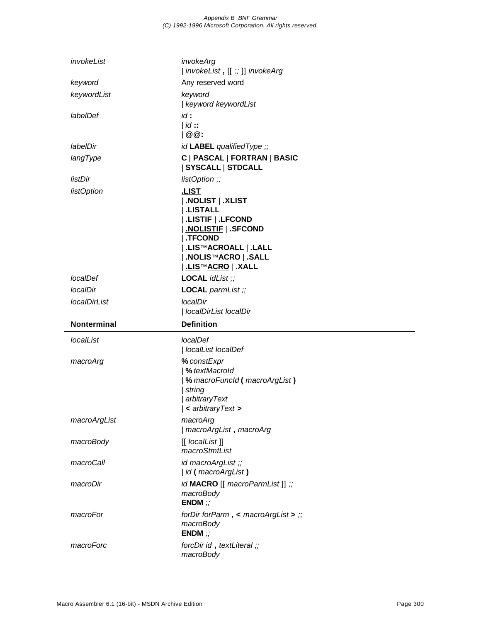| invokeList        | invokeArg<br>  invokeList, [[ ;; ]] invokeArg                                                                                                                                                                 |
|-------------------|---------------------------------------------------------------------------------------------------------------------------------------------------------------------------------------------------------------|
| keyword           | Any reserved word                                                                                                                                                                                             |
| keywordList       | keyword<br>  keyword keywordList                                                                                                                                                                              |
| labelDef          | id:<br> id::<br> @@:                                                                                                                                                                                          |
| labelDir          | id LABEL qualified Type ;;                                                                                                                                                                                    |
| langType          | C   PASCAL   FORTRAN   BASIC<br>  SYSCALL   STDCALL                                                                                                                                                           |
| listDir           | listOption ;;                                                                                                                                                                                                 |
| <b>listOption</b> | <b>.LIST</b><br>.NOLIST   .XLIST<br><b>.LISTALL</b><br>.LISTIF   .LFCOND<br><b>NOLISTIF   .SFCOND</b><br>.TFCOND<br>.LIS™ACROALL   .LALL<br><b>.NOLIS™ACRO   .SALL</b><br>∣ <u>.LIS</u> ™ <u>ACRO</u> ∣ .XALL |
| localDef          | LOCAL <i>idList</i> ;                                                                                                                                                                                         |
| localDir          | LOCAL parmList ;;                                                                                                                                                                                             |
| localDirList      | localDir                                                                                                                                                                                                      |
|                   | localDirList localDir                                                                                                                                                                                         |
| Nonterminal       | <b>Definition</b>                                                                                                                                                                                             |
| localList         | localDef<br>  localList localDef                                                                                                                                                                              |
| macroArg          | % constExpr<br>% textMacrold<br>% macroFuncId (macroArgList)<br>string<br>arbitraryText                                                                                                                       |
| macroArgList      | $\vert$ < arbitrary Text ><br>macroArg<br>  macroArgList, macroArg                                                                                                                                            |
| macroBody         | $[[$ localList $]$<br>macroStmtList                                                                                                                                                                           |
| macroCall         | id macroArgList ;;<br>  id ( macroArgList)                                                                                                                                                                    |
| macroDir          | id MACRO [[ macroParmList ]] ;;<br>macroBody<br>$ENDM$ ;                                                                                                                                                      |
| macroFor          | forDir forParm, < macroArgList > ;;<br>macroBody<br>$ENDM$ ;                                                                                                                                                  |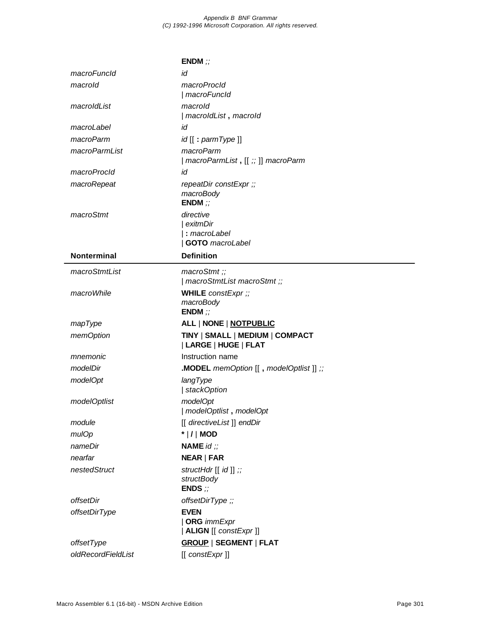#### *Appendix B BNF Grammar (C) 1992-1996 Microsoft Corporation. All rights reserved.*

|                      | $ENDM$ ;                                                   |
|----------------------|------------------------------------------------------------|
| macroFuncId          | id                                                         |
| macrold              | macroProcld<br>  macroFuncld                               |
| macroldList          | macrold<br>  macroldList, macrold                          |
| macroLabel           | id                                                         |
| macroParm            | id[[:paramType]]                                           |
| <i>macroParmList</i> | macroParm<br>  macroParmList, [[ ;; ]] macroParm           |
| macroProcId          | id                                                         |
| macroRepeat          | repeatDir constExpr ;;<br>macroBody<br>ENDM $\ddot{}}$     |
| macroStmt            | directive<br>exitmDir<br>: macroLabel<br>  GOTO macroLabel |
| <b>Nonterminal</b>   | <b>Definition</b>                                          |
| macroStmtList        | macroStmt;;<br>  macroStmtList macroStmt;;                 |
| macroWhile           | <b>WHILE</b> constExpr ;;<br>macroBody<br>$ENDM$ ;         |
| mapType              | ALL   NONE   NOTPUBLIC                                     |
| memOption            | TINY   SMALL   MEDIUM   COMPACT<br>  LARGE   HUGE   FLAT   |
| mnemonic             | Instruction name                                           |
| modelDir             | <b>.MODEL</b> memOption $[[ , modelOptlist ]]$ ;           |
| modelOpt             | langType<br>  stackOption                                  |
| modelOptlist         | modelOpt<br>  modelOptlist, modelOpt                       |
| module               | [[ directiveList ]] endDir                                 |
| mulOp                | $*$   $\prime$   MOD                                       |
| nameDir              | NAME $id$ ;;                                               |
| nearfar              | <b>NEAR   FAR</b>                                          |
| nestedStruct         | structHdr $[[id]]$ ;;<br>structBody<br>ENDS $\ddot{a}$     |
| offsetDir            | offsetDirType;;                                            |
| offsetDirType        | <b>EVEN</b><br>  ORG immExpr<br>  ALIGN [[ constExpr ]]    |
| offsetType           | <b>GROUP   SEGMENT   FLAT</b>                              |
| oldRecordFieldList   | $[$ [ constExpr]]                                          |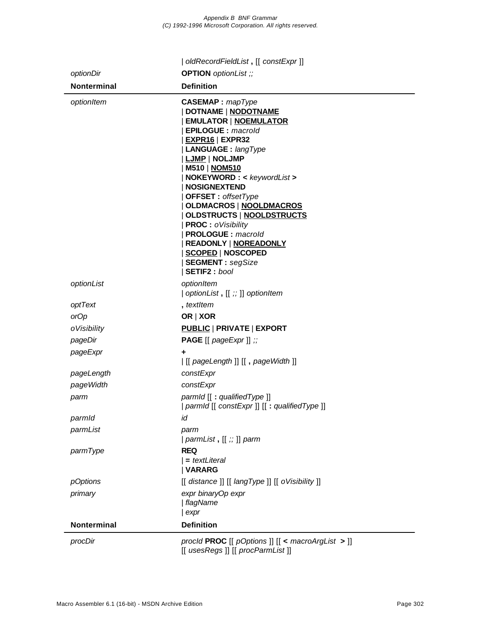|             | oldRecordFieldList, [[ constExpr ]]                                                                                                                                                                                                                                                                                                                                                                                                                                                                                      |
|-------------|--------------------------------------------------------------------------------------------------------------------------------------------------------------------------------------------------------------------------------------------------------------------------------------------------------------------------------------------------------------------------------------------------------------------------------------------------------------------------------------------------------------------------|
| optionDir   | <b>OPTION</b> optionList ;;                                                                                                                                                                                                                                                                                                                                                                                                                                                                                              |
| Nonterminal | <b>Definition</b>                                                                                                                                                                                                                                                                                                                                                                                                                                                                                                        |
| optionItem  | <b>CASEMAP</b> : mapType<br>DOTNAME   NODOTNAME<br>EMULATOR   NOEMULATOR<br><b>EPILOGUE: macrold</b><br>$EXPR16$   EXPR32<br><b>LANGUAGE: langType</b><br><b>LJMP   NOLJMP</b><br>M510   NOM510<br><b>NOKEYWORD: &lt; keywordList &gt;</b><br><b>NOSIGNEXTEND</b><br><b>OFFSET</b> : offsetType<br>OLDMACROS   NOOLDMACROS<br><b>OLDSTRUCTS   NOOLDSTRUCTS</b><br><b>PROC</b> : oVisibility<br><b>PROLOGUE: macrold</b><br>READONLY   NOREADONLY<br><b>SCOPED   NOSCOPED</b><br><b>SEGMENT</b> : segSize<br>SETIF2: bool |
| optionList  | optionItem<br>  optionList, [[ ;; ]] optionItem                                                                                                                                                                                                                                                                                                                                                                                                                                                                          |
| optText     | , textItem                                                                                                                                                                                                                                                                                                                                                                                                                                                                                                               |
| orOp        | OR   XOR                                                                                                                                                                                                                                                                                                                                                                                                                                                                                                                 |
| oVisibility | <b>PUBLIC   PRIVATE   EXPORT</b>                                                                                                                                                                                                                                                                                                                                                                                                                                                                                         |
| pageDir     | PAGE [[ pageExpr ]] ;;                                                                                                                                                                                                                                                                                                                                                                                                                                                                                                   |
| pageExpr    | $\vert$ [[ pageLength ]] [[, pageWidth ]]                                                                                                                                                                                                                                                                                                                                                                                                                                                                                |
| pageLength  | constExpr                                                                                                                                                                                                                                                                                                                                                                                                                                                                                                                |
| pageWidth   | constExpr                                                                                                                                                                                                                                                                                                                                                                                                                                                                                                                |
| parm        | parmId [[ : qualifiedType ]]<br>  parmId [[ constExpr ]] [[ : qualifiedType ]]                                                                                                                                                                                                                                                                                                                                                                                                                                           |
| parmId      | id                                                                                                                                                                                                                                                                                                                                                                                                                                                                                                                       |
| parmList    | parm<br>$[partial]$ parmList, $[[$ ;; $]]$ parm                                                                                                                                                                                                                                                                                                                                                                                                                                                                          |
| parmType    | <b>REQ</b><br>$=$ textLiteral<br>  VARARG                                                                                                                                                                                                                                                                                                                                                                                                                                                                                |
| pOptions    | [[ distance ]] [[ langType ]] [[ oVisibility ]]                                                                                                                                                                                                                                                                                                                                                                                                                                                                          |
| primary     | expr binaryOp expr<br>  flagName<br>expr                                                                                                                                                                                                                                                                                                                                                                                                                                                                                 |
| Nonterminal | <b>Definition</b>                                                                                                                                                                                                                                                                                                                                                                                                                                                                                                        |
| procDir     | procld PROC [[ pOptions ]] [[ < macroArgList > ]]<br>[[ usesRegs ]] [[ procParmList ]]                                                                                                                                                                                                                                                                                                                                                                                                                                   |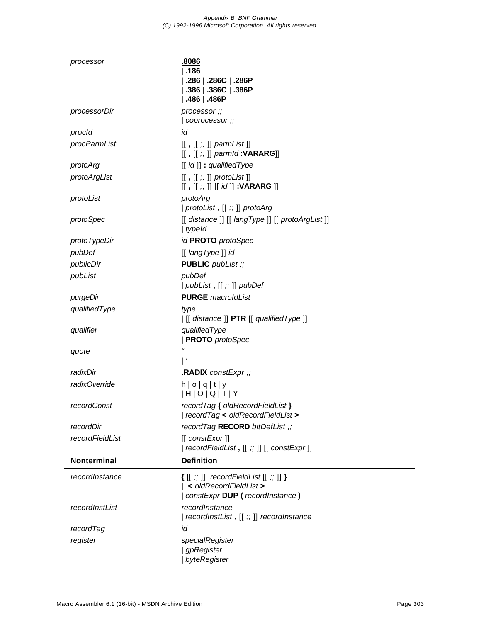| processor       | 8086<br>.186<br>.286   .286C   .286P<br>$.386$   $.386C$   $.386P$<br>  .486   .486P                |
|-----------------|-----------------------------------------------------------------------------------------------------|
| processorDir    | processor;;<br>$ $ coprocessor $;$                                                                  |
| procld          | id                                                                                                  |
| procParmList    | $[[ , [[ ; ; ]]$ parmList]]<br>$[[, [[,]]$ parmld: <b>VARARG</b> ]]                                 |
| protoArg        | $[[id]]$ : qualifiedType                                                                            |
| protoArgList    | $[[, [[,]]$ protoList $]]$<br>$[[ , [[ , ] ] [[ id ] ] : \textsf{VARARG} ]]$                        |
| protoList       | protoArg<br>  protoList, [[ ;; ]] protoArg                                                          |
| protoSpec       | $[[$ distance $]] [[$ langType $]] [[$ protoArgList $]]$<br>$ $ typeld                              |
| protoTypeDir    | id PROTO protoSpec                                                                                  |
| pubDef          | $[[$ langType $]]$ id                                                                               |
| publicDir       | PUBLIC pubList ;;                                                                                   |
| pubList         | pubDef<br>$[public]$ pubList, $[[$ ; $]]$ pubDef                                                    |
| purgeDir        | <b>PURGE</b> macroldList                                                                            |
| qualifiedType   | type<br>$\left  \right $ ( <i>distance</i> ]] <b>PTR</b> [ <i>[ qualifiedType</i> ]]                |
| qualifier       | qualifiedType<br><b>PROTO</b> protoSpec                                                             |
| quote           | "                                                                                                   |
|                 |                                                                                                     |
| radixDir        | .RADIX constExpr ;;                                                                                 |
| radixOverride   | h   o   q   t   y<br> H O Q T Y                                                                     |
| recordConst     | recordTag { oldRecordFieldList }<br>  recordTag < oldRecordFieldList >                              |
| recordDir       | recordTag RECORD bitDefList;                                                                        |
| recordFieldList | $[$ [ constExpr]]<br>  recordFieldList, [[ ;; ]] [[ constExpr ]]                                    |
| Nonterminal     | <b>Definition</b>                                                                                   |
| recordInstance  | $\{[[ ; ]]$ recordFieldList $[[ ; ]]$ }<br>< oldRecordFieldList ><br>constExpr DUP (recordInstance) |
| recordInstList  | recordInstance<br>  recordInstList, [[ ;; ]] recordInstance                                         |
| recordTag       | id                                                                                                  |
| register        | specialRegister<br>gpRegister<br>byteRegister                                                       |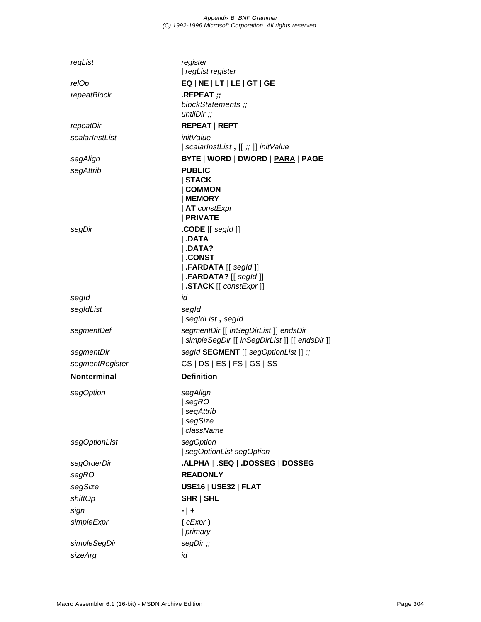| regList                        | register<br>regList register                        |
|--------------------------------|-----------------------------------------------------|
| relOp                          | EQ   NE   LT   LE   GT   GE                         |
| repeatBlock                    | $REPEAT$ ;;                                         |
|                                | blockStatements;;                                   |
|                                | $untilDir$ ;;                                       |
| repeatDir                      | <b>REPEAT   REPT</b>                                |
| scalarInstList                 | initValue                                           |
|                                | scalarInstList, [[ ;; ]] initValue                  |
| segAlign                       | BYTE   WORD   DWORD   PARA   PAGE<br><b>PUBLIC</b>  |
| segAttrib                      | <b>STACK</b>                                        |
|                                | <b>COMMON</b>                                       |
|                                | <b>MEMORY</b>                                       |
|                                | <b>AT</b> constExpr<br><b>PRIVATE</b>               |
| segDir                         | .CODE [[ segld ]]                                   |
|                                | <b>.DATA</b>                                        |
|                                | .DATA?                                              |
|                                | .CONST                                              |
|                                | .FARDATA [[ segld ]]<br>$.FARDATA?$ [[ segld ]]     |
|                                | .STACK [[ constExpr ]]                              |
| segld                          | id                                                  |
| segIdList                      | segld                                               |
|                                | segldList, segld                                    |
|                                |                                                     |
| segmentDef                     | segmentDir [[ inSegDirList ]] endsDir               |
|                                | simpleSegDir [[ inSegDirList ]] [[ endsDir ]]       |
| segmentDir                     | segId SEGMENT [[ segOptionList ]] ;;                |
| segmentRegister<br>Nonterminal | CS   DS   ES   FS   GS   SS<br><b>Definition</b>    |
|                                |                                                     |
| segOption                      | segAlign                                            |
|                                | segRO<br>segAttrib                                  |
|                                | segSize                                             |
|                                | className                                           |
| segOptionList                  | segOption                                           |
|                                | segOptionList segOption                             |
| segOrderDir<br>segRO           | .ALPHA   .SEQ   .DOSSEG   DOSSEG<br><b>READONLY</b> |
| segSize                        | USE16   USE32   FLAT                                |
| shiftOp                        | SHR   SHL                                           |
| sign                           | - +                                                 |
| simpleExpr                     | ( cExpr)                                            |
|                                | primary                                             |
| simpleSegDir<br>sizeArg        | segDir ;;<br>id                                     |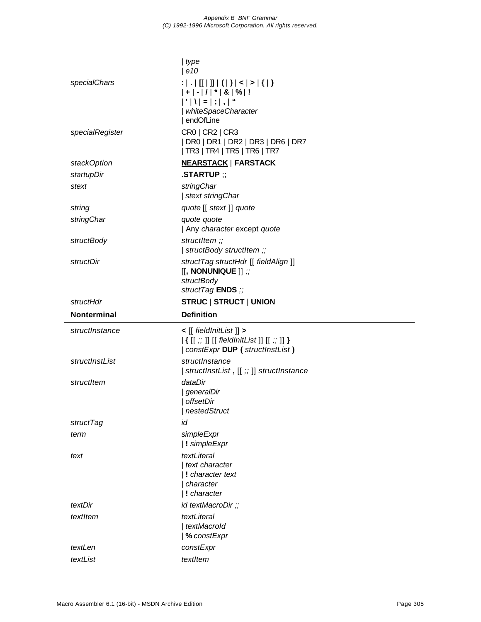|                     | type<br> e10                                                                                                                                |
|---------------------|---------------------------------------------------------------------------------------------------------------------------------------------|
| specialChars        | $:   \cdot   [[ ]]   ( )   <   >   \{   \}$<br>$ + $ - $ / $ *   &   % !<br>$ ' \mathcal{N}  =  ; , ''$<br>whiteSpaceCharacter<br>endOfLine |
| specialRegister     | CR0   CR2   CR3<br>  DR0   DR1   DR2   DR3   DR6   DR7<br>  TR3   TR4   TR5   TR6   TR7                                                     |
| stackOption         | <b>NEARSTACK   FARSTACK</b>                                                                                                                 |
| startupDir          | .STARTUP ;;                                                                                                                                 |
| stext               | stringChar<br>  stext stringChar                                                                                                            |
| string              | quote [[ stext ]] quote                                                                                                                     |
| stringChar          | quote quote<br>Any character except quote                                                                                                   |
| structBody          | structItem;;<br>  structBody structItem ;;                                                                                                  |
| structDir           | structTag structHdr [[ fieldAlign ]]<br>$[[,$ NONUNIQUE $]]$ ;;<br>structBody<br>structTag <b>ENDS</b> ;;                                   |
| structHdr           | STRUC   STRUCT   UNION                                                                                                                      |
|                     |                                                                                                                                             |
| Nonterminal         | <b>Definition</b>                                                                                                                           |
| structInstance      | $\leq$ [[ fieldInitList]] ><br>  { [[ ;; ]] [[ fieldInitList ]] [[ ;; ]] }                                                                  |
| structInstList      | constExpr DUP (structInstList)<br>structInstance<br>  structInstList, [[ ;; ]] structInstance                                               |
| structItem          | dataDir<br>generalDir<br>offsetDir<br>  nestedStruct                                                                                        |
| structTag           | id                                                                                                                                          |
| term                | simpleExpr<br>  ! simpleExpr                                                                                                                |
| text                | textLiteral<br>text character<br>! character text<br>character<br>! character                                                               |
| textDir             | id textMacroDir ;;                                                                                                                          |
| textItem            | textLiteral<br>textMacrold<br>% constExpr                                                                                                   |
| textLen<br>textList | constExpr<br>textItem                                                                                                                       |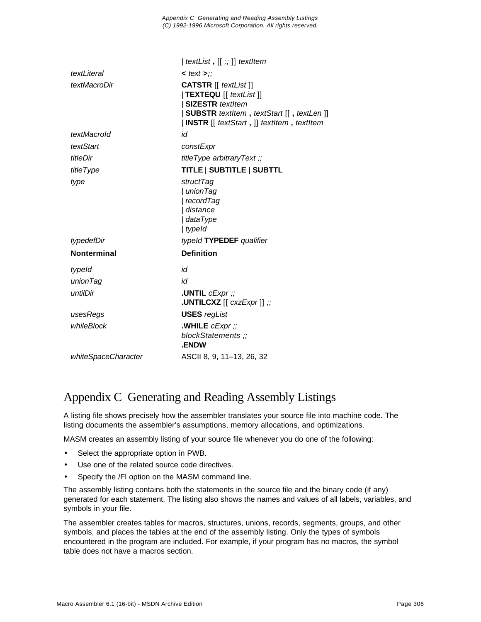|              | textList, [[ ;; ]] textItem                                                                                                                                                                     |
|--------------|-------------------------------------------------------------------------------------------------------------------------------------------------------------------------------------------------|
| textLiteral  | $\lt$ text $\gt$ ::                                                                                                                                                                             |
| textMacroDir | <b>CATSTR</b> [[ textList ]]<br><b>TEXTEQU</b> [[ textList ]]<br><b>SIZESTR</b> textItem<br><b>SUBSTR</b> textItem, textStart [[, textLen]]<br><b>INSTR</b> [[ textStart, ]] textItem, textItem |
| textMacrold  | id                                                                                                                                                                                              |
| textStart    | constExpr                                                                                                                                                                                       |
| titleDir     | titleType arbitraryText;                                                                                                                                                                        |
| titleType    | TITLE   SUBTITLE   SUBTTL                                                                                                                                                                       |
| type         | structTag<br>unionTag<br>recordTag<br>distance<br>dataType<br>typeld                                                                                                                            |
| typedefDir   | typeld TYPEDEF qualifier                                                                                                                                                                        |
| Nonterminal  | <b>Definition</b>                                                                                                                                                                               |
| typeld       | id                                                                                                                                                                                              |
| unionTag     | id                                                                                                                                                                                              |
| untilDir     | .UNTIL $cExpr$ ;;<br>.UNTILCXZ [[ cxzExpr ]] ;;                                                                                                                                                 |
| usesRegs     | <b>USES</b> regList                                                                                                                                                                             |
| whileBlock   | .WHILE $cExpr$ ;;<br>blockStatements;;                                                                                                                                                          |
|              | .ENDW                                                                                                                                                                                           |

## Appendix C Generating and Reading Assembly Listings

A listing file shows precisely how the assembler translates your source file into machine code. The listing documents the assembler's assumptions, memory allocations, and optimizations.

MASM creates an assembly listing of your source file whenever you do one of the following:

- Select the appropriate option in PWB.
- Use one of the related source code directives.
- Specify the /FI option on the MASM command line.

The assembly listing contains both the statements in the source file and the binary code (if any) generated for each statement. The listing also shows the names and values of all labels, variables, and symbols in your file.

The assembler creates tables for macros, structures, unions, records, segments, groups, and other symbols, and places the tables at the end of the assembly listing. Only the types of symbols encountered in the program are included. For example, if your program has no macros, the symbol table does not have a macros section.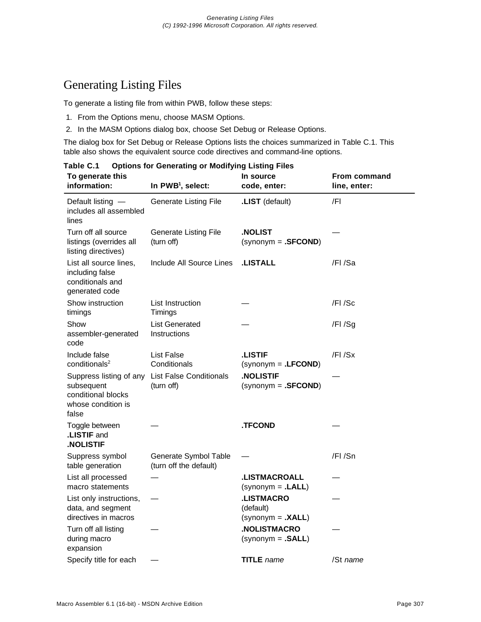# Generating Listing Files

To generate a listing file from within PWB, follow these steps:

- 1. From the Options menu, choose MASM Options.
- 2. In the MASM Options dialog box, choose Set Debug or Release Options.

The dialog box for Set Debug or Release Options lists the choices summarized in Table C.1. This table also shows the equivalent source code directives and command-line options.

| To generate this<br>information:                                                | In PWB <sup>1</sup> , select:                                 | In source<br>code, enter:                             | <b>From command</b><br>line, enter: |
|---------------------------------------------------------------------------------|---------------------------------------------------------------|-------------------------------------------------------|-------------------------------------|
| Default listing -<br>includes all assembled<br>lines                            | Generate Listing File                                         | .LIST (default)                                       | /FI                                 |
| Turn off all source<br>listings (overrides all<br>listing directives)           | Generate Listing File<br>(turn off)                           | .NOLIST<br>$(synonym = .SFCOND)$                      |                                     |
| List all source lines,<br>including false<br>conditionals and<br>generated code | Include All Source Lines                                      | <b>.LISTALL</b>                                       | /FI /Sa                             |
| Show instruction<br>timings                                                     | List Instruction<br>Timings                                   |                                                       | /FI/Sc                              |
| Show<br>assembler-generated<br>code                                             | <b>List Generated</b><br>Instructions                         |                                                       | /FI/Sg                              |
| Include false<br>conditionals <sup>2</sup>                                      | <b>List False</b><br>Conditionals                             | <b>.LISTIF</b><br>$(synonym = .LFCOND)$               | /FI/Sx                              |
| subsequent<br>conditional blocks<br>whose condition is<br>false                 | Suppress listing of any List False Conditionals<br>(turn off) | .NOLISTIF<br>$(synonym = .SFCOND)$                    |                                     |
| Toggle between<br>.LISTIF and<br>.NOLISTIF                                      |                                                               | .TFCOND                                               |                                     |
| Suppress symbol<br>table generation                                             | Generate Symbol Table<br>(turn off the default)               |                                                       | /FI/Sn                              |
| List all processed<br>macro statements                                          |                                                               | <b>.LISTMACROALL</b><br>$(synonym = .LALL)$           |                                     |
| List only instructions,<br>data, and segment<br>directives in macros            |                                                               | <b>.LISTMACRO</b><br>(default)<br>$(synonym = .XALL)$ |                                     |
| Turn off all listing<br>during macro<br>expansion                               |                                                               | .NOLISTMACRO<br>$(synonym = .SALL)$                   |                                     |
| Specify title for each                                                          |                                                               | <b>TITLE</b> name                                     | /St name                            |

**Table C.1 Options for Generating or Modifying Listing Files**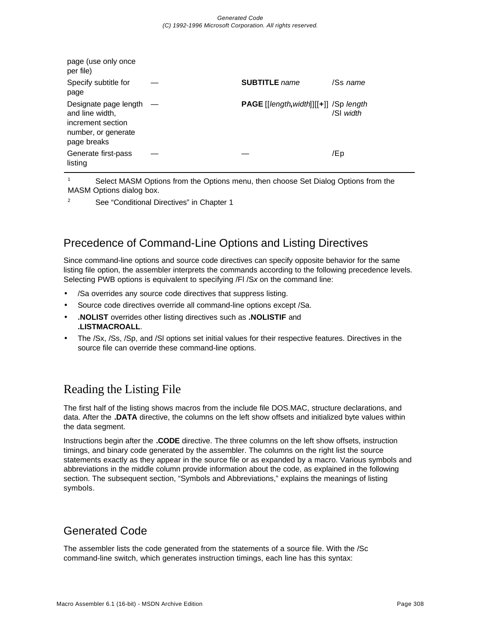#### *Generated Code (C) 1992-1996 Microsoft Corporation. All rights reserved.*

| page (use only once<br>per file)                                                                        |                                               |           |
|---------------------------------------------------------------------------------------------------------|-----------------------------------------------|-----------|
| Specify subtitle for<br>page                                                                            | <b>SUBTITLE</b> name                          | /Ss name  |
| Designate page length $-$<br>and line width,<br>increment section<br>number, or generate<br>page breaks | <b>PAGE</b> [[length, width]][[+]] /Sp length | /SI width |
| Generate first-pass<br>listing                                                                          |                                               | /Ep       |

<sup>1</sup> Select MASM Options from the Options menu, then choose Set Dialog Options from the MASM Options dialog box.

<sup>2</sup> See "Conditional Directives" in Chapter 1

## Precedence of Command-Line Options and Listing Directives

Since command-line options and source code directives can specify opposite behavior for the same listing file option, the assembler interprets the commands according to the following precedence levels. Selecting PWB options is equivalent to specifying /Fl /S*x* on the command line:

- /Sa overrides any source code directives that suppress listing.
- Source code directives override all command-line options except /Sa.
- **.NOLIST** overrides other listing directives such as **.NOLISTIF** and **.LISTMACROALL**.
- The /Sx, /Ss, /Sp, and /Sl options set initial values for their respective features. Directives in the source file can override these command-line options.

## Reading the Listing File

The first half of the listing shows macros from the include file DOS.MAC, structure declarations, and data. After the **.DATA** directive, the columns on the left show offsets and initialized byte values within the data segment.

Instructions begin after the **.CODE** directive. The three columns on the left show offsets, instruction timings, and binary code generated by the assembler. The columns on the right list the source statements exactly as they appear in the source file or as expanded by a macro. Various symbols and abbreviations in the middle column provide information about the code, as explained in the following section. The subsequent section, "Symbols and Abbreviations," explains the meanings of listing symbols.

## Generated Code

The assembler lists the code generated from the statements of a source file. With the /Sc command-line switch, which generates instruction timings, each line has this syntax: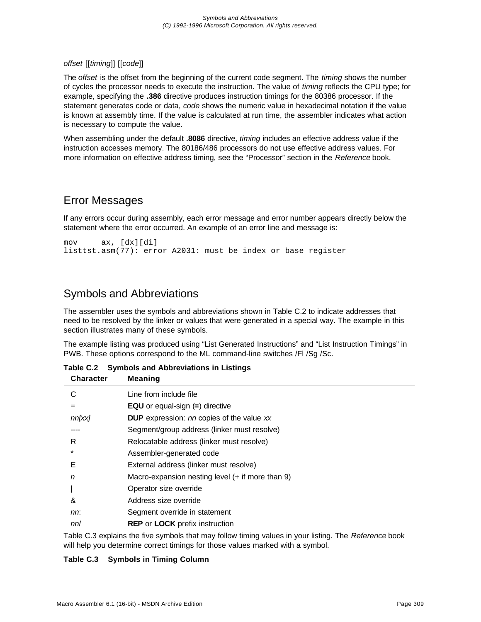*offset* [[*timing*]] [[*code*]]

The *offset* is the offset from the beginning of the current code segment. The *timing* shows the number of cycles the processor needs to execute the instruction. The value of *timing* reflects the CPU type; for example, specifying the **.386** directive produces instruction timings for the 80386 processor. If the statement generates code or data, *code* shows the numeric value in hexadecimal notation if the value is known at assembly time. If the value is calculated at run time, the assembler indicates what action is necessary to compute the value.

When assembling under the default **.8086** directive, *timing* includes an effective address value if the instruction accesses memory. The 80186/486 processors do not use effective address values. For more information on effective address timing, see the "Processor" section in the *Reference* book.

## Error Messages

If any errors occur during assembly, each error message and error number appears directly below the statement where the error occurred. An example of an error line and message is:

```
mov ax, [dx][di] 
listtst.asm(77): error A2031: must be index or base register
```
## Symbols and Abbreviations

The assembler uses the symbols and abbreviations shown in Table C.2 to indicate addresses that need to be resolved by the linker or values that were generated in a special way. The example in this section illustrates many of these symbols.

The example listing was produced using "List Generated Instructions" and "List Instruction Timings" in PWB. These options correspond to the ML command-line switches /Fl /Sg /Sc.

| <b>Character</b> | <b>Meaning</b>                                          |
|------------------|---------------------------------------------------------|
| С                | Line from include file                                  |
| =                | <b>EQU</b> or equal-sign $(=)$ directive                |
| nn[xx]           | <b>DUP</b> expression: <i>nn</i> copies of the value xx |
|                  | Segment/group address (linker must resolve)             |
| R                | Relocatable address (linker must resolve)               |
| *                | Assembler-generated code                                |
| Е                | External address (linker must resolve)                  |
| n                | Macro-expansion nesting level (+ if more than 9)        |
|                  | Operator size override                                  |
| &                | Address size override                                   |
| nn:              | Segment override in statement                           |
| nn/              | <b>REP</b> or <b>LOCK</b> prefix instruction            |

**Table C.2 Symbols and Abbreviations in Listings**

Table C.3 explains the five symbols that may follow timing values in your listing. The *Reference* book will help you determine correct timings for those values marked with a symbol.

### **Table C.3 Symbols in Timing Column**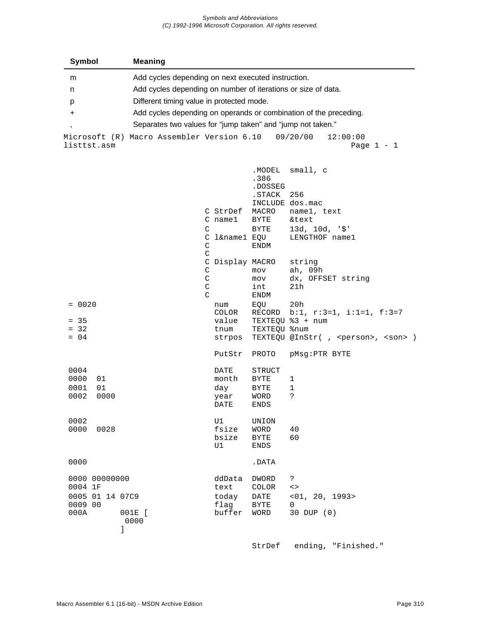#### *Symbols and Abbreviations (C) 1992-1996 Microsoft Corporation. All rights reserved.*

| Symbol                                      | <b>Meaning</b>                                                |                                                     |                                                                      |                                                                                                        |  |
|---------------------------------------------|---------------------------------------------------------------|-----------------------------------------------------|----------------------------------------------------------------------|--------------------------------------------------------------------------------------------------------|--|
| m                                           | Add cycles depending on next executed instruction.            |                                                     |                                                                      |                                                                                                        |  |
| n                                           | Add cycles depending on number of iterations or size of data. |                                                     |                                                                      |                                                                                                        |  |
| p                                           | Different timing value in protected mode.                     |                                                     |                                                                      |                                                                                                        |  |
| +                                           |                                                               |                                                     |                                                                      | Add cycles depending on operands or combination of the preceding.                                      |  |
|                                             | Separates two values for "jump taken" and "jump not taken."   |                                                     |                                                                      |                                                                                                        |  |
| listtst.asm                                 | Microsoft (R) Macro Assembler Version 6.10                    |                                                     |                                                                      | 09/20/00<br>12:00:00<br>Page $1 - 1$                                                                   |  |
|                                             |                                                               | C StrDef<br>C namel<br>C<br>C l&name1 EQU<br>C<br>C | .MODEL<br>.386<br>.DOSSEG<br>.STACK<br>MACRO<br>BYTE<br>BYTE<br>ENDM | small, c<br>256<br>INCLUDE dos.mac<br>namel, text<br><b>&amp;text</b><br>13d, 10d, 3<br>LENGTHOF name1 |  |
|                                             |                                                               | C Display MACRO<br>C<br>C<br>C<br>C                 | mov<br>mov<br>int<br>ENDM                                            | string<br>ah, 09h<br>dx, OFFSET string<br>21h                                                          |  |
| $= 0020$<br>= 35                            |                                                               | num<br>COLOR<br>value                               | EQU<br>RECORD                                                        | 20h<br>b:1, $r:3=1$ , $i:1=1$ , $f:3=7$<br>TEXTEQU %3 + num                                            |  |
| $= 32$<br>= 04                              |                                                               | tnum<br>strpos                                      | TEXTEQU %num                                                         | TEXTEQU @InStr( , <person>, <son> )</son></person>                                                     |  |
|                                             |                                                               | PutStr                                              | PROTO                                                                | pMsg:PTR BYTE                                                                                          |  |
| 0004<br>0000<br>01                          |                                                               | DATE<br>month                                       | STRUCT<br>BYTE                                                       | 1                                                                                                      |  |
| 0001<br>01<br>0002<br>0000                  |                                                               | day<br>year<br>DATE                                 | BYTE<br>WORD<br>ENDS                                                 | 1<br>ċ.                                                                                                |  |
| 0002<br>0000<br>0028                        |                                                               | U1<br>fsize<br>bsize<br>U1                          | UNION<br>WORD<br><b>BYTE</b><br>ENDS                                 | 40<br>60                                                                                               |  |
| 0000                                        |                                                               |                                                     | .DATA                                                                |                                                                                                        |  |
| 0000 00000000<br>0004 1F<br>0005 01 14 07C9 |                                                               | ddData<br>text<br>todav                             | DWORD<br>COLOR                                                       | $\ddot{\phantom{0}}$<br>$\hat{~}$                                                                      |  |
| 0009 00                                     |                                                               | flag                                                | DATE<br>BYTE                                                         | < 01, 20, 1993><br>0                                                                                   |  |
| 000A<br>ı                                   | 001E [<br>0000                                                | buffer                                              | WORD                                                                 | 30 DUP (0)                                                                                             |  |
|                                             |                                                               |                                                     | StrDef                                                               | ending, "Finished."                                                                                    |  |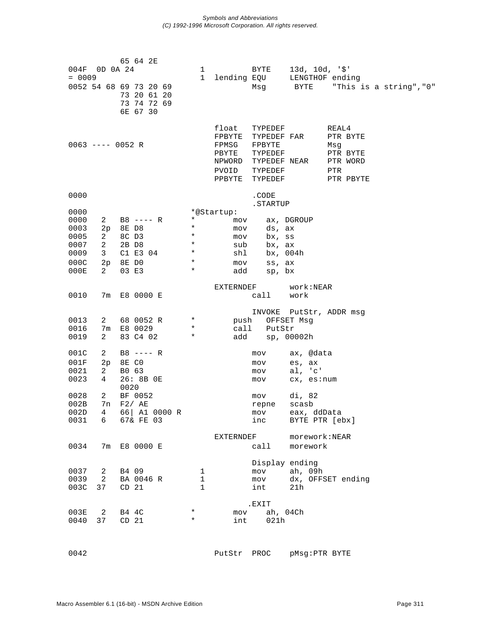#### *Symbols and Abbreviations (C) 1992-1996 Microsoft Corporation. All rights reserved.*

| 004F<br>$= 0009$ | 0D 0A 24                         | 65 64 2E<br>0052 54 68 69 73 20 69<br>73 20 61 20<br>73 74 72 69<br>6E 67 30 | 1<br>$\mathbf{1}$           |                                                                | BYTE<br>lending EQU                                                               | 13d, 10d, 3<br>LENGTHOF ending |                                                                      | Msg BYTE "This is a string", "0" |
|------------------|----------------------------------|------------------------------------------------------------------------------|-----------------------------|----------------------------------------------------------------|-----------------------------------------------------------------------------------|--------------------------------|----------------------------------------------------------------------|----------------------------------|
|                  |                                  | $0063$ ---- 0052 R                                                           |                             | float<br>FPBYTE<br>FPMSG<br>PBYTE<br>NPWORD<br>PVOID<br>PPBYTE | TYPEDEF<br>TYPEDEF FAR<br>FPBYTE<br>TYPEDEF<br>TYPEDEF NEAR<br>TYPEDEF<br>TYPEDEF |                                | REAL4<br>PTR BYTE<br>Msq<br>PTR BYTE<br>PTR WORD<br>PTR<br>PTR PBYTE |                                  |
| 0000             |                                  |                                                                              |                             |                                                                | .CODE                                                                             |                                |                                                                      |                                  |
|                  |                                  |                                                                              |                             |                                                                | .STARTUP                                                                          |                                |                                                                      |                                  |
| 0000<br>0000     | 2                                | $B8$ ---- R                                                                  | $\star$                     | *@Startup:<br>mov                                              |                                                                                   | ax, DGROUP                     |                                                                      |                                  |
| 0003             | 2p                               | 8E D8                                                                        | $^\star$                    | mov                                                            | ds, ax                                                                            |                                |                                                                      |                                  |
| 0005             | 2                                | 8C D3                                                                        | $^\star$                    | mov                                                            | bx, ss                                                                            |                                |                                                                      |                                  |
| 0007             | 2                                | 2B D8                                                                        | $^\star$                    | sub                                                            | bx, ax                                                                            |                                |                                                                      |                                  |
| 0009             | 3                                | C1 E3 04                                                                     | $^\star$                    | shl                                                            | bx, 004h                                                                          |                                |                                                                      |                                  |
| 000C             | 2p                               | 8E D0                                                                        | $^\star$<br>$^\star$        | mov                                                            | ss, ax                                                                            |                                |                                                                      |                                  |
| 000E             | 2                                | 03 E3                                                                        |                             | add                                                            | sp, bx                                                                            |                                |                                                                      |                                  |
| 0010             |                                  | 7m E8 0000 E                                                                 |                             |                                                                | call                                                                              | EXTERNDEF work:NEAR<br>work    |                                                                      |                                  |
|                  |                                  |                                                                              |                             |                                                                |                                                                                   |                                |                                                                      |                                  |
|                  |                                  |                                                                              |                             |                                                                |                                                                                   |                                | INVOKE PutStr, ADDR msg                                              |                                  |
| 0013<br>0016     | 2<br>7 <sub>m</sub>              | 68 0052 R<br>E8 0029                                                         | $\ast$<br>$^\star$          |                                                                | push OFFSET Msq                                                                   |                                |                                                                      |                                  |
| 0019             | 2                                | 83 C4 02                                                                     | $^\star$                    |                                                                | call PutStr<br>add                                                                | sp, 00002h                     |                                                                      |                                  |
|                  |                                  |                                                                              |                             |                                                                |                                                                                   |                                |                                                                      |                                  |
| 001C             | 2                                | $B8$ ---- R                                                                  |                             |                                                                | mov                                                                               | ax, @data                      |                                                                      |                                  |
| 001F             | 2p                               | 8E CO                                                                        |                             |                                                                | mov                                                                               | es, ax                         |                                                                      |                                  |
| 0021             | 2                                | B0 63                                                                        |                             |                                                                | mov                                                                               | al, 'c'                        |                                                                      |                                  |
| 0023             | 4                                | 26: 8B OE<br>0020                                                            |                             |                                                                | mov                                                                               | cx, es:num                     |                                                                      |                                  |
| 0028             | 2                                | BF 0052                                                                      |                             |                                                                | mov                                                                               | di, 82                         |                                                                      |                                  |
| 002B             | 7n                               | F2/AE                                                                        |                             |                                                                | repne                                                                             | scasb                          |                                                                      |                                  |
| 002D 4           |                                  | 66 A1 0000 R                                                                 |                             |                                                                | mov                                                                               | eax, ddData                    |                                                                      |                                  |
| 0031             | 6                                | 67& FE 03                                                                    |                             |                                                                | inc                                                                               | BYTE PTR [ebx]                 |                                                                      |                                  |
|                  |                                  |                                                                              |                             | EXTERNDEF                                                      |                                                                                   | morework:NEAR                  |                                                                      |                                  |
| 0034             |                                  | 7m E8 0000 E                                                                 |                             |                                                                | call                                                                              | morework                       |                                                                      |                                  |
|                  |                                  |                                                                              |                             |                                                                |                                                                                   |                                |                                                                      |                                  |
|                  |                                  |                                                                              |                             |                                                                | Display ending                                                                    |                                |                                                                      |                                  |
| 0037<br>0039     | 2<br>2                           | B4 09<br>BA 0046 R                                                           | $\mathbf 1$<br>$\mathbf{1}$ |                                                                | mov<br>mov                                                                        | ah, 09h                        | dx, OFFSET ending                                                    |                                  |
| 003C             | 37                               | CD <sub>21</sub>                                                             | $\mathbf{1}$                |                                                                | int                                                                               | 21h                            |                                                                      |                                  |
|                  |                                  |                                                                              |                             |                                                                |                                                                                   |                                |                                                                      |                                  |
|                  |                                  |                                                                              |                             |                                                                | .EXIT                                                                             |                                |                                                                      |                                  |
| 003E<br>0040     | $\overline{\phantom{a}}^2$<br>37 | B4 4C<br>CD <sub>21</sub>                                                    | $^\star$<br>$^\star$        | mov<br>int                                                     | ah, 04Ch<br>021h                                                                  |                                |                                                                      |                                  |
|                  |                                  |                                                                              |                             |                                                                |                                                                                   |                                |                                                                      |                                  |
|                  |                                  |                                                                              |                             |                                                                |                                                                                   |                                |                                                                      |                                  |
|                  |                                  |                                                                              |                             |                                                                |                                                                                   |                                |                                                                      |                                  |
| 0042             |                                  |                                                                              |                             | PutStr                                                         |                                                                                   | PROC pMsg:PTR BYTE             |                                                                      |                                  |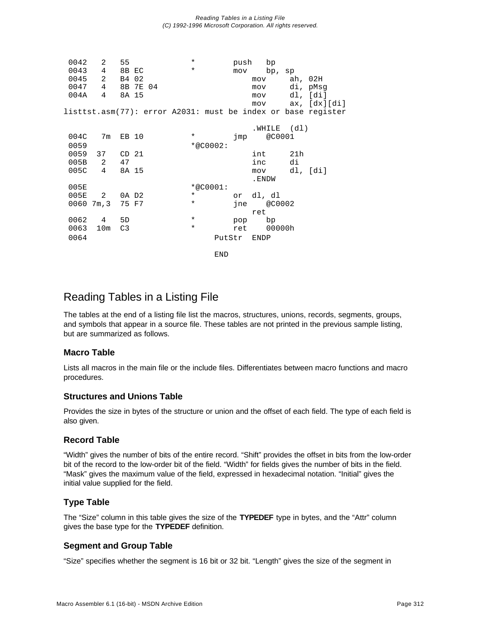#### *Reading Tables in a Listing File (C) 1992-1996 Microsoft Corporation. All rights reserved.*

 0042 2 55 \* push bp 0043 4 8B EC \* mov bp, sp 0045 2 B4 02 mov ah, 02H 0047 4 8B 7E 04 mov di, pMsg 8A 15 mov dl, [di] mov ax, [dx][di] listtst.asm(77): error A2031: must be index or base register .WHILE (dl) 004C 7m EB 10  $*$  jmp @C0001 0059<br>0059 37 CD 21 \*@C0002: 0059 37 CD 21 int 21h 005B 2 47 inc di 005C 4 8A 15 mov dl, [di]  $\begin{picture}(180,180)(-0.0000,0.0000)(-0.0000,0.0000)(-0.0000,0.0000)(-0.0000,0.0000)(-0.0000,0.0000)(-0.0000,0.000)(-0.0000,0.000)(-0.0000,0.000)(-0.0000,0.000)(-0.0000,0.000)(-0.0000,0.000)(-0.0000,0.000)(-0.0000,0.000)(-0.0000,0.000)(-0.000$ 005E<br>005E 2 0A D2 \*@C0001: \* or dl, dl<br>\* ine @C0002 0060 7m, 3 75 F7 \* \* jne ret 0062 4 5D \* pop bp 0063 10m C3 \* ret 0064 PutStr ENDP END

## Reading Tables in a Listing File

The tables at the end of a listing file list the macros, structures, unions, records, segments, groups, and symbols that appear in a source file. These tables are not printed in the previous sample listing, but are summarized as follows.

### **Macro Table**

Lists all macros in the main file or the include files. Differentiates between macro functions and macro procedures.

### **Structures and Unions Table**

Provides the size in bytes of the structure or union and the offset of each field. The type of each field is also given.

### **Record Table**

"Width" gives the number of bits of the entire record. "Shift" provides the offset in bits from the low-order bit of the record to the low-order bit of the field. "Width" for fields gives the number of bits in the field. "Mask" gives the maximum value of the field, expressed in hexadecimal notation. "Initial" gives the initial value supplied for the field.

### **Type Table**

The "Size" column in this table gives the size of the **TYPEDEF** type in bytes, and the "Attr" column gives the base type for the **TYPEDEF** definition.

### **Segment and Group Table**

"Size" specifies whether the segment is 16 bit or 32 bit. "Length" gives the size of the segment in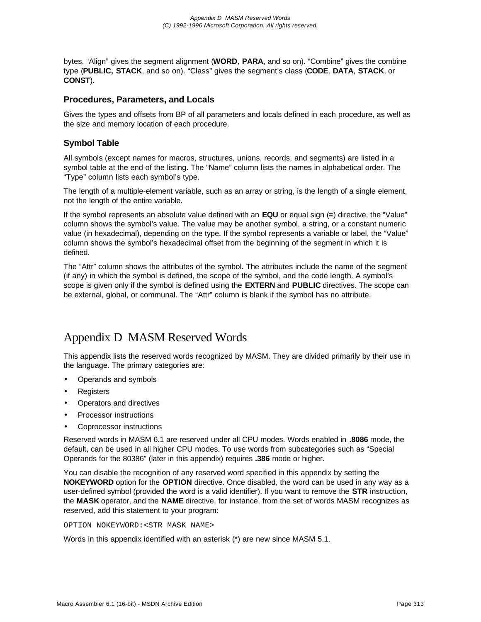bytes. "Align" gives the segment alignment (**WORD**, **PARA**, and so on). "Combine" gives the combine type (**PUBLIC, STACK**, and so on). "Class" gives the segment's class (**CODE**, **DATA**, **STACK**, or **CONST**).

### **Procedures, Parameters, and Locals**

Gives the types and offsets from BP of all parameters and locals defined in each procedure, as well as the size and memory location of each procedure.

### **Symbol Table**

All symbols (except names for macros, structures, unions, records, and segments) are listed in a symbol table at the end of the listing. The "Name" column lists the names in alphabetical order. The "Type" column lists each symbol's type.

The length of a multiple-element variable, such as an array or string, is the length of a single element, not the length of the entire variable.

If the symbol represents an absolute value defined with an **EQU** or equal sign (**=**) directive, the "Value" column shows the symbol's value. The value may be another symbol, a string, or a constant numeric value (in hexadecimal), depending on the type. If the symbol represents a variable or label, the "Value" column shows the symbol's hexadecimal offset from the beginning of the segment in which it is defined.

The "Attr" column shows the attributes of the symbol. The attributes include the name of the segment (if any) in which the symbol is defined, the scope of the symbol, and the code length. A symbol's scope is given only if the symbol is defined using the **EXTERN** and **PUBLIC** directives. The scope can be external, global, or communal. The "Attr" column is blank if the symbol has no attribute.

## Appendix D MASM Reserved Words

This appendix lists the reserved words recognized by MASM. They are divided primarily by their use in the language. The primary categories are:

- Operands and symbols
- **Registers**
- Operators and directives
- Processor instructions
- Coprocessor instructions

Reserved words in MASM 6.1 are reserved under all CPU modes. Words enabled in **.8086** mode, the default, can be used in all higher CPU modes. To use words from subcategories such as "Special Operands for the 80386" (later in this appendix) requires **.386** mode or higher.

You can disable the recognition of any reserved word specified in this appendix by setting the **NOKEYWORD** option for the **OPTION** directive. Once disabled, the word can be used in any way as a user-defined symbol (provided the word is a valid identifier). If you want to remove the **STR** instruction, the **MASK** operator, and the **NAME** directive, for instance, from the set of words MASM recognizes as reserved, add this statement to your program:

OPTION NOKEYWORD:<STR MASK NAME>

Words in this appendix identified with an asterisk (\*) are new since MASM 5.1.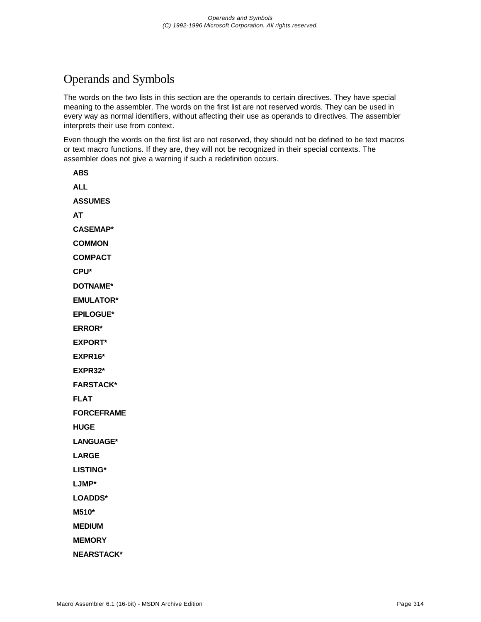# Operands and Symbols

**ABS**

The words on the two lists in this section are the operands to certain directives. They have special meaning to the assembler. The words on the first list are not reserved words. They can be used in every way as normal identifiers, without affecting their use as operands to directives. The assembler interprets their use from context.

Even though the words on the first list are not reserved, they should not be defined to be text macros or text macro functions. If they are, they will not be recognized in their special contexts. The assembler does not give a warning if such a redefinition occurs.

| APJ               |
|-------------------|
| <b>ALL</b>        |
| <b>ASSUMES</b>    |
| AT                |
| <b>CASEMAP*</b>   |
| <b>COMMON</b>     |
| <b>COMPACT</b>    |
| CPU*              |
| <b>DOTNAME*</b>   |
| <b>EMULATOR*</b>  |
| <b>EPILOGUE*</b>  |
| <b>ERROR*</b>     |
| <b>EXPORT*</b>    |
| EXPR16*           |
| EXPR32*           |
| <b>FARSTACK*</b>  |
| <b>FLAT</b>       |
| <b>FORCEFRAME</b> |
| <b>HUGE</b>       |
| LANGUAGE*         |
| <b>LARGE</b>      |
| <b>LISTING*</b>   |
| LJMP*             |
| LOADDS*           |
| M510*             |
| <b>MEDIUM</b>     |
| <b>MEMORY</b>     |
| <b>NEARSTACK*</b> |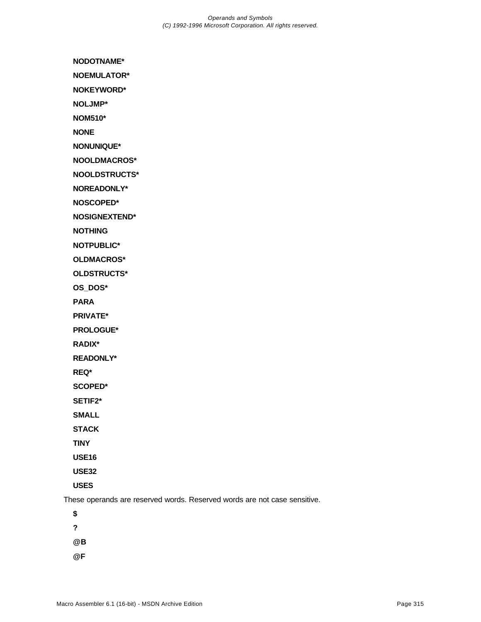*Operands and Symbols*

**NOKEYWORD\* NOLJMP\* NOM510\* NONE NONUNIQUE\* NOOLDMACROS\* NOOLDSTRUCTS\* NOREADONLY\* NOSCOPED\* NOSIGNEXTEND\* NOTHING NOTPUBLIC\* OLDMACROS\* OLDSTRUCTS\* OS\_DOS\* PARA PRIVATE\* PROLOGUE\* RADIX\* READONLY\* REQ\* SCOPED\* SETIF2\* SMALL STACK TINY USE16**

**NODOTNAME\* NOEMULATOR\***

**USE32**

**USES**

These operands are reserved words. Reserved words are not case sensitive.

**\$ ? @B**

**@F**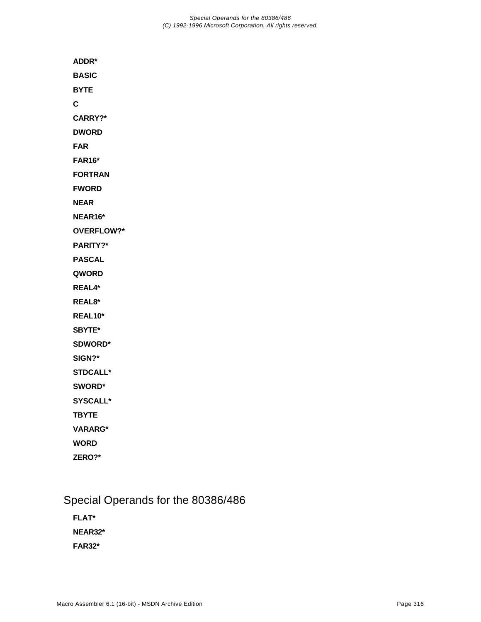**ADDR\* BASIC BYTE C CARRY?\* DWORD FAR FAR16\* FORTRAN FWORD NEAR NEAR16\* OVERFLOW?\* PARITY?\* PASCAL QWORD REAL4\* REAL8\* REAL10\* SBYTE\* SDWORD\* SIGN?\* STDCALL\* SWORD\* SYSCALL\* TBYTE VARARG\* WORD ZERO?\*** 

Special Operands for the 80386/486

**FLAT\***

**NEAR32\***

**FAR32\***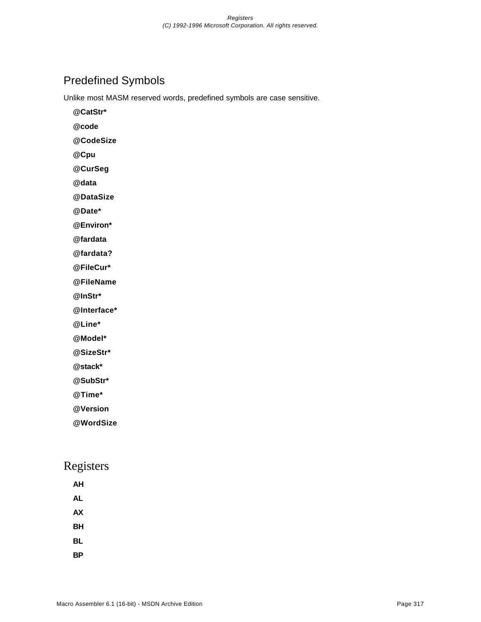## Predefined Symbols

Unlike most MASM reserved words, predefined symbols are case sensitive.

**@CatStr\***

**@code**

**@CodeSize**

**@Cpu**

**@CurSeg**

**@data**

**@DataSize**

**@Date\***

**@Environ\***

**@fardata**

**@fardata?**

**@FileCur\***

**@FileName**

**@InStr\***

**@Interface\***

**@Line\***

**@Model\***

**@SizeStr\***

**@stack\***

**@SubStr\***

**@Time\***

**@Version**

**@WordSize**

## Registers

**AH**

**AL**

**AX**

**BH**

**BL**

**BP**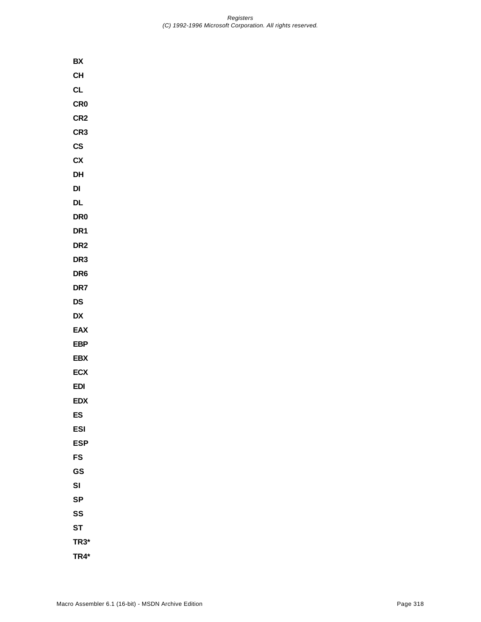- **BX**
- **CH**
- **CL**
- **CR0**
- **CR2**
- **CR3**
- 
- **CS CX**
- 
- **DH DI**
- **DL**
- **DR0**
- **DR1**
- **DR2**
- 
- **DR3**
- **DR6**
- **DR7**
- **DS DX**
- **EAX**
- **EBP**
- **EBX**
- **ECX**
- **EDI**
- **EDX**
- **ES**
- **ESI**
- 
- **ESP**
- **FS**
- **GS**
- **SI**
- **SP**
- **SS**
- **ST**
- **TR3\***
- **TR4\***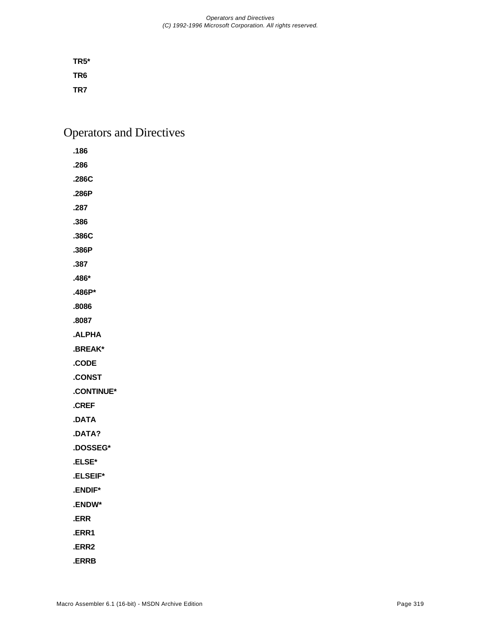**TR5\* TR6 TR7**

# Operators and Directives

| .186       |
|------------|
| .286       |
| .286C      |
| .286P      |
| .287       |
| .386       |
| .386C      |
| .386P      |
| .387       |
| $.486*$    |
| .486P*     |
| .8086      |
| .8087      |
| .ALPHA     |
| .BREAK*    |
| .CODE      |
| .CONST     |
| .CONTINUE* |
| .CREF      |
| .DATA      |
| .DATA?     |
| .DOSSEG*   |
| .ELSE*     |
| .ELSEIF*   |
| .ENDIF*    |
| .ENDW*     |
| .ERR       |
| ERR1.      |
| .ERR2      |
| .ERRB      |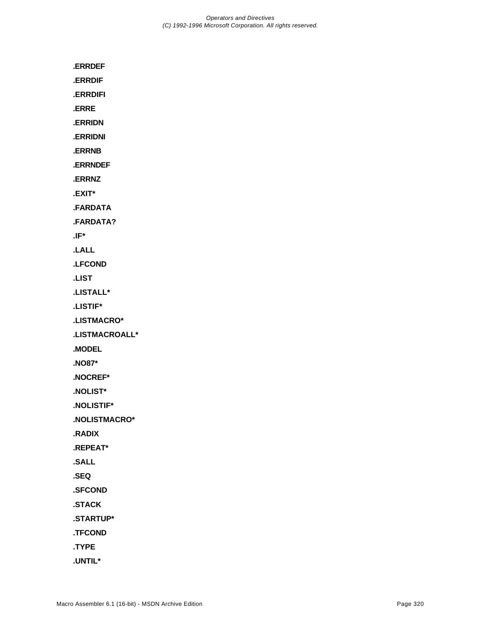**.ERRDEF**

**.ERRDIF**

**.ERRDIFI**

**.ERRE**

**.ERRIDN**

**.ERRIDNI**

**.ERRNB**

**.ERRNDEF**

**.ERRNZ**

**.EXIT\***

**.FARDATA**

**.FARDATA?**

**.IF\***

**.LALL**

**.LFCOND**

**.LIST**

**.LISTALL\***

**.LISTIF\***

**.LISTMACRO\***

**.LISTMACROALL\***

**.MODEL**

**.NO87\***

**.NOCREF\***

**.NOLIST\***

**.NOLISTIF\***

**.NOLISTMACRO\***

**.RADIX**

**.REPEAT\***

**.SALL**

**.SEQ**

**.SFCOND**

**.STACK**

**.STARTUP\***

**.TFCOND**

**.TYPE**

**.UNTIL\***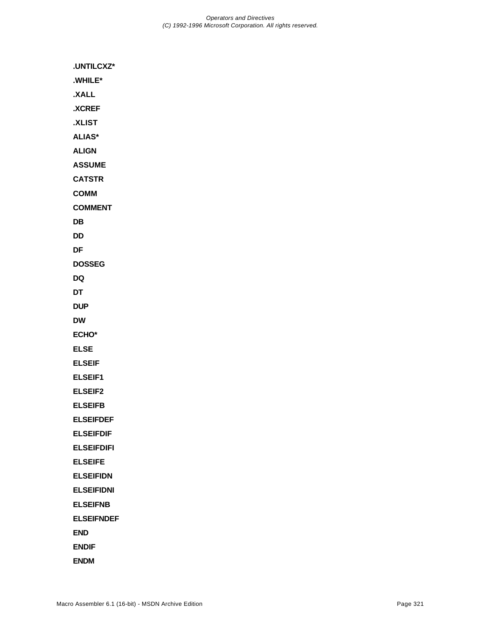**.UNTILCXZ\* .WHILE\* .XALL .XCREF .XLIST ALIAS\* ALIGN ASSUME CATSTR COMM COMMENT DB DD DF DOSSEG DQ DT DUP DW ECHO\* ELSE ELSEIF ELSEIF1 ELSEIF2 ELSEIFB ELSEIFDEF ELSEIFDIF ELSEIFDIFI ELSEIFE ELSEIFIDN ELSEIFIDNI ELSEIFNB ELSEIFNDEF END ENDIF**

**ENDM**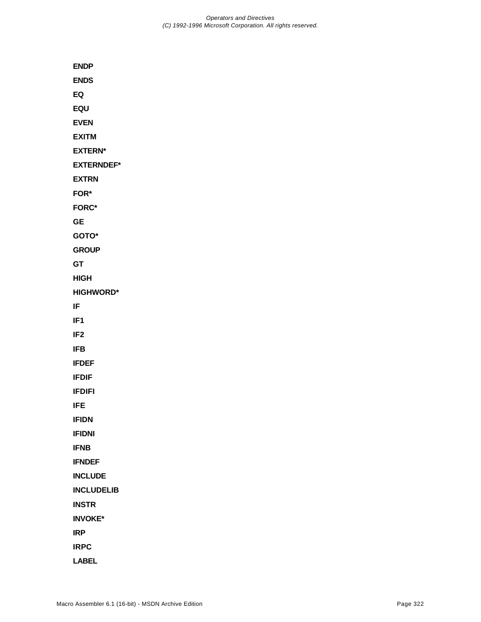**ENDP ENDS EQ EQU EVEN EXITM EXTERN\* EXTERNDEF\* EXTRN FOR\* FORC\* GE GOTO\* GROUP GT HIGH HIGHWORD\* IF IF1 IF2 IFB IFDEF IFDIF IFDIFI IFE IFIDN IFIDNI IFNB IFNDEF INCLUDE INCLUDELIB INSTR INVOKE\* IRP IRPC**

**LABEL**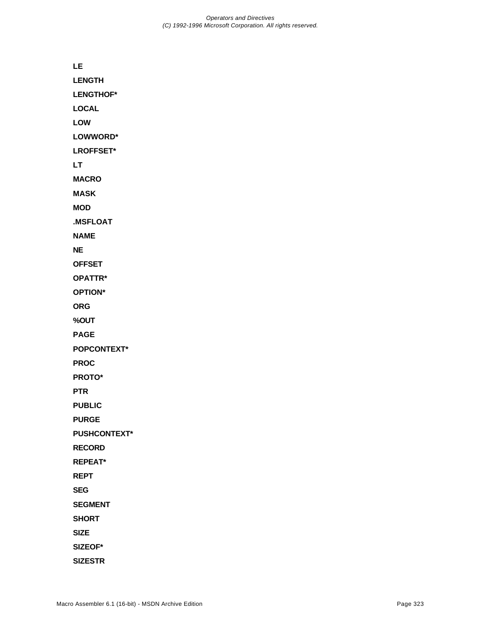**LE LENGTH LENGTHOF\* LOCAL LOW LOWWORD\* LROFFSET\* LT MACRO MASK MOD .MSFLOAT NAME NE OFFSET OPATTR\* OPTION\* ORG %OUT PAGE POPCONTEXT\* PROC PROTO\* PTR PUBLIC PURGE PUSHCONTEXT\* RECORD REPEAT\* REPT SEG SEGMENT SHORT SIZE SIZEOF\***

**SIZESTR**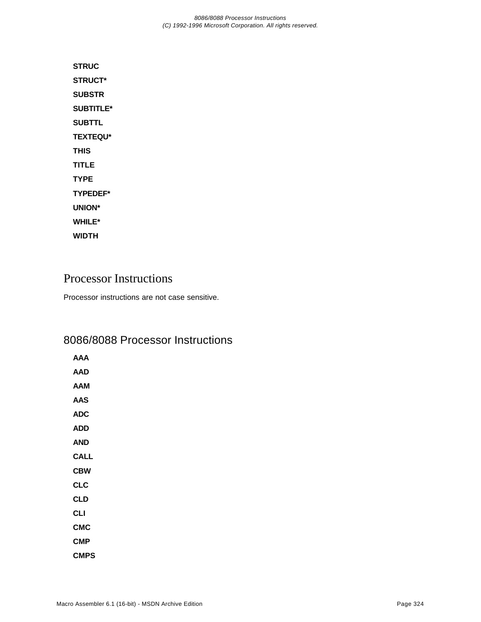**STRUC STRUCT\* SUBSTR SUBTITLE\* SUBTTL TEXTEQU\* THIS TITLE TYPE TYPEDEF\* UNION\* WHILE\* WIDTH**

## Processor Instructions

Processor instructions are not case sensitive.

## 8086/8088 Processor Instructions

| ΔΔΔ         |
|-------------|
| AAD         |
| <b>AAM</b>  |
| AAS         |
| <b>ADC</b>  |
| <b>ADD</b>  |
| <b>AND</b>  |
| <b>CALL</b> |
| <b>CBW</b>  |
| <b>CLC</b>  |
| <b>CLD</b>  |
| <b>CLI</b>  |
| <b>CMC</b>  |
| <b>CMP</b>  |

**CMPS**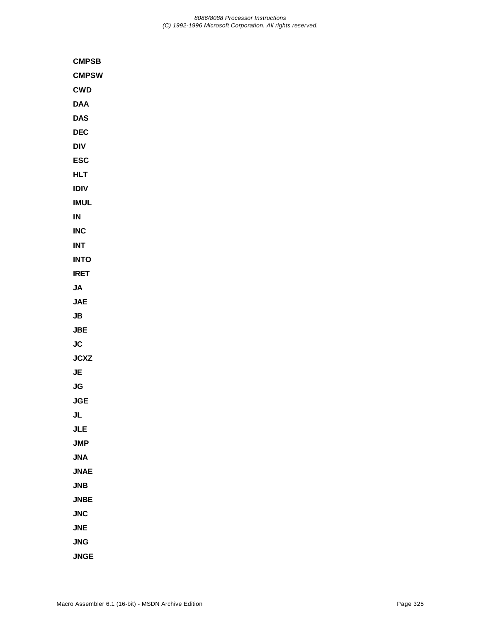| <b>CMPSB</b> |
|--------------|
| <b>CMPSW</b> |
| <b>CWD</b>   |
| DAA          |
| <b>DAS</b>   |
| <b>DEC</b>   |
| DIV          |
| ESC          |
| HLT          |
| IDIV         |
| IMUL         |
| ΙN           |
| INC          |
| INT          |
| <b>INTO</b>  |
| <b>IRET</b>  |
| <b>JA</b>    |
| <b>JAE</b>   |
| JB           |
| <b>JBE</b>   |
| JC           |
| <b>JCXZ</b>  |
| JE           |
| JG           |
| <b>JGE</b>   |
| JL           |
| <b>JLE</b>   |
| <b>JMP</b>   |
| <b>JNA</b>   |
| <b>JNAE</b>  |
| <b>JNB</b>   |
| <b>JNBE</b>  |
| <b>JNC</b>   |
| <b>JNE</b>   |
| <b>JNG</b>   |
| <b>JNGE</b>  |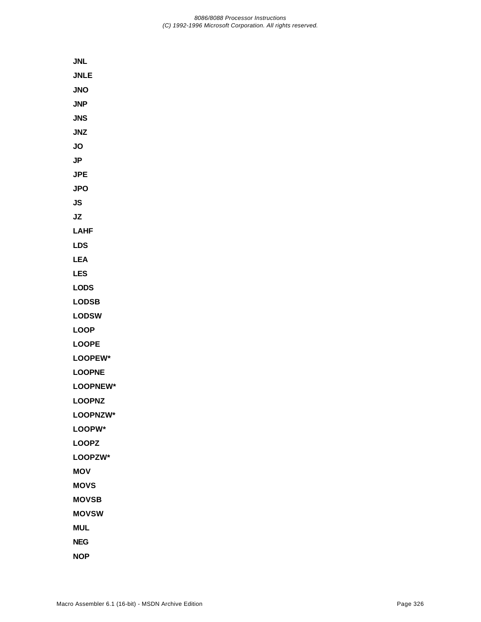| <b>JNL</b>      |
|-----------------|
| <b>JNLE</b>     |
| <b>JNO</b>      |
| <b>JNP</b>      |
| <b>JNS</b>      |
| <b>JNZ</b>      |
| JO              |
| <b>JP</b>       |
| <b>JPE</b>      |
| <b>JPO</b>      |
| <b>JS</b>       |
| JZ              |
| <b>LAHF</b>     |
| LDS             |
| LEA             |
| LES             |
| LODS            |
| <b>LODSB</b>    |
| <b>LODSW</b>    |
| <b>LOOP</b>     |
| <b>LOOPE</b>    |
| LOOPEW*         |
| <b>LOOPNE</b>   |
| <b>LOOPNEW*</b> |
| <b>LOOPNZ</b>   |
| LOOPNZW*        |
| <b>LOOPW*</b>   |
| <b>LOOPZ</b>    |
| LOOPZW*         |
| <b>MOV</b>      |
| <b>MOVS</b>     |
| <b>MOVSB</b>    |
| <b>MOVSW</b>    |
| <b>MUL</b>      |
| <b>NEG</b>      |
| <b>NOP</b>      |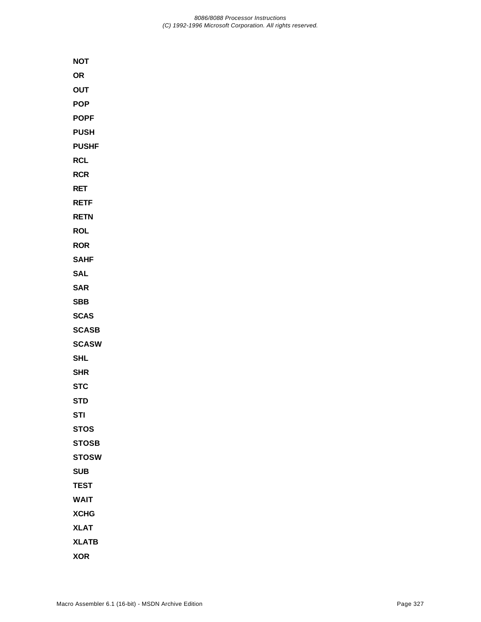| <b>NOT</b>   |
|--------------|
| OR           |
| <b>OUT</b>   |
| <b>POP</b>   |
| POPF         |
| <b>PUSH</b>  |
| <b>PUSHF</b> |
| <b>RCL</b>   |
| <b>RCR</b>   |
| <b>RET</b>   |
| <b>RETF</b>  |
| RETN         |
| <b>ROL</b>   |
| <b>ROR</b>   |
| <b>SAHF</b>  |
| <b>SAL</b>   |
| <b>SAR</b>   |
| <b>SBB</b>   |
| <b>SCAS</b>  |
| <b>SCASB</b> |
| <b>SCASW</b> |
| <b>SHL</b>   |
| <b>SHR</b>   |
| <b>STC</b>   |
| <b>STD</b>   |
| STI          |
| <b>STOS</b>  |
| <b>STOSB</b> |
| <b>STOSW</b> |
| <b>SUB</b>   |
| <b>TEST</b>  |
| WAIT         |
| <b>XCHG</b>  |
| <b>XLAT</b>  |
| <b>XLATB</b> |
| <b>XOR</b>   |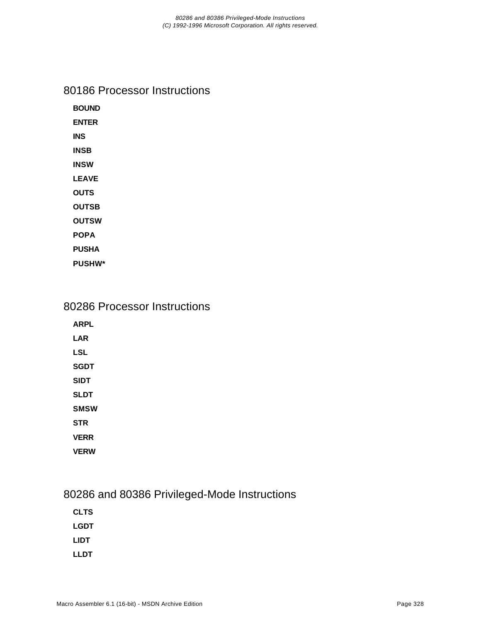# 80186 Processor Instructions

**BOUND ENTER INS INSB INSW LEAVE OUTS OUTSB OUTSW**

**POPA**

**PUSHA**

**PUSHW\***

|  |  | 80286 Processor Instructions |
|--|--|------------------------------|
|--|--|------------------------------|

**ARPL**

**LAR**

**LSL**

**SGDT**

**SIDT**

**SLDT**

**SMSW**

**STR VERR**

**VERW**

# 80286 and 80386 Privileged-Mode Instructions

**CLTS LGDT**

**LIDT**

**LLDT**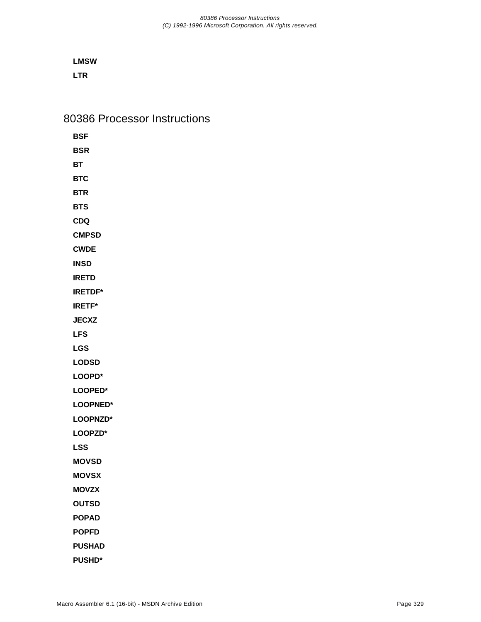**LMSW**

**LTR**

| 80386 Processor Instructions |  |
|------------------------------|--|
|------------------------------|--|

**BSF BSR**

**BT**

**BTC**

**BTR**

**BTS**

**CDQ CMPSD**

**CWDE**

**INSD**

**IRETD**

**IRETDF\***

**IRETF\***

**JECXZ**

**LFS**

**LGS**

**LODSD**

**LOOPD\***

**LOOPED\***

**LOOPNED\***

**LOOPNZD\***

**LOOPZD\***

**LSS**

**MOVSD**

**MOVSX**

**MOVZX**

**OUTSD**

**POPAD POPFD**

**PUSHAD**

**PUSHD\***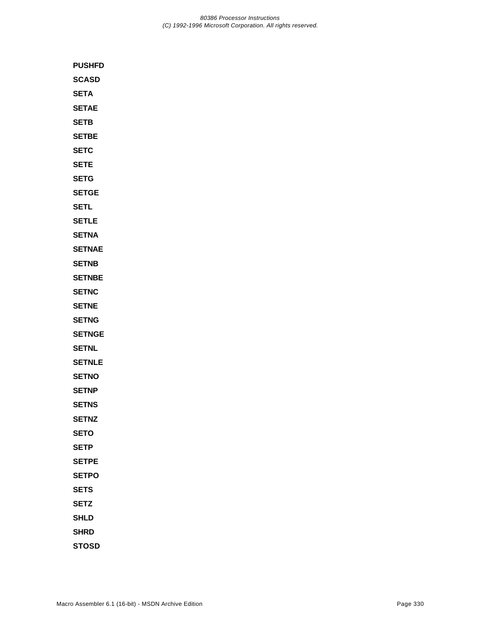**PUSHFD SCASD SETA SETAE SETB SETBE SETC SETE SETG SETGE SETL SETLE SETNA SETNAE SETNB SETNBE SETNC SETNE SETNG SETNGE SETNL SETNLE SETNO SETNP SETNS SETNZ SETO SETP SETPE SETPO SETS SETZ SHLD SHRD STOSD**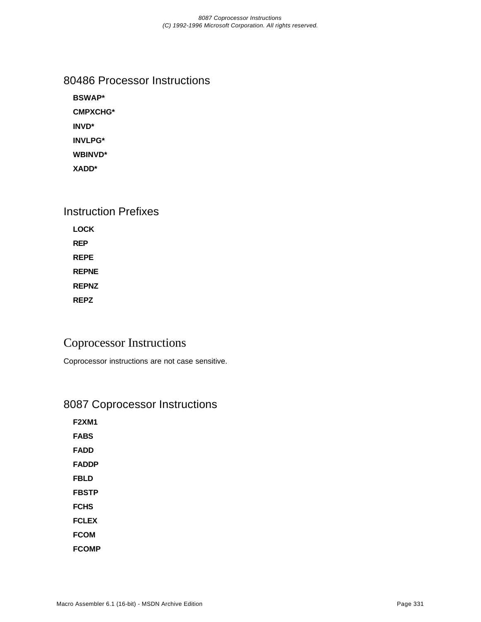# 80486 Processor Instructions

**BSWAP\***

**CMPXCHG\***

**INVD\***

**INVLPG\***

**WBINVD\***

**XADD\***

Instruction Prefixes

**LOCK**

**REP**

**REPE**

**REPNE**

**REPNZ**

**REPZ**

# Coprocessor Instructions

Coprocessor instructions are not case sensitive.

# 8087 Coprocessor Instructions

**F2XM1**

**FABS**

**FADD**

**FADDP**

**FBLD**

**FBSTP**

**FCHS**

**FCLEX**

**FCOM**

**FCOMP**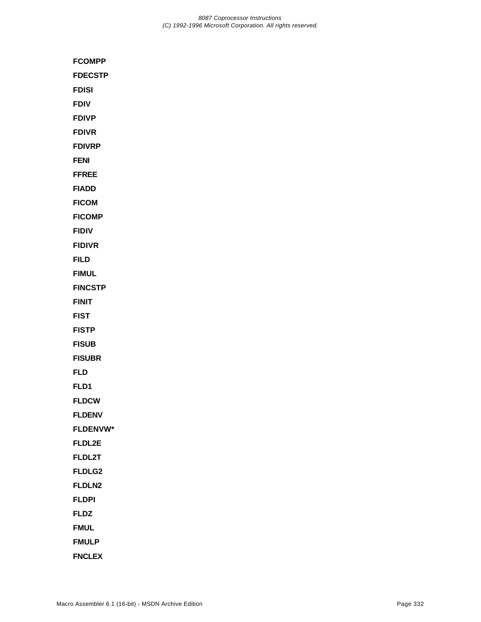**FCOMPP FDECSTP FDISI FDIV FDIVP FDIVR FDIVRP FENI FFREE FIADD FICOM FICOMP FIDIV FIDIVR FILD FIMUL FINCSTP FINIT FIST FISTP FISUB FISUBR FLD FLD1 FLDCW FLDENV FLDENVW\* FLDL2E FLDL2T FLDLG2 FLDLN2 FLDPI FLDZ FMUL FMULP**

**FNCLEX**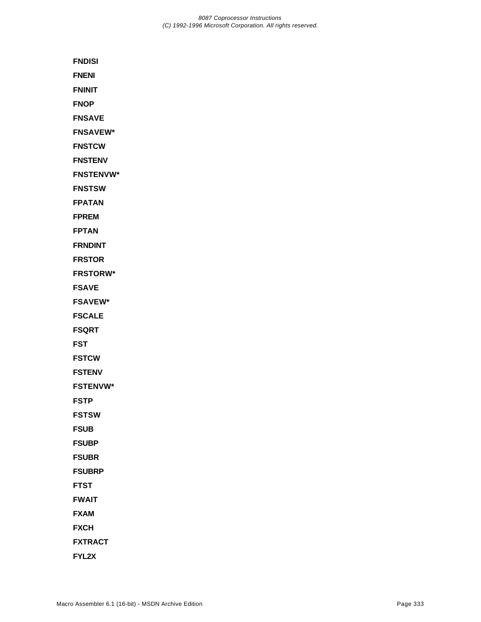**FNDISI**

**FNENI**

**FNINIT**

**FNOP**

**FNSAVE**

**FNSAVEW\***

**FNSTCW**

**FNSTENV**

**FNSTENVW\***

**FNSTSW**

**FPATAN**

**FPREM**

**FPTAN**

**FRNDINT**

**FRSTOR**

**FRSTORW\***

**FSAVE**

**FSAVEW\***

**FSCALE**

**FSQRT**

**FST**

**FSTCW**

**FSTENV**

**FSTENVW\***

**FSTP**

**FSTSW**

**FSUB**

**FSUBP**

**FSUBR**

**FSUBRP**

**FTST**

**FWAIT**

**FXAM**

**FXCH**

**FXTRACT**

**FYL2X**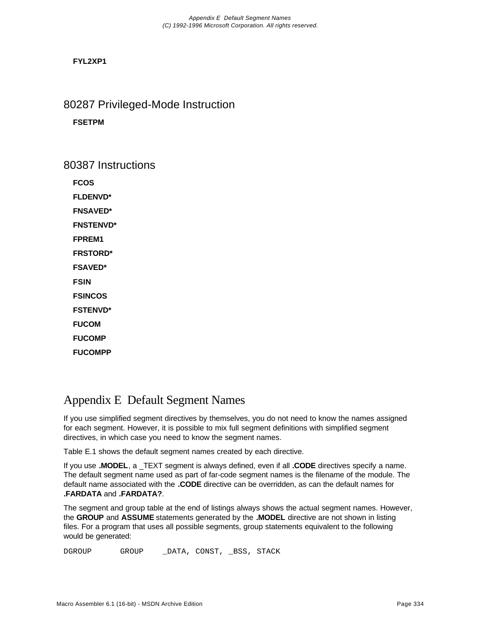# **FYL2XP1**

# 80287 Privileged-Mode Instruction

**FSETPM**

80387 Instructions

**FCOS**

**FLDENVD\***

**FNSAVED\***

**FNSTENVD\***

**FPREM1**

**FRSTORD\***

**FSAVED\***

**FSIN**

**FSINCOS**

**FSTENVD\***

**FUCOM**

**FUCOMP**

**FUCOMPP**

# Appendix E Default Segment Names

If you use simplified segment directives by themselves, you do not need to know the names assigned for each segment. However, it is possible to mix full segment definitions with simplified segment directives, in which case you need to know the segment names.

Table E.1 shows the default segment names created by each directive.

If you use **.MODEL**, a \_TEXT segment is always defined, even if all **.CODE** directives specify a name. The default segment name used as part of far-code segment names is the filename of the module. The default name associated with the **.CODE** directive can be overridden, as can the default names for **.FARDATA** and **.FARDATA?**.

The segment and group table at the end of listings always shows the actual segment names. However, the **GROUP** and **ASSUME** statements generated by the **.MODEL** directive are not shown in listing files. For a program that uses all possible segments, group statements equivalent to the following would be generated:

DGROUP GROUP DATA, CONST, BSS, STACK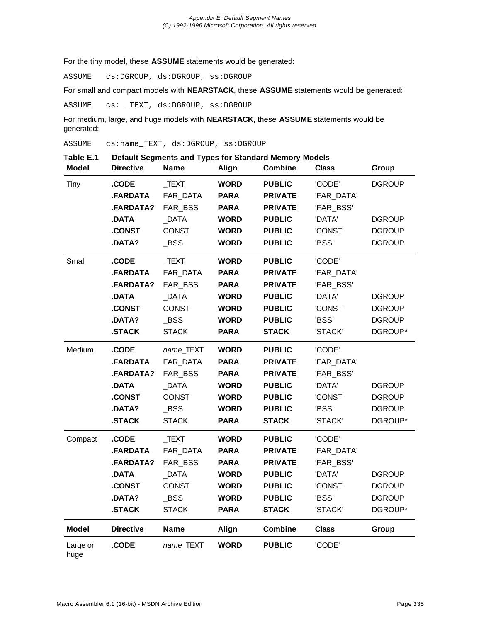For the tiny model, these **ASSUME** statements would be generated:

ASSUME cs:DGROUP, ds:DGROUP, ss:DGROUP

For small and compact models with **NEARSTACK**, these **ASSUME** statements would be generated:

ASSUME cs: \_TEXT, ds:DGROUP, ss:DGROUP

For medium, large, and huge models with **NEARSTACK**, these **ASSUME** statements would be generated:

ASSUME cs:name\_TEXT, ds:DGROUP, ss:DGROUP

| Table E.1        |                  |              |             | Default Segments and Types for Standard Memory Models |                |               |
|------------------|------------------|--------------|-------------|-------------------------------------------------------|----------------|---------------|
| <b>Model</b>     | <b>Directive</b> | <b>Name</b>  | Align       | <b>Combine</b>                                        | <b>Class</b>   | Group         |
| Tiny             | .CODE            | <b>TEXT</b>  | <b>WORD</b> | <b>PUBLIC</b>                                         | 'CODE'         | <b>DGROUP</b> |
|                  | .FARDATA         | FAR_DATA     | <b>PARA</b> | <b>PRIVATE</b>                                        | 'FAR_DATA'     |               |
|                  | .FARDATA?        | FAR_BSS      | <b>PARA</b> | <b>PRIVATE</b>                                        | 'FAR_BSS'      |               |
|                  | .DATA            | $\_DATA$     | <b>WORD</b> | <b>PUBLIC</b>                                         | 'DATA'         | <b>DGROUP</b> |
|                  | .CONST           | <b>CONST</b> | <b>WORD</b> | <b>PUBLIC</b>                                         | 'CONST'        | <b>DGROUP</b> |
|                  | .DATA?           | $_B$ SS      | <b>WORD</b> | <b>PUBLIC</b>                                         | 'BSS'          | <b>DGROUP</b> |
| Small            | .CODE            | $_T$ EXT     | <b>WORD</b> | <b>PUBLIC</b>                                         | 'CODE'         |               |
|                  | .FARDATA         | FAR DATA     | <b>PARA</b> | <b>PRIVATE</b>                                        | 'FAR_DATA'     |               |
|                  | .FARDATA?        | FAR_BSS      | <b>PARA</b> | <b>PRIVATE</b>                                        | 'FAR_BSS'      |               |
|                  | .DATA            | $\_DATA$     | <b>WORD</b> | <b>PUBLIC</b>                                         | 'DATA'         | <b>DGROUP</b> |
|                  | .CONST           | <b>CONST</b> | <b>WORD</b> | <b>PUBLIC</b>                                         | <b>'CONST'</b> | <b>DGROUP</b> |
|                  | .DATA?           | $\_BSS$      | <b>WORD</b> | <b>PUBLIC</b>                                         | 'BSS'          | <b>DGROUP</b> |
|                  | .STACK           | <b>STACK</b> | <b>PARA</b> | <b>STACK</b>                                          | 'STACK'        | DGROUP*       |
| Medium           | .CODE            | name_TEXT    | <b>WORD</b> | <b>PUBLIC</b>                                         | 'CODE'         |               |
|                  | .FARDATA         | FAR_DATA     | <b>PARA</b> | <b>PRIVATE</b>                                        | 'FAR_DATA'     |               |
|                  | .FARDATA?        | FAR BSS      | <b>PARA</b> | <b>PRIVATE</b>                                        | 'FAR BSS'      |               |
|                  | .DATA            | $\_DATA$     | <b>WORD</b> | <b>PUBLIC</b>                                         | 'DATA'         | <b>DGROUP</b> |
|                  | .CONST           | <b>CONST</b> | <b>WORD</b> | <b>PUBLIC</b>                                         | 'CONST'        | <b>DGROUP</b> |
|                  | <b>PATA?</b>     | <b>BSS</b>   | <b>WORD</b> | <b>PUBLIC</b>                                         | 'BSS'          | <b>DGROUP</b> |
|                  | .STACK           | <b>STACK</b> | <b>PARA</b> | <b>STACK</b>                                          | 'STACK'        | DGROUP*       |
| Compact          | .CODE            | $_T$ EXT     | <b>WORD</b> | <b>PUBLIC</b>                                         | 'CODE'         |               |
|                  | .FARDATA         | FAR DATA     | <b>PARA</b> | <b>PRIVATE</b>                                        | 'FAR DATA'     |               |
|                  | .FARDATA?        | FAR_BSS      | <b>PARA</b> | <b>PRIVATE</b>                                        | 'FAR_BSS'      |               |
|                  | <b>DATA</b>      | <b>DATA</b>  | <b>WORD</b> | <b>PUBLIC</b>                                         | 'DATA'         | <b>DGROUP</b> |
|                  | .CONST           | <b>CONST</b> | <b>WORD</b> | <b>PUBLIC</b>                                         | 'CONST'        | <b>DGROUP</b> |
|                  | .DATA?           | $_B$ SS      | <b>WORD</b> | <b>PUBLIC</b>                                         | 'BSS'          | <b>DGROUP</b> |
|                  | .STACK           | <b>STACK</b> | <b>PARA</b> | <b>STACK</b>                                          | 'STACK'        | DGROUP*       |
| <b>Model</b>     | <b>Directive</b> | <b>Name</b>  | Align       | <b>Combine</b>                                        | <b>Class</b>   | Group         |
| Large or<br>huge | .CODE            | name TEXT    | <b>WORD</b> | <b>PUBLIC</b>                                         | 'CODE'         |               |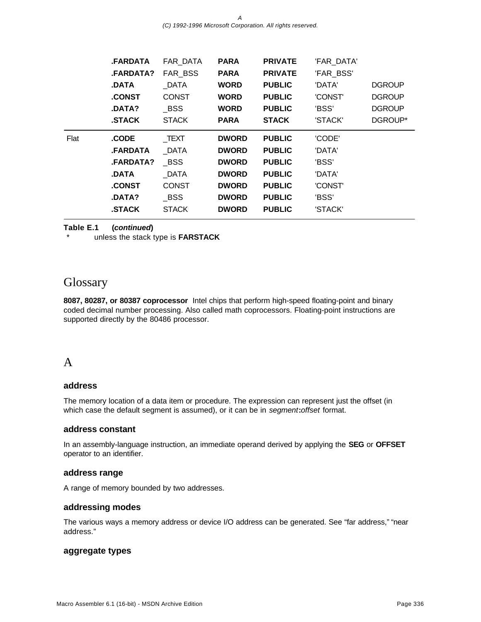|      | .FARDATA        | FAR DATA     | <b>PARA</b>  | <b>PRIVATE</b> | 'FAR DATA' |               |
|------|-----------------|--------------|--------------|----------------|------------|---------------|
|      | <b>FARDATA?</b> | FAR BSS      | <b>PARA</b>  | <b>PRIVATE</b> | 'FAR_BSS'  |               |
|      | .DATA           | DATA         | <b>WORD</b>  | <b>PUBLIC</b>  | 'DATA'     | <b>DGROUP</b> |
|      | .CONST          | <b>CONST</b> | <b>WORD</b>  | <b>PUBLIC</b>  | 'CONST'    | <b>DGROUP</b> |
|      | .DATA?          | <b>BSS</b>   | <b>WORD</b>  | <b>PUBLIC</b>  | 'BSS'      | <b>DGROUP</b> |
|      | <b>.STACK</b>   | <b>STACK</b> | <b>PARA</b>  | <b>STACK</b>   | 'STACK'    | DGROUP*       |
| Flat | .CODE           | TEXT         | <b>DWORD</b> | <b>PUBLIC</b>  | 'CODE'     |               |
|      |                 |              |              |                |            |               |
|      | .FARDATA        | DATA         | <b>DWORD</b> | <b>PUBLIC</b>  | 'DATA'     |               |
|      | <b>FARDATA?</b> | BSS          | <b>DWORD</b> | <b>PUBLIC</b>  | 'BSS'      |               |
|      | .DATA           | DATA         | <b>DWORD</b> | <b>PUBLIC</b>  | 'DATA'     |               |
|      | .CONST          | <b>CONST</b> | <b>DWORD</b> | <b>PUBLIC</b>  | 'CONST'    |               |
|      | <b>DATA?</b>    | BSS          | <b>DWORD</b> | <b>PUBLIC</b>  | 'BSS'      |               |

#### **Table E.1 (***continued***)**

\* unless the stack type is **FARSTACK**

# **Glossary**

**8087, 80287, or 80387 coprocessor** Intel chips that perform high-speed floating-point and binary coded decimal number processing. Also called math coprocessors. Floating-point instructions are supported directly by the 80486 processor.

# A

# **address**

The memory location of a data item or procedure. The expression can represent just the offset (in which case the default segment is assumed), or it can be in *segment***:***offset* format.

#### **address constant**

In an assembly-language instruction, an immediate operand derived by applying the **SEG** or **OFFSET** operator to an identifier.

#### **address range**

A range of memory bounded by two addresses.

#### **addressing modes**

The various ways a memory address or device I/O address can be generated. See "far address," "near address."

# **aggregate types**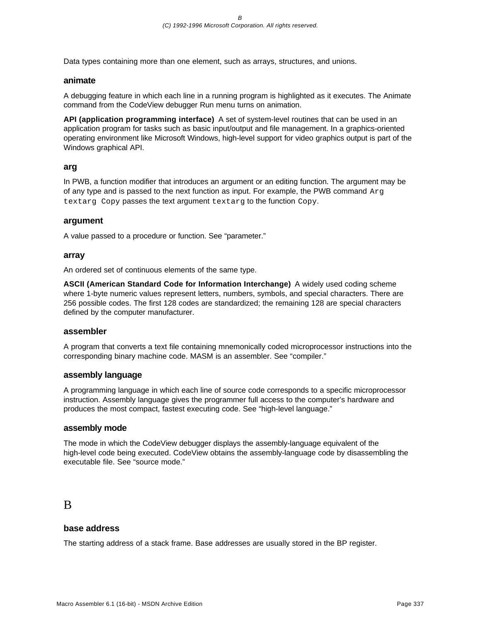Data types containing more than one element, such as arrays, structures, and unions.

#### **animate**

A debugging feature in which each line in a running program is highlighted as it executes. The Animate command from the CodeView debugger Run menu turns on animation.

**API (application programming interface)** A set of system-level routines that can be used in an application program for tasks such as basic input/output and file management. In a graphics-oriented operating environment like Microsoft Windows, high-level support for video graphics output is part of the Windows graphical API.

#### **arg**

In PWB, a function modifier that introduces an argument or an editing function. The argument may be of any type and is passed to the next function as input. For example, the PWB command  $Arg$ textarg Copy passes the text argument textarg to the function Copy.

#### **argument**

A value passed to a procedure or function. See "parameter."

#### **array**

An ordered set of continuous elements of the same type.

**ASCII (American Standard Code for Information Interchange)** A widely used coding scheme where 1-byte numeric values represent letters, numbers, symbols, and special characters. There are 256 possible codes. The first 128 codes are standardized; the remaining 128 are special characters defined by the computer manufacturer.

#### **assembler**

A program that converts a text file containing mnemonically coded microprocessor instructions into the corresponding binary machine code. MASM is an assembler. See "compiler."

#### **assembly language**

A programming language in which each line of source code corresponds to a specific microprocessor instruction. Assembly language gives the programmer full access to the computer's hardware and produces the most compact, fastest executing code. See "high-level language."

#### **assembly mode**

The mode in which the CodeView debugger displays the assembly-language equivalent of the high-level code being executed. CodeView obtains the assembly-language code by disassembling the executable file. See "source mode."

# B

#### **base address**

The starting address of a stack frame. Base addresses are usually stored in the BP register.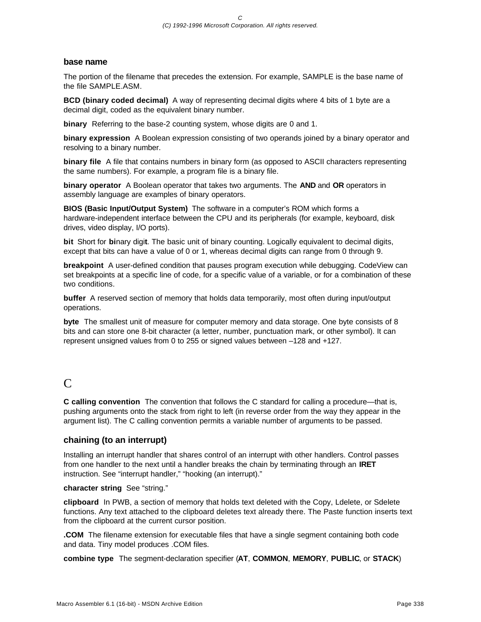### **base name**

The portion of the filename that precedes the extension. For example, SAMPLE is the base name of the file SAMPLE.ASM.

**BCD (binary coded decimal)** A way of representing decimal digits where 4 bits of 1 byte are a decimal digit, coded as the equivalent binary number.

**binary** Referring to the base-2 counting system, whose digits are 0 and 1.

**binary expression** A Boolean expression consisting of two operands joined by a binary operator and resolving to a binary number.

**binary file** A file that contains numbers in binary form (as opposed to ASCII characters representing the same numbers). For example, a program file is a binary file.

**binary operator** A Boolean operator that takes two arguments. The **AND** and **OR** operators in assembly language are examples of binary operators.

**BIOS (Basic Input/Output System)** The software in a computer's ROM which forms a hardware-independent interface between the CPU and its peripherals (for example, keyboard, disk drives, video display, I/O ports).

**bit** Short for **bi**nary digi**t**. The basic unit of binary counting. Logically equivalent to decimal digits, except that bits can have a value of 0 or 1, whereas decimal digits can range from 0 through 9.

**breakpoint** A user-defined condition that pauses program execution while debugging. CodeView can set breakpoints at a specific line of code, for a specific value of a variable, or for a combination of these two conditions.

**buffer** A reserved section of memory that holds data temporarily, most often during input/output operations.

**byte** The smallest unit of measure for computer memory and data storage. One byte consists of 8 bits and can store one 8-bit character (a letter, number, punctuation mark, or other symbol). It can represent unsigned values from 0 to 255 or signed values between –128 and +127.

# $\mathcal{C}$

**C calling convention** The convention that follows the C standard for calling a procedure—that is, pushing arguments onto the stack from right to left (in reverse order from the way they appear in the argument list). The C calling convention permits a variable number of arguments to be passed.

# **chaining (to an interrupt)**

Installing an interrupt handler that shares control of an interrupt with other handlers. Control passes from one handler to the next until a handler breaks the chain by terminating through an **IRET** instruction. See "interrupt handler," "hooking (an interrupt)."

#### **character string** See "string."

**clipboard** In PWB, a section of memory that holds text deleted with the Copy, Ldelete, or Sdelete functions. Any text attached to the clipboard deletes text already there. The Paste function inserts text from the clipboard at the current cursor position.

**.COM** The filename extension for executable files that have a single segment containing both code and data. Tiny model produces .COM files.

**combine type** The segment-declaration specifier (**AT**, **COMMON**, **MEMORY**, **PUBLIC**, or **STACK**)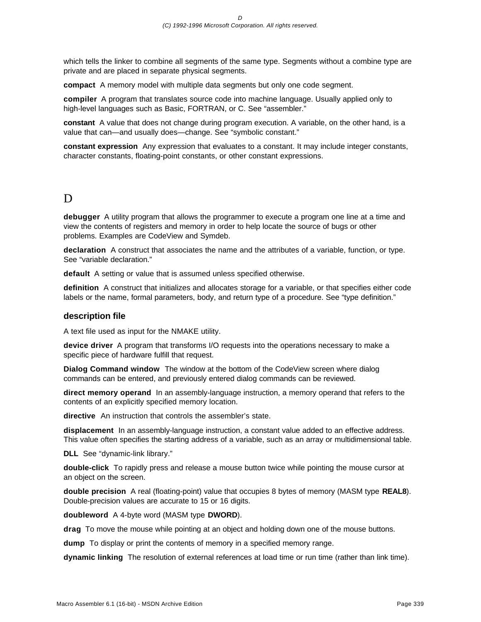which tells the linker to combine all segments of the same type. Segments without a combine type are private and are placed in separate physical segments.

**compact** A memory model with multiple data segments but only one code segment.

**compiler** A program that translates source code into machine language. Usually applied only to high-level languages such as Basic, FORTRAN, or C. See "assembler."

**constant** A value that does not change during program execution. A variable, on the other hand, is a value that can—and usually does—change. See "symbolic constant."

**constant expression** Any expression that evaluates to a constant. It may include integer constants, character constants, floating-point constants, or other constant expressions.

# D

**debugger** A utility program that allows the programmer to execute a program one line at a time and view the contents of registers and memory in order to help locate the source of bugs or other problems. Examples are CodeView and Symdeb.

**declaration** A construct that associates the name and the attributes of a variable, function, or type. See "variable declaration."

**default** A setting or value that is assumed unless specified otherwise.

**definition** A construct that initializes and allocates storage for a variable, or that specifies either code labels or the name, formal parameters, body, and return type of a procedure. See "type definition."

#### **description file**

A text file used as input for the NMAKE utility.

**device driver** A program that transforms I/O requests into the operations necessary to make a specific piece of hardware fulfill that request.

**Dialog Command window** The window at the bottom of the CodeView screen where dialog commands can be entered, and previously entered dialog commands can be reviewed.

**direct memory operand** In an assembly-language instruction, a memory operand that refers to the contents of an explicitly specified memory location.

**directive** An instruction that controls the assembler's state.

**displacement** In an assembly-language instruction, a constant value added to an effective address. This value often specifies the starting address of a variable, such as an array or multidimensional table.

**DLL** See "dynamic-link library."

**double-click** To rapidly press and release a mouse button twice while pointing the mouse cursor at an object on the screen.

**double precision** A real (floating-point) value that occupies 8 bytes of memory (MASM type **REAL8**). Double-precision values are accurate to 15 or 16 digits.

**doubleword** A 4-byte word (MASM type **DWORD**).

**drag** To move the mouse while pointing at an object and holding down one of the mouse buttons.

**dump** To display or print the contents of memory in a specified memory range.

**dynamic linking** The resolution of external references at load time or run time (rather than link time).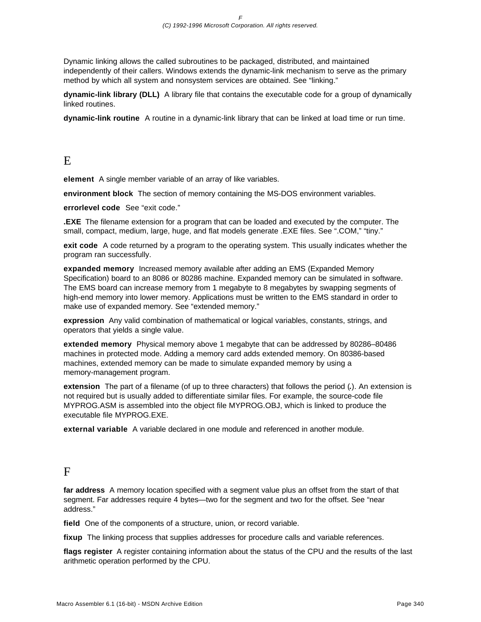Dynamic linking allows the called subroutines to be packaged, distributed, and maintained independently of their callers. Windows extends the dynamic-link mechanism to serve as the primary method by which all system and nonsystem services are obtained. See "linking."

**dynamic-link library (DLL)** A library file that contains the executable code for a group of dynamically linked routines.

**dynamic-link routine** A routine in a dynamic-link library that can be linked at load time or run time.

# E

**element** A single member variable of an array of like variables.

**environment block** The section of memory containing the MS-DOS environment variables.

**errorlevel code** See "exit code."

**.EXE** The filename extension for a program that can be loaded and executed by the computer. The small, compact, medium, large, huge, and flat models generate .EXE files. See ".COM," "tiny."

**exit code** A code returned by a program to the operating system. This usually indicates whether the program ran successfully.

**expanded memory** Increased memory available after adding an EMS (Expanded Memory Specification) board to an 8086 or 80286 machine. Expanded memory can be simulated in software. The EMS board can increase memory from 1 megabyte to 8 megabytes by swapping segments of high-end memory into lower memory. Applications must be written to the EMS standard in order to make use of expanded memory. See "extended memory."

**expression** Any valid combination of mathematical or logical variables, constants, strings, and operators that yields a single value.

**extended memory** Physical memory above 1 megabyte that can be addressed by 80286–80486 machines in protected mode. Adding a memory card adds extended memory. On 80386-based machines, extended memory can be made to simulate expanded memory by using a memory-management program.

**extension** The part of a filename (of up to three characters) that follows the period (**.**). An extension is not required but is usually added to differentiate similar files. For example, the source-code file MYPROG.ASM is assembled into the object file MYPROG.OBJ, which is linked to produce the executable file MYPROG.EXE.

**external variable** A variable declared in one module and referenced in another module.

# $\mathbf{F}$

**far address** A memory location specified with a segment value plus an offset from the start of that segment. Far addresses require 4 bytes—two for the segment and two for the offset. See "near address."

**field** One of the components of a structure, union, or record variable.

**fixup** The linking process that supplies addresses for procedure calls and variable references.

**flags register** A register containing information about the status of the CPU and the results of the last arithmetic operation performed by the CPU.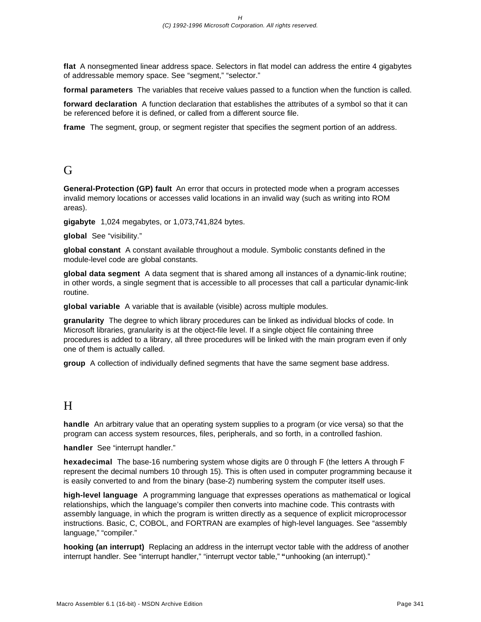**flat** A nonsegmented linear address space. Selectors in flat model can address the entire 4 gigabytes of addressable memory space. See "segment," "selector."

**formal parameters** The variables that receive values passed to a function when the function is called.

**forward declaration** A function declaration that establishes the attributes of a symbol so that it can be referenced before it is defined, or called from a different source file.

**frame** The segment, group, or segment register that specifies the segment portion of an address.

# G

**General-Protection (GP) fault** An error that occurs in protected mode when a program accesses invalid memory locations or accesses valid locations in an invalid way (such as writing into ROM areas).

**gigabyte** 1,024 megabytes, or 1,073,741,824 bytes.

**global** See "visibility."

**global constant** A constant available throughout a module. Symbolic constants defined in the module-level code are global constants.

**global data segment** A data segment that is shared among all instances of a dynamic-link routine; in other words, a single segment that is accessible to all processes that call a particular dynamic-link routine.

**global variable** A variable that is available (visible) across multiple modules.

**granularity** The degree to which library procedures can be linked as individual blocks of code. In Microsoft libraries, granularity is at the object-file level. If a single object file containing three procedures is added to a library, all three procedures will be linked with the main program even if only one of them is actually called.

**group** A collection of individually defined segments that have the same segment base address.

# H

**handle** An arbitrary value that an operating system supplies to a program (or vice versa) so that the program can access system resources, files, peripherals, and so forth, in a controlled fashion.

**handler** See "interrupt handler."

**hexadecimal** The base-16 numbering system whose digits are 0 through F (the letters A through F represent the decimal numbers 10 through 15). This is often used in computer programming because it is easily converted to and from the binary (base-2) numbering system the computer itself uses.

**high-level language** A programming language that expresses operations as mathematical or logical relationships, which the language's compiler then converts into machine code. This contrasts with assembly language, in which the program is written directly as a sequence of explicit microprocessor instructions. Basic, C, COBOL, and FORTRAN are examples of high-level languages. See "assembly language," "compiler."

**hooking (an interrupt)** Replacing an address in the interrupt vector table with the address of another interrupt handler. See "interrupt handler," "interrupt vector table," **"**unhooking (an interrupt)."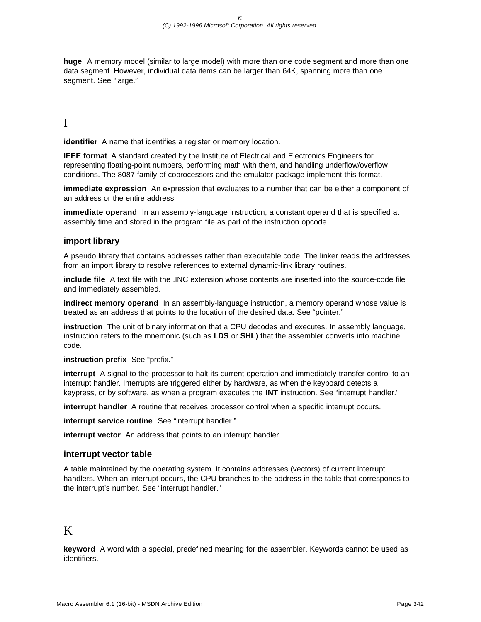**huge** A memory model (similar to large model) with more than one code segment and more than one data segment. However, individual data items can be larger than 64K, spanning more than one segment. See "large."

# I

**identifier** A name that identifies a register or memory location.

**IEEE format** A standard created by the Institute of Electrical and Electronics Engineers for representing floating-point numbers, performing math with them, and handling underflow/overflow conditions. The 8087 family of coprocessors and the emulator package implement this format.

**immediate expression** An expression that evaluates to a number that can be either a component of an address or the entire address.

**immediate operand** In an assembly-language instruction, a constant operand that is specified at assembly time and stored in the program file as part of the instruction opcode.

#### **import library**

A pseudo library that contains addresses rather than executable code. The linker reads the addresses from an import library to resolve references to external dynamic-link library routines.

**include file** A text file with the .INC extension whose contents are inserted into the source-code file and immediately assembled.

**indirect memory operand** In an assembly-language instruction, a memory operand whose value is treated as an address that points to the location of the desired data. See "pointer."

**instruction** The unit of binary information that a CPU decodes and executes. In assembly language, instruction refers to the mnemonic (such as **LDS** or **SHL**) that the assembler converts into machine code.

**instruction prefix** See "prefix."

**interrupt** A signal to the processor to halt its current operation and immediately transfer control to an interrupt handler. Interrupts are triggered either by hardware, as when the keyboard detects a keypress, or by software, as when a program executes the **INT** instruction. See "interrupt handler."

**interrupt handler** A routine that receives processor control when a specific interrupt occurs.

**interrupt service routine** See "interrupt handler."

**interrupt vector** An address that points to an interrupt handler.

#### **interrupt vector table**

A table maintained by the operating system. It contains addresses (vectors) of current interrupt handlers. When an interrupt occurs, the CPU branches to the address in the table that corresponds to the interrupt's number. See "interrupt handler."

# K

**keyword** A word with a special, predefined meaning for the assembler. Keywords cannot be used as identifiers.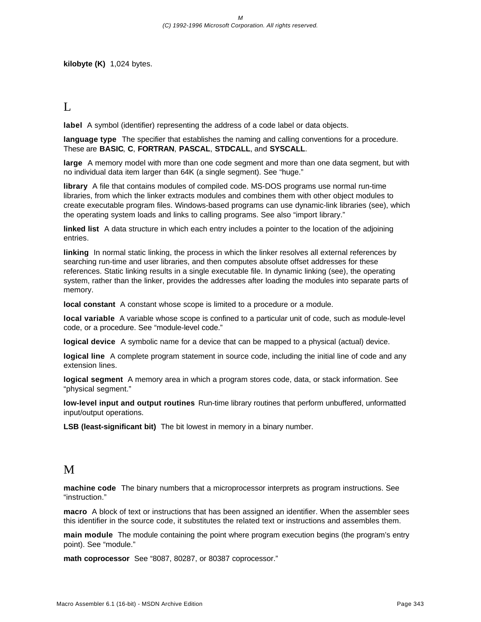**kilobyte (K)** 1,024 bytes.

# L

**label** A symbol (identifier) representing the address of a code label or data objects.

**language type** The specifier that establishes the naming and calling conventions for a procedure. These are **BASIC**, **C**, **FORTRAN**, **PASCAL**, **STDCALL**, and **SYSCALL**.

**large** A memory model with more than one code segment and more than one data segment, but with no individual data item larger than 64K (a single segment). See "huge."

**library** A file that contains modules of compiled code. MS-DOS programs use normal run-time libraries, from which the linker extracts modules and combines them with other object modules to create executable program files. Windows-based programs can use dynamic-link libraries (see), which the operating system loads and links to calling programs. See also "import library."

**linked list** A data structure in which each entry includes a pointer to the location of the adjoining entries.

**linking** In normal static linking, the process in which the linker resolves all external references by searching run-time and user libraries, and then computes absolute offset addresses for these references. Static linking results in a single executable file. In dynamic linking (see), the operating system, rather than the linker, provides the addresses after loading the modules into separate parts of memory.

**local constant** A constant whose scope is limited to a procedure or a module.

**local variable** A variable whose scope is confined to a particular unit of code, such as module-level code, or a procedure. See "module-level code."

**logical device** A symbolic name for a device that can be mapped to a physical (actual) device.

**logical line** A complete program statement in source code, including the initial line of code and any extension lines.

**logical segment** A memory area in which a program stores code, data, or stack information. See "physical segment."

**low-level input and output routines** Run-time library routines that perform unbuffered, unformatted input/output operations.

**LSB (least-significant bit)** The bit lowest in memory in a binary number.

# M

**machine code** The binary numbers that a microprocessor interprets as program instructions. See "instruction."

**macro** A block of text or instructions that has been assigned an identifier. When the assembler sees this identifier in the source code, it substitutes the related text or instructions and assembles them.

**main module** The module containing the point where program execution begins (the program's entry point). See "module."

**math coprocessor** See "8087, 80287, or 80387 coprocessor."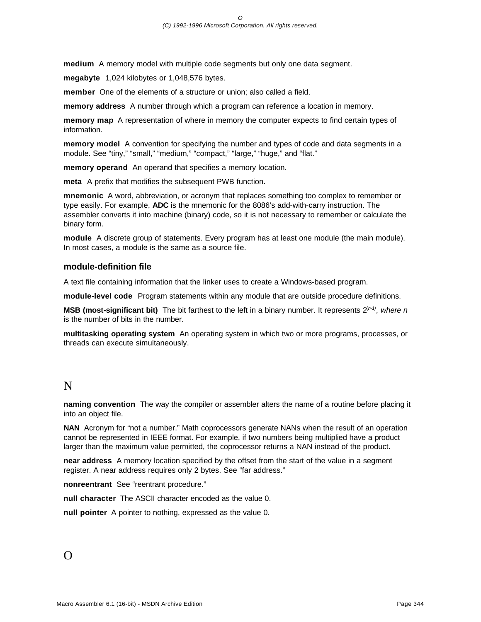**medium** A memory model with multiple code segments but only one data segment.

**megabyte** 1,024 kilobytes or 1,048,576 bytes.

**member** One of the elements of a structure or union; also called a field.

**memory address** A number through which a program can reference a location in memory.

**memory map** A representation of where in memory the computer expects to find certain types of information.

**memory model** A convention for specifying the number and types of code and data segments in a module. See "tiny," "small," "medium," "compact," "large," "huge," and "flat."

**memory operand** An operand that specifies a memory location.

**meta** A prefix that modifies the subsequent PWB function.

**mnemonic** A word, abbreviation, or acronym that replaces something too complex to remember or type easily. For example, **ADC** is the mnemonic for the 8086's add-with-carry instruction. The assembler converts it into machine (binary) code, so it is not necessary to remember or calculate the binary form.

**module** A discrete group of statements. Every program has at least one module (the main module). In most cases, a module is the same as a source file.

#### **module-definition file**

A text file containing information that the linker uses to create a Windows-based program.

**module-level code** Program statements within any module that are outside procedure definitions.

**MSB (most-significant bit)** The bit farthest to the left in a binary number. It represents  $2^{(n-1)}$ *, where n* is the number of bits in the number.

**multitasking operating system** An operating system in which two or more programs, processes, or threads can execute simultaneously.

# N

**naming convention** The way the compiler or assembler alters the name of a routine before placing it into an object file.

**NAN** Acronym for "not a number." Math coprocessors generate NANs when the result of an operation cannot be represented in IEEE format. For example, if two numbers being multiplied have a product larger than the maximum value permitted, the coprocessor returns a NAN instead of the product.

**near address** A memory location specified by the offset from the start of the value in a segment register. A near address requires only 2 bytes. See "far address."

**nonreentrant** See "reentrant procedure."

**null character** The ASCII character encoded as the value 0.

**null pointer** A pointer to nothing, expressed as the value 0.

# $\Omega$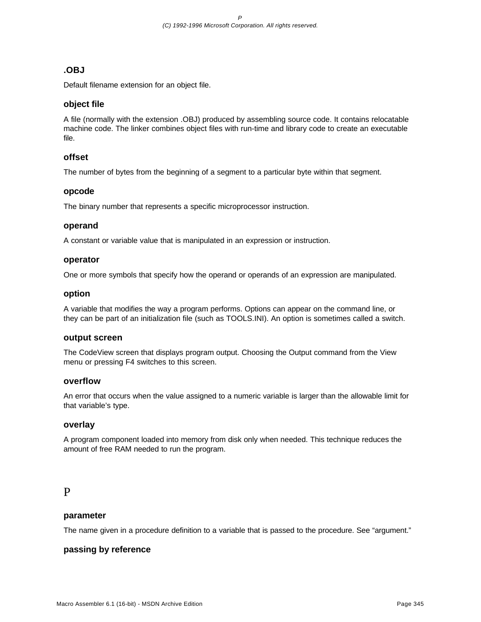# **.OBJ**

Default filename extension for an object file.

# **object file**

A file (normally with the extension .OBJ) produced by assembling source code. It contains relocatable machine code. The linker combines object files with run-time and library code to create an executable file.

# **offset**

The number of bytes from the beginning of a segment to a particular byte within that segment.

# **opcode**

The binary number that represents a specific microprocessor instruction.

# **operand**

A constant or variable value that is manipulated in an expression or instruction.

# **operator**

One or more symbols that specify how the operand or operands of an expression are manipulated.

#### **option**

A variable that modifies the way a program performs. Options can appear on the command line, or they can be part of an initialization file (such as TOOLS.INI). An option is sometimes called a switch.

# **output screen**

The CodeView screen that displays program output. Choosing the Output command from the View menu or pressing F4 switches to this screen.

# **overflow**

An error that occurs when the value assigned to a numeric variable is larger than the allowable limit for that variable's type.

# **overlay**

A program component loaded into memory from disk only when needed. This technique reduces the amount of free RAM needed to run the program.

# P

# **parameter**

The name given in a procedure definition to a variable that is passed to the procedure. See "argument."

# **passing by reference**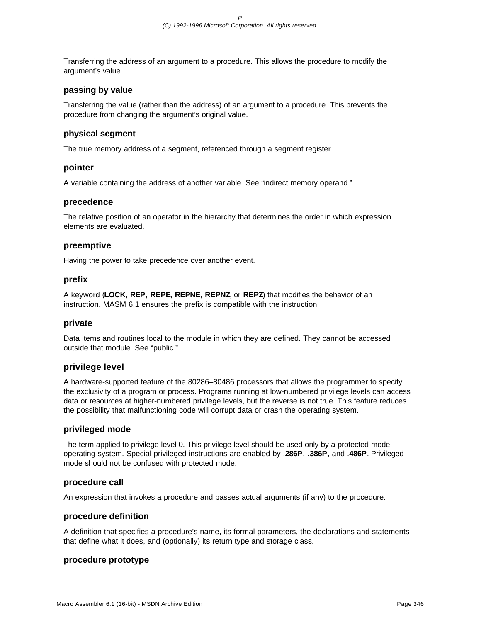Transferring the address of an argument to a procedure. This allows the procedure to modify the argument's value.

#### **passing by value**

Transferring the value (rather than the address) of an argument to a procedure. This prevents the procedure from changing the argument's original value.

#### **physical segment**

The true memory address of a segment, referenced through a segment register.

#### **pointer**

A variable containing the address of another variable. See "indirect memory operand."

#### **precedence**

The relative position of an operator in the hierarchy that determines the order in which expression elements are evaluated.

#### **preemptive**

Having the power to take precedence over another event.

#### **prefix**

A keyword (**LOCK**, **REP**, **REPE**, **REPNE**, **REPNZ**, or **REPZ**) that modifies the behavior of an instruction. MASM 6.1 ensures the prefix is compatible with the instruction.

#### **private**

Data items and routines local to the module in which they are defined. They cannot be accessed outside that module. See "public."

# **privilege level**

A hardware-supported feature of the 80286–80486 processors that allows the programmer to specify the exclusivity of a program or process. Programs running at low-numbered privilege levels can access data or resources at higher-numbered privilege levels, but the reverse is not true. This feature reduces the possibility that malfunctioning code will corrupt data or crash the operating system.

# **privileged mode**

The term applied to privilege level 0. This privilege level should be used only by a protected-mode operating system. Special privileged instructions are enabled by .**286P**, .**386P**, and .**486P**. Privileged mode should not be confused with protected mode.

#### **procedure call**

An expression that invokes a procedure and passes actual arguments (if any) to the procedure.

# **procedure definition**

A definition that specifies a procedure's name, its formal parameters, the declarations and statements that define what it does, and (optionally) its return type and storage class.

# **procedure prototype**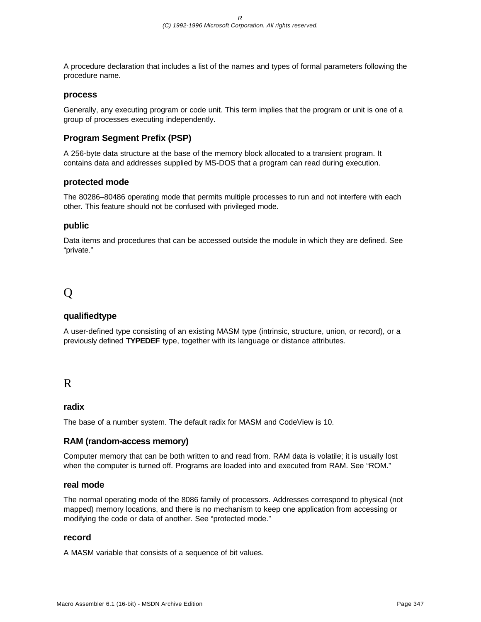A procedure declaration that includes a list of the names and types of formal parameters following the procedure name.

#### **process**

Generally, any executing program or code unit. This term implies that the program or unit is one of a group of processes executing independently.

# **Program Segment Prefix (PSP)**

A 256-byte data structure at the base of the memory block allocated to a transient program. It contains data and addresses supplied by MS-DOS that a program can read during execution.

#### **protected mode**

The 80286–80486 operating mode that permits multiple processes to run and not interfere with each other. This feature should not be confused with privileged mode.

#### **public**

Data items and procedures that can be accessed outside the module in which they are defined. See "private."

# Q

# **qualifiedtype**

A user-defined type consisting of an existing MASM type (intrinsic, structure, union, or record), or a previously defined **TYPEDEF** type, together with its language or distance attributes.

# R

#### **radix**

The base of a number system. The default radix for MASM and CodeView is 10.

#### **RAM (random-access memory)**

Computer memory that can be both written to and read from. RAM data is volatile; it is usually lost when the computer is turned off. Programs are loaded into and executed from RAM. See "ROM."

#### **real mode**

The normal operating mode of the 8086 family of processors. Addresses correspond to physical (not mapped) memory locations, and there is no mechanism to keep one application from accessing or modifying the code or data of another. See "protected mode."

#### **record**

A MASM variable that consists of a sequence of bit values.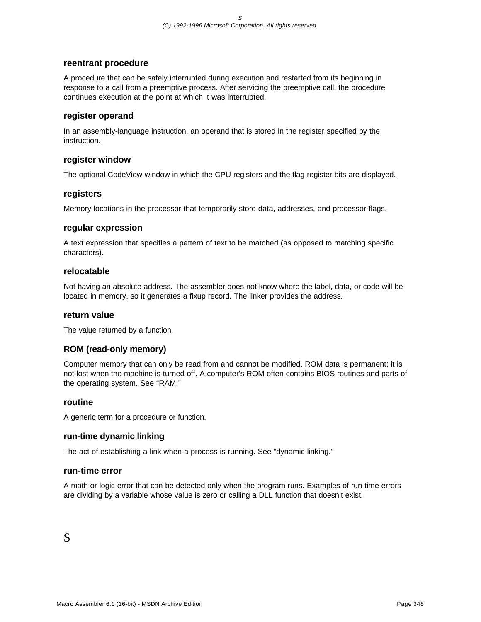# **reentrant procedure**

A procedure that can be safely interrupted during execution and restarted from its beginning in response to a call from a preemptive process. After servicing the preemptive call, the procedure continues execution at the point at which it was interrupted.

#### **register operand**

In an assembly-language instruction, an operand that is stored in the register specified by the instruction.

#### **register window**

The optional CodeView window in which the CPU registers and the flag register bits are displayed.

#### **registers**

Memory locations in the processor that temporarily store data, addresses, and processor flags.

#### **regular expression**

A text expression that specifies a pattern of text to be matched (as opposed to matching specific characters).

#### **relocatable**

Not having an absolute address. The assembler does not know where the label, data, or code will be located in memory, so it generates a fixup record. The linker provides the address.

#### **return value**

The value returned by a function.

#### **ROM (read-only memory)**

Computer memory that can only be read from and cannot be modified. ROM data is permanent; it is not lost when the machine is turned off. A computer's ROM often contains BIOS routines and parts of the operating system. See "RAM."

#### **routine**

A generic term for a procedure or function.

#### **run-time dynamic linking**

The act of establishing a link when a process is running. See "dynamic linking."

#### **run-time error**

A math or logic error that can be detected only when the program runs. Examples of run-time errors are dividing by a variable whose value is zero or calling a DLL function that doesn't exist.

# S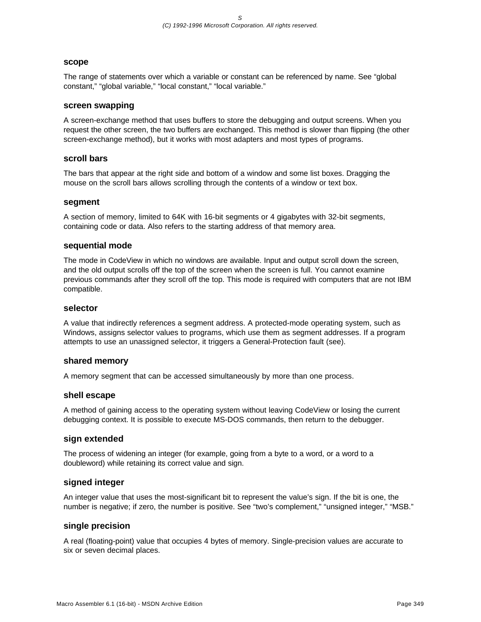#### **scope**

The range of statements over which a variable or constant can be referenced by name. See "global constant," "global variable," "local constant," "local variable."

#### **screen swapping**

A screen-exchange method that uses buffers to store the debugging and output screens. When you request the other screen, the two buffers are exchanged. This method is slower than flipping (the other screen-exchange method), but it works with most adapters and most types of programs.

#### **scroll bars**

The bars that appear at the right side and bottom of a window and some list boxes. Dragging the mouse on the scroll bars allows scrolling through the contents of a window or text box.

#### **segment**

A section of memory, limited to 64K with 16-bit segments or 4 gigabytes with 32-bit segments, containing code or data. Also refers to the starting address of that memory area.

#### **sequential mode**

The mode in CodeView in which no windows are available. Input and output scroll down the screen, and the old output scrolls off the top of the screen when the screen is full. You cannot examine previous commands after they scroll off the top. This mode is required with computers that are not IBM compatible.

#### **selector**

A value that indirectly references a segment address. A protected-mode operating system, such as Windows, assigns selector values to programs, which use them as segment addresses. If a program attempts to use an unassigned selector, it triggers a General-Protection fault (see).

#### **shared memory**

A memory segment that can be accessed simultaneously by more than one process.

#### **shell escape**

A method of gaining access to the operating system without leaving CodeView or losing the current debugging context. It is possible to execute MS-DOS commands, then return to the debugger.

#### **sign extended**

The process of widening an integer (for example, going from a byte to a word, or a word to a doubleword) while retaining its correct value and sign.

#### **signed integer**

An integer value that uses the most-significant bit to represent the value's sign. If the bit is one, the number is negative; if zero, the number is positive. See "two's complement," "unsigned integer," "MSB."

#### **single precision**

A real (floating-point) value that occupies 4 bytes of memory. Single-precision values are accurate to six or seven decimal places.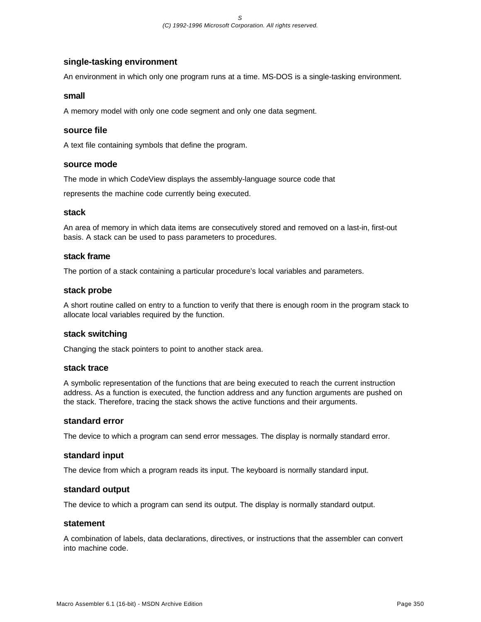# **single-tasking environment**

An environment in which only one program runs at a time. MS-DOS is a single-tasking environment.

### **small**

A memory model with only one code segment and only one data segment.

# **source file**

A text file containing symbols that define the program.

#### **source mode**

The mode in which CodeView displays the assembly-language source code that

represents the machine code currently being executed.

#### **stack**

An area of memory in which data items are consecutively stored and removed on a last-in, first-out basis. A stack can be used to pass parameters to procedures.

### **stack frame**

The portion of a stack containing a particular procedure's local variables and parameters.

#### **stack probe**

A short routine called on entry to a function to verify that there is enough room in the program stack to allocate local variables required by the function.

#### **stack switching**

Changing the stack pointers to point to another stack area.

#### **stack trace**

A symbolic representation of the functions that are being executed to reach the current instruction address. As a function is executed, the function address and any function arguments are pushed on the stack. Therefore, tracing the stack shows the active functions and their arguments.

#### **standard error**

The device to which a program can send error messages. The display is normally standard error.

# **standard input**

The device from which a program reads its input. The keyboard is normally standard input.

# **standard output**

The device to which a program can send its output. The display is normally standard output.

#### **statement**

A combination of labels, data declarations, directives, or instructions that the assembler can convert into machine code.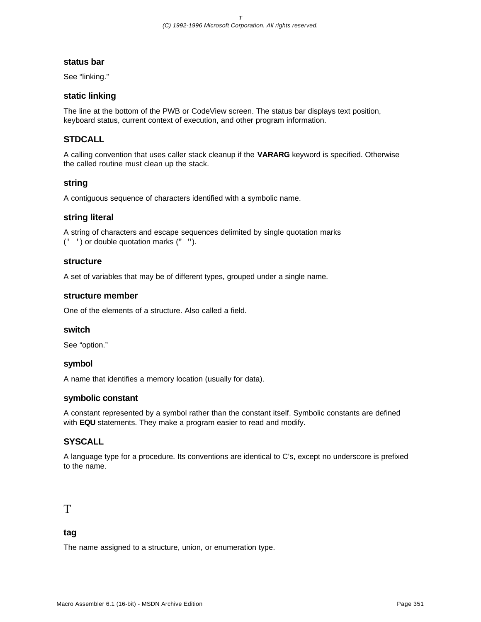### **status bar**

See "linking."

# **static linking**

The line at the bottom of the PWB or CodeView screen. The status bar displays text position, keyboard status, current context of execution, and other program information.

# **STDCALL**

A calling convention that uses caller stack cleanup if the **VARARG** keyword is specified. Otherwise the called routine must clean up the stack.

# **string**

A contiguous sequence of characters identified with a symbolic name.

# **string literal**

A string of characters and escape sequences delimited by single quotation marks (' ') or double quotation marks (" ").

#### **structure**

A set of variables that may be of different types, grouped under a single name.

#### **structure member**

One of the elements of a structure. Also called a field.

#### **switch**

See "option."

#### **symbol**

A name that identifies a memory location (usually for data).

#### **symbolic constant**

A constant represented by a symbol rather than the constant itself. Symbolic constants are defined with **EQU** statements. They make a program easier to read and modify.

# **SYSCALL**

A language type for a procedure. Its conventions are identical to C's, except no underscore is prefixed to the name.

# T

# **tag**

The name assigned to a structure, union, or enumeration type.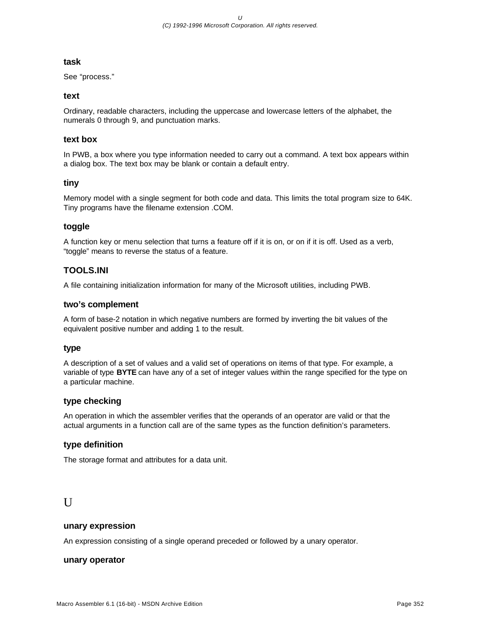#### **task**

See "process."

#### **text**

Ordinary, readable characters, including the uppercase and lowercase letters of the alphabet, the numerals 0 through 9, and punctuation marks.

#### **text box**

In PWB, a box where you type information needed to carry out a command. A text box appears within a dialog box. The text box may be blank or contain a default entry.

#### **tiny**

Memory model with a single segment for both code and data. This limits the total program size to 64K. Tiny programs have the filename extension .COM.

#### **toggle**

A function key or menu selection that turns a feature off if it is on, or on if it is off. Used as a verb, "toggle" means to reverse the status of a feature.

# **TOOLS.INI**

A file containing initialization information for many of the Microsoft utilities, including PWB.

#### **two's complement**

A form of base-2 notation in which negative numbers are formed by inverting the bit values of the equivalent positive number and adding 1 to the result.

#### **type**

A description of a set of values and a valid set of operations on items of that type. For example, a variable of type **BYTE** can have any of a set of integer values within the range specified for the type on a particular machine.

#### **type checking**

An operation in which the assembler verifies that the operands of an operator are valid or that the actual arguments in a function call are of the same types as the function definition's parameters.

#### **type definition**

The storage format and attributes for a data unit.

# $\mathbf{U}$

#### **unary expression**

An expression consisting of a single operand preceded or followed by a unary operator.

#### **unary operator**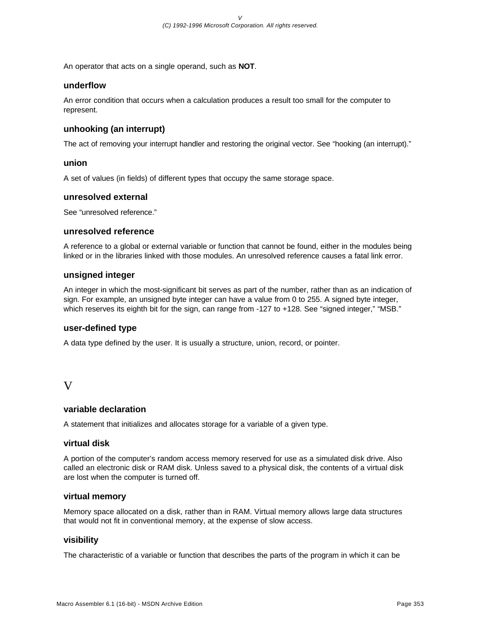An operator that acts on a single operand, such as **NOT**.

# **underflow**

An error condition that occurs when a calculation produces a result too small for the computer to represent.

# **unhooking (an interrupt)**

The act of removing your interrupt handler and restoring the original vector. See "hooking (an interrupt)."

#### **union**

A set of values (in fields) of different types that occupy the same storage space.

#### **unresolved external**

See "unresolved reference."

#### **unresolved reference**

A reference to a global or external variable or function that cannot be found, either in the modules being linked or in the libraries linked with those modules. An unresolved reference causes a fatal link error.

#### **unsigned integer**

An integer in which the most-significant bit serves as part of the number, rather than as an indication of sign. For example, an unsigned byte integer can have a value from 0 to 255. A signed byte integer, which reserves its eighth bit for the sign, can range from -127 to +128. See "signed integer," "MSB."

# **user-defined type**

A data type defined by the user. It is usually a structure, union, record, or pointer.

# V

#### **variable declaration**

A statement that initializes and allocates storage for a variable of a given type.

#### **virtual disk**

A portion of the computer's random access memory reserved for use as a simulated disk drive. Also called an electronic disk or RAM disk. Unless saved to a physical disk, the contents of a virtual disk are lost when the computer is turned off.

#### **virtual memory**

Memory space allocated on a disk, rather than in RAM. Virtual memory allows large data structures that would not fit in conventional memory, at the expense of slow access.

# **visibility**

The characteristic of a variable or function that describes the parts of the program in which it can be